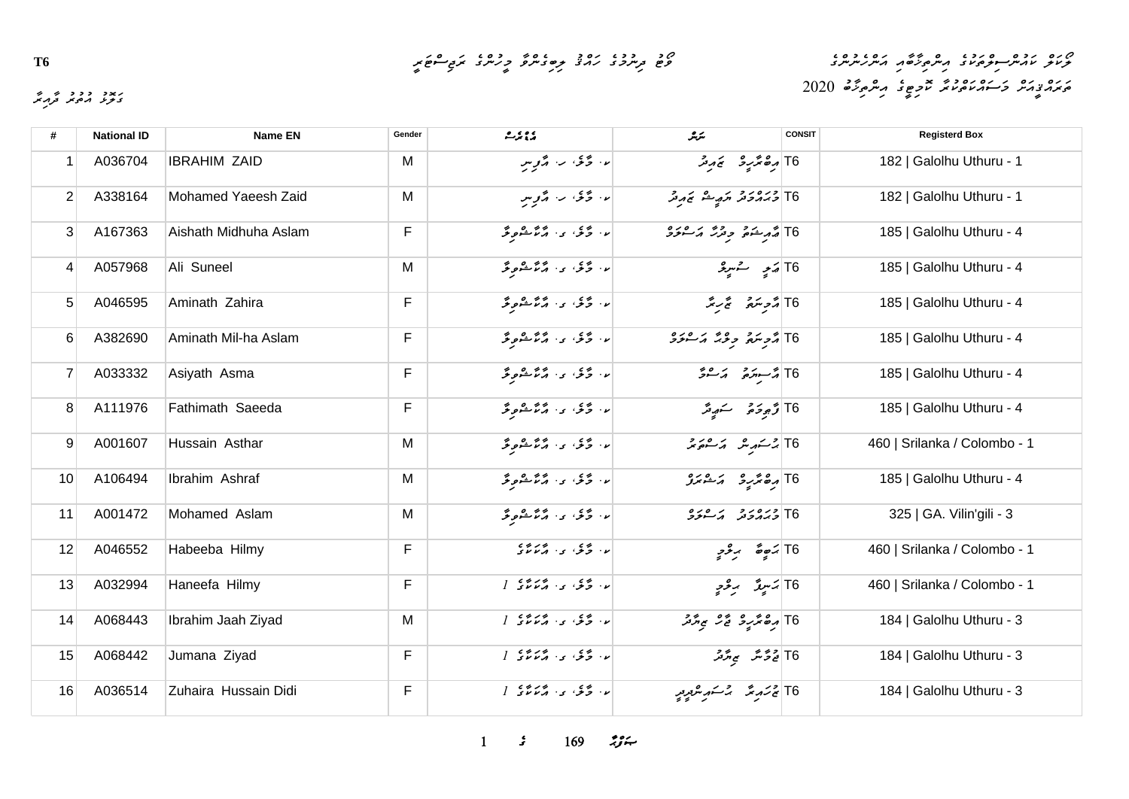*sCw7q7s5w7m< o<n9nOoAw7o< sCq;mAwBoEw7q<m; wBm;vB* م من المرة المرة المرة المرجع المرجع في المركبة 2020<br>مجم*د المريض المربوط المربع المرجع في المراجع المركبة* 

| ريدد د د د په په |  |
|------------------|--|

| #              | <b>National ID</b> | Name EN               | Gender       | يرويره                                                                                                                                                                                                                                                                                                                                                                                                                                                                                                                                                | سرپر                                                              | <b>CONSIT</b> | <b>Registerd Box</b>         |
|----------------|--------------------|-----------------------|--------------|-------------------------------------------------------------------------------------------------------------------------------------------------------------------------------------------------------------------------------------------------------------------------------------------------------------------------------------------------------------------------------------------------------------------------------------------------------------------------------------------------------------------------------------------------------|-------------------------------------------------------------------|---------------|------------------------------|
|                | A036704            | <b>IBRAHIM ZAID</b>   | M            | الا، 33، را، 3 دين                                                                                                                                                                                                                                                                                                                                                                                                                                                                                                                                    | T6 م <i>ەھترى</i> رى تم <i>م</i> ىتر                              |               | 182   Galolhu Uthuru - 1     |
| $\mathbf{2}$   | A338164            | Mohamed Yaeesh Zaid   | M            | ئار گەنگە ئەر مەگەن بىر                                                                                                                                                                                                                                                                                                                                                                                                                                                                                                                               | T6 <i>وُټروکو مَه</i> ِ گُهُ <sub>ک</sub> َهِ مُر                 |               | 182   Galolhu Uthuru - 1     |
| $\mathbf{3}$   | A167363            | Aishath Midhuha Aslam | $\mathsf F$  | $\left  \begin{array}{cc} 0 & 0 & 0 \\ 0 & 0 & 0 \end{array} \right  \times \left  \begin{array}{cc} 0 & 0 & 0 \\ 0 & 0 & 0 \end{array} \right  \times \left  \begin{array}{cc} 0 & 0 & 0 \\ 0 & 0 & 0 \end{array} \right $                                                                                                                                                                                                                                                                                                                           | T6 مەم شىم بەر ئەر بەر بەر قانۇ                                   |               | 185   Galolhu Uthuru - 4     |
| 4              | A057968            | Ali Suneel            | M            | لا د څخه د کمگشونو څ                                                                                                                                                                                                                                                                                                                                                                                                                                                                                                                                  | T6 <i>ھَ۔مِ</i> گسرِ پُر                                          |               | 185   Galolhu Uthuru - 4     |
| 5 <sup>5</sup> | A046595            | Aminath Zahira        | $\mathsf F$  | $\stackrel{6}{\sim}$ $\stackrel{6}{\sim}$ $\stackrel{7}{\sim}$ $\stackrel{8}{\sim}$ $\cdot$ $\stackrel{6}{\sim}$ $\cdot$ $\cdot$ $\stackrel{7}{\sim}$                                                                                                                                                                                                                                                                                                                                                                                                 | T6 مَّ <i>جِيئَةْ تَجْ</i> بِثَّمَّ                               |               | 185   Galolhu Uthuru - 4     |
| 6              | A382690            | Aminath Mil-ha Aslam  | $\mathsf F$  | $\left  \begin{array}{cc} 0 & \frac{1}{2} & \frac{1}{2} & \frac{1}{2} & \frac{1}{2} & \frac{1}{2} & \frac{1}{2} & \frac{1}{2} & \frac{1}{2} & \frac{1}{2} & \frac{1}{2} & \frac{1}{2} & \frac{1}{2} & \frac{1}{2} & \frac{1}{2} & \frac{1}{2} & \frac{1}{2} & \frac{1}{2} & \frac{1}{2} & \frac{1}{2} & \frac{1}{2} & \frac{1}{2} & \frac{1}{2} & \frac{1}{2} & \frac{1}{2} & \frac{1}{2} & \frac{1}{2}$                                                                                                                                              | T6 مُر <i>جِسَة وِوْمُ</i> مَــْبَوْدْ                            |               | 185   Galolhu Uthuru - 4     |
| $\overline{7}$ | A033332            | Asiyath Asma          | $\mathsf{F}$ | $\left  \begin{array}{cc} \mathbf{1}_{1} & \mathbf{1}_{2} & \mathbf{1}_{3} & \mathbf{1}_{4} \ \mathbf{1}_{2} & \mathbf{1}_{3} & \mathbf{1}_{5} & \mathbf{1}_{6} \end{array} \right $                                                                                                                                                                                                                                                                                                                                                                  | T6 مُرْسِ <i>مَرْهُ مُ</i> سْرَدُّ                                |               | 185   Galolhu Uthuru - 4     |
| 8              | A111976            | Fathimath Saeeda      | F            | $\sim$ د د د ان اندازه د د کرد کرد د اندازه د د کرد د اندازه د کرد که د اندازه د د کرد که د اندازه د کرد که د کرد که د                                                                                                                                                                                                                                                                                                                                                                                                                                | T6 <i>وَّجِوَدَةْ</i> سَم <i>ِيةْ</i>                             |               | 185   Galolhu Uthuru - 4     |
| 9              | A001607            | Hussain Asthar        | M            | $\mathcal{L}(\mathcal{L})$ ، دَمَنْ عَلَيْهِ وَ                                                                                                                                                                                                                                                                                                                                                                                                                                                                                                       | T6 يُرْسَمَّ مِيْرِ مَرْسُوَمِرْ                                  |               | 460   Srilanka / Colombo - 1 |
| 10             | A106494            | Ibrahim Ashraf        | M            | $\sim$ وَمَنْ وَالْمُرْشُومَ                                                                                                                                                                                                                                                                                                                                                                                                                                                                                                                          | T6 مەھمەر ئەھمىرى<br>76 مەھمەر ئىسىمىرى                           |               | 185   Galolhu Uthuru - 4     |
| 11             | A001472            | Mohamed Aslam         | M            | $\stackrel{\circ}{\mathcal{L}}\stackrel{\circ}{\mathcal{L}}\stackrel{\circ}{\mathcal{L}}\stackrel{\circ}{\mathcal{L}}\stackrel{\circ}{\mathcal{L}}\stackrel{\circ}{\mathcal{L}}\stackrel{\circ}{\mathcal{L}}\stackrel{\circ}{\mathcal{L}}\stackrel{\circ}{\mathcal{L}}\stackrel{\circ}{\mathcal{L}}\stackrel{\circ}{\mathcal{L}}\stackrel{\circ}{\mathcal{L}}\stackrel{\circ}{\mathcal{L}}\stackrel{\circ}{\mathcal{L}}\stackrel{\circ}{\mathcal{L}}\stackrel{\circ}{\mathcal{L}}\stackrel{\circ}{\mathcal{L}}\stackrel{\circ}{\mathcal{L}}\stackrel$ | T6 ديروبر بر <i>مرد</i> و                                         |               | 325   GA. Vilin'gili - 3     |
| 12             | A046552            | Habeeba Hilmy         | F            | ىدە بۇيى ئەرگەندى                                                                                                                                                                                                                                                                                                                                                                                                                                                                                                                                     | T6 <i>بَيْهِ ۾َ ب</i> ِوْدِ                                       |               | 460   Srilanka / Colombo - 1 |
| 13             | A032994            | Haneefa Hilmy         | F            |                                                                                                                                                                                                                                                                                                                                                                                                                                                                                                                                                       | T6 كەمپۇ بوق <sub>ىچ</sub>                                        |               | 460   Srilanka / Colombo - 1 |
| 14             | A068443            | Ibrahim Jaah Ziyad    | M            | 1.555.5.55.4                                                                                                                                                                                                                                                                                                                                                                                                                                                                                                                                          | T6 <sub>مر</sub> ھ <i>مُرْرِدْ</i> مُحْرَ ہ <sub>ے م</sub> ُرُمْر |               | 184   Galolhu Uthuru - 3     |
| 15             | A068442            | Jumana Ziyad          | $\mathsf F$  | ىن ۇيخ، بەر بۇ ئەتمۇ 1                                                                                                                                                                                                                                                                                                                                                                                                                                                                                                                                | T6 <i>فی ڈنڈ</i> ہے <i>مڑ</i> نٹر                                 |               | 184   Galolhu Uthuru - 3     |
| 16             | A036514            | Zuhaira Hussain Didi  | F            |                                                                                                                                                                                                                                                                                                                                                                                                                                                                                                                                                       | T6 <i>ج ئەمەنگە</i> جىسكەر بىرىدىر                                |               | 184   Galolhu Uthuru - 3     |

 $1$  *s*  $169$  *n***<sub>s</sub>**  $\frac{169}{169}$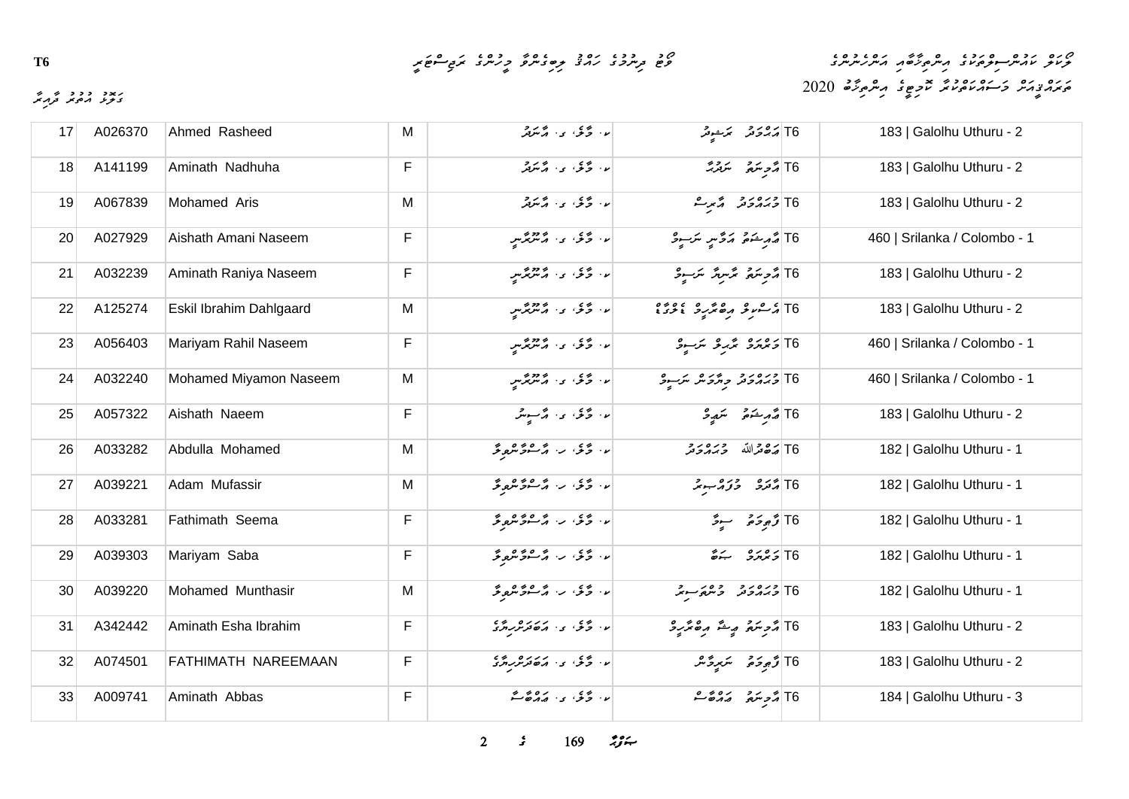*sCw7q7s5w7m< o<n9nOoAw7o< sCq;mAwBoEw7q<m; wBm;vB* م من المسجد المسجد المسجد المسجد المسجد العام 2020<br>مسجد المسجد المسجد المسجد المسجد المسجد المسجد المسجد المسجد ال

# *n8o<n@ q8qAq< q:uBmC*

| 17 | A026370 | Ahmed Rasheed           | M           | u ئۇق، يەس <b>ە</b> ئەيگە                                                                                                                                                                                                        | T6 كەبۇكى قرىنب <i>وت</i> ر                       | 183   Galolhu Uthuru - 2     |
|----|---------|-------------------------|-------------|----------------------------------------------------------------------------------------------------------------------------------------------------------------------------------------------------------------------------------|---------------------------------------------------|------------------------------|
| 18 | A141199 | Aminath Nadhuha         | $\mathsf F$ | ۱۰ ۇي ئ. ئ <sup>ە</sup> يرى                                                                                                                                                                                                      | T6 مُّجِسَمُ مَنْ مَرْتَمُّ                       | 183   Galolhu Uthuru - 2     |
| 19 | A067839 | Mohamed Aris            | M           | لاستخرق بالمتحركة                                                                                                                                                                                                                | T6 <i>وُبَهُ وَبَدْ</i> مَمَّ مِنْ                | 183   Galolhu Uthuru - 2     |
| 20 | A027929 | Aishath Amani Naseem    | $\mathsf F$ | لا د څخه د ام مرمگرس                                                                                                                                                                                                             | T6 مُرمِشَمُ مَرَّسٍ سَرَسِرَ \$                  | 460   Srilanka / Colombo - 1 |
| 21 | A032239 | Aminath Raniya Naseem   | F           | لا د څخه د ام چې په                                                                                                                                                                                                              | T6 <i>مُّجِسَعْهُ</i> مُُسِعُّ سَرَّجَةٌ          | 183   Galolhu Uthuru - 2     |
| 22 | A125274 | Eskil Ibrahim Dahlgaard | M           | لا د څخه د ام هم شر                                                                                                                                                                                                              | T6 كەسىر بوھ كەرە مەم مەم                         | 183   Galolhu Uthuru - 2     |
| 23 | A056403 | Mariyam Rahil Naseem    | $\mathsf F$ | لا د څخه د ام هم شر                                                                                                                                                                                                              | T6 <i>وَيُرْدُوْ بُرْبِ</i> وْ ب <i>َرْبِي</i> وْ | 460   Srilanka / Colombo - 1 |
| 24 | A032240 | Mohamed Miyamon Naseem  | M           | لار محتى الاستراتيب                                                                                                                                                                                                              | T6 <i>وبروبر ومؤوند مرسو</i> د                    | 460   Srilanka / Colombo - 1 |
| 25 | A057322 | Aishath Naeem           | $\mathsf F$ | لار گەنگى ئەرگەسىس                                                                                                                                                                                                               | T6 م <i>جْهِـــتَمَّة سَمِي</i> ـًا               | 183   Galolhu Uthuru - 2     |
| 26 | A033282 | Abdulla Mohamed         | M           | ، دَگَرَ، رَا اگر شَرْ شَرْوَكَرْ                                                                                                                                                                                                | T6 مَهْ مِّرْاللَّهُ وَبَرْمُ وَمَرْ              | 182   Galolhu Uthuru - 1     |
| 27 | A039221 | Adam Mufassir           | M           | ، دَ دَ رَ رُ کُر دَ مُرودَ                                                                                                                                                                                                      | T6 <i>مُحَدَّدُ وَوَمُ</i> سِيمُ                  | 182   Galolhu Uthuru - 1     |
| 28 | A033281 | Fathimath Seema         | $\mathsf F$ | ، دَگَرَ، رَا اگر شَرْ شَرْوَكَرْ                                                                                                                                                                                                | T6 <i>وَّجِوَة بِ</i> وَّ                         | 182   Galolhu Uthuru - 1     |
| 29 | A039303 | Mariyam Saba            | $\mathsf F$ | ، دَ دَ رَ رُ کُر دَ مُرودَ                                                                                                                                                                                                      | $5.202$ $5.02$ $-6$                               | 182   Galolhu Uthuru - 1     |
| 30 | A039220 | Mohamed Munthasir       | M           | ، دَبَّى، رَا الْمُسْتَرْسُوبَّرْ                                                                                                                                                                                                | T6 <i>جەنگەدى جىنگەسى</i> ر                       | 182   Galolhu Uthuru - 1     |
| 31 | A342442 | Aminath Esha Ibrahim    | F           | ر د محکمه د در ده د د د کار د کار د کار د کار د کار د کار د کار د کار د کار د کار د کار د کار د کار د کار د کا<br>د از او کار کار د کار د کار د کار د کار د کار د کار د کار د کار د کار د کار د کار د کار د کار د کار د کار د کا | T6 مُرحِسَةً مِشَّ مِـ8 مُرْبِرَةً                | 183   Galolhu Uthuru - 2     |
| 32 | A074501 | FATHIMATH NAREEMAAN     | $\mathsf F$ | ر د محکمه د در ده د د د کار د کار د کار د کار د کار د کار د کار د کار د کار د کار د کار د کار د کار د کار د کا<br>د از او کار کار د کار کار د کار کار د کار کار د کار کار د کار کار د کار کار د کار کار د کار کار د کار کار د کا | T6 <i>وُّجِوَدَ مَرْبِرةُ مُّرَ</i>               | 183   Galolhu Uthuru - 2     |
| 33 | A009741 | Aminath Abbas           | F           | ر، ۇي بىر ئەھتىگە                                                                                                                                                                                                                | T6 مُح <i>مِّسَمُ مَمْقُتُ</i>                    | 184   Galolhu Uthuru - 3     |

 $2$  *s f***<sub>3</sub>** *n***<sub>2</sub>** *n***<sub>3</sub>** *n***<sub>2</sub> <b>***n*<sub>2</sub> *n*<sub>2</sub> *n*<sub>2</sub> *n*<sub>2</sub> *n*<sub>2</sub> *n*<sub>2</sub> *n*<sub>2</sub> *n*<sub>2</sub> *n*<sub>2</sub> *n*<sub>2</sub> *n*<sub>2</sub> *n*<sub>2</sub> *n*<sub>2</sub> *n*<sub>2</sub> *n*<sub>2</sub> *n*<sub>2</sub> *n*<sub>2</sub> *n*<sub>2</sub> *n*<sub>2</sub> *n*<sub>2</sub>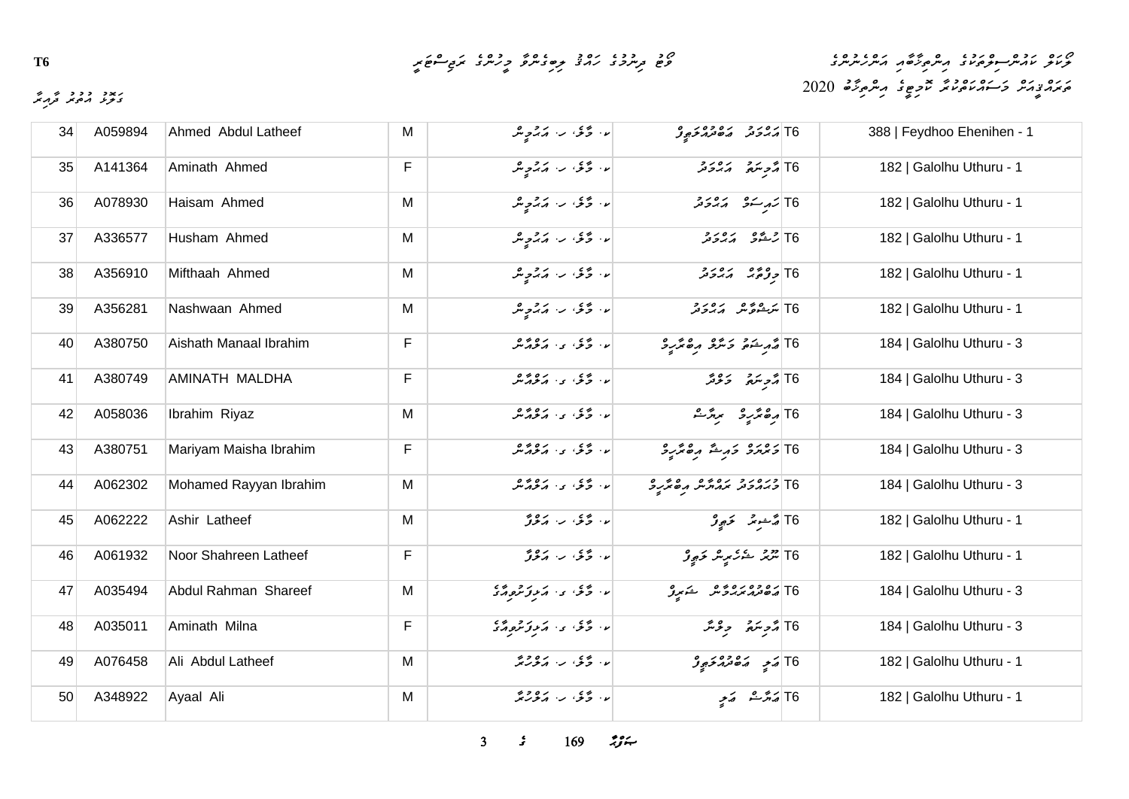*sCw7q7s5w7m< o<n9nOoAw7o< sCq;mAwBoEw7q<m; wBm;vB* م من المسجد المسجد المسجد المسجد المسجد العام 2020<br>مسجد المسجد المسجد المسجد المسجد المسجد المسجد المسجد المسجد ال

| 34 | A059894 | Ahmed Abdul Latheef    | M           | $\sim$ وَكَرْسِ مِنْ مَرْكَرِهِ مَثْرَ                                                                                                                                                                                                                                                   | T6 גُرُدَتَر مُصْرَمْ دُورٌ                             | 388   Feydhoo Ehenihen - 1 |
|----|---------|------------------------|-------------|------------------------------------------------------------------------------------------------------------------------------------------------------------------------------------------------------------------------------------------------------------------------------------------|---------------------------------------------------------|----------------------------|
| 35 | A141364 | Aminath Ahmed          | F           | $\omega$ وَمَوْ $\sim$ وَيَرْوِسُ                                                                                                                                                                                                                                                        | T6  مُرِسَمَةُ مَ <sup>رُ</sup> دَدَ                    | 182   Galolhu Uthuru - 1   |
| 36 | A078930 | Haisam Ahmed           | M           | $\omega$ وَمَحْرٌ رَا مَدَوِيْرٌ $\sim$                                                                                                                                                                                                                                                  | T6 <i>تەب قىلىم قىلى</i> مىتى قىلىم                     | 182   Galolhu Uthuru - 1   |
| 37 | A336577 | Husham Ahmed           | M           | $\omega$ وَمَحْرُ رَبِيْدِ مِنْدَ وَمِثْرَ                                                                                                                                                                                                                                               | T6تحق <i>ى خ</i> ېمىقى                                  | 182   Galolhu Uthuru - 1   |
| 38 | A356910 | Mifthaah Ahmed         | M           | $\omega$ وَمَحْرُ رَا دَرَكْرُو مِكْر                                                                                                                                                                                                                                                    | T6 <i>ووګ<sup>ې</sup>ژ مردون</i> ر                      | 182   Galolhu Uthuru - 1   |
| 39 | A356281 | Nashwaan Ahmed         | M           | $\omega$ وَمَحْرٌ رَا دَرَكْتِهِ مَدْ                                                                                                                                                                                                                                                    | T6 سَ <i>رَجْوُسْ پَرْدُونْر</i> ِ                      | 182   Galolhu Uthuru - 1   |
| 40 | A380750 | Aishath Manaal Ibrahim | F           | لا ژۇ، ئەنگە ئەھم                                                                                                                                                                                                                                                                        | T6 مەم شەق كەنگى م <i>ەھگ</i> رىد <i>ى</i>              | 184   Galolhu Uthuru - 3   |
| 41 | A380749 | AMINATH MALDHA         | $\mathsf F$ | لا د څخه د امکومه شر                                                                                                                                                                                                                                                                     | T6 مَّد <i>ِسَمَّة دَوْمَ</i> ّ                         | 184   Galolhu Uthuru - 3   |
| 42 | A058036 | Ibrahim Riyaz          | M           | $x^2 - 2x^2 - 1$                                                                                                                                                                                                                                                                         | T6 م <i>ِ ھُنَّرِ وَ</i> مُحَمَّدُ مُ                   | 184   Galolhu Uthuru - 3   |
| 43 | A380751 | Mariyam Maisha Ibrahim | F           | لا د څخه د امکومه شر                                                                                                                                                                                                                                                                     | T6 <i>وَجْهَدُوْ وَ<sub>مَ</sub>بِّدُ مِ</i> هْتُرِيْرَ | 184   Galolhu Uthuru - 3   |
| 44 | A062302 | Mohamed Rayyan Ibrahim | M           | $\sqrt{2}$ , $\sqrt{2}$                                                                                                                                                                                                                                                                  | T6 دره در دره بوره بره برر                              | 184   Galolhu Uthuru - 3   |
| 45 | A062222 | Ashir Latheef          | M           | الا . 33 ر. م.35                                                                                                                                                                                                                                                                         | T6 گەھىيەتى كە <i>يو</i> ر                              | 182   Galolhu Uthuru - 1   |
| 46 | A061932 | Noor Shahreen Latheef  | $\mathsf F$ | الا د مختل الراد د کروگر                                                                                                                                                                                                                                                                 | T6 تتريز ڪري <i>پير ڏ<sub>ي</sub>و</i> ڙ                | 182   Galolhu Uthuru - 1   |
| 47 | A035494 | Abdul Rahman Shareef   | M           | $\left  \begin{array}{cc} \mathcal{L}_{\mathcal{L}} & \mathcal{L}_{\mathcal{L}} \end{array} \right $ , $\mathcal{L}_{\mathcal{L}}$ , $\mathcal{L}_{\mathcal{L}}$ , $\mathcal{L}_{\mathcal{L}}$ , $\mathcal{L}_{\mathcal{L}}$ , $\mathcal{L}_{\mathcal{L}}$ , $\mathcal{L}_{\mathcal{L}}$ | T6 رەدەرەم بىر<br>T6 رەس <i>مەدەبىرى بىر ئىمبى</i> ر    | 184   Galolhu Uthuru - 3   |
| 48 | A035011 | Aminath Milna          | $\mathsf F$ | الاستخرى المالك وترويمي                                                                                                                                                                                                                                                                  | T6 مُ <i>جِسَعْہ ج</i> و مُدَّ                          | 184   Galolhu Uthuru - 3   |
| 49 | A076458 | Ali Abdul Latheef      | M           | الا د محکمه الرا از مرکز مرکز                                                                                                                                                                                                                                                            | T6مَعٍ <i>مُـُـھُّدُمُّدَوِدٌ</i>                       | 182   Galolhu Uthuru - 1   |
| 50 | A348922 | Ayaal Ali              | M           | لا د محرک را بروژنگر                                                                                                                                                                                                                                                                     | T6 <i>چنڑ بیٹے چ</i> ر                                  | 182   Galolhu Uthuru - 1   |

*3 sC 169 nNw?mS*

*n8o<n@ q8qAq< q:uBmC*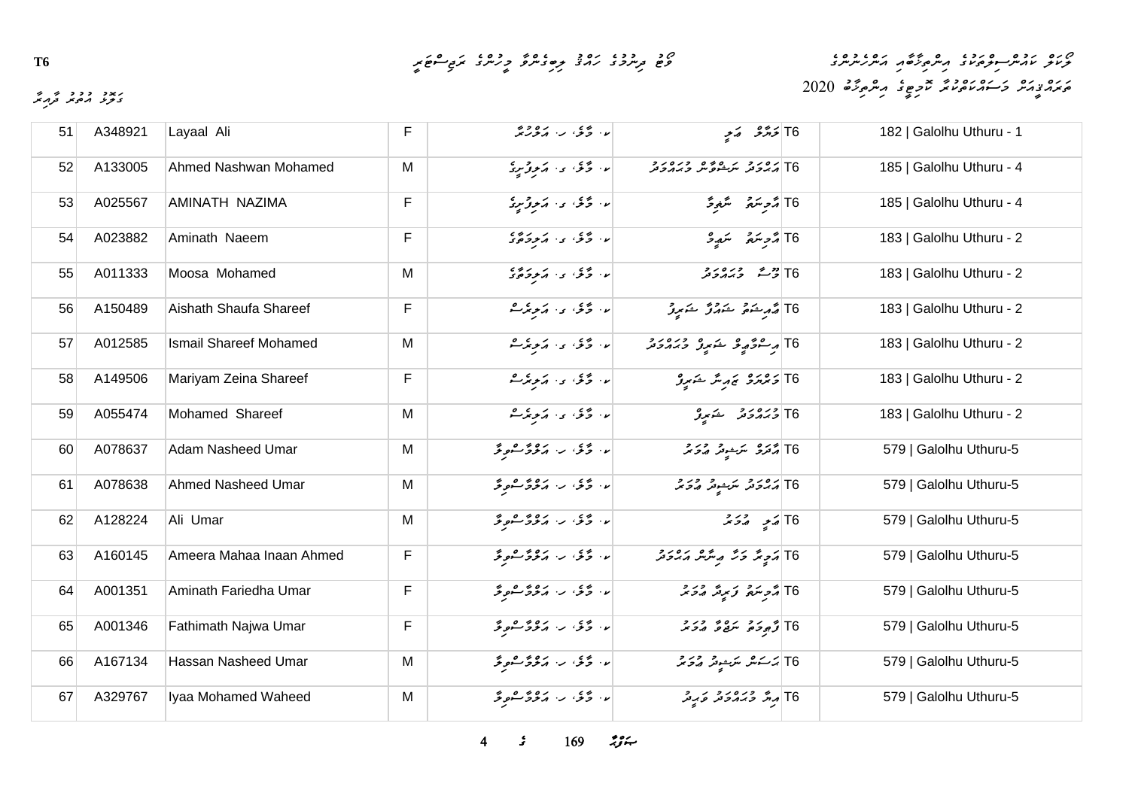*sCw7q7s5w7m< o<n9nOoAw7o< sCq;mAwBoEw7q<m; wBm;vB* م من المسجد المسجد المسجد المسجد المسجد العام 2020<br>مسجد المسجد المسجد المسجد المسجد المسجد المسجد المسجد المسجد ال

| 51 | A348921 | Layaal Ali                    | $\mathsf F$ | ، دې رېږدي                                                                                                                                                                                                                   | T6 تح <i>ەيڅۇ چې</i>                                            | 182   Galolhu Uthuru - 1 |
|----|---------|-------------------------------|-------------|------------------------------------------------------------------------------------------------------------------------------------------------------------------------------------------------------------------------------|-----------------------------------------------------------------|--------------------------|
| 52 | A133005 | Ahmed Nashwan Mohamed         | M           | ا دا د څخه او امکووکړی                                                                                                                                                                                                       | T6 <i>ړ و د و پره ورور</i> و                                    | 185   Galolhu Uthuru - 4 |
| 53 | A025567 | AMINATH NAZIMA                | $\mathsf F$ | لا الحمق الأسروفريري                                                                                                                                                                                                         | T6 مُج <i>سَعُ</i> مُّهْرَ                                      | 185   Galolhu Uthuru - 4 |
| 54 | A023882 | Aminath Naeem                 | F           | د کچې ی پروه ده د                                                                                                                                                                                                            | T6 <i>مُؤسِّعَة سَمِي</i> عً                                    | 183   Galolhu Uthuru - 2 |
| 55 | A011333 | Moosa Mohamed                 | M           | لا د څخه د کموده ده                                                                                                                                                                                                          | T6_ <i>جيڪ جن</i> گر <i>ون</i> ر                                | 183   Galolhu Uthuru - 2 |
| 56 | A150489 | Aishath Shaufa Shareef        | F           | لا د څخه د امکومرگ                                                                                                                                                                                                           | T6 مُرْمِسْمُمْ سُمَرْتُرٌ سُمَعِيرُ                            | 183   Galolhu Uthuru - 2 |
| 57 | A012585 | <b>Ismail Shareef Mohamed</b> | M           | الأرمح في الأراد وتورث                                                                                                                                                                                                       | T6 <sub>م</sub> ر <i>شۇم</i> ۇ ئىبرۇ <i>دىن</i> مەدىر           | 183   Galolhu Uthuru - 2 |
| 58 | A149506 | Mariyam Zeina Shareef         | F           | لاستخف وستمع يمث                                                                                                                                                                                                             | T6 <i>كَمُرْمَرْدْ بْهُ مِ</i> مُّ سُمَى <sub>رِ</sub> رْ       | 183   Galolhu Uthuru - 2 |
| 59 | A055474 | Mohamed Shareef               | M           | لا د څخه د امکولمرگ                                                                                                                                                                                                          | T6 <i>ۇنەۋەتى خەيرۇ</i>                                         | 183   Galolhu Uthuru - 2 |
| 60 | A078637 | Adam Nasheed Umar             | M           | $\stackrel{\circ}{\mathcal{L}}\stackrel{\circ}{\mathcal{L}}\stackrel{\circ}{\mathcal{L}}\stackrel{\circ}{\mathcal{L}}\cdots\stackrel{\circ}{\mathcal{L}}\stackrel{\circ}{\mathcal{L}}\stackrel{\circ}{\mathcal{L}}\cdots$    | T6 <i>مُحَرَّدُ سَبْحِينٌ مُحَمَّدٌ</i>                         | 579   Galolhu Uthuru-5   |
| 61 | A078638 | Ahmed Nasheed Umar            | M           | ، د د ، ، ، ، د د د شور د                                                                                                                                                                                                    | T6 <i>גُرُوَنَرُ</i> سَ <i>نِجِينُ مُ</i> وَنَمُ                | 579   Galolhu Uthuru-5   |
| 62 | A128224 | Ali Umar                      | M           | $\stackrel{\circ}{\mathcal{J}}\stackrel{\circ}{\mathcal{J}}\stackrel{\circ}{\mathcal{J}}\stackrel{\circ}{\mathcal{J}}\cdots$ $\stackrel{\circ}{\mathcal{J}}\stackrel{\circ}{\mathcal{J}}\stackrel{\circ}{\mathcal{J}}\cdots$ | T6 <i>جو چ</i> ې چر                                             | 579   Galolhu Uthuru-5   |
| 63 | A160145 | Ameera Mahaa Inaan Ahmed      | $\mathsf F$ | لا د څخه را پروژگورنگورگ                                                                                                                                                                                                     | T6 <i>أرْحِ مُّدُّ وَكُنَّ مِ</i> مُ <i>دُّرُو أَرْدُو</i> مُدَ | 579   Galolhu Uthuru-5   |
| 64 | A001351 | Aminath Fariedha Umar         | F           | ، دَ دَ رَ پروژگور د                                                                                                                                                                                                         | T6 مَّ <i>جِسَعَۃ وَ بِرِمَّہ مِنْ</i> حَ بَرِ                  | 579   Galolhu Uthuru-5   |
| 65 | A001346 | Fathimath Najwa Umar          | $\mathsf F$ | لا د څخه را پروژگور څو څ                                                                                                                                                                                                     | T6 رُج <i>وحَمْ</i> سَهْعَ مَحَمَد                              | 579   Galolhu Uthuru-5   |
| 66 | A167134 | Hassan Nasheed Umar           | M           | لا د نځنۍ را پروژگورنگورنگ                                                                                                                                                                                                   | T6   يَرْسَدْشْ مَرْسُوشْ مِرْحَ <sup>مْ</sup> رْ               | 579   Galolhu Uthuru-5   |
| 67 | A329767 | Iyaa Mohamed Waheed           | M           | لا د څخه را د دو شوڅ                                                                                                                                                                                                         | T6 م <i>جد وبرود و ب</i> رتر                                    | 579   Galolhu Uthuru-5   |

*n8o<n@ q8qAq< q:uBmC*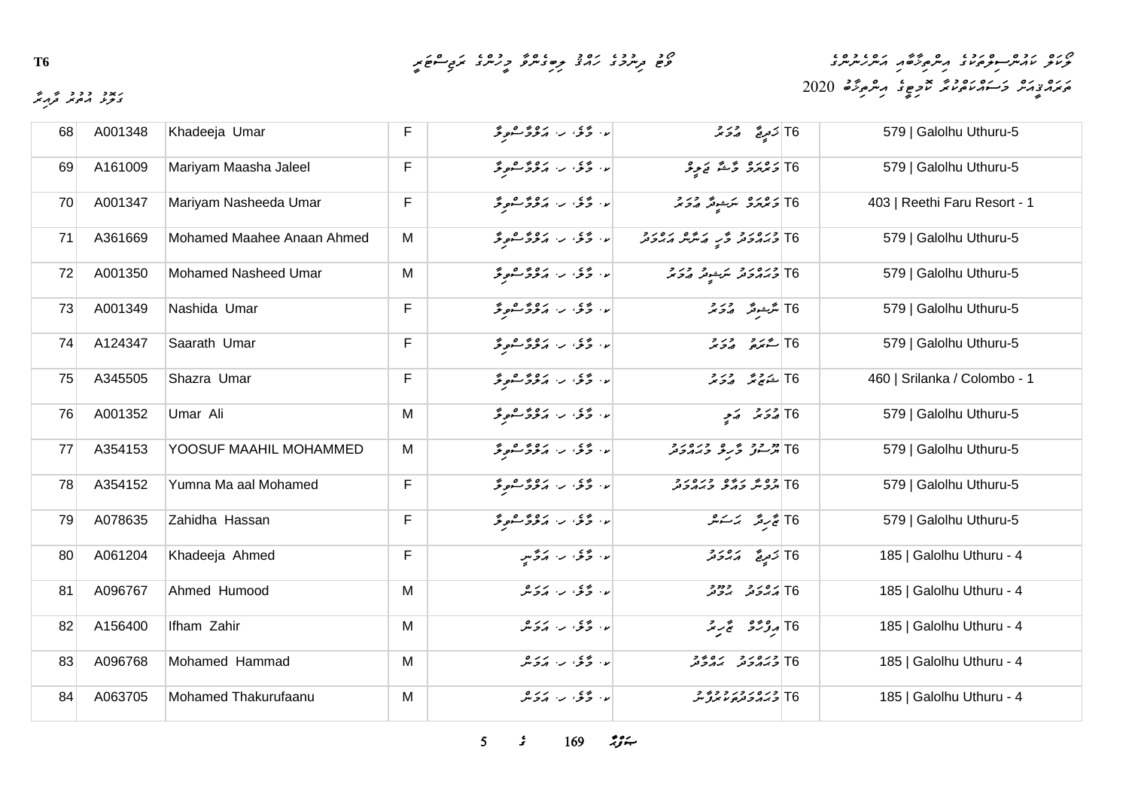*sCw7q7s5w7m< o<n9nOoAw7o< sCq;mAwBoEw7q<m; wBm;vB* م من المسجد المسجد المسجد المسجد المسجد العام 2020<br>مسجد المسجد المسجد المسجد المسجد المسجد المسجد المسجد المسجد ال

| 68 | A001348 | Khadeeja Umar              | F           | ، دى، ر. مەدۋىسمونۇ                                                                                                                                                                                                          | T6 كَتَمَرِيحٌ      مُتَحَمَّرُ               | 579   Galolhu Uthuru-5       |
|----|---------|----------------------------|-------------|------------------------------------------------------------------------------------------------------------------------------------------------------------------------------------------------------------------------------|-----------------------------------------------|------------------------------|
| 69 | A161009 | Mariyam Maasha Jaleel      | $\mathsf F$ | لا د نځنۍ را برونو شونځه                                                                                                                                                                                                     | T6 كَمَرْتَرْدْ   دَّـتْہٗ   يَا وِلْرْ       | 579   Galolhu Uthuru-5       |
| 70 | A001347 | Mariyam Nasheeda Umar      | F           | لا د نځنۍ را برونو شونځه                                                                                                                                                                                                     | T6 كالكريمركي الكراشيوماتي المركز كالرجمي     | 403   Reethi Faru Resort - 1 |
| 71 | A361669 | Mohamed Maahee Anaan Ahmed | M           |                                                                                                                                                                                                                              |                                               | 579   Galolhu Uthuru-5       |
| 72 | A001350 | Mohamed Nasheed Umar       | M           | لا د نځنۍ را پروژگورنځو                                                                                                                                                                                                      | T6 <i>وبرو دو مرش<sub>و</sub>تر م</i> حمد     | 579   Galolhu Uthuru-5       |
| 73 | A001349 | Nashida Umar               | $\mathsf F$ | لا د نځري را د ده د شونځ                                                                                                                                                                                                     | T6 سَّرْجُوسَّر مِرْحَ <sup>مِ</sup> رَ       | 579   Galolhu Uthuru-5       |
| 74 | A124347 | Saarath Umar               | $\mathsf F$ | ، دَ دَ رَ پروژگور د                                                                                                                                                                                                         | T6 گەنمىز مەزىر                               | 579   Galolhu Uthuru-5       |
| 75 | A345505 | Shazra Umar                | $\mathsf F$ | $\stackrel{\circ}{\mathcal{L}}\stackrel{\circ}{\mathcal{L}}\stackrel{\circ}{\mathcal{L}}\stackrel{\circ}{\mathcal{L}}\cdots\stackrel{\circ}{\mathcal{L}}\stackrel{\circ}{\mathcal{L}}\stackrel{\circ}{\mathcal{L}}\cdots$    | T6 شى <i>ق بىر مى تى</i> رىمى                 | 460   Srilanka / Colombo - 1 |
| 76 | A001352 | Umar Ali                   | M           | ، دَ دَ رَ مَرْدَ مَسْعِرْ                                                                                                                                                                                                   | T6 232 <i>مَ</i> ح                            | 579   Galolhu Uthuru-5       |
| 77 | A354153 | YOOSUF MAAHIL MOHAMMED     | M           | لا د محرک را بروژگرونگر                                                                                                                                                                                                      | T6 ا <i>نز حو</i> ثر محرره محدد محدد محمد الس | 579   Galolhu Uthuru-5       |
| 78 | A354152 | Yumna Ma aal Mohamed       | $\mathsf F$ | $\stackrel{\circ}{\mathcal{J}}\stackrel{\circ}{\mathcal{J}}\stackrel{\circ}{\mathcal{J}}\stackrel{\circ}{\mathcal{J}}\cdots$ $\stackrel{\circ}{\mathcal{J}}\stackrel{\circ}{\mathcal{J}}\stackrel{\circ}{\mathcal{J}}\cdots$ | T6 <i>גونڈ خمگ ویم</i> ورو                    | 579   Galolhu Uthuru-5       |
| 79 | A078635 | Zahidha Hassan             | $\mathsf F$ | لا د څخه را د دو شوڅ                                                                                                                                                                                                         | T6 يُح پر تيز سک تير مستقر                    | 579   Galolhu Uthuru-5       |
| 80 | A061204 | Khadeeja Ahmed             | F           | $\downarrow$ ، د د د د د کالبر                                                                                                                                                                                               | T6 كَتَمِيعٌ - <i>مُكْ</i> حَمَّدُ            | 185   Galolhu Uthuru - 4     |
| 81 | A096767 | Ahmed Humood               | M           | لا د محرک را برکانگر                                                                                                                                                                                                         | T6 <i>ړې دي.</i> جوړ                          | 185   Galolhu Uthuru - 4     |
| 82 | A156400 | Ifham Zahir                | M           | ىر، بۇق، بەركەنگە                                                                                                                                                                                                            | T6 <i>مورْدُة</i> جُرِيْرَ                    | 185   Galolhu Uthuru - 4     |
| 83 | A096768 | Mohamed Hammad             | M           | لار ۇي بەركەتل                                                                                                                                                                                                               | T6 <i>وبروبرو برووب</i> ر                     | 185   Galolhu Uthuru - 4     |
| 84 | A063705 | Mohamed Thakurufaanu       | M           | لار ۇي بەركەتل                                                                                                                                                                                                               | T6 <i>دېږورو دوو</i> ر                        | 185   Galolhu Uthuru - 4     |

## *n8o<n@ q8qAq< q:uBmC*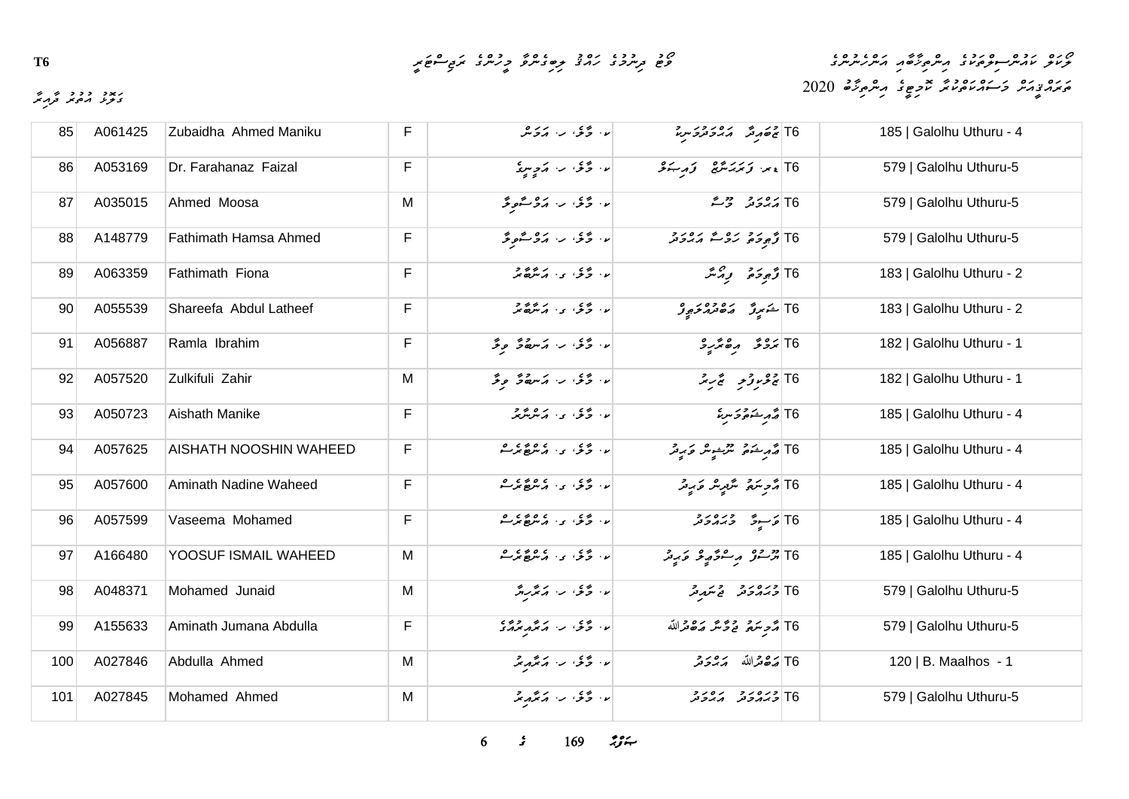*sCw7q7s5w7m< o<n9nOoAw7o< sCq;mAwBoEw7q<m; wBm;vB* م من المسجد المسجد المسجد المسجد المسجد العام 2020<br>مسجد المسجد المسجد المسجد المسجد المسجد المسجد المسجد المسجد ال

| 85  | A061425 | Zubaidha Ahmed Maniku         | F           | لا : ۇقۇل سا ئەكەنلى                       | T6تج <i>ھُورمَّة مُحدَّدَ وَمُرْدَ مِنْ</i>             | 185   Galolhu Uthuru - 4 |
|-----|---------|-------------------------------|-------------|--------------------------------------------|---------------------------------------------------------|--------------------------|
| 86  | A053169 | Dr. Farahanaz Faizal          | F           | $\mathcal{L}_{\mathcal{L}}$ ر المحرس       | T6 ، <i>بى تەندىشى قەبى</i> نىڭ                         | 579   Galolhu Uthuru-5   |
| 87  | A035015 | Ahmed Moosa                   | M           | ئەس ئۇنى سە ئەرگە ئۇ ئىگەنى ئى             | T6 كەبۇر تۇرىم                                          | 579   Galolhu Uthuru-5   |
| 88  | A148779 | Fathimath Hamsa Ahmed         | F           | $\sim$ 32) را مادى مىگرى تى                | T6 زُووَة رَوْتُ مَ <sup>رُود</sup> َ                   | 579   Galolhu Uthuru-5   |
| 89  | A063359 | Fathimath Fiona               | F           | لا د څخه د امکمه                           | T6 <i>وَّجِوَحَةَ و</i> ِرْسَمَّ                        | 183   Galolhu Uthuru - 2 |
| 90  | A055539 | Shareefa Abdul Latheef        | $\mathsf F$ | لا د څو د کار مره مر                       | T6 خىمى <i>ز مەھىرمۇمۇ</i>                              | 183   Galolhu Uthuru - 2 |
| 91  | A056887 | Ramla Ibrahim                 | F           | لا د کلو از مانده گرام و گر                | T6 بَرَدْ دَ مِنْ مَرْرِدْ                              | 182   Galolhu Uthuru - 1 |
| 92  | A057520 | Zulkifuli Zahir               | M           | لا د کال را ما معانی و گر                  | T6 يحور وحو سمج بريز                                    | 182   Galolhu Uthuru - 1 |
| 93  | A050723 | Aishath Manike                | F           | ئارا ئۇقى، ئارا ئارايلىرىگە                | T6 <i>مۇم شەمۇ ئەبىرى</i> گە                            | 185   Galolhu Uthuru - 4 |
| 94  | A057625 | <b>AISHATH NOOSHIN WAHEED</b> | $\mathsf F$ | $\sim$ , $\sim$ , $\sim$ , $\sim$ , $\sim$ | T6 م <i>ۇم شۇمۇ</i> شرىيوسر <i>ك</i> ېرى <i>د</i>       | 185   Galolhu Uthuru - 4 |
| 95  | A057600 | Aminath Nadine Waheed         | $\mathsf F$ | لا د څخه ی په ده ورو په د                  | T6 <i>مُّجِسَعُ سُمُّبِرِسُ وَب</i> ِيْرِ               | 185   Galolhu Uthuru - 4 |
| 96  | A057599 | Vaseema Mohamed               | F           | لا کوي کې هغه کړه کې                       | T6 كۆسى <i>دۇ تەخەم</i> كەتتە                           | 185   Galolhu Uthuru - 4 |
| 97  | A166480 | YOOSUF ISMAIL WAHEED          | M           | لا په څو، د مرغو غرب                       | T6 مركز ويستوفيو قدير                                   | 185   Galolhu Uthuru - 4 |
| 98  | A048371 | Mohamed Junaid                | M           | لا د څخه له د تمکردگر                      | T6 <i>ڈیزوونز</i> قے <i>سَمب</i> قر                     | 579   Galolhu Uthuru-5   |
| 99  | A155633 | Aminath Jumana Abdulla        | $\mathsf F$ | ، د څو، ر ، مگرمه ده،                      | T6 أُمَّ <i>جِ سَمَّةَ</i> فَاحَسَّ أَمَّا هُمْ اللَّهُ | 579   Galolhu Uthuru-5   |
| 100 | A027846 | Abdulla Ahmed                 | M           | لا د محکمه به انگلامگر                     | T6 كەنقەللە كەبەدىر                                     | 120   B. Maalhos - 1     |
| 101 | A027845 | Mohamed Ahmed                 | M           | لا د څخه له د تمکيم تر                     | T6 <i>دې ده د پرون</i> ږ                                | 579   Galolhu Uthuru-5   |

*6 sC 169 nNw?mS*

*n8o<n@ q8qAq< q:uBmC*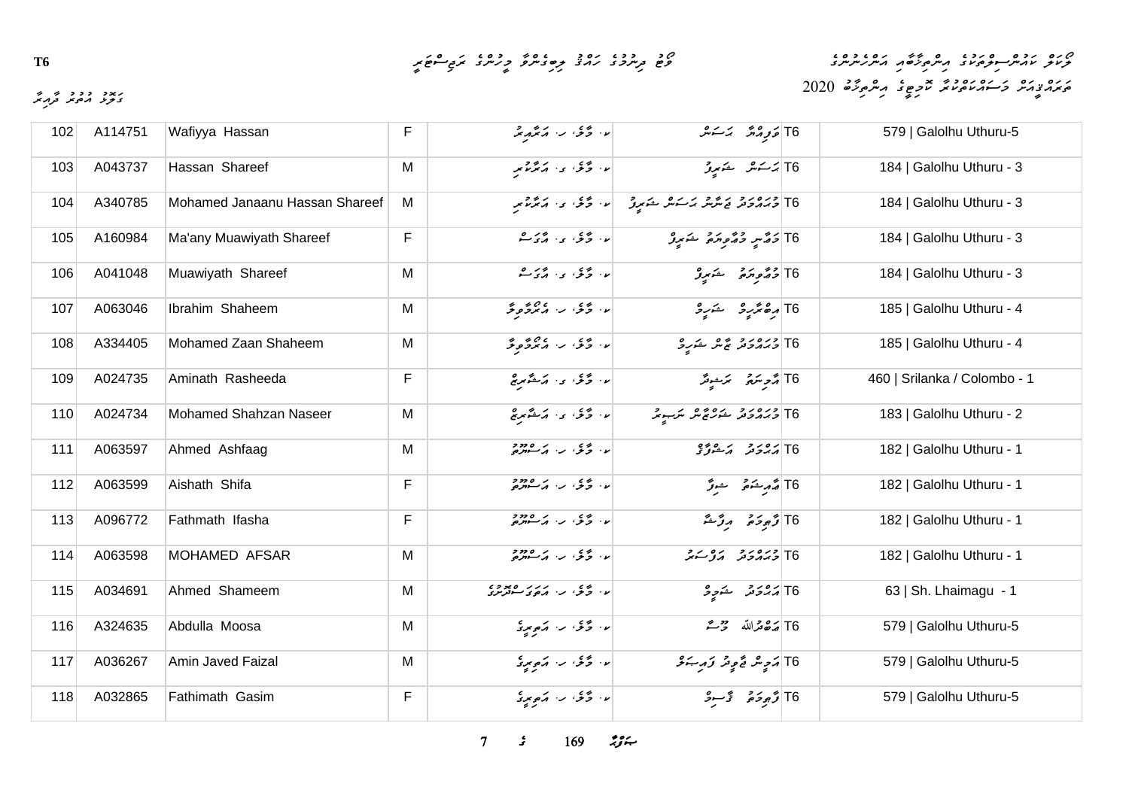*sCw7q7s5w7m< o<n9nOoAw7o< sCq;mAwBoEw7q<m; wBm;vB* م من المسجد المسجد المسجد المسجد المسجد العام 2020<br>مسجد المسجد المسجد المسجد المسجد المسجد المسجد المسجد المسجد ال

| 102 | A114751 | Wafiyya Hassan                 | F           | الاستخفات مكفهف                                                                                                                                                                                                                                                                                                                                                                                                                                                              | T6 <i>قۇچىڭ بى</i> شكىر                                                                                                 | 579   Galolhu Uthuru-5       |
|-----|---------|--------------------------------|-------------|------------------------------------------------------------------------------------------------------------------------------------------------------------------------------------------------------------------------------------------------------------------------------------------------------------------------------------------------------------------------------------------------------------------------------------------------------------------------------|-------------------------------------------------------------------------------------------------------------------------|------------------------------|
| 103 | A043737 | Hassan Shareef                 | M           | $\mathbf{v} \in \mathbb{R}^{2d} \times \mathbb{R}^{2d}$ لامبر                                                                                                                                                                                                                                                                                                                                                                                                                | T6 بَرَسَىمْ شَمِيرٌ                                                                                                    | 184   Galolhu Uthuru - 3     |
| 104 | A340785 | Mohamed Janaanu Hassan Shareef | M           |                                                                                                                                                                                                                                                                                                                                                                                                                                                                              | T6 <i>ورورو في مركز برسكس تحكيل من مركز به الكرماني</i>                                                                 | 184   Galolhu Uthuru - 3     |
| 105 | A160984 | Ma'any Muawiyath Shareef       | F           | لا . د څو، د . د پړې ک                                                                                                                                                                                                                                                                                                                                                                                                                                                       | T6 كَرَمَّسٍ كَرَمُّ مِرْثَرَ حَرَمِيْرٌ                                                                                | 184   Galolhu Uthuru - 3     |
| 106 | A041048 | Muawiyath Shareef              | м           | $25.355 - 2$                                                                                                                                                                                                                                                                                                                                                                                                                                                                 | T6 <i>جُهُّ مِهْرَمْ شَهْرِوْ</i>                                                                                       | 184   Galolhu Uthuru - 3     |
| 107 | A063046 | Ibrahim Shaheem                | M           | $\stackrel{\circ}{\mathcal{S}}\stackrel{\circ}{\mathcal{S}}\stackrel{\circ}{\mathcal{S}}\stackrel{\circ}{\mathcal{S}}\cdots\stackrel{\circ}{\mathcal{S}}\stackrel{\circ}{\mathcal{S}}\stackrel{\circ}{\mathcal{S}}\cdots$                                                                                                                                                                                                                                                    | T6 <i>برھنڙي</i> و خر <i>ي</i> و                                                                                        | 185   Galolhu Uthuru - 4     |
| 108 | A334405 | Mohamed Zaan Shaheem           | M           | $\left  \begin{array}{l} \mathcal{L} \mathcal{L} \mathcal{L} \mathcal{L} \mathcal{L} \end{array} \right. \sim \left  \begin{array}{l} \mathcal{L} \mathcal{L} \mathcal{L} \mathcal{L} \mathcal{L} \end{array} \right  \times \mathcal{L} \mathcal{L} \mathcal{L} \mathcal{L} \mathcal{L} \mathcal{L} \mathcal{L} \mathcal{L} \mathcal{L} \mathcal{L} \mathcal{L} \mathcal{L} \mathcal{L} \mathcal{L} \mathcal{L} \mathcal{L} \mathcal{L} \mathcal{L} \mathcal{L} \mathcal{L$ | T6  <i>وُبُرُودُو چُ</i> رُ حُبُرُ مِنَ                                                                                 | 185   Galolhu Uthuru - 4     |
| 109 | A024735 | Aminath Rasheeda               | $\mathsf F$ | لاستخفى بالمكتفع                                                                                                                                                                                                                                                                                                                                                                                                                                                             | T6 م <i>ُّحِ سَمَّةُ</i> سَمَّسُوشُ                                                                                     | 460   Srilanka / Colombo - 1 |
| 110 | A024734 | <b>Mohamed Shahzan Naseer</b>  | M           | لا د څخه د امکشمې                                                                                                                                                                                                                                                                                                                                                                                                                                                            | T6 <i>وبروبرو حروبج على متهبوبل</i>                                                                                     | 183   Galolhu Uthuru - 2     |
| 111 | A063597 | Ahmed Ashfaag                  | M           | ىن ئۇنق، سەر مەھرى                                                                                                                                                                                                                                                                                                                                                                                                                                                           | T6 كەبرى كى كەرگە ئوگە ئۇ                                                                                               | 182   Galolhu Uthuru - 1     |
| 112 | A063599 | Aishath Shifa                  | $\mathsf F$ | لا، دېڅو، په مړينه وده                                                                                                                                                                                                                                                                                                                                                                                                                                                       | T6 صَّمِيشَةَ حَبَّةً                                                                                                   | 182   Galolhu Uthuru - 1     |
| 113 | A096772 | Fathmath Ifasha                | F           | ىن ئۇنى بەرگە ئەدە                                                                                                                                                                                                                                                                                                                                                                                                                                                           | T6 رَّج <i>وحَة</i> مِرَّسَةَ                                                                                           | 182   Galolhu Uthuru - 1     |
| 114 | A063598 | <b>MOHAMED AFSAR</b>           | M           | لا د محمد به من محمد المسلم المسلم المسلم المسلم المسلم المسلم المسلم المسلم المسلم المسلم المسلم ال                                                                                                                                                                                                                                                                                                                                                                         | T6 <i>جەممى تەرەب ئى</i> ر                                                                                              | 182   Galolhu Uthuru - 1     |
| 115 | A034691 | Ahmed Shameem                  | M           | ر، دی. ر، مردر ۲۶۵۵.<br>ر، دی. ر، مرد سور                                                                                                                                                                                                                                                                                                                                                                                                                                    | T6   كەندى كىم ئىكتىم ئىكتىم ئىكتىم ئىكتار ئىگتا ئىكتار ئىگتا ئىكتاب ئىكتاب ئىگتا ئىگتا ئىگتا ئىگتا ئىگتا ئىگت<br>مەنبە | 63   Sh. Lhaimagu - 1        |
| 116 | A324635 | Abdulla Moosa                  | M           | لا د څخه را مکمونوند                                                                                                                                                                                                                                                                                                                                                                                                                                                         | T6 كەنھەتراللە مىقتەتتە                                                                                                 | 579   Galolhu Uthuru-5       |
| 117 | A036267 | Amin Javed Faizal              | M           | الله د څخه لرا مکرم مولا                                                                                                                                                                                                                                                                                                                                                                                                                                                     | T6  كەرپىر ق <sub>ەھ</sub> يۇ ق <i>ەب</i> ىكى                                                                           | 579   Galolhu Uthuru-5       |
| 118 | A032865 | Fathimath Gasim                | F           | الاستخرى سأهج ميرة                                                                                                                                                                                                                                                                                                                                                                                                                                                           | T6 زَ <sub>ّجو</sub> حَۃ تَخْسِرْتَ                                                                                     | 579   Galolhu Uthuru-5       |

*n8o<n@ q8qAq< q:uBmC*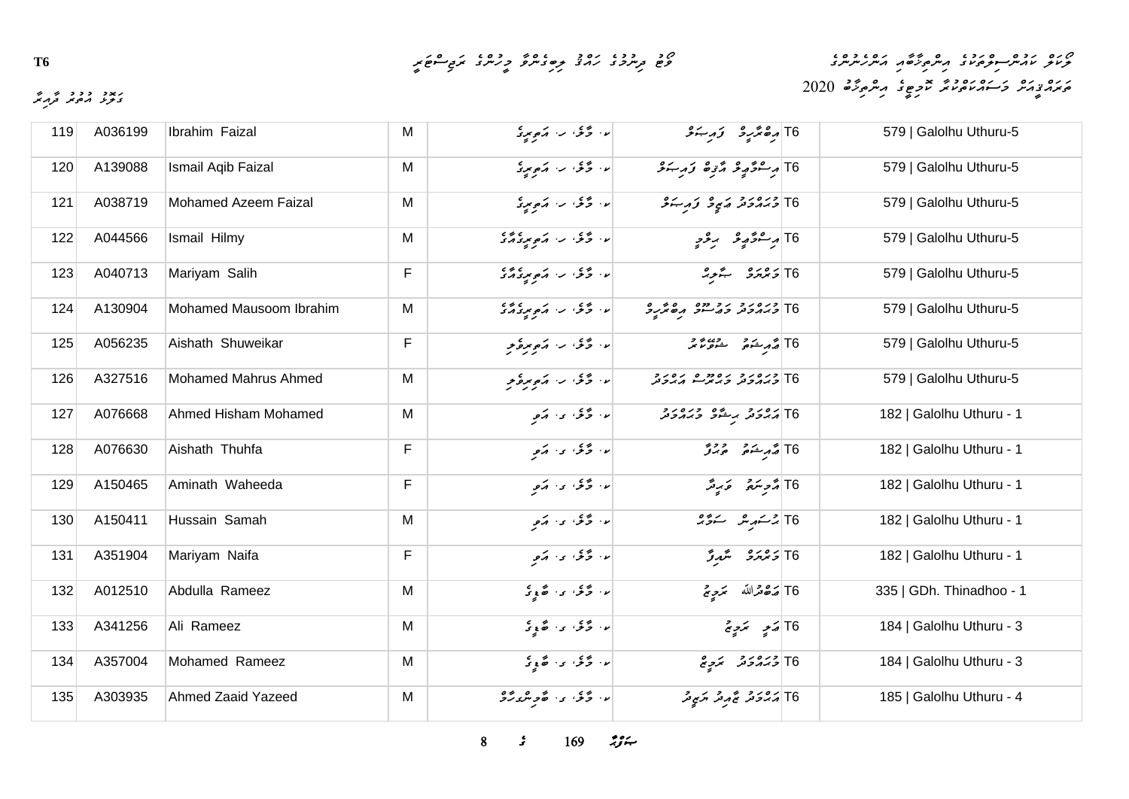*sCw7q7s5w7m< o<n9nOoAw7o< sCq;mAwBoEw7q<m; wBm;vB* م من المسجد المسجد المسجد المسجد المسجد العام 2020<br>مسجد المسجد المسجد المسجد المسجد المسجد المسجد المسجد المسجد ال

| 119 | A036199 | Ibrahim Faizal              | M           | ۱۰ ۇي. ر. م <i>ەمب</i> رى                                           | T6 مەھەرىپى قەمبىكى <i>5</i>                             | 579   Galolhu Uthuru-5   |
|-----|---------|-----------------------------|-------------|---------------------------------------------------------------------|----------------------------------------------------------|--------------------------|
| 120 | A139088 | Ismail Aqib Faizal          | M           | $\mathcal{L}_{\mathcal{S}}$ لا، د گروه برد                          | T6 <sub>م</sub> رےد <i>ۇ<sub>م</sub>ى</i> 5 دىج كەرىكى 5 | 579   Galolhu Uthuru-5   |
| 121 | A038719 | <b>Mohamed Azeem Faizal</b> | M           | $\sim$ وَمَحْرٌ رَا مَاءِ مِرَهْ                                    | T6 <i>وَيَدُوَيْرَ <sub>مَنْ</sub>جِ</i> وْ وَرِجَوْ     | 579   Galolhu Uthuru-5   |
| 122 | A044566 | Ismail Hilmy                | M           | ر، د محمد الله علم دي.<br>مسافر د الله مرکب د برد و                 | T6  <sub>مر</sub> شۇ <sub>م</sub> ۇ بۇي                  | 579   Galolhu Uthuru-5   |
| 123 | A040713 | Mariyam Salih               | F           | ر د محکي را مکمونوروند د ک                                          | T6 كەبە <i>بەدى بەلبە</i> ر                              | 579   Galolhu Uthuru-5   |
| 124 | A130904 | Mohamed Mausoom Ibrahim     | M           | $\begin{bmatrix} 1 & 0 & 0 \\ 0 & 0 & 0 \\ 0 & 0 & 0 \end{bmatrix}$ | T6 دره د د د د ده د ه گرده                               | 579   Galolhu Uthuru-5   |
| 125 | A056235 | Aishath Shuweikar           | F           | $\sim$ وَكَرْسٍ مَاءِ مِرةَ مِنْ                                    | T6 <i>مُ</i> مِسْمَعْ شُوْتَمْ مَرْ                      | 579   Galolhu Uthuru-5   |
| 126 | A327516 | Mohamed Mahrus Ahmed        | M           | $\downarrow$ د د د کاموسو کو                                        | 76 <i>בנסג ב</i> גיל הפני ה                              | 579   Galolhu Uthuru-5   |
| 127 | A076668 | Ahmed Hisham Mohamed        | M           | اللا الحجمي الماسم المكفي                                           | T6 <i>גُودُو بِ</i> حَدُّ وَيَمُووَثَّرَ                 | 182   Galolhu Uthuru - 1 |
| 128 | A076630 | Aishath Thuhfa              | F           | ىر گەنگە ئەرگەم                                                     | T6 مُدمِسْمَعُ مُحْمَدُوَّ                               | 182   Galolhu Uthuru - 1 |
| 129 | A150465 | Aminath Waheeda             | $\mathsf F$ | الأرمح فخزا الأرام وتمالي                                           | T6 مَّ <i>جِسَعَۃ وَب</i> ِعَ <i>ّر</i>                  | 182   Galolhu Uthuru - 1 |
| 130 | A150411 | Hussain Samah               | M           | الأرمح في الإراكاني                                                 | T6  يُرْسَمَّ مِنْ مَسَرَّسُ مِنْ مَسَر                  | 182   Galolhu Uthuru - 1 |
| 131 | A351904 | Mariyam Naifa               | F           | الأرمح فيء المكفية                                                  | T6 <i>خەنگە ئىگە</i> ر                                   | 182   Galolhu Uthuru - 1 |
| 132 | A012510 | Abdulla Rameez              | M           | لار څخه د کامونه                                                    | T6 كَدَهْ قَدْ اللّه مَدَّحِيَّ جَمَّ                    | 335   GDh. Thinadhoo - 1 |
| 133 | A341256 | Ali Rameez                  | M           | لا د څخه د ۱۵ کالونو                                                | T6 <i>ھَ۔</i> پر <i>ُوچ</i>                              | 184   Galolhu Uthuru - 3 |
| 134 | A357004 | Mohamed Rameez              | M           | لا د څخه د ۱۵ کالونو                                                | T6  <i>32,352 بَرْدِ</i> يْح                             | 184   Galolhu Uthuru - 3 |
| 135 | A303935 | <b>Ahmed Zaaid Yazeed</b>   | M           | ، د د کار څو شورگرد                                                 | T6 كەبۇر قىلى قىرىگە ئىلىپ قىر                           | 185   Galolhu Uthuru - 4 |

## *n8o<n@ q8qAq< q:uBmC*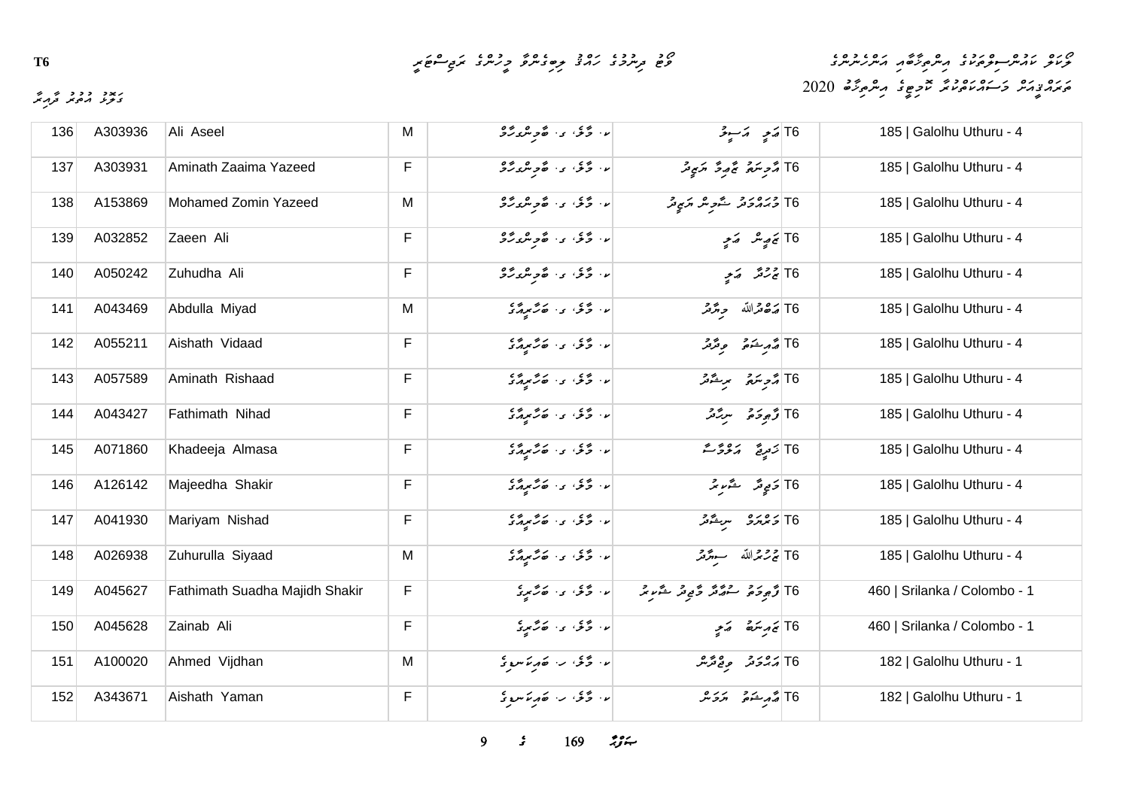*sCw7q7s5w7m< o<n9nOoAw7o< sCq;mAwBoEw7q<m; wBm;vB 2020*<br>*په پوهر وسوډيرونو لومو د موجو د مرمونه* 2020

| 136 | A303936 | Ali Aseel                      | M           |                                                                                  | T6 <i>ڇپ جي ج</i> و                                  | 185   Galolhu Uthuru - 4     |
|-----|---------|--------------------------------|-------------|----------------------------------------------------------------------------------|------------------------------------------------------|------------------------------|
| 137 | A303931 | Aminath Zaaima Yazeed          | F           |                                                                                  | T6 <i>مُوسَعَمُ نَجْهِ وَّ مَنْ بِ</i> مُ            | 185   Galolhu Uthuru - 4     |
| 138 | A153869 | Mohamed Zomin Yazeed           | M           |                                                                                  | T6 <i>وَبَرُوْدُوَ تُدَّوِيْرُ مَنْ وَبِ</i>         | 185   Galolhu Uthuru - 4     |
| 139 | A032852 | Zaeen Ali                      | F           |                                                                                  | T6 <i>تحريثر مک</i> حي                               | 185   Galolhu Uthuru - 4     |
| 140 | A050242 | Zuhudha Ali                    | F           |                                                                                  | T6 تح <sup>2</sup> ی کرم                             | 185   Galolhu Uthuru - 4     |
| 141 | A043469 | Abdulla Miyad                  | M           | پارستختی کار کار محمد محمد کار                                                   | T6 #حدالله م <sub>ح</sub> مدهم                       | 185   Galolhu Uthuru - 4     |
| 142 | A055211 | Aishath Vidaad                 | F           | ، د د د کارېږي د مخ                                                              | T6 م <i>ەمبىشى م</i> وم <i>دى</i> ر                  | 185   Galolhu Uthuru - 4     |
| 143 | A057589 | Aminath Rishaad                | $\mathsf F$ | ، د د د کارېږي د مخ                                                              | T6 مَّ حِسَمَ <sub>هُ م</sub> ِسْمَ <sup>و</sup>     | 185   Galolhu Uthuru - 4     |
| 144 | A043427 | Fathimath Nihad                | F           | ، د د د کارېږي د مخ                                                              | T6 <i>وَّجِ دَمَّةَ</i> مِ <i>رِسَّةَ</i>            | 185   Galolhu Uthuru - 4     |
| 145 | A071860 | Khadeeja Almasa                | $\mathsf F$ | پارستختی کار کار محمد محمد کار                                                   |                                                      | 185   Galolhu Uthuru - 4     |
| 146 | A126142 | Majeedha Shakir                | $\mathsf F$ | پارستختی کار کار محمد محمد کار                                                   | T6 ك <sup>ۆ</sup> مەتتىر ئىشكىرىتىر                  | 185   Galolhu Uthuru - 4     |
| 147 | A041930 | Mariyam Nishad                 | F           | ، د د د کارېږي:                                                                  | T6 كى <i>ئەرىكى بىر يىشى ئى</i> ر                    | 185   Galolhu Uthuru - 4     |
| 148 | A026938 | Zuhurulla Siyaad               | M           | $\begin{bmatrix} 1 & 1 & 1 \\ 2 & 3 & 1 \\ 3 & 3 & 1 \end{bmatrix}$              | T6 ىج2ىخەاللە س <i>ەۋەت</i> ر                        | 185   Galolhu Uthuru - 4     |
| 149 | A045627 | Fathimath Suadha Majidh Shakir | F           | $\mathcal{L}(\mathcal{L}) = \mathcal{L}(\mathcal{L}) = \mathcal{L}(\mathcal{L})$ | T6 <i>وَّجِوَدَةَ</i> حَقَّقَهُ دَّمِينَهُ حَيْمَاءَ | 460   Srilanka / Colombo - 1 |
| 150 | A045628 | Zainab Ali                     | $\mathsf F$ | الاستحق الماست كالمربول                                                          | T6 <i>تج م</i> بترجة م <i>ق</i> عرِ                  | 460   Srilanka / Colombo - 1 |
| 151 | A100020 | Ahmed Vijdhan                  | M           | $\mathcal{E}_{\mathbf{z}}$ ى ئە ھەمدىسى ئى                                       | T6   <i>د ۹۶۶ و قرمر</i><br> -                       | 182   Galolhu Uthuru - 1     |
| 152 | A343671 | Aishath Yaman                  | F           | لا : وَفَوْا را حَدِيمَاسِودَ                                                    | T6 م <i>مَّم</i> رِ يَشَعَرُ مَرَكَبَّرَ             | 182   Galolhu Uthuru - 1     |

*n8o<n@ q8qAq< q:uBmC*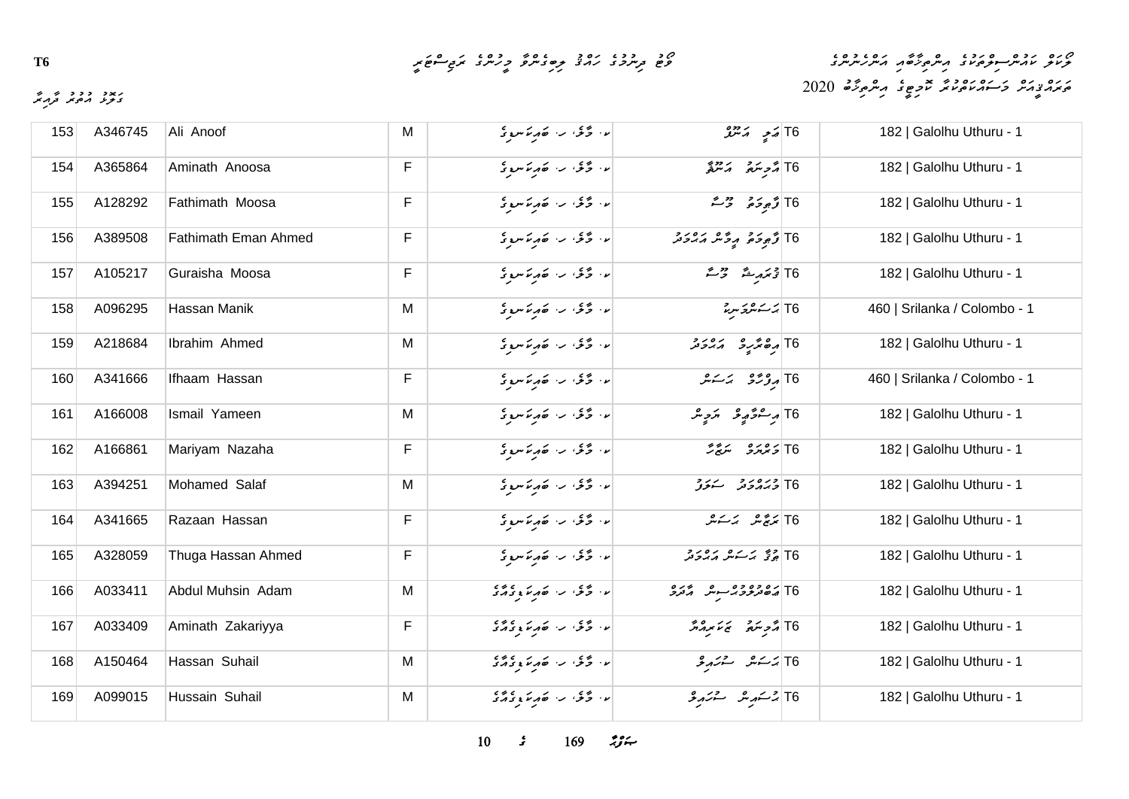*sCw7q7s5w7m< o<n9nOoAw7o< sCq;mAwBoEw7q<m; wBm;vB* م من المرة المرة المرة المرجع المرجع في المركبة 2020<br>مجم*د المريض المربوط المربع المرجع في المراجع المركبة* 

| 153 | A346745 | Ali Anoof                   | M           | لا د محمد الله المعامل دي ک                                                                                                   | T6 <i>ھو م</i> مبرو                            | 182   Galolhu Uthuru - 1     |
|-----|---------|-----------------------------|-------------|-------------------------------------------------------------------------------------------------------------------------------|------------------------------------------------|------------------------------|
| 154 | A365864 | Aminath Anoosa              | F           | لا : وَفَوْا را حَدِيمَاسِودَ                                                                                                 | T6 مَّحِسَمَۃُ مَسَّمَّۃُ                      | 182   Galolhu Uthuru - 1     |
| 155 | A128292 | Fathimath Moosa             | $\mathsf F$ | لاستحق سا كارتكسونج                                                                                                           | T6 رَّجِ دَحَمَّةَ مَحْبَّةً                   | 182   Galolhu Uthuru - 1     |
| 156 | A389508 | <b>Fathimath Eman Ahmed</b> | F           | لا د محمد الله المعامل المحمد و محمد المحمد و محمد المحمد و محمد المحمد و محمد المحمد المحمد و محمد المحمد الم                | T6 <i>وُّجِ حَيْ وَجُمْدِ مَ</i> بِرْحَة مِ    | 182   Galolhu Uthuru - 1     |
| 157 | A105217 | Guraisha Moosa              | $\mathsf F$ | لا : وَفَوْا را حَدِيمَاسِودَ                                                                                                 | T6توترم شده حق <sup>م</sup> ا                  | 182   Galolhu Uthuru - 1     |
| 158 | A096295 | Hassan Manik                | M           | لا د محمد الله المسائل                                                                                                        | T6 ئەسەئىدى بىر <i>ى</i> ز                     | 460   Srilanka / Colombo - 1 |
| 159 | A218684 | Ibrahim Ahmed               | M           | لا د محمد سا ھەر ئاسا ئ                                                                                                       | T6 مەھم <i>گرى مەدە</i> م                      | 182   Galolhu Uthuru - 1     |
| 160 | A341666 | Ifhaam Hassan               | $\mathsf F$ | $\frac{1}{2}$ $\frac{1}{2}$ $\frac{1}{2}$ $\frac{1}{2}$ $\frac{1}{2}$ $\frac{1}{2}$ $\frac{1}{2}$ $\frac{1}{2}$               | T6 <sub>مو</sub> وژو برختر                     | 460   Srilanka / Colombo - 1 |
| 161 | A166008 | Ismail Yameen               | M           | لاستحق سا كارتكسونج                                                                                                           | T6 م <i>ې</i> شۇمۇ مەرىر                       | 182   Galolhu Uthuru - 1     |
| 162 | A166861 | Mariyam Nazaha              | $\mathsf F$ | لاستحق سا كارتكسونج                                                                                                           | T6 كەيمەر ئەرەبىجە <i>5</i>                    | 182   Galolhu Uthuru - 1     |
| 163 | A394251 | Mohamed Salaf               | M           | $\mathcal{L}_{\mathcal{L}}$                                                                                                   | T6 <i>ډېره دي.</i><br>76 <i>ډېره دي</i> ر      | 182   Galolhu Uthuru - 1     |
| 164 | A341665 | Razaan Hassan               | F           | لا د محمد الله المسائل                                                                                                        | T6 يَرَجُّ شَرْ يَرْسَسْ بِي                   | 182   Galolhu Uthuru - 1     |
| 165 | A328059 | Thuga Hassan Ahmed          | $\mathsf F$ | $\frac{1}{2}$ $\frac{1}{2}$ $\frac{1}{2}$ $\frac{1}{2}$ $\frac{1}{2}$ $\frac{1}{2}$ $\frac{1}{2}$ $\frac{1}{2}$               | T6 ۾ پُڇ بُرڪش پر مرد فر                       | 182   Galolhu Uthuru - 1     |
| 166 | A033411 | Abdul Muhsin Adam           | M           | $\frac{1}{5}$                                                                                                                 | T6 مەھىر <i>3 دەمبەر مەد</i> ر                 | 182   Galolhu Uthuru - 1     |
| 167 | A033409 | Aminath Zakariyya           | $\mathsf F$ | $\frac{1}{5}$ $\frac{1}{5}$ $\frac{1}{5}$ $\frac{1}{5}$ $\frac{1}{5}$ $\frac{1}{5}$ $\frac{1}{5}$ $\frac{1}{5}$ $\frac{1}{5}$ | T6 مُرجِسَمُ بِمَ <i>مَ م</i> ِهْتُر           | 182   Galolhu Uthuru - 1     |
| 168 | A150464 | Hassan Suhail               | M           | $\begin{bmatrix} 1 & 1 & 1 \\ 1 & 1 & 1 \\ 1 & 1 & 1 \end{bmatrix}$                                                           | T6   يَرْسَعْرُ مُسْتَرَ <sub>مَ</sub> ةِ لِيَ | 182   Galolhu Uthuru - 1     |
| 169 | A099015 | Hussain Suhail              | M           | $\frac{1}{5}$ $\frac{1}{5}$ $\frac{1}{5}$ $\frac{1}{5}$ $\frac{1}{5}$ $\frac{1}{5}$ $\frac{1}{5}$ $\frac{1}{5}$ $\frac{1}{5}$ | T6 يُرتمبر شريق مستركبر محر                    | 182   Galolhu Uthuru - 1     |

*n8o<n@ q8qAq< q:uBmC*

 $10$  *s*  $169$   $23$   $\div$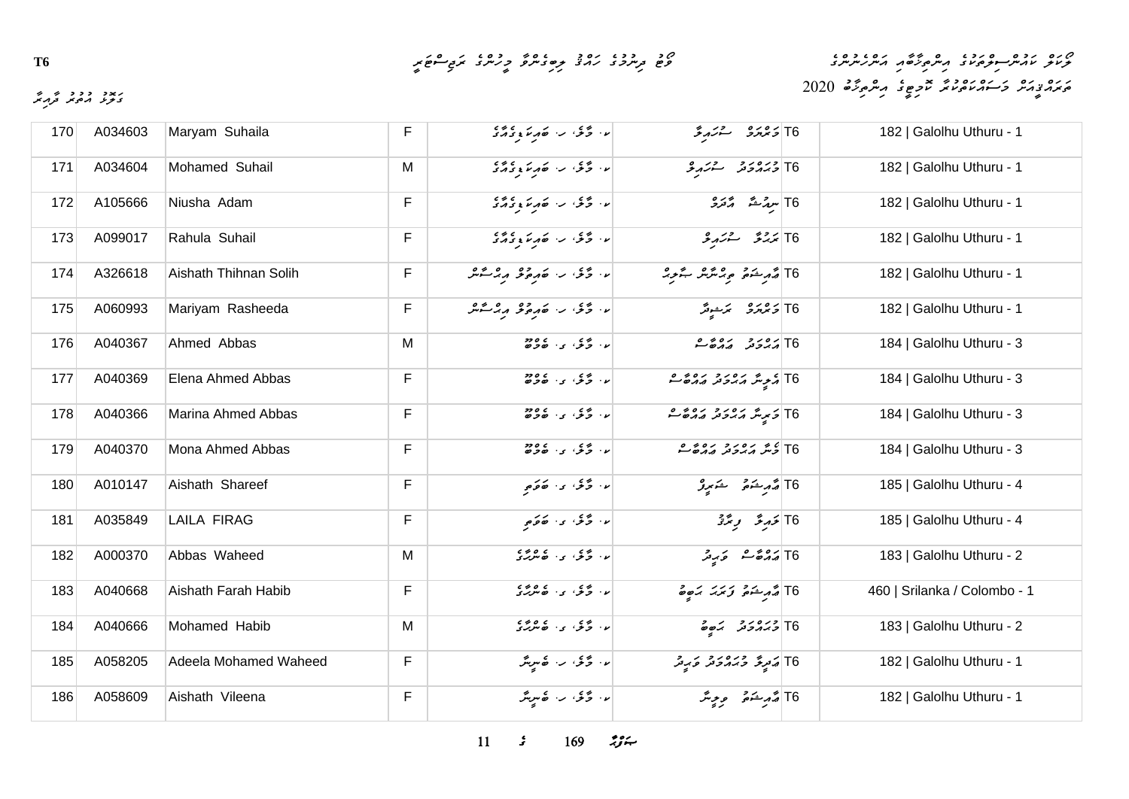*sCw7q7s5w7m< o<n9nOoAw7o< sCq;mAwBoEw7q<m; wBm;vB* م من المرة المرة المرة المرجع المرجع في المركبة 2020<br>مجم*د المريض المربوط المربع المرجع في المراجع المركبة* 

| 170 | A034603 | Maryam Suhaila            | $\mathsf F$ | $\begin{array}{ccc} \mathcal{L} \times \mathcal{L} & \mathcal{L} \times \mathcal{L} \times \mathcal{L} \times \mathcal{L} \times \mathcal{L} \times \mathcal{L} \times \mathcal{L} \times \mathcal{L} \times \mathcal{L} \times \mathcal{L} \times \mathcal{L} \times \mathcal{L} \times \mathcal{L} \times \mathcal{L} \times \mathcal{L} \times \mathcal{L} \times \mathcal{L} \times \mathcal{L} \times \mathcal{L} \times \mathcal{L} \times \mathcal{L} \times \mathcal{L} \times \mathcal{L} \times \mathcal{L} \times \mathcal{L}$ | T6 <i>ۇنگەدى ئىگەد</i> ۇ                      | 182   Galolhu Uthuru - 1     |
|-----|---------|---------------------------|-------------|-------------------------------------------------------------------------------------------------------------------------------------------------------------------------------------------------------------------------------------------------------------------------------------------------------------------------------------------------------------------------------------------------------------------------------------------------------------------------------------------------------------------------------------------|-----------------------------------------------|------------------------------|
| 171 | A034604 | Mohamed Suhail            | M           | $\frac{c}{s}$                                                                                                                                                                                                                                                                                                                                                                                                                                                                                                                             | T6 <i>جەنگە دىنى ئىگە</i> ر                   | 182   Galolhu Uthuru - 1     |
| 172 | A105666 | Niusha Adam               | $\mathsf F$ | $\frac{c}{2}$                                                                                                                                                                                                                                                                                                                                                                                                                                                                                                                             | T6 سر مشهد محمد محمد المحمد الس               | 182   Galolhu Uthuru - 1     |
| 173 | A099017 | Rahula Suhail             | F           | $\frac{c}{2}$                                                                                                                                                                                                                                                                                                                                                                                                                                                                                                                             | T6 ترتر <sup>ي</sup> ق سترتربو                | 182   Galolhu Uthuru - 1     |
| 174 | A326618 | Aishath Thihnan Solih     | $\mathsf F$ | ، دې را غهمو مدینه                                                                                                                                                                                                                                                                                                                                                                                                                                                                                                                        | T6 م <i>ۇم شەق موشۇش جۇم</i> ر                | 182   Galolhu Uthuru - 1     |
| 175 | A060993 | Mariyam Rasheeda          | F           | ، دې را غهمو مدينگر                                                                                                                                                                                                                                                                                                                                                                                                                                                                                                                       | T6 <i>وَجُهُرُوْ - مَرْ</i> خِي <i>رُّ</i> رُ | 182   Galolhu Uthuru - 1     |
| 176 | A040367 | Ahmed Abbas               | M           | $\frac{2706}{270}$ $\cdot$ $\cdot$ $\frac{69}{27}$ $\cdot$ $\cdot$                                                                                                                                                                                                                                                                                                                                                                                                                                                                        | $2522$ $222$ $76$                             | 184   Galolhu Uthuru - 3     |
| 177 | A040369 | Elena Ahmed Abbas         | F           | $\frac{2706}{270}$ $\cdot$ $\cdot$ $\frac{69}{27}$ $\cdot$ $\cdot$                                                                                                                                                                                                                                                                                                                                                                                                                                                                        | T6 كەبەبى <i>گە كەبمۇھەر ھەمگە</i>            | 184   Galolhu Uthuru - 3     |
| 178 | A040366 | <b>Marina Ahmed Abbas</b> | $\mathsf F$ | $\frac{2706}{270}$ $\cdot$ $\cdot$ $\frac{69}{27}$ $\cdot$ $\cdot$                                                                                                                                                                                                                                                                                                                                                                                                                                                                        | T6 كەبىرىگە كەبرە بەرە مەھ                    | 184   Galolhu Uthuru - 3     |
| 179 | A040370 | Mona Ahmed Abbas          | $\mathsf F$ | ىن ئۇنى بىرە ھەدھ                                                                                                                                                                                                                                                                                                                                                                                                                                                                                                                         | T6 كۆش <i>ەر مەدەر مەدەت</i>                  | 184   Galolhu Uthuru - 3     |
| 180 | A010147 | Aishath Shareef           | F           | الاستخراسي المكافح فو                                                                                                                                                                                                                                                                                                                                                                                                                                                                                                                     | T6 <i>۾ُ پِڪُمُ ڪَڀِرُوْ</i>                  | 185   Galolhu Uthuru - 4     |
| 181 | A035849 | <b>LAILA FIRAG</b>        | F           | $\sqrt{2}$ $\sqrt{2}$ $\sqrt{2}$ $\sqrt{2}$ $\sqrt{2}$ $\sqrt{2}$                                                                                                                                                                                                                                                                                                                                                                                                                                                                         | T6 <i>خەرقى وىڭ</i> تى                        | 185   Galolhu Uthuru - 4     |
| 182 | A000370 | Abbas Waheed              | M           | لا د څو، د ه مرده                                                                                                                                                                                                                                                                                                                                                                                                                                                                                                                         | T6 <i>مُمْهُمْ وَبِ</i> تْر                   | 183   Galolhu Uthuru - 2     |
| 183 | A040668 | Aishath Farah Habib       | F           | ر، دې ي. ه سر <i>ن</i>                                                                                                                                                                                                                                                                                                                                                                                                                                                                                                                    | T6 مُرسَوْمٌ وَتَمَدَّ يَرْحِرْهُ             | 460   Srilanka / Colombo - 1 |
| 184 | A040666 | Mohamed Habib             | M           | لا کمی کا کاملان                                                                                                                                                                                                                                                                                                                                                                                                                                                                                                                          | $5.222$ $-2.22$                               | 183   Galolhu Uthuru - 2     |
| 185 | A058205 | Adeela Mohamed Waheed     | $\mathsf F$ | الا الحكى لا كالبرنىگ                                                                                                                                                                                                                                                                                                                                                                                                                                                                                                                     | T6 كەبېرى ئ <i>ۇنەۋەتر كەب</i> ەتر            | 182   Galolhu Uthuru - 1     |
| 186 | A058609 | Aishath Vileena           | F           | الا الحكى لا كالبرنىگ                                                                                                                                                                                                                                                                                                                                                                                                                                                                                                                     | T6 م <i>ۇم شۇمۇھىم</i> بويى <i>گە</i>         | 182   Galolhu Uthuru - 1     |

## *n8o<n@ q8qAq< q:uBmC*

 $11$  *s*  $169$  *if*<sub>i</sub>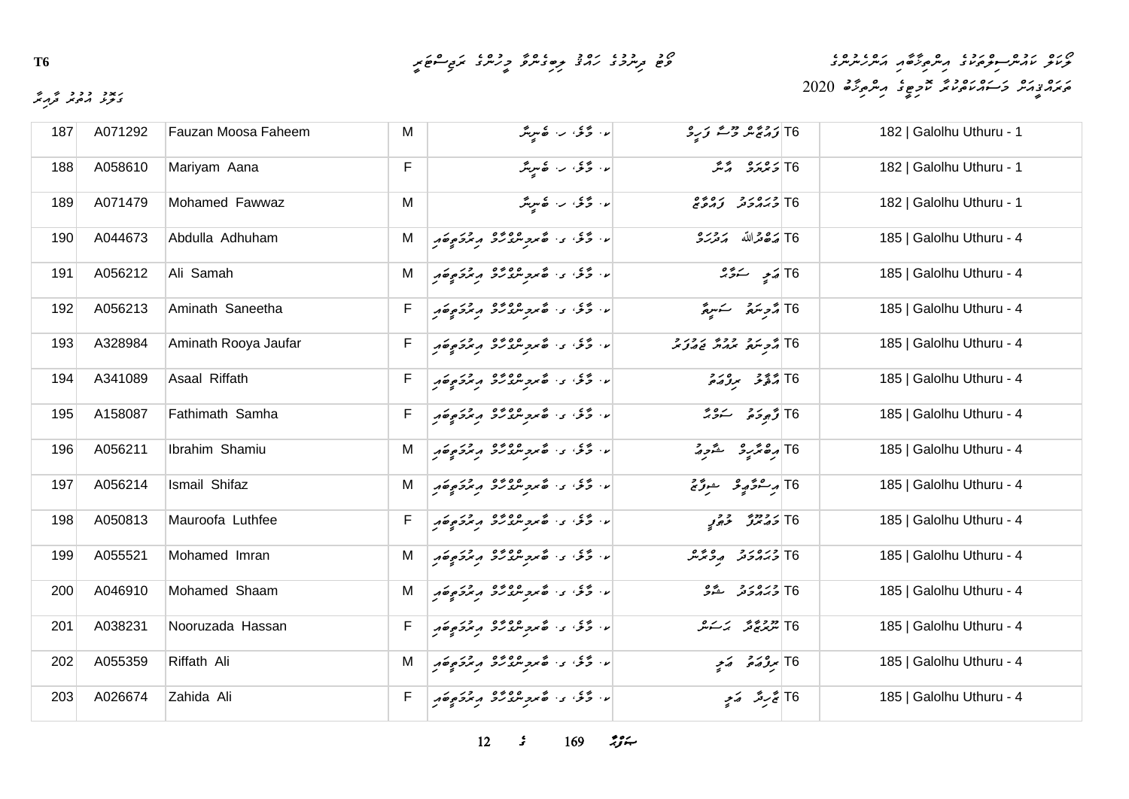*sCw7q7s5w7m< o<n9nOoAw7o< sCq;mAwBoEw7q<m; wBm;vB* م من المرة المرة المرة المرجع المرجع في المركبة 2020<br>مجم*د المريض المربوط المربع المرجع في المراجع المركبة* 

| 187 | A071292 | Fauzan Moosa Faheem  | M           | ئار ئۇنى بار ئاس ئىگە                    | T6 زَرْجٌ عَرْ رَّحْتُ نَ <sub>رْ مِ</sub> وْ     | 182   Galolhu Uthuru - 1 |
|-----|---------|----------------------|-------------|------------------------------------------|---------------------------------------------------|--------------------------|
| 188 | A058610 | Mariyam Aana         | F           | الا الحكى ب كالبريس                      | T6 <i>وَ بُرْدُوْ</i> مُرَمَّر                    | 182   Galolhu Uthuru - 1 |
| 189 | A071479 | Mohamed Fawwaz       | M           | ئار گەنى ب ھائىرىگە                      | T6 32023 2005                                     | 182   Galolhu Uthuru - 1 |
| 190 | A044673 | Abdulla Adhuham      | M           | ر دي . د هر ٥٥٥٥ و در در در در در در د   | T6 مَەمْرَاللە مَعْرَىرْد                         | 185   Galolhu Uthuru - 4 |
| 191 | A056212 | Ali Samah            | M           | ٧٠ رقم ٢٠٠٠ محمد مركز و مركز مركز من     | T6 <i>ړې خو</i> مه                                | 185   Galolhu Uthuru - 4 |
| 192 | A056213 | Aminath Saneetha     |             | ر دي . ځمرچ موجود و مرحزم ځم             | T6 مُجِسَعُ سَسِعُ                                | 185   Galolhu Uthuru - 4 |
| 193 | A328984 | Aminath Rooya Jaufar | $\mathsf F$ | ٢٠ - ٢٤٢ - ٢٠٠٥٩ - ٢٠٠٥٩ - ٢٠٠٥٩         | T6 مُجِسَعَ مَمَمَّدٌ مَمَوَمَ                    | 185   Galolhu Uthuru - 4 |
| 194 | A341089 | Asaal Riffath        | F           | ٧٠ وګڼ د ۵۶۶ مرح د مرکز و هم             | T6 مُنْهُو بِر <i>وْم</i> ُء <sup>ِ</sup>         | 185   Galolhu Uthuru - 4 |
| 195 | A158087 | Fathimath Samha      |             | ١٠ رقمى ٢٥٠٠٠ مرد و د برومونه.           | T6 ز <i>نج وح</i> ق سنونژ                         | 185   Galolhu Uthuru - 4 |
| 196 | A056211 | Ibrahim Shamiu       | M           | ٧٠ رقم ٢٠٠٠ محمد مركز و مركز مركز من     | T6 <sub>م</sub> ەنگەر ئىسىمى ئىسىمى               | 185   Galolhu Uthuru - 4 |
| 197 | A056214 | Ismail Shifaz        | M           |                                          | T6 <sub>م</sub> رگۇم <sub>ۇ</sub> تى خو <i>ۋى</i> | 185   Galolhu Uthuru - 4 |
| 198 | A050813 | Mauroofa Luthfee     | F           | ر د د د څري د مخدم مرکز د مرکز مخه       | T6 <i>حَمَدُ بَيْنَ وَجُورِ</i>                   | 185   Galolhu Uthuru - 4 |
| 199 | A055521 | Mohamed Imran        | M           | ٧٠ رقم ٢٠ محمد مرور د مروم مور           | T6 <i>جەممەتى مەۋىتى</i> ر                        | 185   Galolhu Uthuru - 4 |
| 200 | A046910 | Mohamed Shaam        | M           | ٧٠ رقم ٢٠٠٠ محمد مركز و مركز مركز من     | T6 <i>2222 هُوَ</i>                               | 185   Galolhu Uthuru - 4 |
| 201 | A038231 | Nooruzada Hassan     | $\mathsf F$ | ٧٠ كركر، ٢٥ كامرچ مركز و مركز و كام      | T6 يتر <i>بي</i> ءَ ته برسکار                     | 185   Galolhu Uthuru - 4 |
| 202 | A055359 | Riffath Ali          | M           | ٧٠ كركر، ٢٥ كامرچ مركز و مركز و كام      | T6 <i>برڈمَۃ مَ</i> ی                             | 185   Galolhu Uthuru - 4 |
| 203 | A026674 | Zahida Ali           | F           | ر، وَ فَ) و الله عرب مرد و مرد و مرد و م | T6 تج ب <i>رنگر مک</i> رم                         | 185   Galolhu Uthuru - 4 |

 $12$  *s*  $169$  *i*<sub>s</sub>

*n8o<n@ q8qAq< q:uBmC*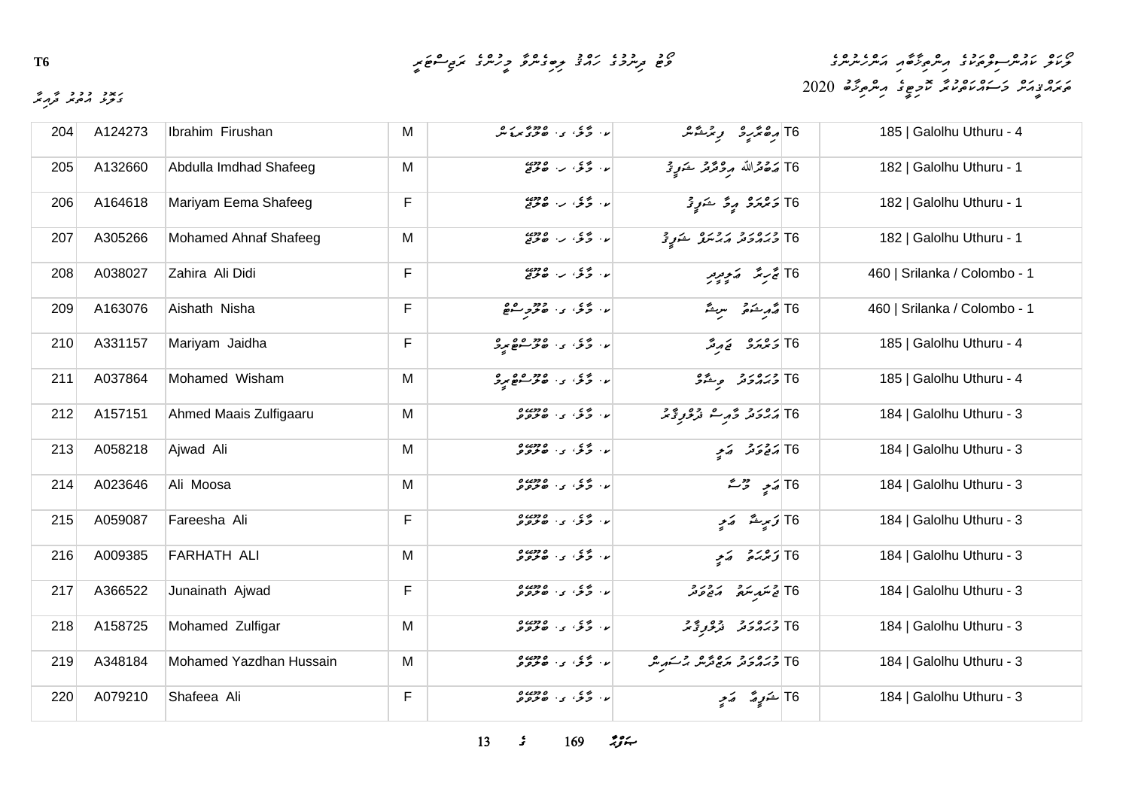*sCw7q7s5w7m< o<n9nOoAw7o< sCq;mAwBoEw7q<m; wBm;vB* م من المرة المرة المرة المرجع المرجع في المركبة 2020<br>مجم*د المريض المربوط المربع المرجع في المراجع المركبة* 

|  | $\theta$ $\theta$ $\theta$ $\theta$ $\theta$ $\theta$ |
|--|-------------------------------------------------------|
|  | ىرىر مەمىر ىرمىر                                      |
|  |                                                       |

| 204 | A124273 | Ibrahim Firushan        | M            |                                                                                             | T6 <i>مەھەرىب</i> ۇ ب <i>ېرىشى</i> ر                   | 185   Galolhu Uthuru - 4     |
|-----|---------|-------------------------|--------------|---------------------------------------------------------------------------------------------|--------------------------------------------------------|------------------------------|
| 205 | A132660 | Abdulla Imdhad Shafeeg  | M            | ر می را م <i>ده،</i><br>را گرگ را هونع                                                      | T6 كەھەراللە م <sub>و</sub> قەتقرىتر خۇر <sub>ىچ</sub> | 182   Galolhu Uthuru - 1     |
| 206 | A164618 | Mariyam Eema Shafeeg    | $\mathsf F$  | ر وي ر. ه وده<br>ر. وگو، ر. ه وقع                                                           | T6 كەيمىرى ب <sub>و</sub> گ ش <i>وپ</i> ۇ              | 182   Galolhu Uthuru - 1     |
| 207 | A305266 | Mohamed Ahnaf Shafeeg   | M            | ر می را م <i>ده،</i><br>را گرگ را هونع                                                      | T6 <i>وَيَدْوَفَرْ مَدْسَنْ حَوِي</i> ْ                | 182   Galolhu Uthuru - 1     |
| 208 | A038027 | Zahira Ali Didi         | F            | د وي ر وده،<br>د وگ                                                                         | T6 تجرير كمبودير                                       | 460   Srilanka / Colombo - 1 |
| 209 | A163076 | Aishath Nisha           | $\mathsf F$  |                                                                                             | T6 مُرشَمُ سِٹَ                                        | 460   Srilanka / Colombo - 1 |
| 210 | A331157 | Mariyam Jaidha          | $\mathsf{F}$ | $\begin{pmatrix} 0 & 0 & 0 & 0 & 0 \\ 0 & 0 & 0 & 0 & 0 \\ 0 & 0 & 0 & 0 & 0 \end{pmatrix}$ | T6 كى <i>جەمگە</i> ئى <i>م</i> ېڭر                     | 185   Galolhu Uthuru - 4     |
| 211 | A037864 | Mohamed Wisham          | M            | $3.6030 + 6.6$                                                                              | T6 <i>وُبَهُ وَبَرْ وَ وَ حُوَّ</i> وْ                 | 185   Galolhu Uthuru - 4     |
| 212 | A157151 | Ahmed Maais Zulfigaaru  | M            | $0.6270$<br>$9.990$ $3.90$                                                                  | T6 <i>גُرُدَوَدُ دُوبِ فَرُوْدِ ذُبْر</i>              | 184   Galolhu Uthuru - 3     |
| 213 | A058218 | Ajwad Ali               | M            | ر وي د ه ودوره<br>را وگ                                                                     | T6 كەنى <i>كەنى ھەم</i> چ                              | 184   Galolhu Uthuru - 3     |
| 214 | A023646 | Ali Moosa               | M            | د کې د ه وووړه<br>د گرمن و هڅوو                                                             | $23$ کیمو سنگر T6                                      | 184   Galolhu Uthuru - 3     |
| 215 | A059087 | Fareesha Ali            | F            | ه د می دره ده ده ده و<br>بر د کوی بر من موبوبو                                              | T6 ترىرىش <i>ە   م</i> ەر                              | 184   Galolhu Uthuru - 3     |
| 216 | A009385 | <b>FARHATH ALI</b>      | M            | ه د محمد و ودوره<br>د گرمی که می موجود                                                      | T6 ت <i>وثرتمى م</i> كو                                | 184   Galolhu Uthuru - 3     |
| 217 | A366522 | Junainath Ajwad         | $\mathsf F$  | $0.6270$<br>$9.990$ $3.90$                                                                  | T6 فے <i>سَمب<sup>ِ س</sup>َمبر مَقوم</i> م            | 184   Galolhu Uthuru - 3     |
| 218 | A158725 | Mohamed Zulfigar        | M            | د وي د ه وده ده و ده.<br>د گرگ د ه گروه                                                     | T6 <i>22,25 نۇۋوقى</i> ر                               | 184   Galolhu Uthuru - 3     |
| 219 | A348184 | Mohamed Yazdhan Hussain | M            | $0.4370$<br>$9.990$ $3.69$ $4.7$                                                            | T6 <i>دره د د مره پره چیس</i> ر ش                      | 184   Galolhu Uthuru - 3     |
| 220 | A079210 | Shafeea Ali             | F            | ه د می<br>۱۷ وگو، <sub>ک</sub> ه هودو                                                       | T6 ڪ <i>ُن<sub>وِم</sub>ُ <sub>مَ</sub>ڇِ</i>          | 184   Galolhu Uthuru - 3     |

*13 s 169 <i>n*<sub>s</sub>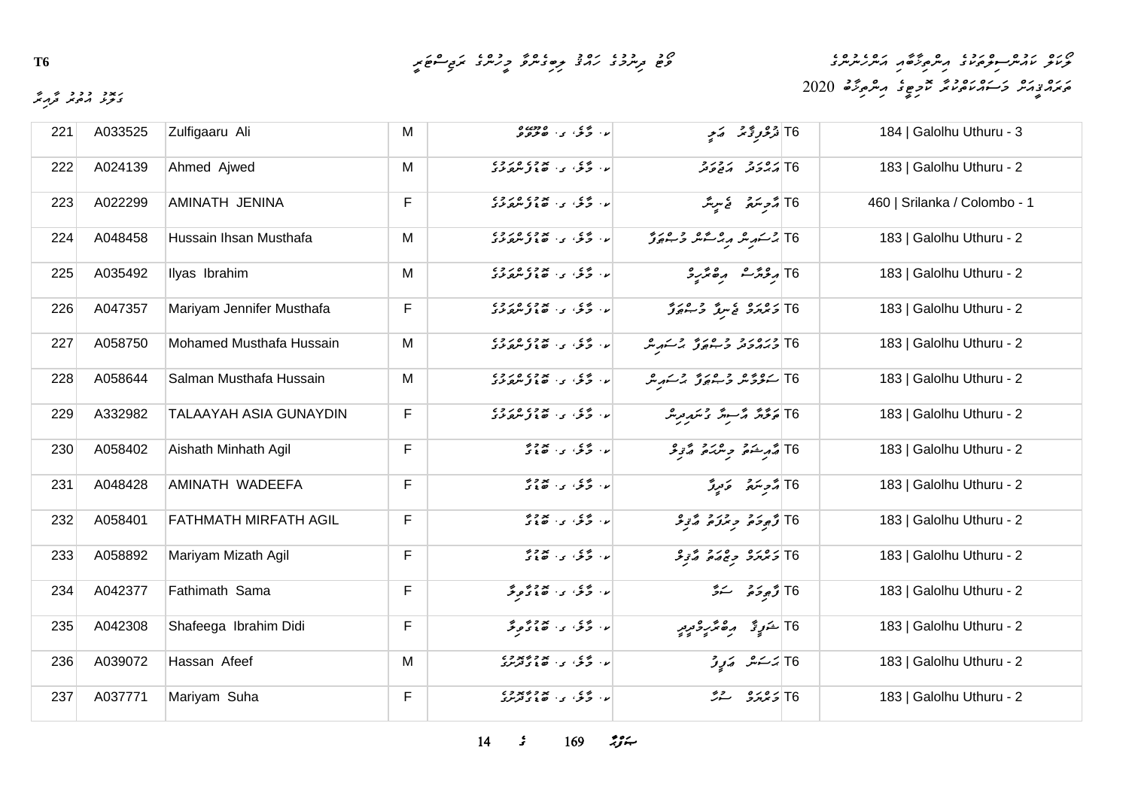*sCw7q7s5w7m< o<n9nOoAw7o< sCq;mAwBoEw7q<m; wBm;vB 2020<sup>, م</sup>وسر در مدد مدرج به مدرم مقرم قرار 2020*<br>موسر المستقرم المستقرم المستقرم المستقرم المستقرم المستقرم المستقرم المستقرم المستقرم المستقرم المستقرم المستقر

| 221 | A033525 | Zulfigaaru Ali                | M | ه د محمد و و وده و ه<br>د د گوش د مسترولو    | T6 نُرْحْرُدٍ تَحْمَدُ مَدَّمٍ                     | 184   Galolhu Uthuru - 3     |
|-----|---------|-------------------------------|---|----------------------------------------------|----------------------------------------------------|------------------------------|
| 222 | A024139 | Ahmed Ajwed                   | M | ر دی.<br>۱۰ گرگ د هغومبرون                   | T6 كەبرى بىر كەن ئەرەپىر                           | 183   Galolhu Uthuru - 2     |
| 223 | A022299 | AMINATH JENINA                | F | ر گوی که موجود وروه<br>راس گوی که هولوسهولوی | T6 مُرْحِسَمُ فَسِرِسٌ                             | 460   Srilanka / Colombo - 1 |
| 224 | A048458 | Hussain Ihsan Musthafa        | M |                                              | T6 پر سر <sub>و</sub> ر مربر شهر ت <i>ی بیروژ</i>  | 183   Galolhu Uthuru - 2     |
| 225 | A035492 | Ilyas Ibrahim                 | M | ر د مې د مرده<br>روگو، د هډلوملولون          | T6 <sub>مر</sub> وزعے م <i>صرّب</i> و              | 183   Galolhu Uthuru - 2     |
| 226 | A047357 | Mariyam Jennifer Musthafa     | F | ر د مې د مرده<br>روگو، د هډلوملولون          | T6 <i>وَجُهْدَوْ</i> فَمِسِرٌ وَجَمَعِي <i>وْ</i>  | 183   Galolhu Uthuru - 2     |
| 227 | A058750 | Mohamed Musthafa Hussain      | M | ر ده ده ده ده در ده در ده در ده د            | T6 دره در د وروره چیکسههای                         | 183   Galolhu Uthuru - 2     |
| 228 | A058644 | Salman Musthafa Hussain       | M | ر گونۍ د موړه ده ده.<br>د گونۍ د ځونومونونو  | T6 ے پی پی پی پی پی پی پی پی پی پی پی پی پی        | 183   Galolhu Uthuru - 2     |
| 229 | A332982 | <b>TALAAYAH ASIA GUNAYDIN</b> | F | ر گوی که هروه دوره<br>در گوی که هروه مروری   | T6 <i>ەڭەڭ ق-مەڭ تىمكە</i> بىرىش                   | 183   Galolhu Uthuru - 2     |
| 230 | A058402 | Aishath Minhath Agil          | F | لا د څو د په ده                              | T6 مەم شەم ب <i>و مەندە مەنب</i> ۇ                 | 183   Galolhu Uthuru - 2     |
| 231 | A048428 | AMINATH WADEEFA               | F | $55 - 55$                                    | T6 <i>مُّحِ سَمَّةً وَم</i> ِرْدً                  | 183   Galolhu Uthuru - 2     |
| 232 | A058401 | <b>FATHMATH MIRFATH AGIL</b>  | F | $528.55 - 1$                                 | T6 <i>وَّجِودَة وِبْرَوْء</i> َ م <i>ُّت</i> وِعْر | 183   Galolhu Uthuru - 2     |
| 233 | A058892 | Mariyam Mizath Agil           | F | لا د څو د په ده ده                           | T6 كەبەر ئەرەپرى ئ <sup>ە</sup> ر قىلىنى ئەر       | 183   Galolhu Uthuru - 2     |
| 234 | A042377 | Fathimath Sama                | F | لا د څخه د هغه څوڅ                           | T6 <i>وُجوح</i> قو سَدَّ                           | 183   Galolhu Uthuru - 2     |
| 235 | A042308 | Shafeega Ibrahim Didi         | F | لا د څخه د هغه د هغه د                       | T6 خَبَرٍ يَنْ مِنْ مُحَمَّدٍ وَمَعِيدٍ            | 183   Galolhu Uthuru - 2     |
| 236 | A039072 | Hassan Afeef                  | M | ر ده ده بروه بروه<br>را گرگ دا هاد ترمرد     | T6  پرسش ک <i>ے پ</i> وٹر                          | 183   Galolhu Uthuru - 2     |
| 237 | A037771 | Mariyam Suha                  | F | د وي.<br>د گرگ د هڅونون                      | T6 كا <i>نتىرى ئى</i> گ                            | 183   Galolhu Uthuru - 2     |

*n8o<n@ q8qAq< q:uBmC*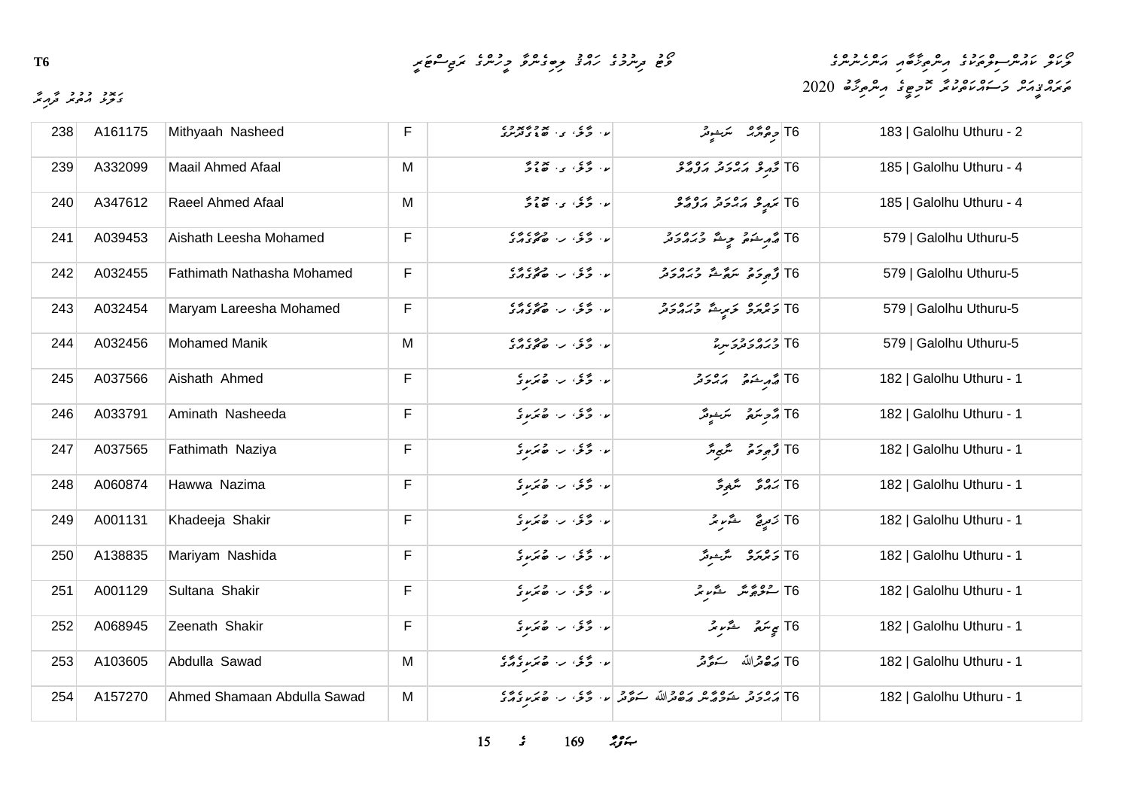*sCw7q7s5w7m< o<n9nOoAw7o< sCq;mAwBoEw7q<m; wBm;vB* م من المسجد المسجد المسجد المسجد المسجد العام 2020<br>مسجد المسجد المسجد المسجد المسجد المسجد المسجد المسجد المسجد ال

# *n8o<n@ q8qAq< q:uBmC*

| 238 | A161175 | Mithyaah Nasheed            | F           | ر دی.<br>را گرمی داده و د ترارد                                                                                                                                                                                                                                                                                     | T6 <i>ڊھ\$ي سَن</i> شِو <i>نْر</i>                                                                                                                                                                                          | 183   Galolhu Uthuru - 2 |
|-----|---------|-----------------------------|-------------|---------------------------------------------------------------------------------------------------------------------------------------------------------------------------------------------------------------------------------------------------------------------------------------------------------------------|-----------------------------------------------------------------------------------------------------------------------------------------------------------------------------------------------------------------------------|--------------------------|
| 239 | A332099 | <b>Maail Ahmed Afaal</b>    | M           | $52x - 55$                                                                                                                                                                                                                                                                                                          | T6 <i>وَ<sub>ّم</sub>و ډورو رووو</i>                                                                                                                                                                                        | 185   Galolhu Uthuru - 4 |
| 240 | A347612 | Raeel Ahmed Afaal           | M           | 228.5.5.7                                                                                                                                                                                                                                                                                                           | T6 بَرَمَ وَ رَوْحَ وَ رَوْحَةً وَ مَرَّوْضً                                                                                                                                                                                | 185   Galolhu Uthuru - 4 |
| 241 | A039453 | Aishath Leesha Mohamed      | $\mathsf F$ | $\frac{1}{2}$ $\frac{1}{2}$ $\frac{1}{2}$ $\frac{1}{2}$ $\frac{1}{2}$ $\frac{1}{2}$ $\frac{1}{2}$ $\frac{1}{2}$ $\frac{1}{2}$ $\frac{1}{2}$ $\frac{1}{2}$ $\frac{1}{2}$ $\frac{1}{2}$ $\frac{1}{2}$ $\frac{1}{2}$ $\frac{1}{2}$ $\frac{1}{2}$ $\frac{1}{2}$ $\frac{1}{2}$ $\frac{1}{2}$ $\frac{1}{2}$ $\frac{1}{2}$ | T6 مُفَقِيدٌ مَنْ مُشَوَّدٌ وَيَدَوَيْتُ                                                                                                                                                                                    | 579   Galolhu Uthuru-5   |
| 242 | A032455 | Fathimath Nathasha Mohamed  | $\mathsf F$ | $\frac{1}{50550}$ $\sqrt{55}$ $v$                                                                                                                                                                                                                                                                                   | T6 <i>وُجِودَة مَعَ شَعْرَ وَبَرْدُونَ</i> ر                                                                                                                                                                                | 579   Galolhu Uthuru-5   |
| 243 | A032454 | Maryam Lareesha Mohamed     | $\mathsf F$ | $\frac{1}{2}$ $\frac{1}{2}$ $\frac{1}{2}$ $\frac{1}{2}$ $\frac{1}{2}$ $\frac{1}{2}$ $\frac{1}{2}$ $\frac{1}{2}$ $\frac{1}{2}$ $\frac{1}{2}$ $\frac{1}{2}$ $\frac{1}{2}$ $\frac{1}{2}$ $\frac{1}{2}$ $\frac{1}{2}$ $\frac{1}{2}$ $\frac{1}{2}$ $\frac{1}{2}$ $\frac{1}{2}$ $\frac{1}{2}$ $\frac{1}{2}$ $\frac{1}{2}$ | T6 كربريو كربريش وبرورو                                                                                                                                                                                                     | 579   Galolhu Uthuru-5   |
| 244 | A032456 | <b>Mohamed Manik</b>        | M           | $51580 - 55.4$                                                                                                                                                                                                                                                                                                      | T6 <i>دېم د وروسره</i>                                                                                                                                                                                                      | 579   Galolhu Uthuru-5   |
| 245 | A037566 | Aishath Ahmed               | $\mathsf F$ | $\frac{1}{2}$ $\frac{1}{2}$ $\frac{1}{2}$ $\frac{1}{2}$ $\frac{1}{2}$ $\frac{1}{2}$ $\frac{1}{2}$ $\frac{1}{2}$                                                                                                                                                                                                     | T6 مُصِنْعَمُ مَ <sup>رُو</sup> دَ                                                                                                                                                                                          | 182   Galolhu Uthuru - 1 |
| 246 | A033791 | Aminath Nasheeda            | $\mathsf F$ | $\frac{1}{2}$ $\frac{1}{2}$ $\frac{1}{2}$ $\frac{1}{2}$ $\frac{1}{2}$ $\frac{1}{2}$ $\frac{1}{2}$ $\frac{1}{2}$                                                                                                                                                                                                     | T6 م <i>ُّ حِ سَمَّةٍ</i> سَمَسْوِمُّ                                                                                                                                                                                       | 182   Galolhu Uthuru - 1 |
| 247 | A037565 | Fathimath Naziya            | $\mathsf F$ | $\frac{1}{2}$ $\frac{1}{2}$ $\frac{1}{2}$ $\frac{1}{2}$ $\frac{1}{2}$ $\frac{1}{2}$ $\frac{1}{2}$ $\frac{1}{2}$ $\frac{1}{2}$                                                                                                                                                                                       | T6 <i>وَّهِ دَهُ</i> سَّمِيهُ                                                                                                                                                                                               | 182   Galolhu Uthuru - 1 |
| 248 | A060874 | Hawwa Nazima                | F           | $31.70 \times 3.3 \times 1$                                                                                                                                                                                                                                                                                         | T6 <i>يَدُمُ</i> مُّهْرَّ                                                                                                                                                                                                   | 182   Galolhu Uthuru - 1 |
| 249 | A001131 | Khadeeja Shakir             | F           | $\overset{c}{\cancel{s}}\overset{c}{\cancel{s}}\overset{c}{\cancel{s}}\overset{c}{\cancel{o}}\cdots\overset{c}{\cancel{s}}\overset{c}{\cancel{s}}\cdots$                                                                                                                                                            | T6 كَتْرِيعٌ صُمَّرٍ مَرَّ                                                                                                                                                                                                  | 182   Galolhu Uthuru - 1 |
| 250 | A138835 | Mariyam Nashida             | F           | $\frac{1}{2}$ $\frac{1}{2}$ $\frac{2}{9}$ $\frac{1}{2}$ $\frac{1}{2}$ $\frac{1}{2}$ $\frac{1}{2}$                                                                                                                                                                                                                   | T6 ك <i>ىرىكى سى</i> بىرىگە                                                                                                                                                                                                 | 182   Galolhu Uthuru - 1 |
| 251 | A001129 | Sultana Shakir              | $\mathsf F$ | $\frac{1}{2}$ $\frac{1}{2}$ $\frac{2}{9}$ $\frac{1}{2}$ $\frac{1}{2}$ $\frac{1}{2}$ $\frac{1}{2}$                                                                                                                                                                                                                   |                                                                                                                                                                                                                             | 182   Galolhu Uthuru - 1 |
| 252 | A068945 | Zeenath Shakir              | F           | $31.20 \times 3.3 \times 10^{-2}$                                                                                                                                                                                                                                                                                   | T6 يې ئىرقم مەش <i>ەبى</i> ر                                                                                                                                                                                                | 182   Galolhu Uthuru - 1 |
| 253 | A103605 | Abdulla Sawad               | M           | $\frac{1}{2}$                                                                                                                                                                                                                                                                                                       | T6 كَرْهْ مْرَاللّه سَعْرَ مْرَ                                                                                                                                                                                             | 182   Galolhu Uthuru - 1 |
| 254 | A157270 | Ahmed Shamaan Abdulla Sawad | M           |                                                                                                                                                                                                                                                                                                                     | 76 م مروم محمد محمد الله سوم من دي من صمير محمد محمد محمد محمد محمد محمد الله عليه محمد محمد محمد الله عليه محمد الله عليه محمد الله عليه محمد الله عليه المحمد الله عليه محمد الله عليه محمد الله عليه محمد الله عليه محمد | 182   Galolhu Uthuru - 1 |
|     |         |                             |             |                                                                                                                                                                                                                                                                                                                     |                                                                                                                                                                                                                             |                          |

 $15$  *s*  $169$  *n***<sub>3</sub>** *n*<sub>3</sub>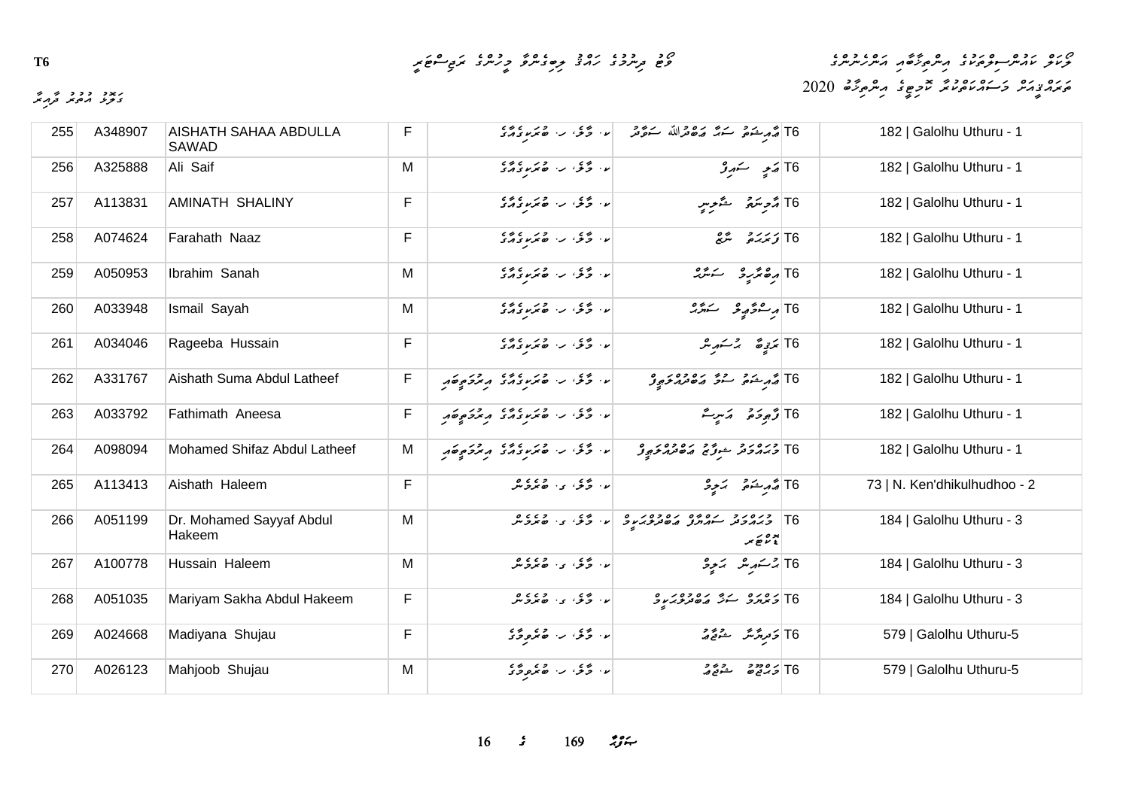*sCw7q7s5w7m< o<n9nOoAw7o< sCq;mAwBoEw7q<m; wBm;vB* م من المرة المرة المرة المرجع المرجع في المركبة 2020<br>مجم*د المريض المربوط المربع المرجع في المراجع المركبة* 

|  |  | $\theta$ $\theta$ $\theta$ $\theta$ $\theta$ $\theta$ $\theta$ |  |
|--|--|----------------------------------------------------------------|--|
|  |  | تأثرغ أمتميم فرميم                                             |  |

| 255 | A348907 | <b>AISHATH SAHAA ABDULLA</b><br>SAWAD | F            |                                                                                                                                                                                                                                                                                                                          | T6 مُرْمِسْوَمْ سَمَّ مُصْرَّاللَّهُ سَعَرَّتْرِ   لا دُنَّى لِهِ صَمَّلٍ وَمُرَ                               | 182   Galolhu Uthuru - 1     |
|-----|---------|---------------------------------------|--------------|--------------------------------------------------------------------------------------------------------------------------------------------------------------------------------------------------------------------------------------------------------------------------------------------------------------------------|----------------------------------------------------------------------------------------------------------------|------------------------------|
| 256 | A325888 | Ali Saif                              | M            | $\frac{1}{2}$                                                                                                                                                                                                                                                                                                            | T6 <i>ھَ۔</i> سَمبروْ                                                                                          | 182   Galolhu Uthuru - 1     |
| 257 | A113831 | <b>AMINATH SHALINY</b>                | $\mathsf{F}$ | $\frac{c}{2}$                                                                                                                                                                                                                                                                                                            | T6 گھ جيڪھ ڪومبر                                                                                               | 182   Galolhu Uthuru - 1     |
| 258 | A074624 | Farahath Naaz                         | $\mathsf{F}$ | $\frac{1}{2}$                                                                                                                                                                                                                                                                                                            | T6 <i>وَتَدَيَّمُ</i> شَيْ                                                                                     | 182   Galolhu Uthuru - 1     |
| 259 | A050953 | Ibrahim Sanah                         | M            | $\frac{1}{5}$                                                                                                                                                                                                                                                                                                            | T6 م <i>وڭ ئۇرۇ سەنىڭ</i>                                                                                      | 182   Galolhu Uthuru - 1     |
| 260 | A033948 | Ismail Sayah                          | M            | $\frac{c}{2}$                                                                                                                                                                                                                                                                                                            | T6 م <i>وسوڤہو جو من</i> ھو                                                                                    | 182   Galolhu Uthuru - 1     |
| 261 | A034046 | Rageeba Hussain                       | $\mathsf{F}$ | $\frac{c}{c}$ $\frac{c}{c}$ $\frac{c}{c}$ $\frac{c}{c}$ $\frac{c}{c}$ $\frac{c}{c}$ $\frac{c}{c}$                                                                                                                                                                                                                        | T6 <i>ىمتى ھەسىمبە</i> مىز                                                                                     | 182   Galolhu Uthuru - 1     |
| 262 | A331767 | Aishath Suma Abdul Latheef            | F            | V CE V CHIVERS V CON                                                                                                                                                                                                                                                                                                     | T6 مُرسُومُ رَمَّةَ مَصْرُمْ مَعْرِهِ مِنْ 16                                                                  | 182   Galolhu Uthuru - 1     |
| 263 | A033792 | Fathimath Aneesa                      | $\mathsf F$  | $\begin{bmatrix} 1 & 0 & 0 & 0 & 0 & 0 & 0 \\ 0 & 0 & 0 & 0 & 0 & 0 & 0 \\ 0 & 0 & 0 & 0 & 0 & 0 & 0 \\ 0 & 0 & 0 & 0 & 0 & 0 & 0 \\ 0 & 0 & 0 & 0 & 0 & 0 & 0 \\ 0 & 0 & 0 & 0 & 0 & 0 & 0 \\ 0 & 0 & 0 & 0 & 0 & 0 & 0 \\ 0 & 0 & 0 & 0 & 0 & 0 & 0 \\ 0 & 0 & 0 & 0 & 0 & 0 & 0 \\ 0 & 0 & 0 & 0 & 0 & 0 & 0 \\ 0 & $ | T6 <i>وُجوحَة مَ</i> سِتَّ                                                                                     | 182   Galolhu Uthuru - 1     |
| 264 | A098094 | Mohamed Shifaz Abdul Latheef          | M            |                                                                                                                                                                                                                                                                                                                          | T6 درەر د مىرگەد رەدەر ۋە                                                                                      | 182   Galolhu Uthuru - 1     |
| 265 | A113413 | Aishath Haleem                        | F            | لار څوکۍ د هغرونکر                                                                                                                                                                                                                                                                                                       | T6 م <i>جەمشىقى بەيدۇ</i>                                                                                      | 73   N. Ken'dhikulhudhoo - 2 |
| 266 | A051199 | Dr. Mohamed Sayyaf Abdul<br>Hakeem    | M            |                                                                                                                                                                                                                                                                                                                          | T6 درورد بروده برودرس و برود و دروه د<br>بره ر<br>٤ م <i>نا</i> جر                                             | 184   Galolhu Uthuru - 3     |
| 267 | A100778 | Hussain Haleem                        | M            | $x^2 - 2x^2 - 5x^2 - 4$                                                                                                                                                                                                                                                                                                  | T6 يُرْسَمَ بِهِ يَرْمِوْ \$                                                                                   | 184   Galolhu Uthuru - 3     |
| 268 | A051035 | Mariyam Sakha Abdul Hakeem            | F            |                                                                                                                                                                                                                                                                                                                          | T6 كالمحمد مركز المتحد المحمد المحمد المحمد المحمد المحمد المحمد المحمد المحمد المحمد المحمد المحمد المحمد الم | 184   Galolhu Uthuru - 3     |
| 269 | A024668 | Madiyana Shujau                       | $\mathsf F$  | $\begin{bmatrix} 2 & 2 & 3 \\ 2 & 3 & 3 \end{bmatrix}$                                                                                                                                                                                                                                                                   | T6 ك <sup>ۆ</sup> رە <i>نگە</i> شۇق <sub>ە</sub> ر                                                             | 579   Galolhu Uthuru-5       |
| 270 | A026123 | Mahjoob Shujau                        | M            | لا په کې له کامونونو کړ                                                                                                                                                                                                                                                                                                  | $222 = 2725$                                                                                                   | 579   Galolhu Uthuru-5       |

 $16$  *s*  $169$  *n***<sub>3</sub>** *n*<sub>3</sub>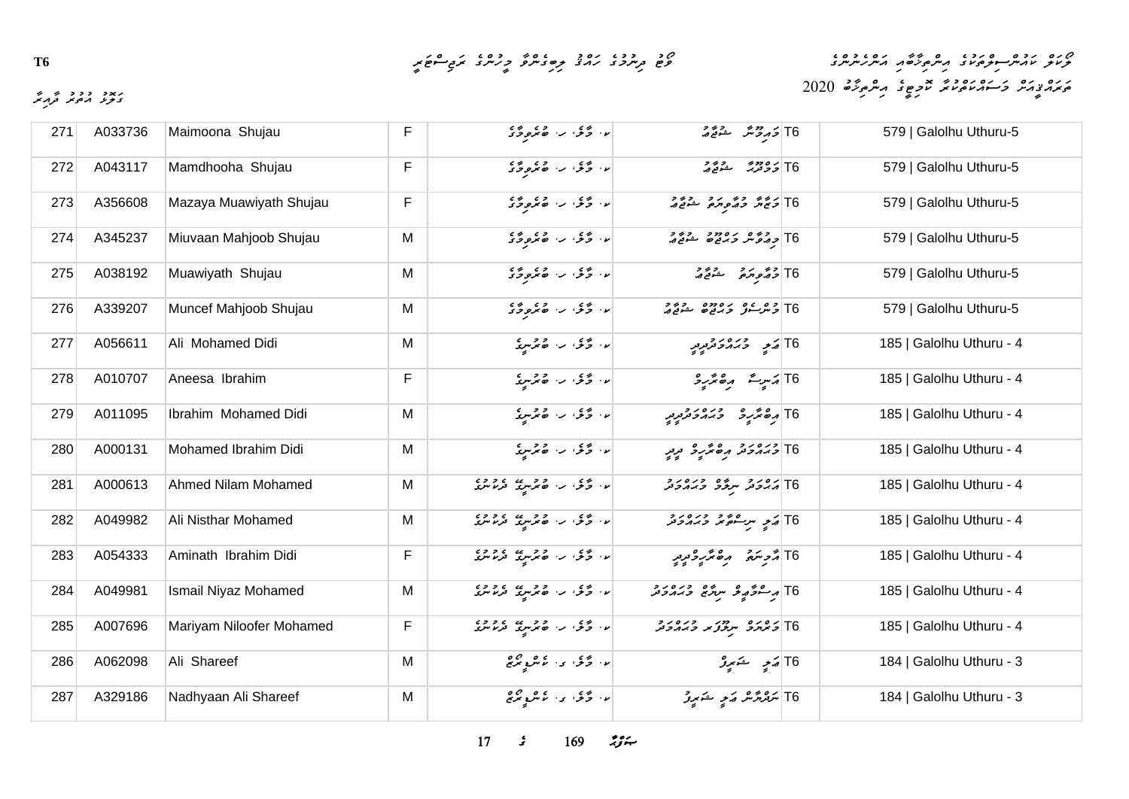*sCw7q7s5w7m< o<n9nOoAw7o< sCq;mAwBoEw7q<m; wBm;vB* م من المسجد المسجد المسجد المسجد المسجد العام 2020<br>مسجد المسجد المسجد المسجد المسجد المسجد المسجد المسجد المسجد ال

| 271 | A033736 | Maimoona Shujau            | F | لا د څخه را ځوړوند                                                                          | T6 <i>كَه<sup>و</sup>دٌ مَدَّمَّةٌ</i> مُسْتَقَرَّةٌ | 579   Galolhu Uthuru-5   |
|-----|---------|----------------------------|---|---------------------------------------------------------------------------------------------|------------------------------------------------------|--------------------------|
| 272 | A043117 | Mamdhooha Shujau           | F | $\begin{bmatrix} 1 & 1 & 1 \\ 2 & 3 & 3 \\ 3 & 3 & 3 \end{bmatrix}$                         | T6 كر <i>ودونت</i> شوق <sub>ه م</sub>                | 579   Galolhu Uthuru-5   |
| 273 | A356608 | Mazaya Muawiyath Shujau    | F |                                                                                             | T6 <i>وَ پَنْ وَ وُ وَ مَرَ وَ وَ وَ وَ</i>          | 579   Galolhu Uthuru-5   |
| 274 | A345237 | Miuvaan Mahjoob Shujau     | M | $\begin{bmatrix} 1 & 1 & 1 \\ 2 & 3 & 3 \\ 3 & 5 & 9 \end{bmatrix}$                         | $75.2$ محمد حدده مشوقه                               | 579   Galolhu Uthuru-5   |
| 275 | A038192 | Muawiyath Shujau           | M | $\begin{bmatrix} 1 & 1 & 1 \\ 2 & 3 & 3 \\ 3 & 5 & 9 \end{bmatrix}$                         | T6 <i>جُهُّوِمَّةٍ</i> شُهُوَّةٍ                     | 579   Galolhu Uthuru-5   |
| 276 | A339207 | Muncef Mahjoob Shujau      | M | $\begin{pmatrix} 1 & 1 & 1 \\ 2 & 3 & 3 \\ 3 & 5 & 9 \end{pmatrix}$                         | 76 وير عام مصروف العام 25                            | 579   Galolhu Uthuru-5   |
| 277 | A056611 | Ali Mohamed Didi           | M | الا د کامل الله کامل کرد دی ا                                                               | T6 كەي تەركە ئەتەبەر بەر                             | 185   Galolhu Uthuru - 4 |
| 278 | A010707 | Aneesa Ibrahim             | F | لا د څخه له ځمکتونکه                                                                        | T6 كەسرىسە مەھەردى<br>76                             | 185   Galolhu Uthuru - 4 |
| 279 | A011095 | Ibrahim Mohamed Didi       | M | $\mathcal{L}^{2}_{\mathbf{z}}$ ر الله کاملاسی                                               | T6 م <i>ِ ھُنگُرِ وَ مُذَكَّدٌ وَ مُ</i> رْمِرِ مِنْ | 185   Galolhu Uthuru - 4 |
| 280 | A000131 | Mohamed Ibrahim Didi       | M | لا د څخه له ځمکتوند                                                                         | T6 <i>22,25 , وەڭرى</i> دىر                          | 185   Galolhu Uthuru - 4 |
| 281 | A000613 | <b>Ahmed Nilam Mohamed</b> | M | الاستحق المستحصر من المعاملة                                                                | T6   كەندى كەرگە ئەرگە ئەرگە ئار                     | 185   Galolhu Uthuru - 4 |
| 282 | A049982 | Ali Nisthar Mohamed        | M | د د د د د د د د د د د د د د                                                                 | T6 كەي س <sup>ەھ</sup> ەم دېرەرد                     | 185   Galolhu Uthuru - 4 |
| 283 | A054333 | Aminath Ibrahim Didi       | F | ر دی.<br>روز داده برس فرس                                                                   | T6 <i>مُوسَع</i> ْ مِر <i>ە مُدَّرِدُ مِ</i> مِدِ    | 185   Galolhu Uthuru - 4 |
| 284 | A049981 | Ismail Niyaz Mohamed       | M | ا در ده ده در دوره ده ده دوره در در دارد و در است.<br>ابن اوگوار در اصلی موسیق افزاد میلادی | T6 رے گھری سرگری ویروزو                              | 185   Galolhu Uthuru - 4 |
| 285 | A007696 | Mariyam Niloofer Mohamed   | F | ا د کامل د د د د د د د د د د د                                                              | T6 كرەپرو سرزى كەرگە كەرلىكى بىر                     | 185   Galolhu Uthuru - 4 |
| 286 | A062098 | Ali Shareef                | M | لا . ۇقرا يە ، ئاشدىمى                                                                      | T6 <i>ڇُڇِ خُمَيِرُ</i>                              | 184   Galolhu Uthuru - 3 |
| 287 | A329186 | Nadhyaan Ali Shareef       | M | لار دمجني المستخليف محتفظ مختلج                                                             | T6 <i>سَرْمَرْمَرَّ مَ</i> مِنْ مِسَمَىِر <i>ِدْ</i> | 184   Galolhu Uthuru - 3 |

*17 sC 169 nNw?mS*

*n8o<n@ q8qAq< q:uBmC*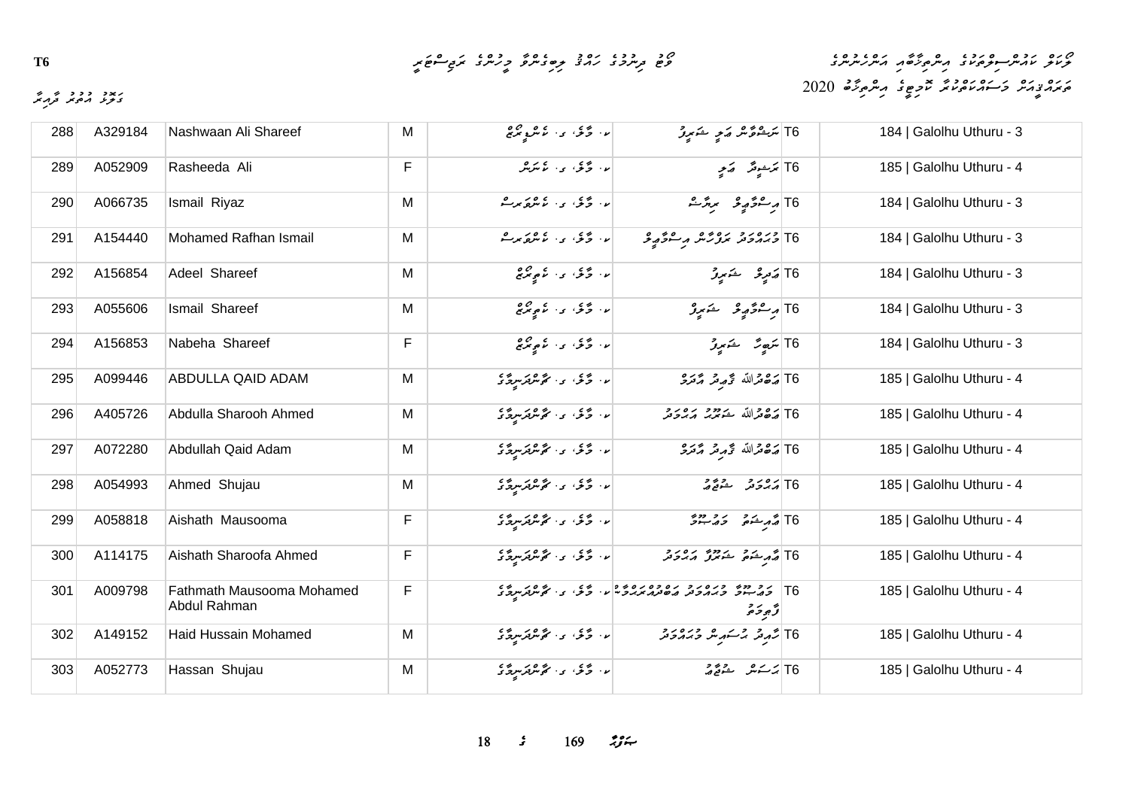*sCw7q7s5w7m< o<n9nOoAw7o< sCq;mAwBoEw7q<m; wBm;vB 2020*<br>*په پوهر وسوړ پاره ولايت موسي اوسر پر شمېر شه* 

| تأثرى ارحوس فرارس |         |                 |
|-------------------|---------|-----------------|
|                   | A329184 | ⊺Nashwaan Ali S |

| 288 | A329184 | Nashwaan Ali Shareef                      | м           | لا بە ئۇق بە ئاشدىن ئىرىم                   | T6 سَ <i>نَدْهُ قُمْرٌ مَ</i> عِ مَسَمِر <i>ُ</i> رٌ                                                                         | 184   Galolhu Uthuru - 3 |
|-----|---------|-------------------------------------------|-------------|---------------------------------------------|------------------------------------------------------------------------------------------------------------------------------|--------------------------|
| 289 | A052909 | Rasheeda Ali                              | $\mathsf F$ | لاستخرق بالمتماش                            | T6 <i>مَرْحومٌ     مَرْمٍ</i>                                                                                                | 185   Galolhu Uthuru - 4 |
| 290 | A066735 | Ismail Riyaz                              | М           | لار گەنگەر ، ئاشقەتلىرگ                     | T6 م <i>ېشۇمۇتىمىتى</i> گىشە                                                                                                 | 184   Galolhu Uthuru - 3 |
| 291 | A154440 | Mohamed Rafhan Ismail                     | M           | لا ئەقتۇرى ئاسقۇمرىش                        | T6 ديره د د برون پر موگه د محمد د                                                                                            | 184   Galolhu Uthuru - 3 |
| 292 | A156854 | Adeel Shareef                             | M           | لا د څخه ی غړی وه                           | T6 كەن <i>بە</i> \$ شەنبوقر                                                                                                  | 184   Galolhu Uthuru - 3 |
| 293 | A055606 | <b>Ismail Shareef</b>                     | M           | لا د څخه د غږمدي                            | T6 م <i>ې</i> شۇمەتى خىمى <i>ل</i> ى                                                                                         | 184   Galolhu Uthuru - 3 |
| 294 | A156853 | Nabeha Shareef                            | F           | لار څخه ی غړی ه                             | T6 سَمِ <i>مِی شَمَعِیوْ</i>                                                                                                 | 184   Galolhu Uthuru - 3 |
| 295 | A099446 | ABDULLA QAID ADAM                         | M           | ، د کار، د کارگرېزدگا                       | T6 كَدَهْتَرَاللَّهُ تَرْمِيتَرَ مَرْتَزَرَّ                                                                                 | 185   Galolhu Uthuru - 4 |
| 296 | A405726 | Abdulla Sharooh Ahmed                     | M           | پارسمى كى ئەستىمى ئەرەپىتى كى               | T6 كَرَهْ مَرْاللَّهُ شَوَيْرُيْهُ كَرَبْرَدَ مَرْ                                                                           | 185   Galolhu Uthuru - 4 |
| 297 | A072280 | Abdullah Qaid Adam                        | M           | پارستخوا کار محمد میں مرکز کا کار میں تحریک | T6 كَدَهْتَرْاللَّهُ تَوْمِيتْر مَرْتَدَدَّ                                                                                  | 185   Galolhu Uthuru - 4 |
| 298 | A054993 | Ahmed Shujau                              | м           | ، د د کار د کارگرېز کار                     | T6 كەبرى ئىرىمى ئىستىدى بىر                                                                                                  | 185   Galolhu Uthuru - 4 |
| 299 | A058818 | Aishath Mausooma                          | F           | پارستخوا کار محمد میں مرکز کا کار میں تحریک | T6 <i>مەم خەستى</i> 76                                                                                                       | 185   Galolhu Uthuru - 4 |
| 300 | A114175 | Aishath Sharoofa Ahmed                    | $\mathsf F$ | ئاس ئۇنى كى ئاس كەنگە ئورگەنى كى            | T6 مەم شىمۇ مەدەرد                                                                                                           | 185   Galolhu Uthuru - 4 |
| 301 | A009798 | Fathmath Mausooma Mohamed<br>Abdul Rahman | $\mathsf F$ |                                             | 76 - دو دو وره دو ره وه ره وه دارد و به دو گردد برگرد و در محمد برگرد و در این در در در در در در در در در در د<br>ا ژه د ده. | 185   Galolhu Uthuru - 4 |
| 302 | A149152 | <b>Haid Hussain Mohamed</b>               | M           | ئاس ئۇنقى كەن ئەس كەرگەن ئوقى               | T6 گەر ئەسكەب ئەرەردىن                                                                                                       | 185   Galolhu Uthuru - 4 |
| 303 | A052773 | Hassan Shujau                             | M           | ، دَ دَ، د گرمهرمرد د                       | T6 كەسكەش مىش <i>قى</i> ئە                                                                                                   | 185   Galolhu Uthuru - 4 |

*18 s 169 <i>n*<sub>s</sub>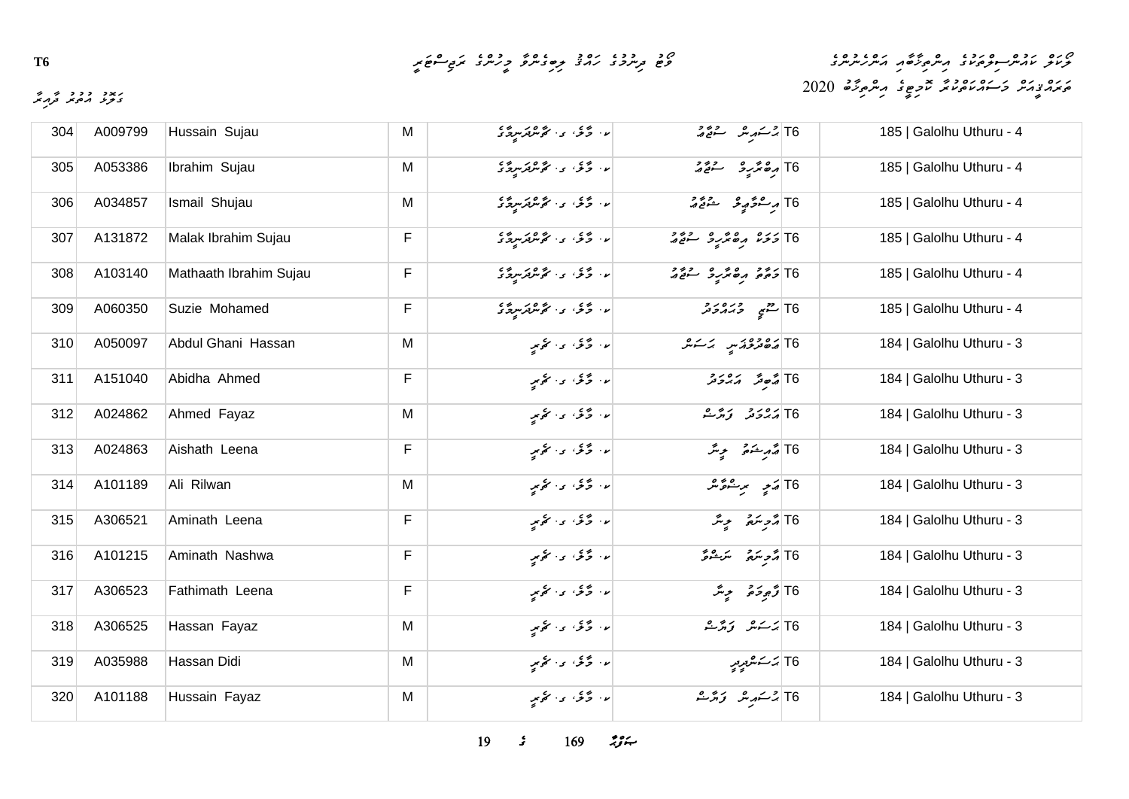*sCw7q7s5w7m< o<n9nOoAw7o< sCq;mAwBoEw7q<m; wBm;vB* م من المسجد المسجد المسجد المسجد المسجد العام 2020<br>مسجد المسجد المسجد المسجد المسجد المسجد المسجد المسجد المسجد ال

# *n8o<n@ q8qAq< q:uBmC*

| 304 | A009799 | Hussain Sujau          | M            | ۱۰ ژنځو، د سرگانگرېز پروگور    | T6 پر مستقب <i>ر میں مستقبر</i>                          | 185   Galolhu Uthuru - 4 |
|-----|---------|------------------------|--------------|--------------------------------|----------------------------------------------------------|--------------------------|
| 305 | A053386 | Ibrahim Sujau          | M            | ئاس ئۇنى كى ئەنگەر ئۇيىتى ئى   | T6 م <i>وھنگرد</i> سنھر                                  | 185   Galolhu Uthuru - 4 |
| 306 | A034857 | Ismail Shujau          | M            | ئاس ئۇنى كى ئاس ئورلىرىدىگى كى | T6 م <i>وسۇم</i> ۇ ھە <i>قە</i> م                        | 185   Galolhu Uthuru - 4 |
| 307 | A131872 | Malak Ibrahim Sujau    | $\mathsf F$  | ئار ئەمى كەن ئەس ئورلىرى ئى    | T6 <i>وَوَنْ مِ</i> صَمَّرِةِ سَنَّهُمُ                  | 185   Galolhu Uthuru - 4 |
| 308 | A103140 | Mathaath Ibrahim Sujau | F            | ئاس ئۇنى كى ئەنگە ئورگە ئە     | T6 <i>جَوْءِ مِ</i> صَمَّرِ شَمَّةٍ مَ                   | 185   Galolhu Uthuru - 4 |
| 309 | A060350 | Suzie Mohamed          | $\mathsf F$  | ئاس ئۇنى كى ئاگە ئۇسرىرىدىگە ئ | T6 سمبي وبرورو<br>76                                     | 185   Galolhu Uthuru - 4 |
| 310 | A050097 | Abdul Ghani Hassan     | M            | لاستخرق الاستخابيب             | T6 <i>مَـُـوفَرُوْمَ</i> سِ بَرَــَمَرُ                  | 184   Galolhu Uthuru - 3 |
| 311 | A151040 | Abidha Ahmed           | F            | الأراقيق الأرامج من            | T6 م <i>مَّەمَّدْ مَدْدَمْد</i>                          | 184   Galolhu Uthuru - 3 |
| 312 | A024862 | Ahmed Fayaz            | M            | الأراقيمي الأرامج من           | T6 كەبرى ئەگەشى                                          | 184   Galolhu Uthuru - 3 |
| 313 | A024863 | Aishath Leena          | $\mathsf{F}$ | لاستخرش الاستخابيب             | T6 <i>مُذہب فوٹر</i>                                     | 184   Galolhu Uthuru - 3 |
| 314 | A101189 | Ali Rilwan             | M            | الأراقيحى المارانجمي           | T6 <i>ڇَجِ برِڪوَنگر</i>                                 | 184   Galolhu Uthuru - 3 |
| 315 | A306521 | Aminath Leena          | $\mathsf F$  | الأستحق والمحمي                | T6 <i>مُّجِسَعُ</i> مِسَّر                               | 184   Galolhu Uthuru - 3 |
| 316 | A101215 | Aminath Nashwa         | F            | الأرا محكى المارا كالمحامل     | T6 مُ <sub>ح</sub> سِّعة سَرَشْتَر                       | 184   Galolhu Uthuru - 3 |
| 317 | A306523 | Fathimath Leena        | $\mathsf F$  | الأراقيمي الأرامج من           | T6 <i>وَّجِودَة</i> مِيسَّ                               | 184   Galolhu Uthuru - 3 |
| 318 | A306525 | Hassan Fayaz           | M            | لاستخرش الاستخابيب             | T6 كەس <i>تەش ق</i> ەتمەشكە                              | 184   Galolhu Uthuru - 3 |
| 319 | A035988 | Hassan Didi            | M            | الأراقيحى المارانجمي           | T6   ئەسەئىرى <i>ر</i>                                   | 184   Galolhu Uthuru - 3 |
| 320 | A101188 | Hussain Fayaz          | M            | الأرا محكى الاراكامي           | T6 يُرتكبر مثر كوتركية على المحمد السياسية<br>مسابقاتهما | 184   Galolhu Uthuru - 3 |

*19 s 169 <i>n*<sub>3</sub> *n*<sub>1</sub>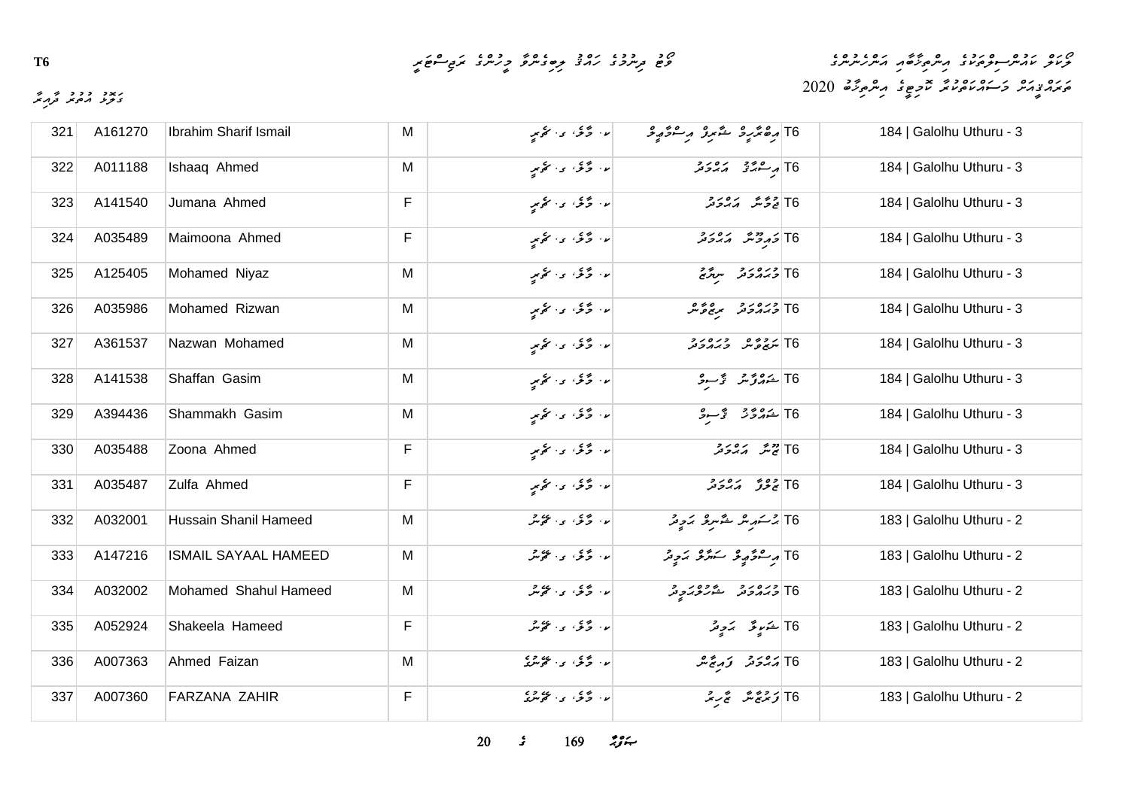*sCw7q7s5w7m< o<n9nOoAw7o< sCq;mAwBoEw7q<m; wBm;vB* م من المسجد المسجد المسجد المسجد المسجد العام 2020<br>مسجد المسجد المسجد المسجد المسجد المسجد المسجد المسجد المسجد ال

| 321 | A161270 | <b>Ibrahim Sharif Ismail</b> | M | په د څخه او د مخومي        | T6 مەھەرىپى ھەمبۇ مەھەمبى                             | 184   Galolhu Uthuru - 3 |
|-----|---------|------------------------------|---|----------------------------|-------------------------------------------------------|--------------------------|
| 322 | A011188 | Ishaaq Ahmed                 | M | الأرا محرش الارائح مي      | T6 م <i>ېرىنىڭ مەمەدى</i> ر                           | 184   Galolhu Uthuru - 3 |
| 323 | A141540 | Jumana Ahmed                 | F | الأرا محمق الأرامج من      | T6 تح <sup>و</sup> مگر <i>م</i> مگرومگر               | 184   Galolhu Uthuru - 3 |
| 324 | A035489 | Maimoona Ahmed               | F | الأرا محمق الأرامج من      | T6 <i>كَهرِدْتُمَّة مُدْوَمَّ</i> ر                   | 184   Galolhu Uthuru - 3 |
| 325 | A125405 | Mohamed Niyaz                | M | الأرا محمق الأرامج من      | T6 <i>دېرونه پې</i> رنځ                               | 184   Galolhu Uthuru - 3 |
| 326 | A035986 | Mohamed Rizwan               | M | الأرا محمق الأرامج من      | T6 <i>32,020 برج و</i> شر                             | 184   Galolhu Uthuru - 3 |
| 327 | A361537 | Nazwan Mohamed               | M | الأرا محكى المارا كالمحامل | T6 ىر <i>ج ۋىدە دېمبر دىر</i>                         | 184   Galolhu Uthuru - 3 |
| 328 | A141538 | Shaffan Gasim                | M | الأرا محمق الارائح مي      | T6 شەر <i>ۇش</i> ئ <sup>ې</sup> سىۋ                   | 184   Galolhu Uthuru - 3 |
| 329 | A394436 | Shammakh Gasim               | M | الأرا محمق الارائح مي      | $3 - 3 - 3 - 76$                                      | 184   Galolhu Uthuru - 3 |
| 330 | A035488 | Zoona Ahmed                  | F | لاستخرق الاستخابيب         | 76 يوني <i>گر مذکر د</i>                              | 184   Galolhu Uthuru - 3 |
| 331 | A035487 | Zulfa Ahmed                  | F | لاستخرق الاستخابيب         | T6 يحو <i>ق پرور</i> و                                | 184   Galolhu Uthuru - 3 |
| 332 | A032001 | <b>Hussain Shanil Hameed</b> | M | لا د څکې د په پېړۍ         | T6 پرڪمبر هر جنگهري بر <sub>حي</sub> تر               | 183   Galolhu Uthuru - 2 |
| 333 | A147216 | <b>ISMAIL SAYAAL HAMEED</b>  | M | لا د څکې د په پېړۍ         | T6 <sub>م</sub> رےد <i>ۇ<sub>م</sub>ى</i> ئەشرى ئەرەر | 183   Galolhu Uthuru - 2 |
| 334 | A032002 | Mohamed Shahul Hameed        | M | لا د څکې د په پېړۍ         | T6 <i>5282 مۇرۇبروتر</i>                              | 183   Galolhu Uthuru - 2 |
| 335 | A052924 | Shakeela Hameed              | F | ىر، بۇي بى كۈنتۈ           | T6 ڪريگ <sub>پرک</sub> ورگر                           | 183   Galolhu Uthuru - 2 |
| 336 | A007363 | Ahmed Faizan                 | M | لا د څو ي ځم شوی           | T6   كەرى قىرىمى ئىس                                  | 183   Galolhu Uthuru - 2 |
| 337 | A007360 | <b>FARZANA ZAHIR</b>         | F | لا د څکې د کاروه           | T6 <i>وَ بِرْبِيٌّ بِرَّ جُ</i> رِبْرُ                | 183   Galolhu Uthuru - 2 |

## *n8o<n@ q8qAq< q:uBmC*

 $20$  *s*  $169$  *n***<sub>3</sub>** *n*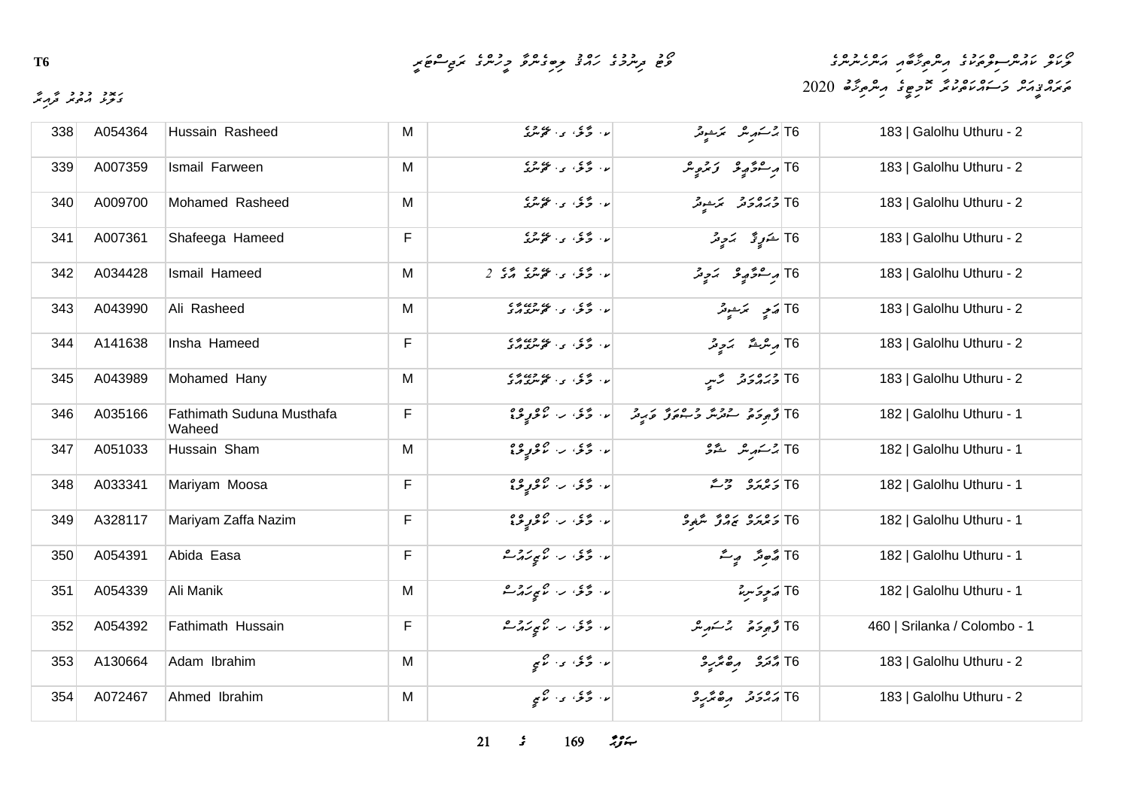*sCw7q7s5w7m< o<n9nOoAw7o< sCq;mAwBoEw7q<m; wBm;vB* م من المسجد المسجد المسجد المسجد المسجد العام 2020<br>مسجد المسجد المسجد المسجد المسجد المسجد المسجد المسجد المسجد ال

## *n8o<n@ q8qAq< q:uBmC*

| 338 | A054364 | Hussain Rasheed                     | M            | ىر بەشتى بى مۇمىرى                | T6 پُرڪوپش پُرَجوپَر                                                          | 183   Galolhu Uthuru - 2     |
|-----|---------|-------------------------------------|--------------|-----------------------------------|-------------------------------------------------------------------------------|------------------------------|
| 339 | A007359 | Ismail Farween                      | M            | لا د څري د کاروه                  | T6 م <i>ې</i> شۇم <i>ېۋ ۆتم</i> وش                                            | 183   Galolhu Uthuru - 2     |
| 340 | A009700 | Mohamed Rasheed                     | M            | ر، گرمی کارونا<br>ران گرمی کاری   | T6 <i>ۇنەممۇمۇ - مەنبى</i> ر                                                  | 183   Galolhu Uthuru - 2     |
| 341 | A007361 | Shafeega Hameed                     | $\mathsf{F}$ | لا د څري د کاروه                  | T6 ڪ <i>وِ ٿا پڌون</i> گ                                                      | 183   Galolhu Uthuru - 2     |
| 342 | A034428 | Ismail Hameed                       | M            | لا ، ۇقۇرى ، ئۇسى ئىگە ئىگە 2     | T6 <sub>م</sub> رےد <i>و پ</i> و کے پروگر                                     | 183   Galolhu Uthuru - 2     |
| 343 | A043990 | Ali Rasheed                         | M            | ر دی.<br>د گون د محمد در در       | T6 <i>مَجِ بَرَحْبِينَ</i>                                                    | 183   Galolhu Uthuru - 2     |
| 344 | A141638 | Insha Hameed                        | $\mathsf{F}$ | ر دی.<br>د گون د محمد در در       | T6 <sub>م</sub> ېرىشق ئەرەتمە                                                 | 183   Galolhu Uthuru - 2     |
| 345 | A043989 | Mohamed Hany                        | M            |                                   | T6 <i>\$22.25 گې</i> ر                                                        | 183   Galolhu Uthuru - 2     |
| 346 | A035166 | Fathimath Suduna Musthafa<br>Waheed | $\mathsf F$  |                                   | 76 كَمُجْمَعُ صَمْرَ مُرْجَعَةً مِنْ مِنْ اللَّهِ وَمَحْزَ مِنْ مَكْفَرِ وَهِ | 182   Galolhu Uthuru - 1     |
| 347 | A051033 | Hussain Sham                        | M            | ، دې را موږي                      | T6 پر <i>شہر مثل مش</i> و                                                     | 182   Galolhu Uthuru - 1     |
| 348 | A033341 | Mariyam Moosa                       | $\mathsf{F}$ | ، دې را موږي                      | T6 كەبەر بۇرىم                                                                | 182   Galolhu Uthuru - 1     |
| 349 | A328117 | Mariyam Zaffa Nazim                 | $\mathsf F$  | $ v ^2$ لا، دې را موړون           | T6 <i>كَمُرْمَرْدْ يَأْمُرْتُ</i> مُرْمَوْدُ                                  | 182   Galolhu Uthuru - 1     |
| 350 | A054391 | Abida Easa                          | F            | لار د محکمه سر مهمور محمد شده است | T6 <i>مُتَّومَّہ م</i> ِتَّ                                                   | 182   Galolhu Uthuru - 1     |
| 351 | A054339 | Ali Manik                           | M            | لار محمومي سارا مى ئەركىت         | T6 <sub>م</sub> حبوحَ <sub>مبرم</sub> ق                                       | 182   Galolhu Uthuru - 1     |
| 352 | A054392 | Fathimath Hussain                   | $\mathsf{F}$ | لار د محکمه را مهم کرد هسته       | T6 <i>وُجِودَة بِرْسَهِي</i> تْر                                              | 460   Srilanka / Colombo - 1 |
| 353 | A130664 | Adam Ibrahim                        | M            | لار څخه ی لای                     | T6 <i>جُدُو م</i> ِ <i>هُ بُرْرٍ \$</i>                                       | 183   Galolhu Uthuru - 2     |
| 354 | A072467 | Ahmed Ibrahim                       | M            | لار څخه ی لای                     | T6 <i>בُجود وڤوَّرٍ</i> و                                                     | 183   Galolhu Uthuru - 2     |

 $21$  *s*  $169$  *n***<sub>3</sub>** *n*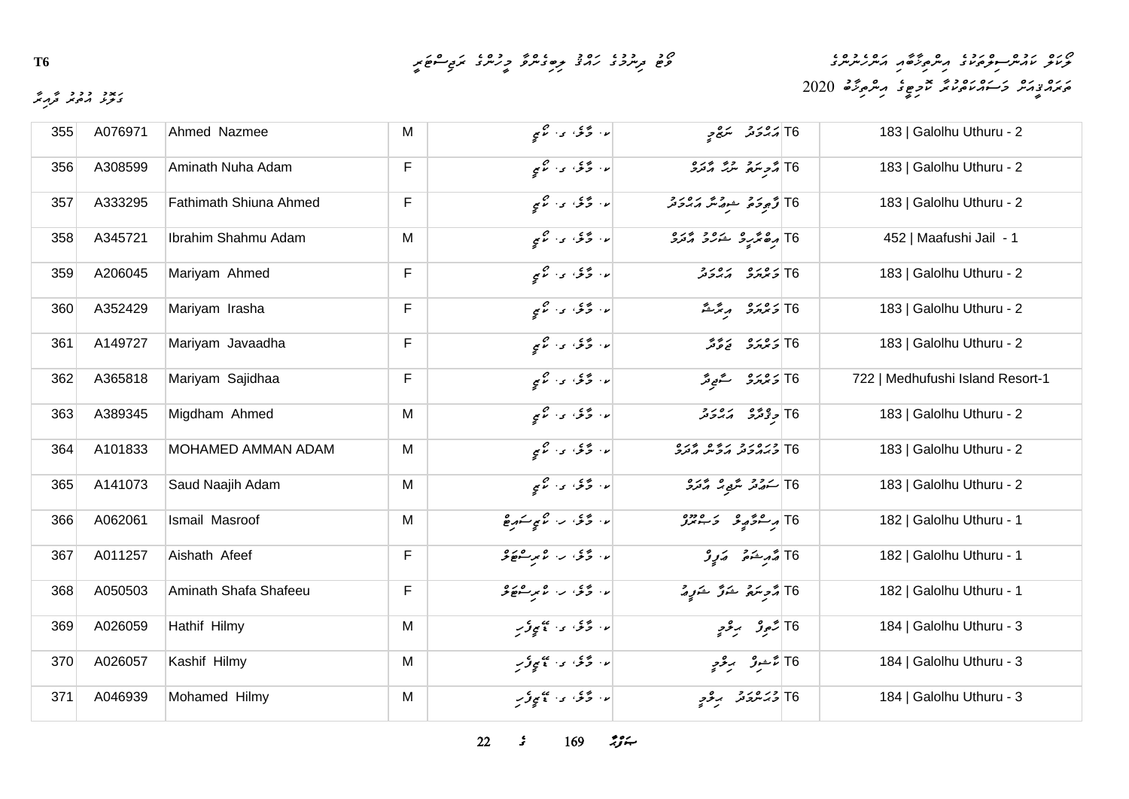*sCw7q7s5w7m< o<n9nOoAw7o< sCq;mAwBoEw7q<m; wBm;vB 2020*<br>*په پوهر وسوډيرونو لومو د موجو د مرمونه* 2020

| 355 | A076971 | Ahmed Nazmee              | M | لار څخه ی لای              | T6 <i>בُرْدُوَ مَنْ جُو</i> رِ                                                                                 | 183   Galolhu Uthuru - 2         |
|-----|---------|---------------------------|---|----------------------------|----------------------------------------------------------------------------------------------------------------|----------------------------------|
| 356 | A308599 | Aminath Nuha Adam         | F | لار څخه ی لای              | T6 أَمُّ حِسَمَةٌ مِنْهُ أَمَّ مَنْ مَنْ                                                                       | 183   Galolhu Uthuru - 2         |
| 357 | A333295 | Fathimath Shiuna Ahmed    | F | لار څخه ی لای              | T6 <i>وُّجِودَة</i> جو <i>مانة مارود</i>                                                                       | 183   Galolhu Uthuru - 2         |
| 358 | A345721 | Ibrahim Shahmu Adam       | M | لار څخه لور ځمنې           | T6 مەھمەر ئەرەر ئەرە                                                                                           | 452   Maafushi Jail - 1          |
| 359 | A206045 | Mariyam Ahmed             | F | لار څخه ی لای              | T6 <i>ڪيمبرو پرورو</i>                                                                                         | 183   Galolhu Uthuru - 2         |
| 360 | A352429 | Mariyam Irasha            | F | لار څخه ی لای              | T6 كەب <i>ىرىدۇ ب</i> ەبۇشە                                                                                    | 183   Galolhu Uthuru - 2         |
| 361 | A149727 | Mariyam Javaadha          | F | لار څخه ی لای              | T6 <i>وَبُرْدُوْ فَاوَّتَرُ</i>                                                                                | 183   Galolhu Uthuru - 2         |
| 362 | A365818 | Mariyam Sajidhaa          | F | لار څخه ی لای              | T6 كەنگەنى ئىسى ئىگەنى ئىگەنى ئىگەن ئىگەن ئىگەن كىتاب ئىگەن كىتاب ئىگەن كىتاب ئىگەن كىتاب ئىگەن ئىگەن ئىگەن كى | 722   Medhufushi Island Resort-1 |
| 363 | A389345 | Migdham Ahmed             | M | لار څخه ی لای              | T6 <sub>ح</sub> ِ وَمَّرَى م <i>َ يُدُوَ</i> مَّر                                                              | 183   Galolhu Uthuru - 2         |
| 364 | A101833 | <b>MOHAMED AMMAN ADAM</b> | M | لار څخه ی لای              | T6 <i>وبروبرو برؤيم</i> م <i>جره</i>                                                                           | 183   Galolhu Uthuru - 2         |
| 365 | A141073 | Saud Naajih Adam          | M | لار څخه ی لای              | T6 ڪر <i>ھ تر گھي جي ھي</i> و                                                                                  | 183   Galolhu Uthuru - 2         |
| 366 | A062061 | <b>Ismail Masroof</b>     | M | لار محتى لار محموم يتموقع  | T6م مِــدْوَّةٍ وَ سِمْرُوْ                                                                                    | 182   Galolhu Uthuru - 1         |
| 367 | A011257 | Aishath Afeef             | F | لا د محكي را الم برست كامل | T6م <i>جميشتم مکون</i> ژ                                                                                       | 182   Galolhu Uthuru - 1         |
| 368 | A050503 | Aminath Shafa Shafeeu     | F | لا د محکي را المالور ۱۳۵   | T6 مَّرْسِمَةٌ حَبَّرٌ حَبَّرٍ مُّ                                                                             | 182   Galolhu Uthuru - 1         |
| 369 | A026059 | Hathif Hilmy              | M | لا د څخه د انګانونوب       | T6 <i>گوؤ بر</i> و <sub>ج</sub>                                                                                | 184   Galolhu Uthuru - 3         |
| 370 | A026057 | Kashif Hilmy              | M | لا د څخه د انګانونوب       | T6 <i>مُّ</i> شِو <i>ژ بر</i> وْرِ                                                                             | 184   Galolhu Uthuru - 3         |
| 371 | A046939 | Mohamed Hilmy             | M | لا د څخه د انګانونومړ      | T6  <i>وبزنگونز برو<sub>ئي</sub></i>                                                                           | 184   Galolhu Uthuru - 3         |

 $22$  *s* **169** *n***<sub>3</sub>** *n* 

*n8o<n@ q8qAq< q:uBmC*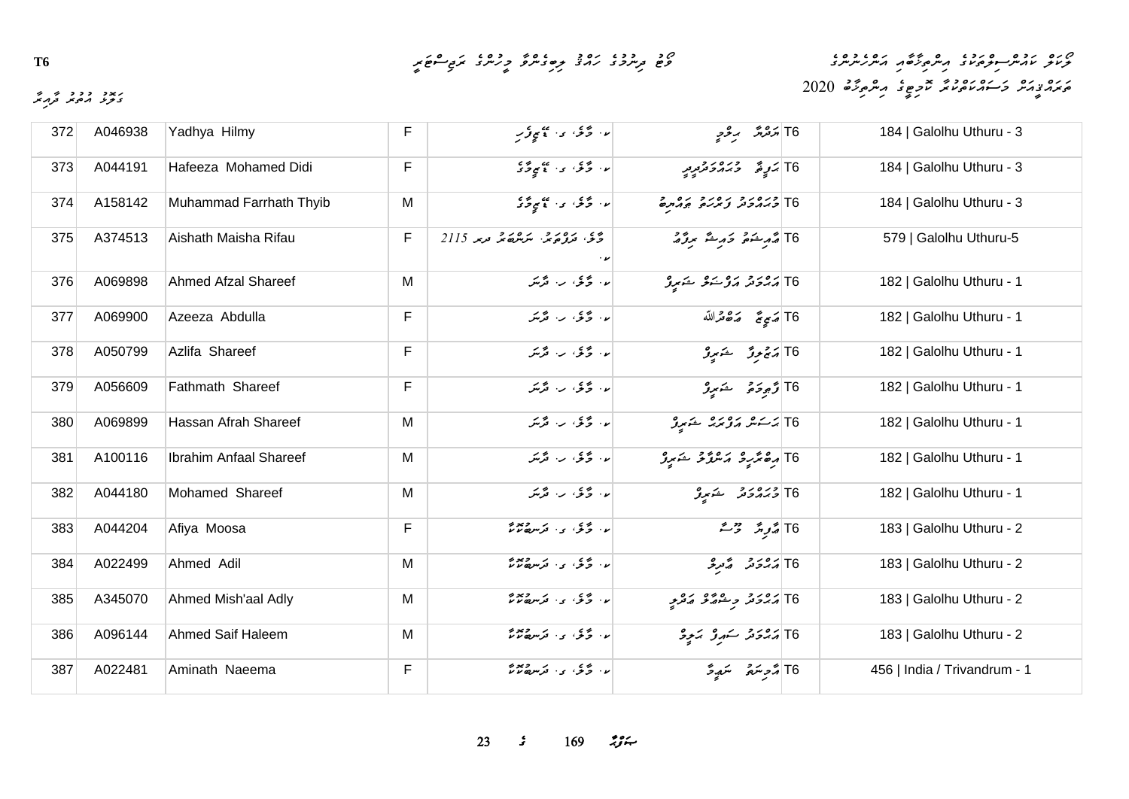*sCw7q7s5w7m< o<n9nOoAw7o< sCq;mAwBoEw7q<m; wBm;vB*  $2020$  مَمَرْكَزِيَّةَ وَسَعْدَ *مَا يَوْمِيَّةُ وَسَعْدِهِ مِسْتَخْ*فَ

183 | Galolhu Uthuru - 2

456 | India / Trivandrum - 1

| 372 | A046938 | Yadhya Hilmy                  | F | لا . ۇقۇرى ، ئايمۇپ                                                                                                                                                                                                                                                                                                            | T6 <i>ټرنگر بر</i> و <sub>تو</sub>    | 184   Galolhu Uthuru - 3 |
|-----|---------|-------------------------------|---|--------------------------------------------------------------------------------------------------------------------------------------------------------------------------------------------------------------------------------------------------------------------------------------------------------------------------------|---------------------------------------|--------------------------|
| 373 | A044191 | Hafeeza Mohamed Didi          | F | $\mathcal{L}$ لا، دېڅو، دا چې دې                                                                                                                                                                                                                                                                                               | T6 <i>ټونځ څخه څونو</i> بر            | 184   Galolhu Uthuru - 3 |
| 374 | A158142 | Muhammad Farrhath Thyib       | М | $\begin{bmatrix} 1 & 0 & 0 & 0 \\ 0 & 0 & 0 & 0 \\ 0 & 0 & 0 & 0 \\ 0 & 0 & 0 & 0 \\ 0 & 0 & 0 & 0 \\ 0 & 0 & 0 & 0 \\ 0 & 0 & 0 & 0 \\ 0 & 0 & 0 & 0 \\ 0 & 0 & 0 & 0 \\ 0 & 0 & 0 & 0 \\ 0 & 0 & 0 & 0 \\ 0 & 0 & 0 & 0 & 0 \\ 0 & 0 & 0 & 0 & 0 \\ 0 & 0 & 0 & 0 & 0 \\ 0 & 0 & 0 & 0 & 0 \\ 0 & 0 & 0 & 0 & 0 \\ 0 & 0 & $ | T6 ورورو رورو برور                    | 184   Galolhu Uthuru - 3 |
| 375 | A374513 | Aishath Maisha Rifau          | F | 33، تروم تر. تركه تر 2115                                                                                                                                                                                                                                                                                                      | T6 مُەمشەر دَەمش مورَّهُ              | 579   Galolhu Uthuru-5   |
| 376 | A069898 | <b>Ahmed Afzal Shareef</b>    | M | ا د گري را گرمگر                                                                                                                                                                                                                                                                                                               | T6 <i>ړېږي پروت کې</i> خ <i>مبرو</i>  | 182   Galolhu Uthuru - 1 |
| 377 | A069900 | Azeeza Abdulla                | F | ئەس قىق سەس قىرىنىڭ                                                                                                                                                                                                                                                                                                            | T6 <i>مَنْ مِنْ مَنْ مَدَّ</i> اللَّه | 182   Galolhu Uthuru - 1 |
| 378 | A050799 | Azlifa Shareef                | F | ا د گري را گرمگر                                                                                                                                                                                                                                                                                                               | T6  رَجْعِرَّ شَهِرْدُ                | 182   Galolhu Uthuru - 1 |
| 379 | A056609 | Fathmath Shareef              | F | الا : 33) را انگریش                                                                                                                                                                                                                                                                                                            | T6 <i>وُجوحَة</i> شَمَعِيقَ           | 182   Galolhu Uthuru - 1 |
| 380 | A069899 | Hassan Afrah Shareef          | M | ئەس ئۇنى ب ئۇيتى                                                                                                                                                                                                                                                                                                               | T6تەسەنگە ئەبەر ئەربۇ                 | 182   Galolhu Uthuru - 1 |
| 381 | A100116 | <b>Ibrahim Anfaal Shareef</b> | M | ئەس ئۇنى سەس ئەتىر                                                                                                                                                                                                                                                                                                             | T6 مەھەرى كەش <i>ۇڭى</i> خەمرى        | 182   Galolhu Uthuru - 1 |
| 382 | A044180 | Mohamed Shareef               | M | الاستخوات فرس                                                                                                                                                                                                                                                                                                                  | T6 <i>ۇنەۋەتى خەيرۇ</i>               | 182   Galolhu Uthuru - 1 |
| 383 | A044204 | Afiya Moosa                   | F | ۱۶ د کمی د کرس دیده                                                                                                                                                                                                                                                                                                            | T6 مُ <i>وِرڈ</i> ترجمنٹ              | 183   Galolhu Uthuru - 2 |
| 384 | A022499 | Ahmed Adil                    | M | $\begin{bmatrix} 2 \times 2 \\ \times 2 \times 2 \times 3 \times 2 \end{bmatrix}$ ، ترس                                                                                                                                                                                                                                        |                                       | 183   Galolhu Uthuru - 2 |
| 385 | A345070 | Ahmed Mish'aal Adly           | M | $\begin{bmatrix} 2 \times 2 \\ \nu \cdot \nu \otimes \nu \end{bmatrix}$ , $\begin{bmatrix} 2 \\ 2 \end{bmatrix}$ , $\begin{bmatrix} 2 \\ 2 \end{bmatrix}$ , $\begin{bmatrix} 2 \\ 2 \end{bmatrix}$                                                                                                                             | T6 <i>ג' وحد و شهر و شرو</i>          | 183   Galolhu Uthuru - 2 |

386 A096144 Ahmed Saif Haleem M *Wkokubnwd .g ,elWm .k cmIlwH cfiaws udwmcHwa* T6

387 A022481 Aminath Naeema F *Wkokubnwd .g ,elWm .k WmIAwn utwnimWa* T6

ر پور در در در بر بر بر<br>کامونو امروپس کرمنگر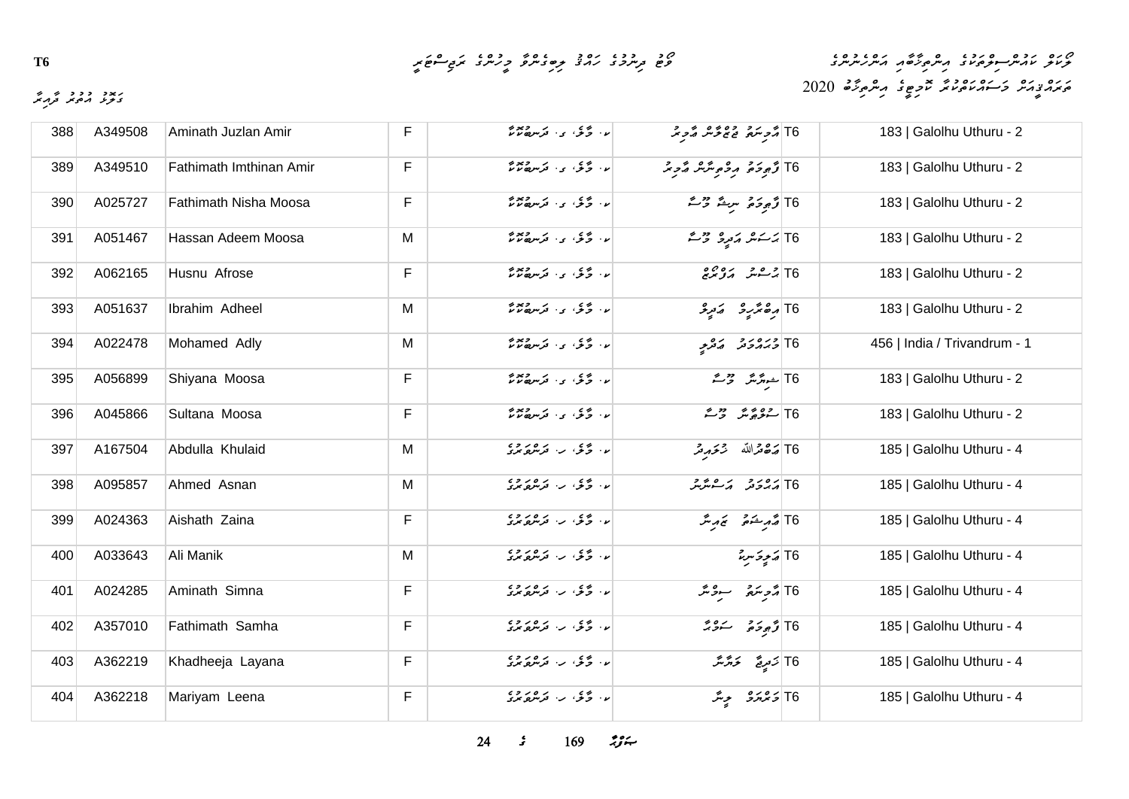*sCw7q7s5w7m< o<n9nOoAw7o< sCq;mAwBoEw7q<m; wBm;vB* م من المسجد المسجد المسجد المسجد المسجد العام 2020<br>مسجد المسجد المسجد المسجد المسجد المسجد المسجد المسجد المسجد ال

| 388 | A349508 | Aminath Juzlan Amir          | F | پارسی کی دی که موضع میکنیم<br>  پارسی کی کی که که موضع میکنیم                                                                                                                                                                                                                                                                                                                                                                                                                                                                                            | T6 أ <i>مُّ مِ سَمَّةَ</i> وَجَعَدَ مُ <i>حَمَّدٍ مُ</i> | 183   Galolhu Uthuru - 2     |
|-----|---------|------------------------------|---|----------------------------------------------------------------------------------------------------------------------------------------------------------------------------------------------------------------------------------------------------------------------------------------------------------------------------------------------------------------------------------------------------------------------------------------------------------------------------------------------------------------------------------------------------------|----------------------------------------------------------|------------------------------|
| 389 | A349510 | Fathimath Imthinan Amir      | F | $\stackrel{\circ}{\mathcal{H}}\stackrel{\times}{\mathcal{H}}\stackrel{\circ}{\mathcal{H}}\stackrel{\circ}{\mathcal{H}}\stackrel{\circ}{\mathcal{H}}\stackrel{\circ}{\mathcal{H}}\stackrel{\circ}{\mathcal{H}}\stackrel{\circ}{\mathcal{H}}\stackrel{\circ}{\mathcal{H}}\stackrel{\circ}{\mathcal{H}}\stackrel{\circ}{\mathcal{H}}\stackrel{\circ}{\mathcal{H}}\stackrel{\circ}{\mathcal{H}}\stackrel{\circ}{\mathcal{H}}\stackrel{\circ}{\mathcal{H}}\stackrel{\circ}{\mathcal{H}}\stackrel{\circ}{\mathcal{H}}\stackrel{\circ}{\mathcal{H}}\stackrel{\$ | T6 <i>وَجوحَمْ مِ</i> حْمِ مَّرْمَّد مَّحْمَد            | 183   Galolhu Uthuru - 2     |
| 390 | A025727 | <b>Fathimath Nisha Moosa</b> | F | $\overset{\circ}{\mathcal{L}}\overset{\times}{\mathcal{L}}$ $\circ$ $\circ$ $\overset{\circ}{\mathcal{L}}\overset{\circ}{\mathcal{L}}\cdot\mathcal{L}$                                                                                                                                                                                                                                                                                                                                                                                                   | T6 <i>وُ<sub>م</sub>ودَمُ</i> سِنَّہُ وَ <i>'َت</i> ُ    | 183   Galolhu Uthuru - 2     |
| 391 | A051467 | Hassan Adeem Moosa           | M | $\overset{\phi\times\phi}{\sim}$ $\sim$ $\overset{\phi\times\phi}{\sim}$ $\sim$ $\sim$ $\sim$ $\sim$                                                                                                                                                                                                                                                                                                                                                                                                                                                     | T6   يَرْسَدُ مَ <sub>حْ</sub> رِدْ وَيْرَ مَّا          | 183   Galolhu Uthuru - 2     |
| 392 | A062165 | Husnu Afrose                 | F | ر، دمجنۍ د ترس <u>ره پ</u> ره                                                                                                                                                                                                                                                                                                                                                                                                                                                                                                                            | T6 يُرِسْعِيمُ مَرُوْمَنِيَّ                             | 183   Galolhu Uthuru - 2     |
| 393 | A051637 | Ibrahim Adheel               | M | ر، دمی، <sub>م</sub> . دکم سه دمه                                                                                                                                                                                                                                                                                                                                                                                                                                                                                                                        | T6 <sub>مر</sub> غ <i>مگرد</i> ی کامریکی                 | 183   Galolhu Uthuru - 2     |
| 394 | A022478 | Mohamed Adly                 | M | ۴۶۵ كۇ، يەر ئىرسى ئىل                                                                                                                                                                                                                                                                                                                                                                                                                                                                                                                                    | T6 <i>3523 كەنگ</i> و                                    | 456   India / Trivandrum - 1 |
| 395 | A056899 | Shiyana Moosa                | F | ر، دُکُو، د، ترسمانده                                                                                                                                                                                                                                                                                                                                                                                                                                                                                                                                    | T6 شەھرىمگر ت <i>ۆ</i> گ                                 | 183   Galolhu Uthuru - 2     |
| 396 | A045866 | Sultana Moosa                | F | ر، دمی، <sub>م</sub> . ترسه دبود                                                                                                                                                                                                                                                                                                                                                                                                                                                                                                                         | T6 كەنزۇش تۇرىم                                          | 183   Galolhu Uthuru - 2     |
| 397 | A167504 | Abdulla Khulaid              | M | ر، دې ر، ترس <u>وره د</u> ه                                                                                                                                                                                                                                                                                                                                                                                                                                                                                                                              | T6 كەچ قىراللە ئە <del>ق</del> رىرىتر                    | 185   Galolhu Uthuru - 4     |
| 398 | A095857 | Ahmed Asnan                  | M | ىن ئۇق ب ئۇشھەم دە                                                                                                                                                                                                                                                                                                                                                                                                                                                                                                                                       | T6 كەندى كەرگە ئەسىر ئىس                                 | 185   Galolhu Uthuru - 4     |
| 399 | A024363 | Aishath Zaina                | F | ىن گۆكى بەلگەن دە                                                                                                                                                                                                                                                                                                                                                                                                                                                                                                                                        | T6 <i>مُقدِينَة تَج</i> دِيثَر                           | 185   Galolhu Uthuru - 4     |
| 400 | A033643 | Ali Manik                    | M | ىن گۆكى بەلگەن دە                                                                                                                                                                                                                                                                                                                                                                                                                                                                                                                                        | T6 ڪ <sub>يپ</sub> وڪس <i>رين</i> ڙ                      | 185   Galolhu Uthuru - 4     |
| 401 | A024285 | Aminath Simna                | F | ر، دې ر، ترس <u>وره د</u> ه                                                                                                                                                                                                                                                                                                                                                                                                                                                                                                                              | T6 أَمُّ حِبَّةٌ مَسِّرْةٌ مُّتَمَّدُّ                   | 185   Galolhu Uthuru - 4     |
| 402 | A357010 | Fathimath Samha              | F | ر، دی. ر. در ده دره د                                                                                                                                                                                                                                                                                                                                                                                                                                                                                                                                    | T6 ر <i>قبوخ</i> تر سك <i>ونة</i>                        | 185   Galolhu Uthuru - 4     |
| 403 | A362219 | Khadheeja Layana             | F | ر، دمجنې ر، ترس <u>ورت</u>                                                                                                                                                                                                                                                                                                                                                                                                                                                                                                                               | T6 كَتْرِيعٌ     كَاثَرْ مَثَّر                          | 185   Galolhu Uthuru - 4     |
| 404 | A362218 | Mariyam Leena                | F | ر، دی. ر. در ده در ده.                                                                                                                                                                                                                                                                                                                                                                                                                                                                                                                                   | T6 <i>5 پروگر</i> م <sub>ح</sub> مد                      | 185   Galolhu Uthuru - 4     |
|     |         |                              |   |                                                                                                                                                                                                                                                                                                                                                                                                                                                                                                                                                          |                                                          |                              |

*n8o<n@ q8qAq< q:uBmC*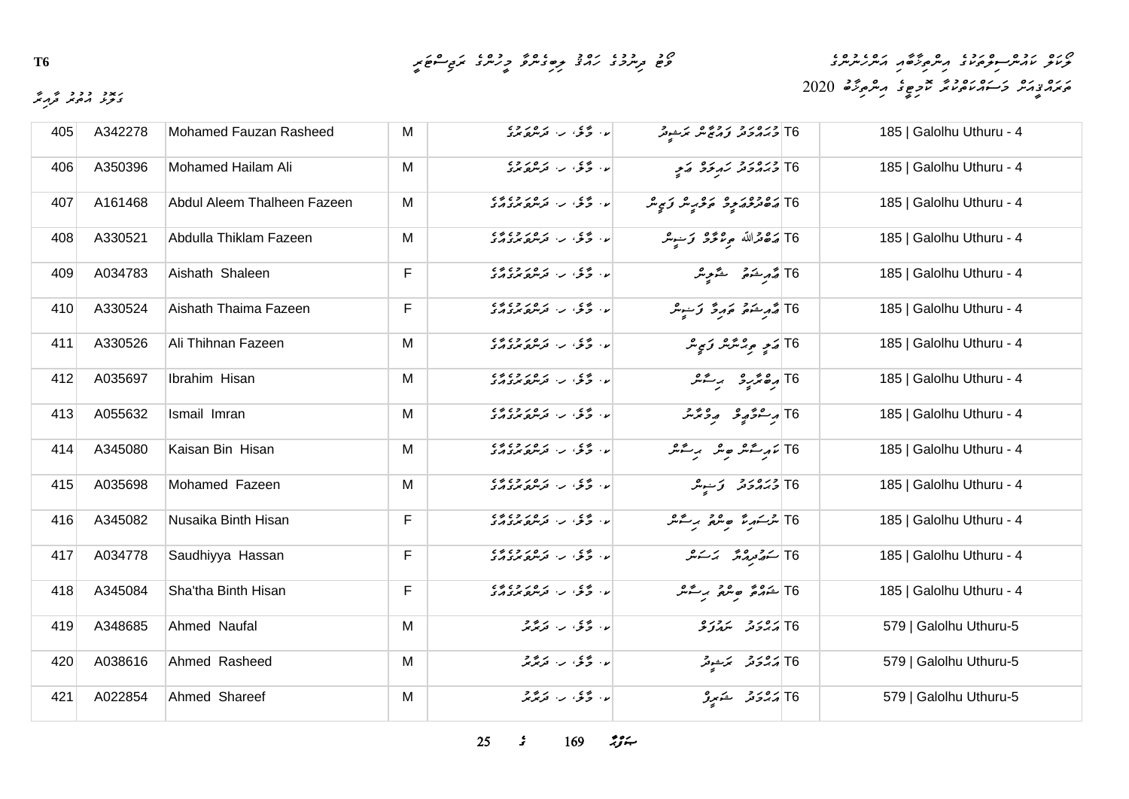*sCw7q7s5w7m< o<n9nOoAw7o< sCq;mAwBoEw7q<m; wBm;vB* م من المسجد المسجد المسجد المسجد المسجد العام 2020<br>مسجد المسجد المسجد المسجد المسجد المسجد المسجد المسجد المسجد ال

| 405 | A342278 | Mohamed Fauzan Rasheed      | M           | لا ژۇ، را ئەھەمدە                                            | T6   <i>12,255 و23.3 سر برَ</i> خوش                                                                            | 185   Galolhu Uthuru - 4 |
|-----|---------|-----------------------------|-------------|--------------------------------------------------------------|----------------------------------------------------------------------------------------------------------------|--------------------------|
| 406 | A350396 | Mohamed Hailam Ali          | M           | ، دې را ترمه بره                                             | T6 <i>בגר.כ</i> ע <i>ה</i> נכל ה <i>'ק</i>                                                                     | 185   Galolhu Uthuru - 4 |
| 407 | A161468 | Abdul Aleem Thalheen Fazeen | M           | په دې له وروه ده د                                           | T6 <i>مەھرىمىۋە مۇھبى</i> ر <i>ق</i> ېرىگ                                                                      | 185   Galolhu Uthuru - 4 |
| 408 | A330521 | Abdulla Thiklam Fazeen      | M           | ، دې را مرده ده.                                             | T6 كەھەراللە م <i>وناڭۇ تۇ</i> سىر                                                                             | 185   Galolhu Uthuru - 4 |
| 409 | A034783 | Aishath Shaleen             | F           | ر دی.<br>روگو، روسره مرد در د                                | T6 <i>مُفْرِحْمَۃ</i> حُمَّوِسُ                                                                                | 185   Galolhu Uthuru - 4 |
| 410 | A330524 | Aishath Thaima Fazeen       | $\mathsf F$ | ر ده ده در ده ده ده در در در در در د                         | T6 م <i>ۇم شۇم قوم قۇس</i> ىر                                                                                  | 185   Galolhu Uthuru - 4 |
| 411 | A330526 | Ali Thihnan Fazeen          | M           | ر، ن <sup>ج</sup> و، ر. ترس <u>وم برورد</u>                  | T6 <i>ڇَجِ م<sub>و</sub>ِرْ مَرْمَرْ وَ<sub>مِ</sub> مُرْ</i>                                                  | 185   Galolhu Uthuru - 4 |
| 412 | A035697 | Ibrahim Hisan               | M           | ر ده و ده د و ده و ده و د<br>در انگرنگ از انگریزی کرد و در د | T6 مەھم <i>گىر</i> ئىسىسىسىسىسى                                                                                | 185   Galolhu Uthuru - 4 |
| 413 | A055632 | Ismail Imran                | M           | ر دی.<br>روگو، روسره مرد در د                                | T6 <sub>م</sub> رےد <sub>گھی</sub> و گیونگر                                                                    | 185   Galolhu Uthuru - 4 |
| 414 | A345080 | Kaisan Bin Hisan            | M           | ر دی.<br>روگو، روسره مرد در د                                | T6 <i>مَدِسَّة هُ هُو بِهِ سَ</i> مَّرُ                                                                        | 185   Galolhu Uthuru - 4 |
| 415 | A035698 | Mohamed Fazeen              | M           | ر د محتی را در د ده د د                                      | T6  <i>32,325 ق-پ</i> ر                                                                                        | 185   Galolhu Uthuru - 4 |
| 416 | A345082 | Nusaika Binth Hisan         | F           | ر د محتی را در د ده د د                                      |                                                                                                                | 185   Galolhu Uthuru - 4 |
| 417 | A034778 | Saudhiyya Hassan            | $\mathsf F$ | ر دی.<br>روگو، روسره مرد در د                                | T6 كەندەر ئەسەمىسىسىسىسىسى بىر                                                                                 | 185   Galolhu Uthuru - 4 |
| 418 | A345084 | Sha'tha Binth Hisan         | F           | ر دی.<br>راستگاه به مرس در در در                             | T6 شەم ھەمگە بەس <i>تى</i> ر                                                                                   | 185   Galolhu Uthuru - 4 |
| 419 | A348685 | Ahmed Naufal                | М           | ىر، بۇق، ب ئەتەتتىر                                          | T6  <i>ټرې تر شمر تر</i> و                                                                                     | 579   Galolhu Uthuru-5   |
| 420 | A038616 | Ahmed Rasheed               | M           | ىن گەنگەن ئەتەتتى                                            | T6   كەركى كىلى كىلىنىڭ كىلىنىڭ ئىستىكى ئاستان ئاتاق ئىستان ئاتاق ئاتاق ئاتاق ئاتاق ئاتاق ئاتاق ئاتاق ئاتاق ئا | 579   Galolhu Uthuru-5   |
| 421 | A022854 | Ahmed Shareef               | M           | ىن گەنگە ئەر ئەتەتتى بىر                                     | T6   كەش <sup>ى</sup> كىرىگە ئىككى ئىس كەنتىر ئىگە ئىسپا                                                       | 579   Galolhu Uthuru-5   |

*n8o<n@ q8qAq< q:uBmC*

 $25$  *s*  $169$   $23$   $\div$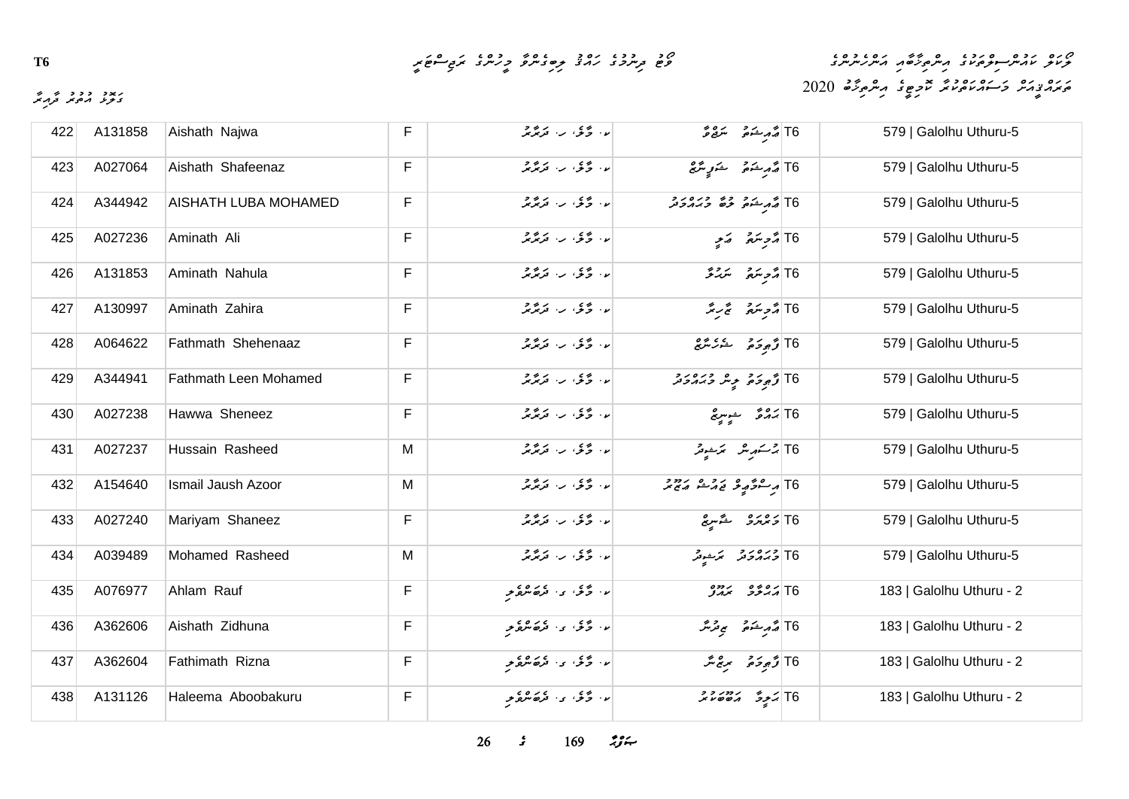*sCw7q7s5w7m< o<n9nOoAw7o< sCq;mAwBoEw7q<m; wBm;vB* م من المسجد المسجد المسجد المسجد المسجد العام 2020<br>مسجد المسجد المسجد المسجد المسجد المسجد المسجد المسجد المسجد ال

| 422 | A131858 | Aishath Najwa                | F | ا د گرگان اور کرکریمر                                     | T6 م <i>ەمبىشى مەقى</i> مۇ                       | 579   Galolhu Uthuru-5   |  |
|-----|---------|------------------------------|---|-----------------------------------------------------------|--------------------------------------------------|--------------------------|--|
| 423 | A027064 | Aishath Shafeenaz            | F | الاستخلاب فكفكر                                           | T6 <i>۾ُ مِ</i> ڪَمَ ڪَ <i>وِ مُرَجَ</i>         | 579   Galolhu Uthuru-5   |  |
| 424 | A344942 | <b>AISHATH LUBA MOHAMED</b>  | F | $\mathbb{R}^3 \times \mathbb{R}^3 \times \mathbb{R}^3$ لا | T6 مُصِنْعَمْ فَقْ وَبَرْدُونَر                  | 579   Galolhu Uthuru-5   |  |
| 425 | A027236 | Aminath Ali                  | F | الا وَبِيَّ اللَّهُ مِنْ مُرَكِّبُوْ                      | T6 م <i>ُّوسَع</i> ْ مَعٍ                        | 579   Galolhu Uthuru-5   |  |
| 426 | A131853 | Aminath Nahula               | F | الاستخلاب فكفكر                                           | T6 أ <i>مَّ وِ مَنْهُمْ مَنْ</i> يَرْدُوُّ       | 579   Galolhu Uthuru-5   |  |
| 427 | A130997 | Aminath Zahira               | F | الا . 33 الا الأيولي                                      | T6 مُحرِسَمُ مَحْرِسُمُ                          | 579   Galolhu Uthuru-5   |  |
| 428 | A064622 | Fathmath Shehenaaz           | F | الاستخرى البار مەركىتى                                    | T6 <i>وَّەودَە</i> شە <i>رىتى</i> ئ              | 579   Galolhu Uthuru-5   |  |
| 429 | A344941 | <b>Fathmath Leen Mohamed</b> | F | $\mathbb{R}^2 \times \mathbb{R}^2 \times \mathbb{R}^2$ لا | T6 ز <i>ُّڄِ دَيْ پِسْ دُبَ</i> دُ دَرُ          | 579   Galolhu Uthuru-5   |  |
| 430 | A027238 | Hawwa Sheneez                | F | الاستخلاب فكفكر                                           | T6 <i>بَدْهُ وَ</i> سُوِسِيْنَ                   | 579   Galolhu Uthuru-5   |  |
| 431 | A027237 | Hussain Rasheed              | M | الاستخلاب فكفكر                                           | T6 پُرڪمريگر - مَرَڪونَرُ-                       | 579   Galolhu Uthuru-5   |  |
| 432 | A154640 | Ismail Jaush Azoor           | M | الا . 33 لا . فَرَمْدُمْرُ                                | T6 <sub>م</sub> رشۇم <sub>ۇ</sub> ئۇم شىم مەجىمە | 579   Galolhu Uthuru-5   |  |
| 433 | A027240 | Mariyam Shaneez              | F | الاستخرى الماسترنتر                                       | T6ته پر پر مش <i>هر چ</i>                        | 579   Galolhu Uthuru-5   |  |
| 434 | A039489 | Mohamed Rasheed              | M | الا وَبِيَّ اللَّهُ مِنْ مُرَكِّبُوْ                      | T6 <i>ۇنەممۇمۇ - م</i> ەئبوم <i>ۇ</i>            | 579   Galolhu Uthuru-5   |  |
| 435 | A076977 | Ahlam Rauf                   | F | ۱۰ د دی. د اوه شوم                                        | T6 <i>ټرنگې بروه</i>                             | 183   Galolhu Uthuru - 2 |  |
| 436 | A362606 | Aishath Zidhuna              | F | ۱۰ د دی. د اوه شوم                                        | T6 <i>مُقدِينَة وَ بِي مُدْمَّدُ</i>             | 183   Galolhu Uthuru - 2 |  |
| 437 | A362604 | Fathimath Rizna              | F | لا گرگان و میگروه میگرم                                   | T6 <i>وَّجِوحَةْ</i> مِنْ يَ <i>مَّ</i>          | 183   Galolhu Uthuru - 2 |  |
| 438 | A131126 | Haleema Aboobakuru           | F | لا د محمود د اوره مردم و                                  | T6 بَرْدِةَ مُقْصَدَ بِرِ                        | 183   Galolhu Uthuru - 2 |  |

*n8o<n@ q8qAq< q:uBmC*

 $26$  *s*  $169$  *n***<sub>3</sub>** *n*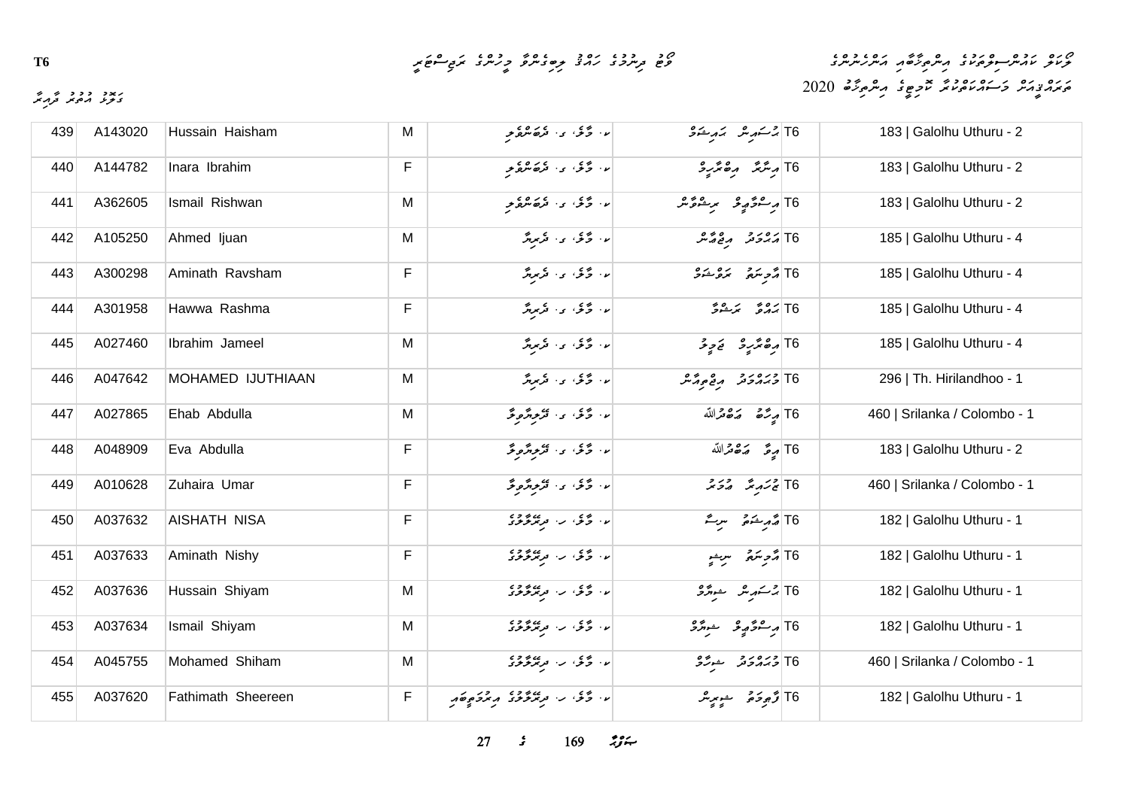*sCw7q7s5w7m< o<n9nOoAw7o< sCq;mAwBoEw7q<m; wBm;vB* م من المرة المرة المرة المرجع المرجع في المركبة 2020<br>مجم*د المريض المربوط المربع المرجع في المراجع المركبة* 

| ريده دوه و.<br>ديونز مهمد ترميز |  |
|---------------------------------|--|
|                                 |  |

| A143020 | Hussain Haisham     | M | پارستخوا کی افزاد میگرفتر                                           |  | 183   Galolhu Uthuru - 2                                                                                                                                                                                                                                                                                                                                                                                                                                                                                                                                                                                                                                                                  |
|---------|---------------------|---|---------------------------------------------------------------------|--|-------------------------------------------------------------------------------------------------------------------------------------------------------------------------------------------------------------------------------------------------------------------------------------------------------------------------------------------------------------------------------------------------------------------------------------------------------------------------------------------------------------------------------------------------------------------------------------------------------------------------------------------------------------------------------------------|
| A144782 | Inara Ibrahim       | F | پارسی کار کار ۲۵ میلی محر                                           |  | 183   Galolhu Uthuru - 2                                                                                                                                                                                                                                                                                                                                                                                                                                                                                                                                                                                                                                                                  |
| A362605 | Ismail Rishwan      | M | $v^{\circ}$ , $v^{\circ}$ , $v^{\circ}$ , $v^{\circ}$ , $v^{\circ}$ |  | 183   Galolhu Uthuru - 2                                                                                                                                                                                                                                                                                                                                                                                                                                                                                                                                                                                                                                                                  |
| A105250 | Ahmed Ijuan         | M | لا المحمق الأرامج مع معرض                                           |  | 185   Galolhu Uthuru - 4                                                                                                                                                                                                                                                                                                                                                                                                                                                                                                                                                                                                                                                                  |
| A300298 | Aminath Ravsham     | F | لا المحكى الماس المحرجين                                            |  | 185   Galolhu Uthuru - 4                                                                                                                                                                                                                                                                                                                                                                                                                                                                                                                                                                                                                                                                  |
| A301958 | Hawwa Rashma        | F | الاستخرى الماست المريماني                                           |  | 185   Galolhu Uthuru - 4                                                                                                                                                                                                                                                                                                                                                                                                                                                                                                                                                                                                                                                                  |
| A027460 | Ibrahim Jameel      | M | پار گرگی کار انگریزدگر                                              |  | 185   Galolhu Uthuru - 4                                                                                                                                                                                                                                                                                                                                                                                                                                                                                                                                                                                                                                                                  |
| A047642 | MOHAMED IJUTHIAAN   | M | لا المحمق الأرامج مع معرض                                           |  | 296   Th. Hirilandhoo - 1                                                                                                                                                                                                                                                                                                                                                                                                                                                                                                                                                                                                                                                                 |
| A027865 | Ehab Abdulla        | M | ئەس ئۇ ئەس ئۇچەترەتى                                                |  | 460   Srilanka / Colombo - 1                                                                                                                                                                                                                                                                                                                                                                                                                                                                                                                                                                                                                                                              |
| A048909 | Eva Abdulla         | F | لا : دَنَنْ أَنْ الْمُرْجَرَّةِ وَ                                  |  | 183   Galolhu Uthuru - 2                                                                                                                                                                                                                                                                                                                                                                                                                                                                                                                                                                                                                                                                  |
| A010628 | Zuhaira Umar        | F | لا د څخه د نگرمگونگ                                                 |  | 460   Srilanka / Colombo - 1                                                                                                                                                                                                                                                                                                                                                                                                                                                                                                                                                                                                                                                              |
| A037632 | <b>AISHATH NISA</b> | F | ً با به دهی را مرتز ده و ،                                          |  | 182   Galolhu Uthuru - 1                                                                                                                                                                                                                                                                                                                                                                                                                                                                                                                                                                                                                                                                  |
| A037633 | Aminath Nishy       | F | ۱۰ د څخه ر ور تر تر تر وي                                           |  | 182   Galolhu Uthuru - 1                                                                                                                                                                                                                                                                                                                                                                                                                                                                                                                                                                                                                                                                  |
| A037636 | Hussain Shiyam      | M | ۱۰ د څخه ر ور تر تر تر وي                                           |  | 182   Galolhu Uthuru - 1                                                                                                                                                                                                                                                                                                                                                                                                                                                                                                                                                                                                                                                                  |
| A037634 | Ismail Shiyam       | M | ۱۰ د څخه ر ور تر تر تر وي                                           |  | 182   Galolhu Uthuru - 1                                                                                                                                                                                                                                                                                                                                                                                                                                                                                                                                                                                                                                                                  |
| A045755 | Mohamed Shiham      | M | ۱۰ د څخه ار او پر ټرنونور                                           |  | 460   Srilanka / Colombo - 1                                                                                                                                                                                                                                                                                                                                                                                                                                                                                                                                                                                                                                                              |
| A037620 | Fathimath Sheereen  | F | ۱۰ د د. د مرکزد د بردوه م                                           |  | 182   Galolhu Uthuru - 1                                                                                                                                                                                                                                                                                                                                                                                                                                                                                                                                                                                                                                                                  |
|         |                     |   |                                                                     |  | T6  يرسكوبى <i>گ بزو</i> سكونى<br>T6 م <i>ېنگېر م</i> ېنگېږ <i>د</i><br>T6  مرےد <sub>گو</sub> یو  مرےدگر<br>T6 <i>ב ب</i> حقہ مقصد<br>T6 م <i>ُّحِ مَرَّمَّۃُ مَوَ</i> حَدَ <i>دُ</i><br>T6 <i>بَدْهُ \$</i> بَرْشْرَدُّ<br>T6 <sub>مر</sub> ھ <i>مگرد</i> و تح <sub>حی</sub> و<br>T6 <i>جُهُودُو بِهِ وقومٌ مَّرُ</i><br>T6 م <i>ِرْدَّة مَدَّهْ</i> قَرَاللَّه<br>T6 م <i>وقد مَنْ هُنْد</i> الله<br>T6 ي <i>ح ترم بگر</i> محمد محمد<br>T6 مُرمِشَعُ سِرْمٌ<br>T6 م <i>ُّوسَع</i> ْ سِٹ<br>T6 يُرْسَمَّرِ مُّثَّرِ مُشَرِّرَةِ مُنْ الْمُتَعَرِّرَةِ مُنْ ا<br>T6  <sub>مر</sub> عوم محمد محمد المحمد المحمد المحمد<br>T6  <i>32,352 جورمبر</i><br>T6 <i>وُمِودَهُ</i> موسٍ <i>م</i> ُ |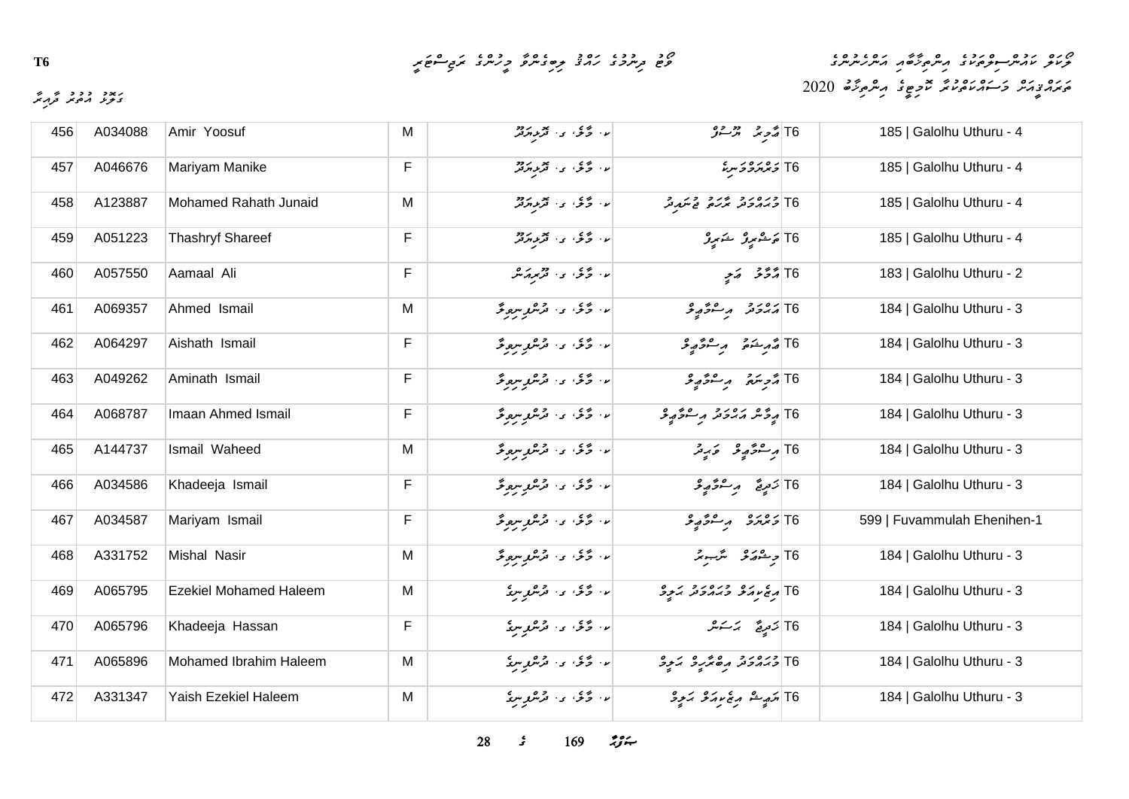*sCw7q7s5w7m< o<n9nOoAw7o< sCq;mAwBoEw7q<m; wBm;vB* م من المرة المرة المرة المرجع المرجع في المركبة 2020<br>مجم*د المريض المربوط المربع المرجع في المراجع المركبة* 

| 456 | A034088 | Amir Yoosuf                   | M           | الا المحمق المحمد المحمد المحمد المحمد المحمد المحمد المحمد المحمد المحمد المحمد المحمد المحمد المحمد | T6 م <i>جُوبِرْ بُرْكَبُرْ</i>                            | 185   Galolhu Uthuru - 4    |
|-----|---------|-------------------------------|-------------|-------------------------------------------------------------------------------------------------------|-----------------------------------------------------------|-----------------------------|
| 457 | A046676 | Mariyam Manike                | F           | ما المحموم المحمد المحمد المحمد المحمد المحمد المحمد المحمد المحمد المحمد المحمد المحمد المحمد الم    | T6 <i>كەنگەنگە كەس</i> رىئە                               | 185   Galolhu Uthuru - 4    |
| 458 | A123887 | Mohamed Rahath Junaid         | M           | پار گ <sup>ی</sup> گی کار میں پروژگی                                                                  | T6 دره در و بررو و مرد د                                  | 185   Galolhu Uthuru - 4    |
| 459 | A051223 | <b>Thashryf Shareef</b>       | F           | الا المحمق الماسم المتحد برود.<br>الاستحقاق المحمد المتحدد المحمد                                     | T6 كۆش <sup>ى</sup> مېر <i>ۇ شەيرۇ</i>                    | 185   Galolhu Uthuru - 4    |
| 460 | A057550 | Aamaal Ali                    | F           | لا د څکې د ترمرم ش                                                                                    | T6 \$رَجَّة - رَبِّ                                       | 183   Galolhu Uthuru - 2    |
| 461 | A069357 | Ahmed Ismail                  | M           | الا اڭگى كە قرىتروپىدۇ.                                                                               | T6 <i>גُرُدَدَ ب</i> ِ مُؤْمِرُ و                         | 184   Galolhu Uthuru - 3    |
| 462 | A064297 | Aishath Ismail                | F           | ئار ئۇنى كى ئەرگىرىلىرىدىگە                                                                           | T6مۇم شەھرە بەر <i>مۇم</i> بۇ                             | 184   Galolhu Uthuru - 3    |
| 463 | A049262 | Aminath Ismail                | $\mathsf F$ | لا گرگا دا ترش سعر گر                                                                                 | T6 مُرجِسَمُ مِنْ مُرْمَدِ وَ                             | 184   Galolhu Uthuru - 3    |
| 464 | A068787 | Imaan Ahmed Ismail            | F           | لا گرگا دا ترش سعر گر                                                                                 | T6 <sub>مو</sub> ۇند <i>مەدەتر م</i> ېشۇم <sub>ۇ</sub> ئى | 184   Galolhu Uthuru - 3    |
| 465 | A144737 | Ismail Waheed                 | M           | الا المحمق الماء المرتكز للمعالج                                                                      | T6  مرشۇم <sub>ۇ</sub> ئەرىر                              | 184   Galolhu Uthuru - 3    |
| 466 | A034586 | Khadeeja Ismail               | F           | لاستخرى كالممرس ومحر سرجانتي                                                                          | T6 كَتْرِيعٌ - مِ <sup>س</sup> ْوَّمِيوْ -                | 184   Galolhu Uthuru - 3    |
| 467 | A034587 | Mariyam Ismail                | F           | الاستخلابي وتمكن للمعارض                                                                              | T6تح <i>میرڈ م</i> یشو <i>گھ</i> و                        | 599   Fuvammulah Ehenihen-1 |
| 468 | A331752 | Mishal Nasir                  | M           | لا د څخه د وگرېږمبرې                                                                                  | T6 <i>جىشۇنىڭ مىگىبى</i> تى                               | 184   Galolhu Uthuru - 3    |
| 469 | A065795 | <b>Ezekiel Mohamed Haleem</b> | M           | الله دمجني الماء المرتكزين للمرتج                                                                     | T6 <sub>م</sub> تج <i>بارو وبرودو ب</i> كرو               | 184   Galolhu Uthuru - 3    |
| 470 | A065796 | Khadeeja Hassan               | F           | لا د څکې د افریقي سرگا                                                                                | T6 زَمَرِیَجُ ) پَرَسَرْ مَرْ                             | 184   Galolhu Uthuru - 3    |
| 471 | A065896 | Mohamed Ibrahim Haleem        | M           | ئار گەنگۇر كەر بەرگە ئارىكى بولگە                                                                     | T6 <i>ديورو وهنڙي</i> و پروو                              | 184   Galolhu Uthuru - 3    |
| 472 | A331347 | Yaish Ezekiel Haleem          | M           | الله دمجني الارتكار وترتبه                                                                            | T6 <i>مَهِ</i> يْ مِيَّ مِيْ مَدَّى مَعِي <sup>ْ</sup> ةِ | 184   Galolhu Uthuru - 3    |

*28 sC 169 nNw?mS*

*n8o<n@ q8qAq< q:uBmC*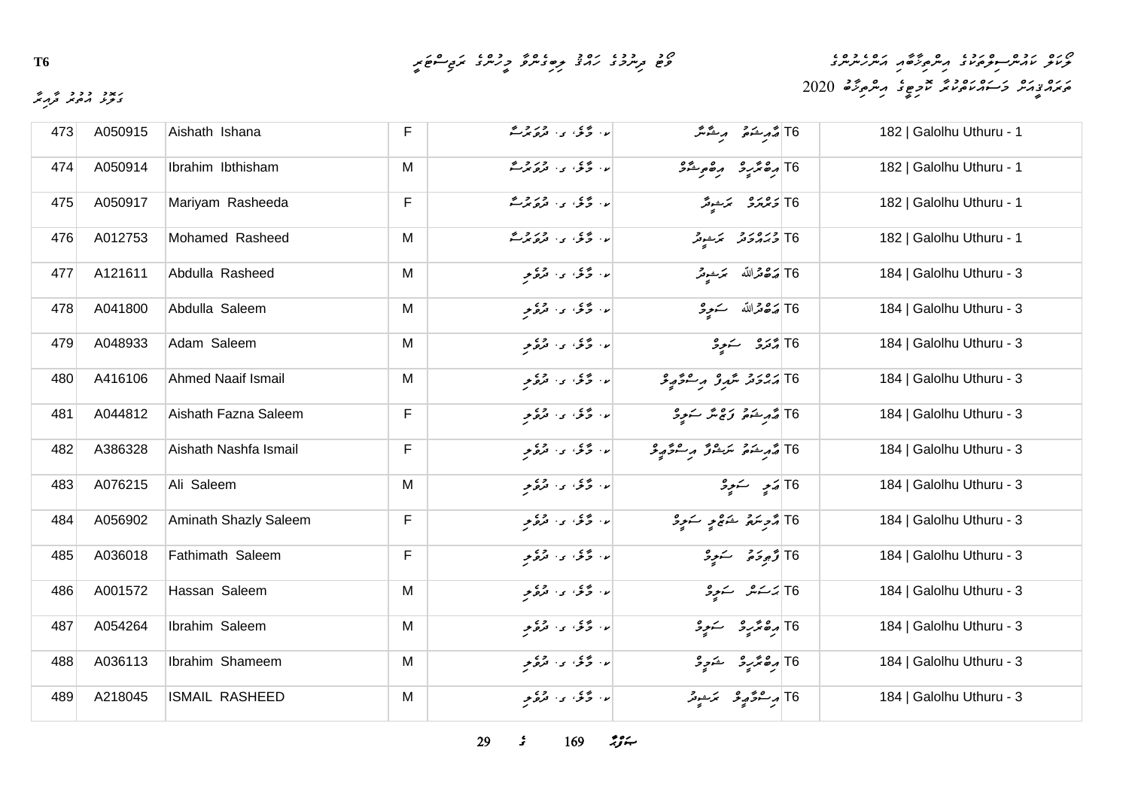*sCw7q7s5w7m< o<n9nOoAw7o< sCq;mAwBoEw7q<m; wBm;vB* م من المرة المرة المرة المرجع المرجع في المركبة 2020<br>مجم*د المريض المربوط المربع المرجع في المراجع المركبة* 

| 473 | A050915 | Aishath Ishana            | $\mathsf F$ | لا . ۇ ئى ، ئە ئەرەپرىش  | T6 <i>مُفْہِشَمْہِ مِ</i> شَمَّر                     | 182   Galolhu Uthuru - 1 |
|-----|---------|---------------------------|-------------|--------------------------|------------------------------------------------------|--------------------------|
| 474 | A050914 | Ibrahim Ibthisham         | M           | لا : د د د وړوگ          | T6 مەمگرى <sup>5</sup> مەھمىشگ                       | 182   Galolhu Uthuru - 1 |
| 475 | A050917 | Mariyam Rasheeda          | F           | لا : د د د و د و د د ش   | T6 <i>وَيُرْمَرُوْ يَرَجُومُ</i> ّ                   | 182   Galolhu Uthuru - 1 |
| 476 | A012753 | Mohamed Rasheed           | M           | لا : د څو ، د ، د ده ټرگ | T6 <i>وُبَرُوْدُوْ بَرَحْ</i> مِتْر                  | 182   Galolhu Uthuru - 1 |
| 477 | A121611 | Abdulla Rasheed           | M           | الا گرگی که فرونو        | T6 كَدَّهْ مَرْ لَلَّهُ مَرَ شَوْمَرُ                | 184   Galolhu Uthuru - 3 |
| 478 | A041800 | Abdulla Saleem            | M           | لا گرگا ی فروم           | T6 كەچەتراللە ك <b>ى</b> رى                          | 184   Galolhu Uthuru - 3 |
| 479 | A048933 | Adam Saleem               | M           | الاستخرى المساورة ويجمع  | T6 مُحَمَّدٌ سَمَوِدٌ                                | 184   Galolhu Uthuru - 3 |
| 480 | A416106 | <b>Ahmed Naaif Ismail</b> | M           | لا گرگا ی فروم           | T6 <i>גُ.دُدَة. سُهِ وُ مِ</i> ـــْمُوَّهِ وَ        | 184   Galolhu Uthuru - 3 |
| 481 | A044812 | Aishath Fazna Saleem      | $\mathsf F$ | لا گرگا ی فروم           | T6 م <i>ۇم شەقر زېمىگر سەرد</i> ۇ                    | 184   Galolhu Uthuru - 3 |
| 482 | A386328 | Aishath Nashfa Ismail     | $\mathsf F$ | لا انځنگه ای انگرونو     | T6مەخكى مىشۇ مەش <i>ۇم</i> ۇ                         | 184   Galolhu Uthuru - 3 |
| 483 | A076215 | Ali Saleem                | M           | لا گرگا ی فروم           | T6 <i>ڇَوِ خوچ</i>                                   | 184   Galolhu Uthuru - 3 |
| 484 | A056902 | Aminath Shazly Saleem     | $\mathsf F$ | لا گرگا ی فروم           | T6 مُر <i>ْجِسَة</i> شَهْرَمِ سَوِرْ                 | 184   Galolhu Uthuru - 3 |
| 485 | A036018 | Fathimath Saleem          | $\mathsf F$ | لا گرگی ی فروگو          | T6 ز <sub>نج بح</sub> رقه سکرد د                     | 184   Galolhu Uthuru - 3 |
| 486 | A001572 | Hassan Saleem             | M           | لا گرگی ی فروگو          | T6 ټر <i>شمر شوی</i>                                 | 184   Galolhu Uthuru - 3 |
| 487 | A054264 | Ibrahim Saleem            | M           | الا انحق المالادي        | T6 <sub>م</sub> ەنزى <sub>ر</sub> و سىرو             | 184   Galolhu Uthuru - 3 |
| 488 | A036113 | Ibrahim Shameem           | M           | الاستخرى المساورة ويجمع  | T6 <sub>مر</sub> ھ م <i>گرد</i> و شکورو              | 184   Galolhu Uthuru - 3 |
| 489 | A218045 | <b>ISMAIL RASHEED</b>     | M           | لا د څخه د لمره وه       | T6 <sub>م</sub> رےد <i>و <sub>م</sub>وٹی مرحوم</i> ر | 184   Galolhu Uthuru - 3 |

*29 sC 169 nNw?mS*

*n8o<n@ q8qAq< q:uBmC*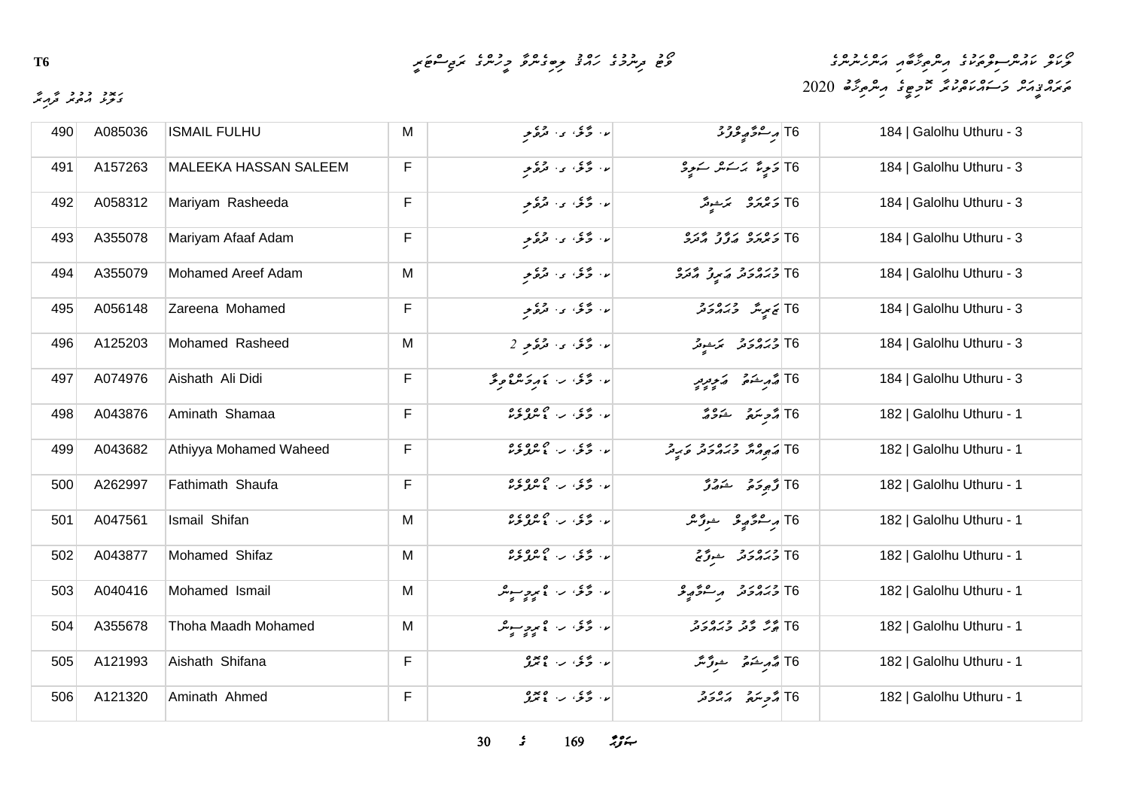*sCw7q7s5w7m< o<n9nOoAw7o< sCq;mAwBoEw7q<m; wBm;vB* م من المسجد المسجد المسجد المسجد المسجد العام 2020<br>مسجد المسجد المسجد المسجد المسجد المسجد المسجد المسجد المسجد ال

# *n8o<n@ q8qAq< q:uBmC*

| 490 | A085036 | <b>ISMAIL FULHU</b>          | M           | ۱۰ د څخه د اورونو                                                                                             | .T6 <sub>م</sub> ېشۇم <i>پۇز</i> ۇ                                             | 184   Galolhu Uthuru - 3 |
|-----|---------|------------------------------|-------------|---------------------------------------------------------------------------------------------------------------|--------------------------------------------------------------------------------|--------------------------|
| 491 | A157263 | <b>MALEEKA HASSAN SALEEM</b> | $\mathsf F$ | الأرمح يحادث ودهامو                                                                                           | T6 ك <sup>ې</sup> پر كىمى كىلىمى كىلىمى كىلىمى كىلىمى ئىلىمى ئىلىمى ئىلىمى ئىل | 184   Galolhu Uthuru - 3 |
| 492 | A058312 | Mariyam Rasheeda             | F           | الا انحلی ای فرونو                                                                                            | T6 ك <i>رىگە كەخوش</i>                                                         | 184   Galolhu Uthuru - 3 |
| 493 | A355078 | Mariyam Afaaf Adam           | $\mathsf F$ | الأرمح في المار ومي للمستخدم المستخدم المستخدم المستخدم المستخدم المستخدم المستخدم المستخدم المستخدم المستخدم | T6 كەبۇر <i>ە مۇۋۇ مەترە</i>                                                   | 184   Galolhu Uthuru - 3 |
| 494 | A355079 | Mohamed Areef Adam           | M           | الا انگی کا فرونو                                                                                             | T6 دُبَرُ دُور دَبِرِ دُبَرَدُ "                                               | 184   Galolhu Uthuru - 3 |
| 495 | A056148 | Zareena Mohamed              | F           | الأستحق الماستي ومحالج                                                                                        | T6 نح <i>م</i> رِسَّر     دحمہ در قر                                           | 184   Galolhu Uthuru - 3 |
| 496 | A125203 | Mohamed Rasheed              | M           | $2 - 2 - 3 - 5$ الله عن قرار د د المراد د د الس                                                               | T6  <i>32,325 بَرَحُوبَرُ</i>                                                  | 184   Galolhu Uthuru - 3 |
| 497 | A074976 | Aishath Ali Didi             | F           | لار ۇقتار، ئامەد ئىردى بوڭر                                                                                   | T6 <i>جُهِيشَمُ - مَيُوبِرِيدِ</i>                                             | 184   Galolhu Uthuru - 3 |
| 498 | A043876 | Aminath Shamaa               | $\mathsf F$ | لار گەنگەر ئەھرىم كەن                                                                                         | T6 مَّحِسَمَّةٌ شَخَّةٌ                                                        | 182   Galolhu Uthuru - 1 |
| 499 | A043682 | Athiyya Mohamed Waheed       | $\mathsf F$ | لار گەنگەر، كەنگە ئەرە                                                                                        | T6 <i>مَهِ مَهُ مَنْ مَرَوْدَ</i> عَرِيْرَ                                     | 182   Galolhu Uthuru - 1 |
| 500 | A262997 | Fathimath Shaufa             | $\mathsf F$ | لار گەنى بەر ئەندى ئەندى                                                                                      | T6 <i>وَّجِوَدَة</i> شَ <i>مَدَوْ</i>                                          | 182   Galolhu Uthuru - 1 |
| 501 | A047561 | Ismail Shifan                | M           | ، دې رې ووه وه                                                                                                | T6 م <i>ېشۇمۇ</i> خو <i>ۋىل</i>                                                | 182   Galolhu Uthuru - 1 |
| 502 | A043877 | Mohamed Shifaz               | M           | لار گەنى بەر ئەبلار ئور                                                                                       | $76$ كَرَكْرُكُمْ سُورٌّجْ                                                     | 182   Galolhu Uthuru - 1 |
| 503 | A040416 | Mohamed Ismail               | M           | لا کامی را جمهور باش                                                                                          | T6 <i>جەممىقى م</i> ېشى <i>ۋە پى</i>                                           | 182   Galolhu Uthuru - 1 |
| 504 | A355678 | Thoha Maadh Mohamed          | M           | لار گرمی برا کا مرد سویل                                                                                      | T6   پڑ ڈی دی۔<br>مسلمان                                                       | 182   Galolhu Uthuru - 1 |
| 505 | A121993 | Aishath Shifana              | $\mathsf F$ | ر، ۇى ر. ئايرو                                                                                                | T6 <i>مُقدِسْدَة</i> سُورٌسَّر                                                 | 182   Galolhu Uthuru - 1 |
| 506 | A121320 | Aminath Ahmed                | F           | ر، ۇىق ر. مېغرو                                                                                               | T6 مَّحِسَمَ مَ <sup>رو</sup> دَ                                               | 182   Galolhu Uthuru - 1 |

**30** *s* **169** *n***<sub>s</sub>***n***<sub>s</sub>**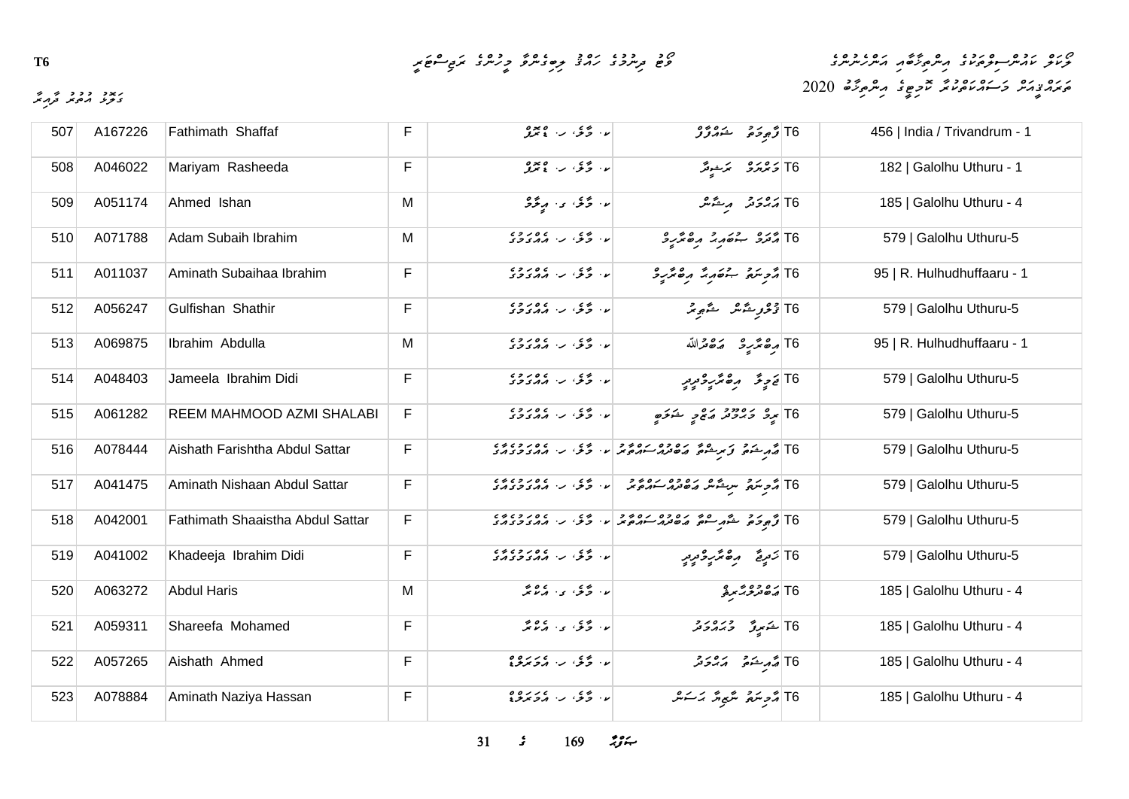*sCw7q7s5w7m< o<n9nOoAw7o< sCq;mAwBoEw7q<m; wBm;vB* م من المسجد المسجد المسجد المسجد المسجد العام 2020<br>مسجد المسجد المسجد المسجد المسجد المسجد المسجد المسجد المسجد ال

## *n8o<n@ q8qAq< q:uBmC*

| 507 | A167226 | Fathimath Shaffaf                | F            | ىر، ئۇنۇ، سەر قىمتى <sup>9</sup>                                                                                                                                                                                                                                                                                            | T6 <i>وَّجِودَة</i> ش <i>ەرو</i> و                                                                                                                                                                                                                                                                                          | 456   India / Trivandrum - 1 |
|-----|---------|----------------------------------|--------------|-----------------------------------------------------------------------------------------------------------------------------------------------------------------------------------------------------------------------------------------------------------------------------------------------------------------------------|-----------------------------------------------------------------------------------------------------------------------------------------------------------------------------------------------------------------------------------------------------------------------------------------------------------------------------|------------------------------|
| 508 | A046022 | Mariyam Rasheeda                 | F            | ر، ۇى ر. مېيوه                                                                                                                                                                                                                                                                                                              | T6 كىمىر كىمى كىمىدىگە                                                                                                                                                                                                                                                                                                      | 182   Galolhu Uthuru - 1     |
| 509 | A051174 | Ahmed Ishan                      | M            | پارسی کا در مرگز                                                                                                                                                                                                                                                                                                            | T6 <i>ټرې تو</i> پر ش <i>گر</i>                                                                                                                                                                                                                                                                                             | 185   Galolhu Uthuru - 4     |
| 510 | A071788 | Adam Subaih Ibrahim              | M            | $\frac{c_7}{c_7}$ , $\frac{c_8}{c_8}$ , $\frac{c_9}{c_8}$ , $\frac{c_9}{c_8}$                                                                                                                                                                                                                                               | T6 أَمُّ تَرَدُّ بِمُعَهُّدٍ مِعْمُّدِدُ                                                                                                                                                                                                                                                                                    | 579   Galolhu Uthuru-5       |
| 511 | A011037 | Aminath Subaihaa Ibrahim         | $\mathsf F$  | $\begin{bmatrix} 1 & 0 & 0 & 0 & 0 \\ 0 & 0 & 0 & 0 & 0 \\ 0 & 0 & 0 & 0 & 0 \\ 0 & 0 & 0 & 0 & 0 \\ 0 & 0 & 0 & 0 & 0 \\ 0 & 0 & 0 & 0 & 0 \\ 0 & 0 & 0 & 0 & 0 \\ 0 & 0 & 0 & 0 & 0 \\ 0 & 0 & 0 & 0 & 0 \\ 0 & 0 & 0 & 0 & 0 \\ 0 & 0 & 0 & 0 & 0 \\ 0 & 0 & 0 & 0 & 0 & 0 \\ 0 & 0 & 0 & 0 & 0 & 0 \\ 0 & 0 & 0 & 0 & $ | T6 أَمُوسَمَّدٍ مَقْصَدِيَّةٍ مِنْ مُحَمَّدِةٍ                                                                                                                                                                                                                                                                              | 95   R. Hulhudhuffaaru - 1   |
| 512 | A056247 | Gulfishan Shathir                | F            | ، دې را پاره ده                                                                                                                                                                                                                                                                                                             | T6 تۇقرىيەتكىر مەھ <sub>ب</sub> ىر                                                                                                                                                                                                                                                                                          | 579   Galolhu Uthuru-5       |
| 513 | A069875 | Ibrahim Abdulla                  | M            | پارسی کی در ده در ده                                                                                                                                                                                                                                                                                                        | T6 م <i>ِ هُمَّرِ وَ مَ</i> هُمَّاللَّه                                                                                                                                                                                                                                                                                     | 95   R. Hulhudhuffaaru - 1   |
| 514 | A048403 | Jameela Ibrahim Didi             | $\mathsf{F}$ | لا د څخه لر ، ده د ده                                                                                                                                                                                                                                                                                                       | T6 <i>ف<sub>َ</sub> جِرْدَ بِرەڭ بِرْدْ بِرِير</i> ِ                                                                                                                                                                                                                                                                        | 579   Galolhu Uthuru-5       |
| 515 | A061282 | REEM MAHMOOD AZMI SHALABI        | $\mathsf F$  | ر وي را ده ده.<br>دا گرگ را دورد د                                                                                                                                                                                                                                                                                          | T6 برڈ کرووو کروپر خکوہ                                                                                                                                                                                                                                                                                                     | 579   Galolhu Uthuru-5       |
| 516 | A078444 | Aishath Farishtha Abdul Sattar   | $\mathsf F$  |                                                                                                                                                                                                                                                                                                                             | $\frac{1}{2}$ , $\frac{1}{2}$ , $\frac{1}{2}$ , $\frac{1}{2}$ , $\frac{1}{2}$ , $\frac{1}{2}$ , $\frac{1}{2}$ , $\frac{1}{2}$ , $\frac{1}{2}$ , $\frac{1}{2}$ , $\frac{1}{2}$ , $\frac{1}{2}$ , $\frac{1}{2}$ , $\frac{1}{2}$ , $\frac{1}{2}$ , $\frac{1}{2}$ , $\frac{1}{2}$ , $\frac{1}{2}$ , $\frac{$                    | 579   Galolhu Uthuru-5       |
| 517 | A041475 | Aminath Nishaan Abdul Sattar     | $\mathsf F$  |                                                                                                                                                                                                                                                                                                                             | $\begin{vmatrix} 1 & 1 & 1 & 1 & 1 \\ 1 & 1 & 1 & 1 & 1 \\ 1 & 1 & 1 & 1 & 1 \\ 1 & 1 & 1 & 1 & 1 \\ 1 & 1 & 1 & 1 & 1 \\ 1 & 1 & 1 & 1 & 1 \\ 1 & 1 & 1 & 1 & 1 \\ 1 & 1 & 1 & 1 & 1 \\ 1 & 1 & 1 & 1 & 1 \\ 1 & 1 & 1 & 1 & 1 \\ 1 & 1 & 1 & 1 & 1 \\ 1 & 1 & 1 & 1 & 1 \\ 1 & 1 & 1 & 1 & 1 \\ 1 & 1 & 1 & 1 & 1 \\ 1 &$ | 579   Galolhu Uthuru-5       |
| 518 | A042001 | Fathimath Shaaistha Abdul Sattar | F            |                                                                                                                                                                                                                                                                                                                             | $76$ , $75.700$ , $75.700$ , $75.700$ , $75.700$ , $75.700$                                                                                                                                                                                                                                                                 | 579   Galolhu Uthuru-5       |
| 519 | A041002 | Khadeeja Ibrahim Didi            | F            | ر د محتوی را ۱۵۵ و د ۲۵ و د<br>را محتوی را امام د ۲۵ و د امام                                                                                                                                                                                                                                                               | T6 كَتَرِيعٌ مِنْ مُرْكِزَّةٍ مِرْمَرِ                                                                                                                                                                                                                                                                                      | 579   Galolhu Uthuru-5       |
| 520 | A063272 | <b>Abdul Haris</b>               | M            | ىن ۇىق يەسمىگە                                                                                                                                                                                                                                                                                                              | T6 كەھەر <i>ئوبر</i> بىر ئ <sub>ە</sub>                                                                                                                                                                                                                                                                                     | 185   Galolhu Uthuru - 4     |
| 521 | A059311 | Shareefa Mohamed                 | $\mathsf F$  | لا د څخه د کام په                                                                                                                                                                                                                                                                                                           | T6 خ <i>تىرۇ ئىمگەن</i> گە                                                                                                                                                                                                                                                                                                  | 185   Galolhu Uthuru - 4     |
| 522 | A057265 | Aishath Ahmed                    | $\mathsf{F}$ | ، د څو، ر. پروبروه                                                                                                                                                                                                                                                                                                          | T6م محمد مشرح محمد المحمد السياسية السياسية<br>المحمد المحمد المحمد المحمد السياسية السياسية السياسية السياسية السياسية                                                                                                                                                                                                     | 185   Galolhu Uthuru - 4     |
| 523 | A078884 | Aminath Naziya Hassan            | F            | ، دُی، رَ، دوبروه                                                                                                                                                                                                                                                                                                           | T6 مُرْحِسَةٌ سُّمِيةٌ مَسَسْرٌ                                                                                                                                                                                                                                                                                             | 185   Galolhu Uthuru - 4     |

*31 s 169 <i>n*<sub>x</sub>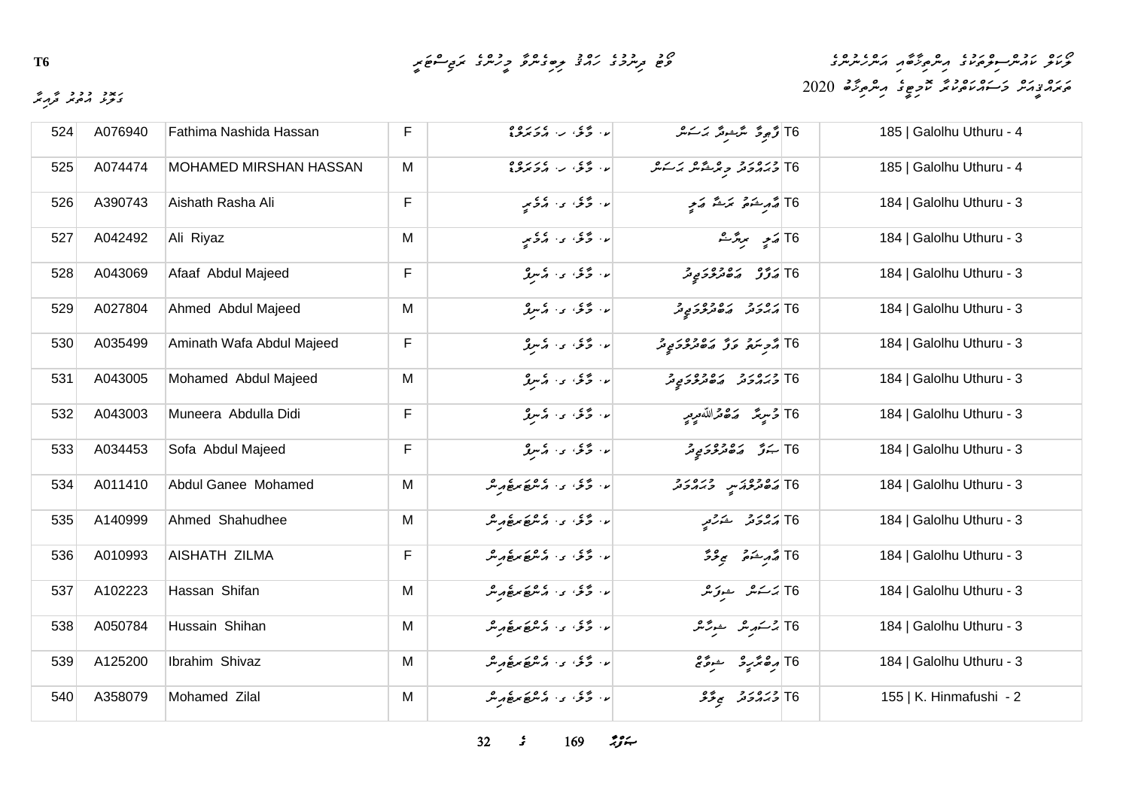*sCw7q7s5w7m< o<n9nOoAw7o< sCq;mAwBoEw7q<m; wBm;vB* م من المسجد المسجد المسجد المسجد المسجد العام 2020<br>مسجد المسجد المسجد المسجد المسجد المسجد المسجد المسجد المسجد ال

| 524 | A076940 | Fathima Nashida Hassan        | F            | لا د څخه را پروتروه                                                                         | T6 <i>وَّج</i> ودٌ سَّرْجونَّہ بَرْسَمْسُ                                                                 | 185   Galolhu Uthuru - 4 |
|-----|---------|-------------------------------|--------------|---------------------------------------------------------------------------------------------|-----------------------------------------------------------------------------------------------------------|--------------------------|
| 525 | A074474 | <b>MOHAMED MIRSHAN HASSAN</b> | M            | $\begin{bmatrix} 0 & 0 & 0 & 0 & 0 \\ 0 & 0 & 0 & 0 & 0 \\ 0 & 0 & 0 & 0 & 0 \end{bmatrix}$ | T6 <i>ورورو ومرشر مرکبر</i> مر                                                                            | 185   Galolhu Uthuru - 4 |
| 526 | A390743 | Aishath Rasha Ali             | $\mathsf{F}$ | ، د څو، د اړوبې                                                                             | T6 صُرِحَة حَرَحَتْ صَعِ                                                                                  | 184   Galolhu Uthuru - 3 |
| 527 | A042492 | Ali Riyaz                     | M            | لار څخه ی گرځ مړ                                                                            | T6 کی موبر میں شہر ہے۔<br>م                                                                               | 184   Galolhu Uthuru - 3 |
| 528 | A043069 | Afaaf Abdul Majeed            | F            | پارسمجنۍ او اوسولا                                                                          | T6 <i>ړَرُّوْ په مورود پ</i> وتر                                                                          | 184   Galolhu Uthuru - 3 |
| 529 | A027804 | Ahmed Abdul Majeed            | M            | لا د څخه د امکس                                                                             | T6 <i>גُرُونر   ډەودونونر</i>                                                                             | 184   Galolhu Uthuru - 3 |
| 530 | A035499 | Aminath Wafa Abdul Majeed     | F            | $x^2 - 2x^3 - 1$ المستق                                                                     | T6 <i>مُجِسَعَ وَوُّ مَ</i> صَ <i>وَوْدَ وِ</i> مَ                                                        | 184   Galolhu Uthuru - 3 |
| 531 | A043005 | Mohamed Abdul Majeed          | M            | لا د څخه د د کمپنۍ                                                                          | 76 درەر دې مەدەبەر دەر<br>16 دېرمەتر مەھىر دەبىر                                                          | 184   Galolhu Uthuru - 3 |
| 532 | A043003 | Muneera Abdulla Didi          | $\mathsf F$  | لا د څخه د کامبر                                                                            | T6   جُسِيَّد   شَ®مَّدْاللَّهُ مِرْمَرِ                                                                  | 184   Galolhu Uthuru - 3 |
| 533 | A034453 | Sofa Abdul Majeed             | $\mathsf F$  | لا د څخه د کامبرنگ                                                                          | T6 بەرق ھەھىر <i>ۈدۈ ي</i> ەر                                                                             | 184   Galolhu Uthuru - 3 |
| 534 | A011410 | Abdul Ganee Mohamed           | M            | $x^2 - 2x^2 - 3x^2 - 2x^2 - 4x + 1$                                                         | T6 <i>בُھُتَرُوْدَ سِي حُمَدُوَ</i> تَرُ                                                                  | 184   Galolhu Uthuru - 3 |
| 535 | A140999 | Ahmed Shahudhee               | M            | $x^2 - 2x^2 - 3x^2 - 3x + 4$                                                                | T6 كەيمە <i>كەنتى ھەر</i> تىر                                                                             | 184   Galolhu Uthuru - 3 |
| 536 | A010993 | <b>AISHATH ZILMA</b>          | $\mathsf F$  |                                                                                             | T6مەيدىقى ئ <sub>ىم</sub> وگە                                                                             | 184   Galolhu Uthuru - 3 |
| 537 | A102223 | Hassan Shifan                 | M            | $x^2 + 2x + 2x + 3 = 0$                                                                     | T6 <i>يز شوق شوق ه</i>                                                                                    | 184   Galolhu Uthuru - 3 |
| 538 | A050784 | Hussain Shihan                | M            |                                                                                             | T6 يُرْسَمْ مِيْتَ عَبَدَ مِيْتَ مِيْتَ مِيْتَ مِيْتَ مِيْتَ مِيْتَ مِيْتَ مِيْتَ مِيْتَ مِيْتَ مِي<br>من | 184   Galolhu Uthuru - 3 |
| 539 | A125200 | Ibrahim Shivaz                | M            | $x^2 - 2x^2 - 3x + 2x + 3x + 4$                                                             | T6 م <i>ەھترى</i> شى <i>مۇ</i> ج                                                                          | 184   Galolhu Uthuru - 3 |
| 540 | A358079 | Mohamed Zilal                 | M            | $x^2 - 2x^2 - 2x^2 - 3x^2 - 4$                                                              | T6 <i>5223 بوقر</i><br>76                                                                                 | 155   K. Hinmafushi - 2  |

*n8o<n@ q8qAq< q:uBmC*

**32** *s* **169** *n***<sub>s</sub>***n***<sub>s</sub>**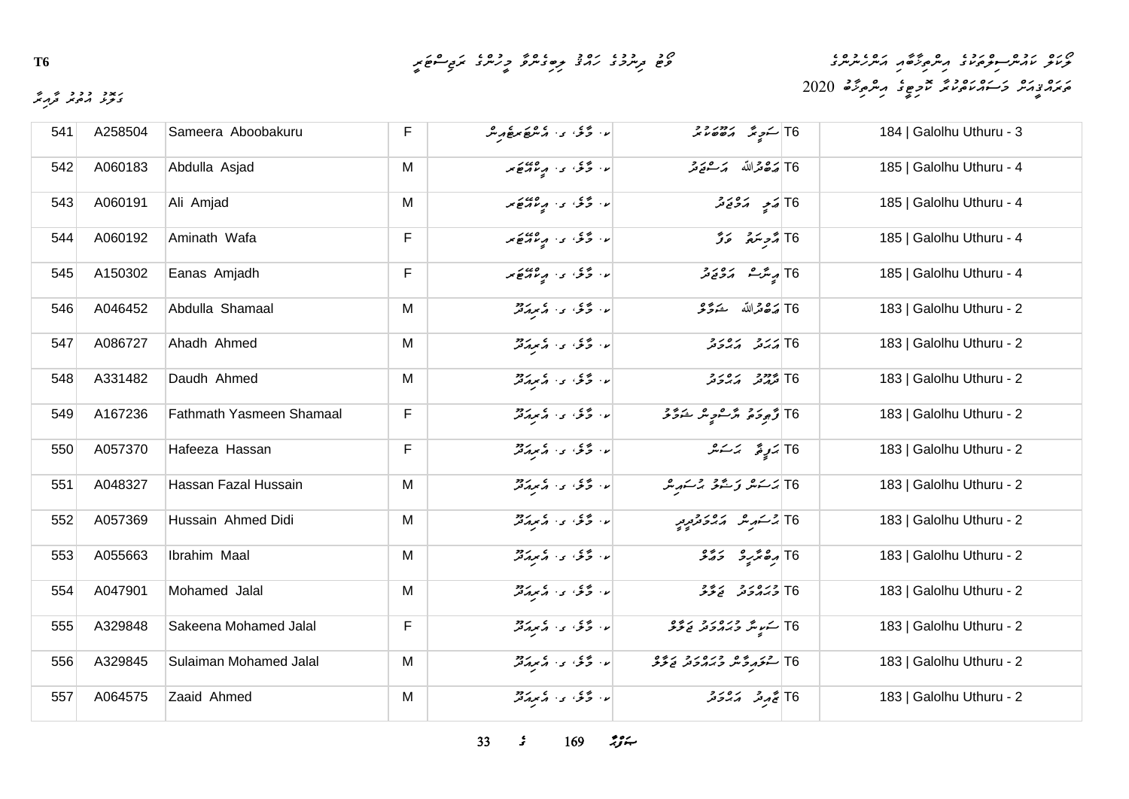*sCw7q7s5w7m< o<n9nOoAw7o< sCq;mAwBoEw7q<m; wBm;vB* م من المرة المرة المرة المرجع المرجع في المركبة 2020<br>مجم*د المريض المربوط المربع المرجع في المراجع المركبة* 

|  | $\mathscr{D}$ $\mathscr{D}$ $\mathscr{D}$ $\mathscr{D}$ $\mathscr{D}$ $\mathscr{D}$ $\mathscr{D}$ $\mathscr{D}$ $\mathscr{D}$ $\mathscr{D}$ $\mathscr{D}$ |
|--|-----------------------------------------------------------------------------------------------------------------------------------------------------------|
|  | ىوى مەير ىرمىر                                                                                                                                            |
|  |                                                                                                                                                           |

| 541 | A258504 | Sameera Aboobakuru       | F           | لاستكف والمتكرة برغاماش                                                                              | 76 س <i>توپر مقصد پر</i>                         | 184   Galolhu Uthuru - 3 |
|-----|---------|--------------------------|-------------|------------------------------------------------------------------------------------------------------|--------------------------------------------------|--------------------------|
| 542 | A060183 | Abdulla Asjad            | M           | $x \overset{co}{\cancel{e}} \overset{o}{\cancel{h}} \overset{o}{\cancel{h}} \overset{o}{\cancel{h}}$ | T6 مَرْهُ مِّرْاللَّهُ مَرْ مُتَوَمِّر           | 185   Galolhu Uthuru - 4 |
| 543 | A060191 | Ali Amjad                | M           | $x \overset{co}{g} \overset{co}{h} y \overset{co}{g}$                                                | T6 <i>ھَجِ   مُ</i> وْتَحَ                       | 185   Galolhu Uthuru - 4 |
| 544 | A060192 | Aminath Wafa             | $\mathsf F$ | $x \overset{cc0}{\cancel{e}} x \overset{c}{\cancel{h}} x$ , $y \overset{c}{\cancel{e}} x$            | T6 مُجِسَعُ وَزَّ                                | 185   Galolhu Uthuru - 4 |
| 545 | A150302 | Eanas Amjadh             | $\mathsf F$ | $x \overset{cc0}{\cancel{e}} x' \overset{c}{\cancel{e}} x' \overset{c}{\cancel{e}} x'$               | T6 <sub>م</sub> يسَرَّے كەم <i>قى</i> رى         | 185   Galolhu Uthuru - 4 |
| 546 | A046452 | Abdulla Shamaal          | M           | پار گ <sup>و</sup> گاه کار در مجمد مرکز                                                              | T6 كَرْجْدْللَّه شَرَّرْ كَرْ                    | 183   Galolhu Uthuru - 2 |
| 547 | A086727 | Ahadh Ahmed              | M           | پار گ <sup>و</sup> گاه کار در مجمد مرکز                                                              | T6 كەبرىتى كەبر <i>ە ب</i> وتىر                  | 183   Galolhu Uthuru - 2 |
| 548 | A331482 | Daudh Ahmed              | M           | پار گ <sup>و</sup> گاه کار در مجمد مرکز                                                              | T6 تروو برور و                                   | 183   Galolhu Uthuru - 2 |
| 549 | A167236 | Fathmath Yasmeen Shamaal | $\mathsf F$ | الاستخرى المستعدد والمحمد فلر                                                                        | T6 <i>وَّجِ دَمَعْ مُرْسُورٍ مُرْ شَرَّ</i> رُوْ | 183   Galolhu Uthuru - 2 |
| 550 | A057370 | Hafeeza Hassan           | F           | لا المحمق الأسلم المجموعة في                                                                         | T6 <i>يَروِجَ يَ</i> سَمَّرُ                     | 183   Galolhu Uthuru - 2 |
| 551 | A048327 | Hassan Fazal Hussain     | M           | لا المحمق الأسلم المجموعة في                                                                         | T6 ئەسەنلەر تەش <i>قى</i> 2 ئەسەرلىر             | 183   Galolhu Uthuru - 2 |
| 552 | A057369 | Hussain Ahmed Didi       | M           | الاستخرار والمتجمع ومحمد فكر                                                                         | T6 پر <i>شہر شہر کی پر ڈو</i> ٹرمیریر            | 183   Galolhu Uthuru - 2 |
| 553 | A055663 | Ibrahim Maal             | M           | پار گ <sup>و</sup> گاه کار در مجمد مرکز                                                              | T6 <sub>م</sub> ەنزىر ئەممى                      | 183   Galolhu Uthuru - 2 |
| 554 | A047901 | Mohamed Jalal            | M           | پار محتی کا در مجمد میران                                                                            | T6 <i>ڈیزوی بی ق</i> وی                          | 183   Galolhu Uthuru - 2 |
| 555 | A329848 | Sakeena Mohamed Jalal    | F           | لا المحتى الاستعاد المعرور                                                                           | T6   سَرِیدَ دَبَرَ دَبَرَ مَعَرَّدَ وَ ا        | 183   Galolhu Uthuru - 2 |
| 556 | A329845 | Sulaiman Mohamed Jalal   | M           | پارسی کی در می کردو                                                                                  | T6 جۇمەر مەدرەردە بەرە                           | 183   Galolhu Uthuru - 2 |
| 557 | A064575 | Zaaid Ahmed              | M           | ، د څو، د مرمدن                                                                                      | T6 يَحْمِدِ مَدْ مَدْ تَحْمَدُ                   | 183   Galolhu Uthuru - 2 |

**33** *s* **169** *n***<sub>s</sub>***n***<sub>s</sub>**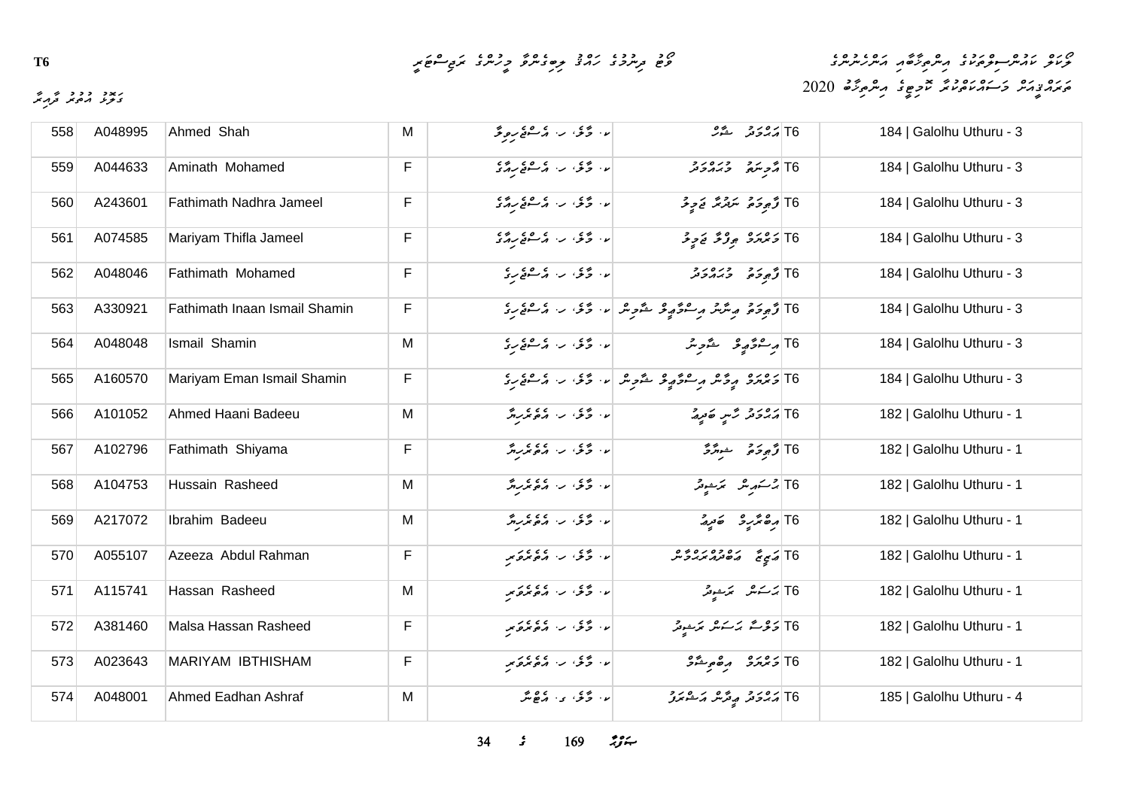*sCw7q7s5w7m< o<n9nOoAw7o< sCq;mAwBoEw7q<m; wBm;vB* م من المسجد المسجد المسجد المسجد المسجد العام 2020<br>مسجد المسجد المسجد المسجد المسجد المسجد المسجد المسجد المسجد ال

| 558 | A048995 | Ahmed Shah                    | M           | لا . د د کال ، د مان د د د گا                                                                                  |                                                                      | 184   Galolhu Uthuru - 3 |
|-----|---------|-------------------------------|-------------|----------------------------------------------------------------------------------------------------------------|----------------------------------------------------------------------|--------------------------|
| 559 | A044633 | Aminath Mohamed               | F           | $\begin{bmatrix} 2 & 2 & 3 & 5 \\ 2 & 3 & 5 & 5 \end{bmatrix}$                                                 | T6 مُر <i>جِسَة دُبَيْدُدُونَد</i>                                   | 184   Galolhu Uthuru - 3 |
| 560 | A243601 | Fathimath Nadhra Jameel       | $\mathsf F$ | $\begin{bmatrix} 1 & 1 & 1 & 1 \\ 1 & 1 & 1 & 1 \\ 1 & 1 & 1 & 1 \end{bmatrix}$                                | T6 <i>وُّجِ دَمَّةَ</i> سَمَ <i>دْيَ</i> ّ مَحَ <i>وِ</i> حْر        | 184   Galolhu Uthuru - 3 |
| 561 | A074585 | Mariyam Thifla Jameel         | $\mathsf F$ | $\begin{bmatrix} 2 & 2 & 3 & 5 \\ 2 & 3 & 5 & 5 \end{bmatrix}$                                                 | T6 كَمْرْتَرْدْ بِوِرْدَّ فَ <sub>ْ</sub> حِرْدَ                     | 184   Galolhu Uthuru - 3 |
| 562 | A048046 | Fathimath Mohamed             | $\mathsf F$ | لا . ۇ ئى ب كەشقىرى                                                                                            | T6 <i>وُجِ دَمَ دُبَهُ دَيْر</i> َ                                   | 184   Galolhu Uthuru - 3 |
| 563 | A330921 | Fathimath Inaan Ismail Shamin | $\mathsf F$ |                                                                                                                | T6 <i>ۋوڭۇ مەشكەر مەشۇم</i> و شۇمەر بىر كۆپ بەر مەسىمەر              | 184   Galolhu Uthuru - 3 |
| 564 | A048048 | Ismail Shamin                 | M           | لا : د د کال د کال د کال د کال د کال د کال د کال د کال د کال د کال د کال د کال د کال د کال د کال د کال د کال د | T6 <sub>م</sub> رىئۇم <sub>ۇ</sub> ئۇرى <i>تى</i>                    | 184   Galolhu Uthuru - 3 |
| 565 | A160570 | Mariyam Eman Ismail Shamin    | F           |                                                                                                                | T6 <i>و ډوره پرځنگر پر سوگړنو څو شو پلا</i> پر عمل د مان د د مان د د | 184   Galolhu Uthuru - 3 |
| 566 | A101052 | Ahmed Haani Badeeu            | M           | $\stackrel{e}{\sim}$ ، د د دولورگر                                                                             | T6 كەبرى قرىر ھ <i>ەبە</i> ر                                         | 182   Galolhu Uthuru - 1 |
| 567 | A102796 | Fathimath Shiyama             | F           | لا : وَفَوْا رَا مُعَوَّرُ مِرَّ                                                                               | T6 <i>وَّجِ دَمَّ</i> شِي <i>رَةً</i>                                | 182   Galolhu Uthuru - 1 |
| 568 | A104753 | Hussain Rasheed               | M           | $\stackrel{e}{\sim}$ ، د د دولورگر                                                                             | T6 کے سک <i>ر مگر مگر می</i> وٹر                                     | 182   Galolhu Uthuru - 1 |
| 569 | A217072 | Ibrahim Badeeu                | M           | لا : د د د ، د ، د و ټررنگر                                                                                    | T6 <sub>م</sub> ەنگەر ئەم <i>رە</i>                                  | 182   Galolhu Uthuru - 1 |
| 570 | A055107 | Azeeza Abdul Rahman           | $\mathsf F$ | لا د څخه را موندوند                                                                                            | T6 <i>בَيِّ جَمْ مُعْمَّدْ مُدَوَّسْ</i>                             | 182   Galolhu Uthuru - 1 |
| 571 | A115741 | Hassan Rasheed                | М           | لا د څخه را موندونې                                                                                            | T6   يَرْسَمْرُ - بَرْسُوِيْرُ                                       | 182   Galolhu Uthuru - 1 |
| 572 | A381460 | Malsa Hassan Rasheed          | $\mathsf F$ | لا د څخه را مونونونو                                                                                           | T6   كەنۇب كەسكە كىرىغ <sub>ى</sub> دىر                              | 182   Galolhu Uthuru - 1 |
| 573 | A023643 | <b>MARIYAM IBTHISHAM</b>      | F           | لا د څخه را مونونونو                                                                                           | T6تر <i>مرد م</i> ڤمِشُر                                             | 182   Galolhu Uthuru - 1 |
| 574 | A048001 | Ahmed Eadhan Ashraf           | M           | لا به څوکار ، مره چې ش                                                                                         | T6 <i>ړېدی پېڅ</i> ېر ټر شمر                                         | 185   Galolhu Uthuru - 4 |

## *n8o<n@ q8qAq< q:uBmC*

**34** *s* **169** *n***<sub>s</sub>***n*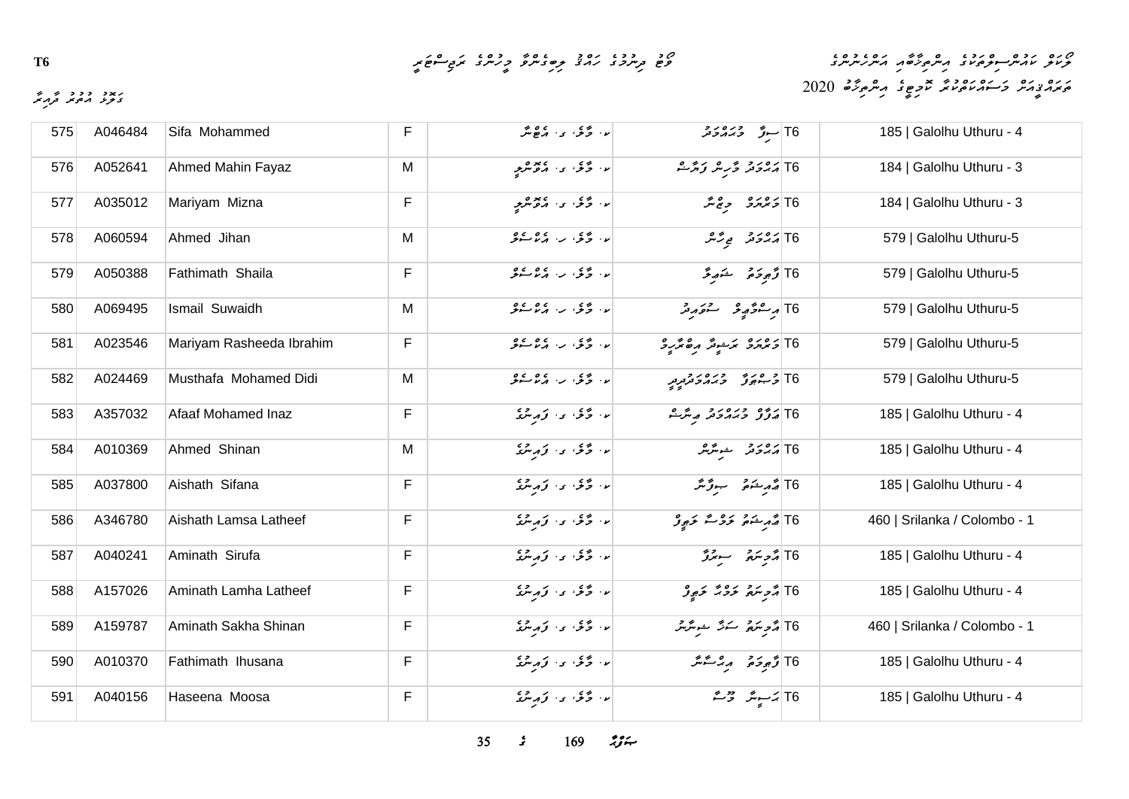*sCw7q7s5w7m< o<n9nOoAw7o< sCq;mAwBoEw7q<m; wBm;vB* م من المسجد المسجد المسجد المسجد المسجد العام 2020<br>مسجد المسجد المسجد المسجد المسجد المسجد المسجد المسجد المسجد ال

## *n8o<n@ q8qAq< q:uBmC*

| 575 | A046484 | Sifa Mohammed            | F            | ىر، بۇقۇرى بەرگە ھەتتى     | $76$ سوتر دېمبردنگر                              | 185   Galolhu Uthuru - 4     |
|-----|---------|--------------------------|--------------|----------------------------|--------------------------------------------------|------------------------------|
| 576 | A052641 | <b>Ahmed Mahin Fayaz</b> | M            | ر، دې د اموس               | T6 <i>ړی دی وگړینگر وگړ</i> ینگو                 | 184   Galolhu Uthuru - 3     |
| 577 | A035012 | Mariyam Mizna            | F            | ر وي د پروتلو              | T6 <i>كاندىرى دې</i> مىگە                        | 184   Galolhu Uthuru - 3     |
| 578 | A060594 | Ahmed Jihan              | M            | لار گەنگەر ، مەلكەشكە      | T6 <i>ټرې تو</i> پر ش                            | 579   Galolhu Uthuru-5       |
| 579 | A050388 | Fathimath Shaila         | $\mathsf{F}$ | ، دُبُّ، رَ پُرْ کُرْ کُمْ | T6 <i>وَّجِوَدَة</i> شَه <i>رة</i> ً             | 579   Galolhu Uthuru-5       |
| 580 | A069495 | Ismail Suwaidh           | M            | ، دې رې په ک               | T6 <sub>م</sub> رےد <sub>گھی</sub> و جو مقصد     | 579   Galolhu Uthuru-5       |
| 581 | A023546 | Mariyam Rasheeda Ibrahim | $\mathsf F$  | لار ۇي را مەم ئومۇ         | T6 <i>وَبُرْمَرْدُ بَرَحْبِيرُ وِهْبُرُبِ</i> دُ | 579   Galolhu Uthuru-5       |
| 582 | A024469 | Musthafa Mohamed Didi    | M            | ، دې ر. د ۱۳۵ کو           | T6 <i>3 موتر وبروبر وبروبر</i>                   | 579   Galolhu Uthuru-5       |
| 583 | A357032 | Afaaf Mohamed Inaz       | $\mathsf F$  | لا د څخه د د وَماشی        | T6 <i>ړوو ورورو م</i> یگر م                      | 185   Galolhu Uthuru - 4     |
| 584 | A010369 | Ahmed Shinan             | M            | لا د څخه د زماند           | T6 <i>ټرې تو ش</i> و شر                          | 185   Galolhu Uthuru - 4     |
| 585 | A037800 | Aishath Sifana           | F            | لا د څخه د زماند           | T6 <i>مُقدِينَة بِوَنْ</i> تَر                   | 185   Galolhu Uthuru - 4     |
| 586 | A346780 | Aishath Lamsa Latheef    | $\mathsf F$  | لا د څخه د زماند           | T6 مُەم شەتر كەن كە كەبولۇ                       | 460   Srilanka / Colombo - 1 |
| 587 | A040241 | Aminath Sirufa           | F            | لاستخفى كالمحمد وتماريخ    | T6 مُرْجِعَة مِعْمَدٌ                            | 185   Galolhu Uthuru - 4     |
| 588 | A157026 | Aminath Lamha Latheef    | $\mathsf F$  | لاستخرى كالمحمد وكالمستمل  | T6 مَّ <i>جِسَمَۃ حَ</i> 3 حَمِيوْ               | 185   Galolhu Uthuru - 4     |
| 589 | A159787 | Aminath Sakha Shinan     | $\mathsf{F}$ | لا د څخه د زماند           | T6 <i>مُّہِ سَهُمْ</i> سَنَّ سُبِسُّهُ           | 460   Srilanka / Colombo - 1 |
| 590 | A010370 | Fathimath Ihusana        | $\mathsf{F}$ | لا د څخه د وَماشک          | T6 <i>وُمِعَة مِدْسَّةَ.</i>                     | 185   Galolhu Uthuru - 4     |
| 591 | A040156 | Haseena Moosa            | $\mathsf F$  | لاستخف والمقصور            | T6  زرید حق                                      | 185   Galolhu Uthuru - 4     |

**35** *s* **169** *n***<sub>s</sub>***n***<sub>s</sub>**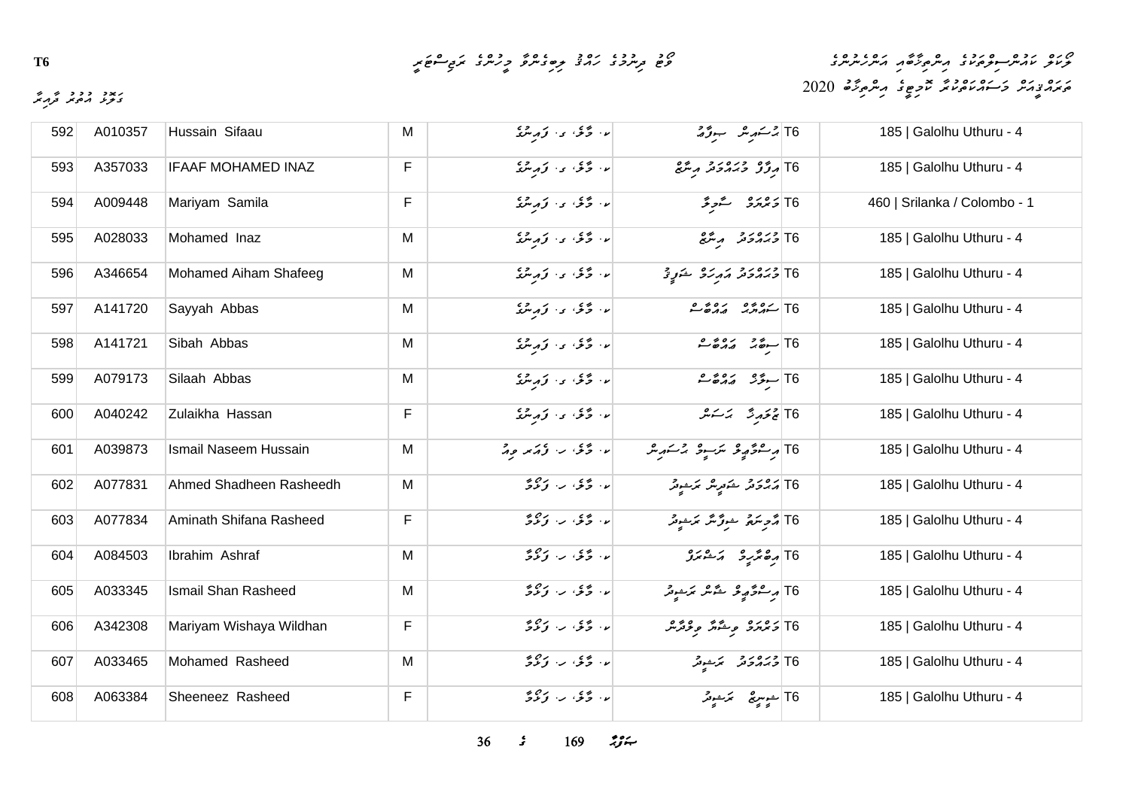*sCw7q7s5w7m< o<n9nOoAw7o< sCq;mAwBoEw7q<m; wBm;vB* م من المسجد المسجد المسجد المسجد المسجد العام 2020<br>مسجد المسجد المسجد المسجد المسجد المسجد المسجد المسجد المسجد ال

# *n8o<n@ q8qAq< q:uBmC*

| 592 | A010357 | Hussain Sifaau            | M            | پارستختی، برنامه و کرد مترنگ | T6 يُرتمبر مُشَرِّدَة مُشَرَّدَة بِهِ 16                          | 185   Galolhu Uthuru - 4     |
|-----|---------|---------------------------|--------------|------------------------------|-------------------------------------------------------------------|------------------------------|
| 593 | A357033 | <b>IFAAF MOHAMED INAZ</b> | $\mathsf{F}$ | لا د څخه د وَماشی            | T6 <sub>م</sub> وتۇ ئ <i>ېرمۇمر مېنى</i> چ                        | 185   Galolhu Uthuru - 4     |
| 594 | A009448 | Mariyam Samila            | F            | لا د څخه د وَم شک            | T6 ك <i>ېڭىنىڭ</i> ش <i>ەر</i> گە                                 | 460   Srilanka / Colombo - 1 |
| 595 | A028033 | Mohamed Inaz              | M            | لا د څخه د وَم شک            | T6 <i>5223 م</i> ىتى <i>گى</i>                                    | 185   Galolhu Uthuru - 4     |
| 596 | A346654 | Mohamed Aiham Shafeeg     | M            | 2.73.2.3.2.0                 | T6 <i>وَيَهُوَ مَدْ مَدِيَ</i> وْ ۖ حَد <i>ِي</i> قَ              | 185   Galolhu Uthuru - 4     |
| 597 | A141720 | Sayyah Abbas              | M            | لا د څخه د زماند             | 28222216                                                          | 185   Galolhu Uthuru - 4     |
| 598 | A141721 | Sibah Abbas               | M            | الأرمحى المار وكهامي         | $25.3 25 - 76$                                                    | 185   Galolhu Uthuru - 4     |
| 599 | A079173 | Silaah Abbas              | M            | لا د څکې د د وکړېدن          |                                                                   | 185   Galolhu Uthuru - 4     |
| 600 | A040242 | Zulaikha Hassan           | $\mathsf{F}$ | لا د څخه د وَماشی            | T6 ئىخەر <i>5 سەش</i>                                             | 185   Galolhu Uthuru - 4     |
| 601 | A039873 | Ismail Naseem Hussain     | M            | لا الحمق ب وكمكر وكم         | T6 <sub>م</sub> رےد <i>ۇ<sub>م</sub>ى</i> ئىرىد <i>ۇ جىشىرىتى</i> | 185   Galolhu Uthuru - 4     |
| 602 | A077831 | Ahmed Shadheen Rasheedh   | M            | ر، دَگر، ر، دَرْدَدَّ        | T6 <i>كەنگەنگە</i> شەمرىكر مكىش <sub>و</sub> مۇ                   | 185   Galolhu Uthuru - 4     |
| 603 | A077834 | Aminath Shifana Rasheed   | $\mathsf F$  | الا د نخوان المرجوع          | T6 <i>مُّہِ سَهُ</i> مُش <i>ِوِّنٌ مَرْشِوتُر</i> َ               | 185   Galolhu Uthuru - 4     |
| 604 | A084503 | Ibrahim Ashraf            | M            | لا . ۇى ب ۋىزۇ               | T6 مەھمەر ئەسىمى 76                                               | 185   Galolhu Uthuru - 4     |
| 605 | A033345 | Ismail Shan Rasheed       | M            | د گچې ر کورگ                 | T6 م <i>ېشۇمۇ</i> ئۇنى <i>گە ئەجەتر</i>                           | 185   Galolhu Uthuru - 4     |
| 606 | A342308 | Mariyam Wishaya Wildhan   | $\mathsf{F}$ | ا د گی د دی و                | T6 كَمَرْمَرْدُ مِـ شَمَّرَ مِـ دْمَّرْسْ                         | 185   Galolhu Uthuru - 4     |
| 607 | A033465 | Mohamed Rasheed           | M            | ر، دَبَی ر، دَرْدَ           | T6 <i>وُبَرُوُوَ</i> تَرُ - بَرَحْدِثَرُ                          | 185   Galolhu Uthuru - 4     |
| 608 | A063384 | Sheeneez Rasheed          | $\mathsf F$  | ر، ن <sup>3</sup> نی، ر، ن5ن | T6 شوسرچ کرشوٹر<br>آ                                              | 185   Galolhu Uthuru - 4     |

**36** *s* **169** *n***<sub>3</sub>** $\div$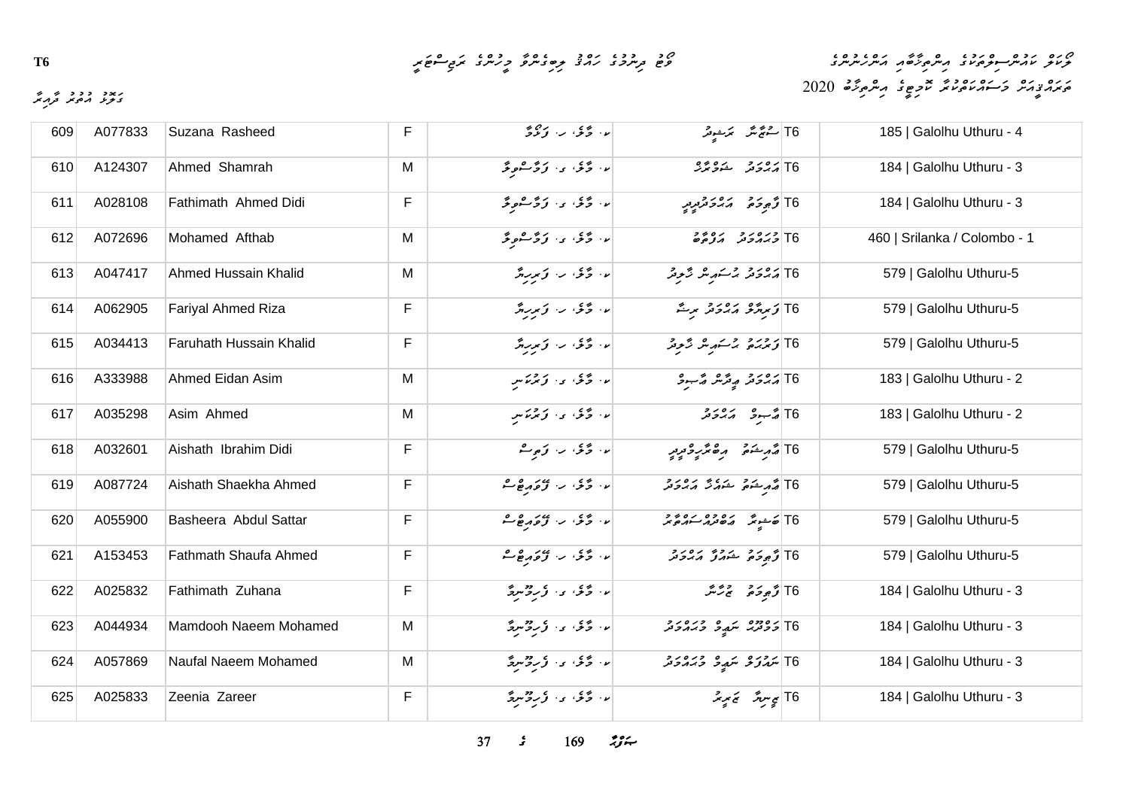*sCw7q7s5w7m< o<n9nOoAw7o< sCq;mAwBoEw7q<m; wBm;vB* م من المسجد المسجد المسجد المسجد المسجد العام 2020<br>مسجد المسجد المسجد المسجد المسجد المسجد المسجد المسجد المسجد ال

# *n8o<n@ q8qAq< q:uBmC*

| 609 | A077833 | Suzana Rasheed            | F            | ا ، د څخه ر . وَرُدَدُّ                         | T6 کے بج مگر کرھون <i>ڈ</i>                                                                          | 185   Galolhu Uthuru - 4     |
|-----|---------|---------------------------|--------------|-------------------------------------------------|------------------------------------------------------------------------------------------------------|------------------------------|
| 610 | A124307 | Ahmed Shamrah             | M            | لا د نمې د د ژگرگونگونگ                         | T6 <i>ړېږ د خوڅر</i>                                                                                 | 184   Galolhu Uthuru - 3     |
| 611 | A028108 | Fathimath Ahmed Didi      | F            | لا د نمې د زوگرونو                              | T6 <i>وُّجِ دَمَّةَ مَدْدَوْمُ</i> بِرِمِرِ                                                          | 184   Galolhu Uthuru - 3     |
| 612 | A072696 | Mohamed Afthab            | M            | لا د نمې د د ژگرگونگونگ                         | $7502$ $7222$ T6                                                                                     | 460   Srilanka / Colombo - 1 |
| 613 | A047417 | Ahmed Hussain Khalid      | M            | الا د د د کابرد ک                               | T6 <i>בک</i> ی قریر شهر شور شور ش                                                                    | 579   Galolhu Uthuru-5       |
| 614 | A062905 | <b>Fariyal Ahmed Riza</b> | F            | الأرتجى لأولادة                                 | T6 كۆمپر <i>نگى كەنگە</i> كۆرىگە                                                                     | 579   Galolhu Uthuru-5       |
| 615 | A034413 | Faruhath Hussain Khalid   | $\mathsf F$  | الاستحق ب ويربين                                | T6 كۆيرىمى بۇسەر بىر نۇمونى                                                                          | 579   Galolhu Uthuru-5       |
| 616 | A333988 | <b>Ahmed Eidan Asim</b>   | M            | ئارا ئۇنى، ئارا ئەتەركىتىلىك                    | T6 <i>בَ بُدْدَ تَدْ مِنْتَرْ مُ</i> ّسِو <i>دُ</i>                                                  | 183   Galolhu Uthuru - 2     |
| 617 | A035298 | Asim Ahmed                | M            | بالأنجلى المالح بولاس                           | T6 م <sup>ح</sup> سبوڤ <i>مَدْوَمْر</i>                                                              | 183   Galolhu Uthuru - 2     |
| 618 | A032601 | Aishath Ibrahim Didi      | F            | ئەس قىق سە ئۇمۇش                                | T6 مەم شەقر مەھ <i>مگرى</i> ۋىرىر                                                                    | 579   Galolhu Uthuru-5       |
| 619 | A087724 | Aishath Shaekha Ahmed     | $\mathsf{F}$ | 28, 69, 69, 10                                  | T6 مُفْقِيقَ مُسَمَّدٌ مَقْدَّدَةٍ مَنْ الْمَدَّوَمُنَّةِ مِنْ الْمَدَّوَمُنَّةِ مِنْ الْمَدَّوَمُنَ | 579   Galolhu Uthuru-5       |
| 620 | A055900 | Basheera Abdul Sattar     | $\mathsf F$  | 28, 29, 39, 49, 59                              | T6 خې په ده ده ده د د                                                                                | 579   Galolhu Uthuru-5       |
| 621 | A153453 | Fathmath Shaufa Ahmed     | F            | 28, 29, 39, 49, 59                              | T6 <i>وُّجِ دَمَعُ</i> شَهْرُوُ مَ <sup>ر</sup> ْدَدَرَ                                              | 579   Galolhu Uthuru-5       |
| 622 | A025832 | Fathimath Zuhana          | $\mathsf F$  | لا د محمود کار د مختبرد کار                     | T6 <i>وَّجِوَدَة</i> جَرَّتَرَ                                                                       | 184   Galolhu Uthuru - 3     |
| 623 | A044934 | Mamdooh Naeem Mohamed     | M            | لا : د محمد المال و المعرور المعرور المعرور الم | T6 كەنگەر ئىمبەر كەنگەدىر                                                                            | 184   Galolhu Uthuru - 3     |
| 624 | A057869 | Naufal Naeem Mohamed      | M            | ئار ئۇنى كى ئۇر ئۇسىدىگە                        | T6 <i>سَمُرُوَى سَمِي</i> وْ كَ <i>مُسْرَوْمُ</i> رْ                                                 | 184   Galolhu Uthuru - 3     |
| 625 | A025833 | Zeenia Zareer             | F            | لا د څخه د د کورترمرنځ                          | T6 <sub>ک</sub> ېښتر تمېر <i>ن</i> د                                                                 | 184   Galolhu Uthuru - 3     |

**37** *s* **169** *n***<sub>s</sub>***n***<sub>s</sub>**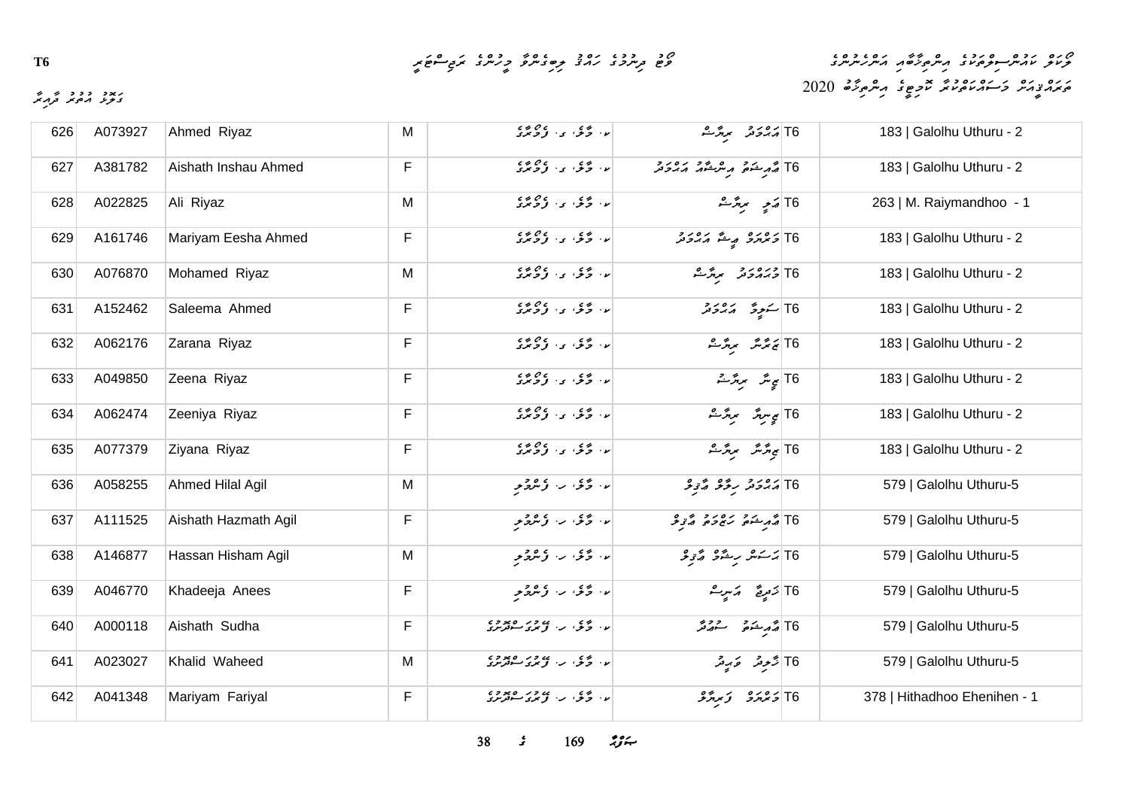*sCw7q7s5w7m< o<n9nOoAw7o< sCq;mAwBoEw7q<m; wBm;vB* م من المرة المرة المرة المرجع المرجع في المركبة 2020<br>مجم*د المريض المربوط المربع المرجع في المراجع المركبة* 

| 626 | A073927 | Ahmed Riyaz          | M | ر وي.<br>د گون د وونده                                                   | T6 كەبرى ئىس ئىستىلىشى ئىستىكىت ئىستىكى ئىستىكى ئىستىكى ئىستىكى ئىستىكى ئىستىكى ئىستىكى ئىستىكى ئىستىكى ئىستى<br>ئىستىكى ئىستىكى ئىستىكى ئىستىكى ئىستىكى ئىستىكى ئىستىكى ئىستىكى ئىستىكى ئىستىكى ئىستىكى ئىستىكى ئىستىكى ئىستىك | 183   Galolhu Uthuru - 2     |
|-----|---------|----------------------|---|--------------------------------------------------------------------------|---------------------------------------------------------------------------------------------------------------------------------------------------------------------------------------------------------------------------------|------------------------------|
| 627 | A381782 | Aishath Inshau Ahmed | F | ر وي د وونده<br>الاسترق د وونده                                          | T6 مەرخەم مەشقە <i>م مەدە</i> م                                                                                                                                                                                                 | 183   Galolhu Uthuru - 2     |
| 628 | A022825 | Ali Riyaz            | M | ر، گرمی کارون<br>دارگرمی کارونو                                          | T6 <i>مَ</i> عٍ مِتَرَّتَّ                                                                                                                                                                                                      | 263   M. Raiymandhoo - 1     |
| 629 | A161746 | Mariyam Eesha Ahmed  | F | ر د څو، د د وه پره<br>د گون د ل                                          | T6 كالا يمرير في مقدم كالدير بر محمد السياسي<br>مساح محمد السياسي                                                                                                                                                               | 183   Galolhu Uthuru - 2     |
| 630 | A076870 | Mohamed Riyaz        | M | ر وي.<br>د گون د زومرد                                                   | T6  <i>وُيَهُوَفَرْ بِرِمُّ</i> تُ                                                                                                                                                                                              | 183   Galolhu Uthuru - 2     |
| 631 | A152462 | Saleema Ahmed        | F | ر د محتی د ده ده ده د                                                    | T6  س <i>َوِوٌ <sub>م</sub>َدْوَمْ</i> رَ                                                                                                                                                                                       | 183   Galolhu Uthuru - 2     |
| 632 | A062176 | Zarana Riyaz         | F | ر، گرمی که ده وروزه کرد که است.<br>در استرات که در استرات کرد کرد که است | T6 ئىگەنگە بىرگەشە                                                                                                                                                                                                              | 183   Galolhu Uthuru - 2     |
| 633 | A049850 | Zeena Riyaz          | F | ر، گرمی که ده وروزه کرد که است.<br>در استرات که در استرات کرد کرد که است | T6 <sub>م</sub> جونڈ مرمزنے                                                                                                                                                                                                     | 183   Galolhu Uthuru - 2     |
| 634 | A062474 | Zeeniya Riyaz        | F | ر د څو د د ده ده                                                         | T6 <sub>مج</sub> سرتمر سرتمر شر                                                                                                                                                                                                 | 183   Galolhu Uthuru - 2     |
| 635 | A077379 | Ziyana Riyaz         | F | ، دې د ده.                                                               | T6 بیرمثر مرمز <u>ی</u>                                                                                                                                                                                                         | 183   Galolhu Uthuru - 2     |
| 636 | A058255 | Ahmed Hilal Agil     | M | لا د څخه را د شرچ پو                                                     | T6 <i>גُرُوَنَرْ رِوُّوْ مُ</i> تِوِوْ                                                                                                                                                                                          | 579   Galolhu Uthuru-5       |
| 637 | A111525 | Aishath Hazmath Agil | F | ما الحري را وكرد و                                                       | T6 مەم ئىق ئىق <i>قى</i> م قىلىق قىلىق قىلىق قىلىق قىلىم قىلىق قىلىق قىلىق قىلىق قىل                                                                                                                                            | 579   Galolhu Uthuru-5       |
| 638 | A146877 | Hassan Hisham Agil   | M | لا د څخه را د شرچ پو                                                     | T6  كەس <i>كەر رىشۇ م<sup>7</sup>تو</i> قى                                                                                                                                                                                      | 579   Galolhu Uthuru-5       |
| 639 | A046770 | Khadeeja Anees       | F | لا د څخه له وگلوگو                                                       | T6 كَتَمِيعٌ - مَسِرِ مُسْتَدِينٍ<br>ا                                                                                                                                                                                          | 579   Galolhu Uthuru-5       |
| 640 | A000118 | Aishath Sudha        | F | ر، حجمي ر، عليه ورا معدود.<br>را، حرق، ر، ق <i>انوري</i>                 | T6 <i>مُ</i> مِسْدَمُو مُسْتَمَمَّد                                                                                                                                                                                             | 579   Galolhu Uthuru-5       |
| 641 | A023027 | Khalid Waheed        | M | ر، دې ر، دی در ۲۶ ده.<br>د د گو، ر، ژبوي ستربرو                          | T6   دَّمومْ     وَرٍ مْر                                                                                                                                                                                                       | 579   Galolhu Uthuru-5       |
| 642 | A041348 | Mariyam Fariyal      | F | ر، ده و، ر، دوره دوه<br>ر، ده د، ر، دی در معروری                         | T6  ترجمبرڈ کی <i>م</i> یٹر                                                                                                                                                                                                     | 378   Hithadhoo Ehenihen - 1 |

*n8o<n@ q8qAq< q:uBmC*

**38** *s* **169** *n***<sub>s</sub>***n***<sub>s</sub>**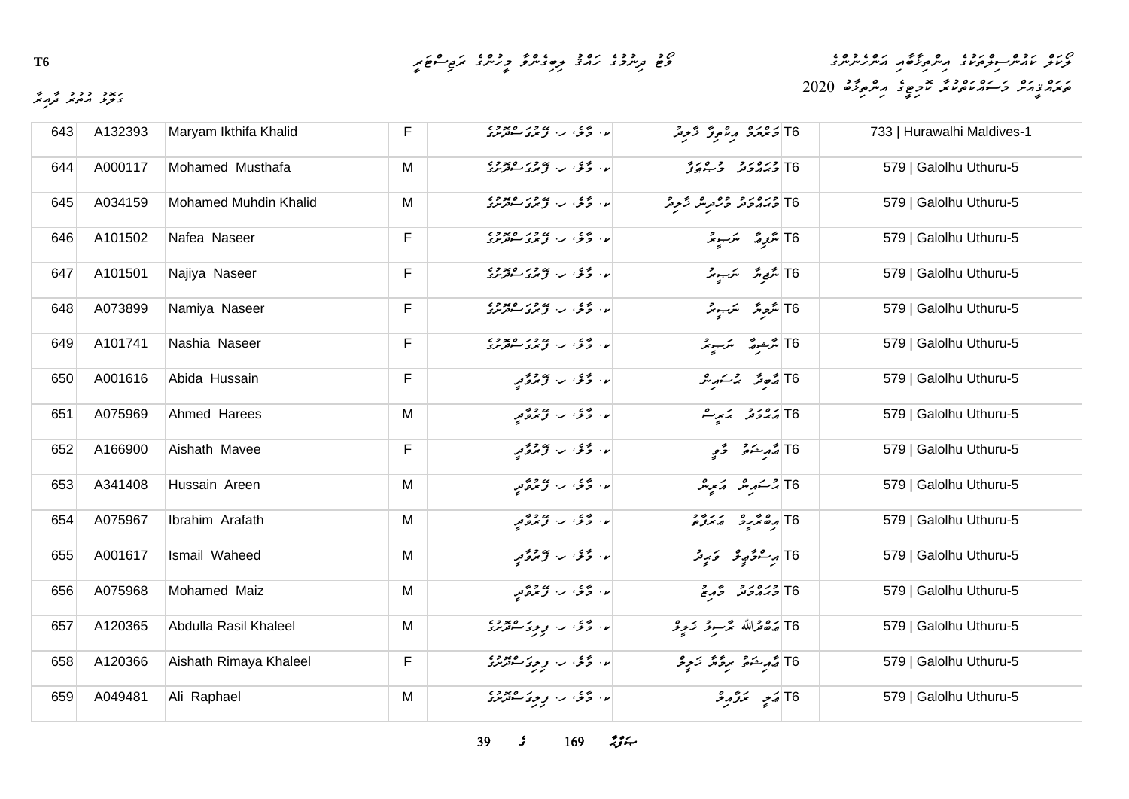*sCw7q7s5w7m< o<n9nOoAw7o< sCq;mAwBoEw7q<m; wBm;vB* م من المرة المرة المرة المرجع المرجع في المركبة 2020<br>مجم*د المريض المربوط المربع المرجع في المراجع المركبة* 

| 643 | A132393 | Maryam Ikthifa Khalid        | F | ر می را به در ه برون<br>را می ک                 | T6 كَرْمَرْدْ مِرْمُوزٌ رَّمُومْرُ           | 733   Hurawalhi Maldives-1 |
|-----|---------|------------------------------|---|-------------------------------------------------|----------------------------------------------|----------------------------|
| 644 | A000117 | Mohamed Musthafa             | M | ر، دې ر، دی در ۲۶ ده.<br>د د گو، ر، ژبوي ستربرو | T6 <i>دېږدونډ وسووگ</i>                      | 579   Galolhu Uthuru-5     |
| 645 | A034159 | <b>Mohamed Muhdin Khalid</b> | M | ر د مخې ر ور ه پووه<br>د گرگ ر کوبری سه ترس     | T6 <i>وُبُهُ</i> وَتُرَ وَرُمِهِ رُّمِوْرٌ   | 579   Galolhu Uthuru-5     |
| 646 | A101502 | Nafea Naseer                 | F | ر، جې ر، وروسوه ده.<br>دا گرگان کومري سوتر ترو  | T6 سُمْدِهٌ سَمَسِيمٌ                        | 579   Galolhu Uthuru-5     |
| 647 | A101501 | Najiya Naseer                | F | ر، حج کې ر، وسی ده ده ده ده ده د                | T6 سُمْهِ مُّ سَمَّ سِمَّةٍ مُّ              | 579   Galolhu Uthuru-5     |
| 648 | A073899 | Namiya Naseer                | F | ر، دې ر، دی در ۲۶ ده.<br>د د گو، ر، ژبوي ستربرو | T6 مُتَّعِبةٌ مَرَسومُ                       | 579   Galolhu Uthuru-5     |
| 649 | A101741 | Nashia Naseer                | F | ر ده می را به در میروه<br>را در گرد سهمان       | T6 سَّرْجِيهِ سَرَجِيهِ حَ                   | 579   Galolhu Uthuru-5     |
| 650 | A001616 | Abida Hussain                | F |                                                 | T6 مُحصِّدٌ بِرْسَمبِسْر                     | 579   Galolhu Uthuru-5     |
| 651 | A075969 | Ahmed Harees                 | M | ، د د د با د د د                                |                                              | 579   Galolhu Uthuru-5     |
| 652 | A166900 | Aishath Mavee                | F | ، دُبُّ، رَسُوَمُوَمِرِ                         | T6 <i>مُّ مِ</i> شَمَّ گَمِ                  | 579   Galolhu Uthuru-5     |
| 653 | A341408 | Hussain Areen                | M | ر کاری را کارومی                                | T6 پرستمبر شر م <i>زم</i> بر شر              | 579   Galolhu Uthuru-5     |
| 654 | A075967 | Ibrahim Arafath              | M | ، دُبَّ، رَ وَمَرَهُ پِرِ                       | T6 مەھەر بەر ئەيزۇم                          | 579   Galolhu Uthuru-5     |
| 655 | A001617 | Ismail Waheed                | M |                                                 | T6 م <i>وسٹوڈمی</i> بھی تھریمر               | 579   Galolhu Uthuru-5     |
| 656 | A075968 | Mohamed Maiz                 | M | ، د د د با د د د                                | $7.5$ $3.2.2$ $76$                           | 579   Galolhu Uthuru-5     |
| 657 | A120365 | Abdulla Rasil Khaleel        | M | ر، د څو، ر. و پروسور ده ده                      | T6  رَحْمَدْاللَّهُ مَرْسِوْتَرْ رَمِّوِتْرَ | 579   Galolhu Uthuru-5     |
| 658 | A120366 | Aishath Rimaya Khaleel       | F | ا د څکې را ویوی منفرس                           | T6 مُەمشەھ مودَّەَ دَموِدْ                   | 579   Galolhu Uthuru-5     |
| 659 | A049481 | Ali Raphael                  | M | ر د څخه ر ووی مورده                             | T6 <i>ڇَڇِ پَرَوَّبُر</i> مَح                | 579   Galolhu Uthuru-5     |

**39** *s* **169** *n***<sub>s</sub>***n***<sub>s</sub>**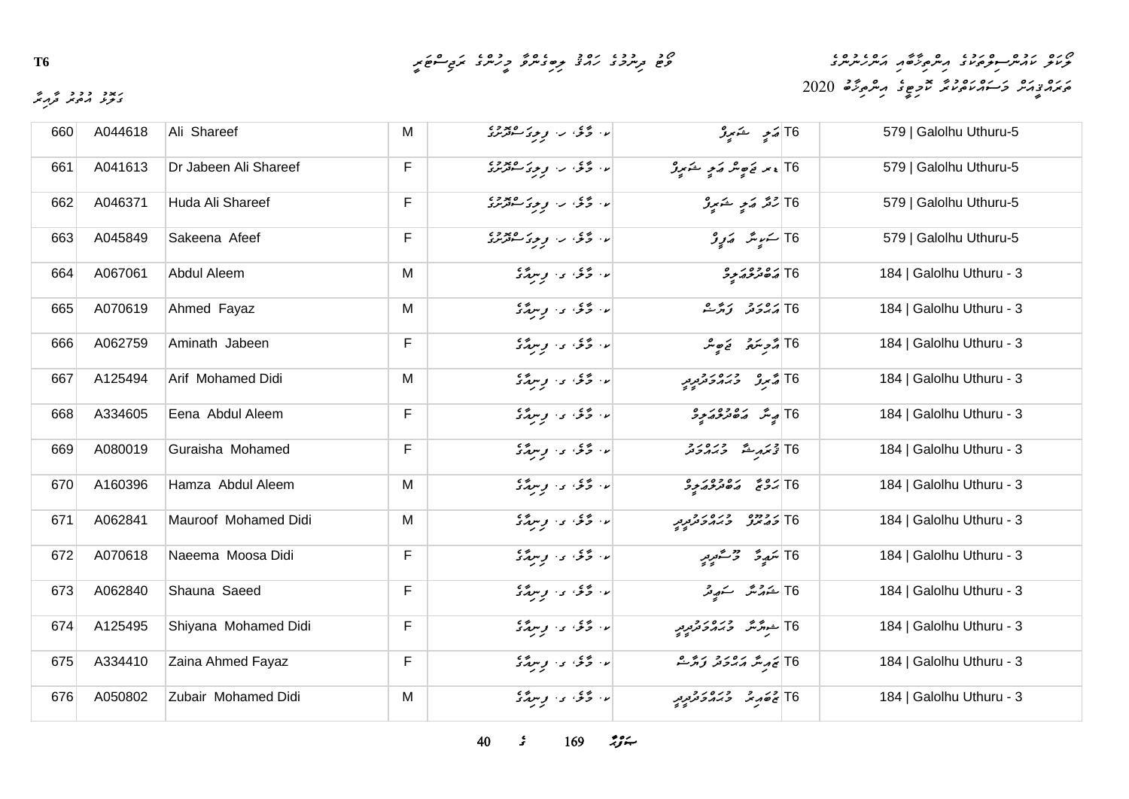*sCw7q7s5w7m< o<n9nOoAw7o< sCq;mAwBoEw7q<m; wBm;vB* م من المرة المرة المرة المرجع المرجع في المركبة 2020<br>مجم*د المريض المربوط المربع المرجع في المراجع المركبة* 

| 660 | A044618 | Ali Shareef           | M | ر، د څو، ر. و پروسوړين         | T6 <i>ڇَڇِ حَمَيِرُ</i>                            | 579   Galolhu Uthuru-5   |
|-----|---------|-----------------------|---|--------------------------------|----------------------------------------------------|--------------------------|
| 661 | A041613 | Dr Jabeen Ali Shareef | F | ۱۰ د څخه ر. و دی سورلری        | T6 ۽ مر ت <i>ے پر تھ تو شمپو</i> گر                | 579   Galolhu Uthuru-5   |
| 662 | A046371 | Huda Ali Shareef      | F | پارسی کی از دیگر در در در در د | T6 كِنْدٌ صَعِي حَسَبِيقَ                          | 579   Galolhu Uthuru-5   |
| 663 | A045849 | Sakeena Afeef         | F | ر، د د کار د بوده سامارده      | T6 سَمبِ مَّذَ صَوِيْرٌ                            | 579   Galolhu Uthuru-5   |
| 664 | A067061 | Abdul Aleem           | M | لا د څخه د وسمده               | T6 <i>ړېڅو پرو</i> گر                              | 184   Galolhu Uthuru - 3 |
| 665 | A070619 | Ahmed Fayaz           | M | الا الحيى الأرابع وسيقظ        | T6 <i>ټرې وگړ</i> شه                               | 184   Galolhu Uthuru - 3 |
| 666 | A062759 | Aminath Jabeen        | F | الا د څخه د وسمده              | T6 مَ <i>وِسَعَ فَصِعْ</i>                         | 184   Galolhu Uthuru - 3 |
| 667 | A125494 | Arif Mohamed Didi     | M | لا د څخه د وسمده               | T6 <i>جُبروْ - ڊُرُوڏونرِيرِ</i>                   | 184   Galolhu Uthuru - 3 |
| 668 | A334605 | Eena Abdul Aleem      | F | لا - 33 ، ي - وسمة ي           | T6 م <i>وسَّر مَنْ مَرْحَمَّ بِ</i> حَ             | 184   Galolhu Uthuru - 3 |
| 669 | A080019 | Guraisha Mohamed      | F | الأرمح في الماس والبرم والمح   | T6 تۇتتەرىش ئ <i>ۇنەۋەت</i> ر                      | 184   Galolhu Uthuru - 3 |
| 670 | A160396 | Hamza Abdul Aleem     | M | لا - 33 ، كا المح مع مركز كى   | T6 גُوْيَ مَصْرُوْمَوِدْ                           | 184   Galolhu Uthuru - 3 |
| 671 | A062841 | Mauroof Mohamed Didi  | M | الا د څخه د وسمده              | T6 <i>בבינים בהחב</i> יתית.                        | 184   Galolhu Uthuru - 3 |
| 672 | A070618 | Naeema Moosa Didi     | F | لا د څخه د وسمده               | T6 <i>سَمِي ڈھنگوپر</i>                            | 184   Galolhu Uthuru - 3 |
| 673 | A062840 | Shauna Saeed          | F | الا د څخه د وسمده              | T6 ڪم <i>ھنگ ڪوپ</i> تر                            | 184   Galolhu Uthuru - 3 |
| 674 | A125495 | Shiyana Mohamed Didi  | F | لا د څخه د وسمده               | T6 شەئرىئر   ئەركەن ئويويو                         | 184   Galolhu Uthuru - 3 |
| 675 | A334410 | Zaina Ahmed Fayaz     | F | لا - 33 ، ي - وسمة ي           | T6 ئ <sub>ى م</sub> ېرى <i>گە ئەگەنتى ئەنگە</i> شە | 184   Galolhu Uthuru - 3 |
| 676 | A050802 | Zubair Mohamed Didi   | M | الا المحكى الاستراكية والمركزة | T6 <i>تح ھُ مِر تَهُ تَحْدُ مُ</i> تَحْمِدِيرِ     | 184   Galolhu Uthuru - 3 |

*40 sC 169 nNw?mS*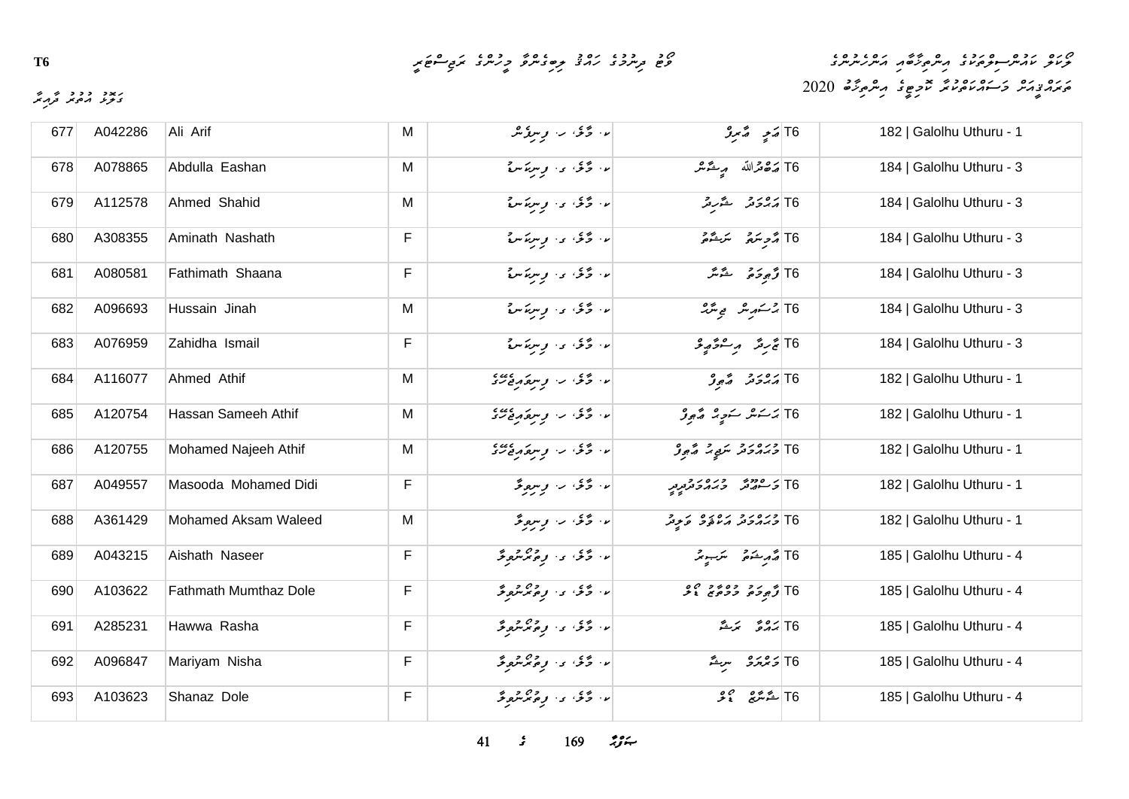*sCw7q7s5w7m< o<n9nOoAw7o< sCq;mAwBoEw7q<m; wBm;vB 2020<sup>, م</sup>وسر در مدد مدرج به مدرم مقرم قرار 2020*<br>موسر المستقرم المستقرم المستقرم المستقرم المستقرم المستقرم المستقرم المستقرم المستقرم المستقرم المستقرم المستقر

| 677 | A042286 | Ali Arif                     | м           | اما د گلی از اوسوکر       | T6 <i>ڇُجِ ڇُمِينُ</i>                                                                               | 182   Galolhu Uthuru - 1 |
|-----|---------|------------------------------|-------------|---------------------------|------------------------------------------------------------------------------------------------------|--------------------------|
| 678 | A078865 | Abdulla Eashan               | M           | لار څخه او د وسرلماسوړ    | T6 كەھەراللە م <sub>و</sub> شەمر                                                                     | 184   Galolhu Uthuru - 3 |
| 679 | A112578 | Ahmed Shahid                 | M           | لاستخلاص وللمستعمل        | T6 كەبۇر قىلى ئىقىرى <i>تى</i>                                                                       | 184   Galolhu Uthuru - 3 |
| 680 | A308355 | Aminath Nashath              | F           | لار څخه او د وسرلماسوړ    | T6 مُرْحِ مَرَمُ مَرْشُرُ مِنْ الْمُرْدِ بِهِ مِنْ الْمُرْدِ بِهِ مِنْ الْمُرْدِ بِهِ مِنْ الْمُرْدِ | 184   Galolhu Uthuru - 3 |
| 681 | A080581 | Fathimath Shaana             | F           | لاستخف وسومانيو           | T6 <i>وَّجِ دَمَّ</i> شَمَّرَ                                                                        | 184   Galolhu Uthuru - 3 |
| 682 | A096693 | Hussain Jinah                | M           | لاستخف وسويتمس            | T6 يُرْسَمب <sup>9</sup> مِي <i>مَّة.</i>                                                            | 184   Galolhu Uthuru - 3 |
| 683 | A076959 | Zahidha Ismail               | F           | الاستخفاء وللمتسمة        | T6 تج بەنگە مەش <i>ۇم</i> بۇ                                                                         | 184   Galolhu Uthuru - 3 |
| 684 | A116077 | Ahmed Athif                  | M           | پارستخت سا وسعد وجامع     | T6 <i>ټرې پې</i> په کالمونو                                                                          | 182   Galolhu Uthuru - 1 |
| 685 | A120754 | Hassan Sameeh Athif          | M           | ر، دمجنۍ ر، وسعه ده ده ده | T6   پرسكى محمد عرض م <i>حمد قراق</i> ر قراق                                                         | 182   Galolhu Uthuru - 1 |
| 686 | A120755 | Mohamed Najeeh Athif         | M           | ر، د د ر وسعه ده ده       | T6 <i>ڈیز م</i> حقہ س <i>کھ بڑ مگھو</i> ڑ                                                            | 182   Galolhu Uthuru - 1 |
| 687 | A049557 | Masooda Mohamed Didi         | $\mathsf F$ | ئار گەنگە بەر بولسىمە گە  | T6 كەسەم <i>قىرى بەر جەر بورىي</i> ر                                                                 | 182   Galolhu Uthuru - 1 |
| 688 | A361429 | <b>Mohamed Aksam Waleed</b>  | M           | ئار گەنگەن ئەس بولسىدىگە  | T6 ديره د د بره ده د تومر                                                                            | 182   Galolhu Uthuru - 1 |
| 689 | A043215 | Aishath Naseer               | F           | لا د څو، د په وه پرسمونځه | T6 م <i>مَّه شَهَ مَّ سَبِيعُ</i>                                                                    | 185   Galolhu Uthuru - 4 |
| 690 | A103622 | <b>Fathmath Mumthaz Dole</b> | F           | ، دې ، د وه پرسمونځه      | T6 رُج <i>وحَہ حوصی ب</i> حر                                                                         | 185   Galolhu Uthuru - 4 |
| 691 | A285231 | Hawwa Rasha                  | F           | لا د څخه د د وه پرسمونځه  | T6 <i>بَدُونٌ بَرَ</i> حَدُ                                                                          | 185   Galolhu Uthuru - 4 |
| 692 | A096847 | Mariyam Nisha                | F           | لا په دې د ده ند شونځه    | T6 ك <i>رچرى س</i> رىقە                                                                              | 185   Galolhu Uthuru - 4 |
| 693 | A103623 | Shanaz Dole                  | F           | ۱۰ د دی. د د وه برگروند   | T6 ڪُنگي ڳو                                                                                          | 185   Galolhu Uthuru - 4 |

*n8o<n@ q8qAq< q:uBmC*

*41 sC 169 nNw?mS*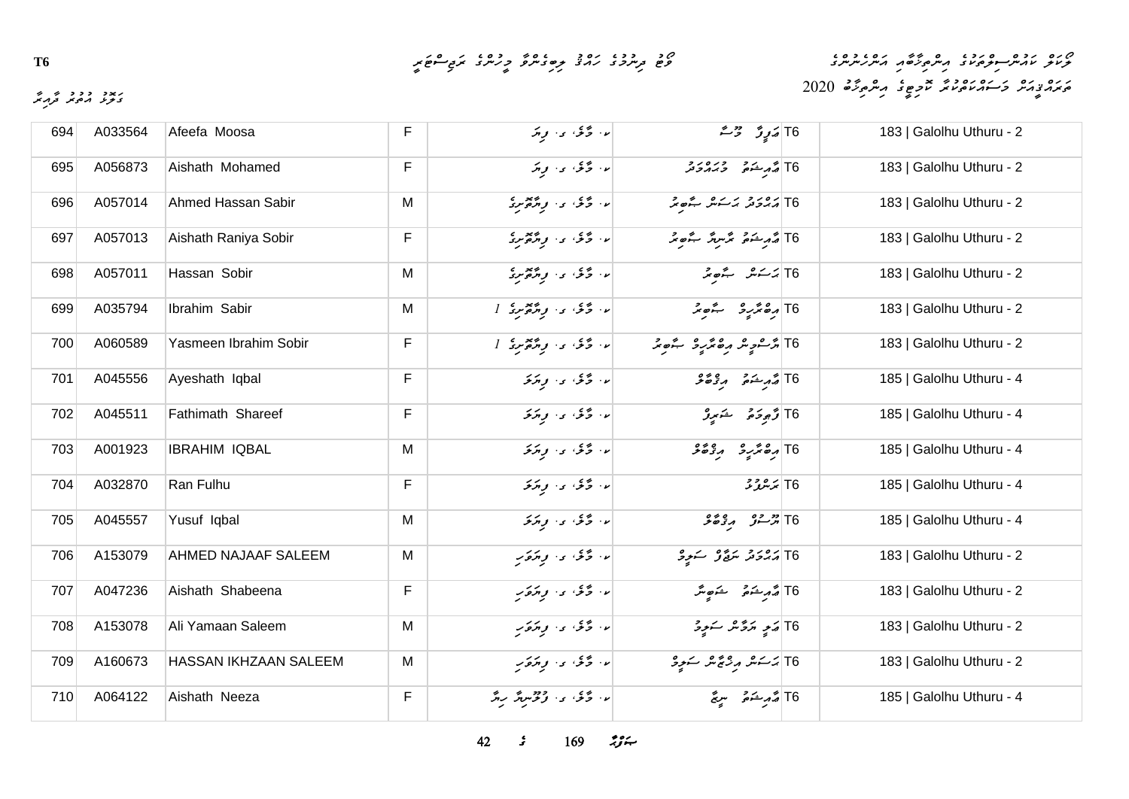*sCw7q7s5w7m< o<n9nOoAw7o< sCq;mAwBoEw7q<m; wBm;vB 2020*<br>*په پوهر وسوډيرونو لومو د موجو د مرمونه* 2020

| 694 | A033564 | Afeefa Moosa                 | F | لاء گرگی ای اوپک                                                                                                                                                                                                               | T6 <i>ړُوِدٌ</i> حِمَـُدٌ                | 183   Galolhu Uthuru - 2 |
|-----|---------|------------------------------|---|--------------------------------------------------------------------------------------------------------------------------------------------------------------------------------------------------------------------------------|------------------------------------------|--------------------------|
| 695 | A056873 | Aishath Mohamed              | F | پار گري اي او برگر                                                                                                                                                                                                             | T6 مُصِنَّمَ وَبَرُودَرْ                 | 183   Galolhu Uthuru - 2 |
| 696 | A057014 | Ahmed Hassan Sabir           | M | پارسی کی او در این در دید که این برای که این میتواند که به این که این این که این که این که این که این که این<br>این این که این که این که این که این که این که این که این که این که این که این که این که این که این که این که ا | T6 <i>ړُرونه ټکنه څون</i> ه              | 183   Galolhu Uthuru - 2 |
| 697 | A057013 | Aishath Raniya Sobir         | F | پارستخوا دار و په پورت                                                                                                                                                                                                         | T6 مُدِينَة مُرْسِدٌ جُرْمَةٌ            | 183   Galolhu Uthuru - 2 |
| 698 | A057011 | Hassan Sobir                 | M | لا د څخه د د وگرونده                                                                                                                                                                                                           | T6   يز سنة مست <i>مر بت</i> قي          | 183   Galolhu Uthuru - 2 |
| 699 | A035794 | Ibrahim Sabir                | M | لا د څخه د په د پېړۍ ل                                                                                                                                                                                                         | T6 م <i>ەنگىر</i> ۇ س <i>ەھى</i> ر       | 183   Galolhu Uthuru - 2 |
| 700 | A060589 | Yasmeen Ibrahim Sobir        | F | لا د څخه د پر پر پورې [                                                                                                                                                                                                        | T6 <i>مُرْ-وِجْر مِ®مُرْبِ</i> وْ جُومَر | 183   Galolhu Uthuru - 2 |
| 701 | A045556 | Ayeshath Iqbal               | F | لاستخرى الاس ويترى                                                                                                                                                                                                             | T6مقصر مقصو                              | 185   Galolhu Uthuru - 4 |
| 702 | A045511 | Fathimath Shareef            | F | لا انحلی ای او پژی                                                                                                                                                                                                             | T6 <i>وَّج</i> وحَة شَعَبِيرُ            | 185   Galolhu Uthuru - 4 |
| 703 | A001923 | <b>IBRAHIM IQBAL</b>         | M | ما انځنگی ای او پژی                                                                                                                                                                                                            | T6 مەھ <i>مگىي</i> ھەم قەھم              | 185   Galolhu Uthuru - 4 |
| 704 | A032870 | Ran Fulhu                    | F | الا گاگا ای اوالگا                                                                                                                                                                                                             | $72.2$ $\times$ T6                       | 185   Galolhu Uthuru - 4 |
| 705 | A045557 | Yusuf Iqbal                  | M | لا انځنگی ای او پژنگی                                                                                                                                                                                                          | T6 پر دو مقصو                            | 185   Galolhu Uthuru - 4 |
| 706 | A153079 | AHMED NAJAAF SALEEM          | M | الا دمجني الاستقامي                                                                                                                                                                                                            | T6 <i>גُرُدَة مَنْ</i> قُوْ سَعِرُوْ     | 183   Galolhu Uthuru - 2 |
| 707 | A047236 | Aishath Shabeena             | F | ما الحمق الاستخراج المركز                                                                                                                                                                                                      | T6 <i>مَّ مِ</i> حَمَّةٍ مُتَوَسَّر      | 183   Galolhu Uthuru - 2 |
| 708 | A153078 | Ali Yamaan Saleem            | M | ما الحجمي الماس والمركزب                                                                                                                                                                                                       | T6   كَيْرٍ مَرَدَّشْ سَوِرْ             | 183   Galolhu Uthuru - 2 |
| 709 | A160673 | <b>HASSAN IKHZAAN SALEEM</b> | M | لا د څخه د د د پروت                                                                                                                                                                                                            | T6   يَرْسَسْ مِرْدَجٌ مْدْ سَبْرِ وْ    | 183   Galolhu Uthuru - 2 |
| 710 | A064122 | Aishath Neeza                | F | ، دَبَن دَ دَبْرَسِيرٌ رِيْرٌ                                                                                                                                                                                                  | T6 م <i>ُّهرِ شَهُمُ</i> سِيعٌ           | 185   Galolhu Uthuru - 4 |

*42 sC 169 nNw?mS*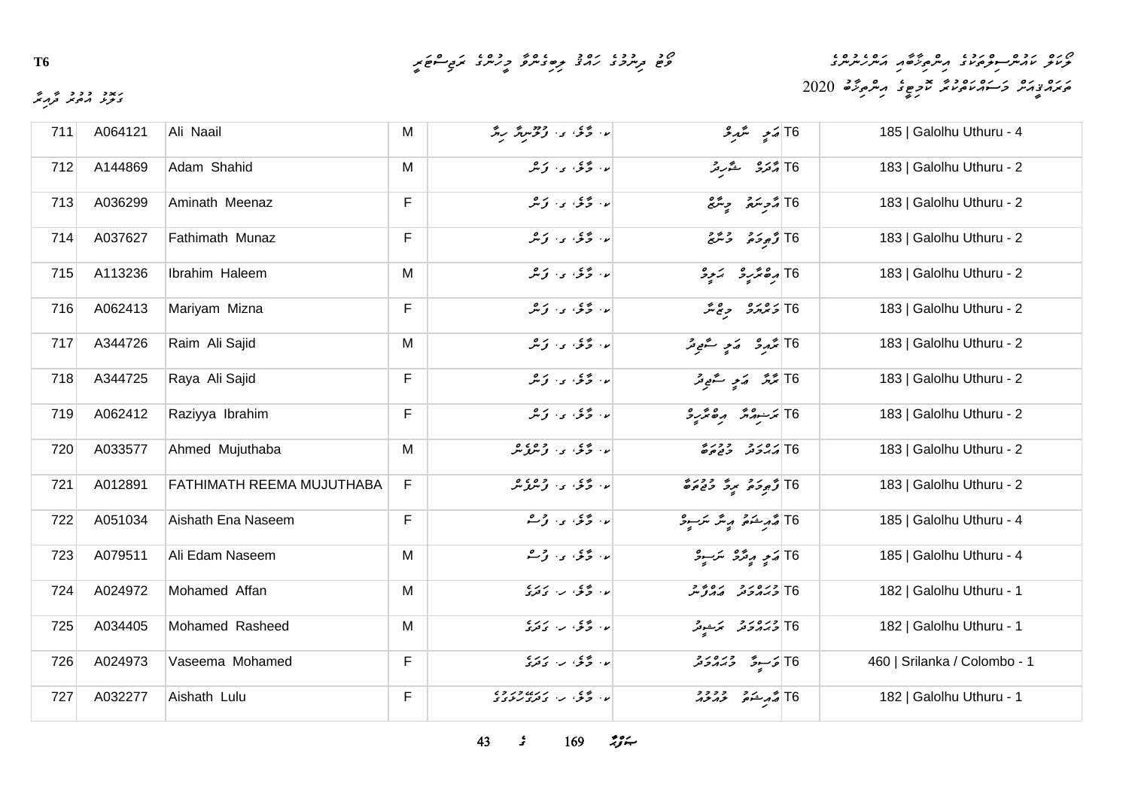*sCw7q7s5w7m< o<n9nOoAw7o< sCq;mAwBoEw7q<m; wBm;vB* م من المرة المرة المرة المرجع المرجع في المركبة 2020<br>مجم*د المريض المربوط المربع المرجع في المراجع المركبة* 

| 711 | A064121 | Ali Naail                 | M           | پار د محکمه از د د محمد برگ                          | T6 <i>ڇَوِ سُمُدِ گَ</i>                             | 185   Galolhu Uthuru - 4     |
|-----|---------|---------------------------|-------------|------------------------------------------------------|------------------------------------------------------|------------------------------|
| 712 | A144869 | Adam Shahid               | M           | ئارىخى ئارىپى                                        | T6 مُحَمَّدٌ حُمَّدِمْرٌ                             | 183   Galolhu Uthuru - 2     |
| 713 | A036299 | Aminath Meenaz            | $\mathsf F$ | الا د څخه او د تونگر                                 | T6 <i>مُؤسِّعَة</i> بِسَمَّةً                        | 183   Galolhu Uthuru - 2     |
| 714 | A037627 | Fathimath Munaz           | F           | لار دمچون ی د تونگر                                  | T6 <i>وَّجِ دَمَّة</i> حَسَّمَة                      | 183   Galolhu Uthuru - 2     |
| 715 | A113236 | Ibrahim Haleem            | M           | لاستخفاء المكاثر                                     | T6 <sub>م</sub> ەنزىر ئىرو                           | 183   Galolhu Uthuru - 2     |
| 716 | A062413 | Mariyam Mizna             | F           | لا کانگا دا کانگر                                    | T6تر برجو مع مليستر                                  | 183   Galolhu Uthuru - 2     |
| 717 | A344726 | Raim Ali Sajid            | M           | لاستخرى بالممتوش                                     | T6 <i>مُدَود مَيٍّ سُمِي</i> ْر                      | 183   Galolhu Uthuru - 2     |
| 718 | A344725 | Raya Ali Sajid            | F           | الارتخاص والمحاش                                     | T6 تُرَمَّرُ <i>مَيْ سُ</i> وِيْرَ                   | 183   Galolhu Uthuru - 2     |
| 719 | A062412 | Raziyya Ibrahim           | F           | ىدە ئۇقۇرى ئۇنىڭ                                     | T6 <i>بَن دِمْ بَنْ مِرْهُ بَنْ</i> دِيْرِ           | 183   Galolhu Uthuru - 2     |
| 720 | A033577 | Ahmed Mujuthaba           | M           | لا گرگان ویژگر                                       | T6 كەبرو مەدەر ق                                     | 183   Galolhu Uthuru - 2     |
| 721 | A012891 | FATHIMATH REEMA MUJUTHABA | F           | لا د څکې د اوسرونکر                                  | T6 <i>وَّج</i> وحَمُ س <sub>ِ</sub> عَ دَيْءَةُ      | 183   Galolhu Uthuru - 2     |
| 722 | A051034 | Aishath Ena Naseem        | F           | لا، دې د، دې                                         | T6 م <i>مْہشم م</i> ِیٹر ترجو                        | 185   Galolhu Uthuru - 4     |
| 723 | A079511 | Ali Edam Naseem           | M           | لار څخه او د وګ                                      | T6 <i>ڇَجِ <sub>م</sub>ِئڙُو <sub>مَرَسِوُ</sub></i> | 185   Galolhu Uthuru - 4     |
| 724 | A024972 | Mohamed Affan             | M           | الاستخرى الراسم ولادى                                | T6 <i>دېږونه په و</i> ر                              | 182   Galolhu Uthuru - 1     |
| 725 | A034405 | Mohamed Rasheed           | M           | الاستخرى الراسم ولادى                                | T6 <i>وُبَرُوُوَ</i> مَرْ <sub>شُرِ</sub> مَرُ       | 182   Galolhu Uthuru - 1     |
| 726 | A024973 | Vaseema Mohamed           | F           | ا د گري رس نړوي                                      | T6 كۆسىر <i>ى ئەندە</i> تر                           | 460   Srilanka / Colombo - 1 |
| 727 | A032277 | Aishath Lulu              | F           | ر در وی در در در در وی<br>روستی در ار در در در در در | T6 م <i>جميعة والمحمد فرق</i>                        | 182   Galolhu Uthuru - 1     |

*43 s* 169 *i*<sub>s</sub> $\approx$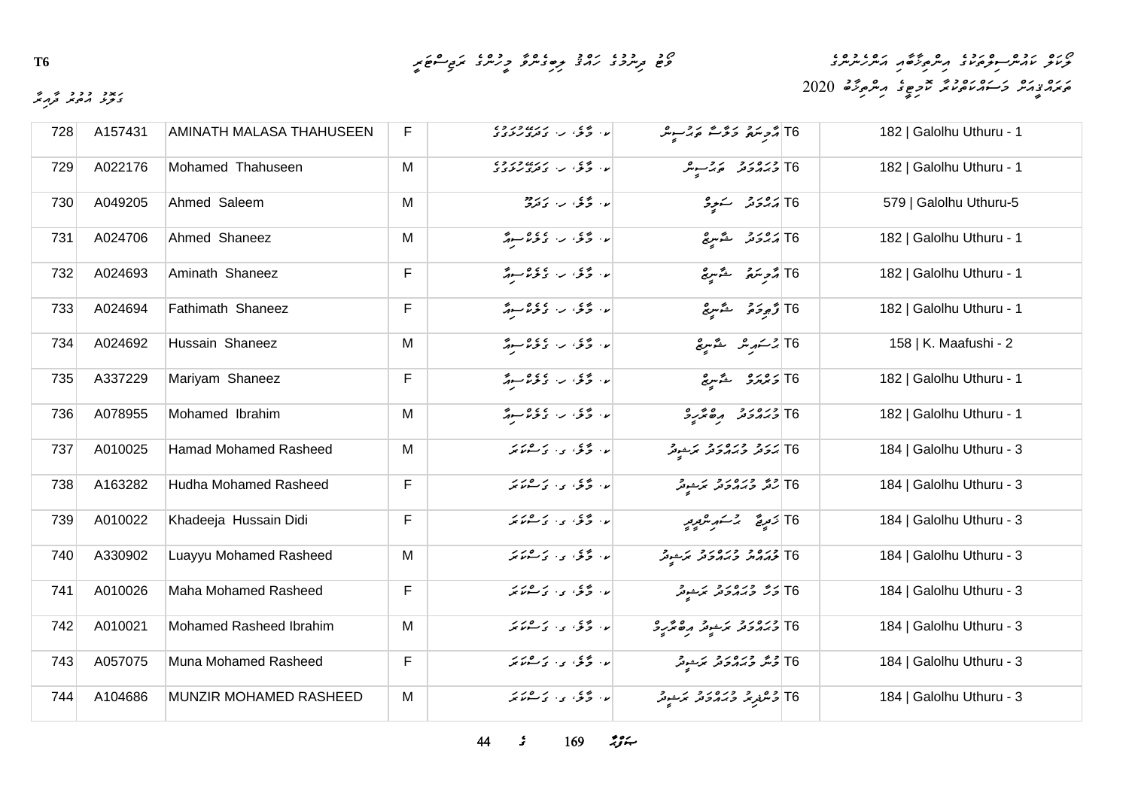*sCw7q7s5w7m< o<n9nOoAw7o< sCq;mAwBoEw7q<m; wBm;vB* م من المسجد المسجد المسجد المسجد المسجد العام 2020<br>مسجد المسجد المسجد المسجد المسجد المسجد المسجد المسجد المسجد ال

### *n8o<n@ q8qAq< q:uBmC*

| 728 | A157431 | <b>AMINATH MALASA THAHUSEEN</b> | $\mathsf{F}$ | ر در ۱۶ دره ۱۶۷۶ وروه<br>  د ۱۰ د گرگ ر د کارل کروی | T6 مَّ <i>جِسَعَ وَقَتَّ مَ بِ</i> مُّ سِمَّ                      | 182   Galolhu Uthuru - 1 |
|-----|---------|---------------------------------|--------------|-----------------------------------------------------|-------------------------------------------------------------------|--------------------------|
| 729 | A022176 | Mohamed Thahuseen               | M            | ر د نوی رس وروه وروه<br>د ارگانی رس وترونرورو       | T6 <i>32028 ويد سونتر</i>                                         | 182   Galolhu Uthuru - 1 |
| 730 | A049205 | Ahmed Saleem                    | M            | ىن گەنى، رىز رود                                    | T6  <i>ړی</i> وته شوی                                             | 579   Galolhu Uthuru-5   |
| 731 | A024706 | Ahmed Shaneez                   | M            | لا په مخې را د وراسه                                | T6 كەشكە ئىش ئىش ئىس ئىس                                          | 182   Galolhu Uthuru - 1 |
| 732 | A024693 | Aminath Shaneez                 | F            | لا په مخې را د وراسه                                | T6 أ <i>مَّ حِ سَمَّ جَمَّ سِي</i> َّةَ                           | 182   Galolhu Uthuru - 1 |
| 733 | A024694 | Fathimath Shaneez               | $\mathsf F$  | لا د محرق را د ولايسوژ                              | T6 <i>وَّجِوَدَة</i> شَمَّسِيَّ                                   | 182   Galolhu Uthuru - 1 |
| 734 | A024692 | Hussain Shaneez                 | M            | لا په مخې را د د د کار کار                          | T6  يُرسَمبر شَر مُشْتَدِينِ                                      | 158   K. Maafushi - 2    |
| 735 | A337229 | Mariyam Shaneez                 | $\mathsf F$  | لا په نځوا را د کال کال کال                         | T6  <i>وَجْهَرُوْ</i> شَمَّسِيْح                                  | 182   Galolhu Uthuru - 1 |
| 736 | A078955 | Mohamed Ibrahim                 | M            | لا په مخې را د د د کار کار                          | T6 <i>دُبرو دو م</i> ڤتربرو                                       | 182   Galolhu Uthuru - 1 |
| 737 | A010025 | <b>Hamad Mohamed Rasheed</b>    | M            | لا . ۇقۇرى - ئەسىملانتى                             | T6   يَرَوَنْزُ وَيَرْدُونَوْ يَرْشِيْتَرْ                        | 184   Galolhu Uthuru - 3 |
| 738 | A163282 | <b>Hudha Mohamed Rasheed</b>    | $\mathsf F$  | لا د څخه د کامنونو                                  | T6  رُمَّزُ تَ <i>رُدُدُ</i> تَرَ بَرَسُوِيْرُ                    | 184   Galolhu Uthuru - 3 |
| 739 | A010022 | Khadeeja Hussain Didi           | F            | ىدا ئۇقۇرى ئەسىر ئەسىرىمە                           | T6 كريريج - جر <i>سكوبر بكربوير</i>                               | 184   Galolhu Uthuru - 3 |
| 740 | A330902 | Luayyu Mohamed Rasheed          | M            | لا : ۇقۇرى ئەسىمە ئەسىر                             | T6 وروو ورورو برجور                                               | 184   Galolhu Uthuru - 3 |
| 741 | A010026 | Maha Mohamed Rasheed            | $\mathsf F$  | لا د څخه د کامنونو ک                                | .<br>T6 ك <sup>ر</sup> گ ك <i>اندگ</i> انگر نماش <sub>ي</sub> نگر | 184   Galolhu Uthuru - 3 |
| 742 | A010021 | Mohamed Rasheed Ibrahim         | M            | لا . ۇقۇرى - ئەسىملانتى                             | T6 <i>وبروونز برَجونز وه</i> بر <i>ُ</i> رِد                      | 184   Galolhu Uthuru - 3 |
| 743 | A057075 | Muna Mohamed Rasheed            | $\mathsf F$  | لا . ۇقۇرى كەسىم ئىستىملىك                          | T6 وُتَرٌ وَيَرُوونُ يَرَسُونُ                                    | 184   Galolhu Uthuru - 3 |
| 744 | A104686 | MUNZIR MOHAMED RASHEED          | M            | لا ، ۇى ، ئى ئەسىم ئىر                              | T6 وُسْمَعْرِ مُرَ وُبُرُودَ تَرَ مَرَسُوتِرُ                     | 184   Galolhu Uthuru - 3 |

*44 sC 169 nNw?mS*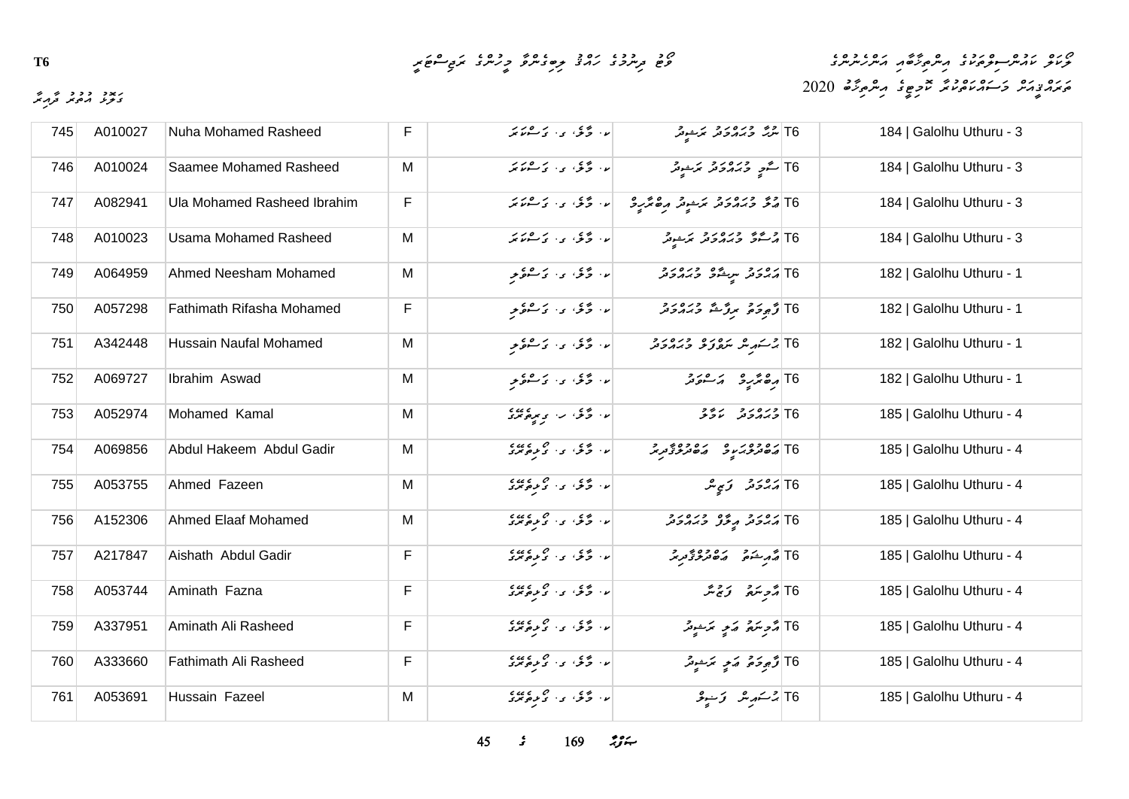*sCw7q7s5w7m< o<n9nOoAw7o< sCq;mAwBoEw7q<m; wBm;vB* م من المسجد المسجد المسجد المسجد المسجد العام 2020<br>مسجد المسجد المسجد المسجد المسجد المسجد المسجد المسجد المسجد ال

| 745 | A010027 | <b>Nuha Mohamed Rasheed</b>   | $\mathsf F$ | لا د څخه د کامندنگر                                                                                                                                                                                                             | T6 م <i>رْدٌ وَبَهُ</i> وَتَرَ بَرَسِوِتْرَ                 | 184   Galolhu Uthuru - 3 |
|-----|---------|-------------------------------|-------------|---------------------------------------------------------------------------------------------------------------------------------------------------------------------------------------------------------------------------------|-------------------------------------------------------------|--------------------------|
| 746 | A010024 | Saamee Mohamed Rasheed        | M           | لا . ۇقۇرى - ئاسىملانتى                                                                                                                                                                                                         | T6 كرو <i>و ډكرو تر پر ش<sub>و</sub>بر</i>                  | 184   Galolhu Uthuru - 3 |
| 747 | A082941 | Ula Mohamed Rasheed Ibrahim   | $\mathsf F$ | الارتخاص كالمشاتم                                                                                                                                                                                                               | T6 رُحَّ وَبَرُودَ بَرَسُوِيْرَ بِرَصْرُبِهِ 3              | 184   Galolhu Uthuru - 3 |
| 748 | A010023 | <b>Usama Mohamed Rasheed</b>  | M           | لار ۇي بى ئەسىملەتكە                                                                                                                                                                                                            | .<br>T6 أَرْسُرَ وَيَرْدُونَرْ يَرْسُونَرْ                  | 184   Galolhu Uthuru - 3 |
| 749 | A064959 | Ahmed Neesham Mohamed         | M           | $\downarrow$ ، وَکَیْ $\downarrow$ ، وَکِسُوَمِ                                                                                                                                                                                 | T6 كەندۇقر س <sub>ى</sub> شگە ق <i>ەتدەق</i> ر              | 182   Galolhu Uthuru - 1 |
| 750 | A057298 | Fathimath Rifasha Mohamed     | F           | $\downarrow$ ، وَكَرْسَ اللَّهُ وَاللَّهُ وَاللَّهُ وَاللَّهُ وَاللَّهُ وَاللَّهُ وَاللَّهُ وَاللَّهُ وَاللّ                                                                                                                    | T6 <i>وُّجِودَةُ</i> بِرَرَّتْ دَيَ <i>دْدَ</i> نْد         | 182   Galolhu Uthuru - 1 |
| 751 | A342448 | <b>Hussain Naufal Mohamed</b> | M           | لاستخفى الاستقطام                                                                                                                                                                                                               | T6 يز شهر شهوري العربي در د                                 | 182   Galolhu Uthuru - 1 |
| 752 | A069727 | Ibrahim Aswad                 | M           | لا د گري د کاره کامونو                                                                                                                                                                                                          | T6 مەھم <i>گېرى مەسوم</i> ر                                 | 182   Galolhu Uthuru - 1 |
| 753 | A052974 | Mohamed Kamal                 | M           | ر، د څکې ر، <sub>کو</sub> مومونونو                                                                                                                                                                                              | $75.222$ T6                                                 | 185   Galolhu Uthuru - 4 |
| 754 | A069856 | Abdul Hakeem Abdul Gadir      | M           |                                                                                                                                                                                                                                 | T6 رەدورىي مەدەپەر د                                        | 185   Galolhu Uthuru - 4 |
| 755 | A053755 | Ahmed Fazeen                  | M           | د د کلي د هم د د د د د د د د کال د د د کال د د د کال د د د کال د د د کال د د د کال د د د د کال د د د کال د د ک<br>د د کال د کال د کال د کال د کال د کال د کال د کال د کال د کال د کال د کال د کال د کال د کال د کال د کال د کال | T6   <i>ټرونو تی ی</i> ر                                    | 185   Galolhu Uthuru - 4 |
| 756 | A152306 | <b>Ahmed Elaaf Mohamed</b>    | M           | ر گوی د کرده برد                                                                                                                                                                                                                | T6 <i>גُرُدُوَ پُروُژ وَبَ</i> رُوَتَرَ                     | 185   Galolhu Uthuru - 4 |
| 757 | A217847 | Aishath Abdul Gadir           | $\mathsf F$ | ر د محتی د د می در د د                                                                                                                                                                                                          | T6 مەم شەھ مەھەرى توپىر                                     | 185   Galolhu Uthuru - 4 |
| 758 | A053744 | Aminath Fazna                 | F           | ر ده ده د د د د د د د د د د د                                                                                                                                                                                                   | T6 م <i>ُّوِسَع</i> ْ دَيْمَتُ                              | 185   Galolhu Uthuru - 4 |
| 759 | A337951 | Aminath Ali Rasheed           | $\mathsf F$ | ر د محتی د د می در د د                                                                                                                                                                                                          | T6 <i>مُوسَعُ مَ</i> وِ بَرَ <sub>ّتُو</sub> ثَر            | 185   Galolhu Uthuru - 4 |
| 760 | A333660 | Fathimath Ali Rasheed         | F           | د د کلي د هم د د د د د د د د کال د د د کال د د د کال د د د کال د د د کال د د د کال د د د د کال د د د کال د د ک<br>د د کال د کال د کال د کال د کال د کال د کال د کال د کال د کال د کال د کال د کال د کال د کال د کال د کال د کال | T6 <i>وُّجِ وَءُ <sub>م</sub>ُ</i> حٍ <sub>مَرَّسِيْر</sub> | 185   Galolhu Uthuru - 4 |
| 761 | A053691 | Hussain Fazeel                | M           | ر گوی د کرده برد                                                                                                                                                                                                                | T6  يُرْسَمَّ مِنْ تَوْسِيْتْرِ                             | 185   Galolhu Uthuru - 4 |

*45 sC 169 nNw?mS*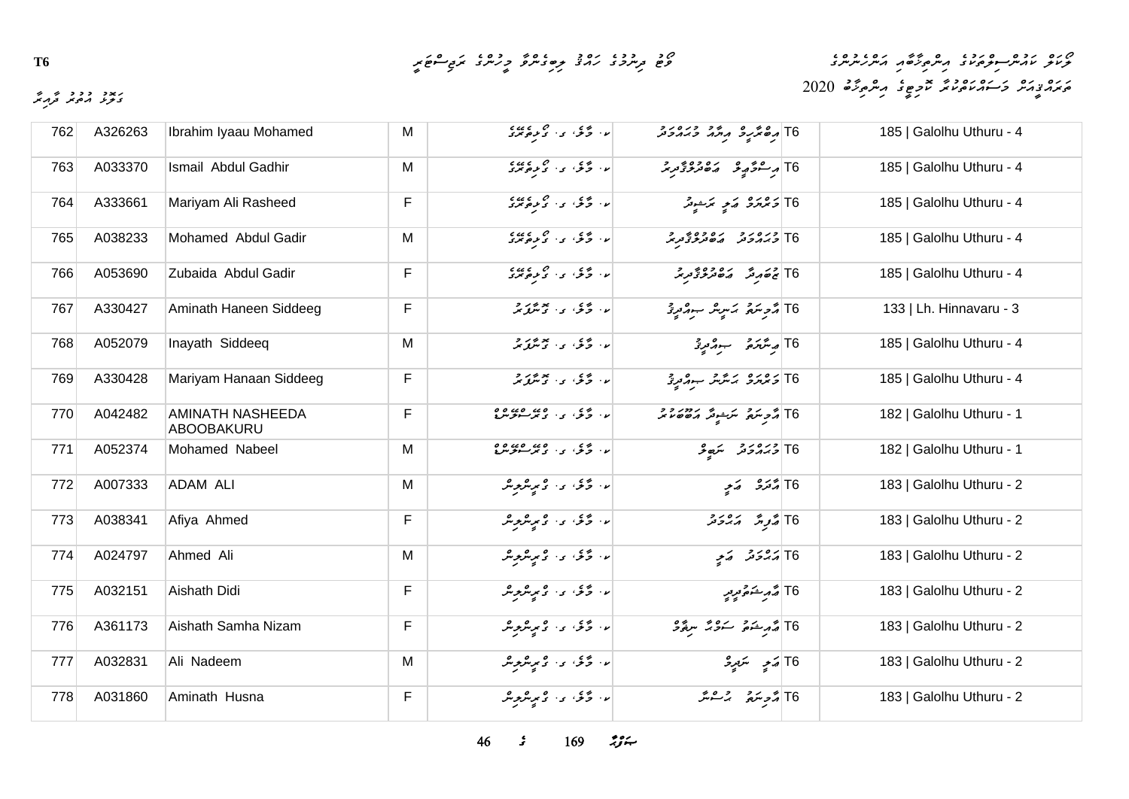*sCw7q7s5w7m< o<n9nOoAw7o< sCq;mAwBoEw7q<m; wBm;vB* م من المرة المرة المرة المرجع المرجع في المركبة 2020<br>مجم*د المريض المربوط المربع المرجع في المراجع المركبة* 

| 762 | A326263 | Ibrahim Iyaau Mohamed          | M            | ر د وي .<br>د گون د گوه پور                                                                                    | T6 رەئزىرى مەدە دىرەرد                                         | 185   Galolhu Uthuru - 4 |
|-----|---------|--------------------------------|--------------|----------------------------------------------------------------------------------------------------------------|----------------------------------------------------------------|--------------------------|
| 763 | A033370 | Ismail Abdul Gadhir            | м            | ر د د د د د د د د د د د د د د                                                                                  | T6 مِ سُتَرَّمَ فِي مَصْرَفَرَّ مِرْمَرِ                       | 185   Galolhu Uthuru - 4 |
| 764 | A333661 | Mariyam Ali Rasheed            | F            | ر د کلي د کاره د د د د کاروند ک                                                                                | T6 كَمَرْتَرْدَ   مَرِ يَرَسُونَرْ                             | 185   Galolhu Uthuru - 4 |
| 765 | A038233 | Mohamed Abdul Gadir            | M            | ر د کمی د می در د د                                                                                            | T6 دره در ده ده در د                                           | 185   Galolhu Uthuru - 4 |
| 766 | A053690 | Zubaida Abdul Gadir            | F            | ر گوی د کرده برد                                                                                               | T6 ينھ مر مگھ مرکو تو مر مگر<br>76 ينھ مر مگھ مرکو تو مر مگر   | 185   Galolhu Uthuru - 4 |
| 767 | A330427 | Aminath Haneen Siddeeg         | $\mathsf{F}$ | لار ۇي كەرلىمىتى ئىر                                                                                           | T6 أ <i>مَّ جِ سَرَةَ بِمَسِرِ مَّكَّرٍ سِي</i> رْ مِرْدِ بِمَ | 133   Lh. Hinnavaru - 3  |
| 768 | A052079 | Inayath Siddeeq                | M            | لار ۇي كەرلىمىتى ئىر                                                                                           | T6 م <i>ېنگونو جوړونو</i>                                      | 185   Galolhu Uthuru - 4 |
| 769 | A330428 | Mariyam Hanaan Siddeeg         | F            | لاستخرى كالمتحصل بو                                                                                            | T6 <i>ۈنگەر ئانگەر جومۇرىي</i>                                 | 185   Galolhu Uthuru - 4 |
| 770 | A042482 | AMINATH NASHEEDA<br>ABOOBAKURU | F            | ر به نخوی د وی وه وه وه و                                                                                      | T6 أَمُّ <i>جِسَمَ مُشَرِّدة أَمُّ هُ مُعَ</i>                 | 182   Galolhu Uthuru - 1 |
| 771 | A052374 | Mohamed Nabeel                 | M            | ر د دی.<br>د گرمی د کامر سومبرد                                                                                | T6  <i>32,352 سَهو</i> ء                                       | 182   Galolhu Uthuru - 1 |
| 772 | A007333 | <b>ADAM ALI</b>                | M            | الاستخلاص والمحبوبلوجيل                                                                                        | T6 چُتر <i>ی چ</i> َ۔                                          | 183   Galolhu Uthuru - 2 |
| 773 | A038341 | Afiya Ahmed                    | F            | الاستخفاء المحي يميعه                                                                                          | T6 <i>مُّوِرمُ مَدُونُدُ</i>                                   | 183   Galolhu Uthuru - 2 |
| 774 | A024797 | Ahmed Ali                      | M            | لا : د د کال د او د کالم مرکز مرکز مرکز انداز او د کال د کال د کال د کال د کال کال د کال کال کال کال کال کال ک | T6 <i>ټرې پې</i> ته                                            | 183   Galolhu Uthuru - 2 |
| 775 | A032151 | Aishath Didi                   | F            | الاستخفاء المحي يميعه                                                                                          | T6 ۾ پرڪوڪيوپر                                                 | 183   Galolhu Uthuru - 2 |
| 776 | A361173 | Aishath Samha Nizam            | F            | الاستخلاص والمحبوبلوجيل                                                                                        | T6 <i>مُ</i> مِــْمَة سَوْبُرْ سِهْرَدْ                        | 183   Galolhu Uthuru - 2 |
| 777 | A032831 | Ali Nadeem                     | M            | الاستخفاء المحي يرتعب المستخرج                                                                                 | T6 <i>ڇَ ڇِ سَمِرِي</i>                                        | 183   Galolhu Uthuru - 2 |
| 778 | A031860 | Aminath Husna                  | F            | لاء گرمی کا کامیکرمیکر                                                                                         | T6 مَّ حِسَمَ <sub>ة مِ</sub> حْسَسَّ                          | 183   Galolhu Uthuru - 2 |

*46 s* 169 *i*<sub>s</sub> $\div$ 

ر **x و c c c c c c c c c c c c c c**<br>*e c c c c c c c c c c*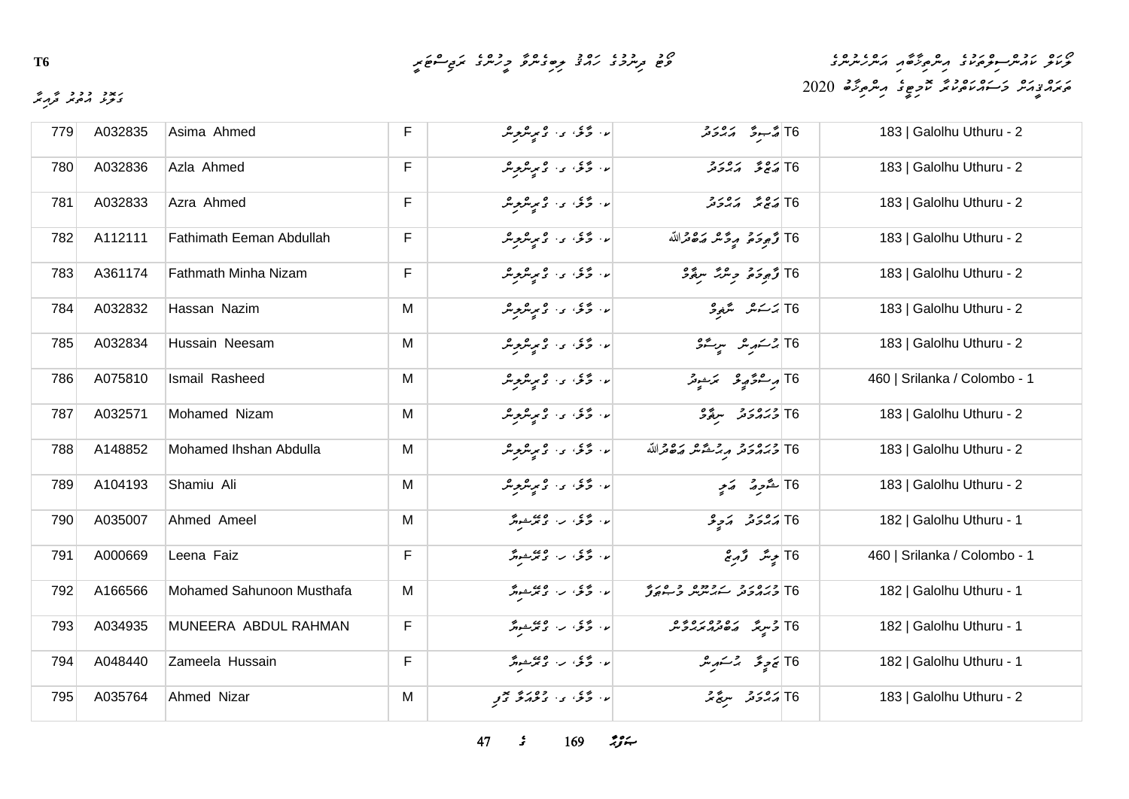*sCw7q7s5w7m< o<n9nOoAw7o< sCq;mAwBoEw7q<m; wBm;vB 2020*<br>*په پوهر وسوډيرونو لومو د موجو د مرمونه* 2020

| 779 | A032835 | Asima Ahmed               | F | الاستخلى المسا ومرتكز وتكل                                                                                                                                                              | T6 م <sup>ح</sup> سبۇ <i>مەدەت</i> ر                                                                                 | 183   Galolhu Uthuru - 2     |
|-----|---------|---------------------------|---|-----------------------------------------------------------------------------------------------------------------------------------------------------------------------------------------|----------------------------------------------------------------------------------------------------------------------|------------------------------|
| 780 | A032836 | Azla Ahmed                | F | الاستخلى المستخلي للمرجونيل                                                                                                                                                             | T6 كەيج <i>قەرىرى</i> بولغان ئىشتى ئىشتى ئىشتى ئىشتە ئىشتە ئىشتە ئىشتە ئىشتە ئىشتە ئىشتە ئىشتە ئىشتە ئىشتە ئىشتە ئىش | 183   Galolhu Uthuru - 2     |
| 781 | A032833 | Azra Ahmed                | F | ئار ئۇقى كى ئى ئوللارنىڭ                                                                                                                                                                | T6 <i>ړی پی پرور</i> و                                                                                               | 183   Galolhu Uthuru - 2     |
| 782 | A112111 | Fathimath Eeman Abdullah  | F | ئار ئۇقى كى ئى ئوللارنىڭ                                                                                                                                                                | T6 قَەب <i>وخۇ م</i> وڭى <i>ن مەھىر</i> اللە                                                                         | 183   Galolhu Uthuru - 2     |
| 783 | A361174 | Fathmath Minha Nizam      | F | الاستخلى المستخلي للمرجونيل                                                                                                                                                             | T6 <i>وَّجِودَةَ وِسْرَةَ</i> سِهْرَةَ                                                                               | 183   Galolhu Uthuru - 2     |
| 784 | A032832 | Hassan Nazim              | M | الاستخلى المستخلي للمرجونيل                                                                                                                                                             | T6 ئەسەنلەر ش <sub>ەنج</sub> ۇ                                                                                       | 183   Galolhu Uthuru - 2     |
| 785 | A032834 | Hussain Neesam            | M | الاستخلاص والمحير مربومر                                                                                                                                                                | T6 پرستهر شریب میرست <i>ه</i> س                                                                                      | 183   Galolhu Uthuru - 2     |
| 786 | A075810 | Ismail Rasheed            | M | الاستخلى المستخلي للمرجونيل                                                                                                                                                             | T6 <sub>م</sub> رےد <i>ۇ بو</i> غ كرىئونى                                                                            | 460   Srilanka / Colombo - 1 |
| 787 | A032571 | Mohamed Nizam             | M | ئار گەنى كەر ئار ئىر ئىرىدىكە                                                                                                                                                           | T6  <i>32,352 سِمَّةُ</i>                                                                                            | 183   Galolhu Uthuru - 2     |
| 788 | A148852 | Mohamed Ihshan Abdulla    | M | ئار گەنگەر كەر ئىر ئىرىدىش                                                                                                                                                              | T6 دره د د بر شوش ره قرالله                                                                                          | 183   Galolhu Uthuru - 2     |
| 789 | A104193 | Shamiu Ali                | M | لاء گرمی کا کام مرکز کر                                                                                                                                                                 | T6 ڪ <i>ئون مک</i> ر                                                                                                 | 183   Galolhu Uthuru - 2     |
| 790 | A035007 | Ahmed Ameel               | M | لاستمحق الرسمي وميما ويتحرجون                                                                                                                                                           | T6 <i>גُرُدُوَدٌ ډَوِ</i> وْ                                                                                         | 182   Galolhu Uthuru - 1     |
| 791 | A000669 | Leena Faiz                | F | $\left  \begin{array}{ccc} \mathcal{L}_1^{\alpha} & \mathcal{L}_2^{\alpha} & \mathcal{L}_3^{\alpha} & \mathcal{L}_4^{\alpha} \end{array} \right _{\mathcal{L}_1^{\alpha}}$              | T6 مِیٹر ق <i>رم</i> ع                                                                                               | 460   Srilanka / Colombo - 1 |
| 792 | A166566 | Mohamed Sahunoon Musthafa | M | $\left\langle \mathcal{L} \right\rangle_{\mathcal{L}}^{\mathcal{L}}$ ى . ئا $\left\langle \mathcal{L} \right\rangle_{\mathcal{L}}^{\mathcal{L}}$ . ئا                                   | T6 در دورو گروههای و ۱۵۰۵                                                                                            | 182   Galolhu Uthuru - 1     |
| 793 | A034935 | MUNEERA ABDUL RAHMAN      | F | $\left  \mathcal{L} \right $ لاء گرگل را کامحر شواگر                                                                                                                                    | T6 ئ <i>ۇسىگە مەھەممەگەگە</i> ر                                                                                      | 182   Galolhu Uthuru - 1     |
| 794 | A048440 | Zameela Hussain           | F | $\left  \begin{array}{ccc} \mathcal{L}_1^{\alpha} & \mathcal{L}_2^{\alpha} & \mathcal{L}_3^{\alpha} & \mathcal{L}_4^{\alpha} \end{array} \right _{\mathcal{L}_1^{\alpha}}$ لا المستورگر | T6 ى <sub>ج</sub> چ <sub>ى</sub> گە بەر باشىر بىر                                                                    | 182   Galolhu Uthuru - 1     |
| 795 | A035764 | Ahmed Nizar               | M | الأرا حجي المراد والمرابع المحافي                                                                                                                                                       | T6 <i>مَدْدَوَمْ سِيِّ</i> مْ                                                                                        | 183   Galolhu Uthuru - 2     |

*n8o<n@ q8qAq< q:uBmC*

*47 sC 169 nNw?mS*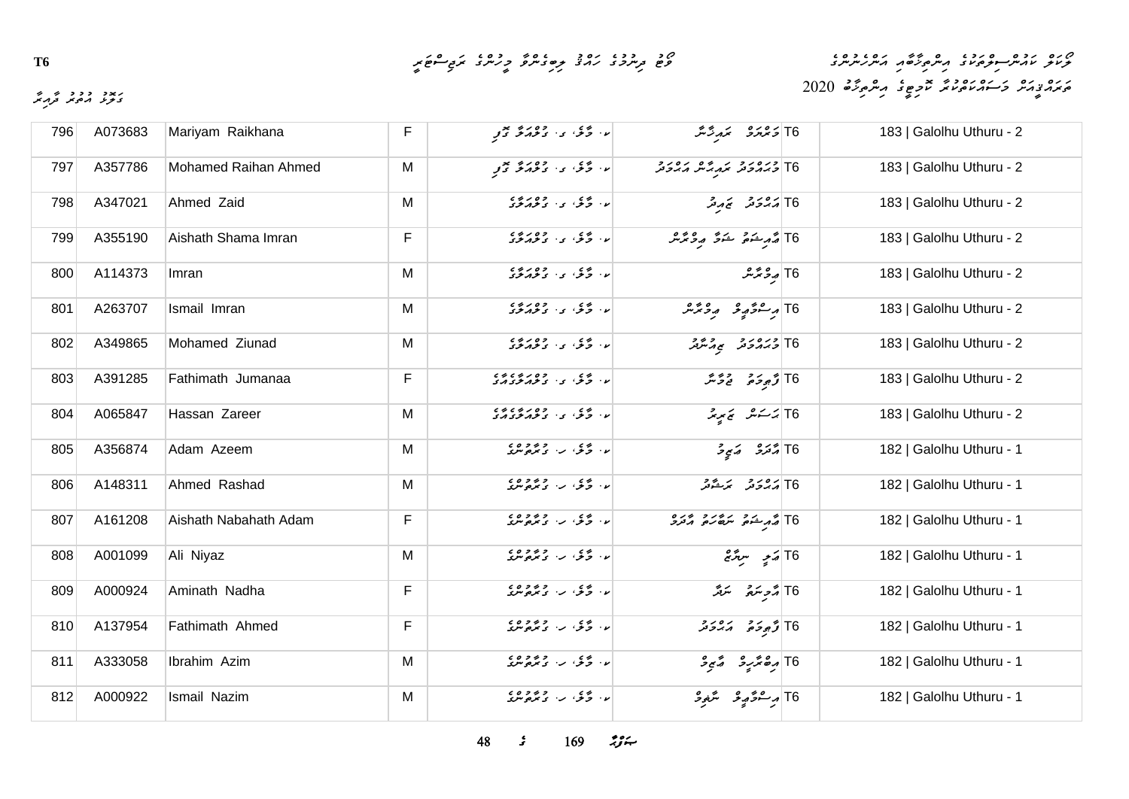*sCw7q7s5w7m< o<n9nOoAw7o< sCq;mAwBoEw7q<m; wBm;vB* م من المسجد المسجد المسجد المسجد المسجد العام 2020<br>مسجد المسجد المسجد المسجد المسجد المسجد المسجد المسجد المسجد ال

| 796 | A073683 | Mariyam Raikhana      | F           | در مجموعی از ده دره ایران<br>  در از کار در محرم بخرابی ایران | T6 <i>وَبُرْدَة بَرَدِدَّ</i> بَرَ                 | 183   Galolhu Uthuru - 2 |
|-----|---------|-----------------------|-------------|---------------------------------------------------------------|----------------------------------------------------|--------------------------|
| 797 | A357786 | Mohamed Raihan Ahmed  | M           | په د څوک د اوه ده د د                                         | T6 <i>ورور و برمر می شده م</i> رومر                | 183   Galolhu Uthuru - 2 |
| 798 | A347021 | Ahmed Zaid            | M           | په د څو، لار وه روه<br>  په د څو، لار وه د د                  | T6 <i>ټرې تنه تن</i> ه تنه کړه ک                   | 183   Galolhu Uthuru - 2 |
| 799 | A355190 | Aishath Shama Imran   | $\mathsf F$ | ، دې د ده ده د                                                | T6 مُصِحَمٌ حَوَّ مِوْمُرْسُ                       | 183   Galolhu Uthuru - 2 |
| 800 | A114373 | Imran                 | М           | لا د څخه د ده ده ده د                                         | T6 مەمەممىر                                        | 183   Galolhu Uthuru - 2 |
| 801 | A263707 | Ismail Imran          | M           | ر د محتی د دوروه د د                                          | T6 <sub>م</sub> رےد <sub>گھی</sub> و گرونگٹر       | 183   Galolhu Uthuru - 2 |
| 802 | A349865 | Mohamed Ziunad        | м           | ل د څو د د ده ده ده                                           | T6 <i>ۋېزودو پې</i> رگرمز                          | 183   Galolhu Uthuru - 2 |
| 803 | A391285 | Fathimath Jumanaa     | F           | ر د محتی د ده ده ده ده د<br>د گرگ د د بر بر بر بر د           | T6 ز <i>ُّەְدَە بِي دُمَّ</i> ر                    | 183   Galolhu Uthuru - 2 |
| 804 | A065847 | Hassan Zareer         | M           | ر د محتی د ده ده ده ده د<br>د گرگ د د بر بر بر بر د           | T6   يَرْسَدُ عَنْ سِمْهِ مِنْ                     | 183   Galolhu Uthuru - 2 |
| 805 | A356874 | Adam Azeem            | M           | لا د څکې له د وه وه و                                         | T6 م <i>گفرى مكب</i> وتر                           | 182   Galolhu Uthuru - 1 |
| 806 | A148311 | Ahmed Rashad          | M           | ر، دې ر، دوه ده د                                             | T6 كەبرى قىر كىرىشى تەركىيەت بىر                   | 182   Galolhu Uthuru - 1 |
| 807 | A161208 | Aishath Nabahath Adam | F           | لار څوک په د ووه ده د                                         |                                                    | 182   Galolhu Uthuru - 1 |
| 808 | A001099 | Ali Niyaz             | M           | لا د څو، له د وه ده و                                         | T6 <i>ڇُجِ سِرَدُّ</i> ج                           | 182   Galolhu Uthuru - 1 |
| 809 | A000924 | Aminath Nadha         | F           | لا د څو، له د وه ده و                                         | T6 <i>مُّحِ سَعَ</i> ّ سَمَّدَّ                    | 182   Galolhu Uthuru - 1 |
| 810 | A137954 | Fathimath Ahmed       | F           |                                                               | T6 <i>وَّجِوحَة مَدْحَدَّ</i>                      | 182   Galolhu Uthuru - 1 |
| 811 | A333058 | Ibrahim Azim          | M           | لار محتى له د دوه ده د                                        | T6 <sub>م</sub> ەنگەر ئەرقىمى قىلىنى ئىل           | 182   Galolhu Uthuru - 1 |
| 812 | A000922 | Ismail Nazim          | M           | لا د څکې له ولاوه ده د                                        | T6 <sub>م</sub> رےد <i>ؤر</i> و س <sub>گھو</sub> و | 182   Galolhu Uthuru - 1 |

*n8o<n@ q8qAq< q:uBmC*

*48 sC 169 nNw?mS*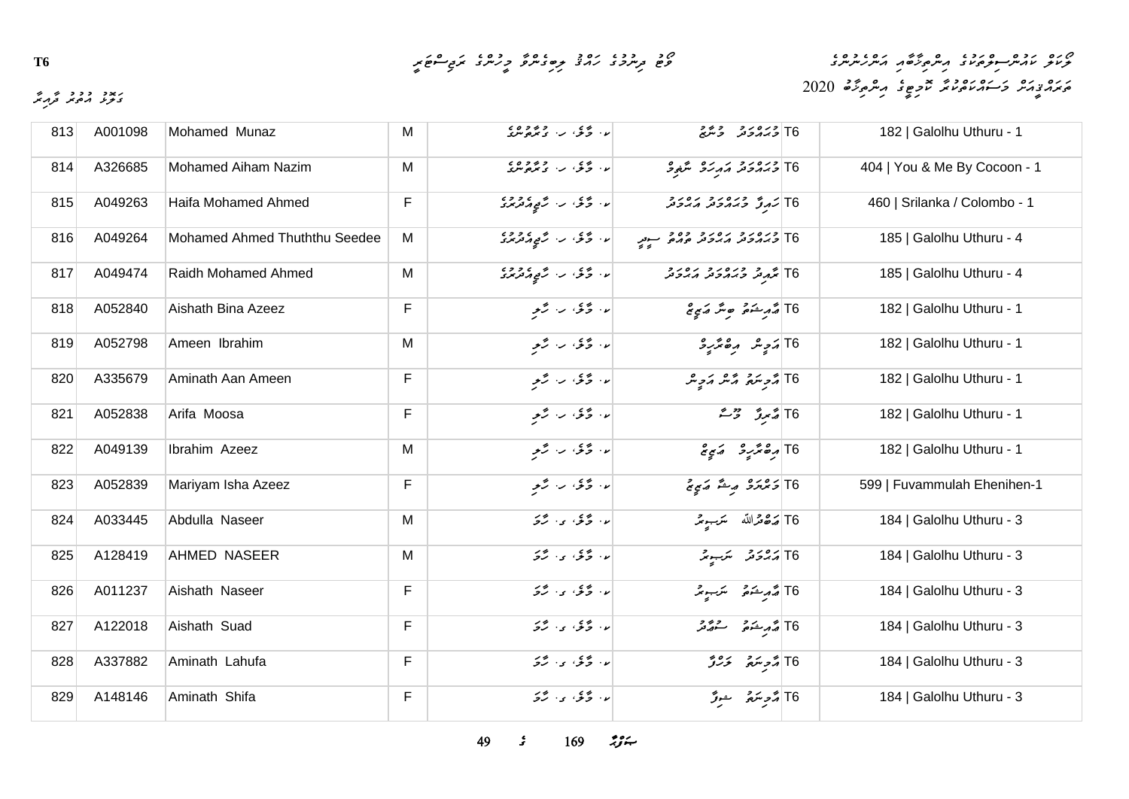*sCw7q7s5w7m< o<n9nOoAw7o< sCq;mAwBoEw7q<m; wBm;vB* م من المرة المرة المرة المرجع المرجع في المركبة 2020<br>مجم*د المريض المربوط المربع المرجع في المراجع المركبة* 

| 813 | A001098 | Mohamed Munaz                 | M | ر، محتی، ر، دیوه ده ده د           | T6  <i>3223 323</i>                                                   | 182   Galolhu Uthuru - 1     |
|-----|---------|-------------------------------|---|------------------------------------|-----------------------------------------------------------------------|------------------------------|
| 814 | A326685 | <b>Mohamed Aiham Nazim</b>    | M | ر، محتی، ر، دیوه ده ده د           | T6 <i>בגף בני ההבכ</i> س <i>לי</i> 16                                 | 404   You & Me By Cocoon - 1 |
| 815 | A049263 | Haifa Mohamed Ahmed           | F | ر گوي را گهچ و دوه د               | T6 كەرگە ئەيرەر ئەربەر دەرد                                           | 460   Srilanka / Colombo - 1 |
| 816 | A049264 | Mohamed Ahmed Thuththu Seedee | M | پارسمجنۍ اب رحمه د ده ده د         | 76 <i>در و د و د و و و و و و.</i><br>16 <i>دېرو تر مردو تر موړ</i> مو | 185   Galolhu Uthuru - 4     |
| 817 | A049474 | Raidh Mohamed Ahmed           | M | <br>  پارسی کی ایران مرگتم و توجری | T6 بُرُم پر و برو بر و بر د و به د                                    | 185   Galolhu Uthuru - 4     |
| 818 | A052840 | Aishath Bina Azeez            | F | الاستخفا لاستثغر                   | T6 مُرمِسُومُ صِتَر مَهِ جُ                                           | 182   Galolhu Uthuru - 1     |
| 819 | A052798 | Ameen Ibrahim                 | M | الاستخفا لاستثبت                   | T6 كەچ شەھەتگە يەھ                                                    | 182   Galolhu Uthuru - 1     |
| 820 | A335679 | Aminath Aan Ameen             | F | الاستخفا لاستثبوا                  | T6 م <i>ُّوسَع مُ</i> سْ م <i>ُوسْ</i>                                | 182   Galolhu Uthuru - 1     |
| 821 | A052838 | Arifa Moosa                   | F | الارتخافي المار رحمي               | T6 مَحْمِدَ حَرْمَتْهُ                                                | 182   Galolhu Uthuru - 1     |
| 822 | A049139 | Ibrahim Azeez                 | M | الاستخفا لاستثغر                   | T6 <sub>م</sub> ەنگەر قىم ئەنقى                                       | 182   Galolhu Uthuru - 1     |
| 823 | A052839 | Mariyam Isha Azeez            | F | الاستخفا لاستثغر                   | T6 كەبىر <i>كى ھەق ھەم ئ</i>                                          | 599   Fuvammulah Ehenihen-1  |
| 824 | A033445 | Abdulla Naseer                | M | لاءِ گُرڻ کا گُرڻ                  | T6 كَدَهْتْدَاللَّهُ     مَرْسِوِمْرُ                                 | 184   Galolhu Uthuru - 3     |
| 825 | A128419 | AHMED NASEER                  | M | لاءِ گُرڻ کا گُرڻ                  | T6 <i>ړې دی.</i> س <i>ربې</i> تر                                      | 184   Galolhu Uthuru - 3     |
| 826 | A011237 | Aishath Naseer                | F | ىدە ئۇنى ئەرەبىي                   | T6 <i>مُّهرِ مُنَّمَّةٍ</i> مَرَسِوِيْر                               | 184   Galolhu Uthuru - 3     |
| 827 | A122018 | Aishath Suad                  | F | لاستحق کار مخت                     | T6 <i>مُ</i> مِسْدَمُ حَمَّمَّد                                       | 184   Galolhu Uthuru - 3     |
| 828 | A337882 | Aminath Lahufa                | F | الارتخاص والممتزة                  | T6 م <i>ُّوِسَعُ</i> وَرُوَّ                                          | 184   Galolhu Uthuru - 3     |
| 829 | A148146 | Aminath Shifa                 | F | لاء گرگان کار گرگ                  | T6 مُرِسَمَ مِنْ مِنْ                                                 | 184   Galolhu Uthuru - 3     |

*49 s* 169 *i*<sub>s</sub> $\div$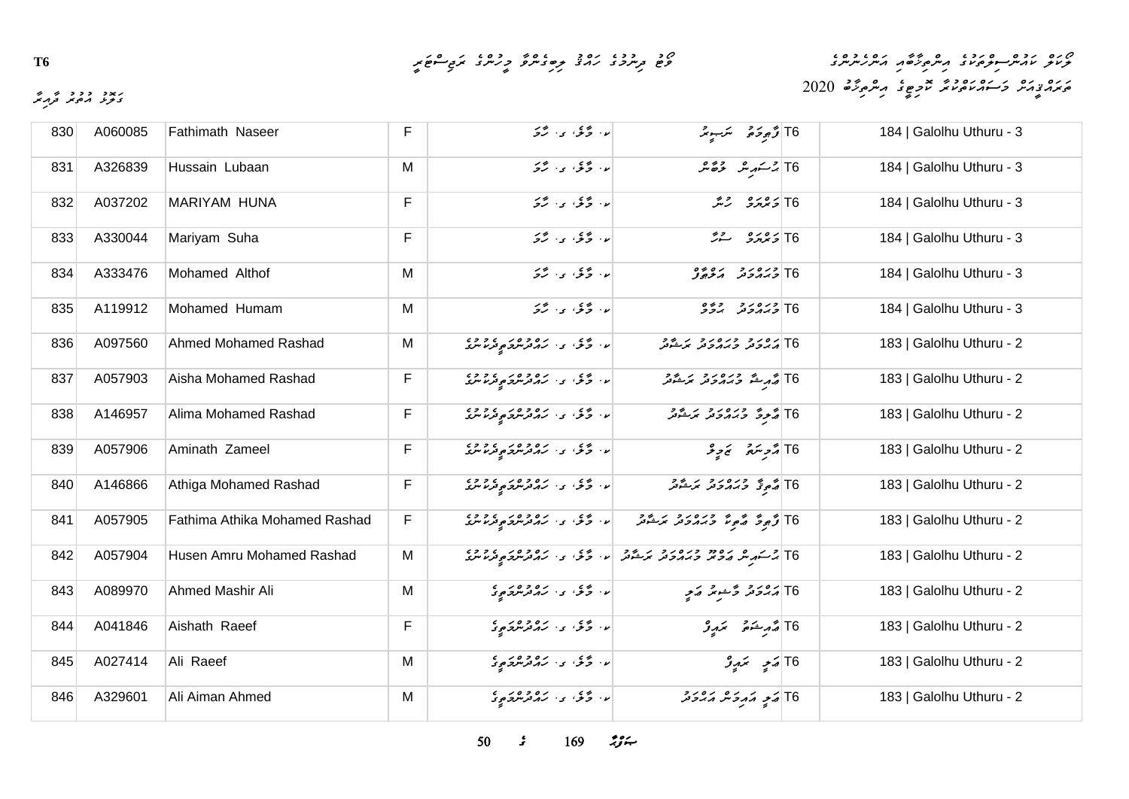*sCw7q7s5w7m< o<n9nOoAw7o< sCq;mAwBoEw7q<m; wBm;vB* م من المسجد المسجد المسجد المسجد المسجد العام 2020<br>مسجد المسجد المسجد المسجد المسجد المسجد المسجد المسجد المسجد ال

### *n8o<n@ q8qAq< q:uBmC*

| 830 | A060085 | <b>Fathimath Naseer</b>       | F           | ىر بە ئىچە ، بەر ئەت                                                             | T6 <i>وُّہِ دَمُ</i> سَرَسِہِ ثَر                   | 184   Galolhu Uthuru - 3 |
|-----|---------|-------------------------------|-------------|----------------------------------------------------------------------------------|-----------------------------------------------------|--------------------------|
| 831 | A326839 | Hussain Lubaan                | M           | ىن گەنى ئەس گەنى                                                                 | T6 يُرْسَم <i>َ بِهِ وَحُصَّرُ</i>                  | 184   Galolhu Uthuru - 3 |
| 832 | A037202 | <b>MARIYAM HUNA</b>           | $\mathsf F$ | الا، وَبِي، الله الرَّق                                                          | T6 <i>وَيُرْدُوْ رُبُّرُ</i>                        | 184   Galolhu Uthuru - 3 |
| 833 | A330044 | Mariyam Suha                  | $\mathsf F$ | لا گرگان کارگر                                                                   | T6 ك <i>ې</i> ر <i>دۇ ئى</i> گ                      | 184   Galolhu Uthuru - 3 |
| 834 | A333476 | Mohamed Althof                | M           | لاء محتى المال محتى                                                              | T6 <i>وبروبرو بروپو</i> ر                           | 184   Galolhu Uthuru - 3 |
| 835 | A119912 | Mohamed Humam                 | M           | ىن گەنى ئەس گەنى                                                                 | $33.2$ $33.23$ T6                                   | 184   Galolhu Uthuru - 3 |
| 836 | A097560 | Ahmed Mohamed Rashad          | M           | ۱۰ - ۳۶ کامل او ۲۶ میل بر ۲۶ و ۲۶<br>  ۱۰ - ۳۶ کامل او ۲۶ میل برگردیم توریم سربی | T6  ربروتر وبروتر برخور                             | 183   Galolhu Uthuru - 2 |
| 837 | A057903 | Aisha Mohamed Rashad          | F           | په د څو، د ار مار مار ده ده د ده                                                 | T6 مُهرِسُمُ وَيَرْدُونَهُ بَرَسْوَنَهُ             | 183   Galolhu Uthuru - 2 |
| 838 | A146957 | Alima Mohamed Rashad          | $\mathsf F$ | په د څو، د ار مار مار ده ده د ده                                                 | T6 مَّرْدِدٌ وَرَمْدَدَتْهِ بَرْشَيْنَهِ            | 183   Galolhu Uthuru - 2 |
| 839 | A057906 | Aminath Zameel                | F           | د کامی د د ماه د ده د ده د د د د                                                 | T6 م <i>ُّوِسَعُ نَجْ وِ</i> مُحَ                   | 183   Galolhu Uthuru - 2 |
| 840 | A146866 | Athiga Mohamed Rashad         | F           | ۱۰ - ۲۵ کال ۱۵۶۵ میل میلادیم و د ۲۵ میل                                          | T6 مُهوَّزٌ وَيَهُوَ مَنْ يَرْشُوَرُ                | 183   Galolhu Uthuru - 2 |
| 841 | A057905 | Fathima Athika Mohamed Rashad | $\mathsf F$ |                                                                                  |                                                     | 183   Galolhu Uthuru - 2 |
| 842 | A057904 | Husen Amru Mohamed Rashad     | M           |                                                                                  | T6 رئیس می ده در در در برخود ۱۰ وی. د. رووه در دوده | 183   Galolhu Uthuru - 2 |
| 843 | A089970 | Ahmed Mashir Ali              | M           | لا کمی کی محمد میں دور ہے                                                        | T6 <i>בُ.כُ</i> تْر گُرْمِتْر <i>حَبْرِ</i>         | 183   Galolhu Uthuru - 2 |
| 844 | A041846 | Aishath Raeef                 | $\mathsf F$ | لا کمچی د رووه د ه                                                               | T6 م <i>ەمبەققى تىمبو</i> ر                         | 183   Galolhu Uthuru - 2 |
| 845 | A027414 | Ali Raeef                     | M           | ر، دمجني، در دوره در در در دم                                                    | T6 <i>ڇَجِ - مَهِ وُ</i>                            | 183   Galolhu Uthuru - 2 |
| 846 | A329601 | Ali Aiman Ahmed               | M           | ر دي.<br>د گرگان د تارولوموړي                                                    | T6 <i>בَ بِي جَهْرَ حَمَّدُ وَجَ</i>                | 183   Galolhu Uthuru - 2 |

 $50$  *s*  $169$  *n***<sub>3</sub>** *n*<sub>3</sub>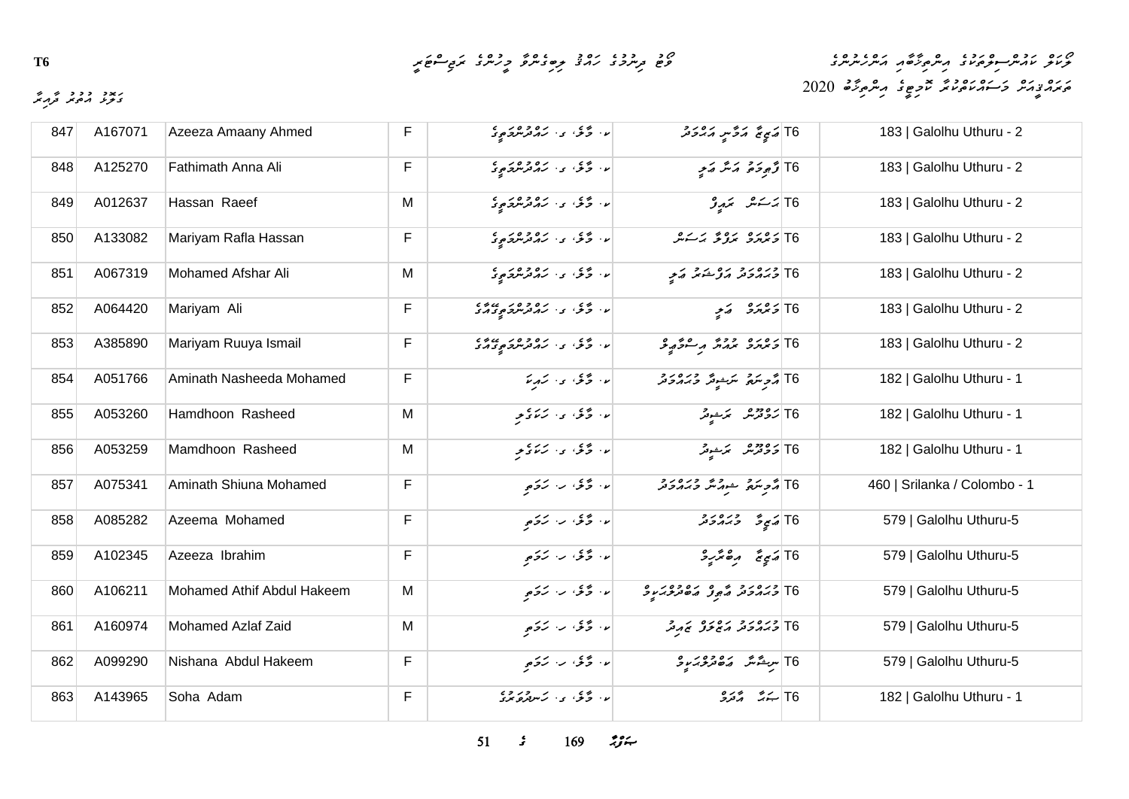*sCw7q7s5w7m< o<n9nOoAw7o< sCq;mAwBoEw7q<m; wBm;vB* م من المرة المرة المرة المرجع المرجع في المركبة 2020<br>مجم*د المريض المربوط المربع المرجع في المراجع المركبة* 

| 847 | A167071 | Azeeza Amaany Ahmed        | F           | ر و څو ، د ار مرمرمرده ول | T6 كەي قۇي كەرگە <i>قى</i> ردۇ.                                                                      | 183   Galolhu Uthuru - 2     |
|-----|---------|----------------------------|-------------|---------------------------|------------------------------------------------------------------------------------------------------|------------------------------|
| 848 | A125270 | Fathimath Anna Ali         | F           | لا کمچی د رووه د ه        | T6   <i>وُجِوَدَةَ</i> ارَسَّرَ ارَبِّرِ                                                             | 183   Galolhu Uthuru - 2     |
| 849 | A012637 | Hassan Raeef               | M           | ل د څکې د ره ده د ده      | T6 يَرْسَىشْ كَرَ <i>مْبِ</i> وْ                                                                     | 183   Galolhu Uthuru - 2     |
| 850 | A133082 | Mariyam Rafla Hassan       | $\mathsf F$ | لا د ځنگه د ره ده د ده    | T6 <i>ۈيۈرۈ بروگە بەسەنل</i>                                                                         | 183   Galolhu Uthuru - 2     |
| 851 | A067319 | <b>Mohamed Afshar Ali</b>  | M           | په دې کې ده ده ده د ه     | T6 <i>בגר</i> כע ג <i>و</i> شتر ټ                                                                    | 183   Galolhu Uthuru - 2     |
| 852 | A064420 | Mariyam Ali                | F           | ر ده ده ده ده د ده د ده د | T6 <i>څنگرو کې</i> مو                                                                                | 183   Galolhu Uthuru - 2     |
| 853 | A385890 | Mariyam Ruuya Ismail       | F           | در ۱۵۶۵ در ۲۵۵۰۰          | T6 <i>دىدە دوم</i> مەش <i>ۇم</i> ۇ                                                                   | 183   Galolhu Uthuru - 2     |
| 854 | A051766 | Aminath Nasheeda Mohamed   | F           | الأرتجنى المارا كمكانة    | T6 مُرْجِسَةٌ سَتَجِسٌ وَبَرَمُ وَقَ                                                                 | 182   Galolhu Uthuru - 1     |
| 855 | A053260 | Hamdhoon Rasheed           | M           | لاستخفى كالممتكف          | T6  <i>ترونژنگ برَجون</i> گر                                                                         | 182   Galolhu Uthuru - 1     |
| 856 | A053259 | Mamdhoon Rasheed           | M           | لاستخفى كالممتكف          | T6   كەنتى كىلى ئىككىسى ئىشلارنىڭ كىلەت ئىككەنتىك ئىككەنتىك ئىككەنتىك ئاتا ئاتا ئاتا ئىسكەنتى ئىسكەن | 182   Galolhu Uthuru - 1     |
| 857 | A075341 | Aminath Shiuna Mohamed     | $\mathsf F$ | مار محتى الرائزة مع       | T6 مُرجِسَمُ شِهْرَسٌ وَبَرَمُ دَنَ                                                                  | 460   Srilanka / Colombo - 1 |
| 858 | A085282 | Azeema Mohamed             | $\mathsf F$ | الاستخفات ترقائي          | T6 <i>ھَي وَحَدُودُو</i>                                                                             | 579   Galolhu Uthuru-5       |
| 859 | A102345 | Azeeza Ibrahim             | $\mathsf F$ | مار گەنگە را ئەترەپى      | T6 <i>ھَي جَهُ م</i> ِھ <i>مَدْرِ دُ</i>                                                             | 579   Galolhu Uthuru-5       |
| 860 | A106211 | Mohamed Athif Abdul Hakeem | M           | مار محتى الرائزة مع       | T6 درور د مور رودوبر و                                                                               | 579   Galolhu Uthuru-5       |
| 861 | A160974 | <b>Mohamed Azlaf Zaid</b>  | M           | مار محتى الرا الركزي      | T6 <i>ويرورو برورو بي برق</i> ر                                                                      | 579   Galolhu Uthuru-5       |
| 862 | A099290 | Nishana Abdul Hakeem       | $\mathsf F$ | مار محتى الرا الركزي      | T6س ئىگە كەھ <i>ەر ئەرى ب</i> و                                                                      | 579   Galolhu Uthuru-5       |
| 863 | A143965 | Soha Adam                  | F           | ىن ئۇنى ئەرگىرلىرى ئور    | T6 بەيئە ئەتەرىج                                                                                     | 182   Galolhu Uthuru - 1     |

 $51$  *s*  $169$  *n***<sub>3</sub>** *n* 

# ر **x و c c c c c c c c c c c c c c**<br>*e c c c c c c c c c c*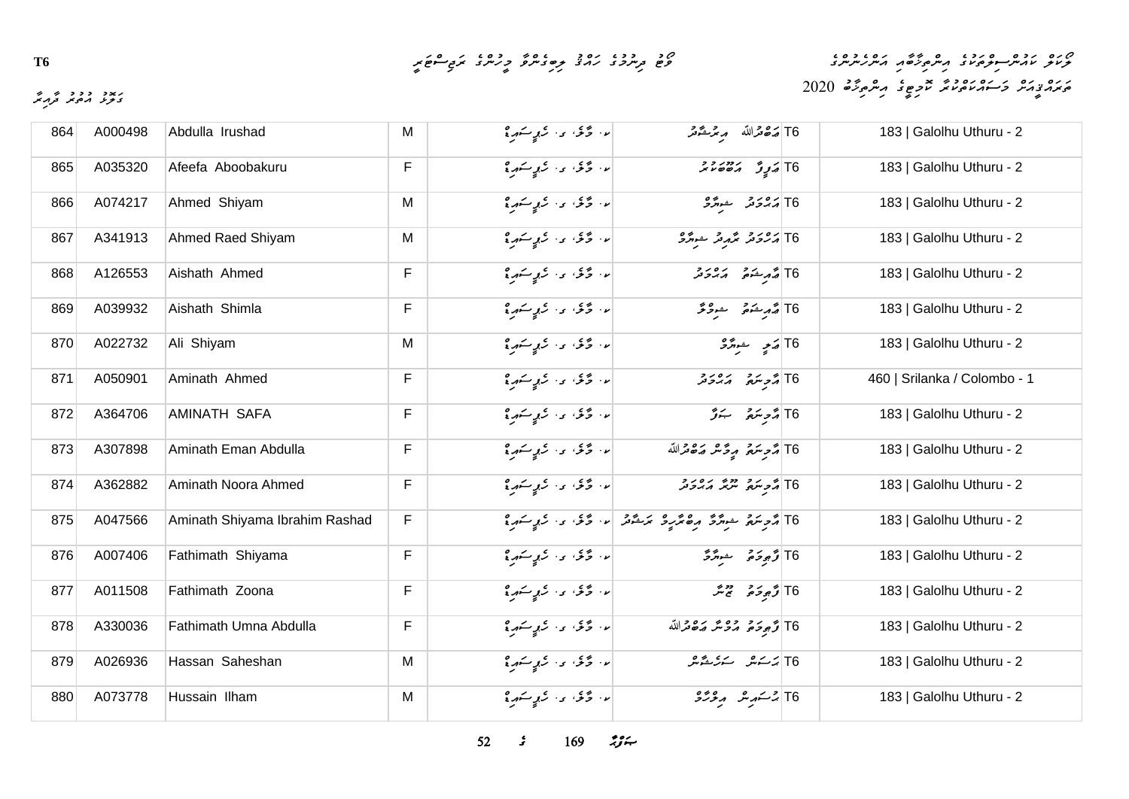*sCw7q7s5w7m< o<n9nOoAw7o< sCq;mAwBoEw7q<m; wBm;vB 2020*<br>*په پوهر وسوډيرونو لومو د موجو د مرمونه* 2020

| 864 | A000498 | Abdulla Irushad                | M | لاء بحثى الارا كربوسكرده       | T6 كَدَهْ قَدْاللّه     مرتمَّ شَعْفَرَ                                                    | 183   Galolhu Uthuru - 2     |
|-----|---------|--------------------------------|---|--------------------------------|--------------------------------------------------------------------------------------------|------------------------------|
| 865 | A035320 | Afeefa Aboobakuru              | F | لا : د کلی کا د کال پاکستان کا | T6 <i>ړُوِرٌ دَهُمَ</i> دَ                                                                 | 183   Galolhu Uthuru - 2     |
| 866 | A074217 | Ahmed Shiyam                   | M | لاء گەنگى كەرگىرىگە كەلگەنگە   | T6 <i>גُرُدَنْدُ</i> جُن <i>دُّدُ</i>                                                      | 183   Galolhu Uthuru - 2     |
| 867 | A341913 | Ahmed Raed Shiyam              | M | لا : د کلی کا د کال پاکستان کا | T6 <i>גُرْدَوْرْ بَرُوتْرْ شِيتَرْدْ</i>                                                   | 183   Galolhu Uthuru - 2     |
| 868 | A126553 | Aishath Ahmed                  | F | لاستخفى الحاريج وسكرة في       | T6 مُصِنْعَمُ مَ <sup>رُو</sup> دَ                                                         | 183   Galolhu Uthuru - 2     |
| 869 | A039932 | Aishath Shimla                 | F | الاستخفى الماستجو بتكريم       | T6 م <i>ۇم شۇڭۇ</i>                                                                        | 183   Galolhu Uthuru - 2     |
| 870 | A022732 | Ali Shiyam                     | M | لاستخفى الماسي والمكرومي       | T6 <i>مَنْ جِمَّدَة</i>                                                                    | 183   Galolhu Uthuru - 2     |
| 871 | A050901 | Aminath Ahmed                  | F | لاستخفى الحاريج وسكرة في       | T6 مُر <sub>ح</sub> مَد مَ <sup>رو</sup> د                                                 | 460   Srilanka / Colombo - 1 |
| 872 | A364706 | <b>AMINATH SAFA</b>            | F | لاستحق، لاستكرو مستهدة         | T6 م <i>ُّوِسَعُ</i> جَرَّ                                                                 | 183   Galolhu Uthuru - 2     |
| 873 | A307898 | Aminath Eman Abdulla           | F | لاستحق، المستجر والمستهدة      | T6 مَّحِسَمَّة مِعَسْ مَصْعَرِ اللَّه                                                      | 183   Galolhu Uthuru - 2     |
| 874 | A362882 | Aminath Noora Ahmed            | F | الاستخفاء التروينية في         | T6 <i>مُّجِسَعُو</i> مُرْبَّرٌ <i>مُ</i> مُحَدَّد                                          | 183   Galolhu Uthuru - 2     |
| 875 | A047566 | Aminath Shiyama Ibrahim Rashad | F |                                | T6 رُجِسَةً جِيدَةً رَبِّ مِنْ رَبِّ مَرْجُدًا بِهِ رَّجَةٍ ) . كَانِ مَا رَبِّي مَا رَبِّ | 183   Galolhu Uthuru - 2     |
| 876 | A007406 | Fathimath Shiyama              | F | لاستحق وسكويتهم                | T6 <i>وَّجِ حَقَّ</i> شِي <i>رَةً</i>                                                      | 183   Galolhu Uthuru - 2     |
| 877 | A011508 | Fathimath Zoona                | F | لا : د کلی کا د کال پاکستان کا | T6 <i>وَّجِوَدَة</i> مَحْمَدُ                                                              | 183   Galolhu Uthuru - 2     |
| 878 | A330036 | Fathimath Umna Abdulla         | F | لاستحق وسكويتهم؟               | T6 وَج <i>وِدَه مِ</i> وْسَرَ مَ <b>صْرَ</b> اللّه                                         | 183   Galolhu Uthuru - 2     |
| 879 | A026936 | Hassan Saheshan                | M | لاستحق، ب- رکوبیتهای           | T6   يُرسكر مُسَرَّسُ مُدَيَّة مِسَر                                                       | 183   Galolhu Uthuru - 2     |
| 880 | A073778 | Hussain Ilham                  | M | لاستحق المستجدي والمتهامية     | T6  يرسىرىيە م <i>ەبىب</i> ى                                                               | 183   Galolhu Uthuru - 2     |

 $52$  *s*  $169$  *z*  $25$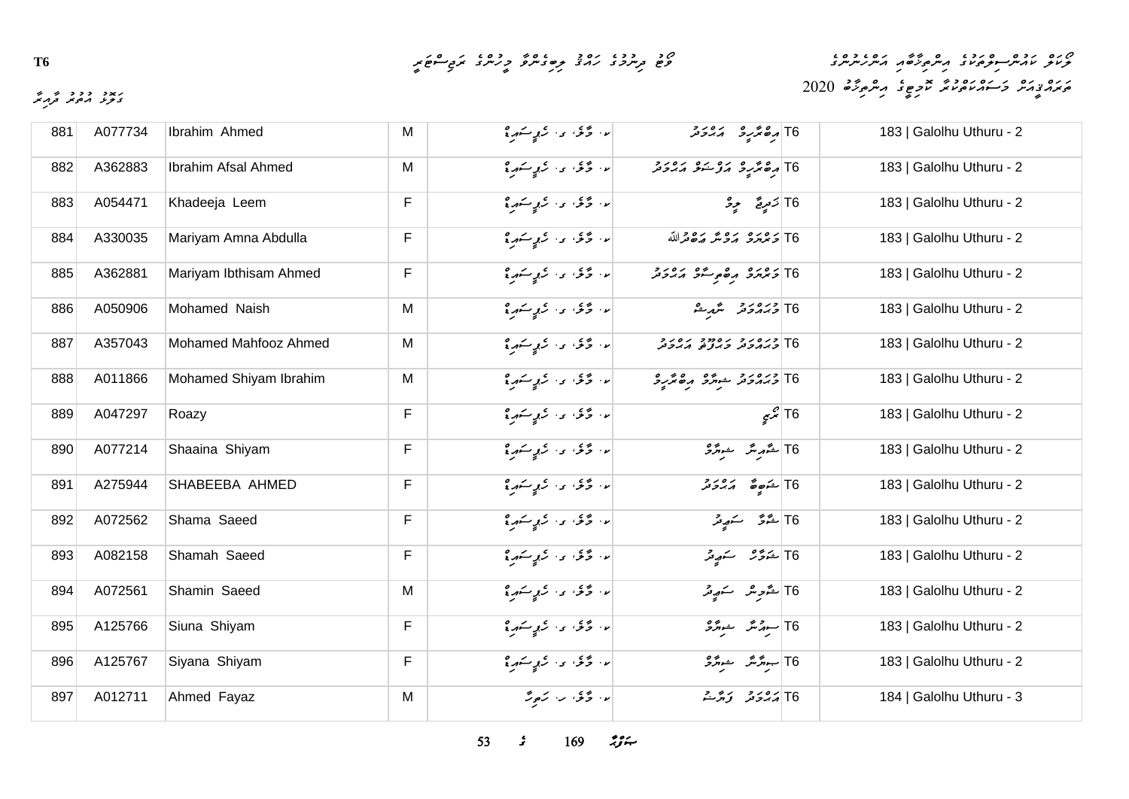*sCw7q7s5w7m< o<n9nOoAw7o< sCq;mAwBoEw7q<m; wBm;vB* م من المسجد المسجد المسجد المسجد المسجد العام 2020<br>مسجد المسجد المسجد المسجد المسجد المسجد المسجد المسجد المسجد ال

| 881 | A077734 | Ibrahim Ahmed          | M | الاستخفى الحاسبي والمكرومي                                                                           | T6 مەھم <i>گىردى مەدە</i> م          | 183   Galolhu Uthuru - 2 |
|-----|---------|------------------------|---|------------------------------------------------------------------------------------------------------|--------------------------------------|--------------------------|
| 882 | A362883 | Ibrahim Afsal Ahmed    | M | ا ما انځنگی او ان کرو کته ده کا                                                                      | T6 مەھەرىپە مۇسۇم مەدرە              | 183   Galolhu Uthuru - 2 |
| 883 | A054471 | Khadeeja Leem          | F | لا د گچې او د کروسکه چ                                                                               | T6 كَتَوِيعٌ مَوِيْحَ                | 183   Galolhu Uthuru - 2 |
| 884 | A330035 | Mariyam Amna Abdulla   | F | لاستحق وسكويتهم؟                                                                                     | T6 كومرو كرويمر كره قرالله           | 183   Galolhu Uthuru - 2 |
| 885 | A362881 | Mariyam Ibthisam Ahmed | F | الاستحق، الأسمية المحمدة المحمدة المحمدة المحمدة المحمدة المحمدة المحمدة المحمدة المحمدة المحمدة الم | T6 <i>د ورو وهم گرو ده دو</i> ر      | 183   Galolhu Uthuru - 2 |
| 886 | A050906 | Mohamed Naish          | M | لا : د محمق الا د محمد و عمل المحمد و عمل المحمد و المحمد و عمل المحمد و عمل المحمد و عمل المحمد و   | T6 <i>ڈیزوڈو سگہ</i> ے               | 183   Galolhu Uthuru - 2 |
| 887 | A357043 | Mohamed Mahfooz Ahmed  | M | الاستخفاء المروسكرة                                                                                  | T6   37,000   37,000   27,000   T6   | 183   Galolhu Uthuru - 2 |
| 888 | A011866 | Mohamed Shiyam Ibrahim | M | الا المحتى الاراكي وسكرة في                                                                          | T6   <i>وبروبروتر خومرو" وهترب</i> و | 183   Galolhu Uthuru - 2 |
| 889 | A047297 | Roazy                  | F | الاستخفاء المروسكرده                                                                                 | T6 گر <sub>مج</sub>                  | 183   Galolhu Uthuru - 2 |
| 890 | A077214 | Shaaina Shiyam         | F | الاستخفاء المروسكرة                                                                                  | T6 شەھەر ئىس ئىستىدىكى بىر           | 183   Galolhu Uthuru - 2 |
| 891 | A275944 | SHABEEBA AHMED         | F | لاستحق وسكويتهم                                                                                      | T6 شو <i>ەڭ مەدە</i> تر              | 183   Galolhu Uthuru - 2 |
| 892 | A072562 | Shama Saeed            | F | لاستحق وسكومتهم                                                                                      | T6 شَرَحَ سَم <i>ِيد</i> ً           | 183   Galolhu Uthuru - 2 |
| 893 | A082158 | Shamah Saeed           | F | لاستخف وسنكو يتهره                                                                                   | T6 ش <i>ۇرقى</i> شە <i>يى</i> تى     | 183   Galolhu Uthuru - 2 |
| 894 | A072561 | Shamin Saeed           | M | الاستخفاء المروسكرده                                                                                 | T6 ڪوير <i>ڪوپ</i> ٽر                | 183   Galolhu Uthuru - 2 |
| 895 | A125766 | Siuna Shiyam           | F | لاستخف وسنكويتهم                                                                                     | T6 سوپر شوپر د                       | 183   Galolhu Uthuru - 2 |
| 896 | A125767 | Siyana Shiyam          | F | لاستحق وسكويتهم                                                                                      | T6 سومرَّسَ ہومرَد                   | 183   Galolhu Uthuru - 2 |
| 897 | A012711 | Ahmed Fayaz            | M | لار محتى لار كرة مح                                                                                  | T6 <i>ټرې وگړ</i> ینه                | 184   Galolhu Uthuru - 3 |

*n8o<n@ q8qAq< q:uBmC*

 $53$   $\cancel{5}$   $169$   $\cancel{5}$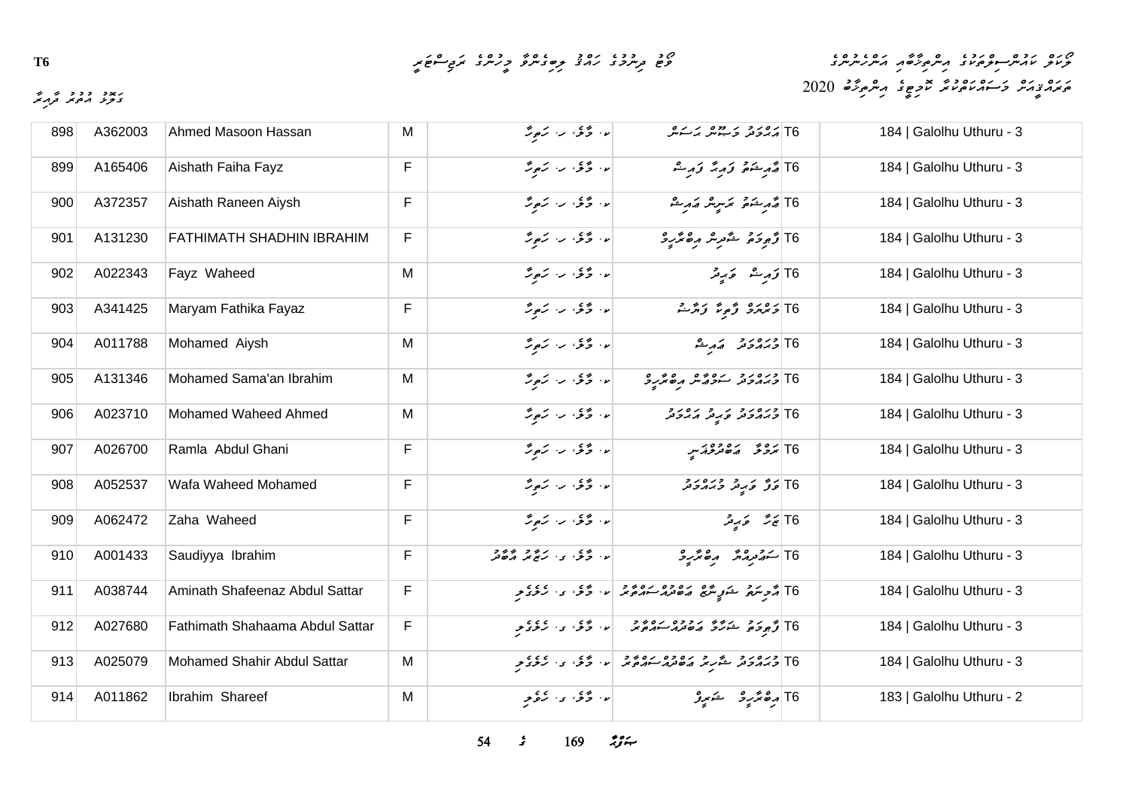*sCw7q7s5w7m< o<n9nOoAw7o< sCq;mAwBoEw7q<m; wBm;vB* م من المسجد المسجد المسجد المسجد المسجد العام 2020<br>مسجد المسجد المسجد المسجد المسجد المسجد المسجد المسجد المسجد ال

| 898 | A362003 | Ahmed Masoon Hassan             | M           | ا د گچې را رُحورٌ           | T6   <i>زود و ج</i> يھ پرڪس                                           | 184   Galolhu Uthuru - 3 |
|-----|---------|---------------------------------|-------------|-----------------------------|-----------------------------------------------------------------------|--------------------------|
| 899 | A165406 | Aishath Faiha Fayz              | F           | الاستخرى المدا الكافيات     | T6 م <i>ۇم ھۇ قۇم بۇ قۇم ش</i>                                        | 184   Galolhu Uthuru - 3 |
| 900 | A372357 | Aishath Raneen Aiysh            | F           | ا د گچې را رُبورٌ           | T6 م <i>مَّه شَمَّة مَرْسِرْ مَه</i> رِ شَ <sup>م</sup>               | 184   Galolhu Uthuru - 3 |
| 901 | A131230 | FATHIMATH SHADHIN IBRAHIM       | $\mathsf F$ | الاستخرى المدا كريمامي      | T6 <i>وَّجِوَدَة</i> ُ حَدَّمَر <i>ِينَ <sub>م</sub>ِهْتَرِي</i> دَ   | 184   Galolhu Uthuru - 3 |
| 902 | A022343 | Fayz Waheed                     | M           | الاستخفات التجاثر           | T6 تۇم <sup>ىش</sup> ق <i>ۇي</i> قر                                   | 184   Galolhu Uthuru - 3 |
| 903 | A341425 | Maryam Fathika Fayaz            | $\mathsf F$ | لار محتى لار كرة مح         | T6 <i>كَمْرْمَرْدْ وُّهِ، مَا دَمَّ</i> رْتُ                          | 184   Galolhu Uthuru - 3 |
| 904 | A011788 | Mohamed Aiysh                   | M           | الاستخفات التائري           | T6 <i>ق. د د د ه</i> م شو                                             | 184   Galolhu Uthuru - 3 |
| 905 | A131346 | Mohamed Sama'an Ibrahim         | M           | مار محتى الرا الركبورٌ      | T6 ديره د د مرور مرد محمد د د                                         | 184   Galolhu Uthuru - 3 |
| 906 | A023710 | Mohamed Waheed Ahmed            | M           | مار محتى الرا الكانون       | T6 <i>وبروبرو بربر م</i> دوبر                                         | 184   Galolhu Uthuru - 3 |
| 907 | A026700 | Ramla Abdul Ghani               | F           | الاستخرى المدا كريمامي      | T6 <i>بَرْدْ دَّ. مەھەردە ب</i> ر                                     | 184   Galolhu Uthuru - 3 |
| 908 | A052537 | Wafa Waheed Mohamed             | $\mathsf F$ | مار محتى الرا الكانون       | T6 كَوَرٌ كَرَبِيْرٌ وَبَرَمُ وَبِرْ                                  | 184   Galolhu Uthuru - 3 |
| 909 | A062472 | Zaha Waheed                     | F           | الاستخفات التائري           | T6 نج <sup>و</sup> قربر                                               | 184   Galolhu Uthuru - 3 |
| 910 | A001433 | Saudiyya Ibrahim                | F           |                             | T6 س <i>تم مرشد بره مرب</i> و                                         | 184   Galolhu Uthuru - 3 |
| 911 | A038744 | Aminath Shafeenaz Abdul Sattar  | F           |                             | 76 مُرِسَمَ شَرِيشَ مَصْرُمْ سَهْمَ بِهِ دَيْ مِنْ وَيْ الْمَحْرَمَةِ | 184   Galolhu Uthuru - 3 |
| 912 | A027680 | Fathimath Shahaama Abdul Sattar | F           |                             |                                                                       | 184   Galolhu Uthuru - 3 |
| 913 | A025079 | Mohamed Shahir Abdul Sattar     | M           |                             | 70 دره د د عربه ده ده ده ده د است و د است و د د د                     | 184   Galolhu Uthuru - 3 |
| 914 | A011862 | Ibrahim Shareef                 | M           | الأرا تخري الأرادي والمحارب | T6 <i>پرهنگرد</i> و خو <i>بود</i>                                     | 183   Galolhu Uthuru - 2 |

 $54$  *s*  $169$  *n***<sub>3</sub>** *n*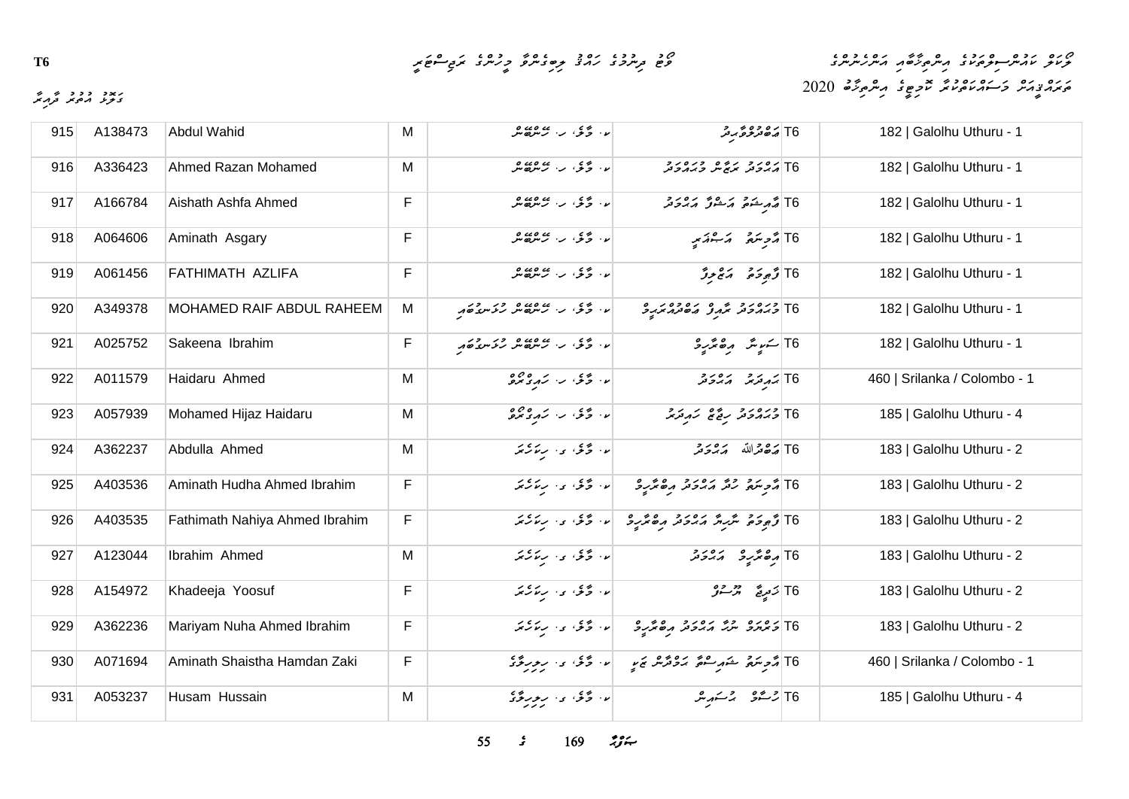*sCw7q7s5w7m< o<n9nOoAw7o< sCq;mAwBoEw7q<m; wBm;vB* م من المسجد المسجد المسجد المسجد المسجد العام 2020<br>مسجد المسجد المسجد المسجد المسجد المسجد المسجد المسجد المسجد ال

# *n8o<n@ q8qAq< q:uBmC*

| 915 | A138473 | <b>Abdul Wahid</b>             | M            | ر، دی. ر. ۵،۵۵۰ و.<br>ر. د بر رس                                                | T6 <i>مُرْهُ مُرْدُّوَّ ب</i> رمُرُ                                                                                  | 182   Galolhu Uthuru - 1     |
|-----|---------|--------------------------------|--------------|---------------------------------------------------------------------------------|----------------------------------------------------------------------------------------------------------------------|------------------------------|
| 916 | A336423 | Ahmed Razan Mohamed            | M            | لا کامی را کاملامی هم                                                           | T6 גפניק גשת כגם כק                                                                                                  | 182   Galolhu Uthuru - 1     |
| 917 | A166784 | Aishath Ashfa Ahmed            | $\mathsf{F}$ | لا گرمی که من من هم                                                             | T6 مەم ئىشىر مەردىر 76                                                                                               | 182   Galolhu Uthuru - 1     |
| 918 | A064606 | Aminath Asgary                 | $\mathsf{F}$ | لا : وَكُوْا لِ الْمُؤْمَنُ لِلْمُؤْمِنِينَ                                     | T6 مُجِسَعُهُ مَسْهَنَ <i>بِ</i>                                                                                     | 182   Galolhu Uthuru - 1     |
| 919 | A061456 | FATHIMATH AZLIFA               | F            | ر، مجموع، ر، من من مار<br>ر، محمود، ر، مر س                                     | T6 ز <sub>نج ب</sub> ری دی در ق                                                                                      | 182   Galolhu Uthuru - 1     |
| 920 | A349378 | MOHAMED RAIF ABDUL RAHEEM      | M            |                                                                                 | T6 دره د د عمدو موده مرسور                                                                                           | 182   Galolhu Uthuru - 1     |
| 921 | A025752 | Sakeena Ibrahim                | $\mathsf{F}$ | الماستجوي المتحدث والمتحدث والمتحدث المحدث المحدث المحدث والمحدث                | T6 سَرِیٹر م <i>ی مڈی</i> رو                                                                                         | 182   Galolhu Uthuru - 1     |
| 922 | A011579 | Haidaru Ahmed                  | M            | ، د څو، ر زېږونو                                                                | T6  يَرم <i>ِ مَرَّمَدُ مَدْوَمَرُ</i>                                                                               | 460   Srilanka / Colombo - 1 |
| 923 | A057939 | Mohamed Hijaz Haidaru          | M            | $\begin{bmatrix} 0 & 0 & 0 & 0 \\ 0 & 0 & 0 & 0 \\ 0 & 0 & 0 & 0 \end{bmatrix}$ | T6 <i>وُرُوُدُوَدْ رِقَ</i> ّعْ رَ <sub>ّمُ</sub> مَرَ <i>دُ</i>                                                     | 185   Galolhu Uthuru - 4     |
| 924 | A362237 | Abdulla Ahmed                  | M            | لاستخفاء الملائك                                                                | T6 كەمەراللە كەردىر                                                                                                  | 183   Galolhu Uthuru - 2     |
| 925 | A403536 | Aminath Hudha Ahmed Ibrahim    | $\mathsf F$  | ئەرىخى ئەرىمەت ئىر                                                              | T6 جُوسَمَةَ رَبِّ رَورٍ وَ مُحَسِّرٍ وَ مُحَسِّرٍ وَ                                                                | 183   Galolhu Uthuru - 2     |
| 926 | A403535 | Fathimath Nahiya Ahmed Ibrahim | $\mathsf F$  |                                                                                 | T6 زُمِودَة مُرْبِيرٌ رَبْدُدَنْ مِنْ مُرْبِرِهِ   مَنْ دَبَنَ أَنْ الْمَالَيْةَ الْمَالَيْةَ الْمَا                 | 183   Galolhu Uthuru - 2     |
| 927 | A123044 | Ibrahim Ahmed                  | M            | مارتخوا ي رماندي                                                                | T6 مەھم <i>گرى مەدە</i> ر                                                                                            | 183   Galolhu Uthuru - 2     |
| 928 | A154972 | Khadeeja Yoosuf                | $\mathsf F$  | مارنجى ئ برماكيما                                                               | T6 كَتَعِيقٌ مَيْرَ مِيْرٌ مِيْتِ                                                                                    | 183   Galolhu Uthuru - 2     |
| 929 | A362236 | Mariyam Nuha Ahmed Ibrahim     | $\mathsf F$  |                                                                                 | T6 كەمەرە دە رەرد مەھرىرە مەركى ئەرىكەتكە                                                                            | 183   Galolhu Uthuru - 2     |
| 930 | A071694 | Aminath Shaistha Hamdan Zaki   | $\mathsf F$  |                                                                                 | T6 مُ <i>وِسَمْ شَهْرِ صْمُ بِرَوْمُرْسْ بِيَ بِهِ</i> اللَّهِ مِنْ مِنْ اللَّهِ رَبِّوبِ مِنْ مِنْ مِنْ مَنْ اللَّه | 460   Srilanka / Colombo - 1 |
| 931 | A053237 | Husam Hussain                  | M            | ئار دى كى رىپوردى                                                               | T6   جرستو   ایر جرید میں<br>ا                                                                                       | 185   Galolhu Uthuru - 4     |

 $55$   $\frac{2}{3}$   $169$   $\frac{2}{3}$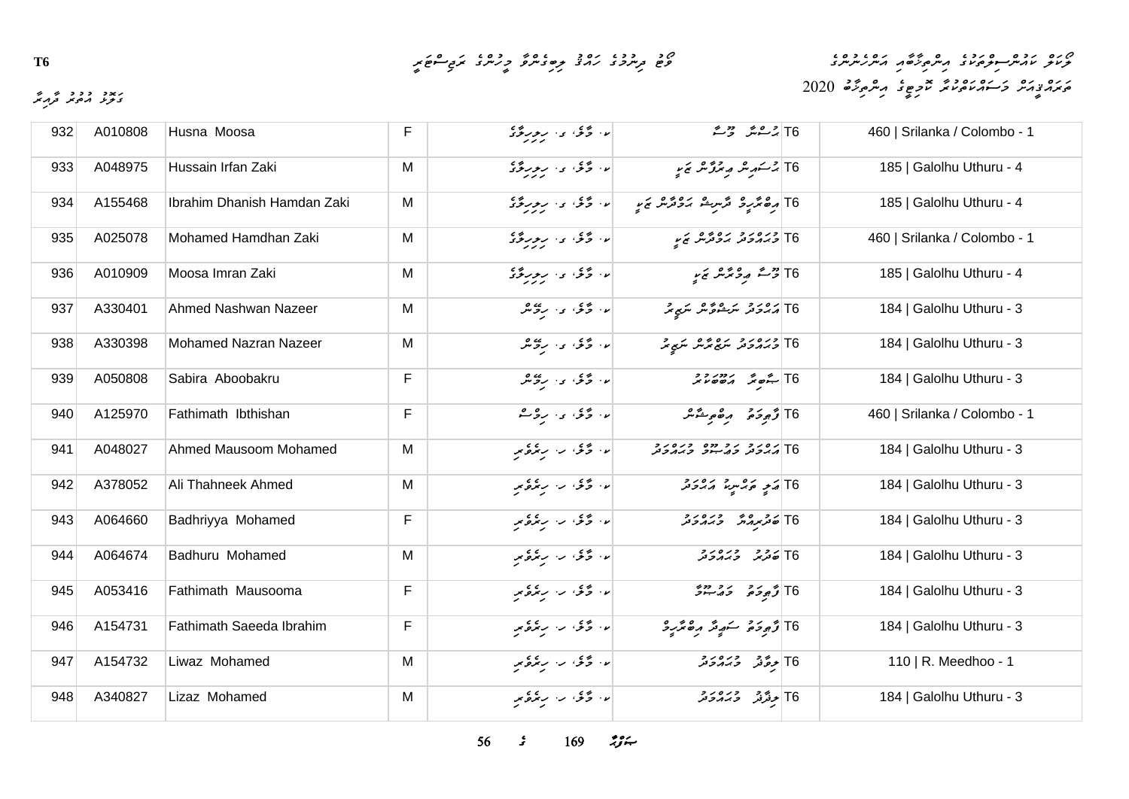*sCw7q7s5w7m< o<n9nOoAw7o< sCq;mAwBoEw7q<m; wBm;vB* م من المسجد المسجد المسجد المسجد المسجد العام 2020<br>مسجد المسجد المسجد المسجد المسجد المسجد المسجد المسجد المسجد ال

| 932 | A010808 | Husna Moosa                  | F | ، دې ، روروګ                                   | T6 إير سمبر 2° تر                                  | 460   Srilanka / Colombo - 1 |
|-----|---------|------------------------------|---|------------------------------------------------|----------------------------------------------------|------------------------------|
| 933 | A048975 | Hussain Irfan Zaki           | M | الا د د د الله برموردد د                       | T6 پر سەمەتىر ھەجرۇنىڭ ئى ب <sub>و</sub>           | 185   Galolhu Uthuru - 4     |
| 934 | A155468 | Ibrahim Dhanish Hamdan Zaki  | M | لا المحتى الاس الموردمى                        | T6 رەڭرىرى ئۇسىش برەش <i>ىر ت</i> ېر               | 185   Galolhu Uthuru - 4     |
| 935 | A025078 | Mohamed Hamdhan Zaki         | M | الأراقيقي الأربورقي                            | T6 <i>دېره د د بروتر</i> س ټم                      | 460   Srilanka / Colombo - 1 |
| 936 | A010909 | Moosa Imran Zaki             | M | الا دمجني الأربوردمي                           | T6 تۇنئە مەفە <i>تتى تاي</i> ر                     | 185   Galolhu Uthuru - 4     |
| 937 | A330401 | Ahmed Nashwan Nazeer         | M | الا دمجني المالي ميرونتر                       | T6 <i>בکرو تر مرشوم تر مربح تر</i>                 | 184   Galolhu Uthuru - 3     |
| 938 | A330398 | <b>Mohamed Nazran Nazeer</b> | M | الا لمحق لا ربيع ه                             | T6 <i>درور</i> و روپ <sub>و</sub> ر شهرتر          | 184   Galolhu Uthuru - 3     |
| 939 | A050808 | Sabira Aboobakru             | F | لا د گای دا ره برگار                           | $72222$ $76$                                       | 184   Galolhu Uthuru - 3     |
| 940 | A125970 | Fathimath Ibthishan          | F | لا . ۇي ، روم                                  | T6 <i>وُّڄِو<sup>َ</sup>دَ مُرھُمِشَّىر</i> ُ      | 460   Srilanka / Colombo - 1 |
| 941 | A048027 | Ahmed Mausoom Mohamed        | M | $\mathbf{v} \in \mathcal{E}$ ى را رىزەبر       | T6   رور د د ده ورور د                             | 184   Galolhu Uthuru - 3     |
| 942 | A378052 | Ali Thahneek Ahmed           | M | لا : 33 را روة مر                              | T6 <i>مَ</i> جِ <i>مَ</i> كِسِر <i>ة مَدْدَنْد</i> | 184   Galolhu Uthuru - 3     |
| 943 | A064660 | Badhriyya Mohamed            | F | لا د څخه را رنده بر                            | T6 <i>کافر پروگر دی در د</i>                       | 184   Galolhu Uthuru - 3     |
| 944 | A064674 | Badhuru Mohamed              | M | لا د محتی را ریزه بر                           | T6 ڪتريز - 220 دو                                  | 184   Galolhu Uthuru - 3     |
| 945 | A053416 | Fathimath Mausooma           | F | لاستخفات بالمقطع                               | T6 <i>وُجِودَة وَمُ</i> سِبْدَة                    | 184   Galolhu Uthuru - 3     |
| 946 | A154731 | Fathimath Saeeda Ibrahim     | F | لاستخرى ب بالمحفظ بد                           | 76 <i>ڙوِدَة سَهِنَّ م</i> ِڻ <i>ُرِدُ</i>         | 184   Galolhu Uthuru - 3     |
| 947 | A154732 | Liwaz Mohamed                | M | الا : وَكَرْسَ رَسُوطَ مِنْ الْمَسْتَخْرِ مِنْ | T6 مِرَةَ <i>قْدَ دَيْرُودَ</i> رْ                 | 110   R. Meedhoo - 1         |
| 948 | A340827 | Lizaz Mohamed                | M | لا د څخه له رنده نو                            | T6 مِنْزَنْز 3ْرَەرْد                              | 184   Galolhu Uthuru - 3     |

 $56$  *s*  $169$  *z*  $29$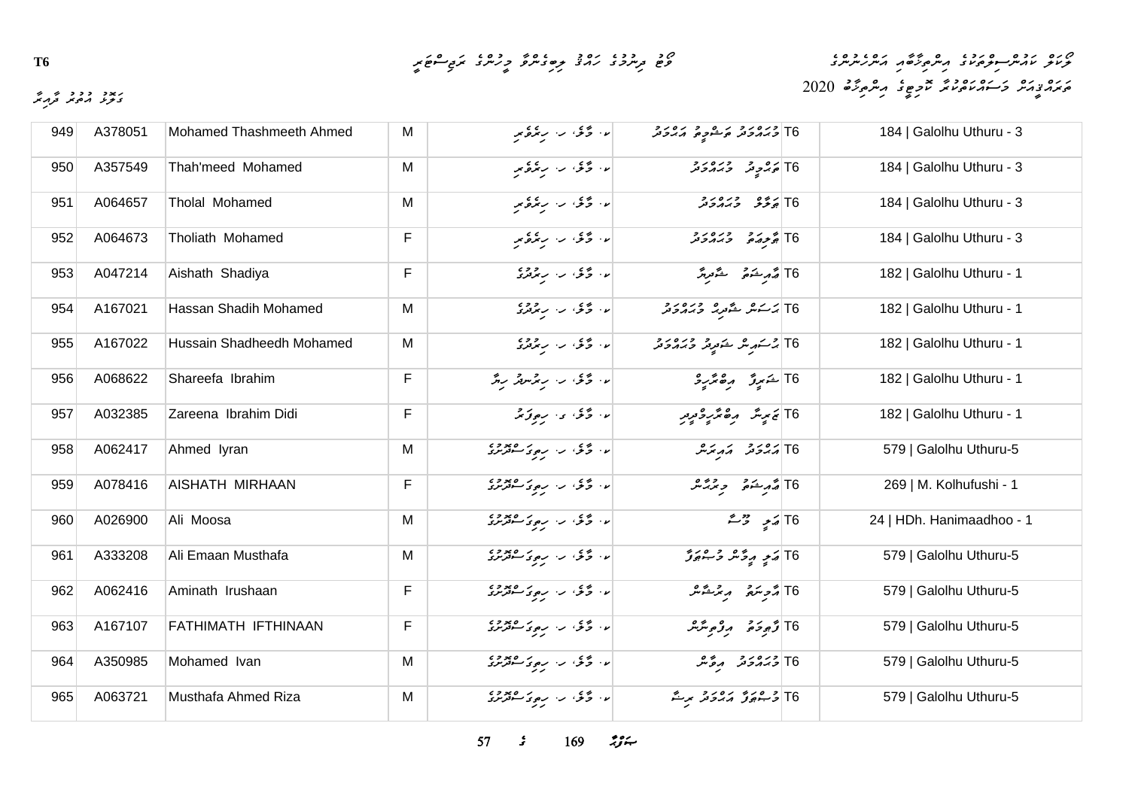*sCw7q7s5w7m< o<n9nOoAw7o< sCq;mAwBoEw7q<m; wBm;vB* م من المسجد المسجد المسجد المسجد المسجد العام 2020<br>مسجد المسجد المسجد المسجد المسجد المسجد المسجد المسجد المسجد ال

| 949 | A378051 | Mohamed Thashmeeth Ahmed  | M            | لاستخرى سأسترة مبر                           | T6  <i>وبروبرة</i> كرشو <i>ج وبرو</i> تر              | 184   Galolhu Uthuru - 3  |
|-----|---------|---------------------------|--------------|----------------------------------------------|-------------------------------------------------------|---------------------------|
| 950 | A357549 | Thah'meed Mohamed         | M            | لاستخرش سأسترغ مبر                           | T6 <i>وَدُوِيْنَ وَيَدُوَيْنَ</i>                     | 184   Galolhu Uthuru - 3  |
| 951 | A064657 | Tholal Mohamed            | M            | لاستخفات بالمقطعي                            | T6  يَرْقَرْ فَرَيْرُونْزْ                            | 184   Galolhu Uthuru - 3  |
| 952 | A064673 | Tholiath Mohamed          | $\mathsf F$  | $\downarrow$ ومحوص را روه بر                 | T6 جُرِيرَ حِرَه رَ                                   | 184   Galolhu Uthuru - 3  |
| 953 | A047214 | Aishath Shadiya           | F            | الا د څخه له له بربروره                      | T6 <i>مُذہبِ حَقَّمٍ مُتَّامِينَّہُ</i>               | 182   Galolhu Uthuru - 1  |
| 954 | A167021 | Hassan Shadih Mohamed     | M            | ا د گچې را رپروژه                            | T6   يُرسَسُ حُمَّدِينَ وَيَرْدُونَدُ                 | 182   Galolhu Uthuru - 1  |
| 955 | A167022 | Hussain Shadheedh Mohamed | M            | الا د څخه له له بربروره                      | T6 يُرْسَمُ مِيْنَ مِيْنَ مِيْنَ وَبَرَ مِرْدَ قَرْ   | 182   Galolhu Uthuru - 1  |
| 956 | A068622 | Shareefa Ibrahim          | F            | الله المحتى الراء بالمحمولين المراكز         | T6 ڪمبر <i>ڙ م</i> ڻ <i>گرو</i> د                     | 182   Galolhu Uthuru - 1  |
| 957 | A032385 | Zareena Ibrahim Didi      | $\mathsf{F}$ | الا د څخه د اردوکر                           | T6 ئ <sup>ى</sup> يرى <i>نگ م&amp;ئۇرچوپو</i> ر       | 182   Galolhu Uthuru - 1  |
| 958 | A062417 | Ahmed lyran               | M            | لا گرگی را رەپرىسەتىرى                       | T6 <i>בکی 55 متر می</i> ر                             | 579   Galolhu Uthuru-5    |
| 959 | A078416 | <b>AISHATH MIRHAAN</b>    | $\mathsf F$  | لا د څخه رسې د معدوه                         | T6 مُرِجَعْ <sub>حِ</sub> مِرْسٌر                     | 269   M. Kolhufushi - 1   |
| 960 | A026900 | Ali Moosa                 | M            | لا کمی را روز سهمان                          | T6 کړي ځ <sup>ی</sup> گ                               | 24   HDh. Hanimaadhoo - 1 |
| 961 | A333208 | Ali Emaan Musthafa        | M            | د کامی د روز معدد د )<br>  د کامی د روز معرف | T6 <sub>مَج</sub> رٍ <sub>م</sub> ِوَّنْد وَجَمَعِ وَ | 579   Galolhu Uthuru-5    |
| 962 | A062416 | Aminath Irushaan          | $\mathsf{F}$ | لا کمی را روی کوده                           | T6 مُرْحِسَمُ مِعْتَقَسْ                              | 579   Galolhu Uthuru-5    |
| 963 | A167107 | FATHIMATH IFTHINAAN       | $\mathsf{F}$ | لا کمی را روی کودی                           | T6 <i>ڙوِحَمَّۃ و</i> ڙم <sub>و</sub> سَ <i>ن</i> گر  | 579   Galolhu Uthuru-5    |
| 964 | A350985 | Mohamed Ivan              | M            | لا گرگی را ره دکار ۶۶۵                       | T6  <i>32,322 م</i> و <i>م</i> ح                      | 579   Galolhu Uthuru-5    |
| 965 | A063721 | Musthafa Ahmed Riza       | M            | په د څوک رسه ره په ده په ده                  | T6 ئ <i>ۇيغۇر مەدەن</i> ر برىن <i>گ</i>               | 579   Galolhu Uthuru-5    |

 $57$  *s*  $169$   $234$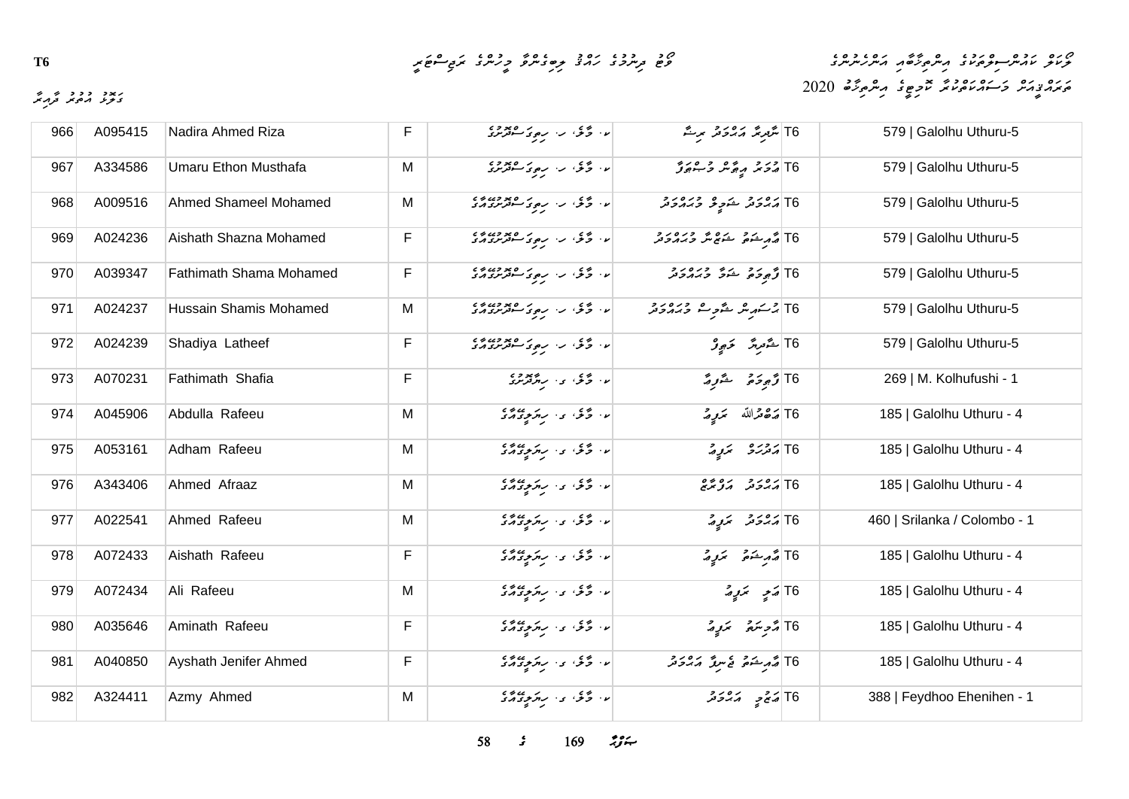*sCw7q7s5w7m< o<n9nOoAw7o< sCq;mAwBoEw7q<m; wBm;vB* م من المسجد المسجد المسجد المسجد المسجد العام 2020<br>مسجد المسجد المسجد المسجد المسجد المسجد المسجد المسجد المسجد ال

| 966 | A095415 | Nadira Ahmed Riza             | F | ر د نوی را روی سوتر ده د<br>در نوی را روی سوتر دری     | T6 سَّهِرِیْزَ <i>مَہُدْدَیْنَ م</i> ِیٹَ         | 579   Galolhu Uthuru-5       |
|-----|---------|-------------------------------|---|--------------------------------------------------------|---------------------------------------------------|------------------------------|
| 967 | A334586 | Umaru Ethon Musthafa          | M | په د څخه لرس پره په ده په                              | T6 ړ <i>ی ته پیڅ</i> ر څلورځ                      | 579   Galolhu Uthuru-5       |
| 968 | A009516 | Ahmed Shameel Mohamed         | M | ر هغې د ره د ودون ده.<br>د گون د ره د ستربرد ور        | T6 <i>גُرُوَدٌ حُووِدٌ وُبُهُوَدٌ</i>             | 579   Galolhu Uthuru-5       |
| 969 | A024236 | Aishath Shazna Mohamed        | F |                                                        | T6 مەر شەھ سىم ھەمدە دەر د                        | 579   Galolhu Uthuru-5       |
| 970 | A039347 | Fathimath Shama Mohamed       | F | ر وی در روز سورده ده داده<br>در وگو، در روز سوربرد و د | T6 ر <i>ُّ ۾ جَمْ شَوَّ وَبَهُ وَبُ</i>           | 579   Galolhu Uthuru-5       |
| 971 | A024237 | <b>Hussain Shamis Mohamed</b> | M | ) د کمی کار میدون دی.<br>  د گمی کار میلی سفر دی. د د  | T6 پر سَمبر سَر مَدَّحْرِ سَمْ وَبَرَ مِرْوَ مَرَ | 579   Galolhu Uthuru-5       |
| 972 | A024239 | Shadiya Latheef               | F | ر د نوی رسده د وروده د در د                            | T6 ڪُمبر <i>گ خ</i> َمِوثر                        | 579   Galolhu Uthuru-5       |
| 973 | A070231 | Fathimath Shafia              | F | ا د کمچي کې امريز د ده.<br>د ارتگان کې امريز د د       | T6 ز <i>نج وح</i> قر ش <i>گورگ</i>                | 269   M. Kolhufushi - 1      |
| 974 | A045906 | Abdulla Rafeeu                | M | ۱۰ وی. د رتز دوده                                      | T6 كەھەراللە <i>مەرى</i>                          | 185   Galolhu Uthuru - 4     |
| 975 | A053161 | Adham Rafeeu                  | M | ۱۰ وګې ی رتروی ده                                      | T6 <i>בکرکری بز<sub>ئر</sub> چ</i>                | 185   Galolhu Uthuru - 4     |
| 976 | A343406 | Ahmed Afraaz                  | M | ۱۰ د کې ی رتروی دی                                     | T6 <i>ټرونز ټرونژ</i> ي                           | 185   Galolhu Uthuru - 4     |
| 977 | A022541 | Ahmed Rafeeu                  | м | ۱۰ وگی د رمزدورد                                       | T6   كەش <sup>ى</sup> كىرى ئىرى <i>مى</i> ئىرىد   | 460   Srilanka / Colombo - 1 |
| 978 | A072433 | Aishath Rafeeu                | F | ر، وی در بازده                                         | T6 مُرسَنَّة تَرَوِيُّ                            | 185   Galolhu Uthuru - 4     |
| 979 | A072434 | Ali Rafeeu                    | M | ۱۰ وګې ی رتروی ده                                      | T6 <i>ڇُڇِ - مَرَوِجُ</i>                         | 185   Galolhu Uthuru - 4     |
| 980 | A035646 | Aminath Rafeeu                | F | ۱۰ وی. د رتز دوره                                      | T6 <i>مُّحِسَّعُ بَرَوٍ مُ</i>                    | 185   Galolhu Uthuru - 4     |
| 981 | A040850 | Ayshath Jenifer Ahmed         | F | ۱۰ د څخه ی د په کرد وی                                 | T6 مُرمِشَمُو في سِرَّ مَكْرَدَتْر                | 185   Galolhu Uthuru - 4     |
| 982 | A324411 | Azmy Ahmed                    | M | ۱۰ وی. د رتز دوره                                      | T6 <i>ھَنجو مَدْدَ</i> مْر                        | 388   Feydhoo Ehenihen - 1   |

 $58$  *s*  $169$  *n***<sub>3</sub>** *n*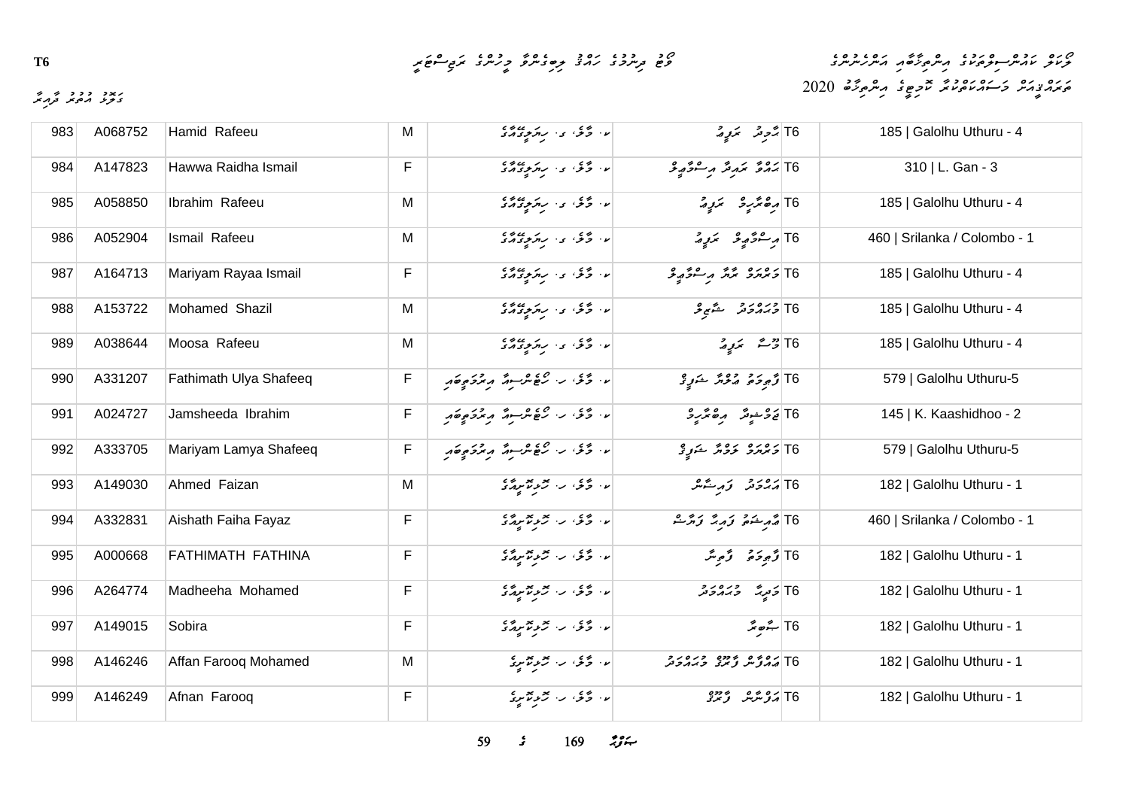*sCw7q7s5w7m< o<n9nOoAw7o< sCq;mAwBoEw7q<m; wBm;vB* م من المرة المرة المرة المرجع المرجع في المركبة 2020<br>مجم*د المريض المربوط المربع المرجع في المراجع المركبة* 

|  | $\rightarrow$ $\rightarrow$ $\rightarrow$ $\rightarrow$ $\rightarrow$ $\rightarrow$ $\rightarrow$ $\rightarrow$ |
|--|-----------------------------------------------------------------------------------------------------------------|
|  | ىوى مەمە ترمىر                                                                                                  |

| 983 | A068752 | Hamid Rafeeu             | M           | ۱۰ د څخه د ۱۰ پر مرکز د ده                                                                                                                                                                                                                                                                                                                                                                                                                                                                     | T6 جُّحِ مُرَ جَمَعٍ مُرَّةٍ مُ                 | 185   Galolhu Uthuru - 4     |
|-----|---------|--------------------------|-------------|------------------------------------------------------------------------------------------------------------------------------------------------------------------------------------------------------------------------------------------------------------------------------------------------------------------------------------------------------------------------------------------------------------------------------------------------------------------------------------------------|-------------------------------------------------|------------------------------|
| 984 | A147823 | Hawwa Raidha Ismail      | $\mathsf F$ | ۱۰ د څخه او ۱۰ پر کووه ده                                                                                                                                                                                                                                                                                                                                                                                                                                                                      | T6 <i>يَهُمَّ بَرُوبَّز وِ</i> حَقَّ وِبَعْ     | 310   L. Gan - 3             |
| 985 | A058850 | Ibrahim Rafeeu           | M           | در ده ده از در در در در د                                                                                                                                                                                                                                                                                                                                                                                                                                                                      | T6 م <i>ِ هُ مَّرٍ وَ مَرَوٍ م</i> ُ            | 185   Galolhu Uthuru - 4     |
| 986 | A052904 | Ismail Rafeeu            | M           | ۱۰ د څو، د ۱۰ په مود ور                                                                                                                                                                                                                                                                                                                                                                                                                                                                        | T6 <sub>م</sub> رےد <i>و پی مزہ</i> د           | 460   Srilanka / Colombo - 1 |
| 987 | A164713 | Mariyam Rayaa Ismail     | F           | ۱۰ د څو، د ۱۰ په مود ور                                                                                                                                                                                                                                                                                                                                                                                                                                                                        | T6 كەبەر ئەنگەر مەش <i>ۇر ب</i> ۇ               | 185   Galolhu Uthuru - 4     |
| 988 | A153722 | Mohamed Shazil           | M           | ۱۰ د څخه د ۱۰ په مود ور                                                                                                                                                                                                                                                                                                                                                                                                                                                                        | T6 <i>ۇنەۋەتى</i> ئىگەنچ                        | 185   Galolhu Uthuru - 4     |
| 989 | A038644 | Moosa Rafeeu             | M           | ۱۰ وگی د ریگروه ده                                                                                                                                                                                                                                                                                                                                                                                                                                                                             | T6 تخریقہ ت <i>حدی</i> قہ                       | 185   Galolhu Uthuru - 4     |
| 990 | A331207 | Fathimath Ulya Shafeeq   | F           | ١، د د  کامل د محمد المحمد المحمد                                                                                                                                                                                                                                                                                                                                                                                                                                                              | T6 <i>وُجِودَة مِنْ</i> وَمَّ حَب <i>رِ</i> ءِ  | 579   Galolhu Uthuru-5       |
| 991 | A024727 | Jamsheeda Ibrahim        | F           | الا ومحوال مع هر مرد المرد و مرد مورد و مرد                                                                                                                                                                                                                                                                                                                                                                                                                                                    | T6 <i>ف</i> َ دُھومً م <i>ِ مِرْجُدٍ وَ</i>     | 145   K. Kaashidhoo - 2      |
| 992 | A333705 | Mariyam Lamya Shafeeq    | F           | الأروى المركبي والمحمد المردوح حاله                                                                                                                                                                                                                                                                                                                                                                                                                                                            | T6 <i>كَمُرْمَرْدُ خَ</i> رْمَّ شَ <i>وِي</i> ْ | 579   Galolhu Uthuru-5       |
| 993 | A149030 | Ahmed Faizan             | M           | ما محتى را محرمة بروتمو                                                                                                                                                                                                                                                                                                                                                                                                                                                                        | T6 كەيرى تەرىئە ئى                              | 182   Galolhu Uthuru - 1     |
| 994 | A332831 | Aishath Faiha Fayaz      | F           | ما محتى را محرمة مركزي                                                                                                                                                                                                                                                                                                                                                                                                                                                                         | T6 م <i>ەم شەھ ۋەب<sup>ە</sup> ۋەرى</i>         | 460   Srilanka / Colombo - 1 |
| 995 | A000668 | <b>FATHIMATH FATHINA</b> | $\mathsf F$ | $\left  \begin{array}{l} \mathcal{L}_{\mathcal{L}} \mathcal{L}_{\mathcal{L}} \mathcal{L}_{\mathcal{L}} \mathcal{L}_{\mathcal{L}} \mathcal{L}_{\mathcal{L}} \mathcal{L}_{\mathcal{L}} \mathcal{L}_{\mathcal{L}} \mathcal{L}_{\mathcal{L}} \mathcal{L}_{\mathcal{L}} \mathcal{L}_{\mathcal{L}} \mathcal{L}_{\mathcal{L}} \mathcal{L}_{\mathcal{L}} \mathcal{L}_{\mathcal{L}} \mathcal{L}_{\mathcal{L}} \mathcal{L}_{\mathcal{L}} \mathcal{L}_{\mathcal{L}} \mathcal{L}_{\mathcal{L}} \mathcal{L$ | T6 ز <i>ُّەְدَە زُە</i> مَّد                    | 182   Galolhu Uthuru - 1     |
| 996 | A264774 | Madheeha Mohamed         | F           | $\left\{ \begin{array}{l} \mathcal{L}_{\mathcal{L}}(\mathcal{L}_{\mathcal{L}},\mathcal{L}_{\mathcal{L}},\mathcal{L}_{\mathcal{L}},\mathcal{L}_{\mathcal{L}},\mathcal{L}_{\mathcal{L}},\mathcal{L}_{\mathcal{L}},\mathcal{L}_{\mathcal{L}},\mathcal{L}_{\mathcal{L}},\mathcal{L}_{\mathcal{L}},\mathcal{L}_{\mathcal{L}},\mathcal{L}_{\mathcal{L}},\mathcal{L}_{\mathcal{L}},\mathcal{L}_{\mathcal{L}},\mathcal{L}_{\mathcal{L}},\mathcal{L}_{\mathcal{L}},\mathcal{L}_{\mathcal{L}},\mathcal{$ | T6 ك <sup>ۆ</sup> يەنگ كەنگە <i>كەنگە</i>       | 182   Galolhu Uthuru - 1     |
| 997 | A149015 | Sobira                   | $\mathsf F$ | $\left  \begin{smallmatrix} 2 & 3 & 3 & 3 \ 2 & 3 & 3 & 3 \end{smallmatrix} \right $ ىد ، ئۇنى ئورگەنى                                                                                                                                                                                                                                                                                                                                                                                         | T6 بەھ <i>ىگە</i>                               | 182   Galolhu Uthuru - 1     |
| 998 | A146246 | Affan Farooq Mohamed     | M           |                                                                                                                                                                                                                                                                                                                                                                                                                                                                                                | T6 <i>ممروش و معنى وب</i> رورو                  | 182   Galolhu Uthuru - 1     |
| 999 | A146249 | Afnan Farooq             | F           | ما محمد كل من مع مع مربع<br>  ما المحمد كل من مع مع مربع                                                                                                                                                                                                                                                                                                                                                                                                                                       | T6 كەنزىترىتر ئ <i>ۇنجۇ</i>                     | 182   Galolhu Uthuru - 1     |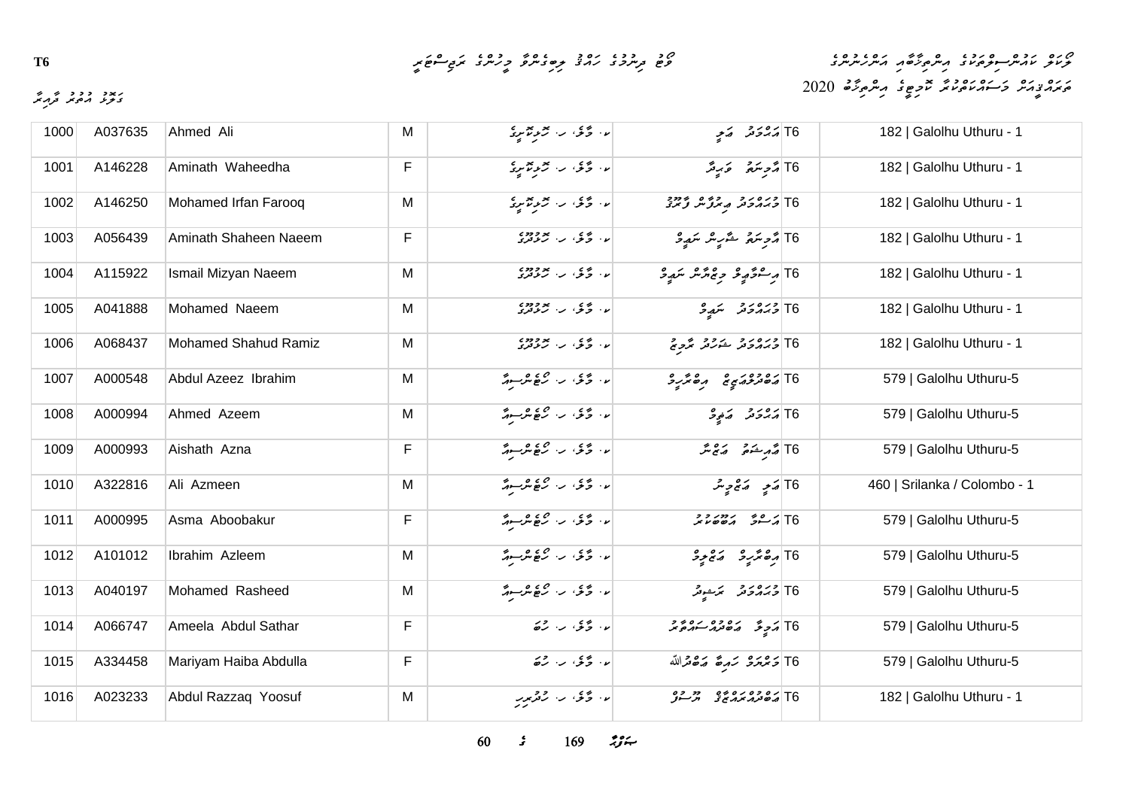*sCw7q7s5w7m< o<n9nOoAw7o< sCq;mAwBoEw7q<m; wBm;vB 2020<sup>, م</sup>وسر در مدد مدرج به مدرم مقرم قرار 2020*<br>موسر المستقرم المستقرم المستقرم المستقرم المستقرم المستقرم المستقرم المستقرم المستقرم المستقرم المستقرم المستقر

| 1000 | A037635 | Ahmed Ali                   | M |                                                                                                                                                                                                                                  | T6 <i>גُرُدُوَنْھُ مَ</i> حِي                          | 182   Galolhu Uthuru - 1     |
|------|---------|-----------------------------|---|----------------------------------------------------------------------------------------------------------------------------------------------------------------------------------------------------------------------------------|--------------------------------------------------------|------------------------------|
| 1001 | A146228 | Aminath Waheedha            | F | ر، دمچې ر، می <sub>مو</sub> رسی                                                                                                                                                                                                  | T6 مَّ <i>جِسَعَة وَ بِ</i> قَر                        | 182   Galolhu Uthuru - 1     |
| 1002 | A146250 | Mohamed Irfan Farooq        | M | لار د محمد المالي براي براي برايري برايري برايري برايري برايري برايري برايري برايري برايري برايري برايري براير<br>مراجع برايري برايري برايري برايري برايري برايري برايري برايري برايري برايري برايري برايري برايري برايري برايري | T6 <i>دیرو د و و و و و و و</i> و                       | 182   Galolhu Uthuru - 1     |
| 1003 | A056439 | Aminath Shaheen Naeem       | F | ر، گرمی، ر، بروده<br>ر، گرمی، ر، برودری                                                                                                                                                                                          | T6 <i>مُوسَعْ َ حُرِيدْ سَمِ</i> دِدْ                  | 182   Galolhu Uthuru - 1     |
| 1004 | A115922 | Ismail Mizyan Naeem         | M | ر، گري ر، گروه ده<br>را، گري                                                                                                                                                                                                     | T6 <sub>م</sub> رت <i>قۇم بىلى بىر مىد</i> ۇ           | 182   Galolhu Uthuru - 1     |
| 1005 | A041888 | Mohamed Naeem               | M | ر، گري، ر، گروده.<br>ر، گري، ر، گروتوي                                                                                                                                                                                           | T6 <i>5223 سَمِي</i> و                                 | 182   Galolhu Uthuru - 1     |
| 1006 | A068437 | <b>Mohamed Shahud Ramiz</b> | M | ر، گرمی، ر، گروه ده<br>را، گرمی، ر، گروهری                                                                                                                                                                                       | T6 <i>دېمم</i> ونه خترنه نگر <i>د</i> نج               | 182   Galolhu Uthuru - 1     |
| 1007 | A000548 | Abdul Azeez Ibrahim         | M |                                                                                                                                                                                                                                  | T6 <i>مُەترىگە بِي مُ</i> ەمَّرِ ق                     | 579   Galolhu Uthuru-5       |
| 1008 | A000994 | Ahmed Azeem                 | M | لا : دَ کَیْ کَ کَ کَ کَ کَ کَ کَ مَرْکَ مِیْرَ                                                                                                                                                                                  | T6 <i>ב برو قر و قرم</i> و                             | 579   Galolhu Uthuru-5       |
| 1009 | A000993 | Aishath Azna                | F | لا : وَكَوْرَ رَاحَ عَوْرَ الْمَرْجَمَةِ                                                                                                                                                                                         | T6 م <i>ۇم شەق مەنى ئىگ</i>                            | 579   Galolhu Uthuru-5       |
| 1010 | A322816 | Ali Azmeen                  | M | لا : وَكَوْرَ رَاحَ عَوْرَ الْمَرْجَمَةِ                                                                                                                                                                                         | T6 <i>ڇَجِ ڇَڄُجِيئر</i> َ                             | 460   Srilanka / Colombo - 1 |
| 1011 | A000995 | Asma Aboobakur              | F | لا : دَ کَیْ کَ کَ کَ کَ کَ کَ کَ مَرْکَ مِیْرَ                                                                                                                                                                                  | $2222$ $-227$ $-216$                                   | 579   Galolhu Uthuru-5       |
| 1012 | A101012 | Ibrahim Azleem              | M | لا به محرک را محکم میکند که محمد                                                                                                                                                                                                 | T6 م <i>ِ هُ بَرْبِ دُ</i> مَعْ مِ دُ                  | 579   Galolhu Uthuru-5       |
| 1013 | A040197 | Mohamed Rasheed             | M | لا : دَ بْنَ رَ رَ مِ مِ مِرْسِيرٌ                                                                                                                                                                                               | T6 <i>وُبَرُوُوَ</i> تَرُ كَرَسُوِيْرُ                 | 579   Galolhu Uthuru-5       |
| 1014 | A066747 | Ameela Abdul Sathar         | F | $\stackrel{<}{\circ}$ $\stackrel{<}{\circ}$ $\stackrel{<}{\circ}$ $\stackrel{<}{\circ}$ $\stackrel{<}{\circ}$ $\cdot$ $\stackrel{<}{\circ}$                                                                                      | T6 <i>הُحِرَّۃُ הُ</i> ھ <i>ُرُو مُ</i> مُوَ <i>مُ</i> | 579   Galolhu Uthuru-5       |
| 1015 | A334458 | Mariyam Haiba Abdulla       | F | $\stackrel{<}{\circ}$ $\stackrel{<}{\circ}$ $\stackrel{<}{\circ}$ $\stackrel{<}{\circ}$ $\stackrel{<}{\circ}$ $\cdot$ $\stackrel{<}{\circ}$                                                                                      | T6 <i>وَعُهْدَةَ رَبِّهُ وَهُ</i> قَرَاللَّهُ          | 579   Galolhu Uthuru-5       |
| 1016 | A023233 | Abdul Razzaq Yoosuf         | M | لا د نخوا ر د رقمبربر                                                                                                                                                                                                            | 76 - 20 נפי 20 מי 20 בירי 20 Km                        | 182   Galolhu Uthuru - 1     |

### *n8o<n@ q8qAq< q:uBmC*

 $60$  *s*  $169$  *n*<sub>3</sub> *n*<sub>3</sub> *n*<sub>1</sub>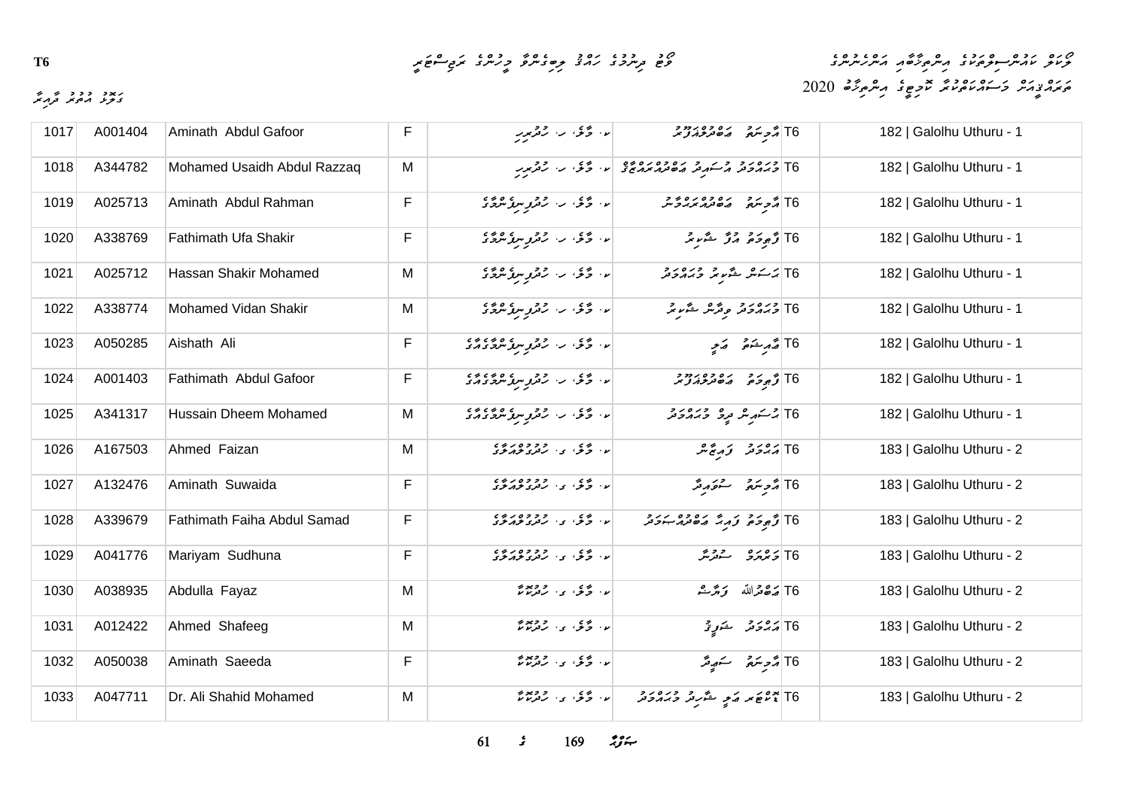*sCw7q7s5w7m< o<n9nOoAw7o< sCq;mAwBoEw7q<m; wBm;vB* م من المسجد المسجد المسجد المسجد المسجد العام 2020<br>مسجد المسجد المسجد المسجد المسجد المسجد المسجد المسجد المسجد ال

| 1017 | A001404 | Aminath Abdul Gafoor         | F | ئەس قىق بەر قىقرىمەت                            | T6 گەچەتتى ھەھەر دەرە د                                                                                                   | 182   Galolhu Uthuru - 1 |
|------|---------|------------------------------|---|-------------------------------------------------|---------------------------------------------------------------------------------------------------------------------------|--------------------------|
| 1018 | A344782 | Mohamed Usaidh Abdul Razzaq  | M |                                                 | T6 ورورو و سرد و رووه رومو است و د السرد و در بر                                                                          | 182   Galolhu Uthuru - 1 |
| 1019 | A025713 | Aminath Abdul Rahman         | F | ئەس ئۇنى سەر 25 مەس ئىرى ئ                      | T6 مُرِسَمَ مُصْرِمْ مُرْمَدِ مِنْ مَ                                                                                     | 182   Galolhu Uthuru - 1 |
| 1020 | A338769 | <b>Fathimath Ufa Shakir</b>  | F | بار دمجري الرار رحمد و بر باره دم د             | T6 <i>وُجِعَة م</i> ُوَّ حُب <i>اب</i> رُ                                                                                 | 182   Galolhu Uthuru - 1 |
| 1021 | A025712 | <b>Hassan Shakir Mohamed</b> | M | ئەس ئۇنى سەر ئەرەپ ئەرەپ ئا                     | T6   يَرْسَسْ حَيْرٍ مِنْ وَيَرْدُونَرْ                                                                                   | 182   Galolhu Uthuru - 1 |
| 1022 | A338774 | <b>Mohamed Vidan Shakir</b>  | M | پارستخوا را رقم پر مرکز مرکز د                  | T6 <i>دېم</i> دې <sub>مو</sub> مگېر څېړن <sub>م</sub>                                                                     | 182   Galolhu Uthuru - 1 |
| 1023 | A050285 | Aishath Ali                  | F | ئەس ئۇس ئەس ئۇنى ئەس ئەس ئەس ئەس ئە             | T6 م <i>جُمِيشَمْ مَ</i> حِ                                                                                               | 182   Galolhu Uthuru - 1 |
| 1024 | A001403 | Fathimath Abdul Gafoor       | F | پار د ده د کاروسرو شده د ده د                   | T6 ژ <sub>نج</sub> ود مەھىر دە د                                                                                          | 182   Galolhu Uthuru - 1 |
| 1025 | A341317 | Hussain Dheem Mohamed        | M | ئەس ئۇس ئەس ئۇنى ئەس ئەس ئەس ئەس ئە             | T6 يُرْسَهِ بِيْرِ وَيَرْدُونَّر                                                                                          | 182   Galolhu Uthuru - 1 |
| 1026 | A167503 | Ahmed Faizan                 | M | د د مي .<br>د گرگ د رتوروبورور                  | T6 <i>ב</i> גى قەرىج ش                                                                                                    | 183   Galolhu Uthuru - 2 |
| 1027 | A132476 | Aminath Suwaida              | F | ر، نخوی که رووه دور<br>را، نخوی که رفتری فروفرو | T6 مُرجِسَمُ مُسَوَّرِ مُّ                                                                                                | 183   Galolhu Uthuru - 2 |
| 1028 | A339679 | Fathimath Faiha Abdul Samad  | F | ا د کمی کار دوه ده ده د                         | T6 ژ <sub>نج ح</sub> د و در پر محمد از در د                                                                               | 183   Galolhu Uthuru - 2 |
| 1029 | A041776 | Mariyam Sudhuna              | F | ر د محتی د دوده ده د<br>را محتی د رمزد ورود     | T6 ئ <i>ۇنىڭ شۇنىڭ</i>                                                                                                    | 183   Galolhu Uthuru - 2 |
| 1030 | A038935 | Abdulla Fayaz                | M | لا د څخه د اروپور                               | T6 كەشكەنداللە ئەگرىشە                                                                                                    | 183   Galolhu Uthuru - 2 |
| 1031 | A012422 | Ahmed Shafeeg                | M | ر، د څو، <sub>پ</sub> ه روبره<br>راسې د کل      | T6   كەش <sup>ى</sup> ر كىلى ئىكتىر ئىچ                                                                                   | 183   Galolhu Uthuru - 2 |
| 1032 | A050038 | Aminath Saeeda               | F | لا د څخه د د مرد ده                             | T6 گھ جو سکھ سکھ آگھ جنگ                                                                                                  | 183   Galolhu Uthuru - 2 |
| 1033 | A047711 | Dr. Ali Shahid Mohamed       | M |                                                 | T6 ۽ ماڻھ پر <sub>ھ</sub> ُتو مُشرِقر ويرو دين سيد اور ان دور دين دين جي ان دار دين مار دين مار دين مار دين مار دين مار د | 183   Galolhu Uthuru - 2 |

 $61$  *s*  $169$  *n***<sub>3</sub>** *n*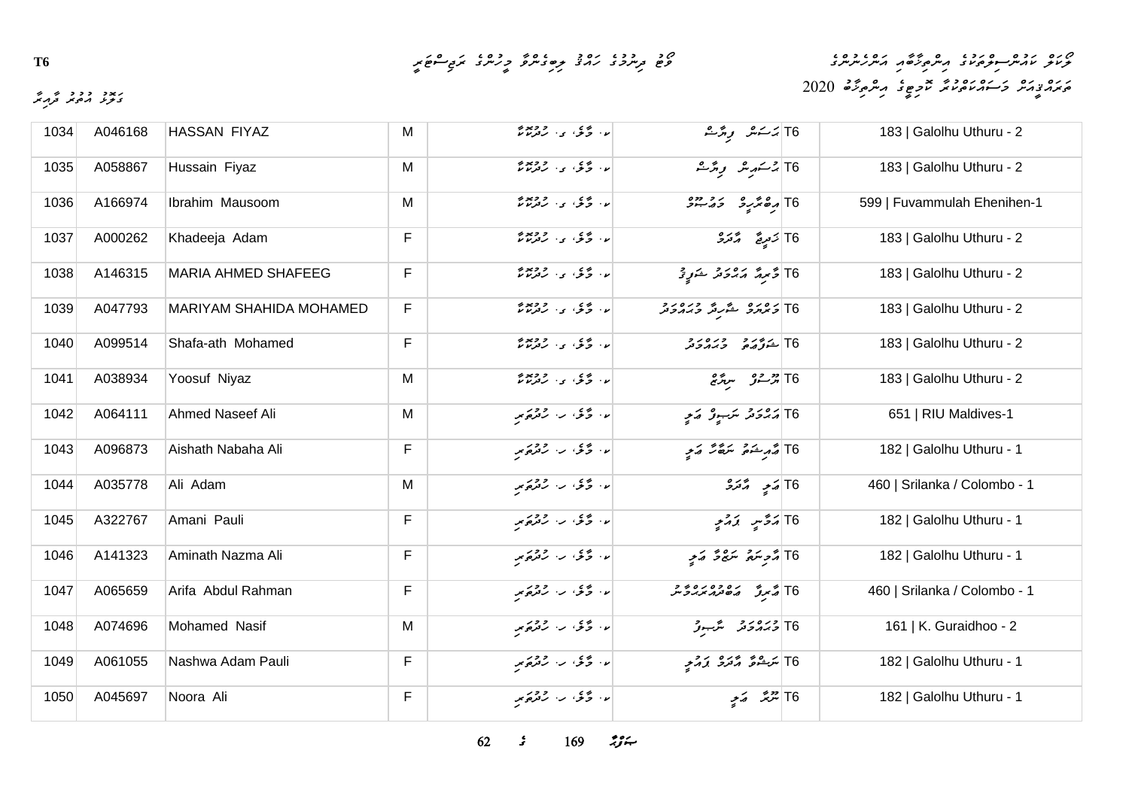*sCw7q7s5w7m< o<n9nOoAw7o< sCq;mAwBoEw7q<m; wBm;vB* م من المسجد المسجد المسجد المسجد المسجد العام 2020<br>مجم*د المسجد المسجد المستجد المسجد المسجد المسجد المسجد المسجد المسجد المسجد المسجد المسجد المسجد المسجد المسجد* 

# *n8o<n@ q8qAq< q:uBmC*

| 1034 | A046168 | <b>HASSAN FIYAZ</b>            | M           | ر، بەشى، بەر <i>1775</i>              | T6  ترسكىش <sub>قر</sub> مزىشە                                                                       | 183   Galolhu Uthuru - 2     |
|------|---------|--------------------------------|-------------|---------------------------------------|------------------------------------------------------------------------------------------------------|------------------------------|
| 1035 | A058867 | Hussain Fiyaz                  | M           | لا د څخه د د روبده                    | T6 پُرسکر پر مورکز شہ                                                                                | 183   Galolhu Uthuru - 2     |
| 1036 | A166974 | Ibrahim Mausoom                | M           | لا د څو، د رولانه                     | T6 مەھەر ئەھەسىدى                                                                                    | 599   Fuvammulah Ehenihen-1  |
| 1037 | A000262 | Khadeeja Adam                  | F           | لا د څو، د رولانه                     | T6 كَتَوِيعٌ مُتَقَرَّدٌ                                                                             | 183   Galolhu Uthuru - 2     |
| 1038 | A146315 | <b>MARIA AHMED SHAFEEG</b>     | F           | لا د څخه د کېږيده                     | T6 كَرْسِيَّرْ   مُدْكَرَةْ   حَرَوٍ تْرَ                                                            | 183   Galolhu Uthuru - 2     |
| 1039 | A047793 | <b>MARIYAM SHAHIDA MOHAMED</b> | F           | لا د څخه د د چرمړين                   | T6 كَرْمُهُمْ شُرِيَّزٌ كَرُمُ كَرْمُ لِهِ مِنْ الْمَرْكَبَةِ لِلْمَرْكَبَةِ لِلْمَرْكَبَةِ لِلْمَرْ | 183   Galolhu Uthuru - 2     |
| 1040 | A099514 | Shafa-ath Mohamed              | $\mathsf F$ | لاستخبر المتحدد والمتعمدة             | T6 خۇھەم <i>دىن</i> ەرد                                                                              | 183   Galolhu Uthuru - 2     |
| 1041 | A038934 | Yoosuf Niyaz                   | M           | لاستخبري كالمراديع                    |                                                                                                      | 183   Galolhu Uthuru - 2     |
| 1042 | A064111 | Ahmed Naseef Ali               | M           | لا : وَنَوْا رَ رُفْرُوَ بِرِ         | T6 בُرُدُونَرُ سَرَجٍو <i>دُ صَ</i> حٍ                                                               | 651   RIU Maldives-1         |
| 1043 | A096873 | Aishath Nabaha Ali             | F           | $\downarrow$ ، وَكَوْا را رُفْرُوَمِر | T6 مُەمِ شَەمْ مَتَمَّةً مَعِ                                                                        | 182   Galolhu Uthuru - 1     |
| 1044 | A035778 | Ali Adam                       | M           | لا د څخه را روونو                     | T6 <i>ڇُجِ چُهُرَ</i> دُ                                                                             | 460   Srilanka / Colombo - 1 |
| 1045 | A322767 | Amani Pauli                    | F           | لا د گري را رقمدي بر                  | T6 كەڭ بېر ب <i>ۆ</i> كەمچ                                                                           | 182   Galolhu Uthuru - 1     |
| 1046 | A141323 | Aminath Nazma Ali              | F           | الا وكانى المار رقوقان بر             | T6 مُ <i>وِ سَمَعْ سَيْ 5 مَ مِ</i>                                                                  | 182   Galolhu Uthuru - 1     |
| 1047 | A065659 | Arifa Abdul Rahman             | F           | لا : وَنَوْا رَ رُفْرُوَ بِرِ         | T6 ھُمِرَّ مُصْرَمْ مُحَمَّدٍ مِنْ مَسَرِّ مِنْ                                                      | 460   Srilanka / Colombo - 1 |
| 1048 | A074696 | Mohamed Nasif                  | M           | لا : وَنَوْا رَ رُفْرُوَ بِرِ         | T6 <i>\$نەۋەقە</i> شەرق                                                                              | 161   K. Guraidhoo - 2       |
| 1049 | A061055 | Nashwa Adam Pauli              | F           | لا د گري را رقمدي بر                  | T6 بترشو <i>ة مؤترق بزم</i> نج                                                                       | 182   Galolhu Uthuru - 1     |
| 1050 | A045697 | Noora Ali                      | F           | الا وكانى المار رقوقان بر             | T6 جيمبر <i>جي</i> ر                                                                                 | 182   Galolhu Uthuru - 1     |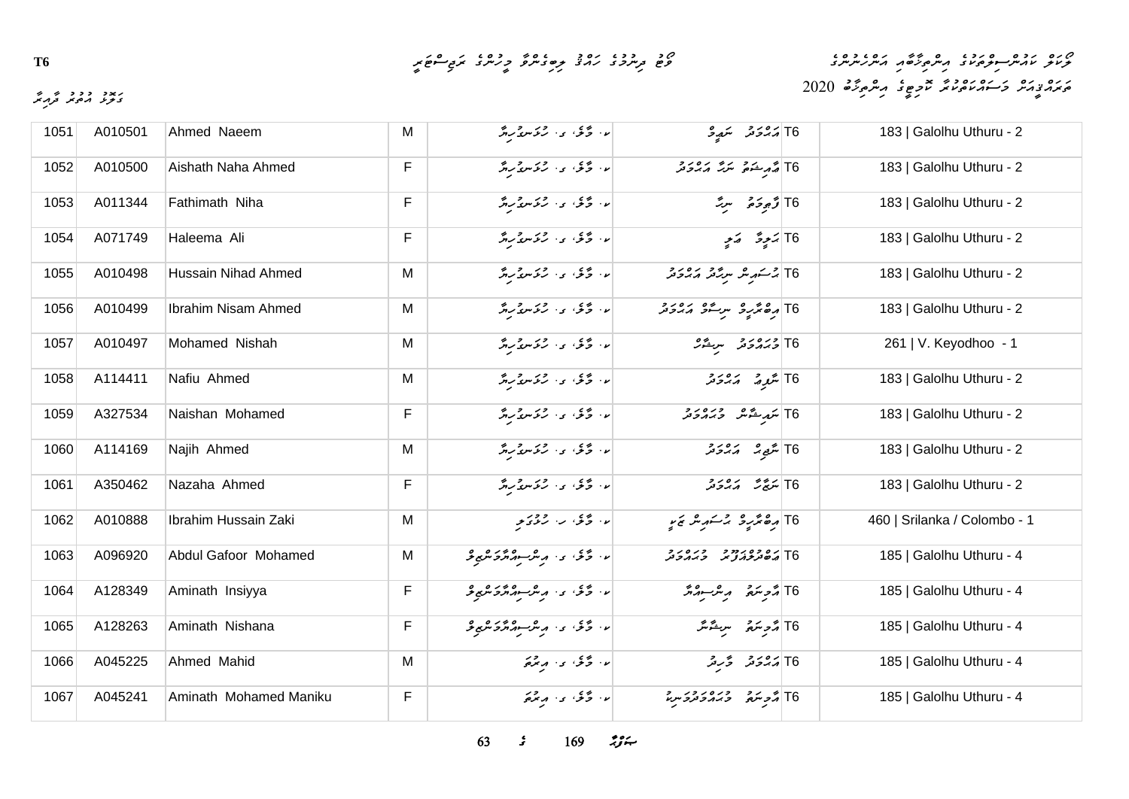*sCw7q7s5w7m< o<n9nOoAw7o< sCq;mAwBoEw7q<m; wBm;vB* م من المسجد المسجد المسجد المسجد المسجد العام 2020<br>مجم*د المسجد المسجد المستجد المسجد المسجد المسجد المسجد المسجد المسجد المسجد المسجد المسجد المسجد المسجد المسجد* 

| 1051 | A010501 | Ahmed Naeem                | M | لا د گانگان در مرکز سرگار پارگان         | T6 <i>ב بۇ 5 مىمبر ئى</i> ر                | 183   Galolhu Uthuru - 2     |
|------|---------|----------------------------|---|------------------------------------------|--------------------------------------------|------------------------------|
| 1052 | A010500 | Aishath Naha Ahmed         | F | لا د گانگان در مرکز سرگار درگان          | T6 م <i>ەم شەھ</i> ەت <i>مەدە</i> تر       | 183   Galolhu Uthuru - 2     |
| 1053 | A011344 | Fathimath Niha             | F | لاستخلي كالمستحصل والمحر وترتجى          | T6 <i>وَّجِوحَةْ</i> سِرَّتْهُ             | 183   Galolhu Uthuru - 2     |
| 1054 | A071749 | Haleema Ali                | F | لا د څخه د کرکسې لرگ                     | T6 کر <i>چ</i> و کرم                       | 183   Galolhu Uthuru - 2     |
| 1055 | A010498 | <b>Hussain Nihad Ahmed</b> | M | لا د گانگان در مرکز سرگار درگان          |                                            | 183   Galolhu Uthuru - 2     |
| 1056 | A010499 | Ibrahim Nisam Ahmed        | M | لا د گاگا د ارگانگارگانگار               | T6 مەھگرىۋا س <sup>ى</sup> شۇ مەددىر       | 183   Galolhu Uthuru - 2     |
| 1057 | A010497 | Mohamed Nishah             | M | لاستخلاص كالمتحاس والمراجم               | T6 <i>ۇنەممۇمۇ</i> س <sub>ىش</sub> ۇر      | 261   V. Keyodhoo - 1        |
| 1058 | A114411 | Nafiu Ahmed                | M | لا د گاگا د ارگانگارگانگار               | T6 يُتموهُ <i>مَدْوَمْ</i> دُ              | 183   Galolhu Uthuru - 2     |
| 1059 | A327534 | Naishan Mohamed            | F | لا د محمود د ار رمی مرکز کردگر           | T6 <i>سَمِي حَمَدُ حَمَدُو مَرَّ</i>       | 183   Galolhu Uthuru - 2     |
| 1060 | A114169 | Najih Ahmed                | M | لا کانگا کا رکوشی گرامگر                 | T6 تر <i>ّيج بر برون و</i>                 | 183   Galolhu Uthuru - 2     |
| 1061 | A350462 | Nazaha Ahmed               | F | لا د څکې د ارکمکلونو لرو                 | T6 يَرَجُّرُ - <i>مَدُوَمْ</i>             | 183   Galolhu Uthuru - 2     |
| 1062 | A010888 | Ibrahim Hussain Zaki       | M | لا د گري را رکولاتو                      | T6 <sub>م</sub> ەھ ئ <i>ۇيە ئىمىش ئى</i> ر | 460   Srilanka / Colombo - 1 |
| 1063 | A096920 | Abdul Gafoor Mohamed       | M | الا المحكى المار مارسور والمركز مرتبع فل | 7,000 בסגמר כגם כבר כ                      | 185   Galolhu Uthuru - 4     |
| 1064 | A128349 | Aminath Insiyya            | F | لا د څخه د اولسره پروگرېږي و             | T6 أَمُّ حِسَمَةٌ مِسْرَ مِهْتُمْ          | 185   Galolhu Uthuru - 4     |
| 1065 | A128263 | Aminath Nishana            | F | ۱۰ ۇ ئى بىر مەش <i>رىمىڭ ئىرى</i> گى ئى  |                                            | 185   Galolhu Uthuru - 4     |
| 1066 | A045225 | Ahmed Mahid                | M | لا د څخه د اوبره                         | T6 <i>ړې دي.</i> ځريز                      | 185   Galolhu Uthuru - 4     |
| 1067 | A045241 | Aminath Mohamed Maniku     | F | الأرمح في المراجع المرجومي               | T6 مُرْحِسَمُ وَبَرْمُ وَفَرَدَ سِرَمْ     | 185   Galolhu Uthuru - 4     |

### *n8o<n@ q8qAq< q:uBmC*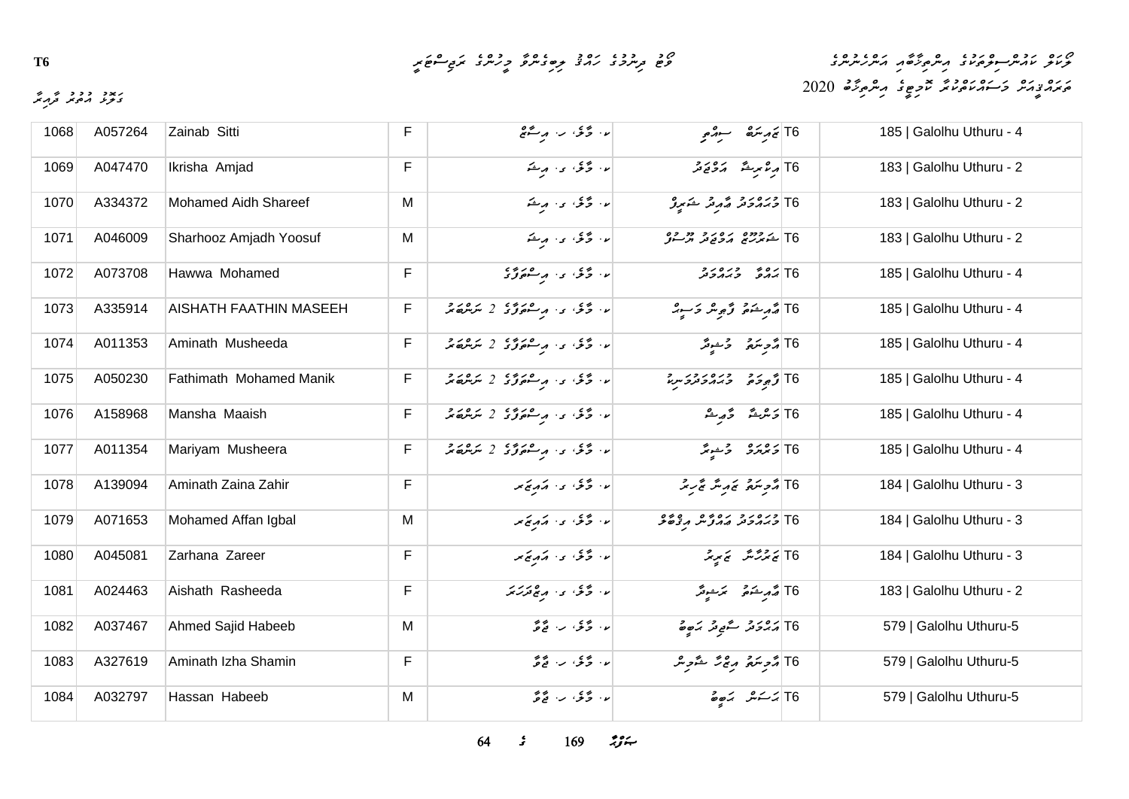*sCw7q7s5w7m< o<n9nOoAw7o< sCq;mAwBoEw7q<m; wBm;vB 2020<sup>, م</sup>وسر در مدد مدرج به مدرم مقرم قرار 2020*<br>موسر المستقرم المستقرم المستقرم المستقرم المستقرم المستقرم المستقرم المستقرم المستقرم المستقرم المستقرم المستقر

| 1068 | A057264 | Zainab Sitti                   | F | لاستخرش سأبرجيني                                                                                                                                                                                                                                                                                                                | T6ت <sub>ح</sub> ریتھ ہے<br>م                     | 185   Galolhu Uthuru - 4 |
|------|---------|--------------------------------|---|---------------------------------------------------------------------------------------------------------------------------------------------------------------------------------------------------------------------------------------------------------------------------------------------------------------------------------|---------------------------------------------------|--------------------------|
| 1069 | A047470 | Ikrisha Amjad                  | F | لاء گرگري او د اوستکا                                                                                                                                                                                                                                                                                                           | T6 مرغ مرث محرق محرق محمد<br>76 مرغ مرض محرق محمد | 183   Galolhu Uthuru - 2 |
| 1070 | A334372 | <b>Mohamed Aidh Shareef</b>    | M | لاء گري کا اور ايم                                                                                                                                                                                                                                                                                                              | T6 <i>3223 مُهدِمٌ</i> سُمَيِرٌ                   | 183   Galolhu Uthuru - 2 |
| 1071 | A046009 | Sharhooz Amjadh Yoosuf         | M | الاء گرگی اور ایرانک                                                                                                                                                                                                                                                                                                            | T6 خەمرىرى مەمەم دەر دە                           | 183   Galolhu Uthuru - 2 |
| 1072 | A073708 | Hawwa Mohamed                  | F | ر ده ده دروه<br>را د گلی در منظوری                                                                                                                                                                                                                                                                                              | T6 يَرْمُوَّ وَيَرْمُونُو                         | 185   Galolhu Uthuru - 4 |
| 1073 | A335914 | <b>AISHATH FAATHIN MASEEH</b>  | F | $\frac{5}{2}$ , $\frac{6}{2}$ , $\frac{6}{2}$ , $\frac{6}{2}$ , $\frac{6}{2}$ , $\frac{6}{2}$ , $\frac{6}{2}$ , $\frac{6}{2}$ , $\frac{6}{2}$ , $\frac{6}{2}$ , $\frac{6}{2}$ , $\frac{6}{2}$ , $\frac{6}{2}$ , $\frac{6}{2}$ , $\frac{6}{2}$ , $\frac{6}{2}$ , $\frac{6}{2}$ , $\frac{6}{2}$ , $\frac{6}{2}$ , $\frac{6}{2}$ , | T6 م <i>ۇم شۇمۇ بۇم</i> وشرىخ سې <sup>2</sup>     | 185   Galolhu Uthuru - 4 |
| 1074 | A011353 | Aminath Musheeda               | F | $2222$ $2320$ $2520$ $2220$                                                                                                                                                                                                                                                                                                     | T6 مَّ <i>حِ سَمَّةَ</i> حَ حَسِيمً               | 185   Galolhu Uthuru - 4 |
| 1075 | A050230 | <b>Fathimath Mohamed Manik</b> | F | $\frac{3}{2}$ , $\frac{3}{2}$ , $\frac{3}{2}$ , $\frac{3}{2}$ , $\frac{3}{2}$ , $\frac{3}{2}$ , $\frac{3}{2}$ , $\frac{3}{2}$ , $\frac{3}{2}$ , $\frac{3}{2}$ , $\frac{3}{2}$ , $\frac{3}{2}$ , $\frac{3}{2}$ , $\frac{3}{2}$ , $\frac{3}{2}$ , $\frac{3}{2}$ , $\frac{3}{2}$ , $\frac{3}{2}$ , $\frac{3}{2}$ , $\frac{3}{2}$ , | T6 زُجِرَة درەردىرىد                              | 185   Galolhu Uthuru - 4 |
| 1076 | A158968 | Mansha Maaish                  | F | $\frac{3}{2}$ , $\frac{3}{2}$ , $\frac{3}{2}$ , $\frac{3}{2}$ , $\frac{3}{2}$ , $\frac{3}{2}$ , $\frac{3}{2}$ , $\frac{3}{2}$ , $\frac{3}{2}$ , $\frac{3}{2}$ , $\frac{3}{2}$ , $\frac{3}{2}$ , $\frac{3}{2}$ , $\frac{3}{2}$ , $\frac{3}{2}$ , $\frac{3}{2}$ , $\frac{3}{2}$ , $\frac{3}{2}$ , $\frac{3}{2}$ , $\frac{3}{2}$ , | T6 كَسْرْتْشْ     كَرْمِـتْ ْ                     | 185   Galolhu Uthuru - 4 |
| 1077 | A011354 | Mariyam Musheera               | F |                                                                                                                                                                                                                                                                                                                                 | T6 <i>وَبُرْمَرْدْ وَحْدِيْرْ</i>                 | 185   Galolhu Uthuru - 4 |
| 1078 | A139094 | Aminath Zaina Zahir            | F | لاستخف وستماميم                                                                                                                                                                                                                                                                                                                 | T6 م <i>ُّ جِسَعَةً</i> نَجْ مِسَّرٌ نَجْ سِعْرٌ  | 184   Galolhu Uthuru - 3 |
| 1079 | A071653 | Mohamed Affan Igbal            | M | $x \times 10^{-1}$                                                                                                                                                                                                                                                                                                              | T6 درور در دوژه مقصو                              | 184   Galolhu Uthuru - 3 |
| 1080 | A045081 | Zarhana Zareer                 | F | لاستحق وسلمكم                                                                                                                                                                                                                                                                                                                   | T6 ئى ئىرگەنگر   ئى ئىرىگر                        | 184   Galolhu Uthuru - 3 |
| 1081 | A024463 | Aishath Rasheeda               | F | الأراقيحواري والمحافرت                                                                                                                                                                                                                                                                                                          | T6 <i>مُّ مِ</i> حَسَمٌ مَمَتَ مِمَّةً            | 183   Galolhu Uthuru - 2 |
| 1082 | A037467 | Ahmed Sajid Habeeb             | M | ىر ئەقتى ب قىمى                                                                                                                                                                                                                                                                                                                 | T6 كەندى قىرىق قىلىم ھ                            | 579   Galolhu Uthuru-5   |
| 1083 | A327619 | Aminath Izha Shamin            | F | $\stackrel{\circ}{\mathcal{E}}\stackrel{\circ}{\mathcal{E}}$ ، پ                                                                                                                                                                                                                                                                | T6 مُرْحِسَةً مِعْ شُمْحِيشً                      | 579   Galolhu Uthuru-5   |
| 1084 | A032797 | Hassan Habeeb                  | M | ىر بەيجى ب بەقى                                                                                                                                                                                                                                                                                                                 | 76   يَرْسَعْرُ فَتَصَرِّفَ                       | 579   Galolhu Uthuru-5   |

### *n8o<n@ q8qAq< q:uBmC*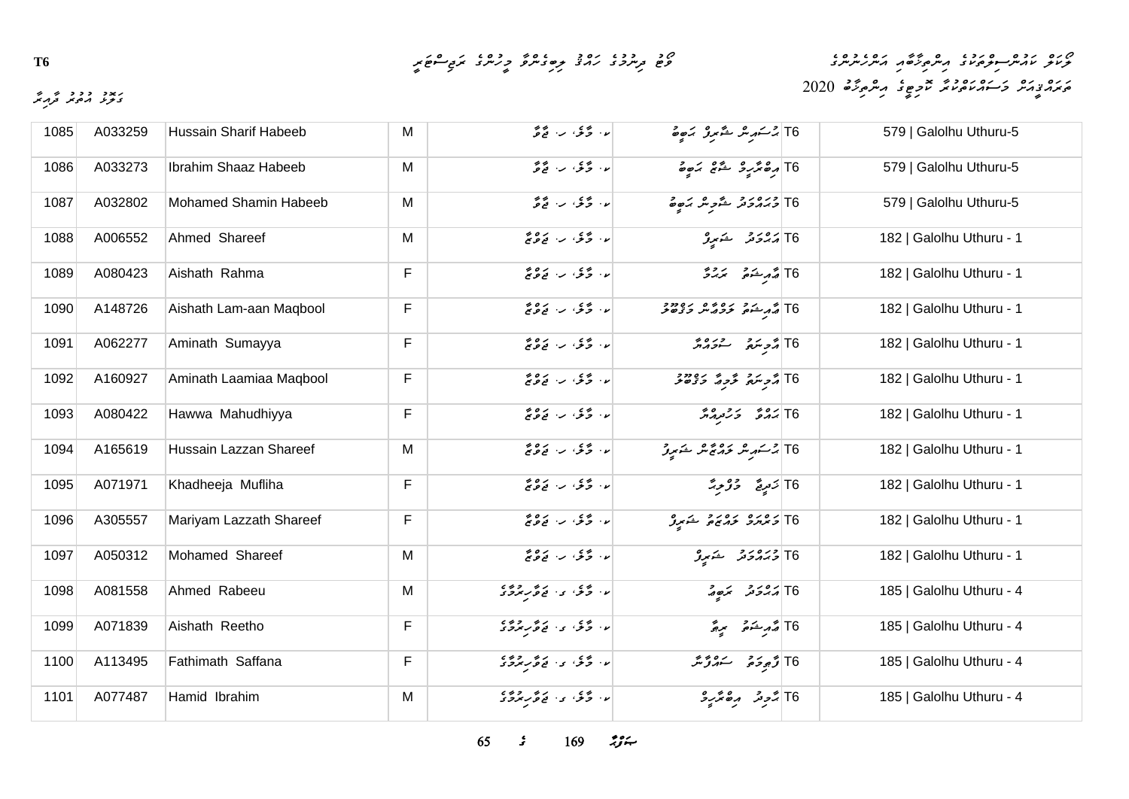*sCw7q7s5w7m< o<n9nOoAw7o< sCq;mAwBoEw7q<m; wBm;vB* م من المسجد المسجد المسجد المسجد المسجد العام 2020<br>مجم*د المسجد المسجد المستجد المسجد المسجد المسجد المسجد المسجد المسجد المسجد المسجد المسجد المسجد المسجد المسجد* 

| 1085 | A033259 | <b>Hussain Sharif Habeeb</b> | M | ا د گري را گاگا                                                                                                  | T6 پُرڪمبرنگر ڪُمبر <i>و بُرُڪ</i> آ      | 579   Galolhu Uthuru-5   |
|------|---------|------------------------------|---|------------------------------------------------------------------------------------------------------------------|-------------------------------------------|--------------------------|
| 1086 | A033273 | Ibrahim Shaaz Habeeb         | M | الا المحركي الرابح كا                                                                                            | T6 مەھمەر ئىسى ئىچ قى                     | 579   Galolhu Uthuru-5   |
| 1087 | A032802 | Mohamed Shamin Habeeb        | M | $\begin{bmatrix} 2 & 2 & 3 & 3 \ 2 & 3 & 3 & 3 \end{bmatrix}$                                                    | T6 <i>دېرو دو</i> ځو شو <i>موه</i>        | 579   Galolhu Uthuru-5   |
| 1088 | A006552 | Ahmed Shareef                | M | $\stackrel{6}{\sim}$ $\stackrel{6}{\sim}$ $\stackrel{7}{\sim}$ $\stackrel{6}{\sim}$ $\cdot$ $\stackrel{7}{\sim}$ | T6 <i>ړېری شمېرو</i>                      | 182   Galolhu Uthuru - 1 |
| 1089 | A080423 | Aishath Rahma                | F | ، دَبَی رَ ہے وہ                                                                                                 | T6م <i>م شەق مۇرۇ</i>                     | 182   Galolhu Uthuru - 1 |
| 1090 | A148726 | Aishath Lam-aan Maqbool      | F | ، دَگر، رَ کامی                                                                                                  | T6 مەم شەھ كەرگە ئەھلىقىسى 16             | 182   Galolhu Uthuru - 1 |
| 1091 | A062277 | Aminath Sumayya              | F | ىر بەقتى ب قەھىم                                                                                                 | T6 مُجِسَمَ <i>ة حَمْدَة مُ</i>           | 182   Galolhu Uthuru - 1 |
| 1092 | A160927 | Aminath Laamiaa Maqbool      | F | الا انجاني الراديج ونج                                                                                           | T6 مُرجِسَةٌ مُرْجَمٌ وَدُمُورٌ           | 182   Galolhu Uthuru - 1 |
| 1093 | A080422 | Hawwa Mahudhiyya             | F | الا المحكى الرام كالمحامج                                                                                        | T6  يَرْدُوُّ كَرْسِهْتُرْ                | 182   Galolhu Uthuru - 1 |
| 1094 | A165619 | Hussain Lazzan Shareef       | M | الا المحكى الرام كالمحامج                                                                                        | T6 پرڪر سگر برگر پڻ پر ڪامبر جي آھي.<br>ح | 182   Galolhu Uthuru - 1 |
| 1095 | A071971 | Khadheeja Mufliha            | F | $282 - 32$                                                                                                       | T6 زَمرِيَّ وَرُوِيَّ                     | 182   Galolhu Uthuru - 1 |
| 1096 | A305557 | Mariyam Lazzath Shareef      | F | الا المحكى الرام كالمحامج                                                                                        | T6 كەبەر كەرەم ئەيرۇ                      | 182   Galolhu Uthuru - 1 |
| 1097 | A050312 | Mohamed Shareef              | M | ، دَگر، رَ کامی                                                                                                  | T6 <i>ۇنەۋەتى خەيرۇ</i>                   | 182   Galolhu Uthuru - 1 |
| 1098 | A081558 | Ahmed Rabeeu                 | M | لا د محمود د انجام برود                                                                                          | T6 <i>ב بحرّه مرّه و</i>                  | 185   Galolhu Uthuru - 4 |
| 1099 | A071839 | Aishath Reetho               | F | لا د محمود د انجام برود                                                                                          | T6 مُ مِشَمَّ مِعْ مِ                     | 185   Galolhu Uthuru - 4 |
| 1100 | A113495 | Fathimath Saffana            | F | لا د څو، د افغ څرمرخ د                                                                                           | T6 <i>ۋ<sub>ې</sub>وخۇ سۇرۇنگ</i>         | 185   Galolhu Uthuru - 4 |
| 1101 | A077487 | Hamid Ibrahim                | M | لا د محمود د انجام برود                                                                                          | T6 بَرُونَرُ م <i>ِنْ مُ</i> دْرِدْ       | 185   Galolhu Uthuru - 4 |

 $65$  *s*  $169$  *n***<sub>3</sub>** *n*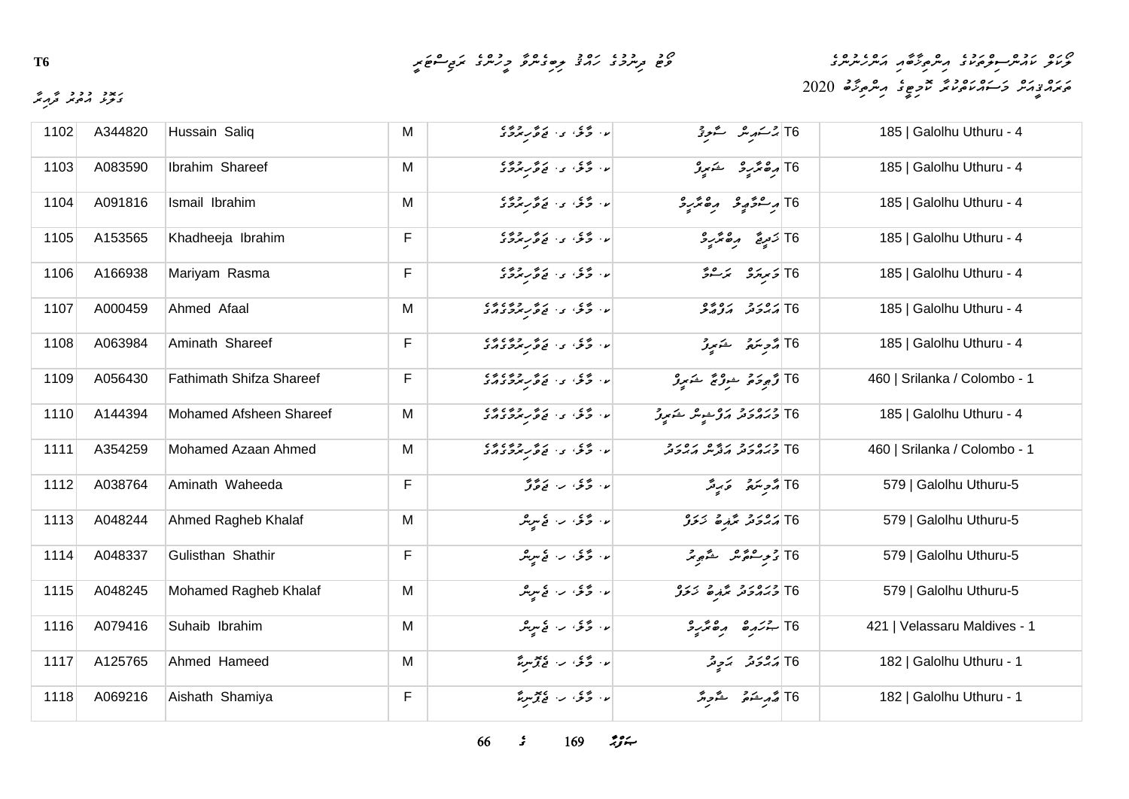*sCw7q7s5w7m< o<n9nOoAw7o< sCq;mAwBoEw7q<m; wBm;vB* م من المرة المرة المرة المرجع المرجع في المركبة 2020<br>مجم*د المريض المربوط المربع المرجع في المراجع المركبة* 

| 1102 | A344820 | Hussain Saliq                   | M | لا د څخه د افغ څوکر ووه                                                                                                                                                                                                                                                                                                         | T6  يُرسَهر مُشَرِيحٌ مُشَرِيحٌ         | 185   Galolhu Uthuru - 4     |
|------|---------|---------------------------------|---|---------------------------------------------------------------------------------------------------------------------------------------------------------------------------------------------------------------------------------------------------------------------------------------------------------------------------------|-----------------------------------------|------------------------------|
| 1103 | A083590 | Ibrahim Shareef                 | M | لا د کال د کار د ده د                                                                                                                                                                                                                                                                                                           | T6 مەھمەر ئىسىمبىر ئىسىمبىتى بىر        | 185   Galolhu Uthuru - 4     |
| 1104 | A091816 | Ismail Ibrahim                  | M | لا د کلي د د کانگر د ده                                                                                                                                                                                                                                                                                                         |                                         | 185   Galolhu Uthuru - 4     |
| 1105 | A153565 | Khadheeja Ibrahim               | F | لا د څو د ځورمروه                                                                                                                                                                                                                                                                                                               | T6 كَتَمِيعٌ م <i>ِ مِنْ مُ</i> رْدِدُ  | 185   Galolhu Uthuru - 4     |
| 1106 | A166938 | Mariyam Rasma                   | F | لا د څخه د افغ څوکر ووه                                                                                                                                                                                                                                                                                                         | T6 ك <i>ابويتركى بترسكرم</i> ح          | 185   Galolhu Uthuru - 4     |
| 1107 | A000459 | Ahmed Afaal                     | M | لا د څو د د ځوربرورون                                                                                                                                                                                                                                                                                                           | T6 <i>בכבר בנבצ</i>                     | 185   Galolhu Uthuru - 4     |
| 1108 | A063984 | Aminath Shareef                 | F |                                                                                                                                                                                                                                                                                                                                 | T6 مُرْحِسَمُ شَمَعِينُ                 | 185   Galolhu Uthuru - 4     |
| 1109 | A056430 | <b>Fathimath Shifza Shareef</b> | F | $\begin{bmatrix} 1 & 1 & 1 & 1 \\ 1 & 1 & 1 & 1 \\ 1 & 1 & 1 & 1 \\ 1 & 1 & 1 & 1 \end{bmatrix}$                                                                                                                                                                                                                                | T6 <i>وَّجِرَة شِوْيَّ شَهْرِوْ</i>     | 460   Srilanka / Colombo - 1 |
| 1110 | A144394 | Mohamed Afsheen Shareef         | M | $\begin{bmatrix} 1 & 1 & 1 & 1 \\ 1 & 1 & 1 & 1 \\ 1 & 1 & 1 & 1 \\ 1 & 1 & 1 & 1 \\ 1 & 1 & 1 & 1 \\ 1 & 1 & 1 & 1 \\ 1 & 1 & 1 & 1 \\ 1 & 1 & 1 & 1 \\ 1 & 1 & 1 & 1 \\ 1 & 1 & 1 & 1 \\ 1 & 1 & 1 & 1 \\ 1 & 1 & 1 & 1 \\ 1 & 1 & 1 & 1 \\ 1 & 1 & 1 & 1 \\ 1 & 1 & 1 & 1 & 1 \\ 1 & 1 & 1 & 1 & 1 \\ 1 & 1 & 1 & 1 & 1 \\ $ | T6 <i>وبرورو بروبيونگر بيتمبرو</i>      | 185   Galolhu Uthuru - 4     |
| 1111 | A354259 | Mohamed Azaan Ahmed             | M | $\begin{bmatrix} 1 & 1 & 1 & 1 & 1 \\ 1 & 1 & 1 & 1 & 1 \\ 1 & 1 & 1 & 1 & 1 \\ 1 & 1 & 1 & 1 & 1 \\ 1 & 1 & 1 & 1 & 1 \\ 1 & 1 & 1 & 1 & 1 \\ 1 & 1 & 1 & 1 & 1 \\ 1 & 1 & 1 & 1 & 1 \\ 1 & 1 & 1 & 1 & 1 \\ 1 & 1 & 1 & 1 & 1 \\ 1 & 1 & 1 & 1 & 1 \\ 1 & 1 & 1 & 1 & 1 \\ 1 & 1 & 1 & 1 & 1 \\ 1 & 1 & 1 & 1 & 1 \\ 1 & $    | T6   <i>دېرورو پروگر پرورو</i>          | 460   Srilanka / Colombo - 1 |
| 1112 | A038764 | Aminath Waheeda                 | F | $382 - 33$                                                                                                                                                                                                                                                                                                                      | T6 مَ <i>ُحِ مَرَة مَ م</i> ِتَّر       | 579   Galolhu Uthuru-5       |
| 1113 | A048244 | Ahmed Ragheb Khalaf             | M | $\downarrow$ ، دَگر، را قاسِر                                                                                                                                                                                                                                                                                                   | T6 <i>בُ.چرى جُهْرِهْ خَوَوْ</i>        | 579   Galolhu Uthuru-5       |
| 1114 | A048337 | Gulisthan Shathir               | F | $\downarrow$ ، دَگر، را قاسِر                                                                                                                                                                                                                                                                                                   | T6 <sub>ك</sub> وبەھەر ئىقم <i>وم</i> ۇ | 579   Galolhu Uthuru-5       |
| 1115 | A048245 | Mohamed Ragheb Khalaf           | M | $\downarrow$ ، دَگر، را، قاسِر                                                                                                                                                                                                                                                                                                  | T6 <i>دېم</i> ده په ځمه شوو             | 579   Galolhu Uthuru-5       |
| 1116 | A079416 | Suhaib Ibrahim                  | M | الاء گري الله کا کالویلل                                                                                                                                                                                                                                                                                                        | T6 ج <i>نزم</i> ڤ مڤتَربِ 16            | 421   Velassaru Maldives - 1 |
| 1117 | A125765 | Ahmed Hameed                    | M | ما المحكمة الأراسية المحمد المحمد المحمد المحمدة المحمدة المحمدة المحمدة المحمدة المحمدة المحمدة ا                                                                                                                                                                                                                              | T6   <i>ړی</i> و تر کار پر تر           | 182   Galolhu Uthuru - 1     |
| 1118 | A069216 | Aishath Shamiya                 | F | لاء دمجني الراجع بوسير                                                                                                                                                                                                                                                                                                          | T6 م <i>ەُم</i> ِ ھۇم ھۇم <i>ۇ</i> م    | 182   Galolhu Uthuru - 1     |

### *n8o<n@ q8qAq< q:uBmC*

 $66$  *s*  $169$  *z*  $29$  <del>*k*</del>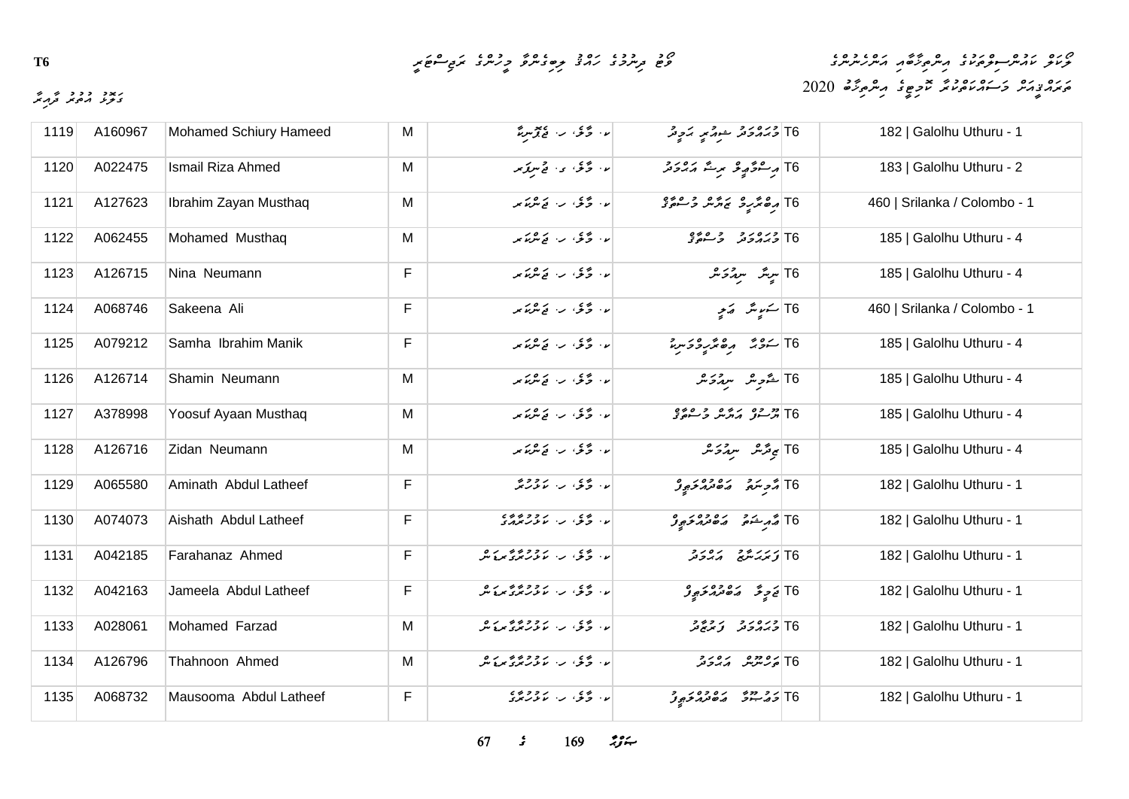*sCw7q7s5w7m< o<n9nOoAw7o< sCq;mAwBoEw7q<m; wBm;vB* م من المسجد المسجد المسجد المسجد المسجد العام 2020<br>مجم*د المسجد المسجد المستجد المسجد المسجد المسجد المسجد المسجد المسجد المسجد المسجد المسجد المسجد المسجد المسجد* 

| 1119 | A160967 | <b>Mohamed Schiury Hameed</b> | M           | الا المحمد المالي المعرفي المحمد المحمد المحمد المحمد المحمد المحمد المحمد المحمد المحمد المحمد الم                               | T6 <i>ڈیز وی ڈی شورٹمپ بر چ</i> وٹر                                    | 182   Galolhu Uthuru - 1     |
|------|---------|-------------------------------|-------------|-----------------------------------------------------------------------------------------------------------------------------------|------------------------------------------------------------------------|------------------------------|
| 1120 | A022475 | <b>Ismail Riza Ahmed</b>      | M           | $\mathbf{v}$ لاء د ده المحسن المحسن المحصوص الله مع المحصوص الله عليه المحصوص الله عليه الله عليه الله عليه الله عليه الله عليه ا | T6 <sub>م</sub> رےد <i>ۇ<sub>م</sub>ى</i> ئورىئە <i>مەددى</i> ر        | 183   Galolhu Uthuru - 2     |
| 1121 | A127623 | Ibrahim Zayan Musthaq         | M           | لا د څخه را ځایزنامه                                                                                                              | T6 مەھزىرى ئەرگىر مىس <i>مۇتى</i>                                      | 460   Srilanka / Colombo - 1 |
| 1122 | A062455 | Mohamed Musthaq               | M           | لاستخرى للمستخدمة بمدراته                                                                                                         | T6 <i>جزور و ده وه</i>                                                 | 185   Galolhu Uthuru - 4     |
| 1123 | A126715 | Nina Neumann                  | F           | لاستخرى للاستحاش كالمرتكا بمر                                                                                                     | T6 سرینڈ سر <i>مڈ</i> تکر                                              | 185   Galolhu Uthuru - 4     |
| 1124 | A068746 | Sakeena Ali                   | $\mathsf F$ | الأرمج في الرابع بتزيلا بير                                                                                                       | T6 سنرپٹر ک <sup>ہ</sup> پر                                            | 460   Srilanka / Colombo - 1 |
| 1125 | A079212 | Samha Ibrahim Manik           | F           | لاستخرى ب ئەيرىكىر                                                                                                                | T6 س <i>ُوڤ مِرە مُرىدۇ ئېرى</i> د                                     | 185   Galolhu Uthuru - 4     |
| 1126 | A126714 | Shamin Neumann                | M           | لا : 33) را قائدىكاتلا                                                                                                            | T6 ڪُ <i>وبنگ سِمُدُدَنگ</i> ر                                         | 185   Galolhu Uthuru - 4     |
| 1127 | A378998 | Yoosuf Ayaan Musthaq          | M           | لا : 33) را قائدىكاتلا                                                                                                            | T6 پر دو برور و موړ                                                    | 185   Galolhu Uthuru - 4     |
| 1128 | A126716 | Zidan Neumann                 | M           | ىر بە ئۇنى ب ئەشرىكىمە                                                                                                            | T6 ب <sub>و</sub> مَّ <i>رْ بْهِ بِهِ دُ</i> مَّهُ بِهِ الْمُتَعَمَّدُ | 185   Galolhu Uthuru - 4     |
| 1129 | A065580 | Aminath Abdul Latheef         | $\mathsf F$ | لاستخوش لاستورتنگ                                                                                                                 | T6 <i>مُوسَع مُ</i> ھتم <i>موَجو</i> رُ                                | 182   Galolhu Uthuru - 1     |
| 1130 | A074073 | Aishath Abdul Latheef         | F           | ر د مختلی را دوه دور<br>د گوش را ملازمانده                                                                                        | T6 مُصِيَّمَ مَصْرَمْحَ مِنْ وَ                                        | 182   Galolhu Uthuru - 1     |
| 1131 | A042185 | Farahanaz Ahmed               | F           | ىلەر ئۇنى ب ئەرەپ ئەتكەن ئەنگە                                                                                                    | T6 زَىرَىدَىدَى مَدْدَنْد                                              | 182   Galolhu Uthuru - 1     |
| 1132 | A042163 | Jameela Abdul Latheef         | F           | ىلەر ئۇنى ب ئەرەپ ئەرەكتەر ئەنگە                                                                                                  | T6 <i>ف<sub>َ</sub> جِرْدَ مُ</i> صَ <i>دِّرْ جَبِي</i> ْ وَ           | 182   Galolhu Uthuru - 1     |
| 1133 | A028061 | Mohamed Farzad                | M           | ىل ئەنتى، ب ئەمەمەرىمى ئەنتىكى ئىش                                                                                                | T6 <i>دې ده د ورو</i> يز                                               | 182   Galolhu Uthuru - 1     |
| 1134 | A126796 | Thahnoon Ahmed                | M           | ىر، ئۇنى، بەر ئەترىرى ئىرىكىسى ئىر                                                                                                | T6 كورمبربر كەردىر                                                     | 182   Galolhu Uthuru - 1     |
| 1135 | A068732 | Mausooma Abdul Latheef        | F           | ر، محتی، ر، رووه در                                                                                                               | T6 <i>خەشىنىڭ مەھەرمۇمۇ</i> ر                                          | 182   Galolhu Uthuru - 1     |

*n8o<n@ q8qAq< q:uBmC*

*67 sC 169 nNw?mS*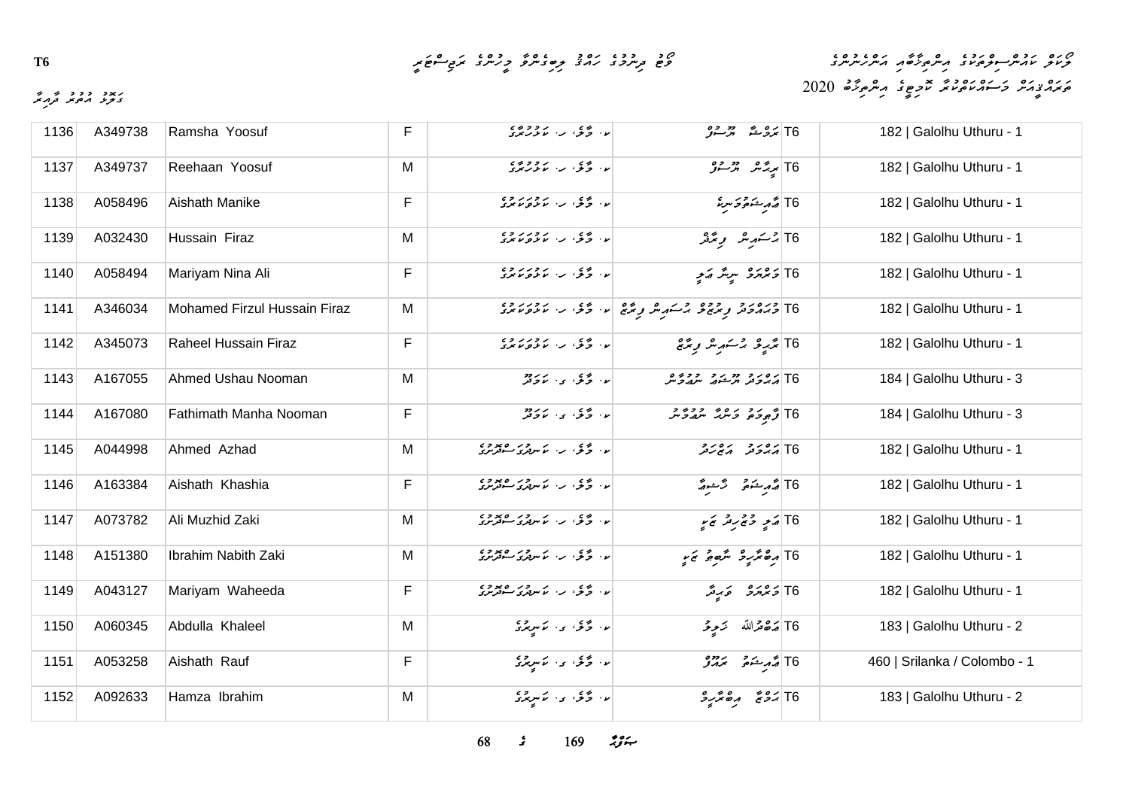*sCw7q7s5w7m< o<n9nOoAw7o< sCq;mAwBoEw7q<m; wBm;vB* م من المسجد المسجد المسجد المسجد المسجد العام 2020<br>مجم*د المسجد المسجد المستجد المسجد المسجد المسجد المسجد المسجد المسجد المسجد المسجد المسجد المسجد المسجد المسجد* 

### *n8o<n@ q8qAq< q:uBmC*

| 1136 | A349738 | Ramsha Yoosuf                | F           | ر دی.<br>دا وگو، را ملورتوی                                  | T6ته تۇشقا تەر <i>جۇ</i>                                | 182   Galolhu Uthuru - 1     |
|------|---------|------------------------------|-------------|--------------------------------------------------------------|---------------------------------------------------------|------------------------------|
| 1137 | A349737 | Reehaan Yoosuf               | M           | ر، دمجنې ر، رووه ده<br>درگونې ر، مانورلون                    | T6 بريژنگر گر <i>هنگو</i> (                             | 182   Galolhu Uthuru - 1     |
| 1138 | A058496 | Aishath Manike               | F           | ر، دې ر، روروه<br>دا د کلي                                   | T6 مۇم شەھ <sub>ۇ</sub> ئەبرىئە                         | 182   Galolhu Uthuru - 1     |
| 1139 | A032430 | Hussain Firaz                | M           | ر د دي.<br>د گوش د ملوم ملوم                                 | T6 يُرْسَم <i>ُ بِعَمْ وَ بَدَّنْدُ</i>                 | 182   Galolhu Uthuru - 1     |
| 1140 | A058494 | Mariyam Nina Ali             | F           | په د څوک پ په نوه تولانوي                                    | T6 كەبە <i>ھ</i> ۇ س <sub>رى</sub> نگە كەبىي            | 182   Galolhu Uthuru - 1     |
| 1141 | A346034 | Mohamed Firzul Hussain Firaz | M           |                                                              | T6 درەرد وېرىمى گەسەر شەر بۇ ئالار ئۇ ئەر ئالاھ ئالاردى | 182   Galolhu Uthuru - 1     |
| 1142 | A345073 | Raheel Hussain Firaz         | $\mathsf F$ | لا کمچی را دوروه                                             | T6 بَرْرِ وْ رْسَهِ بْرْ وِ بْرَجْ                      | 182   Galolhu Uthuru - 1     |
| 1143 | A167055 | Ahmed Ushau Nooman           | M           | لا ، ۇى ، ئارەد                                              | T6   <i>גەدە چىشكە بىھ</i> گە ئىر                       | 184   Galolhu Uthuru - 3     |
| 1144 | A167080 | Fathimath Manha Nooman       | F           | لا د څخه د لارود                                             | T6 <i>وُجِودَة وَسْرَةً</i> سَ <i>مَدُوَ</i> سَ         | 184   Galolhu Uthuru - 3     |
| 1145 | A044998 | Ahmed Azhad                  | M           | ر، نخچی ر، رکسوپری سوپروی                                    | T6 كەبروتى كەنج <i>ى كە</i> بىر                         | 182   Galolhu Uthuru - 1     |
| 1146 | A163384 | Aishath Khashia              | F           | ر، نخچی ر، رکس ور معدو و<br>ر، نخچی ر، رکس در معدور          | T6 مُرِسْدَمُ گَسْو <i>م</i> ُ                          | 182   Galolhu Uthuru - 1     |
| 1147 | A073782 | Ali Muzhid Zaki              | M           | ر، گرگی، ب، مکامل پور ۱۶۵۵<br>در گرگو، ب، مکامل پوری سوتوسری | T6 <i>ڇُجِ وُچُرِيوُ <sub>پَ</sub>يِ</i>                | 182   Galolhu Uthuru - 1     |
| 1148 | A151380 | Ibrahim Nabith Zaki          | M           | ر، نخچه ر، رکس در ۱۶۵۵ ور<br>ر، نخچه ر، رکس درخ              | T6 مەھم <i>گې</i> رى مەھمى ئىم                          | 182   Galolhu Uthuru - 1     |
| 1149 | A043127 | Mariyam Waheeda              | $\mathsf F$ | ر، نخچی ر، رکس در معدود<br>ر، نخچی ر، رکس درخ                | T6 <i>5 پروژ</i> ه قریرنگر                              | 182   Galolhu Uthuru - 1     |
| 1150 | A060345 | Abdulla Khaleel              | M           | لاستخرى بالمستردي                                            | T6 كەھەراللە  تەموقى                                    | 183   Galolhu Uthuru - 2     |
| 1151 | A053258 | Aishath Rauf                 | F           | لاستخفى بالمستريمة                                           | T6 مەم شەھ ئىمد <i>ى</i> ر                              | 460   Srilanka / Colombo - 1 |
| 1152 | A092633 | Hamza Ibrahim                | M           | لا د څکې د لامېرېږي                                          | T6 <i>بَدْوَجَ مِـهْ بَرْدِ</i> دْ                      | 183   Galolhu Uthuru - 2     |

*68 sC 169 nNw?mS*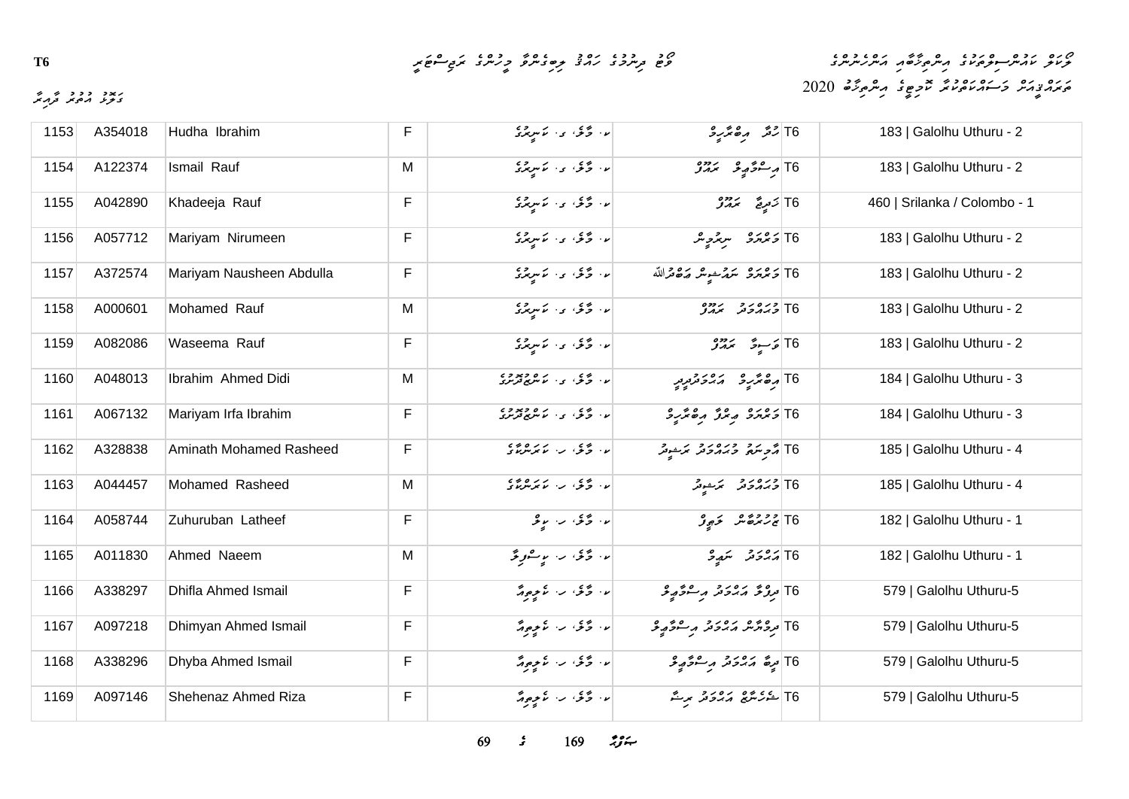*sCw7q7s5w7m< o<n9nOoAw7o< sCq;mAwBoEw7q<m; wBm;vB* م من المسجد المسجد المسجد المسجد المسجد العام 2020<br>مجم*د المسجد المسجد المستجد المسجد المسجد المسجد المسجد المسجد المسجد المسجد المسجد المسجد المسجد المسجد المسجد* 

| 1153 | A354018 | Hudha Ibrahim            | F | الاستخرى كالمسترجمة                                                                                                                                                                                                              | T6 جۇ م <i>ەنگى</i> رۇ                                                                              | 183   Galolhu Uthuru - 2     |
|------|---------|--------------------------|---|----------------------------------------------------------------------------------------------------------------------------------------------------------------------------------------------------------------------------------|-----------------------------------------------------------------------------------------------------|------------------------------|
| 1154 | A122374 | Ismail Rauf              | М | لاستخرى كالمسترجمة                                                                                                                                                                                                               | T6 <sub>م</sub> رحو <i>گی و محمدو</i>                                                               | 183   Galolhu Uthuru - 2     |
| 1155 | A042890 | Khadeeja Rauf            | F | لاستخرى كالمسترجمة                                                                                                                                                                                                               | T6 كَتَمِيعٌ مُحَمَّدٌ وَمَحَمَّدٌ الْمُحَمَّدِينَ مُحَمَّدٌ وَمُحَمَّدٌ الْمُحَمَّدِينَ مُحَمَّدًا | 460   Srilanka / Colombo - 1 |
| 1156 | A057712 | Mariyam Nirumeen         | F | الاستخفى كالمستعملة                                                                                                                                                                                                              | T6تر <i>ورو سربروپ</i> ر                                                                            | 183   Galolhu Uthuru - 2     |
| 1157 | A372574 | Mariyam Nausheen Abdulla | F | لا د څخه د امکېږيدنه                                                                                                                                                                                                             | T6 <i>و برمرد سمة بيوسر من قو</i> رالله                                                             | 183   Galolhu Uthuru - 2     |
| 1158 | A000601 | Mohamed Rauf             | M | لاستخرى كالمسترجمة                                                                                                                                                                                                               | T6 <i>ביהה ביד ייחי</i>                                                                             | 183   Galolhu Uthuru - 2     |
| 1159 | A082086 | Waseema Rauf             | F | لاستخفى الاستمليكي                                                                                                                                                                                                               | T6 كۈسە <i>مىتەتى</i> بىر                                                                           | 183   Galolhu Uthuru - 2     |
| 1160 | A048013 | Ibrahim Ahmed Didi       | M | ر، حجمی که در در دره در در در این مورد در این مورد در در این مورد در این مورد در این مورد در این مورد در این م<br>مورد این مورد در این مورد در این مورد در این مورد در این مورد در این مورد در این مورد باشد و با در این مورد با | T6 م <i>ەھەردى مەدە مەم</i> بىر                                                                     | 184   Galolhu Uthuru - 3     |
| 1161 | A067132 | Mariyam Irfa Ibrahim     | F | ر د نوی د رومیووه د د و                                                                                                                                                                                                          | T6 <i>كالمحمدة ومحدَّثة وهامَّرب</i> و                                                              | 184   Galolhu Uthuru - 3     |
| 1162 | A328838 | Aminath Mohamed Rasheed  | F | لا د محمود المال د د د د د د                                                                                                                                                                                                     | T6 أَدُّجِسَمْ وَرَدْدُونَرْ يَرْشِيْرَ                                                             | 185   Galolhu Uthuru - 4     |
| 1163 | A044457 | Mohamed Rasheed          | M | ىڭ بۇقتۇر بەر ئەترىپەتلەر                                                                                                                                                                                                        | T6 <i>وُبَرُوُدُو تَرَجُونُ</i> رُ                                                                  | 185   Galolhu Uthuru - 4     |
| 1164 | A058744 | Zuhuruban Latheef        | F | الا د گلی را بالی                                                                                                                                                                                                                | T6   <i>ج<sup>رج</sup> چھ</i> ڑ کر <i>جو</i> ڑ                                                      | 182   Galolhu Uthuru - 1     |
| 1165 | A011830 | Ahmed Naeem              | M | ر د نگار رسید د توگر                                                                                                                                                                                                             | T6 <i>בَ بُرُوَ تَرَ سَمَّةٍ وَ</i>                                                                 | 182   Galolhu Uthuru - 1     |
| 1166 | A338297 | Dhifla Ahmed Ismail      | F | الا د محکي با الأفرودگا                                                                                                                                                                                                          | T6 مِروْحٌ 22دَوْرٌ مِ <sup>رو</sup> وَّمِ وْ                                                       | 579   Galolhu Uthuru-5       |
| 1167 | A097218 | Dhimyan Ahmed Ismail     | F | لا : د محمد من الأجهاد كم                                                                                                                                                                                                        | T6   مروچه پر پر پر پر پر پر موگور پر                                                               | 579   Galolhu Uthuru-5       |
| 1168 | A338296 | Dhyba Ahmed Ismail       | F | الا د څخه له الموجوړ                                                                                                                                                                                                             | T6 مِر <i>ةَ مَ<sup>ر</sup>ْدَمَّدْ م</i> ِ حَوَّمٍ وَ                                              | 579   Galolhu Uthuru-5       |
| 1169 | A097146 | Shehenaz Ahmed Riza      | F | ما الحجي، الماس مكم موجودةً                                                                                                                                                                                                      | T6 ڪري پروگو پرڪ                                                                                    | 579   Galolhu Uthuru-5       |

*69 s* 169 *i*<sub>s</sub> $\div$ 

ر **x و c c c c c c c c c c c c c c**<br>*e c c c c c c c c c c*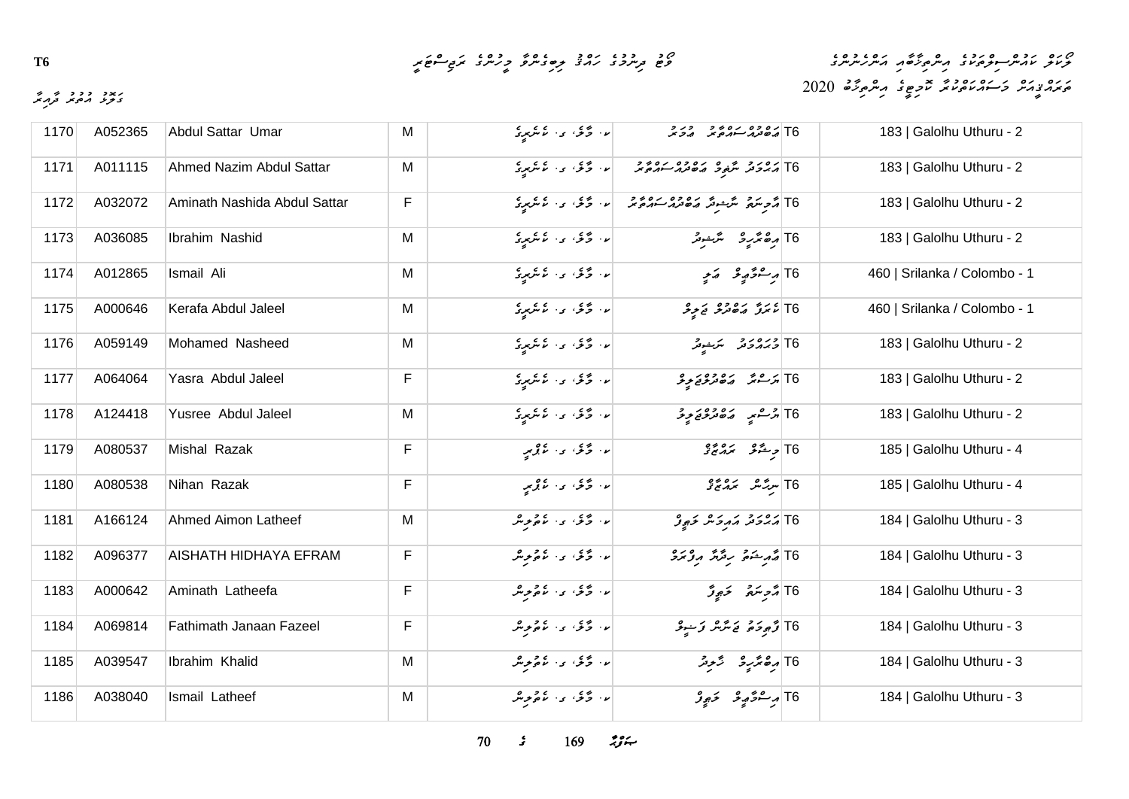*sCw7q7s5w7m< o<n9nOoAw7o< sCq;mAwBoEw7q<m; wBm;vB* م من المرة المرة المرة المرجع المرجع في المركبة 2020<br>مجم*د المريض المربوط المربع المرجع في المراجع المركبة* 

| 1170 | A052365 | Abdul Sattar Umar              | M           | $\left\vert \psi\right\vert \left\langle \psi\right\vert \left\langle \psi\right\vert \left\langle \psi\right\vert \left\langle \psi\right\vert \left\langle \psi\right\vert \left\langle \psi\right\vert \left\langle \psi\right\vert \left\langle \psi\right\vert \left\langle \psi\right\vert \left\langle \psi\right\vert \left\langle \psi\right\vert \left\langle \psi\right\vert \left\langle \psi\right\vert \left\langle \psi\right\vert \left\langle \psi\right\vert \left\langle \psi\right\vert \left\langle \psi\right\vert \left\langle \psi\right\vert \left\langle \psi\right\vert \left\langle \psi\right\vert \left\langle \psi\right\$ | T6 <i>ړه ده ده ويه ده د</i> ر                                                                        | 183   Galolhu Uthuru - 2     |
|------|---------|--------------------------------|-------------|-----------------------------------------------------------------------------------------------------------------------------------------------------------------------------------------------------------------------------------------------------------------------------------------------------------------------------------------------------------------------------------------------------------------------------------------------------------------------------------------------------------------------------------------------------------------------------------------------------------------------------------------------------------|------------------------------------------------------------------------------------------------------|------------------------------|
| 1171 | A011115 | Ahmed Nazim Abdul Sattar       | M           |                                                                                                                                                                                                                                                                                                                                                                                                                                                                                                                                                                                                                                                           | 76 رور و می ده وه روو و به اندازه و استرین                                                           | 183   Galolhu Uthuru - 2     |
| 1172 | A032072 | Aminath Nashida Abdul Sattar   | F           |                                                                                                                                                                                                                                                                                                                                                                                                                                                                                                                                                                                                                                                           | T6 مەم سىر مەمەر مەمدىر سىرمەم بىر ئىچ ئىس ئىس بىرى تەسىر بىرى ئىس بىرى ئىس بىرى ئىس بىرى ئىس بىرى ئ | 183   Galolhu Uthuru - 2     |
| 1173 | A036085 | Ibrahim Nashid                 | M           | $\left  \begin{array}{ccc} \mathcal{L}_1 & \mathcal{L}_2 & \mathcal{L}_3 & \mathcal{L}_4 \ \mathcal{L}_5 & \mathcal{L}_6 & \mathcal{L}_7 \end{array} \right $                                                                                                                                                                                                                                                                                                                                                                                                                                                                                             | T6 <i>مِرْهُ مُرَّرِدُ</i> مُرْشِيْرُ                                                                | 183   Galolhu Uthuru - 2     |
| 1174 | A012865 | Ismail Ali                     | M           | $\mathcal{L}^{\mathcal{L}}_{\mathcal{L}}$ ى. ئاملىرى                                                                                                                                                                                                                                                                                                                                                                                                                                                                                                                                                                                                      | T6 <sub>م</sub> رےد <i>ؤر</i> ی کے پ                                                                 | 460   Srilanka / Colombo - 1 |
| 1175 | A000646 | Kerafa Abdul Jaleel            | M           | $\left  \begin{array}{cc} c & c \\ s & c \end{array} \right $ ىن دى ئى ئى                                                                                                                                                                                                                                                                                                                                                                                                                                                                                                                                                                                 | T6 <i>مُمَرَّزٌ مَ</i> صْرُحْ مَحَ <i>وِحْ</i>                                                       | 460   Srilanka / Colombo - 1 |
| 1176 | A059149 | Mohamed Nasheed                | M           | $\mathcal{L}(\mathcal{L}^{(2)}_t)$ ، المسترجون                                                                                                                                                                                                                                                                                                                                                                                                                                                                                                                                                                                                            | T6  <i>وُيَرُوُوَيْرِ سَ</i> رَشِي <i>رُوْ</i>                                                       | 183   Galolhu Uthuru - 2     |
| 1177 | A064064 | Yasra Abdul Jaleel             | F           | $\mathcal{L}(\mathcal{L}^{(2)}_t)$ ، د المسترجون                                                                                                                                                                                                                                                                                                                                                                                                                                                                                                                                                                                                          | T6 يزىشتى بەھ <i>تەۋە ئو</i> بۇ                                                                      | 183   Galolhu Uthuru - 2     |
| 1178 | A124418 | Yusree Abdul Jaleel            | M           | $\mathcal{L}(\mathcal{L}^{(2)}_t)$ ، المسترجون                                                                                                                                                                                                                                                                                                                                                                                                                                                                                                                                                                                                            | T6 <sub>م</sub> رے پر مق <i>مر دی ب</i> وٹر                                                          | 183   Galolhu Uthuru - 2     |
| 1179 | A080537 | Mishal Razak                   | F           | لا د څخه د انگلې لوم                                                                                                                                                                                                                                                                                                                                                                                                                                                                                                                                                                                                                                      | T6 <sub>ج</sub> ىشۇ ئ <i>ىدى</i> جۇ                                                                  | 185   Galolhu Uthuru - 4     |
| 1180 | A080538 | Nihan Razak                    | F           | لاستخرى ى مادومبر                                                                                                                                                                                                                                                                                                                                                                                                                                                                                                                                                                                                                                         | T6 س <i>رچين پروچ</i> و                                                                              | 185   Galolhu Uthuru - 4     |
| 1181 | A166124 | <b>Ahmed Aimon Latheef</b>     | M           | لار گچې یې لاگوچېنگر                                                                                                                                                                                                                                                                                                                                                                                                                                                                                                                                                                                                                                      | T6 <i>גُرُوَنَډُ ډَېرِوَنگر وَ<sub>ن</sub>ِوِ</i> رْ                                                 | 184   Galolhu Uthuru - 3     |
| 1182 | A096377 | <b>AISHATH HIDHAYA EFRAM</b>   | F           | لار څخه ی لاه دمگر                                                                                                                                                                                                                                                                                                                                                                                                                                                                                                                                                                                                                                        | T6 مُەمِسْمَة رِمَّةً وِكْرَىدَد                                                                     | 184   Galolhu Uthuru - 3     |
| 1183 | A000642 | Aminath Latheefa               | $\mathsf F$ | لار دې د المفومتر                                                                                                                                                                                                                                                                                                                                                                                                                                                                                                                                                                                                                                         | T6 <i>مُّحِسَّعُ فَيُوتُ</i>                                                                         | 184   Galolhu Uthuru - 3     |
| 1184 | A069814 | <b>Fathimath Janaan Fazeel</b> | F           | لار محتى به عظم معرض                                                                                                                                                                                                                                                                                                                                                                                                                                                                                                                                                                                                                                      | T6 <i>وَّجِ حَجَ</i> مَے مَ <i>رَّبْر</i> وَسِوْ                                                     | 184   Galolhu Uthuru - 3     |
| 1185 | A039547 | Ibrahim Khalid                 | M           | لار څخه ی لومونتر                                                                                                                                                                                                                                                                                                                                                                                                                                                                                                                                                                                                                                         | T6 <sub>م</sub> ەن <i>گى</i> رو گونگ                                                                 | 184   Galolhu Uthuru - 3     |
| 1186 | A038040 | Ismail Latheef                 | M           | لار گەنگە ئەرەپ كەر بىر                                                                                                                                                                                                                                                                                                                                                                                                                                                                                                                                                                                                                                   | T6 <sub>م</sub> رىئۇم <sub>ۇ</sub> بى <sub>كەبو</sub> ر                                              | 184   Galolhu Uthuru - 3     |

*n8o<n@ q8qAq< q:uBmC*

 $70$  *s*  $169$   $23$   $\div$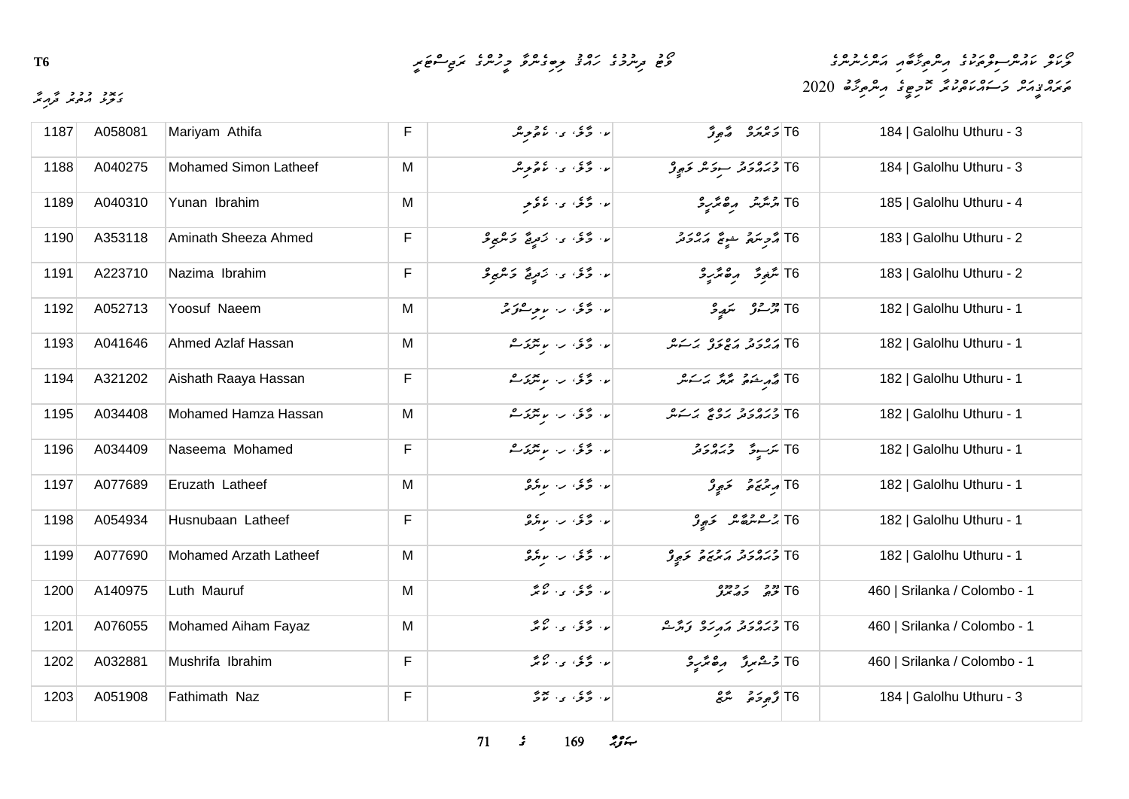*sCw7q7s5w7m< o<n9nOoAw7o< sCq;mAwBoEw7q<m; wBm;vB 2020<sup>, م</sup>وسر در مدد مدرج به مدرم مقرم قرار 2020*<br>موسر المستقرم المستقرم المستقرم المستقرم المستقرم المستقرم المستقرم المستقرم المستقرم المستقرم المستقرم المستقر

| 1187 | A058081 | Mariyam Athifa                | F | لار څخه لی لوموننګر                        | T6 <i>خ</i> ىر <i>ىز ئەبو</i> ر             | 184   Galolhu Uthuru - 3     |
|------|---------|-------------------------------|---|--------------------------------------------|---------------------------------------------|------------------------------|
| 1188 | A040275 | <b>Mohamed Simon Latheef</b>  | M | لار څخه ی لاه پوهر                         | T6 <i>دُبُہُ دُبَرُ سِيرَ بَرْ وَ وِ</i> رْ | 184   Galolhu Uthuru - 3     |
| 1189 | A040310 | Yunan Ibrahim                 | M | لا . دې د . ماه م                          | T6 ترى <i>گىگە مەھگرى</i> گە                | 185   Galolhu Uthuru - 4     |
| 1190 | A353118 | Aminath Sheeza Ahmed          | F | $\sim$ وَمَنْ $\sim$ وَسَمِيعٌ وَسَمَعٍ وَ | T6 مُرْحِ سَمْعُ صَدَّى مَدْحَدَ            | 183   Galolhu Uthuru - 2     |
| 1191 | A223710 | Nazima Ibrahim                | F | الله الحجي الحاديج المحاشي في              | T6 سَمْوِیَ م <i>ِ مِیْ بِیْ</i>            | 183   Galolhu Uthuru - 2     |
| 1192 | A052713 | Yoosuf Naeem                  | M | لا د نخوا را با بوستوند                    | T6 پڑتے پی س <i>کھ</i> ی                    | 182   Galolhu Uthuru - 1     |
| 1193 | A041646 | Ahmed Azlaf Hassan            | M | لار گەنگەن ئاپلىرى سى                      | T6 <i>ביכיב בשיכר</i> הבית                  | 182   Galolhu Uthuru - 1     |
| 1194 | A321202 | Aishath Raaya Hassan          | F | لار د محمد را با میتوند شد.                | T6 <i>مُّهِ شَهُوَ بَرُهُ بَرَسَ</i> سُ     | 182   Galolhu Uthuru - 1     |
| 1195 | A034408 | Mohamed Hamza Hassan          | M | ئەس ئۇنى سەر ئىرىمىتىگە شە                 | T6 درەرد رەپ رىكى                           | 182   Galolhu Uthuru - 1     |
| 1196 | A034409 | Naseema Mohamed               | F | لار گەنگەر را ئىرىمۇت كە                   | T6 ىترىي <i>ۇ ۋىزەدەت</i> ر                 | 182   Galolhu Uthuru - 1     |
| 1197 | A077689 | Eruzath Latheef               | M | لا د څخه له مانده.                         | T6 م <i>ېرىنى ئىچ ئى</i>                    | 182   Galolhu Uthuru - 1     |
| 1198 | A054934 | Husnubaan Latheef             | F | لا د څخه له لوهو                           | T6 يُسْتَهَمَّتْ خَ <sub>جُو</sub> رْ       | 182   Galolhu Uthuru - 1     |
| 1199 | A077690 | <b>Mohamed Arzath Latheef</b> | M | لا د څخه له لوهو                           | T6 در در در در در دور                       | 182   Galolhu Uthuru - 1     |
| 1200 | A140975 | Luth Mauruf                   | M | ىد، جۇي يە، ئۇنگە                          | T6 تژ <sub>م</sub> به دوره                  | 460   Srilanka / Colombo - 1 |
| 1201 | A076055 | Mohamed Aiham Fayaz           | M | ىد، بۇيتى، بىر، ئۇنتر                      | T6 <i>وَيَدْوَوَ مَهْرَىٰ وَمَّ</i> رْتُ    | 460   Srilanka / Colombo - 1 |
| 1202 | A032881 | Mushrifa Ibrahim              | F | ىد. بۇي بى ئەنگە                           | T6تر شمېرتز مو <i>ه ټرې</i> و               | 460   Srilanka / Colombo - 1 |
| 1203 | A051908 | Fathimath Naz                 | F | ىدە ئۇقۇرى ئەسىمىتى ئىس                    | T6 <i>وَّجِوحَةْ</i> مَدَّى                 | 184   Galolhu Uthuru - 3     |

*n8o<n@ q8qAq< q:uBmC*

 $71$  *s*  $169$  *z*  $29$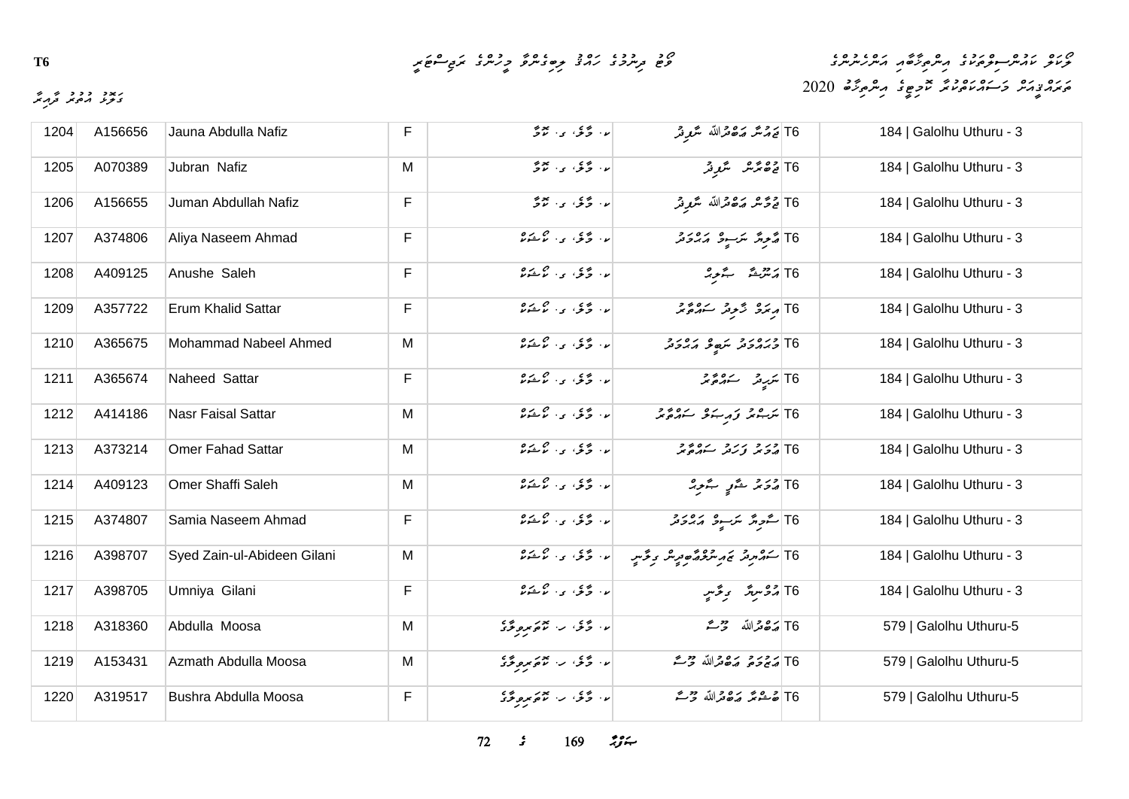*sCw7q7s5w7m< o<n9nOoAw7o< sCq;mAwBoEw7q<m; wBm;vB* م من المرة المرة المرة المرجع المرجع في المركبة 2020<br>مجم*د المريض المربوط المربع المرجع في المراجع المركبة* 

|  |  | $\phi$ $\phi$ $\phi$ $\phi$ $\phi$ $\phi$ |
|--|--|-------------------------------------------|
|  |  | ى ترىز "مەير "ترمير                       |

| 1204 | A156656 | Jauna Abdulla Nafiz         | F           | لار څخه ی لیږ                                                                          | T6 <i>فَەمْ مَّدْ مَدْهُ مْدَ</i> اللّه مَ <i>تَّتَبْرُ مْد</i> ِ | 184   Galolhu Uthuru - 3 |
|------|---------|-----------------------------|-------------|----------------------------------------------------------------------------------------|-------------------------------------------------------------------|--------------------------|
| 1205 | A070389 | Jubran Nafiz                | M           | ىدۇ. ئۇن، ئىچ                                                                          | T6 نے <i>ٹھ بڑھ سگرن</i> گر                                       | 184   Galolhu Uthuru - 3 |
| 1206 | A156655 | Juman Abdullah Nafiz        | $\mathsf F$ | لار گەنگە كە ئەڭر                                                                      | T6 فوقر شرق قرالله متزويتر                                        | 184   Galolhu Uthuru - 3 |
| 1207 | A374806 | Aliya Naseem Ahmad          | $\mathsf F$ | لار محتى الى مى مىكەنلە                                                                | T6 مُحِرَّمٌ سَرَسٍوْ مَ <sup>رُورِد</sup> ِ                      | 184   Galolhu Uthuru - 3 |
| 1208 | A409125 | Anushe Saleh                | $\mathsf F$ | لار ۇي بى ئاھكە                                                                        | T6 كەنترىشقا سى <i>تەي</i> ر                                      | 184   Galolhu Uthuru - 3 |
| 1209 | A357722 | <b>Erum Khalid Sattar</b>   | $\mathsf F$ | لار محتى الى مى مىكەنلە                                                                | T6 مەنگە گەرقە سەممەتلىر                                          | 184   Galolhu Uthuru - 3 |
| 1210 | A365675 | Mohammad Nabeel Ahmed       | M           | لار څخه ی لمکشک                                                                        | T6 در در در سور مدد د                                             | 184   Galolhu Uthuru - 3 |
| 1211 | A365674 | Naheed Sattar               | F           | $222 - 33$                                                                             | T6 <i>متربیڈ سکھون</i> گر                                         | 184   Galolhu Uthuru - 3 |
| 1212 | A414186 | Nasr Faisal Sattar          | M           | 22.2.3.3.2.                                                                            | T6 ىرجىز زېرىنكى سەم <i>م</i> ىر                                  | 184   Galolhu Uthuru - 3 |
| 1213 | A373214 | Omer Fahad Sattar           | M           | ىد، بۇي بىر، ئۇيغۇر                                                                    | T6 ړ <i>ونه ورو سه وه و</i>                                       | 184   Galolhu Uthuru - 3 |
| 1214 | A409123 | Omer Shaffi Saleh           | M           | لار محتى الى مى مى مى كەنتىر                                                           | T6 <i>ړُدَبُر حُورِ جُوبُر</i> َ                                  | 184   Galolhu Uthuru - 3 |
| 1215 | A374807 | Samia Naseem Ahmad          | F           | لار ځخې یې لامنځه ته                                                                   | T6 گەچەنگە س <i>زىيەۋە مەمەدىل</i>                                | 184   Galolhu Uthuru - 3 |
| 1216 | A398707 | Syed Zain-ul-Abideen Gilani | M           |                                                                                        | T6 <i>ڪرمبرنگ تم مينگروگر جونگريوگريل جان گري تي تاريخ</i> مي     | 184   Galolhu Uthuru - 3 |
| 1217 | A398705 | Umniya Gilani               | $\mathsf F$ | لار گەنگە ، ئۇ ئەيدە                                                                   | T6 <i>مۇسرمۇ بو</i> گىير                                          | 184   Galolhu Uthuru - 3 |
| 1218 | A318360 | Abdulla Moosa               | M           | پارستخوان مور مور پورستخواندار می شود.<br>  پارستخوان مورد مورد مورد مورد مورد مورد می | T6 كَرْجْدْرَاللّه حَرْجٌ                                         | 579   Galolhu Uthuru-5   |
| 1219 | A153431 | Azmath Abdulla Moosa        | M           |                                                                                        | T6 رَيْحَ حَرَّ مَنْ هُمْرَاللَّهُ مَنْ مَسَمَّ                   | 579   Galolhu Uthuru-5   |
| 1220 | A319517 | Bushra Abdulla Moosa        | F           | لا د څو را مومرو دی                                                                    | T6 صُف <i>ُرِ مَدْهُ مَدْ</i> اللّهِ حَمْدَ مَ                    | 579   Galolhu Uthuru-5   |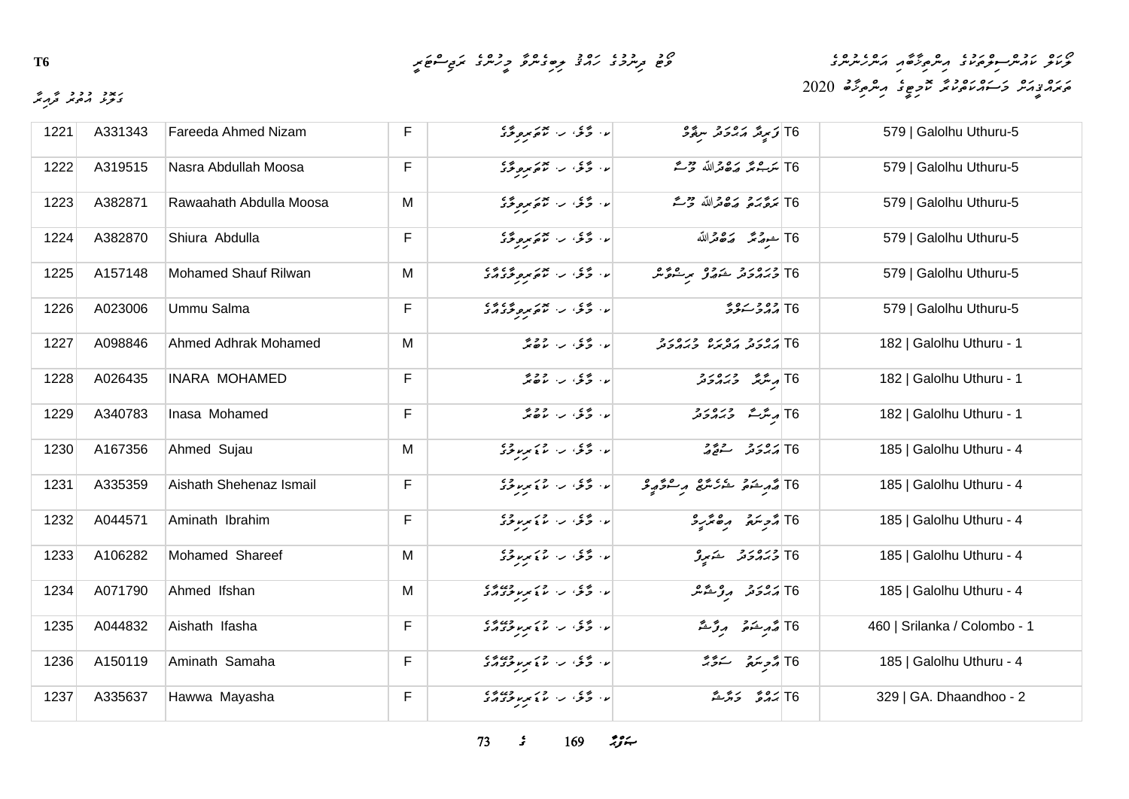*sCw7q7s5w7m< o<n9nOoAw7o< sCq;mAwBoEw7q<m; wBm;vB* م من المسجد المسجد المسجد المسجد المسجد العام 2020<br>مسجد المسجد المسجد المسجد المسجد المسجد المسجد المسجد المسجد ال

| 1221 | A331343 | Fareeda Ahmed Nizam         | F | لاستخرى سائغۇ بىرە ئۇي                                                                                                                                                                                                                                                                                                                                                                                                                                         | T6 كَرَمِينَّر مَ <sup>ر</sup> ْدَدَتْر سِتَّةْرُ        | 579   Galolhu Uthuru-5       |
|------|---------|-----------------------------|---|----------------------------------------------------------------------------------------------------------------------------------------------------------------------------------------------------------------------------------------------------------------------------------------------------------------------------------------------------------------------------------------------------------------------------------------------------------------|----------------------------------------------------------|------------------------------|
| 1222 | A319515 | Nasra Abdullah Moosa        | F | لا . ۇ ئا را ئەم بىرە ۋ ئا                                                                                                                                                                                                                                                                                                                                                                                                                                     | T6 ىزبەتمە ئەھەراللە ج <sup>ەم</sup>                     | 579   Galolhu Uthuru-5       |
| 1223 | A382871 | Rawaahath Abdulla Moosa     | M | $\left  \begin{array}{l} \mathcal{L}_{\mathcal{L}} \mathcal{L}_{\mathcal{L}} \mathcal{L}_{\mathcal{L}} \end{array} \right  \sim \left  \begin{array}{l} \mathcal{L}_{\mathcal{L}} \mathcal{L}_{\mathcal{L}} \mathcal{L}_{\mathcal{L}} \end{array} \right $                                                                                                                                                                                                     | T6 <i>بَرَوْبَهُ مَ</i> هْمَراللّهُ حَرْبَهُ             | 579   Galolhu Uthuru-5       |
| 1224 | A382870 | Shiura Abdulla              | F | ، دې را مومونه                                                                                                                                                                                                                                                                                                                                                                                                                                                 | T6 خو <i>م<sup>3</sup>مگر مگر قو</i> مگرالله             | 579   Galolhu Uthuru-5       |
| 1225 | A157148 | Mohamed Shauf Rilwan        | M | لا د څو را موړو وروه                                                                                                                                                                                                                                                                                                                                                                                                                                           | T6 <i>وبروبر خودو برخوش</i>                              | 579   Galolhu Uthuru-5       |
| 1226 | A023006 | Ummu Salma                  | F | پارستخوا کا موسیق کاروی                                                                                                                                                                                                                                                                                                                                                                                                                                        | T6 <i>جەنجى شۇ</i> تى                                    | 579   Galolhu Uthuru-5       |
| 1227 | A098846 | <b>Ahmed Adhrak Mohamed</b> | M | لا، ۇي ر. رەپ                                                                                                                                                                                                                                                                                                                                                                                                                                                  | T6 كەبرى كەرگە ئەيرەر ئەرگە                              | 182   Galolhu Uthuru - 1     |
| 1228 | A026435 | <b>INARA MOHAMED</b>        | F | لار محتى به الاقتلا                                                                                                                                                                                                                                                                                                                                                                                                                                            | T6 مەش <i>بۇ دېم</i> مۇمۇ                                | 182   Galolhu Uthuru - 1     |
| 1229 | A340783 | Inasa Mohamed               | F | $\stackrel{4}{\cancel{5}}\stackrel{2}{\cancel{0}}\stackrel{2}{\cancel{0}}\rightarrow\stackrel{6}{\cancel{0}}\stackrel{6}{\cancel{0}}\cdot\nu$                                                                                                                                                                                                                                                                                                                  | T6 مەشرىقە ئ <i>ەيدە دى</i> ر                            | 182   Galolhu Uthuru - 1     |
| 1230 | A167356 | Ahmed Sujau                 | M | لار د دی را مکمونوند                                                                                                                                                                                                                                                                                                                                                                                                                                           | T6 كەبرو بىر يەم بىر قى                                  | 185   Galolhu Uthuru - 4     |
| 1231 | A335359 | Aishath Shehenaz Ismail     | F |                                                                                                                                                                                                                                                                                                                                                                                                                                                                | 16 <i>ھُەستىم شۇنىڭ مەشۇھ</i> ۇ بەي ئۇنى سىمب <i>ودى</i> | 185   Galolhu Uthuru - 4     |
| 1232 | A044571 | Aminath Ibrahim             | F | لار دمچې له لاندې مربولونو                                                                                                                                                                                                                                                                                                                                                                                                                                     | T6 مُجِسَعُ مِعْمُدِدْ                                   | 185   Galolhu Uthuru - 4     |
| 1233 | A106282 | Mohamed Shareef             | M | لار د د د الاندازه د د کال کاربرد د کار                                                                                                                                                                                                                                                                                                                                                                                                                        | T6 <i>ۇنەممۇمۇ</i> ش <i>ەيرۇ</i>                         | 185   Galolhu Uthuru - 4     |
| 1234 | A071790 | Ahmed Ifshan                | M | لا د څخه را لانا پرلاونده د                                                                                                                                                                                                                                                                                                                                                                                                                                    | T6 <i>ټرې تر مو</i> ژ ش <sup>م</sup> ر                   | 185   Galolhu Uthuru - 4     |
| 1235 | A044832 | Aishath Ifasha              | F | په د څوک رسه کامونو پورو د د                                                                                                                                                                                                                                                                                                                                                                                                                                   | T6 <i>ڇُمِ شَمَعُ</i> مِرَّسْدُ                          | 460   Srilanka / Colombo - 1 |
| 1236 | A150119 | Aminath Samaha              | F | $\begin{array}{l} \mathcal{C}\neq\mathcal{C}\mathcal{C}\ni\mathcal{C}\ni\mathcal{C}\ni\mathcal{C}\ni\mathcal{C}\ni\mathcal{C}\ni\mathcal{C}\ni\mathcal{C}\ni\mathcal{C}\ni\mathcal{C}\ni\mathcal{C}\ni\mathcal{C}\ni\mathcal{C}\ni\mathcal{C}\ni\mathcal{C}\ni\mathcal{C}\ni\mathcal{C}\ni\mathcal{C}\ni\mathcal{C}\ni\mathcal{C}\ni\mathcal{C}\ni\mathcal{C}\ni\mathcal{C}\ni\mathcal{C}\ni\mathcal{C}\ni\mathcal{C}\ni\mathcal{C}\ni\mathcal{C}\ni\mathcal{$ | T6 مُر <sub>ْح</sub> ِسَمُ مَدَّبَّهُ                    | 185   Galolhu Uthuru - 4     |
| 1237 | A335637 | Hawwa Mayasha               | F | ر، نخوی را روی پرداختاری<br>دا نخوی را روی پرداختاری                                                                                                                                                                                                                                                                                                                                                                                                           | T6 <i>بَدُهُ وَمُ</i> رْشُ                               | 329   GA. Dhaandhoo - 2      |

*n8o<n@ q8qAq< q:uBmC*

*73 s* 169  $23$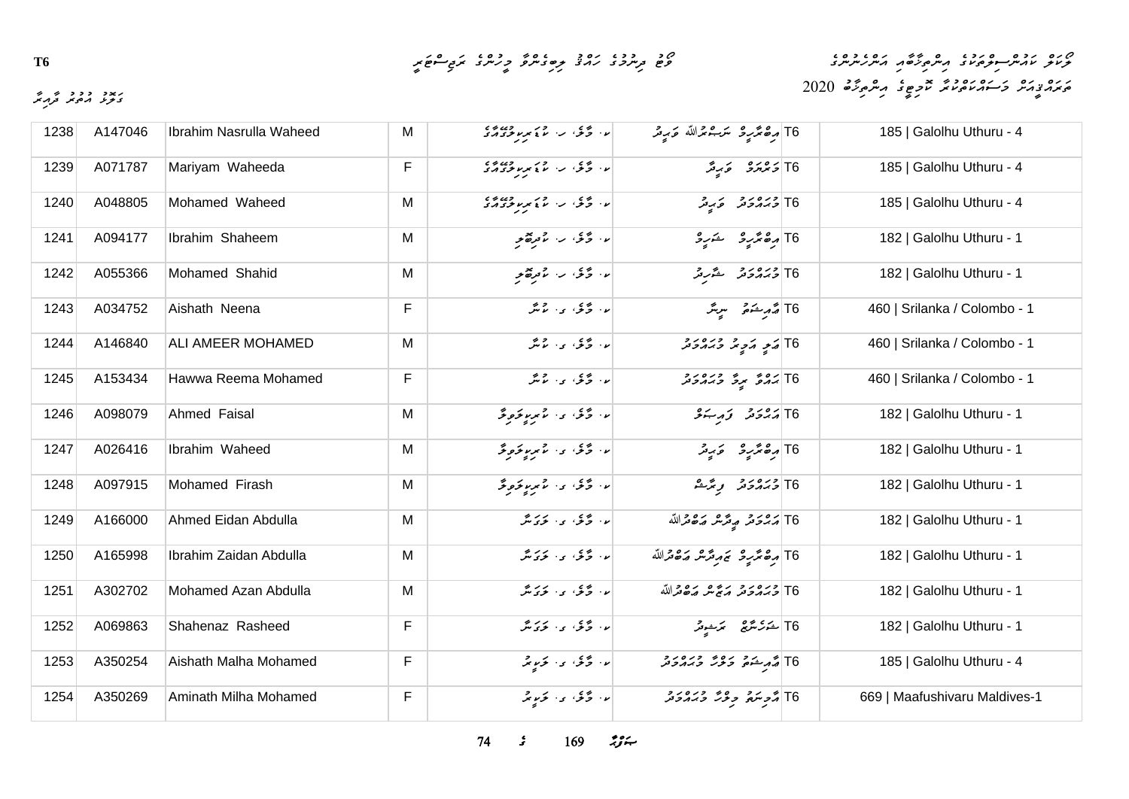*sCw7q7s5w7m< o<n9nOoAw7o< sCq;mAwBoEw7q<m; wBm;vB* م من المسجد المسجد المسجد المسجد المسجد العام 2020<br>مسجد المسجد المسجد المسجد المسجد المسجد المسجد المسجد المسجد ال

| 1238 | A147046 | Ibrahim Nasrulla Waheed  | M           | پارستختی را از کامور پورو در  | T6 مەھمگىيە ئىر ئىبكە ئىراللە ئەيدىگر                            | 185   Galolhu Uthuru - 4      |
|------|---------|--------------------------|-------------|-------------------------------|------------------------------------------------------------------|-------------------------------|
| 1239 | A071787 | Mariyam Waheeda          | F           | په د څوک په او کامونو پرواده  | T6 ك <i>وچونزى كۆپ</i> وتگر                                      | 185   Galolhu Uthuru - 4      |
| 1240 | A048805 | Mohamed Waheed           | M           | په د څوکا ره لوی پولانونو ورو | T6  <i>3223\$ قب</i> ر                                           | 185   Galolhu Uthuru - 4      |
| 1241 | A094177 | Ibrahim Shaheem          | M           | لا . ۇ ئالار ، ئامدە بو       | T6  مەھمىر ئىسى ئىسى ئىسى ئىسى ئىسى ئ                            | 182   Galolhu Uthuru - 1      |
| 1242 | A055366 | Mohamed Shahid           | M           | لا د څخه له لاتوکلي           | T6 <i>وُيَرُوُوَيْ حُدَّرِيْرُ</i>                               | 182   Galolhu Uthuru - 1      |
| 1243 | A034752 | Aishath Neena            | $\mathsf F$ | ىد. ئۇقۇرى- ئەنگە             | T6 <i>مُذہب مَنْ</i> مَنْ سِرْمَتْر                              | 460   Srilanka / Colombo - 1  |
| 1244 | A146840 | <b>ALI AMEER MOHAMED</b> | M           | لار گەنگە ، ئامىگە            | T6 <i>مَرِ مَرِيدٌ دُبَہٰدَوْ</i>                                | 460   Srilanka / Colombo - 1  |
| 1245 | A153434 | Hawwa Reema Mohamed      | $\mathsf F$ | لار گەنگە ، ئانگە             | T6 <i>גُمُرُوَّ بِرِدُّ وَبَ</i> رُودَرُ                         | 460   Srilanka / Colombo - 1  |
| 1246 | A098079 | Ahmed Faisal             | M           | لار دمچې د المعملوکونگ        | T6 <i>ټرې توب</i>                                                | 182   Galolhu Uthuru - 1      |
| 1247 | A026416 | Ibrahim Waheed           | M           | ، دې د ، مامرىدى بۇ           | T6  م <i>ِرْهُ بَرْدِدْ - وَبِ</i> تْر                           | 182   Galolhu Uthuru - 1      |
| 1248 | A097915 | Mohamed Firash           | M           | ، دې د ، مامرىدى ئې           | T6 <i>ۇنەم دۇرىي بەت</i> گىشە                                    | 182   Galolhu Uthuru - 1      |
| 1249 | A166000 | Ahmed Eidan Abdulla      | M           | لا د گري د کارگر              | T6 <i>בَ بَدْدَ تَدْ مِ</i> قَ <i>رَّةٌ مَا صَوْرَ</i> اللَّهُ   | 182   Galolhu Uthuru - 1      |
| 1250 | A165998 | Ibrahim Zaidan Abdulla   | M           | $x^2 - 2x^2 - 5 = 0$          | T6 م <i>ِ هُ مُّرْبِ</i> مَجَ مِعْ <i>دُ</i> سَ مَهْ مَرْاللَّهُ | 182   Galolhu Uthuru - 1      |
| 1251 | A302702 | Mohamed Azan Abdulla     | M           | لاستخرق الاستخفاش             | T6  <i>وبرورو مرتج عرضه م</i> حق                                 | 182   Galolhu Uthuru - 1      |
| 1252 | A069863 | Shahenaz Rasheed         | F           | لار ۇي كەر ئۇي ئىگە           | T6  شەركىگى كەش <sub>ى</sub> قر                                  | 182   Galolhu Uthuru - 1      |
| 1253 | A350254 | Aishath Malha Mohamed    | F           | مار گەنگە ، ئۇمايىل           | T6 مەرشەم <i>دى. دى. دى</i> رو                                   | 185   Galolhu Uthuru - 4      |
| 1254 | A350269 | Aminath Milha Mohamed    | F           | الأرمح في الأرامج للمر        | T6 أُمُّ مِسْمَعٌ مِعْرٌ مِسْمَدَ مَد                            | 669   Maafushivaru Maldives-1 |

*n8o<n@ q8qAq< q:uBmC*

 $74$  *s*  $169$   $23$   $\div$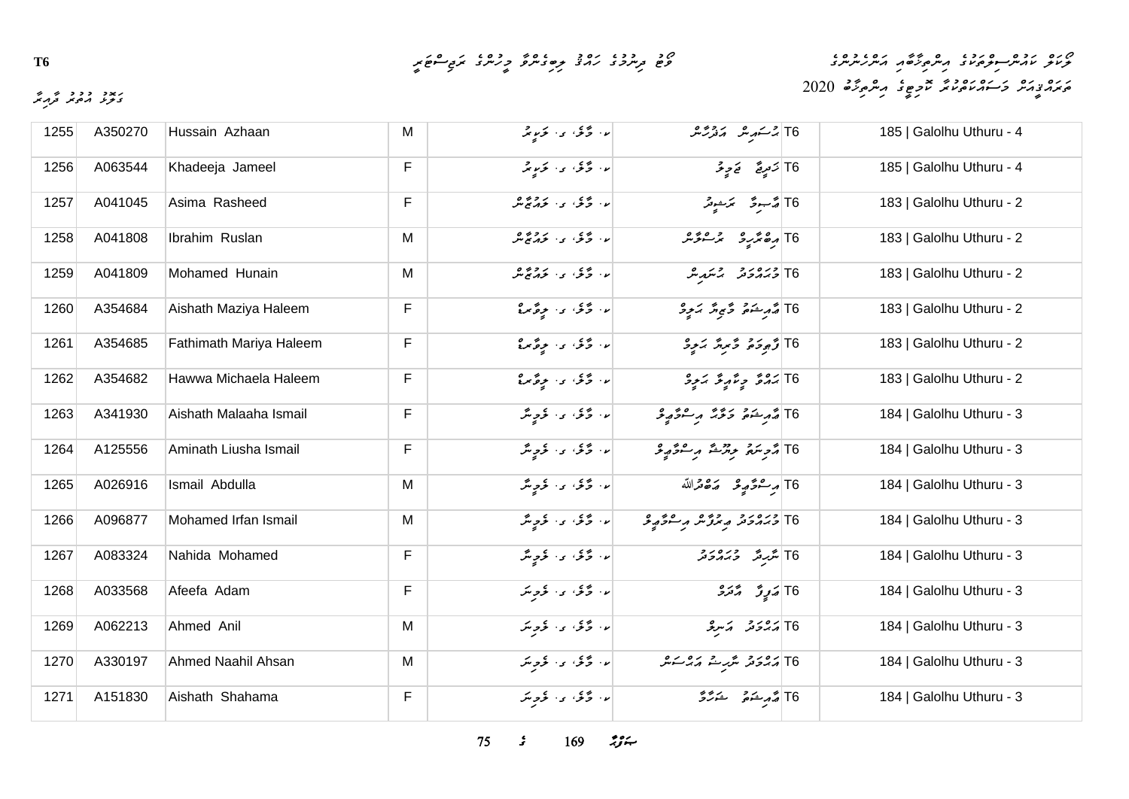*sCw7q7s5w7m< o<n9nOoAw7o< sCq;mAwBoEw7q<m; wBm;vB* م من المرة المرة المرة المرجع المرجع في المركبة 2020<br>مجم*د المريض المربوط المربع المرجع في المراجع المركبة* 

| 1255 | A350270 | Hussain Azhaan            | M           | الأرمح في الأرامي                                                             | T6 پر کے مرکز مرکز میں اس<br>مرکز مرکز مرکز مرکز میں مرکز میں اس | 185   Galolhu Uthuru - 4 |
|------|---------|---------------------------|-------------|-------------------------------------------------------------------------------|------------------------------------------------------------------|--------------------------|
| 1256 | A063544 | Khadeeja Jameel           | $\mathsf F$ | الأرمحى الأرامج للمرجى                                                        | T6   زَمرِيحٌ     يَ وِ وُرْ                                     | 185   Galolhu Uthuru - 4 |
| 1257 | A041045 | Asima Rasheed             | $\mathsf F$ | $\frac{2}{2}$ , $\frac{2}{2}$ , $\frac{2}{2}$ , $\frac{2}{2}$ , $\frac{2}{2}$ | T6 مُحبوقٌ عَمَشومُرُ                                            | 183   Galolhu Uthuru - 2 |
| 1258 | A041808 | Ibrahim Ruslan            | M           | لا د څو، د کرمړينې                                                            | T6 <sub>م</sub> ەنگرى <sub>د</sub> ۇ برگىگەنگە                   | 183   Galolhu Uthuru - 2 |
| 1259 | A041809 | Mohamed Hunain            | M           | لا د څخه د د څهڅ ش                                                            | T6تر <i>و دو به شهر ش</i>                                        | 183   Galolhu Uthuru - 2 |
| 1260 | A354684 | Aishath Maziya Haleem     | F           | الأرمح فيء المحرج مردة                                                        | T6 م <sub>ە</sub> م شەھ گەبەگر بەيدۇ.                            | 183   Galolhu Uthuru - 2 |
| 1261 | A354685 | Fathimath Mariya Haleem   | $\mathsf F$ | الأرمح فيء المحرج مردة                                                        | T6 <i>وُّجِوَدَة</i> وُمِهَّرٌ رَمِو <i>دٌ</i>                   | 183   Galolhu Uthuru - 2 |
| 1262 | A354682 | Hawwa Michaela Haleem     | F           | الأرمح فيء المحرج محامدة                                                      | T6 <i>גُمْ</i> عٌ <sub>حِ</sub> عٌ مِعْ يَجِوْ                   | 183   Galolhu Uthuru - 2 |
| 1263 | A341930 | Aishath Malaaha Ismail    | $\mathsf F$ | الا گرمی کا کمونگر                                                            | T6 مەرخى <i>خۇن</i> رىشۇر ق                                      | 184   Galolhu Uthuru - 3 |
| 1264 | A125556 | Aminath Liusha Ismail     | $\mathsf F$ | الا گرمی کا کمونگر                                                            | T6 أَمُرْمِسَمْ مِهْرَجٌ مِـ صَوَّمِهِ مِ                        | 184   Galolhu Uthuru - 3 |
| 1265 | A026916 | Ismail Abdulla            | M           | الا د گڼۍ ای لوگوننگ                                                          | T6 م <i>ې</i> ش <i>ۇم بۇ مەھ</i> راللە                           | 184   Galolhu Uthuru - 3 |
| 1266 | A096877 | Mohamed Irfan Ismail      | M           | ئار گەنگى ، ئۇچەنگە                                                           | T6 <i>درور در دومر م</i> رگرم و مشرکته د                         | 184   Galolhu Uthuru - 3 |
| 1267 | A083324 | Nahida Mohamed            | $\mathsf F$ | الا اڭگا ئا كۈچە ئىگە                                                         | T6 س <i>گرېنگ خ<sup>ې</sup>دم</i> ونکر                           | 184   Galolhu Uthuru - 3 |
| 1268 | A033568 | Afeefa Adam               | F           | ىلە بۇقتى بى بۇلۇش                                                            | T6 <i>ړَړو گرو</i> ژ                                             | 184   Galolhu Uthuru - 3 |
| 1269 | A062213 | Ahmed Anil                | M           | د د څخه د انگولنگ                                                             | T6 <i>ټرې تر ټر</i> يو                                           | 184   Galolhu Uthuru - 3 |
| 1270 | A330197 | <b>Ahmed Naahil Ahsan</b> | M           | لاستخرش المستحق میک                                                           | T6 <i>ג دو د مگرے م</i> ی ک                                      | 184   Galolhu Uthuru - 3 |
| 1271 | A151830 | Aishath Shahama           | $\mathsf F$ | الا انځنۍ ای لمح چانگ                                                         | T6م <i>ەمىشى خىڭ</i> گ                                           | 184   Galolhu Uthuru - 3 |

*n8o<n@ q8qAq< q:uBmC*

 $75$  *s*  $169$   $234$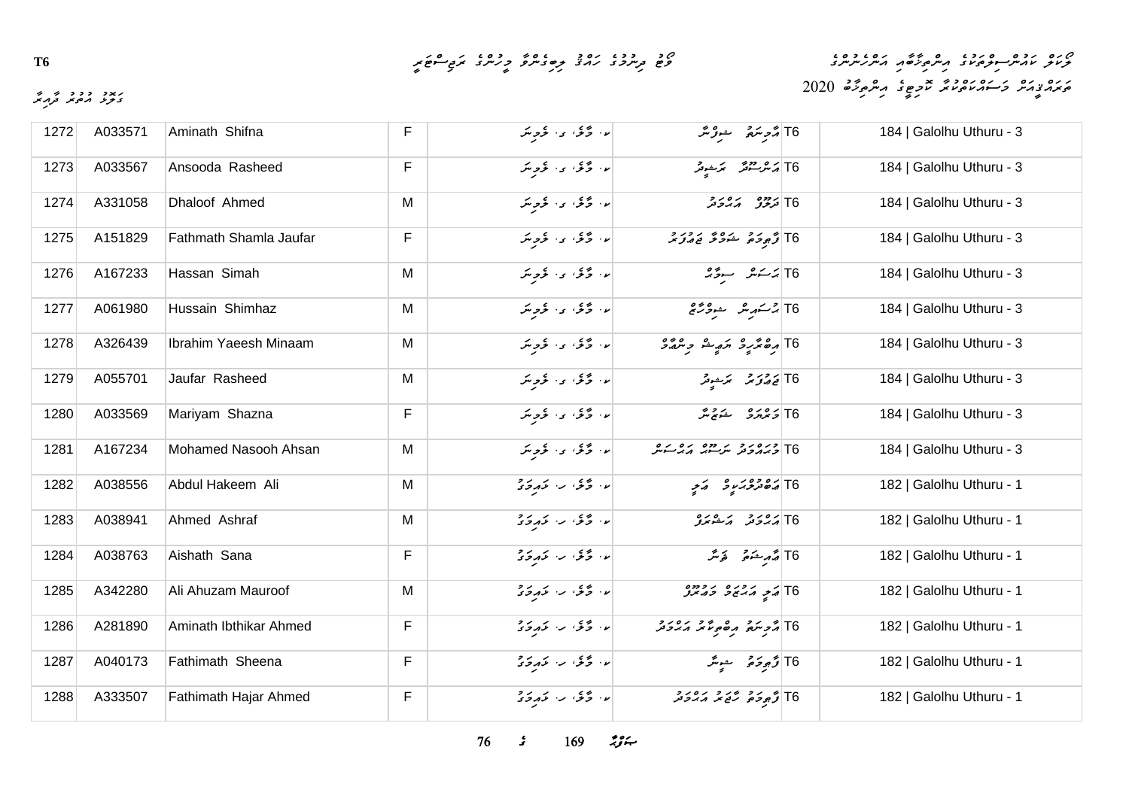*sCw7q7s5w7m< o<n9nOoAw7o< sCq;mAwBoEw7q<m; wBm;vB* م من المرة المرة المرة المرجع المرجع في المركبة 2020<br>مجم*د المريض المربوط المربع المرجع في المراجع المركبة* 

| 1272 | A033571 | Aminath Shifna         | F | لا الحجي الأدا المحرض                                      | T6 مُرْحِسَمُ مُورْسٌر                              | 184   Galolhu Uthuru - 3 |
|------|---------|------------------------|---|------------------------------------------------------------|-----------------------------------------------------|--------------------------|
| 1273 | A033567 | Ansooda Rasheed        | F | ئار گەنگى كەرگە كۆچەتكە                                    | T6 <i>مَہ گرفتھ مَہنوم</i> َ                        | 184   Galolhu Uthuru - 3 |
| 1274 | A331058 | Dhaloof Ahmed          | M | لاستخرش المستحصر والمحرمين                                 | T6 تر <i>وو پروژ</i> و                              | 184   Galolhu Uthuru - 3 |
| 1275 | A151829 | Fathmath Shamla Jaufar | F | لا الحجي الماء الحجام كم                                   | T6 <i>وَّجِ حَمْ</i> شَوْتَرَ فَ <i>مَدَوْبَر</i> ُ | 184   Galolhu Uthuru - 3 |
| 1276 | A167233 | Hassan Simah           | M | الا انځنگی ای انگرچوننگ                                    | T6   يزيكر س <i>وڤر</i>                             | 184   Galolhu Uthuru - 3 |
| 1277 | A061980 | Hussain Shimhaz        | M | ئار گەنگى كەر كۈچ بىر                                      | T6 بڑے پر شہ عبد مقبر ہے<br>T6                      | 184   Galolhu Uthuru - 3 |
| 1278 | A326439 | Ibrahim Yaeesh Minaam  | M | الاستخرى الماستخاص للكراني                                 | T6 مەھمەر <i>5 مەم</i> ىش <i>جىھەد</i>              | 184   Galolhu Uthuru - 3 |
| 1279 | A055701 | Jaufar Rasheed         | M | لاستخفى الماستحجاجين                                       | T6 <i>فے مگرمڑ - مگ</i> ھومڑ                        | 184   Galolhu Uthuru - 3 |
| 1280 | A033569 | Mariyam Shazna         | F | ئەرگەنى كەرگەن كەنتىك                                      | T6 <i>ۈيرۈ خىتى ش</i>                               | 184   Galolhu Uthuru - 3 |
| 1281 | A167234 | Mohamed Nasooh Ahsan   | M | ئاسە ئۇنى كى كى ئى ئىكى ئىكى باش                           | T6 <i>ويەم</i> رو تەرەپ كەرگە كەنگە                 | 184   Galolhu Uthuru - 3 |
| 1282 | A038556 | Abdul Hakeem Ali       | M | $\mathcal{E}(\mathcal{E})$ لا، د کاروی                     | T6 <i>בَ ھُتَرَوْبَرُ بِ</i> وَ مَعِ                | 182   Galolhu Uthuru - 1 |
| 1283 | A038941 | Ahmed Ashraf           | M | $25.5 - 33$                                                | T6 <i>גُرْدَوْ پَرْ وَيُرُوْ</i>                    | 182   Galolhu Uthuru - 1 |
| 1284 | A038763 | Aishath Sana           | F | $\mathcal{E}(\mathcal{E})$ لا، د کاروی                     |                                                     | 182   Galolhu Uthuru - 1 |
| 1285 | A342280 | Ali Ahuzam Mauroof     | M | $35.5 < 3.5$ الا ، د کاروی                                 | T6 בَرِ בَرَبَّہُ وَمَعَرَ                          | 182   Galolhu Uthuru - 1 |
| 1286 | A281890 | Aminath Ibthikar Ahmed | F | $\mathcal{E}(\mathbf{z}) \sim \mathcal{E}(\mathbf{z})$ لار | T6 مُرْجِسَمُ مِعْ مِعْ مِدْرَوْر                   | 182   Galolhu Uthuru - 1 |
| 1287 | A040173 | Fathimath Sheena       | F | $\mathcal{E}(\mathbf{x}) = \mathcal{E}(\mathbf{x})$ لاهدوی | T6 <i>وَّجِوَدَة</i> مُوسَّر                        | 182   Galolhu Uthuru - 1 |
| 1288 | A333507 | Fathimath Hajar Ahmed  | F | $\mathcal{E}(\mathcal{E})$ لا، د کاروی                     | 76 كو برو بره بره بر د بر د بر د بر ا               | 182   Galolhu Uthuru - 1 |

 $76$  *s*  $169$  *z*  $25$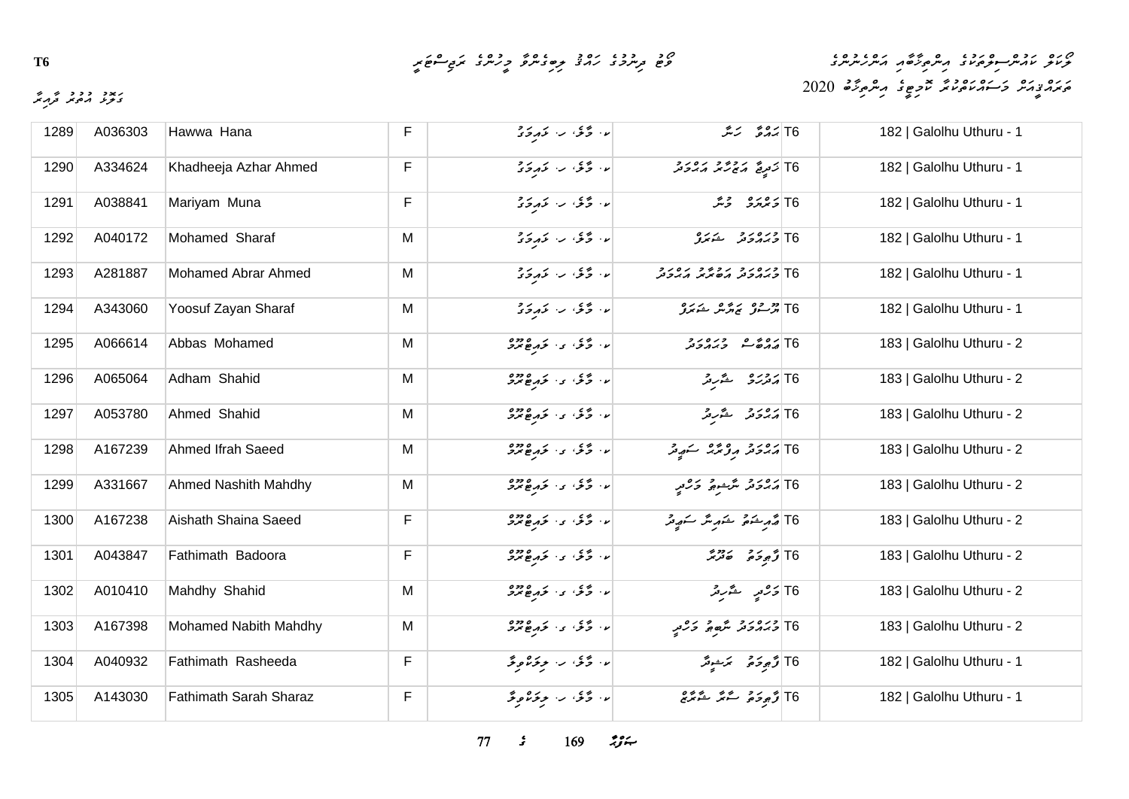*sCw7q7s5w7m< o<n9nOoAw7o< sCq;mAwBoEw7q<m; wBm;vB* م من المسجد المسجد المسجد المسجد المسجد العام 2020<br>مسجد المسجد المسجد المسجد المسجد المسجد المسجد المسجد المسجد ال

| 1289 | A036303 | Hawwa Hana                    | $\mathsf F$ | لا المحتى ب المكرومي                                                                                                                                                                                                                                                                                                      | T6 يَرْدُوَّ رَسَّر                                                                                  | 182   Galolhu Uthuru - 1 |
|------|---------|-------------------------------|-------------|---------------------------------------------------------------------------------------------------------------------------------------------------------------------------------------------------------------------------------------------------------------------------------------------------------------------------|------------------------------------------------------------------------------------------------------|--------------------------|
| 1290 | A334624 | Khadheeja Azhar Ahmed         | F           | لا المحتى لا الكهروي                                                                                                                                                                                                                                                                                                      | T6 كَتَبِيعُ مُتَحَرَّجُ مُمَدَّدَةً                                                                 | 182   Galolhu Uthuru - 1 |
| 1291 | A038841 | Mariyam Muna                  | F           | الأرمحى الماد المكرومي                                                                                                                                                                                                                                                                                                    | T6 ك <i>ې</i> ر <i>ونى</i> 3ىگە                                                                      | 182   Galolhu Uthuru - 1 |
| 1292 | A040172 | Mohamed Sharaf                | M           | الأرمحى الماد المكرومي                                                                                                                                                                                                                                                                                                    | T6  <i>وبروبوتر</i> خ <i>مزو</i>                                                                     | 182   Galolhu Uthuru - 1 |
| 1293 | A281887 | Mohamed Abrar Ahmed           | M           | لا المحتى ب المكرومي                                                                                                                                                                                                                                                                                                      | T6   وبروبر و بروبر و بروبر و                                                                        | 182   Galolhu Uthuru - 1 |
| 1294 | A343060 | Yoosuf Zayan Sharaf           | M           | $\mathcal{E}$ لا $\mathcal{E}$ كارود كما يورود كارود كارود كارود كارود كارود كارود كارود كارود كارود كارود كارود كارود كارود كارود كارود كارود كارود كارود كارود كارود كارود كارود كارود كارود كارود كارود كارود كارود كارود كارود كارود                                                                                  | T6 تېرىقۇ ئ <sub>ە</sub> ترىش خەتمىر                                                                 | 182   Galolhu Uthuru - 1 |
| 1295 | A066614 | Abbas Mohamed                 | M           | $\frac{1}{2}$                                                                                                                                                                                                                                                                                                             | T6 <i>مُهُمَّتْ</i> دِيهُ دِرَ                                                                       | 183   Galolhu Uthuru - 2 |
| 1296 | A065064 | Adham Shahid                  | M           | $\frac{1}{2}$                                                                                                                                                                                                                                                                                                             | T6 كەتە <i>رى ئىقىدى</i> گە                                                                          | 183   Galolhu Uthuru - 2 |
| 1297 | A053780 | Ahmed Shahid                  | M           | $\frac{1}{2}$                                                                                                                                                                                                                                                                                                             | T6 <i>ټرې پر ش</i> رتر                                                                               | 183   Galolhu Uthuru - 2 |
| 1298 | A167239 | <b>Ahmed Ifrah Saeed</b>      | M           | $\begin{pmatrix} 0 & 0 & 0 & 0 & 0 & 0 \\ 0 & 0 & 0 & 0 & 0 & 0 \\ 0 & 0 & 0 & 0 & 0 & 0 \\ 0 & 0 & 0 & 0 & 0 & 0 \\ 0 & 0 & 0 & 0 & 0 & 0 \\ 0 & 0 & 0 & 0 & 0 & 0 \\ 0 & 0 & 0 & 0 & 0 & 0 \\ 0 & 0 & 0 & 0 & 0 & 0 \\ 0 & 0 & 0 & 0 & 0 & 0 \\ 0 & 0 & 0 & 0 & 0 & 0 & 0 \\ 0 & 0 & 0 & 0 & 0 & 0 & 0 \\ 0 & 0 & 0 & $ | T6   كەشكە ئەر ئەرگە ئەرگە ئىكەن ئىكەن ئىكەن ئىكەن ئىكەن ئىكەن ئىكەن ئىكەن ئىكەن ئىكەن ئىكەن ئىكەن ئ | 183   Galolhu Uthuru - 2 |
| 1299 | A331667 | <b>Ahmed Nashith Mahdhy</b>   | M           | $\begin{pmatrix} 0 & 0 & 0 & 0 & 0 & 0 \\ 0 & 0 & 0 & 0 & 0 & 0 \\ 0 & 0 & 0 & 0 & 0 & 0 \\ 0 & 0 & 0 & 0 & 0 & 0 \\ 0 & 0 & 0 & 0 & 0 & 0 \\ 0 & 0 & 0 & 0 & 0 & 0 \\ 0 & 0 & 0 & 0 & 0 & 0 \\ 0 & 0 & 0 & 0 & 0 & 0 \\ 0 & 0 & 0 & 0 & 0 & 0 \\ 0 & 0 & 0 & 0 & 0 & 0 & 0 \\ 0 & 0 & 0 & 0 & 0 & 0 & 0 \\ 0 & 0 & 0 & $ | T6 <i>كەنگەنگە مگرىشونچ كەنگەن</i> ي                                                                 | 183   Galolhu Uthuru - 2 |
| 1300 | A167238 | Aishath Shaina Saeed          | F           | $\frac{1}{2}$                                                                                                                                                                                                                                                                                                             | T6 مُرمِشَمُ شَمَرِسُ سَمَرِيْر                                                                      | 183   Galolhu Uthuru - 2 |
| 1301 | A043847 | Fathimath Badoora             | F           | ١٠ د کال ١٤٥٠٠                                                                                                                                                                                                                                                                                                            | T6 <i>وُجِوحَة ھَتَرَىمُ</i>                                                                         | 183   Galolhu Uthuru - 2 |
| 1302 | A010410 | Mahdhy Shahid                 | M           | ۱۰ د کلی د که کاملاو                                                                                                                                                                                                                                                                                                      | T6 ك <sup>و</sup> ر مي <sub>د م</sub> شتر ميتر                                                       | 183   Galolhu Uthuru - 2 |
| 1303 | A167398 | Mohamed Nabith Mahdhy         | M           | $\frac{1}{2}$                                                                                                                                                                                                                                                                                                             | T6 <i>وَبَهُ دَوَ دُ سُمْعِ ۾َ وَرُ</i> مِرِ                                                         | 183   Galolhu Uthuru - 2 |
| 1304 | A040932 | Fathimath Rasheeda            | F           | ، دُی را دِدَاهِ دُ                                                                                                                                                                                                                                                                                                       | T6  <i>وُمِودَة</i> يَرَسُونَّ <i>ر</i>                                                              | 182   Galolhu Uthuru - 1 |
| 1305 | A143030 | <b>Fathimath Sarah Sharaz</b> | F           | ، دُی را دِدَاءِدٌ                                                                                                                                                                                                                                                                                                        | 76 <i>قُهِ دَهُ – شَهَّ</i> شُهَبَّرَ –                                                              | 182   Galolhu Uthuru - 1 |

# *n8o<n@ q8qAq< q:uBmC*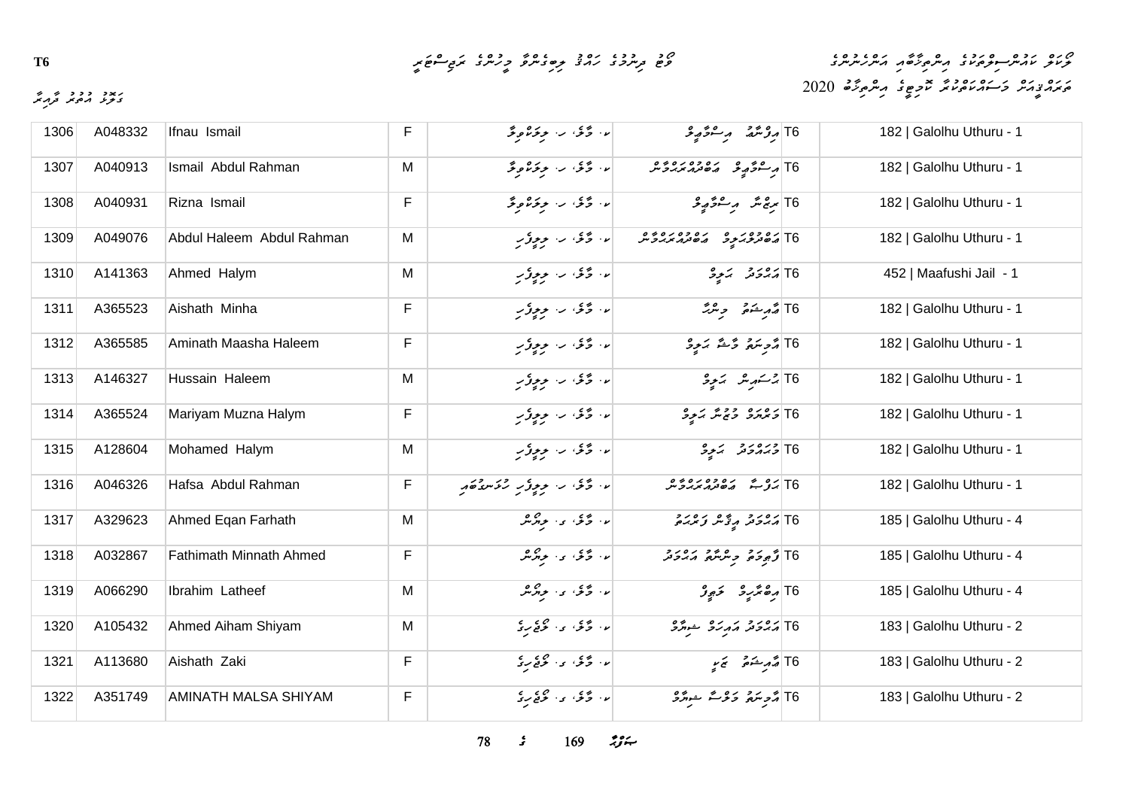*sCw7q7s5w7m< o<n9nOoAw7o< sCq;mAwBoEw7q<m; wBm;vB* م من المسجد المسجد المسجد المسجد المسجد العام 2020<br>مسجد المسجد المسجد المسجد المسجد المسجد المسجد المسجد المسجد ال

| 1306 | A048332 | Ifnau Ismail                   | F | $\left\vert \ddot{\bm{\xi}}\right\vert$ ى، ئ $\left\vert \ddot{\bm{\xi}}\right\vert$ ى، ئ | T6 مروثتين مرشت <i>وم</i> وفر                        | 182   Galolhu Uthuru - 1 |
|------|---------|--------------------------------|---|-------------------------------------------------------------------------------------------|------------------------------------------------------|--------------------------|
| 1307 | A040913 | Ismail Abdul Rahman            | M | ئەرمى ئۇ ئەرەپ ئىش ئۇ ئۇ                                                                  | T6 رے مورو دہ دہ دہ دہ د                             | 182   Galolhu Uthuru - 1 |
| 1308 | A040931 | Rizna Ismail                   | F | الا د د د د د دولارو د                                                                    | T6 ىرقى <i>ئۇ مەشۇم</i> ۇ                            | 182   Galolhu Uthuru - 1 |
| 1309 | A049076 | Abdul Haleem Abdul Rahman      | M | ، دُی را ووژرِ                                                                            | 16 נפינג'ק כי נפינג'קים                              | 182   Galolhu Uthuru - 1 |
| 1310 | A141363 | Ahmed Halym                    | M | اء؛ دَّيْءَ رَا وَوِدْرِ                                                                  | T6 <i>גُرُدُوَدٌ بَ</i> عِرُوُ                       | 452   Maafushi Jail - 1  |
| 1311 | A365523 | Aishath Minha                  | F | ، د دی را دودر                                                                            | T6 م <i>ۇم ھۇم بويىگ</i>                             | 182   Galolhu Uthuru - 1 |
| 1312 | A365585 | Aminath Maasha Haleem          | F | ، د دی را دودر                                                                            | T6 مَّ <i>جِسَمَ</i> وَحَشَّ بَر <i>ُ</i> وِدُ       | 182   Galolhu Uthuru - 1 |
| 1313 | A146327 | Hussain Haleem                 | M | الا د د د و د د د د د                                                                     | T6 يُرْسَمِهِ مَدْ رَبِّحِ E                         | 182   Galolhu Uthuru - 1 |
| 1314 | A365524 | Mariyam Muzna Halym            | F | دا د د د ووژب                                                                             | T6 كەبەر ئەرەپ كەرە                                  | 182   Galolhu Uthuru - 1 |
| 1315 | A128604 | Mohamed Halym                  | M | اء؛ دَّيْءَ رَا وَوِدْرِ                                                                  | T6 <i>\$22.3 \$رو</i> \$                             | 182   Galolhu Uthuru - 1 |
| 1316 | A046326 | Hafsa Abdul Rahman             | F | لا د د د کار د د د د کار د کار د کار د                                                    | T6 يزوجه پر دورو دولر                                | 182   Galolhu Uthuru - 1 |
| 1317 | A329623 | Ahmed Eqan Farhath             | M | الا د څخه او او پروگل                                                                     | T6 <i>גُرْدُوَنْدَ وِ ڈُ</i> نْد وَ <i>بُرْبَ</i> مُ | 185   Galolhu Uthuru - 4 |
| 1318 | A032867 | <b>Fathimath Minnath Ahmed</b> | F | الا د څخه او او پروگل                                                                     | T6 زُّجِرَةً وِسْرَسَّعَ مَ <sup>رُور</sup> َةً      | 185   Galolhu Uthuru - 4 |
| 1319 | A066290 | Ibrahim Latheef                | M | الا د څخه او او پروتل                                                                     | T6 <sub>مر</sub> ھ <i>مُرْرِدْ ۔ حَبوِ</i> رْ        | 185   Galolhu Uthuru - 4 |
| 1320 | A105432 | Ahmed Aiham Shiyam             | M | الله المحتى الميء المحقح لري                                                              | T6 <i>בُ.בُ.בَ בَ.مَ.</i> دَ شِيرَةَ عَ              | 183   Galolhu Uthuru - 2 |
| 1321 | A113680 | Aishath Zaki                   | F | الله المحتى الميء المحقح لري                                                              | T6 مُصِنْعَةً تَحْرِ                                 | 183   Galolhu Uthuru - 2 |
| 1322 | A351749 | <b>AMINATH MALSA SHIYAM</b>    | F | الله المحتى الميء المحظمة والمح                                                           | T6 مُرمِسَمُ وَكُرْتُ شِيْرُوْ                       | 183   Galolhu Uthuru - 2 |

# *n8o<n@ q8qAq< q:uBmC*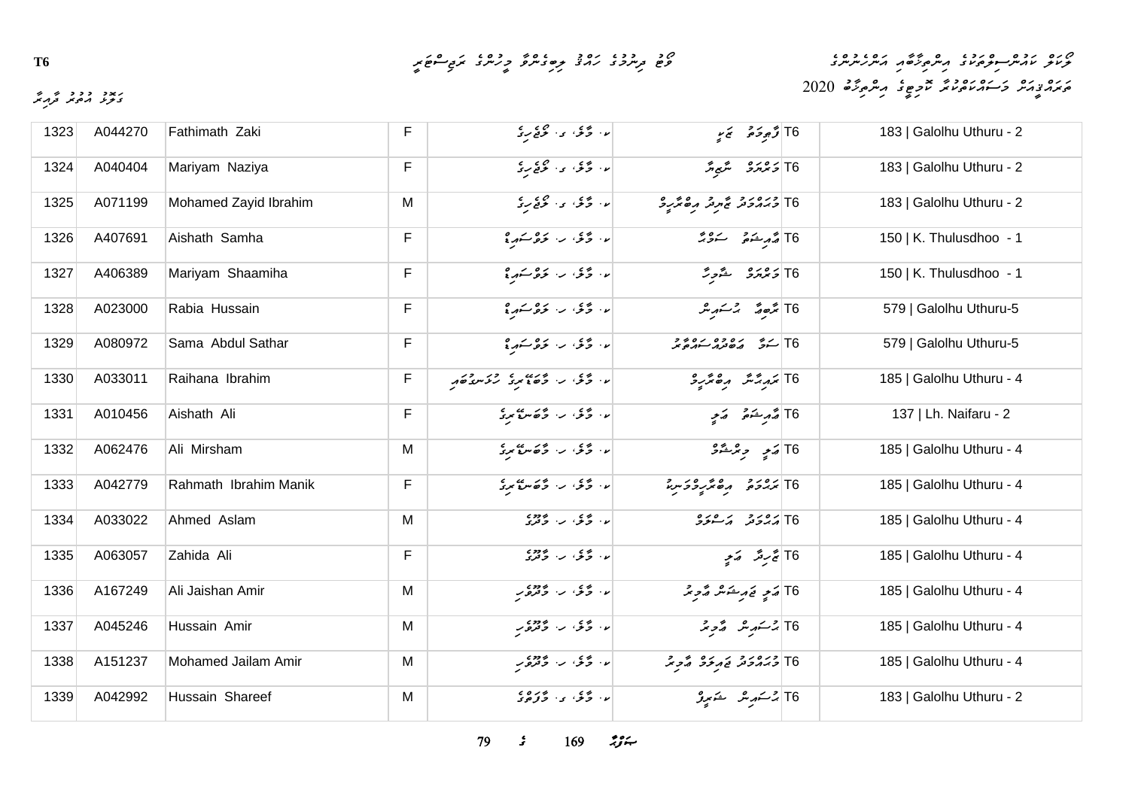*sCw7q7s5w7m< o<n9nOoAw7o< sCq;mAwBoEw7q<m; wBm;vB* م من المسجد المسجد المسجد المسجد المسجد العام 2020<br>مسجد المسجد المسجد المسجد المسجد المسجد المسجد المسجد المسجد ال

# *n8o<n@ q8qAq< q:uBmC*

| 1323 | A044270 | Fathimath Zaki        | F           | لا کامی کا کامحانی کام                                                                            | 76 <i>وُّهِ دَهْ</i> تَمَّ يَ                                                                                                                                                                                                   | 183   Galolhu Uthuru - 2 |
|------|---------|-----------------------|-------------|---------------------------------------------------------------------------------------------------|---------------------------------------------------------------------------------------------------------------------------------------------------------------------------------------------------------------------------------|--------------------------|
| 1324 | A040404 | Mariyam Naziya        | F           | لا . وَگُوْ، ی- گُوْمِ دِیْ                                                                       | T6 <i>خ</i> ىرىز ئىگى باشى                                                                                                                                                                                                      | 183   Galolhu Uthuru - 2 |
| 1325 | A071199 | Mohamed Zayid Ibrahim | M           | $\begin{bmatrix} c & c & c \\ s & s & s \end{bmatrix}$ ، د د د کلی کرد                            | T6 <i>درور د پی</i> رمز بر <i>هنگرد</i>                                                                                                                                                                                         | 183   Galolhu Uthuru - 2 |
| 1326 | A407691 | Aishath Samha         | F           | لا په نخوا سره تورو شوړه                                                                          | T6 مەمۇسىتى كىنى ئىشى ئىشتىر ئىشتىر ئىستىدىكە ئىشتا ئىشتىر ئىستان ئىشتىر ئىستان ئىشتى ئىشتى ئىشتى ئىشتى ئىشتى<br>مەمۇرىي ئىشتىر ئىشتى ئىشتى ئىشتى ئىشتى ئىشتى ئىشتى ئىشتى ئىشتى ئىشتى ئىشتى ئىشتى ئىشتى ئىشتى ئىشتى ئىشتى ئىشتى | 150   K. Thulusdhoo - 1  |
| 1327 | A406389 | Mariyam Shaamiha      | $\mathsf F$ | لا په مختې له نوځو شهره کا                                                                        | T6 كەنگەنى ئىش <i>ە</i> ر                                                                                                                                                                                                       | 150   K. Thulusdhoo - 1  |
| 1328 | A023000 | Rabia Hussain         | F           | لا په مختې را نوڅو شهره چ                                                                         | T6 تَمْھ <i>وَنَہُ</i> بُرْسَمَ <i>و</i> سُر                                                                                                                                                                                    | 579   Galolhu Uthuru-5   |
| 1329 | A080972 | Sama Abdul Sathar     | F           | لا په نځې را نوڅر شهره                                                                            | 76 كەن مەھىرەسىر <i>ە بو</i> ر                                                                                                                                                                                                  | 579   Galolhu Uthuru-5   |
| 1330 | A033011 | Raihana Ibrahim       | $\mathsf F$ |                                                                                                   | T6 <i>ىَدە جَ</i> مَّە مَ <i>دُر</i> ِ د                                                                                                                                                                                        | 185   Galolhu Uthuru - 4 |
| 1331 | A010456 | Aishath Ali           | $\mathsf F$ | لا د محمد المستخدم المستخدم                                                                       | T6 مُرِيدَة مَعِ                                                                                                                                                                                                                | 137   Lh. Naifaru - 2    |
| 1332 | A062476 | Ali Mirsham           | M           | $\frac{c}{2}$ $\frac{c}{2}$ $\frac{c}{2}$ $\frac{c}{2}$ $\frac{c}{2}$ $\frac{c}{2}$ $\frac{c}{2}$ | T6 <i>ڇَجِ جِهُنَّةُ</i>                                                                                                                                                                                                        | 185   Galolhu Uthuru - 4 |
| 1333 | A042779 | Rahmath Ibrahim Manik | F           | $\overset{c}{\mathcal{S}}$                                                                        | T6 <i>بَرْدْدَة مِ</i> هْتَرِدْدَسِ                                                                                                                                                                                             | 185   Galolhu Uthuru - 4 |
| 1334 | A033022 | Ahmed Aslam           | M           | ر، گ <sup>و</sup> ی ر، گ <sup>ووی</sup>                                                           | T6 <i>ټرې تر تر تر ترو</i> و                                                                                                                                                                                                    | 185   Galolhu Uthuru - 4 |
| 1335 | A063057 | Zahida Ali            | F           | ر، دُبی ر، دُبرد،                                                                                 | T6 تج ب <i>یڈ م</i> َی                                                                                                                                                                                                          | 185   Galolhu Uthuru - 4 |
| 1336 | A167249 | Ali Jaishan Amir      | M           | ر، د د د د دوه ب                                                                                  | T6 كمبرٍ ق <sub>ى مو</sub> شكر گر <i>ون</i> گر                                                                                                                                                                                  | 185   Galolhu Uthuru - 4 |
| 1337 | A045246 | Hussain Amir          | M           | پارسی کی اس میتوانی به این میتوانید<br>  پارسی کی کلی کرده بر                                     | T6 يُرْسَم <i>ُ بِهِ مُ</i> حَمِّدُ                                                                                                                                                                                             | 185   Galolhu Uthuru - 4 |
| 1338 | A151237 | Mohamed Jailam Amir   | M           | ا د گري ار کلوهای ا                                                                               | T6 <i>وُبَ</i> مُ وَمَر يَمْ مِرْحَدَّ مُّ مِرْمَرُ                                                                                                                                                                             | 185   Galolhu Uthuru - 4 |
| 1339 | A042992 | Hussain Shareef       | M           | ر، گرمی که گروه کا                                                                                | T6 پرستمبر شروع مستقریبی<br>مستقریب                                                                                                                                                                                             | 183   Galolhu Uthuru - 2 |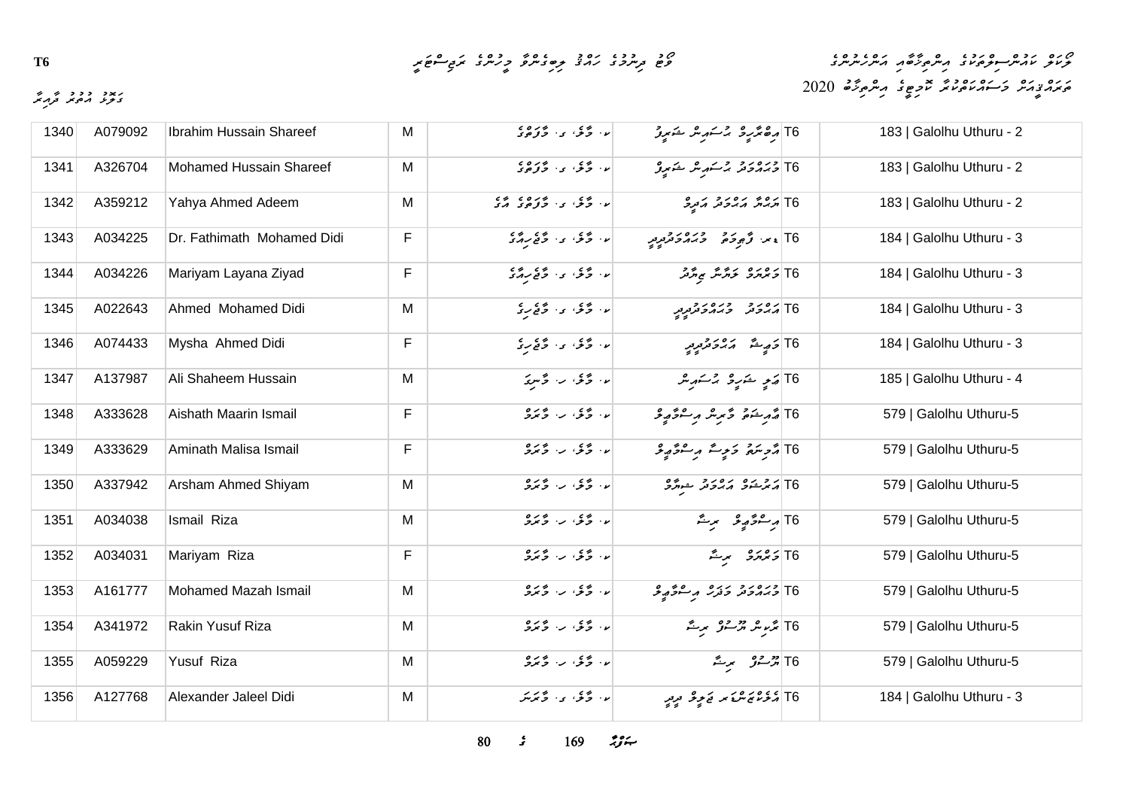*sCw7q7s5w7m< o<n9nOoAw7o< sCq;mAwBoEw7q<m; wBm;vB* م من المسجد المسجد المسجد المسجد المسجد العام 2020<br>مسجد المسجد المسجد المسجد المسجد المسجد المسجد المسجد المسجد ال

| 1340 | A079092 | <b>Ibrahim Hussain Shareef</b> | M | ر و و د و ده و ده و د و د و د و د                                                                                                                                                                                                           | T6  مِنْ مُرَّرِدْ كَرْسَمْ مِنْ شَمَرِزْ                     | 183   Galolhu Uthuru - 2 |
|------|---------|--------------------------------|---|---------------------------------------------------------------------------------------------------------------------------------------------------------------------------------------------------------------------------------------------|---------------------------------------------------------------|--------------------------|
| 1341 | A326704 | <b>Mohamed Hussain Shareef</b> | M | ر وي.<br>۱۰ وگل ی- وگړ <i>و</i> ی                                                                                                                                                                                                           |                                                               | 183   Galolhu Uthuru - 2 |
| 1342 | A359212 | Yahya Ahmed Adeem              | M | د کمی کاره ده د د د                                                                                                                                                                                                                         | T6 <i>הציה הציב</i> ת ה <del>י</del> נב                       | 183   Galolhu Uthuru - 2 |
| 1343 | A034225 | Dr. Fathimath Mohamed Didi     | F | $\begin{bmatrix} 1 & 1 & 1 & 1 \\ 1 & 1 & 1 & 1 \\ 1 & 1 & 1 & 1 \end{bmatrix}$                                                                                                                                                             | T6 عامر: ت <i>وهو حامدة مرموي</i> ر                           | 184   Galolhu Uthuru - 3 |
| 1344 | A034226 | Mariyam Layana Ziyad           | F | $\begin{bmatrix} 1 & 1 & 1 & 1 \\ 2 & 1 & 1 & 1 \\ 3 & 1 & 1 & 1 \end{bmatrix} \begin{bmatrix} 2 & 3 & 1 & 1 \\ 2 & 1 & 1 & 1 \\ 3 & 1 & 1 & 1 \end{bmatrix} \begin{bmatrix} 2 & 3 & 1 & 1 \\ 1 & 2 & 1 & 1 \\ 1 & 1 & 1 & 1 \end{bmatrix}$ | T6 <i>كَمْهُدَّةْ</i> كَمَرَّسَّرٌ بِ <sub>ال</sub> َّدُّثَرُ | 184   Galolhu Uthuru - 3 |
| 1345 | A022643 | Ahmed Mohamed Didi             | M |                                                                                                                                                                                                                                             | T6 <i>גُرُوَ</i> تَرَ وَبَرَهْرَتَرْمِرِيْرِ                  | 184   Galolhu Uthuru - 3 |
| 1346 | A074433 | Mysha Ahmed Didi               | F | $\begin{bmatrix} 3 & 2 & 3 & 3 \ 2 & 3 & 3 & 3 \end{bmatrix}$ ، د د د د کام                                                                                                                                                                 | T6 كەرىش كەركە ئارىرىر                                        | 184   Galolhu Uthuru - 3 |
| 1347 | A137987 | Ali Shaheem Hussain            | M | الله د مح کل د انگرېزي ک                                                                                                                                                                                                                    | T6 كمي خري <sup>و</sup> بركبربر                               | 185   Galolhu Uthuru - 4 |
| 1348 | A333628 | Aishath Maarin Ismail          | F | $31.5 - 32.1$                                                                                                                                                                                                                               | T6 مەرخىم <i>ۋىرىگە م</i> ېشىۋە يۇ                            | 579   Galolhu Uthuru-5   |
| 1349 | A333629 | Aminath Malisa Ismail          | F | $25.2 - 22.$                                                                                                                                                                                                                                | T6 أَمُرْمِسَمْ وَمِرْمٌ مِسْتَرَمْدٍ وَ                      | 579   Galolhu Uthuru-5   |
| 1350 | A337942 | Arsham Ahmed Shiyam            | M | ، دَبَي رَ دَيَرَوْ                                                                                                                                                                                                                         | T6 كەيمەشكى كەن ئارتى ئىش ئىش كەن ئىش                         | 579   Galolhu Uthuru-5   |
| 1351 | A034038 | Ismail Riza                    | M | ، دَبَوْ، رَ. دُبَرَدُ                                                                                                                                                                                                                      | T6 پرىشت <sub>ۇ پو</sub> ند بويت                              | 579   Galolhu Uthuru-5   |
| 1352 | A034031 | Mariyam Riza                   | F | $22 - 22$                                                                                                                                                                                                                                   | T6 ك <i>ۈچۈك بې</i> ڭ                                         | 579   Galolhu Uthuru-5   |
| 1353 | A161777 | Mohamed Mazah Ismail           | M | $31.5 - 32.1$                                                                                                                                                                                                                               | T6 <i>وبرورو ربرو م</i> ر مؤثر و                              | 579   Galolhu Uthuru-5   |
| 1354 | A341972 | Rakin Yusuf Riza               | M | ىر ئەقتۇر سەر ئۇتىرى                                                                                                                                                                                                                        | T6 بَدَیْدِ بَدْ بِرْتَ بِنْ بِرْتَهُ                         | 579   Galolhu Uthuru-5   |
| 1355 | A059229 | Yusuf Riza                     | M | ا کار دی را دیگرو                                                                                                                                                                                                                           | T6 پر قسمبر مرت                                               | 579   Galolhu Uthuru-5   |
| 1356 | A127768 | Alexander Jaleel Didi          | M | ىن گەنى ئەرگەنگەنگە                                                                                                                                                                                                                         | T6 كەبۇرىم ئىرىكە يەبۇ ئىمەسىر بىرلىر                         | 184   Galolhu Uthuru - 3 |

*n8o<n@ q8qAq< q:uBmC*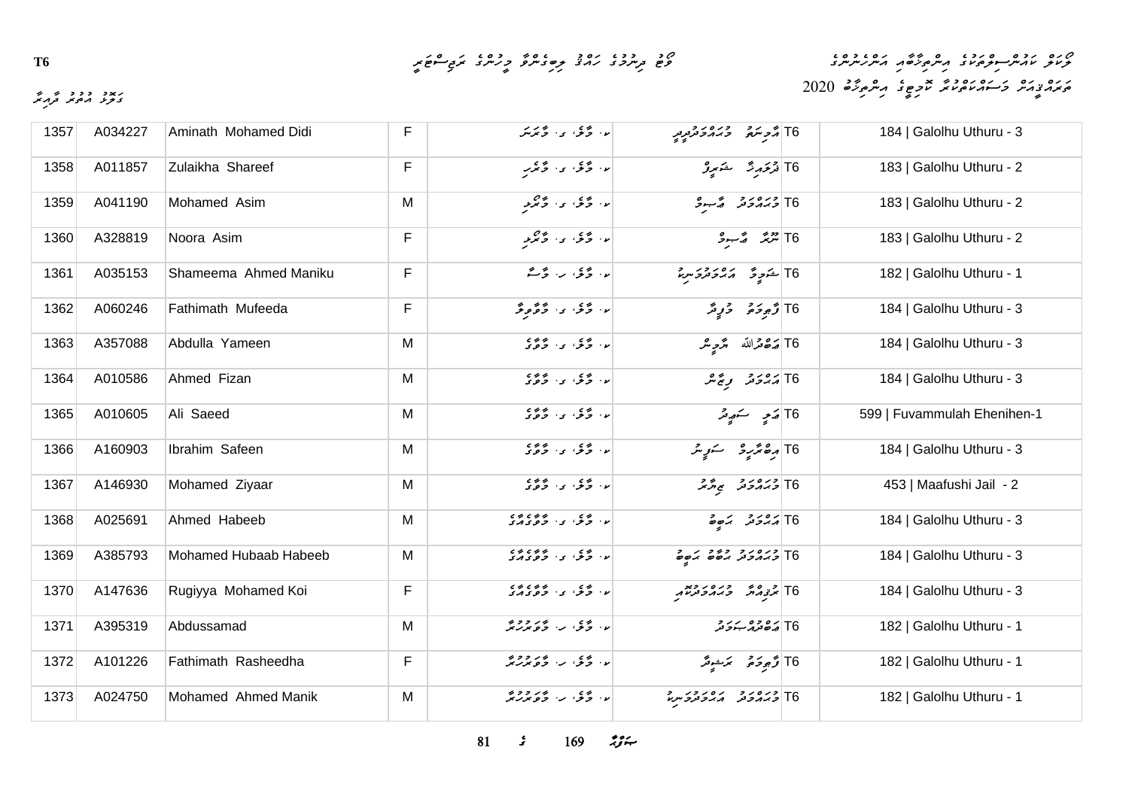*sCw7q7s5w7m< o<n9nOoAw7o< sCq;mAwBoEw7q<m; wBm;vB* م من المسجد المسجد المسجد المسجد المسجد العام 2020<br>مسجد المسجد المسجد المسجد المسجد المسجد المسجد المسجد المسجد ال

| 1357 | A034227 | Aminath Mohamed Didi  | F | لاستخرى بالمتح تمركش                                                                                                                                                                                                                                                    | T6 <i>مُّحِسَّعْۃ حُہُ مُ</i> حَمَّدِيدِيہِ                                       | 184   Galolhu Uthuru - 3    |
|------|---------|-----------------------|---|-------------------------------------------------------------------------------------------------------------------------------------------------------------------------------------------------------------------------------------------------------------------------|-----------------------------------------------------------------------------------|-----------------------------|
| 1358 | A011857 | Zulaikha Shareef      | F | لا د څخه د د څخه                                                                                                                                                                                                                                                        | T6 ن <i>ُرْحَهِ ٿُ</i> جَمَعِ <i>وُ</i>                                           | 183   Galolhu Uthuru - 2    |
| 1359 | A041190 | Mohamed Asim          | M | لا د څکې د د څمکې                                                                                                                                                                                                                                                       | T6 <i>جُهُودُو هُ</i> جُو                                                         | 183   Galolhu Uthuru - 2    |
| 1360 | A328819 | Noora Asim            | F | الأرمح في الأربح مربع.                                                                                                                                                                                                                                                  | T6 تېرىخە ئەسىزى                                                                  | 183   Galolhu Uthuru - 2    |
| 1361 | A035153 | Shameema Ahmed Maniku | F | لاءِ ارْ ڏُڻَ اب ارُ شُر شُر                                                                                                                                                                                                                                            | T6 خرىر ئەرەردىرىدى <sub>م</sub>                                                  | 182   Galolhu Uthuru - 1    |
| 1362 | A060246 | Fathimath Mufeeda     | F | $\stackrel{\circ}{\mathcal{S}}\stackrel{\circ}{\mathcal{S}}\stackrel{\circ}{\mathcal{S}}\stackrel{\circ}{\mathcal{S}}\stackrel{\circ}{\mathcal{S}}\stackrel{\circ}{\mathcal{S}}\stackrel{\circ}{\mathcal{S}}\stackrel{\circ}{\mathcal{S}}\stackrel{\circ}{\mathcal{S}}$ | T6 <i>وَّجِ حَقَّ</i> حَ <i>وِيثَر</i> َ                                          | 184   Galolhu Uthuru - 3    |
| 1363 | A357088 | Abdulla Yameen        | M | ىن گۆكى ئەسمى                                                                                                                                                                                                                                                           | T6 كەھەراللە م <i>ۇم</i> ويىر                                                     | 184   Galolhu Uthuru - 3    |
| 1364 | A010586 | Ahmed Fizan           | M | لا د څخه د د ووی                                                                                                                                                                                                                                                        | T6   <i>مَدْدَوْرْ وِچَ</i> ْرُ                                                   | 184   Galolhu Uthuru - 3    |
| 1365 | A010605 | Ali Saeed             | M | لا د څخه د د وه د                                                                                                                                                                                                                                                       | T6 <i>ھَ۔ جو سکھ</i> یٹر                                                          | 599   Fuvammulah Ehenihen-1 |
| 1366 | A160903 | Ibrahim Safeen        | M | لا د څخه د او ده د                                                                                                                                                                                                                                                      | T6 <sub>م</sub> ەنزىرو سىرىد                                                      | 184   Galolhu Uthuru - 3    |
| 1367 | A146930 | Mohamed Ziyaar        | M | لا د څو د د څوه                                                                                                                                                                                                                                                         | T6  <i>32,35 يونگر</i>                                                            | 453   Maafushi Jail - 2     |
| 1368 | A025691 | Ahmed Habeeb          | M | ر د کال د ۱۶۵۶ وروپا                                                                                                                                                                                                                                                    | T6 كەبر <i>ۇ كى</i> ر كەن كەن بىر                                                 | 184   Galolhu Uthuru - 3    |
| 1369 | A385793 | Mohamed Hubaab Habeeb | M | ر د کال دی.<br>د کال د کال ده درد د                                                                                                                                                                                                                                     | $500.$ $500.$ $500.$ $70.$ $76$                                                   | 184   Galolhu Uthuru - 3    |
| 1370 | A147636 | Rugiyya Mohamed Koi   | F | ر ده وي د ده ده ده ده وا                                                                                                                                                                                                                                                | T6 <i>بر<sub>قو</sub>م بو دروروبو</i><br>T6 <i>بر<sub>قو</sub>م بر د برمرد</i> بر | 184   Galolhu Uthuru - 3    |
| 1371 | A395319 | Abdussamad            | M | لا په څوک له کالودونو                                                                                                                                                                                                                                                   | T6 پر <i>ەدە بەدە</i> ر                                                           | 182   Galolhu Uthuru - 1    |
| 1372 | A101226 | Fathimath Rasheedha   | F | ر وي ر ووبوده<br>را وی                                                                                                                                                                                                                                                  | T6 <i>وَّجِ دَمْ</i> - مَرْشِيمٌ -                                                | 182   Galolhu Uthuru - 1    |
| 1373 | A024750 | Mohamed Ahmed Manik   | M | لاستحق الماستحق بمروح محمد                                                                                                                                                                                                                                              | T6 כלהכת הלכתכתית                                                                 | 182   Galolhu Uthuru - 1    |

 $81$  *s*  $169$  *n***<sub>y</sub>**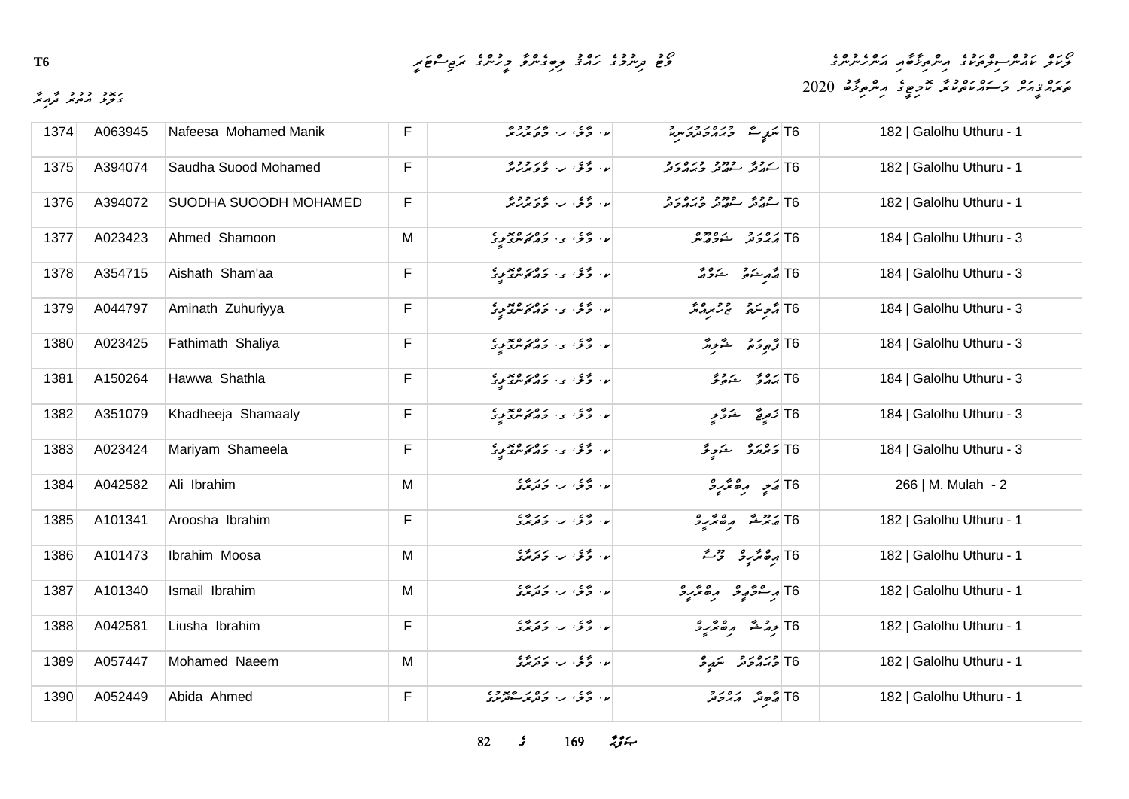*sCw7q7s5w7m< o<n9nOoAw7o< sCq;mAwBoEw7q<m; wBm;vB* م من المسجد المسجد المسجد المسجد المسجد العام 2020<br>مسجد المسجد المسجد المسجد المسجد المسجد المسجد المسجد المسجد ال

| 1374 | A063945 | Nafeesa Mohamed Manik | F           | الاستحق الماستحق بورجر                                      | T6 ىنرىگ ئ <i>ۇنەۋەرۋىرى</i>                                                           | 182   Galolhu Uthuru - 1 |
|------|---------|-----------------------|-------------|-------------------------------------------------------------|----------------------------------------------------------------------------------------|--------------------------|
| 1375 | A394074 | Saudha Suood Mohamed  | F           | ، دُبی را دوده                                              | T6 كەنگە ئەققى ئە <i>مەدە</i> ر                                                        | 182   Galolhu Uthuru - 1 |
| 1376 | A394072 | SUODHA SUOODH MOHAMED | F           | ر، وی ر، وروده<br>ر، وی                                     | T6  جەچ ئەرەپىر ئەيرە ئەرىپ                                                            | 182   Galolhu Uthuru - 1 |
| 1377 | A023423 | Ahmed Shamoon         | M           | ر ده ده ده ده د ده د د                                      | T6 كەبرو مەدەسى بول                                                                    | 184   Galolhu Uthuru - 3 |
| 1378 | A354715 | Aishath Sham'aa       | F           | ر ده ده ده ده د ورود و د د                                  | T6 م <i>ۇم شۇھۇ</i> ش <i>ۇھ</i> ۇ                                                      | 184   Galolhu Uthuru - 3 |
| 1379 | A044797 | Aminath Zuhuriyya     | $\mathsf F$ |                                                             | T6 مُجِسَمَةٌ كَمَحْسِمَةٌ                                                             | 184   Galolhu Uthuru - 3 |
| 1380 | A023425 | Fathimath Shaliya     | F           | ر وي د ده ده ده د د                                         | T6 <i>وَّجِ</i> وَدَ صَّحِيدً                                                          | 184   Galolhu Uthuru - 3 |
| 1381 | A150264 | Hawwa Shathla         | F           | ر د څوکه د د مرکز ورو د د                                   | T6 <i>بَدْهُ جُمْع</i> َرَ                                                             | 184   Galolhu Uthuru - 3 |
| 1382 | A351079 | Khadheeja Shamaaly    | F           | ر وي د ده ده ده د                                           | T6 كَتْرِيعٌ صُوَّرٍ                                                                   | 184   Galolhu Uthuru - 3 |
| 1383 | A023424 | Mariyam Shameela      | F           | ر د څوکه د د مرکز ورو د د                                   | T6 <i>وَبُرْبُرُوْ َ خَوِيْرُ</i>                                                      | 184   Galolhu Uthuru - 3 |
| 1384 | A042582 | Ali Ibrahim           | M           | ىن گەنى، ب كەندىنى                                          | T6 <i>ڇَجِ په ڇُئ</i> ِيءُ                                                             | 266   M. Mulah - 2       |
| 1385 | A101341 | Aroosha Ibrahim       | F           | ، د گلی را کاروه                                            | T6 <i>مَكَرَّحَة م</i> ُقْتَرِدْ                                                       | 182   Galolhu Uthuru - 1 |
| 1386 | A101473 | Ibrahim Moosa         | M           | ر، گ <sup>و</sup> گ را ک <b>ور</b> نوی                      | T6 <sub>مو</sub> ځ تخريره وح <sup>م</sup> ث                                            | 182   Galolhu Uthuru - 1 |
| 1387 | A101340 | Ismail Ibrahim        | M           | ، د گڼې ر که کرده و                                         | T6  <sub>م</sub> رےد <sub>َّ م</sub> وٹ میں اس کا مقدم کرنے کی مقدم کرنے کی مقدم کے اس | 182   Galolhu Uthuru - 1 |
| 1388 | A042581 | Liusha Ibrahim        | F           | ، د څو، ر. ژو <i>ن</i> دی                                   | T6 <i>جەمشقە مەھترى</i> رى                                                             | 182   Galolhu Uthuru - 1 |
| 1389 | A057447 | Mohamed Naeem         | M           | ، د څو، ر. د تربره                                          | T6 <i>وبروونز سَهِ وَ</i>                                                              | 182   Galolhu Uthuru - 1 |
| 1390 | A052449 | Abida Ahmed           | F           | ر، نخوی ر، نخ <sup>و</sup> ر میوه ه<br>دا نخوی را نخویزگشود | T6 مُصِعَّر مَ <sup>رو</sup> د                                                         | 182   Galolhu Uthuru - 1 |

*82 sC 169 nNw?mS*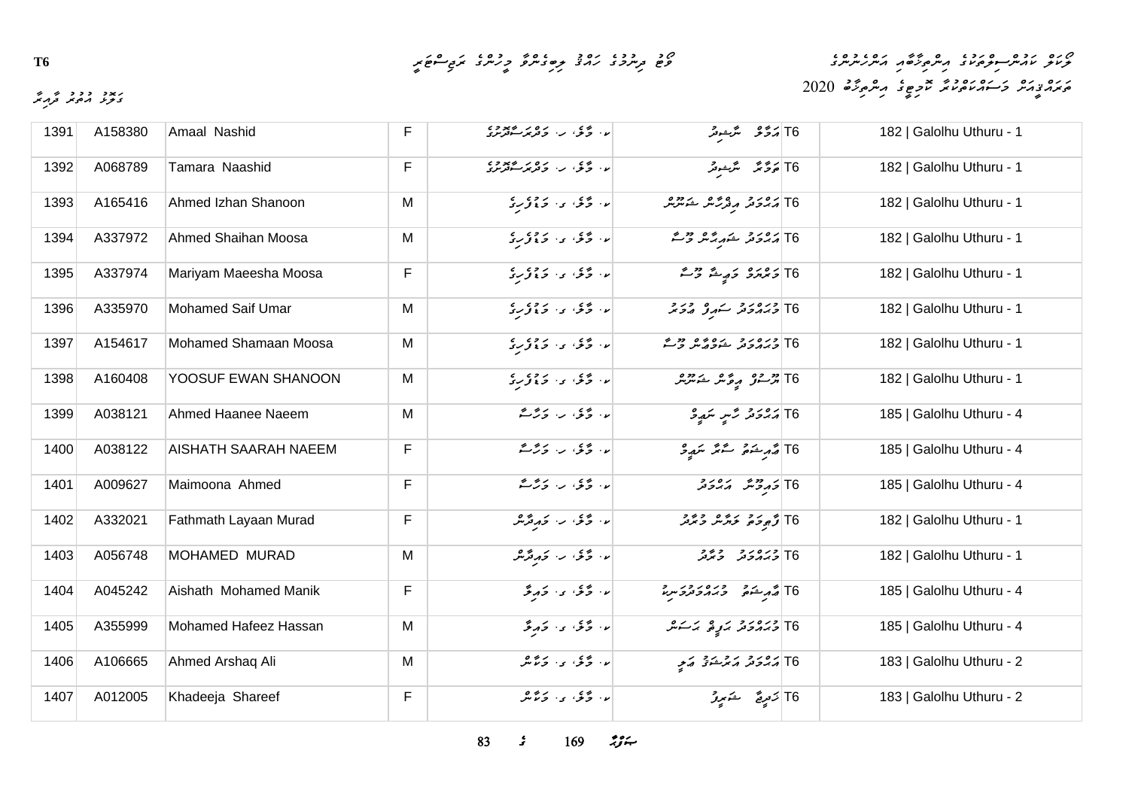*sCw7q7s5w7m< o<n9nOoAw7o< sCq;mAwBoEw7q<m; wBm;vB 2020<sup>, م</sup>وسر در مدد مدرج به مدرم مقرم قرار 2020*<br>موسر المستقرم المستقرم المستقرم المستقرم المستقرم المستقرم المستقرم المستقرم المستقرم المستقرم المستقرم المستقر

| 1391 | A158380 | Amaal Nashid                 | F | ر، گري، ر، کافرين مصروح،<br>دا گري، ر، گافرين مشتوري                                                                                                                                                                                      | T6  كەڭرى - م <i>ەڭبىدى</i> گە                       | 182   Galolhu Uthuru - 1 |
|------|---------|------------------------------|---|-------------------------------------------------------------------------------------------------------------------------------------------------------------------------------------------------------------------------------------------|------------------------------------------------------|--------------------------|
| 1392 | A068789 | Tamara Naashid               | F | ر، دی. ر، دور دیده.<br>د. د د د. د درگرستمبر                                                                                                                                                                                              | T6 <i>مَرَدُّ مَّرْسُومَرُ</i>                       | 182   Galolhu Uthuru - 1 |
| 1393 | A165416 | Ahmed Izhan Shanoon          | M | لا د گڼې د د کالوباد                                                                                                                                                                                                                      | T6 <i>גُرُوَتْر <sub>م</sub>ِنْرُرَّسْ َخْشِرْسْ</i> | 182   Galolhu Uthuru - 1 |
| 1394 | A337972 | Ahmed Shaihan Moosa          | M | لاستحق کا وی وی کا                                                                                                                                                                                                                        | T6   كەندى قىر ئىس قىلىقى قىلىگە ق                   | 182   Galolhu Uthuru - 1 |
| 1395 | A337974 | Mariyam Maeesha Moosa        | F | لاستحق کا کافی کا کار کا                                                                                                                                                                                                                  | T6 كەنگەنى ئەرىشە نۇسە                               | 182   Galolhu Uthuru - 1 |
| 1396 | A335970 | <b>Mohamed Saif Umar</b>     | M | $\mathcal{L}_{\mathcal{L}}$ ، د کالوگری کالوگری کالوگری کالوگری کالوگری کالوگری کالوگری کالوگری کالوگری کالوگری کالوگری کالوگری کالوگری کالوگری کالوگری کالوگری کالوگری کالوگری کالوگری کالوگری کالوگری کالوگری کالوگری کالوگری کالوگری ک | T6 <i>ديره دو مشهو</i> مص <i>ح</i> پر                | 182   Galolhu Uthuru - 1 |
| 1397 | A154617 | <b>Mohamed Shamaan Moosa</b> | M | لا د گڼې د د کالوباد                                                                                                                                                                                                                      | T6   ج. <i>جا جا جي جي جي جي</i> شر                  | 182   Galolhu Uthuru - 1 |
| 1398 | A160408 | YOOSUF EWAN SHANOON          | M | لا د گڼې د د کالوباد                                                                                                                                                                                                                      | T6 ترکتر <sub>مر</sub> وَّتر ڪمبر <i>ير</i>          | 182   Galolhu Uthuru - 1 |
| 1399 | A038121 | Ahmed Haanee Naeem           | M | الأرامج في الرائم وتركت كم                                                                                                                                                                                                                | T6 <i>בَ پُرُوَ تَرْ بِيَ سَمِي</i> وْ               | 185   Galolhu Uthuru - 4 |
| 1400 | A038122 | <b>AISHATH SAARAH NAEEM</b>  | F | لاءِ الْحَرْقُ ابْ الْأَرْكَبْ                                                                                                                                                                                                            | T6 م <i>مْہِ شَہْرِ سُمَہُ سَمِہِ وَ</i>             | 185   Galolhu Uthuru - 4 |
| 1401 | A009627 | Maimoona Ahmed               | F | الا، وَبِي الرَّاسُةُ الرَّسَةُ                                                                                                                                                                                                           | T6 <i>قەق شەھ</i> قىر                                | 185   Galolhu Uthuru - 4 |
| 1402 | A332021 | Fathmath Layaan Murad        | F | الا المحتى المال كاروگرانش                                                                                                                                                                                                                | T6 <i>وُّجِ حَمَّدٍ حَمَّدٌ حَمَّدَ</i>              | 182   Galolhu Uthuru - 1 |
| 1403 | A056748 | <b>MOHAMED MURAD</b>         | M | ر گو ب گەنگە                                                                                                                                                                                                                              | T6 <i>ڈیزوروڈ ڈیڑو</i>                               | 182   Galolhu Uthuru - 1 |
| 1404 | A045242 | Aishath Mohamed Manik        | F | لارتخض لارتجازتي                                                                                                                                                                                                                          | T6 مُرسُوم ورورور مرد                                | 185   Galolhu Uthuru - 4 |
| 1405 | A355999 | Mohamed Hafeez Hassan        | M | لا د څخه د د کارنگ                                                                                                                                                                                                                        | T6 <i>\$2,\$3 \$روفة بمسكن</i> ر                     | 185   Galolhu Uthuru - 4 |
| 1406 | A106665 | Ahmed Arshaq Ali             | M | لا د څخه د د څرنگر                                                                                                                                                                                                                        | T6 كەردى كەرگە ئەيدىق كەرگە بىر                      | 183   Galolhu Uthuru - 2 |
| 1407 | A012005 | Khadeeja Shareef             | F | لار ۇي بى ئەرەپىش                                                                                                                                                                                                                         | T6 كَسٍعٌ      غَسٍرٌ                                | 183   Galolhu Uthuru - 2 |

**83** *s* **169** *n***<sub>s</sub>**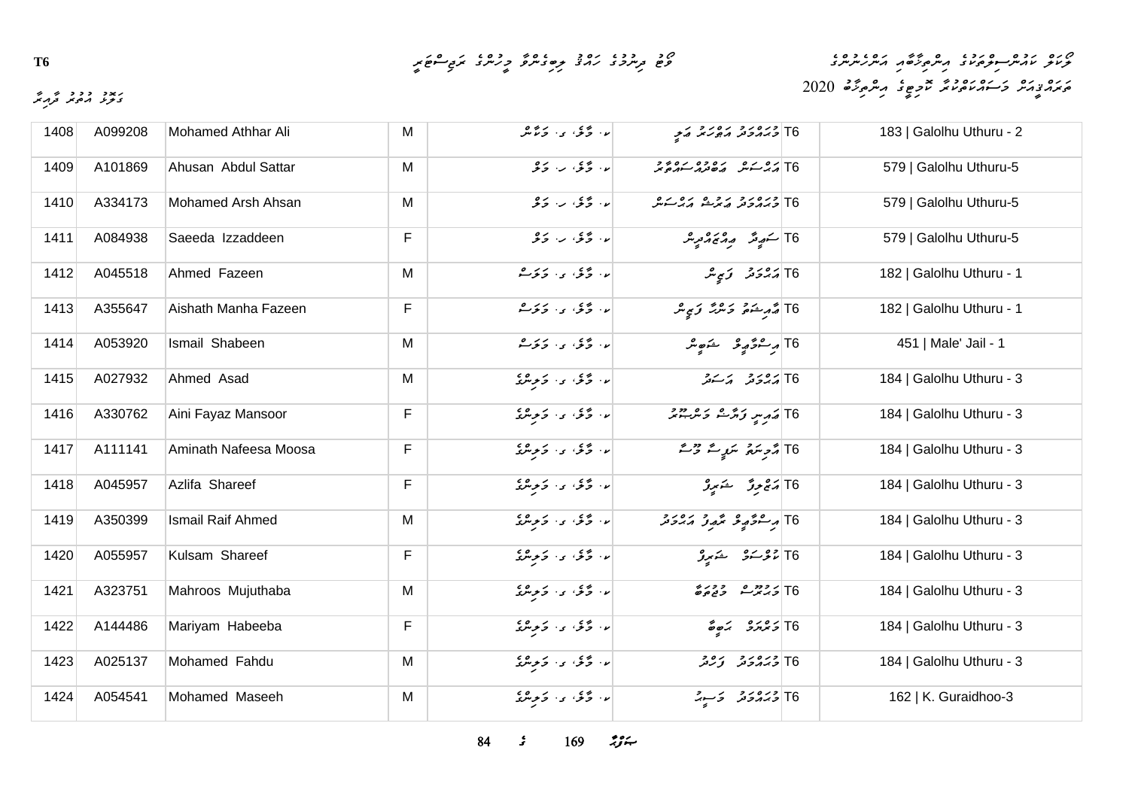*sCw7q7s5w7m< o<n9nOoAw7o< sCq;mAwBoEw7q<m; wBm;vB* م من المسجد المسجد المسجد المسجد المسجد العام 2020<br>مسجد المسجد المسجد المسجد المسجد المسجد المسجد المسجد المسجد ال

# *n8o<n@ q8qAq< q:uBmC*

| 1408 | A099208 | Mohamed Athhar Ali       | M            | ىر، بۇقۇرى بەر ئەتتىل       | T6 تربرویز بروربر برو <sub>ر</sub>                   | 183   Galolhu Uthuru - 2 |
|------|---------|--------------------------|--------------|-----------------------------|------------------------------------------------------|--------------------------|
| 1409 | A101869 | Ahusan Abdul Sattar      | M            | ا د گچې ر کوي               | T6 <i>גُיל בל הַפּּיכְּל הַמִּ</i> בְּל              | 579   Galolhu Uthuru-5   |
| 1410 | A334173 | Mohamed Arsh Ahsan       | M            | ا د گچې را کولو             | T6 <i>وبرورو مرترك مروسكر</i>                        | 579   Galolhu Uthuru-5   |
| 1411 | A084938 | Saeeda Izzaddeen         | F            | ىر گەنى ب كەنتى             | T6 ڪ <i>وپٽر ويمنځ م</i> وپٽر                        | 579   Galolhu Uthuru-5   |
| 1412 | A045518 | Ahmed Fazeen             | M            | لا ، ۇىق ي كۆك              | T6 <i>ټرې توپی</i> و                                 | 182   Galolhu Uthuru - 1 |
| 1413 | A355647 | Aishath Manha Fazeen     | $\mathsf{F}$ | لا : دَگرَ، دَ دَکرَ ک      | T6 م <i>ۇم شۇمۇ كەنلەنگ ق</i> ويىلار                 | 182   Galolhu Uthuru - 1 |
| 1414 | A053920 | Ismail Shabeen           | M            | لا : ۇى كى ئە كەنگەش        | T6 <sub>م</sub> رشۇم <sub>ۇ</sub> ئىستىر كىلىنىش بىر | 451   Male' Jail - 1     |
| 1415 | A027932 | Ahmed Asad               | M            | لا د څخه د د څونند          | T6 <i>ټرې پېر تر</i>                                 | 184   Galolhu Uthuru - 3 |
| 1416 | A330762 | Aini Fayaz Mansoor       | F            | لا د څخه د د څونند          | T6 <i>مَەمِسٍ وَمَدَّ</i> َّ وَسُنَّة م              | 184   Galolhu Uthuru - 3 |
| 1417 | A111141 | Aminath Nafeesa Moosa    | $\mathsf F$  | لا د څخه د د څونند          | T6 مَّ جِسَمَۃُ سَرِےٌ حَتَّ                         | 184   Galolhu Uthuru - 3 |
| 1418 | A045957 | Azlifa Shareef           | F            | لا د څخه د د څونند          | T6 كەچ <i>بوقى</i> خەمپەتى                           | 184   Galolhu Uthuru - 3 |
| 1419 | A350399 | <b>Ismail Raif Ahmed</b> | M            | لا الحجمي الأراد كالموسمة ا | T6 <sub>م</sub> ر مۇھەم ئىمرىق مەدەم                 | 184   Galolhu Uthuru - 3 |
| 1420 | A055957 | Kulsam Shareef           | F            | لا د څکې د د ټولند          | T6توسىۋا خى <i>مپ</i> ۇ                              | 184   Galolhu Uthuru - 3 |
| 1421 | A323751 | Mahroos Mujuthaba        | M            | لا د څکې د د ټرمرنگ         | T6 كەبرىق مەدەپىيە ق                                 | 184   Galolhu Uthuru - 3 |
| 1422 | A144486 | Mariyam Habeeba          | F            | لا د څکې د د ټولند          | $502.$ $502.$ $\sqrt{6}$                             | 184   Galolhu Uthuru - 3 |
| 1423 | A025137 | Mohamed Fahdu            | M            | لا د څخه د د کولنگ          | T6  <i>3223, 325,</i>                                | 184   Galolhu Uthuru - 3 |
| 1424 | A054541 | Mohamed Maseeh           | M            | الاستخرى الماستان كالموسرى  | T6  <i>322323 5ب1</i> 5                              | 162   K. Guraidhoo-3     |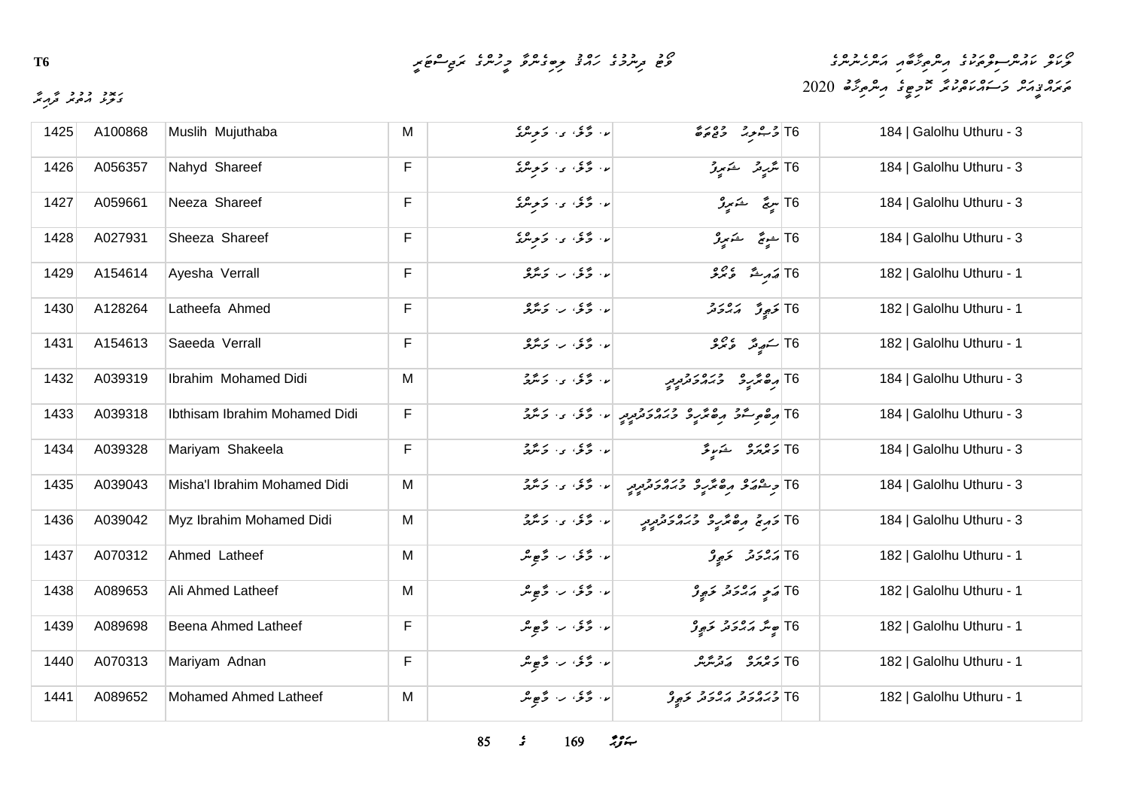*sCw7q7s5w7m< o<n9nOoAw7o< sCq;mAwBoEw7q<m; wBm;vB* م من المسجد المسجد المسجد المسجد المسجد العام 2020<br>مسجد المسجد المسجد المسجد المسجد المسجد المسجد المسجد المسجد ال

# *n8o<n@ q8qAq< q:uBmC*

| 1425 | A100868 | Muslih Mujuthaba              | M | ما گرمی کار کرد مرد کارگر                                                                                                                                                                                                                                                                                                                                                                                | T6 ئ <i>ىبگۈنىڭ دۆمۇھ</i>                                                                            | 184   Galolhu Uthuru - 3 |
|------|---------|-------------------------------|---|----------------------------------------------------------------------------------------------------------------------------------------------------------------------------------------------------------------------------------------------------------------------------------------------------------------------------------------------------------------------------------------------------------|------------------------------------------------------------------------------------------------------|--------------------------|
| 1426 | A056357 | Nahyd Shareef                 | F | لا د څکې د د ټولنگ                                                                                                                                                                                                                                                                                                                                                                                       | T6 مَّرْرٍ مَّرْ مَدَّمِرِ مِّ                                                                       | 184   Galolhu Uthuru - 3 |
| 1427 | A059661 | Neeza Shareef                 | F | لاستخرى كالمتحافظة                                                                                                                                                                                                                                                                                                                                                                                       | T6 س <sub>ي</sub> نَج ڪميرڙ                                                                          | 184   Galolhu Uthuru - 3 |
| 1428 | A027931 | Sheeza Shareef                | F | لا د څخه د د ټرمرند                                                                                                                                                                                                                                                                                                                                                                                      | T6 شيءٌ ش <i>مبروْ</i>                                                                               | 184   Galolhu Uthuru - 3 |
| 1429 | A154614 | Ayesha Verrall                | F | ا ، ۇى را دېگە                                                                                                                                                                                                                                                                                                                                                                                           | T6 <i>مَه</i> شَر م <i>ُ</i> مَرْمُرُ                                                                | 182   Galolhu Uthuru - 1 |
| 1430 | A128264 | Latheefa Ahmed                | F | ىر، ئۇقى ب كەنگەنلى                                                                                                                                                                                                                                                                                                                                                                                      | T6 <i>خوق پروون</i> ر                                                                                | 182   Galolhu Uthuru - 1 |
| 1431 | A154613 | Saeeda Verrall                | F | ىر ئەق ب كەنگە                                                                                                                                                                                                                                                                                                                                                                                           | T6 س <i>َمومَّد ءَ بَرْءُ</i>                                                                        | 182   Galolhu Uthuru - 1 |
| 1432 | A039319 | Ibrahim Mohamed Didi          | M | ئار گەنگە ئەركە كەشكە                                                                                                                                                                                                                                                                                                                                                                                    | T6 بر <i>ەنگرى</i> ئەرەر ئەرىپە                                                                      | 184   Galolhu Uthuru - 3 |
| 1433 | A039318 | Ibthisam Ibrahim Mohamed Didi | F |                                                                                                                                                                                                                                                                                                                                                                                                          | T6 مقوم محمد مقتررة وبرودومو المستحق المستورية                                                       | 184   Galolhu Uthuru - 3 |
| 1434 | A039328 | Mariyam Shakeela              | F | $\left  \begin{array}{cc} 2 \hat{\mu} & 2 \hat{\mu} & 2 \hat{\mu} & 2 \hat{\mu} & 2 \hat{\mu} & 2 \hat{\mu} & 2 \hat{\mu} & 2 \hat{\mu} & 2 \hat{\mu} & 2 \hat{\mu} & 2 \hat{\mu} & 2 \hat{\mu} & 2 \hat{\mu} & 2 \hat{\mu} & 2 \hat{\mu} & 2 \hat{\mu} & 2 \hat{\mu} & 2 \hat{\mu} & 2 \hat{\mu} & 2 \hat{\mu} & 2 \hat{\mu} & 2 \hat{\mu} & 2 \hat{\mu} & 2 \hat{\mu} & 2 \hat{\mu} & 2 \hat{\mu} & 2$ | T6 <i>ۇيۇدۇ خىرى</i> گە                                                                              | 184   Galolhu Uthuru - 3 |
| 1435 | A039043 | Misha'l Ibrahim Mohamed Didi  | M |                                                                                                                                                                                                                                                                                                                                                                                                          | T6 و شهر و معروف و دورور در براس و در استان استان استان به استان در محمد استان به استان براسم و محمد | 184   Galolhu Uthuru - 3 |
| 1436 | A039042 | Myz Ibrahim Mohamed Didi      | M | $\left  \begin{array}{cc} 2 & 2 & 3 \ 2 & 3 & 2 \end{array} \right $ ، وَسَمْعَهُ                                                                                                                                                                                                                                                                                                                        | T6 <i>دَوج وڻ جُرگ ويرو</i> دُرپردِ                                                                  | 184   Galolhu Uthuru - 3 |
| 1437 | A070312 | Ahmed Latheef                 | M | $\omega$ وَحَرْ، ر $\omega$ وَحِسْ                                                                                                                                                                                                                                                                                                                                                                       | T6 <i>גُرُدُوَ ڏوِوُ</i>                                                                             | 182   Galolhu Uthuru - 1 |
| 1438 | A089653 | Ali Ahmed Latheef             | M | $\omega$ وَمَحْ $\sim$ وَحِيمَ                                                                                                                                                                                                                                                                                                                                                                           | T6 كمبر كەردىگر ك <i>ۆپ</i> ۇ                                                                        | 182   Galolhu Uthuru - 1 |
| 1439 | A089698 | <b>Beena Ahmed Latheef</b>    | F | $\mathcal{L}$ لا، دَکَنْ ر، دَّجِسَ                                                                                                                                                                                                                                                                                                                                                                      | T6 صِنَّر <i>مَدْدَوْرْ</i> نَحْفِيْرْ                                                               | 182   Galolhu Uthuru - 1 |
| 1440 | A070313 | Mariyam Adnan                 | F | $\omega$ وَمَحْ $\sim$ وَحِيمَ                                                                                                                                                                                                                                                                                                                                                                           |                                                                                                      | 182   Galolhu Uthuru - 1 |
| 1441 | A089652 | <b>Mohamed Ahmed Latheef</b>  | M | الا الحكى الرابح جانش                                                                                                                                                                                                                                                                                                                                                                                    | T6 ديروبر د بروبر و <sub>م</sub> ور                                                                  | 182   Galolhu Uthuru - 1 |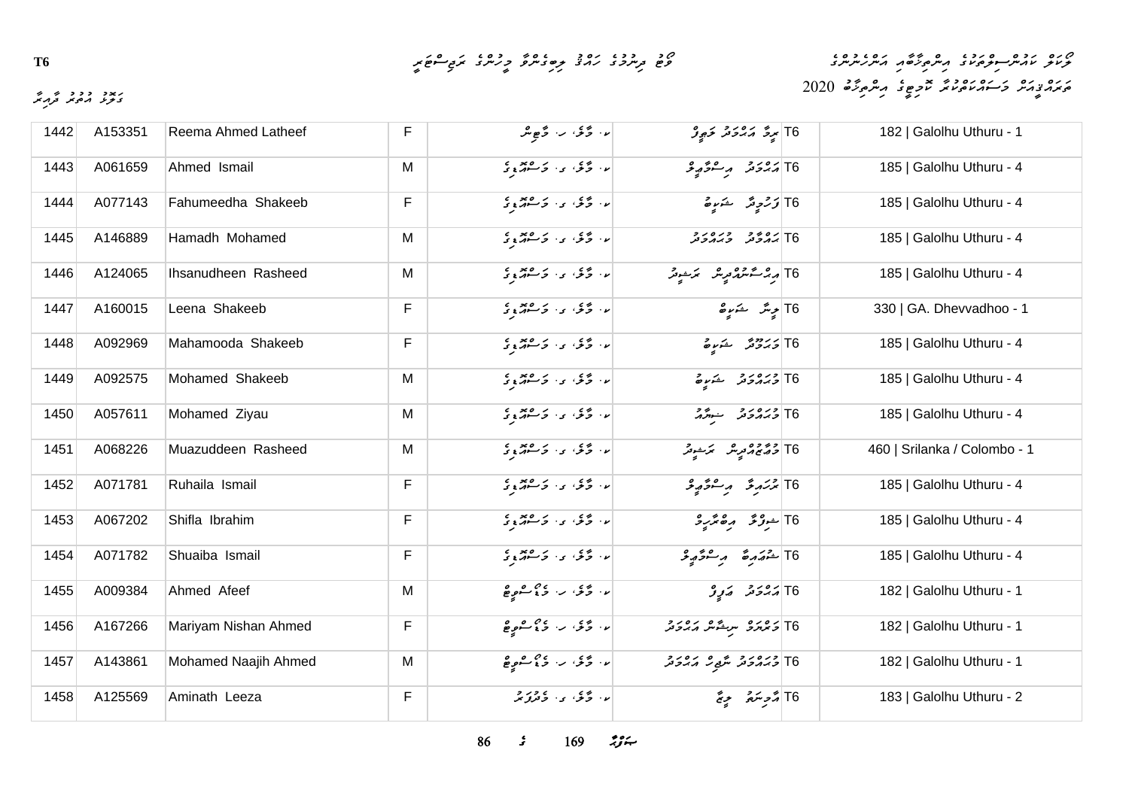*sCw7q7s5w7m< o<n9nOoAw7o< sCq;mAwBoEw7q<m; wBm;vB* م من المرة المرة المرة المرجع المرجع في المركبة 2020<br>مجم*د المريض المربوط المربع المرجع في المراجع المركبة* 

| 1442 | A153351 | <b>Reema Ahmed Latheef</b>  | F           | لا الحجي بالمحي ش                                                                                              | T6  برِدَّ   دَرُدَتْرْ   دَوِرْ ٱ              | 182   Galolhu Uthuru - 1     |
|------|---------|-----------------------------|-------------|----------------------------------------------------------------------------------------------------------------|-------------------------------------------------|------------------------------|
| 1443 | A061659 | Ahmed Ismail                | M           | لا د محکي که د کام د د کا                                                                                      | T6   كەركە ئەربىر ئەرگە ئەربى                   | 185   Galolhu Uthuru - 4     |
| 1444 | A077143 | Fahumeedha Shakeeb          | F           | لا د محکي د کار د د د                                                                                          | T6 تۈر <i>قىڭ خىرە</i>                          | 185   Galolhu Uthuru - 4     |
| 1445 | A146889 | Hamadh Mohamed              | M           | لا د محکي د کار د د د د                                                                                        | T6 <i>ג</i> ' <i>י בייטיב</i> ע                 | 185   Galolhu Uthuru - 4     |
| 1446 | A124065 | Ihsanudheen Rasheed         | M           | لا د محکي که د کام د د کا                                                                                      | T6 <i>میٹ شمر مریٹر مرش</i> وٹر                 | 185   Galolhu Uthuru - 4     |
| 1447 | A160015 | Leena Shakeeb               | F           | لا کامی د کامیو د                                                                                              | T6 م <sub>ج</sub> سَّر خَمَع <i>ِ رَ</i> حُ     | 330   GA. Dhevvadhoo - 1     |
| 1448 | A092969 | Mahamooda Shakeeb           | F           | لا د څوا د او معروف                                                                                            | T6 <i>وَبَرْدُوْتُرَ</i> سَرَ <sub>مُ ص</sub> َ | 185   Galolhu Uthuru - 4     |
| 1449 | A092575 | Mohamed Shakeeb             | M           | لا د محکي د کار د د د د                                                                                        | T6 <i>ق: 25 مئارا</i> ء                         | 185   Galolhu Uthuru - 4     |
| 1450 | A057611 | Mohamed Ziyau               | M           | لا د محکي د کار محمد د د                                                                                       | $7.502$ $5.822$ $76$                            | 185   Galolhu Uthuru - 4     |
| 1451 | A068226 | Muazuddeen Rasheed          | M           | لا د محکي که د کام د د کا                                                                                      | T6 <i>ۇرگەۋەپرىر مۇ</i> خ <sub>و</sub> تر       | 460   Srilanka / Colombo - 1 |
| 1452 | A071781 | Ruhaila Ismail              | F           | ۱۰ د کال د ۲۰ د ۲۰ د کال د کال د کال د کال د کال د کال د کال د کال د کال د کال د کال د کال د کال د کال د کال د | T6 بزرَر بِرَ مِ سُرَّرِ وَ م                   | 185   Galolhu Uthuru - 4     |
| 1453 | A067202 | Shifla Ibrahim              | F           | لا د څوا د او معروف                                                                                            | T6 خو <i>وگە مەھەترى</i> 3                      | 185   Galolhu Uthuru - 4     |
| 1454 | A071782 | Shuaiba Ismail              | $\mathsf F$ | لا د محکي که د کام د د کا                                                                                      | T6 ش <i>ەمەھ م</i> ىش <i>ۇم</i> ۇ               | 185   Galolhu Uthuru - 4     |
| 1455 | A009384 | Ahmed Afeef                 | M           | ر، دې ر، دې ش <sub>م</sub> وځ                                                                                  | T6   <i>ټرې ترو</i> ژ                           | 182   Galolhu Uthuru - 1     |
| 1456 | A167266 | Mariyam Nishan Ahmed        | F           | لا : حَرَّى لا حَرْهُ سُوطٍ حَ                                                                                 | T6 كرىرى سىشىر كەردىر                           | 182   Galolhu Uthuru - 1     |
| 1457 | A143861 | <b>Mohamed Naajih Ahmed</b> | M           |                                                                                                                | T6 ويرە يو شھار مەدومە                          | 182   Galolhu Uthuru - 1     |
| 1458 | A125569 | Aminath Leeza               | F           | ، د څو، د کلاتونو                                                                                              | T6 <i>مُّحِسَمُ</i> مِعَ                        | 183   Galolhu Uthuru - 2     |

**86** *s* **169** *n***<sub>s</sub>***n*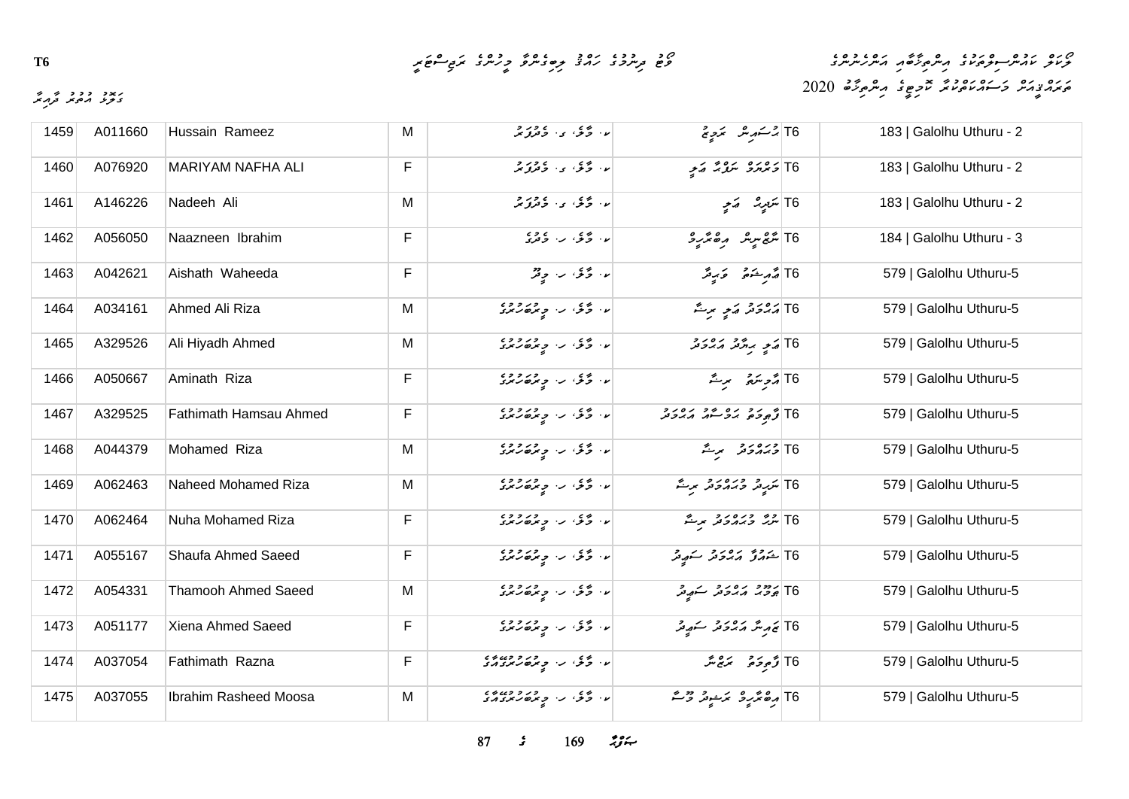*sCw7q7s5w7m< o<n9nOoAw7o< sCq;mAwBoEw7q<m; wBm;vB* م من المسجد المسجد المسجد المسجد المسجد العام 2020<br>مسجد المسجد المسجد المسجد المسجد المسجد المسجد المسجد المسجد ال

# *n8o<n@ q8qAq< q:uBmC*

| 1459 | A011660 | Hussain Rameez               | M           | ۱۰ گ <sup>و</sup> د کارونو کرونو کر | T6   پر شمېر شمه <del>ت</del> ر ترکم ته ترکيبو ته<br>موضوع الله ترکيبو ترکيبو ترکيبو ته | 183   Galolhu Uthuru - 2 |
|------|---------|------------------------------|-------------|-------------------------------------|-----------------------------------------------------------------------------------------|--------------------------|
| 1460 | A076920 | <b>MARIYAM NAFHA ALI</b>     | F           | ۱۰ د کې د کلولونو                   | T6 <i>وَيُرْدَى يَرَدْ بَيْ وَجِ</i>                                                    | 183   Galolhu Uthuru - 2 |
| 1461 | A146226 | Nadeeh Ali                   | M           | لا د څخه د کوتونونو                 | T6 <i>سَمِيدُ <sub>م</sub>َ</i> حٍ                                                      | 183   Galolhu Uthuru - 2 |
| 1462 | A056050 | Naazneen Ibrahim             | F           | ا د گري را وده                      | T6 يُرْجُ <sub>مِر</sub> يدُ مِنْ يُرْدِدُ                                              | 184   Galolhu Uthuru - 3 |
| 1463 | A042621 | Aishath Waheeda              | F           |                                     | T6 م <i>ەمبىشى ق ب</i> وت <i>گ</i>                                                      | 579   Galolhu Uthuru-5   |
| 1464 | A034161 | Ahmed Ali Riza               | M           | لا کامی را ویرکاری                  | T6 <i>גُرُوَتَرُ <sub>ه</sub>ُجٍ بِرِ</i> سُمُ                                          | 579   Galolhu Uthuru-5   |
| 1465 | A329526 | Ali Hiyadh Ahmed             | M           | لا په مختې له ولوړو ده              | T6 كەبىي بەيد <i>ۇر كەب</i> رىتىر                                                       | 579   Galolhu Uthuru-5   |
| 1466 | A050667 | Aminath Riza                 | $\mathsf F$ | لا کامی را و برگار ده               | T6 م <i>ُّوِسَعُ</i> مِنْ مِ                                                            | 579   Galolhu Uthuru-5   |
| 1467 | A329525 | Fathimath Hamsau Ahmed       | $\mathsf F$ | لا په مختې له ولوړو ده              | T6 ز <i>ُّېودَه ب</i> ُوسْه <i>پروند</i>                                                | 579   Galolhu Uthuru-5   |
| 1468 | A044379 | Mohamed Riza                 | M           | ر، وی ر، وبره ربرد                  | T6 <i>2222 برن</i> گ                                                                    | 579   Galolhu Uthuru-5   |
| 1469 | A062463 | Naheed Mohamed Riza          | M           | لا په مختې له ولوړو ده              | T6 سَرِية وَبَرَهْ وَلَا مِرْتٌهُ                                                       | 579   Galolhu Uthuru-5   |
| 1470 | A062464 | Nuha Mohamed Riza            | $\mathsf F$ | لا محتی را و پره ريږي               | T6  بزرٌ وُبَرَهُ وَبَدُ بِرِتٌهُ                                                       | 579   Galolhu Uthuru-5   |
| 1471 | A055167 | Shaufa Ahmed Saeed           | $\mathsf F$ | ر، وی ر، وبره ربرد                  | T6 خەرق <i>مەدەنى سەمەت</i> ر                                                           | 579   Galolhu Uthuru-5   |
| 1472 | A054331 | <b>Thamooh Ahmed Saeed</b>   | M           | ر، وی ر، وبره ربرد                  | T6 يۇ <i>جەن مەدەر سەي</i> تر                                                           | 579   Galolhu Uthuru-5   |
| 1473 | A051177 | <b>Xiena Ahmed Saeed</b>     | $\mathsf F$ | ر د محکمه را د د ده در د د د        | T6 ىج برىنگ ئ <i>ەبم</i> ۇتىل سى <i>م ب</i> ىر                                          | 579   Galolhu Uthuru-5   |
| 1474 | A037054 | Fathimath Razna              | F           | ر ده د د وروون ده د                 | T6 <i>وَّہ<sub>و</sub>حَہ بَدی م</i> َّد                                                | 579   Galolhu Uthuru-5   |
| 1475 | A037055 | <b>Ibrahim Rasheed Moosa</b> | M           | ر ده د د وروون د د د                | T6 <sub>م</sub> ەھ <i>ئۇر</i> ئىزىيەت ق <sup>ىم</sup>                                   | 579   Galolhu Uthuru-5   |

**87** *s* **169** *n***<sub>s</sub>***n***<sub>s</sub>**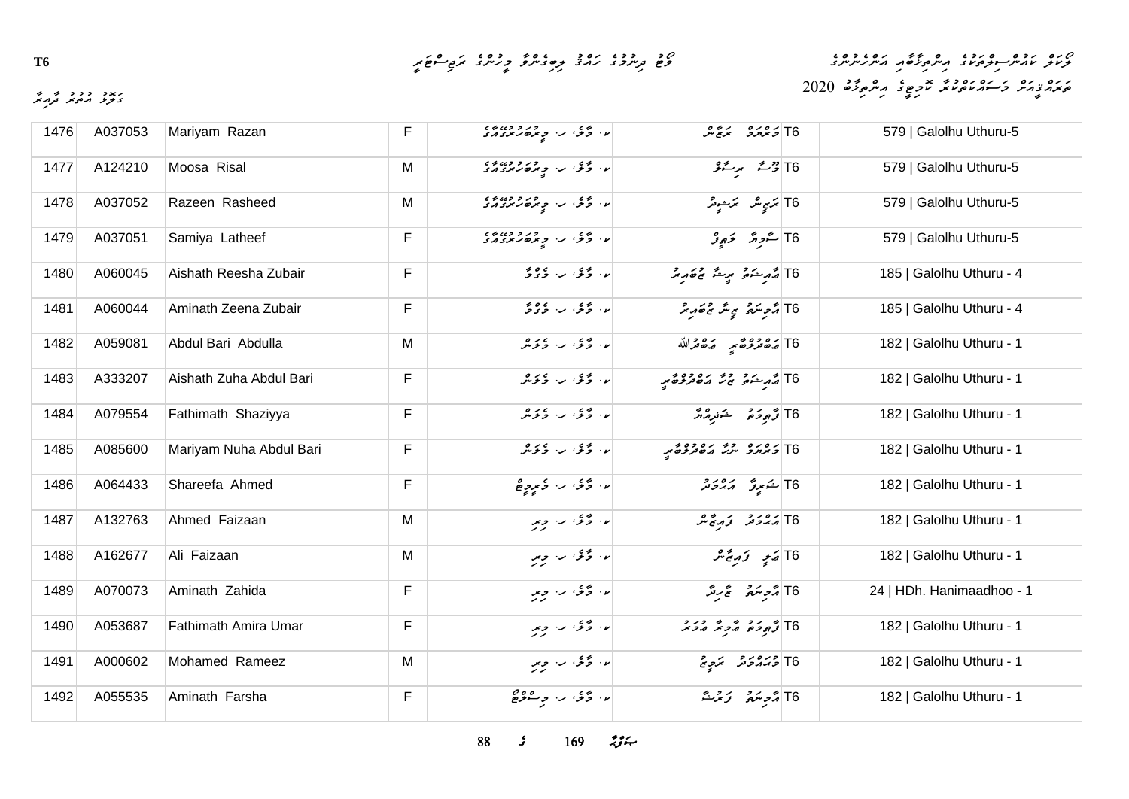*sCw7q7s5w7m< o<n9nOoAw7o< sCq;mAwBoEw7q<m; wBm;vB* م من المسجد المسجد المسجد المسجد المسجد العام 2020<br>مسجد المسجد المسجد المسجد المسجد المسجد المسجد المسجد المسجد ال

Ξ

| 1476 | A037053 | Mariyam Razan               | $\mathsf F$  | ر ده در درود ده ده د                                     | T6 <i>كەنگەنىڭ ئىنگەنل</i>                                                                                                                                                                                             | 579   Galolhu Uthuru-5    |
|------|---------|-----------------------------|--------------|----------------------------------------------------------|------------------------------------------------------------------------------------------------------------------------------------------------------------------------------------------------------------------------|---------------------------|
| 1477 | A124210 | Moosa Risal                 | M            |                                                          | T6_يو سمبر سنگر مورسند بر استقلاب استقلاب استقلاب استقلاب بر استقلاب بر استقلاب استقلاب بر استقلاب ا<br>مسابق استقلاب استقلاب استقلاب استقلاب استقلاب استقلاب بر استقلاب استقلاب استقلاب استقلاب استقلاب استقلاب استقل | 579   Galolhu Uthuru-5    |
| 1478 | A037052 | Razeen Rasheed              | M            | د به ده در دوره ده ده دارد.<br>د از گوش سند پره سر در در | T6 <i>بَرْبِي سُرَ جَرْشِ</i> و <i>تَر</i> ُ                                                                                                                                                                           | 579   Galolhu Uthuru-5    |
| 1479 | A037051 | Samiya Latheef              | F            | ני כבי גי בְישְמִי <i>בני בי</i>                         | T6 گر <i>ونڈ خوپ</i> و                                                                                                                                                                                                 | 579   Galolhu Uthuru-5    |
| 1480 | A060045 | Aishath Reesha Zubair       | $\mathsf F$  | ا د گري ر کاري کار                                       | T6 مُرمِشَمْ مِرِشَّہ تَمْعَهُ مِنْ                                                                                                                                                                                    | 185   Galolhu Uthuru - 4  |
| 1481 | A060044 | Aminath Zeena Zubair        | F            | ا د گري را ده ده کار                                     | T6 مُرجِسَمَ بِمِسَّر بِمُ <i>حَمدٍ بِ</i> رْ                                                                                                                                                                          | 185   Galolhu Uthuru - 4  |
| 1482 | A059081 | Abdul Bari Abdulla          | M            | ىر، بۇق، ب كۆتىگە                                        | T6 <i>مَـُـهُ مَرْحَرَّةً بِهِ</i> مَ <i>ـَـهُ مَ</i> رَاللّه                                                                                                                                                          | 182   Galolhu Uthuru - 1  |
| 1483 | A333207 | Aishath Zuha Abdul Bari     | $\mathsf F$  | ىر، ئۇق ب ئۇنۇنل                                         | T6 مُصِنْعَةِ مِنْ مَصْرُوْصَبِي                                                                                                                                                                                       | 182   Galolhu Uthuru - 1  |
| 1484 | A079554 | Fathimath Shaziyya          | F            | ىر، بۇي، ب بۇي بىر                                       | T6 <i>وَّجِوَدَة</i> شَو <i>َدِهْ</i> تَر                                                                                                                                                                              | 182   Galolhu Uthuru - 1  |
| 1485 | A085600 | Mariyam Nuha Abdul Bari     | F            | لا : 33 لا : 35 ش                                        | T6 د مره ده د موده مړ                                                                                                                                                                                                  | 182   Galolhu Uthuru - 1  |
| 1486 | A064433 | Shareefa Ahmed              | $\mathsf{F}$ | لا د څکې له د کاموده                                     | T6 ڪمبر <i>و پردو</i> تر                                                                                                                                                                                               | 182   Galolhu Uthuru - 1  |
| 1487 | A132763 | Ahmed Faizaan               | M            | ما گري را چېر                                            | T6 <i>ב</i> גى قەرىج ش                                                                                                                                                                                                 | 182   Galolhu Uthuru - 1  |
| 1488 | A162677 | Ali Faizaan                 | M            | ما گري را چېر                                            | T6 <i>ڇَجِ وَم</i> ِيءُ مَ <i>دُ</i>                                                                                                                                                                                   | 182   Galolhu Uthuru - 1  |
| 1489 | A070073 | Aminath Zahida              | F            | مار محتی ایراز وین                                       | T6 مُتَّحِسَّعَ تَجْرِمَّدُ                                                                                                                                                                                            | 24   HDh. Hanimaadhoo - 1 |
| 1490 | A053687 | <b>Fathimath Amira Umar</b> | $\mathsf F$  | لاستخرش الراجعي                                          | T6 <i>وُّجوحَہ مُ</i> حبۃ <i>مُحمَد</i>                                                                                                                                                                                | 182   Galolhu Uthuru - 1  |
| 1491 | A000602 | Mohamed Rameez              | M            | مار محتی ار، اوبر                                        | T6  <i>32,325 بَرْدِج</i>                                                                                                                                                                                              | 182   Galolhu Uthuru - 1  |
| 1492 | A055535 | Aminath Farsha              | F            | ر، دَگر، ر. دِسوچ                                        | T6 مَّرْمِتَهُ وَيَمْتُهُ                                                                                                                                                                                              | 182   Galolhu Uthuru - 1  |

**88** *s* **169** *n***<sub>s</sub>***n***<sub>s</sub>** 

ر **x و c c c c c c c c c c c c c c c**<br>*E <del>c c</del> c c c c c c c c c c c c c*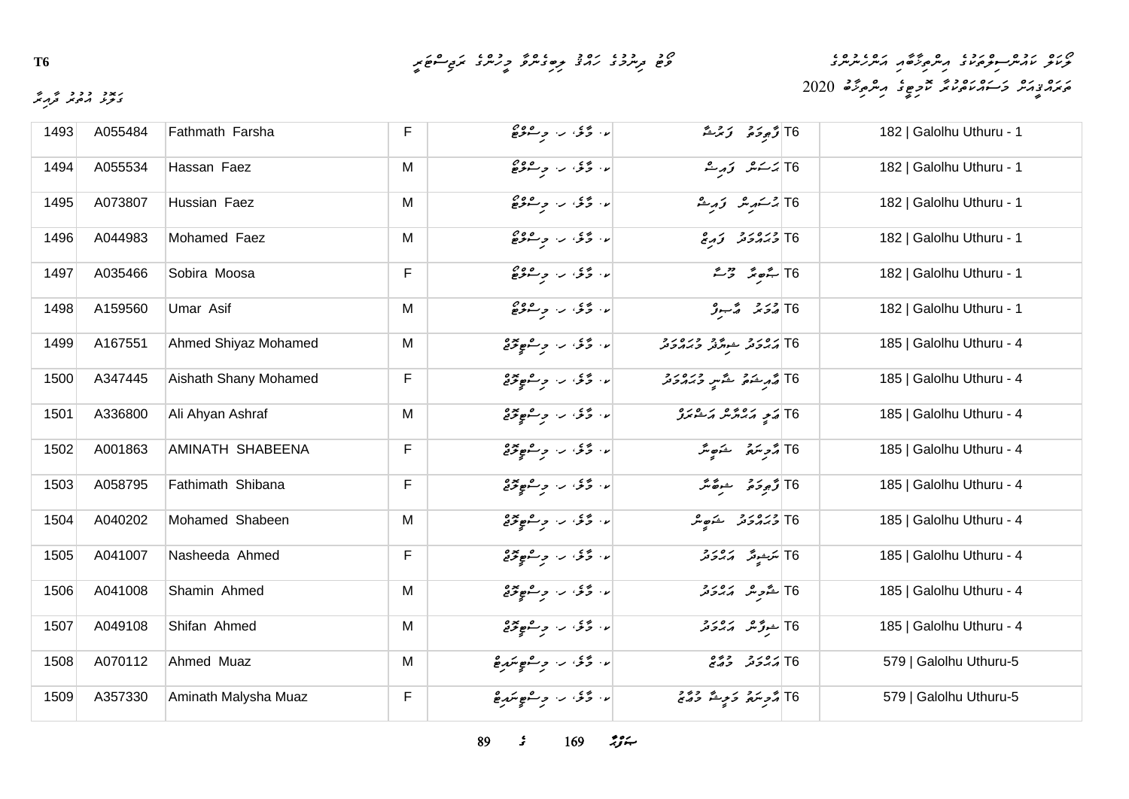*sCw7q7s5w7m< o<n9nOoAw7o< sCq;mAwBoEw7q<m; wBm;vB* م من المسجد المسجد المسجد المسجد المسجد العام 2020<br>مسجد المسجد المسجد المسجد المسجد المسجد المسجد المسجد المسجد ال

# *n8o<n@ q8qAq< q:uBmC*

| 1493 | A055484 | Fathmath Farsha       | F            | پار د محرکې او رسوده                                                                                                                                                                                                                                                                                                                                                                                                            | T6 <i>وُّهِ دَمَّةَ وَبَ</i> رْتُ                                       | 182   Galolhu Uthuru - 1 |
|------|---------|-----------------------|--------------|---------------------------------------------------------------------------------------------------------------------------------------------------------------------------------------------------------------------------------------------------------------------------------------------------------------------------------------------------------------------------------------------------------------------------------|-------------------------------------------------------------------------|--------------------------|
| 1494 | A055534 | Hassan Faez           | M            | ، دُبی را وسعود                                                                                                                                                                                                                                                                                                                                                                                                                 | T6 يَرْسَشْ وَمِثْ                                                      | 182   Galolhu Uthuru - 1 |
| 1495 | A073807 | Hussian Faez          | M            | لا : وَتَوْا لا وِسُبُوْرَةِ ا                                                                                                                                                                                                                                                                                                                                                                                                  | T6 يُرسَم <i>هِ بْنْ</i> وَمِيشْرِ                                      | 182   Galolhu Uthuru - 1 |
| 1496 | A044983 | Mohamed Faez          | M            | ، دُبی را وسعود                                                                                                                                                                                                                                                                                                                                                                                                                 | T6 <i>جنہ جنگ تی ہ</i> ی                                                | 182   Galolhu Uthuru - 1 |
| 1497 | A035466 | Sobira Moosa          | $\mathsf F$  | لا د محمد را به د حامزدها                                                                                                                                                                                                                                                                                                                                                                                                       | $23$ $-20$ $-16$                                                        | 182   Galolhu Uthuru - 1 |
| 1498 | A159560 | Umar Asif             | M            | ، دَی، را دِسوچ                                                                                                                                                                                                                                                                                                                                                                                                                 | T6 <i>مذکر مہ</i> ی ہو                                                  | 182   Galolhu Uthuru - 1 |
| 1499 | A167551 | Ahmed Shiyaz Mohamed  | M            | لا المحتى له وبالمعوفة                                                                                                                                                                                                                                                                                                                                                                                                          | T6 كەندى ئىي ئەرەبەد ئەرەبەد                                            | 185   Galolhu Uthuru - 4 |
| 1500 | A347445 | Aishath Shany Mohamed | F            | $\left  \begin{array}{ccc} \mathbf{1} & \mathbf{1} & \mathbf{1} & \mathbf{1} & \mathbf{1} & \mathbf{1} & \mathbf{1} & \mathbf{1} & \mathbf{1} & \mathbf{1} & \mathbf{1} & \mathbf{1} & \mathbf{1} & \mathbf{1} & \mathbf{1} & \mathbf{1} & \mathbf{1} & \mathbf{1} & \mathbf{1} & \mathbf{1} & \mathbf{1} & \mathbf{1} & \mathbf{1} & \mathbf{1} & \mathbf{1} & \mathbf{1} & \mathbf{1} & \mathbf{1} & \mathbf{1} & \mathbf{1}$ | T6 مُرمِشَمُ شُمْسٍ وَبَرَمُ وَبَر                                      | 185   Galolhu Uthuru - 4 |
| 1501 | A336800 | Ali Ahyan Ashraf      | M            | $\epsilon$ ، دَ دَ ، را دِ سُعِ دَ ج                                                                                                                                                                                                                                                                                                                                                                                            | T6 كەبىر كەش <i>ەڭگە</i> كەشلىرى                                        | 185   Galolhu Uthuru - 4 |
| 1502 | A001863 | AMINATH SHABEENA      | F            | لا : د کال الله الله عليه عليه الله الله عليه الله الله عليه الله عليه الله عليه الله عليه الله عل                                                                                                                                                                                                                                                                                                                              | T6 مُرْحِسَة شَوِسُّ                                                    | 185   Galolhu Uthuru - 4 |
| 1503 | A058795 | Fathimath Shibana     | $\mathsf{F}$ | ر، د دې ر، <sub>م</sub> ر ش <sub>ک</sub> ونځ                                                                                                                                                                                                                                                                                                                                                                                    | T6 <i>وَّجِوَدَة</i> ش <sub>ِع</sub> قَةً                               | 185   Galolhu Uthuru - 4 |
| 1504 | A040202 | Mohamed Shabeen       | M            | الا د څخه له د چالندونو                                                                                                                                                                                                                                                                                                                                                                                                         | T6 <i>ۇنەم دۇر</i> خوم <i>بار</i>                                       | 185   Galolhu Uthuru - 4 |
| 1505 | A041007 | Nasheeda Ahmed        | $\mathsf F$  | ر، دُبُو، ر. وِڪھوڻ                                                                                                                                                                                                                                                                                                                                                                                                             | T6 سَرَجومَد كَ <i>مَدْوَ</i> مْرَ                                      | 185   Galolhu Uthuru - 4 |
| 1506 | A041008 | Shamin Ahmed          | M            | $ v ^2$ لا، دَّکَنْ ر، دِ سُعِوَتَهِ $ v $                                                                                                                                                                                                                                                                                                                                                                                      | T6 ڪُ <i>وبر مذون</i> ر                                                 | 185   Galolhu Uthuru - 4 |
| 1507 | A049108 | Shifan Ahmed          | M            | الا المحتى المراج من المعرض بعد المراجع بالمراجع المراجع المراجع المراجع المراجع المراجع المراجع ال                                                                                                                                                                                                                                                                                                                             | T6 خىر <i>ۇنتى مەمەدى</i> ر                                             | 185   Galolhu Uthuru - 4 |
| 1508 | A070112 | Ahmed Muaz            | M            | ر، دُکو، ر، دِکھوسکر کا                                                                                                                                                                                                                                                                                                                                                                                                         | $\begin{array}{cc} 0 & 2 & 2 & 2 & 16 \ 6 & 2 & 2 & 2 & 16 \end{array}$ | 579   Galolhu Uthuru-5   |
| 1509 | A357330 | Aminath Malysha Muaz  | $\mathsf F$  | الاستحق المساح والشوائع مترام فالمحمد                                                                                                                                                                                                                                                                                                                                                                                           | T6 مُرمِنعُمْ وَمِيشٌ وَمُدَّجْ                                         | 579   Galolhu Uthuru-5   |

**89** *s* **169** *n***<sub>s</sub>**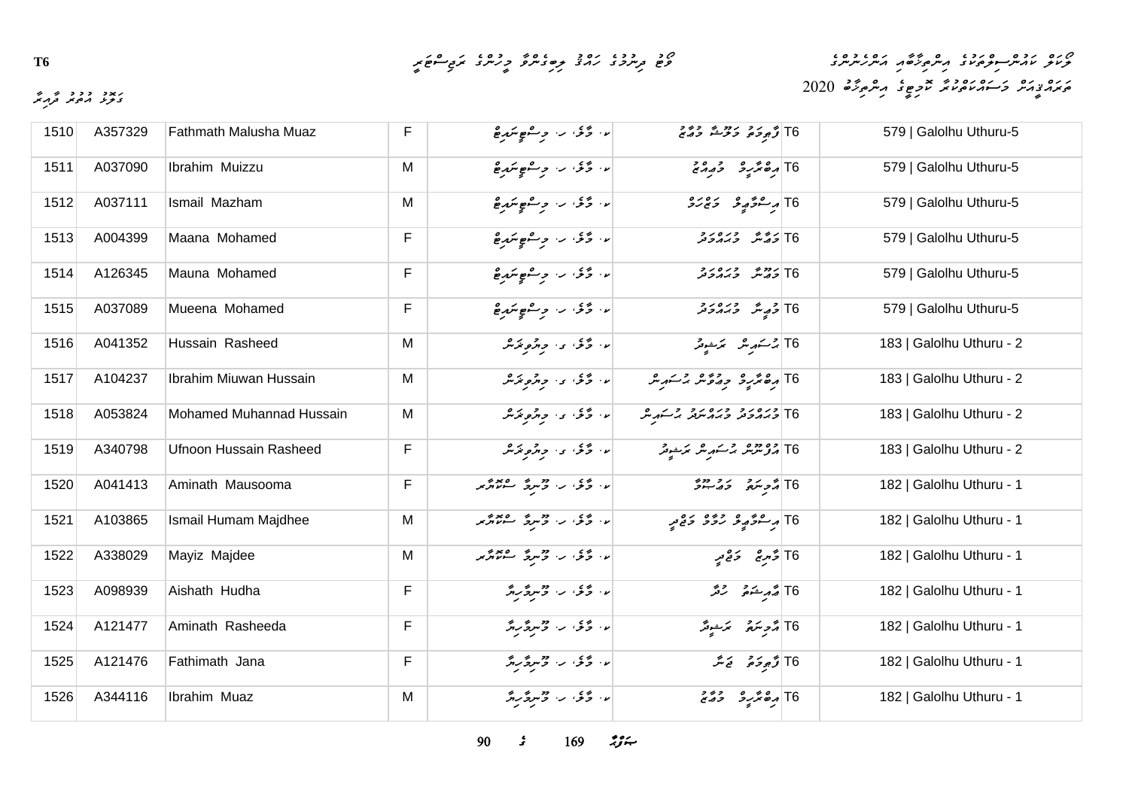*sCw7q7s5w7m< o<n9nOoAw7o< sCq;mAwBoEw7q<m; wBm;vB 2020*<br>*په پوهر وسوډيرونو لومو د موجو د مرمونه* 2020

| 1510 | A357329 | <b>Fathmath Malusha Muaz</b>  | F | لا المحكى الماد وسقو غرم كان من        | T6 رُّج <i>ودَهُ دَوْنَهُ دَوْنَ</i>                  | 579   Galolhu Uthuru-5   |
|------|---------|-------------------------------|---|----------------------------------------|-------------------------------------------------------|--------------------------|
| 1511 | A037090 | Ibrahim Muizzu                | M | $e$ الا ، وَكَوْا را وِسْمَعِ سَمْدِعْ | T6 مەھ <i>مگىرى ئىم</i> مى                            | 579   Galolhu Uthuru-5   |
| 1512 | A037111 | Ismail Mazham                 | M | $e$ ، دَکَرُ، ر $e$ و گوشهر            | T6م س <i>تموه و محمده</i>                             | 579   Galolhu Uthuru-5   |
| 1513 | A004399 | Maana Mohamed                 | F | $e$ ، دَکَرُ، ر $e$ و گوشهر            | T6 كەنگەر قايرە <i>دى</i> ر                           | 579   Galolhu Uthuru-5   |
| 1514 | A126345 | Mauna Mohamed                 | F | لا المحكى الماد والشوائع مكرم هي       | T6 <i>خەشىر دېم</i> مىزلىر                            | 579   Galolhu Uthuru-5   |
| 1515 | A037089 | Mueena Mohamed                | F | لا المحكى له وسكوم مكرم ع              | T6ږ <i>مږ مګر د جمه څو</i> ند                         | 579   Galolhu Uthuru-5   |
| 1516 | A041352 | Hussain Rasheed               | M | الاستخفى المساج وتركو يتماش            | T6 پرڪ <i>رمبر پرڪونر</i>                             | 183   Galolhu Uthuru - 2 |
| 1517 | A104237 | Ibrahim Miuwan Hussain        | M | ئار گەنگە كەر بولىرى ئىگەنگە           | T6 مەھ <i>مگىرى جەم</i> ۇش برگىتمبرىش                 | 183   Galolhu Uthuru - 2 |
| 1518 | A053824 | Mohamed Muhannad Hussain      | M | ئار گەنگە كەر بولىرىم ئىگەنگە          | T6 ديره در ديروندو ديگريگر                            | 183   Galolhu Uthuru - 2 |
| 1519 | A340798 | <b>Ufnoon Hussain Rasheed</b> | F | الاستخفى المساج وقرما يتماش            | T6 <mark>ەزىرىنى جاسەرىنى مەھم</mark> ىد              | 183   Galolhu Uthuru - 2 |
| 1520 | A041413 | Aminath Mausooma              | F | لا ومحق را وهم ومحمد المسلم المسلم     | T6 مُجِسَعُ حَمْضَةً مَنْ                             | 182   Galolhu Uthuru - 1 |
| 1521 | A103865 | <b>Ismail Humam Majdhee</b>   | M | لا وی را وطبرهٔ المعامل                | T6 <sub>م</sub> رےد <i>ۇ<sub>م</sub>ىۋىردۇ</i> ئىق بر | 182   Galolhu Uthuru - 1 |
| 1522 | A338029 | Mayiz Majdee                  | M | ر، وی را در در در ۱۳۶۵                 | T6 گ <i>زم</i> ج گھور                                 | 182   Galolhu Uthuru - 1 |
| 1523 | A098939 | Aishath Hudha                 | F | لا : وَكُوْا لِ الْمُسْتَوَلِيمُ       | T6 <i>مُقدِسْدَة رَقَّدُ</i>                          | 182   Galolhu Uthuru - 1 |
| 1524 | A121477 | Aminath Rasheeda              | F | لا د محمود از محسور محمد بر            | T6 مُرْحِسَمُ مَنْ مِرْدِمُ                           | 182   Galolhu Uthuru - 1 |
| 1525 | A121476 | Fathimath Jana                | F | لا : وَكُوْا لا وَيُسِرِّرُ بِهُرُ     | T6 <i>وُّجِ دَءُ</i> ت <sub>َ</sub> تَرَ              | 182   Galolhu Uthuru - 1 |
| 1526 | A344116 | Ibrahim Muaz                  | M | لا : وَفَوْا لا وَسِروَنِهِ            | T6 <sub>م</sub> ەنگەپ <sup>و</sup> جەمم               | 182   Galolhu Uthuru - 1 |

# *n8o<n@ q8qAq< q:uBmC*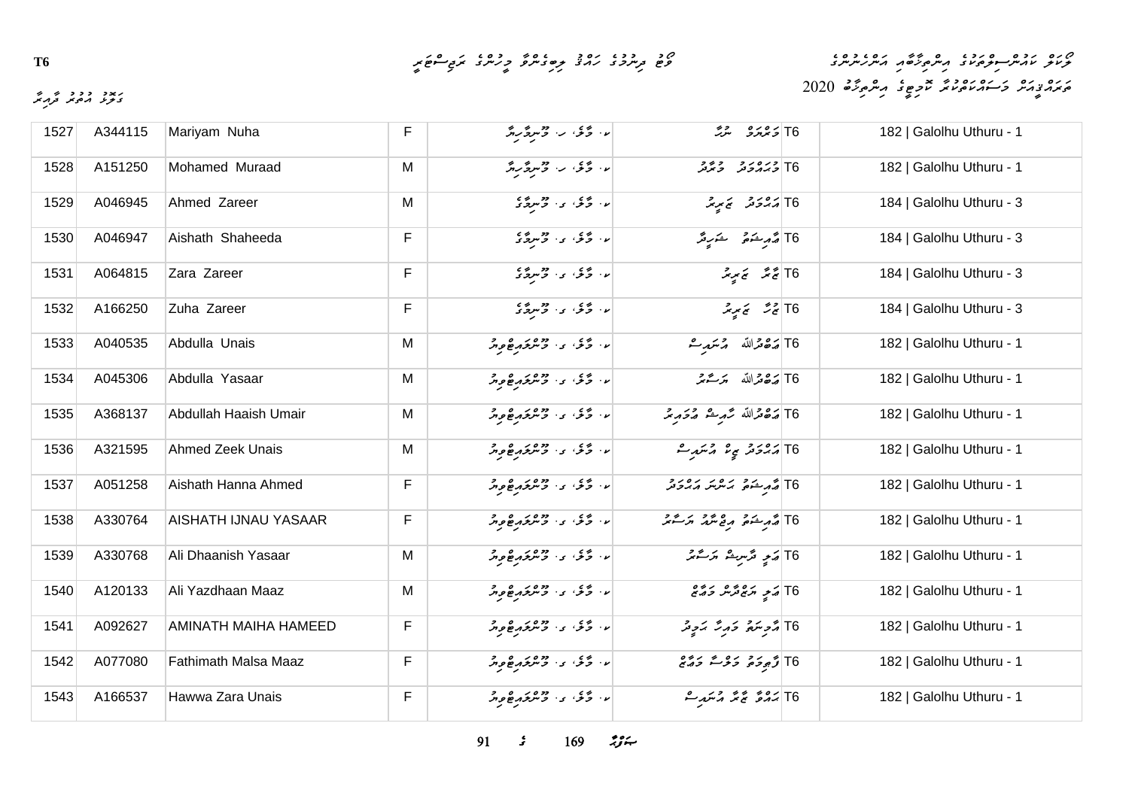*sCw7q7s5w7m< o<n9nOoAw7o< sCq;mAwBoEw7q<m; wBm;vB 2020<sup>, م</sup>وسر در مدد مدرج به مدرم مقرم قرار 2020*<br>موسر المستقرم المستقرم المستقرم المستقرم المستقرم المستقرم المستقرم المستقرم المستقرم المستقرم المستقرم المستقر

| 1527 | A344115 | Mariyam Nuha            | F | لا : وَكُوْا لِ الْمُحْسِرَةُ رِيزٌ | T6 ك <i>ويورو مرمَّ</i>                                      | 182   Galolhu Uthuru - 1 |
|------|---------|-------------------------|---|-------------------------------------|--------------------------------------------------------------|--------------------------|
| 1528 | A151250 | Mohamed Muraad          | M | لا : وَكُوْا لِ الْمُحْسِرَةُ رِيزٌ | T6 <i>ڈیزویز ڈیٹر</i>                                        | 182   Galolhu Uthuru - 1 |
| 1529 | A046945 | Ahmed Zareer            | M | ۱۰ وگی د وسروه                      | T6 <i>ټرې ترې تن</i> ې تر تنه                                | 184   Galolhu Uthuru - 3 |
| 1530 | A046947 | Aishath Shaheeda        | F | ۱۰ وگی که وسروی                     | T6 <i>مُفْہِ حَمَّةٍ حَمَّدٍ م</i> ُّ                        | 184   Galolhu Uthuru - 3 |
| 1531 | A064815 | Zara Zareer             | F | ۱۰ وگی د وسروه                      | T6 تج تج تج بريز                                             | 184   Galolhu Uthuru - 3 |
| 1532 | A166250 | Zuha Zareer             | F | لا د څخه د د څېړنده                 | T6 <i>بی ڈ</i> ب <sub>ے می</sub> ٹر                          | 184   Galolhu Uthuru - 3 |
| 1533 | A040535 | Abdulla Unais           | M | ١٠ وګڼ د وسروروه و                  | T6 كەھىراللە ك <i>ەسم</i> ەت                                 | 182   Galolhu Uthuru - 1 |
| 1534 | A045306 | Abdulla Yasaar          | M | ر، دی، در دوره و د                  | T6 كَمْ قْدْرَاللّه مَرْسَّمْتُمْ                            | 182   Galolhu Uthuru - 1 |
| 1535 | A368137 | Abdullah Haaish Umair   | M | ١٠ د د ٢ د ٢ د ٩ د ٩ د م            | T6 كَمَى مَّدَاللَّهُ كَ <sub>مَ</sub> مِيْشْ كَمَرْدَمِيْرَ | 182   Galolhu Uthuru - 1 |
| 1536 | A321595 | <b>Ahmed Zeek Unais</b> | M | ر، دی، د. دوم ده د                  | T6 <i>גُ.څَ.څر پی</i> مُسَمَّدٍ شَمَ                         | 182   Galolhu Uthuru - 1 |
| 1537 | A051258 | Aishath Hanna Ahmed     | F | ١٠ وګڼ د وسروره ور                  | T6 مەم شەم ئەش <i>ىر مەدە</i> م                              | 182   Galolhu Uthuru - 1 |
| 1538 | A330764 | AISHATH IJNAU YASAAR    | F | ١٠ وګڼ د وسروروه و                  | T6 مُدِينَة دِيمْ مُدَ مَرَ يَمْ حَمَدَ                      | 182   Galolhu Uthuru - 1 |
| 1539 | A330768 | Ali Dhaanish Yasaar     | M | ١٠ وګڼ د وسروره ومړ                 | T6 كمبر مگسرىشە م <i>رَسَّة م</i> ُ                          | 182   Galolhu Uthuru - 1 |
| 1540 | A120133 | Ali Yazdhaan Maaz       | M | ١٠ وګڼ د وسروروه و                  | T6 <i>ڇَجِ جَنَّ جَرَمَّنَ جَهُنَّ</i> ج                     | 182   Galolhu Uthuru - 1 |
| 1541 | A092627 | AMINATH MAIHA HAMEED    | F | لا د څخه د د چېروه هوم              | T6 مٌوِسَمَةٌ  وَمِرتٌ  بَرَوِيْرٌ                           | 182   Galolhu Uthuru - 1 |
| 1542 | A077080 | Fathimath Malsa Maaz    | F |                                     | T6 ۇ <sub>ج</sub> وخۇ خ <sup>و</sup> شە خەمە                 | 182   Galolhu Uthuru - 1 |
| 1543 | A166537 | Hawwa Zara Unais        | F |                                     | T6 ئەمگە ئۇ ئامگىرىشى ئىسىمبەت بىر                           | 182   Galolhu Uthuru - 1 |

*91 sC 169 nNw?mS*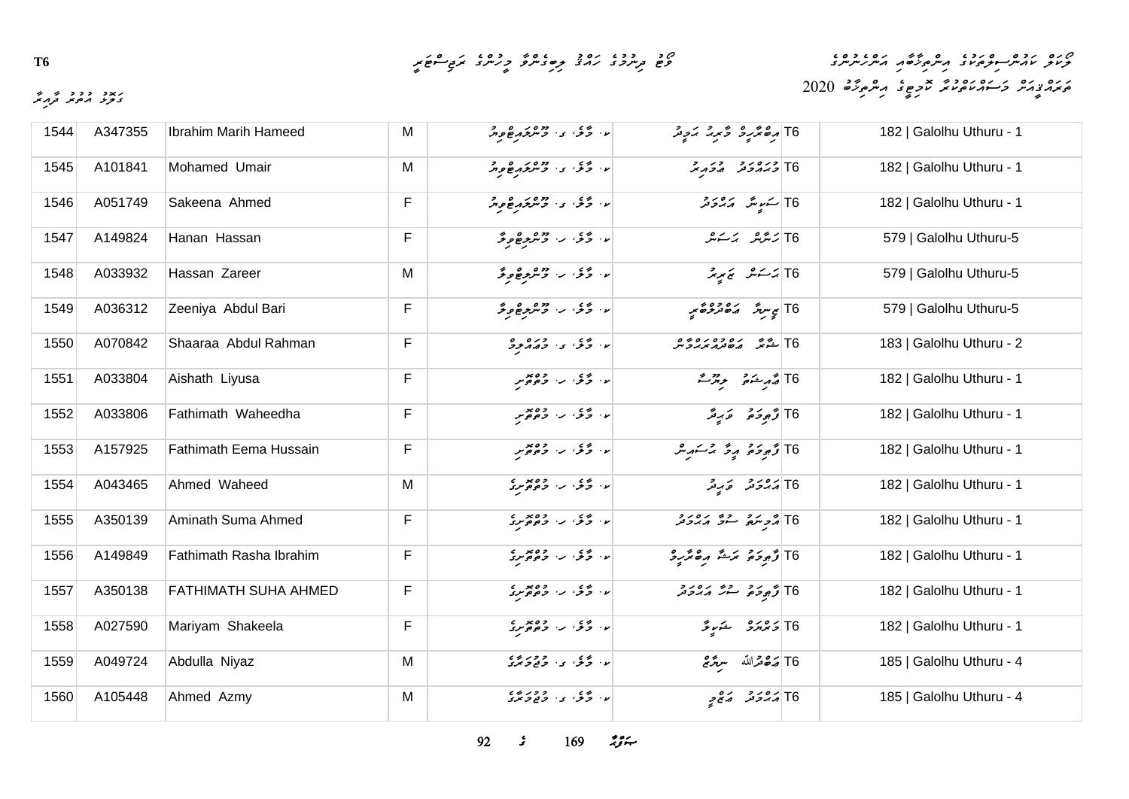*sCw7q7s5w7m< o<n9nOoAw7o< sCq;mAwBoEw7q<m; wBm;vB* م من المرة المرة المرة المرجع المرجع في المركبة 2020<br>مجم*د المريض المربوط المربع المرجع في المراجع المركبة* 

|  |  | $\theta$ $\theta$ $\theta$ $\theta$ $\theta$ $\theta$ $\theta$ |  |
|--|--|----------------------------------------------------------------|--|
|  |  | ىوى مەير ىرمىر                                                 |  |

| 1544 | A347355 | Ibrahim Marih Hameed        | M           | پار د محمد کی د محمد محمد الله د محمد الله د محمد کل د محمد کل د محمد کل استان کل د محمد الله د محمد الله د | T6  رەڭرىرى <i>دۇبرق ئ</i> وپۇ                | 182   Galolhu Uthuru - 1 |
|------|---------|-----------------------------|-------------|-------------------------------------------------------------------------------------------------------------|-----------------------------------------------|--------------------------|
| 1545 | A101841 | Mohamed Umair               | M           | ر، وَکَیْ کَ وَسَرَحَهِ جَمِعَهِ                                                                            | T6 <i>جُهُدُو دُوَ مُحَمِيثُ</i>              | 182   Galolhu Uthuru - 1 |
| 1546 | A051749 | Sakeena Ahmed               | F           | پارستخ کی دور و د                                                                                           | T6 س <i>ے پیڈ پر پرو</i> تر                   | 182   Galolhu Uthuru - 1 |
| 1547 | A149824 | Hanan Hassan                | $\mathsf F$ | ، دُکِّ، را دُمُروعُ وگُر                                                                                   | T6 زیگران <sub>پرسک</sub> ر                   | 579   Galolhu Uthuru-5   |
| 1548 | A033932 | Hassan Zareer               | M           | لا د څخه لار د وگرموغ و څ                                                                                   | T6  ټرسنګر    ټمپر <i>یڅ</i>                  | 579   Galolhu Uthuru-5   |
| 1549 | A036312 | Zeeniya Abdul Bari          | $\mathsf F$ | لا د د د ار د د د د و د د                                                                                   | T6 <sub>مج</sub> سرد مقصر دقوم پ              | 579   Galolhu Uthuru-5   |
| 1550 | A070842 | Shaaraa Abdul Rahman        | F           |                                                                                                             | T6 شَرَّرٌ <i>مَرْه دِهِ بِرِيرُ دُ</i> رُّ   | 183   Galolhu Uthuru - 2 |
| 1551 | A033804 | Aishath Liyusa              | F           | ر، دې ر. ده پو                                                                                              | T6 مُرمِّسَمُ مِ <i>رْبَّ</i>                 | 182   Galolhu Uthuru - 1 |
| 1552 | A033806 | Fathimath Waheedha          | $\mathsf F$ | لا د څخه له د وي.                                                                                           | T6 <i>وَّجِ حَمَّى وَبِ</i> قَر               | 182   Galolhu Uthuru - 1 |
| 1553 | A157925 | Fathimath Eema Hussain      | $\mathsf F$ | ر، دې ر. ده پو                                                                                              | T6 <i>وُجوحَۃ دِوُ بُن</i> َ <i>مَربِّرٌ</i>  | 182   Galolhu Uthuru - 1 |
| 1554 | A043465 | Ahmed Waheed                | M           | ر، ده ده ده ده ده ده د                                                                                      | T6 <i>גَ بُرْدَ تَدْ وَبِ</i> تْر             | 182   Galolhu Uthuru - 1 |
| 1555 | A350139 | Aminath Suma Ahmed          | F           | ر، دهی را ده ده د                                                                                           | T6 مُرجِسَمُ صَبَرَّ مَ <sup>رو</sup> دَة     | 182   Galolhu Uthuru - 1 |
| 1556 | A149849 | Fathimath Rasha Ibrahim     | $\mathsf F$ | ر، ده ده ده ده ده د                                                                                         | T6 <i>وُجوح</i> م مَٿُ مِڻ <i>مُرِ وُ</i>     | 182   Galolhu Uthuru - 1 |
| 1557 | A350138 | <b>FATHIMATH SUHA AHMED</b> | $\mathsf F$ | لا د څخه له ده وه دی                                                                                        | T6 <i>وُّجِودَ ۾ 'سُدُ</i> م <i>ُ</i> مُدونر  | 182   Galolhu Uthuru - 1 |
| 1558 | A027590 | Mariyam Shakeela            | F           | ر، حي ر، وه ده د                                                                                            | T6 كەنگەنى ئىقلىدىگە                          | 182   Galolhu Uthuru - 1 |
| 1559 | A049724 | Abdulla Niyaz               | M           |                                                                                                             | T6 مَ <b>ـُوت</b> رالله س <del>رتَرْ</del> يح | 185   Galolhu Uthuru - 4 |
| 1560 | A105448 | Ahmed Azmy                  | M           | ر وي د ووره ده.<br>د گواد وقع و برو                                                                         | T6  <i>كەبۇچۇ كەلچ</i> چ                      | 185   Galolhu Uthuru - 4 |

*92 s* 169 *i*<sub>s</sub> $\approx$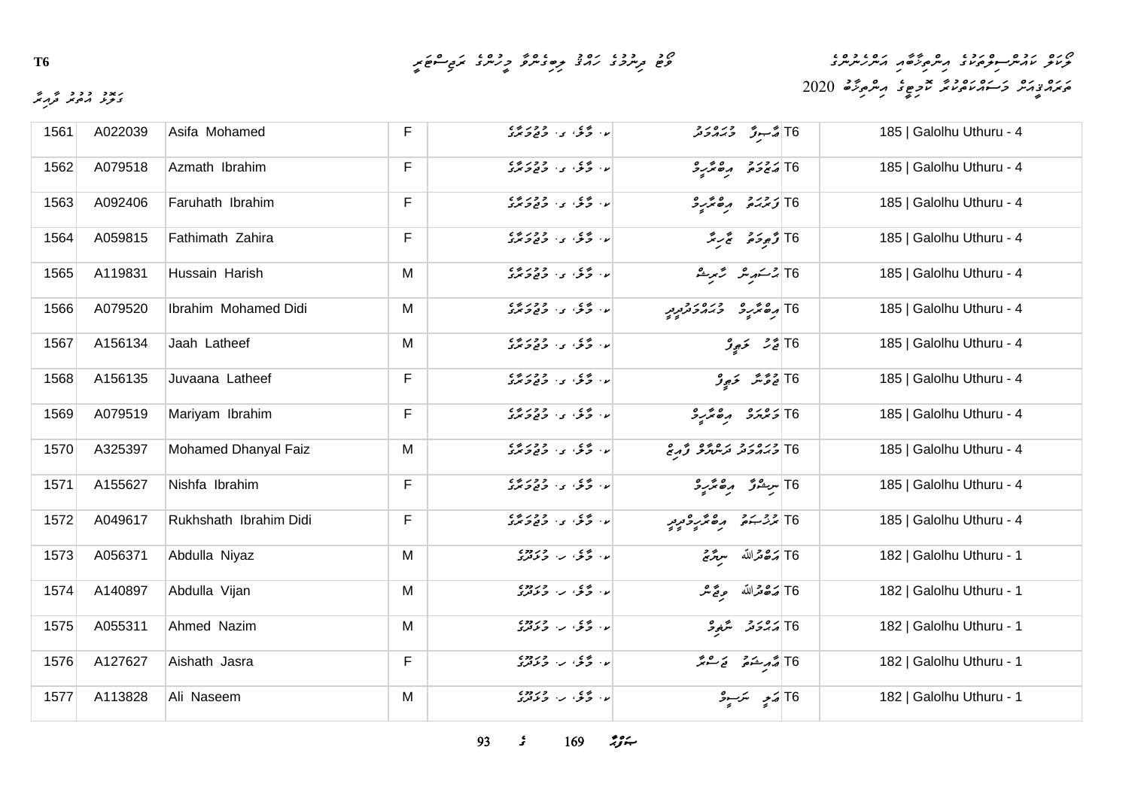*sCw7q7s5w7m< o<n9nOoAw7o< sCq;mAwBoEw7q<m; wBm;vB* م من المسجد المسجد المسجد المسجد المسجد العام 2020<br>مسجد المسجد المسجد المسجد المسجد المسجد المسجد المسجد المسجد ال

# *n8o<n@ q8qAq< q:uBmC*

| 1561 | A022039 | Asifa Mohamed          | F           | ر، گري، <sub>ک</sub> ار وري.<br>را، گري، را وقع <i>و</i> ين | T6 مُسِبِرٌ حَ <i>بَيْ</i> دُدَنْدُ                                                                  | 185   Galolhu Uthuru - 4 |
|------|---------|------------------------|-------------|-------------------------------------------------------------|------------------------------------------------------------------------------------------------------|--------------------------|
| 1562 | A079518 | Azmath Ibrahim         | $\mathsf F$ | ر د محکي د د وورون<br>راس گرگي د د وقع ويمرو                | T6 <i>مُتحدَّد</i> مِصْرَّرِدْ                                                                       | 185   Galolhu Uthuru - 4 |
| 1563 | A092406 | Faruhath Ibrahim       | F           | ر وي د ووره ده.<br>د گول د وقوم برد                         | T6 <i>ۇندىنۇ م</i> ەشرىۋ                                                                             | 185   Galolhu Uthuru - 4 |
| 1564 | A059815 | Fathimath Zahira       | F           | د وي د وره د<br>د گول د وقع و برد                           | T6 <i>وَّجِ دَمَعْ</i> تَجْرِيمُ                                                                     | 185   Galolhu Uthuru - 4 |
| 1565 | A119831 | Hussain Harish         | M           | ر د کال د ورور و د ورون<br>د ارگوار و و و و برو             | T6 يُرْسَمْ مِيْرِ مُسْتَمَدِ عَلَيْهِ مِيْتَ مِيْتَ مِيْتَ مِيْتَ مِيْتَ مِيْتَ مِيْتَ مِيْتَ مِيْت | 185   Galolhu Uthuru - 4 |
| 1566 | A079520 | Ibrahim Mohamed Didi   | M           | د وي د ووروه<br>د وگوا د وقع ويمرو                          | T6 رە ئرىر ئىم ئىم ئىس ئىس                                                                           | 185   Galolhu Uthuru - 4 |
| 1567 | A156134 | Jaah Latheef           | M           | ر، ن <sup>ج</sup> وی که ووره پا                             | T6 قى <sup>مى</sup> ئىچ <i>ە</i> نى                                                                  | 185   Galolhu Uthuru - 4 |
| 1568 | A156135 | Juvaana Latheef        | F           | د وي د وره ده<br>د گول د وقع و برد                          | T6 تحر <sup>و</sup> گ تر <i>بو</i> ژ                                                                 | 185   Galolhu Uthuru - 4 |
| 1569 | A079519 | Mariyam Ibrahim        | $\mathsf F$ | د د کلي د د ود ود.<br>د گلي د وقع ونړو                      | T6 <i>كاندىرى مەھەرگى</i>                                                                            | 185   Galolhu Uthuru - 4 |
| 1570 | A325397 | Mohamed Dhanyal Faiz   | M           | ر وي د ووره ده.<br>د گواد وقع و برو                         | T6 <i>ديرور د بروژو ژب</i> رج                                                                        | 185   Galolhu Uthuru - 4 |
| 1571 | A155627 | Nishfa Ibrahim         | F           | د د کلي د د ود ود.<br>د گلي د وقع ونړو                      | T6 سِيشرَنَ مِنْ مَرْسِرَةِ                                                                          | 185   Galolhu Uthuru - 4 |
| 1572 | A049617 | Rukhshath Ibrahim Didi | $\mathsf F$ | د د کې د دوروه<br>د گول د وق ويون                           | T6 برز جنوبه مرگ <i>م برد ور</i> مر                                                                  | 185   Galolhu Uthuru - 4 |
| 1573 | A056371 | Abdulla Niyaz          | M           | ر، د کې ر. وروده                                            | T6 كەنگەللە س <i>ىڭ ئى</i>                                                                           | 182   Galolhu Uthuru - 1 |
| 1574 | A140897 | Abdulla Vijan          | M           | ر، ده و.<br>د ارگو، ب ولاترو                                | T6 كَرْھْ مْرَاللّه مِقْ مْر                                                                         | 182   Galolhu Uthuru - 1 |
| 1575 | A055311 | Ahmed Nazim            | M           | د گرگان ورده د                                              | T6 <i>בَ بُدْدَ</i> قَرْ سُمْبِر مُحْ                                                                | 182   Galolhu Uthuru - 1 |
| 1576 | A127627 | Aishath Jasra          | F           | ر، ده و.<br>د ارگو، ب ولاترو                                | T6 م <i>مَّ مِ</i> شَمَّ مَحَ سَمَّدَ                                                                | 182   Galolhu Uthuru - 1 |
| 1577 | A113828 | Ali Naseem             | M           | د . و و .<br>د . و و . ر . و د ترو                          | T6 <i>ڇُجِ سَرَ-ڀ</i> وُ                                                                             | 182   Galolhu Uthuru - 1 |

**93** *s* **169** *n***<sub>3</sub>***n***<sub>1</sub></sup>**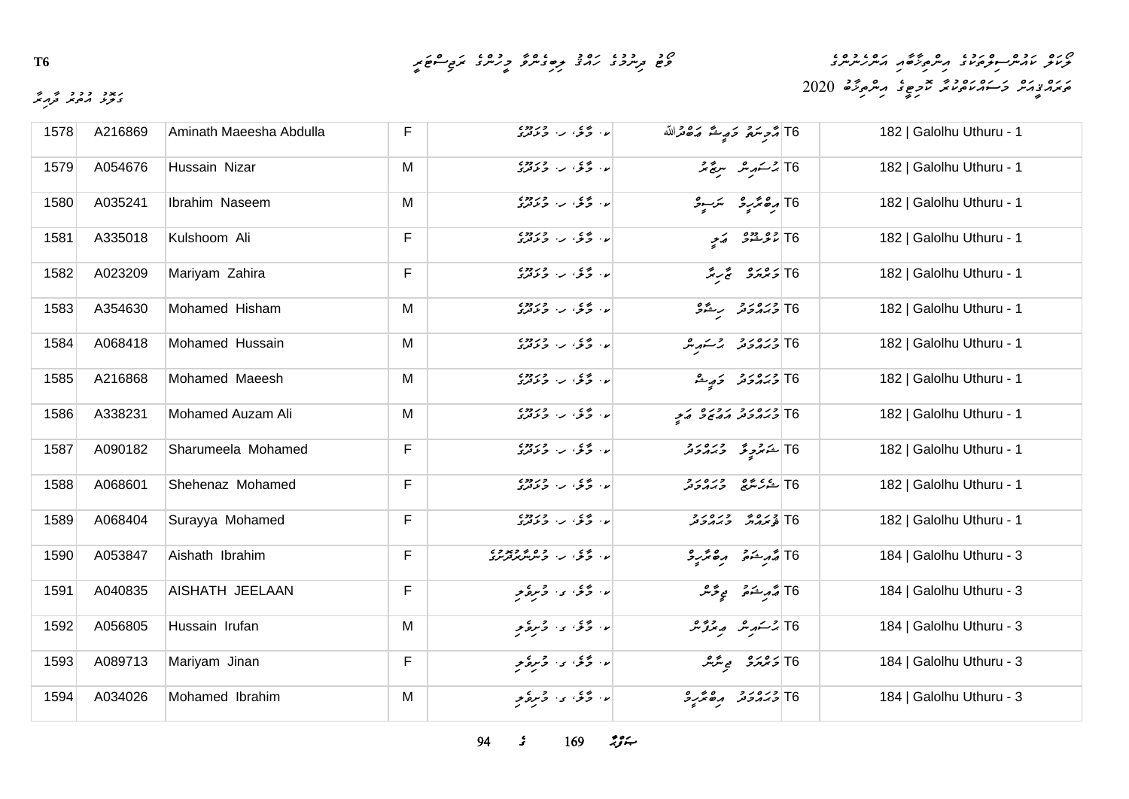*sCw7q7s5w7m< o<n9nOoAw7o< sCq;mAwBoEw7q<m; wBm;vB* م من المسجد المسجد المسجد المسجد المسجد العام 2020<br>مسجد المسجد المسجد المسجد المسجد المسجد المسجد المسجد المسجد ال

# *n8o<n@ q8qAq< q:uBmC*

| 1578 | A216869 | Aminath Maeesha Abdulla | F           | ر د نخوی ر وروه د                        | T6  تَرْحِ سَمَعَ = صَحْبَ = سَرْحَةَ سَرْاللّهِ                                                                                                                                                                                    | 182   Galolhu Uthuru - 1 |
|------|---------|-------------------------|-------------|------------------------------------------|-------------------------------------------------------------------------------------------------------------------------------------------------------------------------------------------------------------------------------------|--------------------------|
| 1579 | A054676 | Hussain Nizar           | M           | ر و وده<br>رو گروی را ولاتری             | T6 يُرْسَمَّهِ مَّدْ سِيِّ يُرْ                                                                                                                                                                                                     | 182   Galolhu Uthuru - 1 |
| 1580 | A035241 | Ibrahim Naseem          | M           | ر، دحی را وروه و                         | T6  رەڭرى <sub>ر</sub> س <i>ەب ۋ</i>                                                                                                                                                                                                | 182   Galolhu Uthuru - 1 |
| 1581 | A335018 | Kulshoom Ali            | F           | د . د ده .<br>د . د گو، ب . و د ترو      | T6ته چینې کمی                                                                                                                                                                                                                       | 182   Galolhu Uthuru - 1 |
| 1582 | A023209 | Mariyam Zahira          | F           | ر، گرگی، ر، وی دوء<br>در گرگی، ر، وی ترو | T6 <i>كَرْمَرْدْ بِيَّ-بِدَّ</i>                                                                                                                                                                                                    | 182   Galolhu Uthuru - 1 |
| 1583 | A354630 | Mohamed Hisham          | M           | د گري رس وروه د                          | T6 <i>وُبَرُوْدَتَرْ بِ</i> سُدَّرَ                                                                                                                                                                                                 | 182   Galolhu Uthuru - 1 |
| 1584 | A068418 | Mohamed Hussain         | M           | ر، گرمی، ر، وروده<br>ر، گرمی، را ولاتوری | T6 <i>32028 جنگهنگ</i> ر                                                                                                                                                                                                            | 182   Galolhu Uthuru - 1 |
| 1585 | A216868 | Mohamed Maeesh          | M           | ر، دحی، ر، ورده،                         | T6 <i>\$222 ذو</i> حة                                                                                                                                                                                                               | 182   Galolhu Uthuru - 1 |
| 1586 | A338231 | Mohamed Auzam Ali       | M           | ر، گرمی را ورده و                        | T6 <i>בג'הכת ההיז</i> כ ה <i>ב</i>                                                                                                                                                                                                  | 182   Galolhu Uthuru - 1 |
| 1587 | A090182 | Sharumeela Mohamed      | F           | ر، گري ر، وروه و                         | T6 خەترى <sub>چ</sub> ۇ ئ <i>ەزە</i> رەر                                                                                                                                                                                            | 182   Galolhu Uthuru - 1 |
| 1588 | A068601 | Shehenaz Mohamed        | F           | ر، دمجري ر، ورده د                       | T6 كەرتىر <i>دىمەدىر</i>                                                                                                                                                                                                            | 182   Galolhu Uthuru - 1 |
| 1589 | A068404 | Surayya Mohamed         | F           | ر، دمجني، ر، ورده ،                      | T6 فوتمرو محمد وره د و                                                                                                                                                                                                              | 182   Galolhu Uthuru - 1 |
| 1590 | A053847 | Aishath Ibrahim         | F           | ر، دی.<br>ر، وگی، ر، ویبرببرتربری        | T6 مُرِيسَمُ مِصْرَبِرْ                                                                                                                                                                                                             | 184   Galolhu Uthuru - 3 |
| 1591 | A040835 | AISHATH JEELAAN         | F           | لا د څخه د د څرومو                       | T6 <i>مُفْہِ شَہْنِ</i> ہِوَ سُرِ                                                                                                                                                                                                   | 184   Galolhu Uthuru - 3 |
| 1592 | A056805 | Hussain Irufan          | M           | لا د گلي د د تروگو                       | T6تے ہے کہ میں میرو میں میں میں میں اس کی میں اس کے ایک میں میں اس کے اس کے میران کے میران کے میران کے میران ک<br>میرے میران کے میران کے میران کے میران کے میران کے میران کے میران کے میران کے میران کے میران کے میران کے میران<br> | 184   Galolhu Uthuru - 3 |
| 1593 | A089713 | Mariyam Jinan           | $\mathsf F$ | لا د څخه د د څېړه پو                     | T6 <i>وَ بُرْمَرْدُ</i> مِ ب <i>ُرْبَرْ</i>                                                                                                                                                                                         | 184   Galolhu Uthuru - 3 |
| 1594 | A034026 | Mohamed Ibrahim         | M           | الا المحكما الأراد والروكو               | T6 <i>32828 مـ م</i> حكم بـ 2                                                                                                                                                                                                       | 184   Galolhu Uthuru - 3 |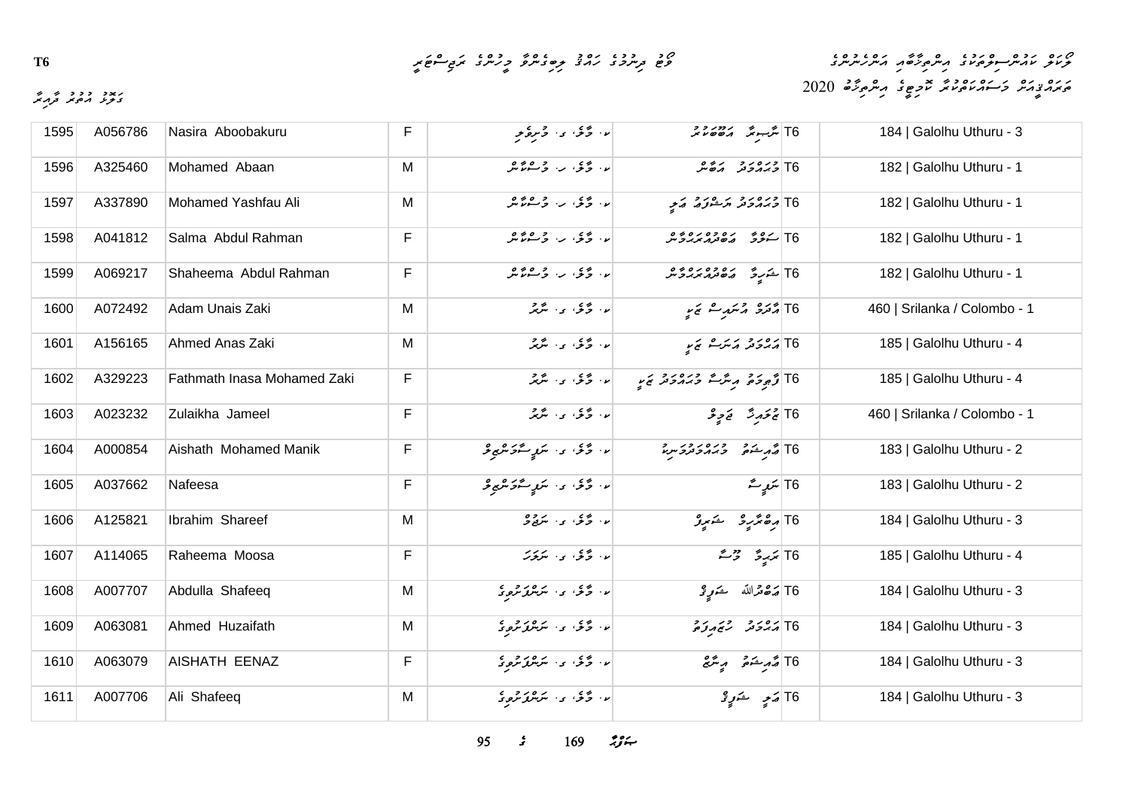*sCw7q7s5w7m< o<n9nOoAw7o< sCq;mAwBoEw7q<m; wBm;vB* م من المرة المرة المرة المرجع المرجع في المركبة 2020<br>مجم*د المريض المربوط المربع المرجع في المراجع المركبة* 

|  | تأثرنز أرحير الرمر |
|--|--------------------|

| 1595 | A056786 | Nasira Aboobakuru           | $\mathsf{F}$ | لا د څخه د د څېړه پو             | T6 مُرْجَعَ مُقْصَلَةٍ                                                   | 184   Galolhu Uthuru - 3     |
|------|---------|-----------------------------|--------------|----------------------------------|--------------------------------------------------------------------------|------------------------------|
| 1596 | A325460 | Mohamed Abaan               | M            | لا : ۇى ب ۋە ئەھ                 | T6 <i>جُهُدُونَ مَقْ</i> سُ                                              | 182   Galolhu Uthuru - 1     |
| 1597 | A337890 | Mohamed Yashfau Ali         | M            | لا : ۇي را دېمۇھ                 | T6 <i>בגר</i> כנ <i>ר</i> ו <i>רי<del>יינ</del>ר הב</i>                  | 182   Galolhu Uthuru - 1     |
| 1598 | A041812 | Salma Abdul Rahman          | $\mathsf{F}$ | $\frac{222}{100}$ ، د د د شمالگر | T6 كور دە دەرەپەر                                                        | 182   Galolhu Uthuru - 1     |
| 1599 | A069217 | Shaheema Abdul Rahman       | F            | لا : ۇى ب ۋە ئەش ئىر             | T6 خرى مەمەمد <i>ىرى بى</i> ر                                            | 182   Galolhu Uthuru - 1     |
| 1600 | A072492 | Adam Unais Zaki             | M            | ىن گەنگى يەر ئىگەش               | T6 أ <i>مُّ تَدَّةً. مُ</i> سَمَّدٍ مَسَمَّ                              | 460   Srilanka / Colombo - 1 |
| 1601 | A156165 | Ahmed Anas Zaki             | M            | ىر، بۇي بەر ئىگە                 | T6 <i>גُرْدُونْدْ مَ</i> مَرَتْ <sub>كَامِ</sub>                         | 185   Galolhu Uthuru - 4     |
| 1602 | A329223 | Fathmath Inasa Mohamed Zaki | $\mathsf F$  | ئارا ئۇقتى بىر ئاسىگە            | T6 ژ <sub>َّج</sub> وَدَ <sub>م</sub> ِسَّرَ <i>وَرُودِ دَ</i> نَمْ بِرَ | 185   Galolhu Uthuru - 4     |
| 1603 | A023232 | Zulaikha Jameel             | F            | لاستخرى كالمستمكر                | T6 يح <i>قرق</i> تح <i>و پ</i> حر                                        | 460   Srilanka / Colombo - 1 |
| 1604 | A000854 | Aishath Mohamed Manik       | $\mathsf F$  | الا اڭ ئاسكىرىگە كەلگەن ئى       | T6م شهر ورورور در م                                                      | 183   Galolhu Uthuru - 2     |
| 1605 | A037662 | Nafeesa                     | $\mathsf F$  | لا د گري دا سکوڪرگري گر          | T6 يترب <sub>د</sub> مئة                                                 | 183   Galolhu Uthuru - 2     |
| 1606 | A125821 | Ibrahim Shareef             | M            | ىن گەنقى كەردە                   | T6 <sub>م</sub> ەنگرى <sub>د</sub> ۇ شىرۇ                                | 184   Galolhu Uthuru - 3     |
| 1607 | A114065 | Raheema Moosa               | F            | ىن گەنى ئەسىرى بىر               | T6 بَرَرِدَ 2ْ حَبَّ                                                     | 185   Galolhu Uthuru - 4     |
| 1608 | A007707 | Abdulla Shafeeq             | M            | لا د څخه د انگرېزه د د           | T6 كەھەراللە خ <i>ەربى</i>                                               | 184   Galolhu Uthuru - 3     |
| 1609 | A063081 | Ahmed Huzaifath             | M            | لا د څخه د سکسرونونو             | T6 <i>ב</i> בכבר השתלב                                                   | 184   Galolhu Uthuru - 3     |
| 1610 | A063079 | <b>AISHATH EENAZ</b>        | $\mathsf F$  | لا گرگان سرس کرور                | T6 م <i>ەمبەھۇم بې</i> تىنى                                              | 184   Galolhu Uthuru - 3     |
| 1611 | A007706 | Ali Shafeeq                 | M            | لا کمچی کا میکن کرد د            | T6 <i>ڇُڇِ حُورِ لا</i>                                                  | 184   Galolhu Uthuru - 3     |

**95** *s* **169** *n***<sub>s</sub>***n***<sub>s</sub>**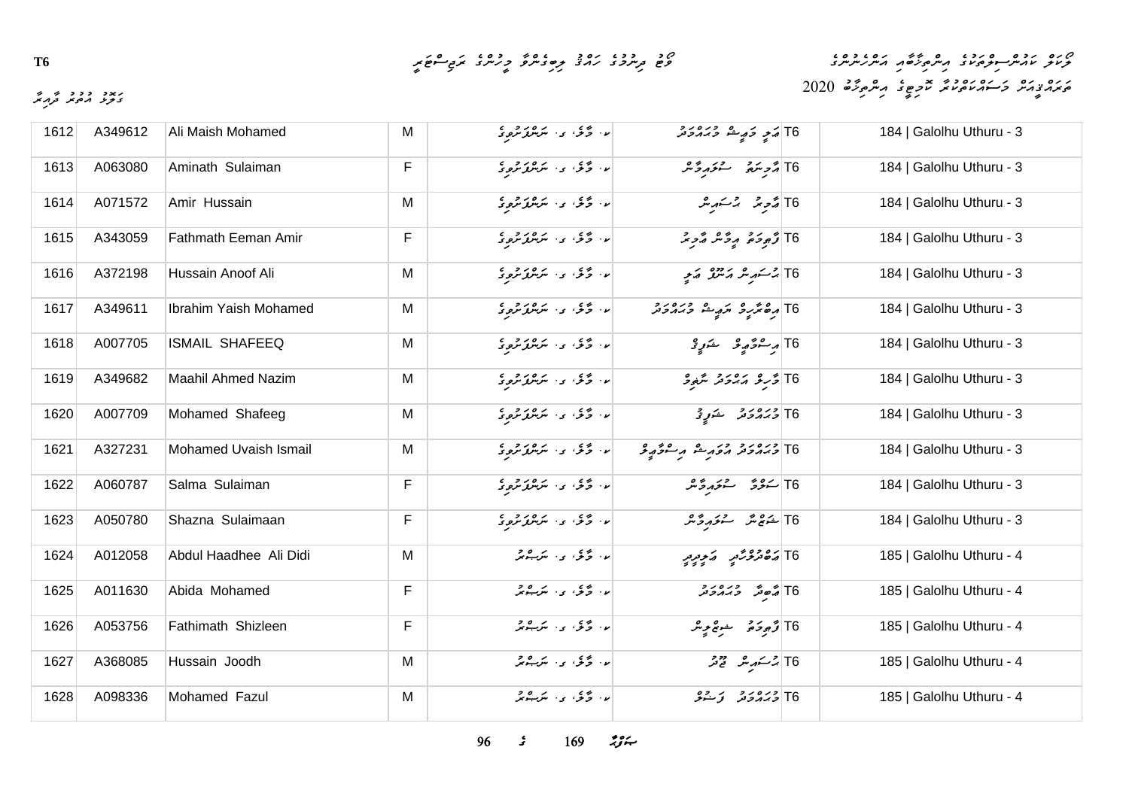*sCw7q7s5w7m< o<n9nOoAw7o< sCq;mAwBoEw7q<m; wBm;vB* م من المسجد المسجد المسجد المسجد المسجد العام 2020<br>مجم*د المسجد المسجد المستجد المسجد المسجد المسجد المسجد المسجد المسجد المسجد المسجد المسجد المسجد المسجد المسجد* 

| 1612 | A349612 | Ali Maish Mohamed         | M            | ئاس ئۇنى كەر سىرتىكى تىرە ئ                  | T6 كمامي كامياشك ويمام كانت                                               | 184   Galolhu Uthuru - 3 |
|------|---------|---------------------------|--------------|----------------------------------------------|---------------------------------------------------------------------------|--------------------------|
| 1613 | A063080 | Aminath Sulaiman          | $\mathsf F$  | لا د څخه د سکيلوگروند                        | T6 مَّ <i>جِينَهُ</i> جَوَ مِعَ مَّ                                       | 184   Galolhu Uthuru - 3 |
| 1614 | A071572 | Amir Hussain              | M            | لا : د د کال د اسکانگرېزو د ا                | T6 م <i>حجة بمستهد</i> ه                                                  | 184   Galolhu Uthuru - 3 |
| 1615 | A343059 | Fathmath Eeman Amir       | $\mathsf{F}$ | الا انجني الماس وروالي المعالم المحافظ       | T6 <i>وَّجِوحَةَ وِحَ</i> ّتَرَ <i>مُ</i> حَرِّتَرَ                       | 184   Galolhu Uthuru - 3 |
| 1616 | A372198 | Hussain Anoof Ali         | M            | ئەس ئىچى، ئەس ئىش ئۇ ئىزە ئى                 | T6 ير <i>شهر مه مربوع م</i> حمو                                           | 184   Galolhu Uthuru - 3 |
| 1617 | A349611 | Ibrahim Yaish Mohamed     | M            | ئەس ئۇنى كەر ئىش ئىش ئور ئە                  | T6 مەھگرى كەم قىدەر د                                                     | 184   Galolhu Uthuru - 3 |
| 1618 | A007705 | <b>ISMAIL SHAFEEQ</b>     | M            | لا : د د کال د انگرېزه د د                   | T6 <sub>م</sub> ېشتو په کله د کله د د کله د کله د کله د کله د کله د کله د | 184   Galolhu Uthuru - 3 |
| 1619 | A349682 | <b>Maahil Ahmed Nazim</b> | M            | لا گرگان میں میں مورون                       | T6 دُرِعْ <i>مَدْدَنْدْ</i> مُّهْدِعْ                                     | 184   Galolhu Uthuru - 3 |
| 1620 | A007709 | Mohamed Shafeeg           | M            | ر، گ <sup>ې</sup> نۍ، <sub>کا</sub> سرگرېزون | T6 <i>ۇنزۇرۇ ئۇرۇ</i>                                                     | 184   Galolhu Uthuru - 3 |
| 1621 | A327231 | Mohamed Uvaish Ismail     | M            |                                              | T6 درەرد دىرىش رەشمەر                                                     | 184   Galolhu Uthuru - 3 |
| 1622 | A060787 | Salma Sulaiman            | $\mathsf F$  | لا د څخه د امکملگانلونو                      | T6   س <i>ُوُوَّة سُمُوَ<sub>مَ م</sub>ُرَّسُ</i>                         | 184   Galolhu Uthuru - 3 |
| 1623 | A050780 | Shazna Sulaimaan          | F            | ئەس ئىچى، ئەس ئىش ئۇ ئىزە ئى                 | T6 خەم ئىر ئىم <i>كىم بىر ئا</i> ر                                        | 184   Galolhu Uthuru - 3 |
| 1624 | A012058 | Abdul Haadhee Ali Didi    | M            | ىن گەنگى، ئەسكەنلىر                          | T6 كەھىر <i>ۇرگىر كەچەپەر</i>                                             | 185   Galolhu Uthuru - 4 |
| 1625 | A011630 | Abida Mohamed             | F            | ىڭ بۇقتى بەر ئىكرىمى                         | T6 مُصِعَّر حَبَّدَ حَدِ                                                  | 185   Galolhu Uthuru - 4 |
| 1626 | A053756 | Fathimath Shizleen        | F            | ىڭ بۇقتى بەر ئىكرىمىتى ئى                    | T6 <i>وُ<sub>ج</sub>ودَهْ</i> ش <sub>و</sub> چمچر                         | 185   Galolhu Uthuru - 4 |
| 1627 | A368085 | Hussain Joodh             | M            | لاستخرى كالمتمرض                             | T6 پرڪ <i>مب</i> شرق قي قر                                                | 185   Galolhu Uthuru - 4 |
| 1628 | A098336 | Mohamed Fazul             | M            | لاستخرى كالمسترجين                           | T6 <i>ۋېزودتى تى</i> شتى                                                  | 185   Galolhu Uthuru - 4 |

*96 s* 169 *i*<sub>s</sub> $\approx$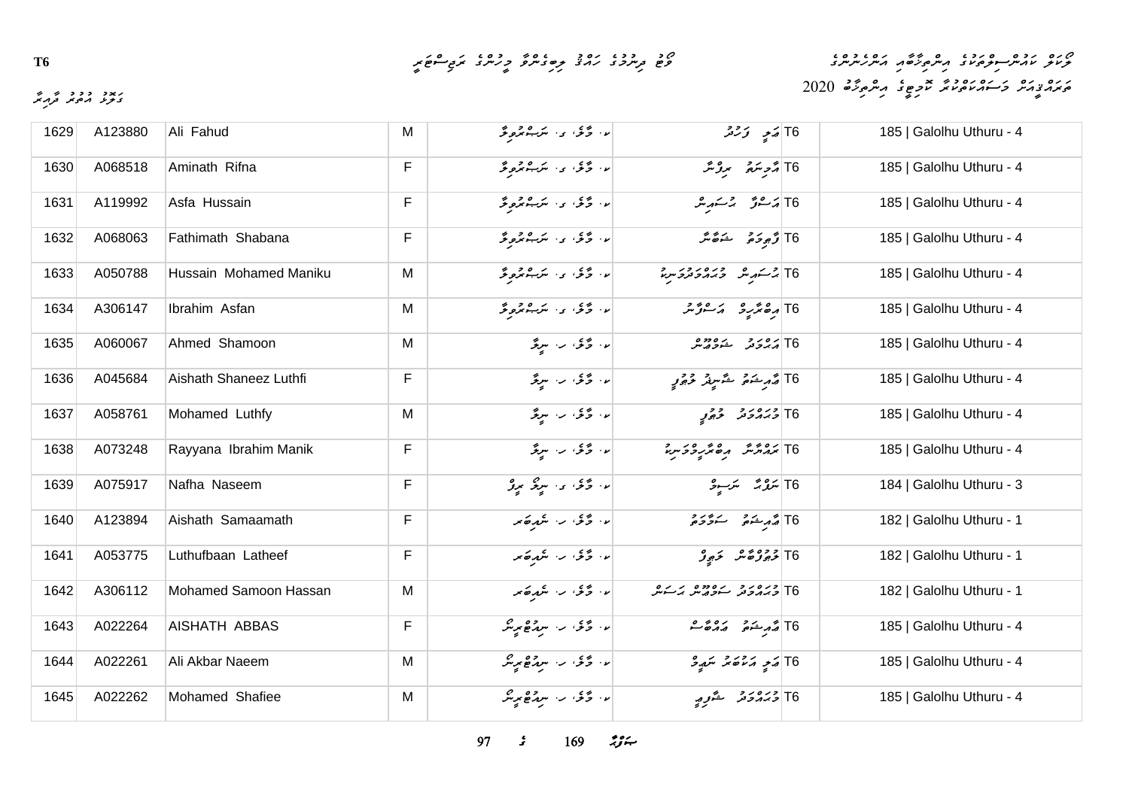*sCw7q7s5w7m< o<n9nOoAw7o< sCq;mAwBoEw7q<m; wBm;vB* م من المرة المرة المرة المرجع المرجع في المركبة 2020<br>مجم*د المريض المربوط المربع المرجع في المراجع المركبة* 

| 1629 | A123880 | Ali Fahud              | M           | لا د څو د سرچونونو                             | T6 <i>ڇپ وَرُهُ</i>                                  | 185   Galolhu Uthuru - 4 |
|------|---------|------------------------|-------------|------------------------------------------------|------------------------------------------------------|--------------------------|
| 1630 | A068518 | Aminath Rifna          | F           | لا د محتى الاسترات مركز مركز محركة المحركة الم | T6 مُرجِسَمُ مِرْمَثَر                               | 185   Galolhu Uthuru - 4 |
| 1631 | A119992 | Asfa Hussain           | F           | لا د محکي دا انگرېگونگونگ                      | T6 كەشۇ ئەسكەرلى <sub>ش</sub>                        | 185   Galolhu Uthuru - 4 |
| 1632 | A068063 | Fathimath Shabana      | F           | لا د محکي دا انگرېنگونگه                       | T6 <i>وَّجِوَدَة</i> شَقَّعَ <i>دُ</i>               | 185   Galolhu Uthuru - 4 |
| 1633 | A050788 | Hussain Mohamed Maniku | M           | لا د محکي دا مکه مکه مگه مگر                   | T6 يُرْسَمْ مِنْ مُحْمَدَ وَيُرْدَوْ وَيُرْدِمُ مِنْ | 185   Galolhu Uthuru - 4 |
| 1634 | A306147 | Ibrahim Asfan          | M           | لا د څخه د انگرېنگه چې گ                       | T6 <sub>م</sub> ەنگەر كەرگە ئەرگىتى                  | 185   Galolhu Uthuru - 4 |
| 1635 | A060067 | Ahmed Shamoon          | M           | الاء گري الله سرگر                             | T6 <i>גُرُونَ خُوشِ</i> رُ                           | 185   Galolhu Uthuru - 4 |
| 1636 | A045684 | Aishath Shaneez Luthfi | F           | الا، گەنگە ب، ئىبرگە                           | T6 <i>۾ُوحَمَّةِ</i> حُمَّسِيْرُ خُمُورِ             | 185   Galolhu Uthuru - 4 |
| 1637 | A058761 | Mohamed Luthfy         | M           | الا، گەنگە ب، ئىبرگە                           | T6 <i>\$222 \$25</i>                                 | 185   Galolhu Uthuru - 4 |
| 1638 | A073248 | Rayyana Ibrahim Manik  | F           | الا، گُرِی که سرگی                             | T6 <i>بَرْمُ مَنَّرٌ مِنْ مُرْبِرْدُوَ مِنْ</i>      | 185   Galolhu Uthuru - 4 |
| 1639 | A075917 | Nafha Naseem           | F           | ا د گري د اسرکر موثر ا                         | T6 يَرُوُجُ - يَرَسِوڤُ                              | 184   Galolhu Uthuru - 3 |
| 1640 | A123894 | Aishath Samaamath      | F           | لا د محکمه سر شمه کامل                         | T6 مۇم شۇر سىۋ <i>ەر د</i>                           | 182   Galolhu Uthuru - 1 |
| 1641 | A053775 | Luthufbaan Latheef     | $\mathsf F$ | لا د گوی را شماه کار                           | T6تج <i>ووڻ شر خبون</i>                              | 182   Galolhu Uthuru - 1 |
| 1642 | A306112 | Mohamed Samoon Hassan  | M           | لا د محکمه سره پره پر                          | T6 درور در دوده برگتر                                | 182   Galolhu Uthuru - 1 |
| 1643 | A022264 | <b>AISHATH ABBAS</b>   | F           | الا : دَ دْ الْمَسْتَمْ يَا مِيْشْ             | T6 مُ <sub>م</sub> شَمَّ <i>مُمَّةٌ -</i>            | 185   Galolhu Uthuru - 4 |
| 1644 | A022261 | Ali Akbar Naeem        | M           | لا : دَ دَ الله عَ الله عَ عَبِيسٌ             | T6 <i>בَجِ בَرَدْهَ يَرَ سَمِي</i> رَ                | 185   Galolhu Uthuru - 4 |
| 1645 | A022262 | Mohamed Shafiee        | M           | لا : 35 لا سرة عبر مر                          | T6  <i>32,325 گوم</i> ي                              | 185   Galolhu Uthuru - 4 |

*97 sC 169 nNw?mS*

ر **x و c c c c c c c c c c c c c c**<br>*e c c c c c c c c c c*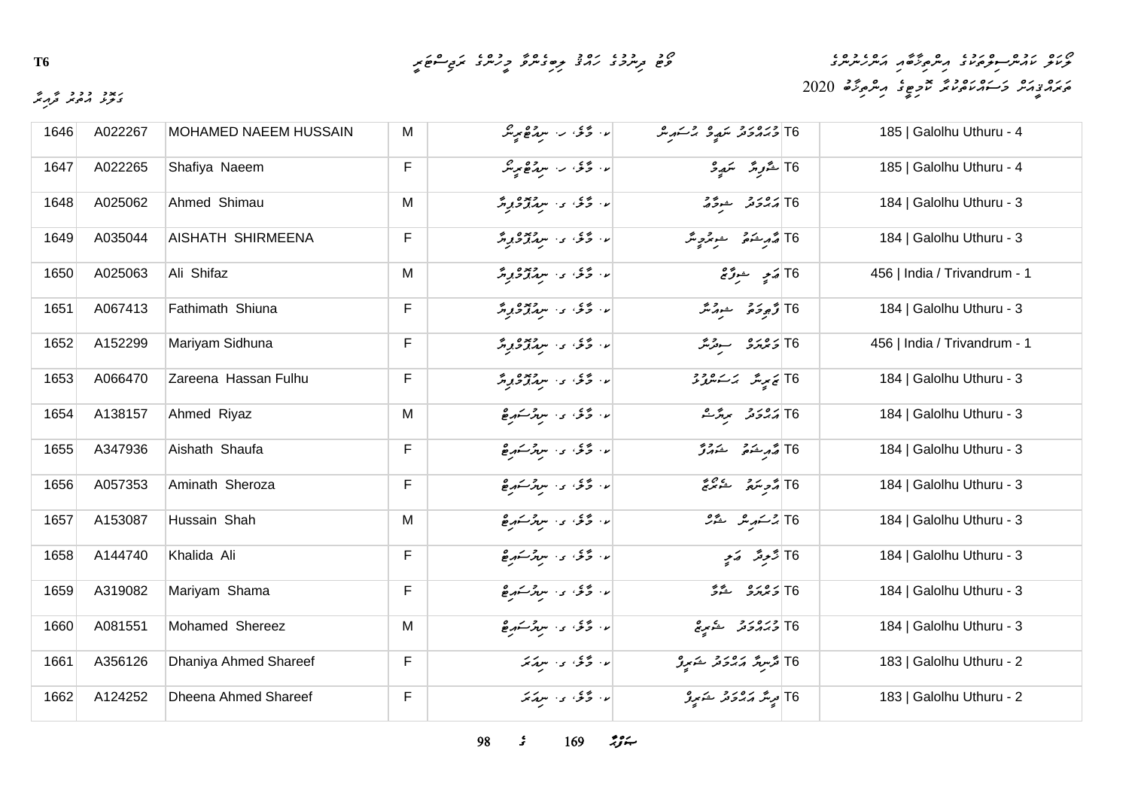*sCw7q7s5w7m< o<n9nOoAw7o< sCq;mAwBoEw7q<m; wBm;vB* م من المسجد المسجد المسجد المسجد المسجد العام 2020<br>مجم*د المسجد المسجد المستجد المسجد المسجد المسجد المسجد المسجد المسجد المسجد المسجد المسجد المسجد المسجد المسجد* 

# *n8o<n@ q8qAq< q:uBmC*

| 1646 | A022267 | <b>MOHAMED NAEEM HUSSAIN</b> | M            | پار د محرکی را سر محصوبتگر                                                                                    | T6   3.28 \$ 3.29   3.29 \$ 0.00 \$                  | 185   Galolhu Uthuru - 4     |
|------|---------|------------------------------|--------------|---------------------------------------------------------------------------------------------------------------|------------------------------------------------------|------------------------------|
| 1647 | A022265 | Shafiya Naeem                | $\mathsf F$  | الا : 33 - سرقم مرتكز                                                                                         | T6 ڪ <i>ُوبگ سَمِي</i> وُ                            | 185   Galolhu Uthuru - 4     |
| 1648 | A025062 | Ahmed Shimau                 | M            | ۱۰ د کال د سرورو و تر                                                                                         | $75.25$ $\frac{25.25}{16}$                           | 184   Galolhu Uthuru - 3     |
| 1649 | A035044 | <b>AISHATH SHIRMEENA</b>     | $\mathsf F$  | ، د دې د سمدورو پر                                                                                            | 76 <i>۾ُ مِ</i> ڪُمُو ڪُو <i>مُرُحٍ مُرُ</i>         | 184   Galolhu Uthuru - 3     |
| 1650 | A025063 | Ali Shifaz                   | M            | ، د د د سروره و د                                                                                             | T6 <i>ڇُجِ حوڙي</i>                                  | 456   India / Trivandrum - 1 |
| 1651 | A067413 | Fathimath Shiuna             | $\mathsf F$  | ، د د کار د سرور د ور                                                                                         | T6 <i>وَّجِودَةْ</i> سِي <i>دْ</i> سَّر              | 184   Galolhu Uthuru - 3     |
| 1652 | A152299 | Mariyam Sidhuna              | $\mathsf F$  | ، د دې د سمدود پر                                                                                             | T6 كەبىر ئەرگە سەمەتىر                               | 456   India / Trivandrum - 1 |
| 1653 | A066470 | Zareena Hassan Fulhu         | $\mathsf F$  | ، د د د سروره و د                                                                                             | T6 نج پرېنز کرک <i>مروج</i> و                        | 184   Galolhu Uthuru - 3     |
| 1654 | A138157 | Ahmed Riyaz                  | M            | لا د محکي دا سرمر شمړيخ                                                                                       | T6 <i>ړېږ ته بېرگ</i>                                | 184   Galolhu Uthuru - 3     |
| 1655 | A347936 | Aishath Shaufa               | F            | لاستحق والمستركة وهي                                                                                          | T6 مُرمِّسَمُ شَمَ <i>رٌ</i> وٌ                      | 184   Galolhu Uthuru - 3     |
| 1656 | A057353 | Aminath Sheroza              | $\mathsf F$  | لاستحق والمستركة وهي                                                                                          | T6 مُجِسَعَة مُسْتَمَتَّع                            | 184   Galolhu Uthuru - 3     |
| 1657 | A153087 | Hussain Shah                 | M            | لا محمود المستر من المستورج                                                                                   | T6 پڑے پر شہر ش <i>گ</i> ڑ                           | 184   Galolhu Uthuru - 3     |
| 1658 | A144740 | Khalida Ali                  | $\mathsf{F}$ | لا المحمق المستر المستمر وهي المستقرح المستقرح المستقرح المستقرح المستقرح المستقرح المستقرح المستقرح المستقرح | T6 <i>ڈونڈ مَ</i> ی                                  | 184   Galolhu Uthuru - 3     |
| 1659 | A319082 | Mariyam Shama                | F            | لا د محکي دا سرمر شمړيخ                                                                                       | $52.25$ $\sqrt{2}$ $\sqrt{6}$                        | 184   Galolhu Uthuru - 3     |
| 1660 | A081551 | Mohamed Shereez              | M            | لا المحمى المستركة المستمر وهي                                                                                | T6  <i>وُبَہُ وَبَوْ</i> حَسَنِ صَحَمَتِ مِنْ        | 184   Galolhu Uthuru - 3     |
| 1661 | A356126 | Dhaniya Ahmed Shareef        | $\mathsf F$  | الأرمحى المارا المتمالي                                                                                       | T6 تَدَّسِيَّرَ بَدَيْرَتْدْ شَ <sub>كَ</sub> بِرِدْ | 183   Galolhu Uthuru - 2     |
| 1662 | A124252 | <b>Dheena Ahmed Shareef</b>  | F            | الاستخفى المستمر المستعمل                                                                                     | T6 مرین <i>گ مُرْدُوَمَّر حُمَہورْ</i>               | 183   Galolhu Uthuru - 2     |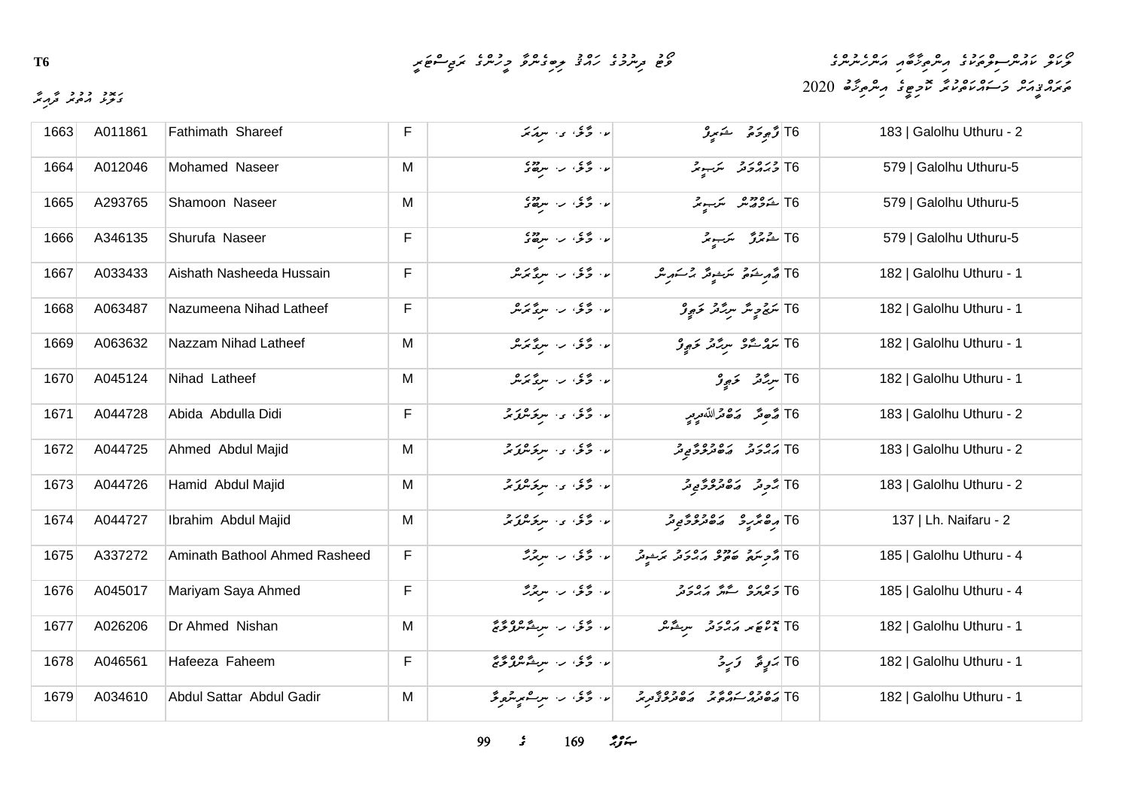*sCw7q7s5w7m< o<n9nOoAw7o< sCq;mAwBoEw7q<m; wBm;vB* م من المرة المرة المرة المرجع المرجع في المركبة 2020<br>مجم*د المريض المربوط المربع المرجع في المراجع المركبة* 

|  |  | $\rightarrow$ $\rightarrow$ $\rightarrow$ $\rightarrow$ $\rightarrow$ $\rightarrow$ $\rightarrow$ $\rightarrow$ |
|--|--|-----------------------------------------------------------------------------------------------------------------|
|  |  | ىرى مەر ىرمىر                                                                                                   |

| 1663 | A011861 | Fathimath Shareef             | F           | الأرمح في المالي المستركين                                                                                                                  | T6 <i>وُّهِ دَمُ</i> شَهِرُ مَ                     | 183   Galolhu Uthuru - 2 |
|------|---------|-------------------------------|-------------|---------------------------------------------------------------------------------------------------------------------------------------------|----------------------------------------------------|--------------------------|
| 1664 | A012046 | Mohamed Naseer                | M           | $\frac{1}{5}$ $\frac{1}{5}$ $\frac{1}{5}$ $\frac{1}{5}$ $\frac{1}{5}$ $\frac{1}{5}$ $\frac{1}{5}$                                           | T6 <i>ۇنەھ كى مىليەن</i> م                         | 579   Galolhu Uthuru-5   |
| 1665 | A293765 | Shamoon Naseer                | M           | $\frac{1}{2}$                                                                                                                               | T6 ش <i>ۇھىلا</i> س <i>ىببى</i> گە                 | 579   Galolhu Uthuru-5   |
| 1666 | A346135 | Shurufa Naseer                | F           | $\frac{1}{2}$ $\frac{1}{2}$ $\frac{1}{2}$ $\frac{1}{2}$ $\frac{1}{2}$ $\frac{1}{2}$ $\frac{1}{2}$ $\frac{1}{2}$ $\frac{1}{2}$ $\frac{1}{2}$ | T6 شىمرتى ئىرسومى                                  | 579   Galolhu Uthuru-5   |
| 1667 | A033433 | Aishath Nasheeda Hussain      | F           | $\downarrow$ ، دَگَرَ، را سِرَمَرَسَ                                                                                                        | T6 م <i>ۇم شەھ</i> سىنىدىگر برىسكىرىكر             | 182   Galolhu Uthuru - 1 |
| 1668 | A063487 | Nazumeena Nihad Latheef       | $\mathsf F$ | اللاء بحرى الله السي محمد محمد الله                                                                                                         | T6 سَيَجْ حِ سَّر سِرتَشْ حَ جِ تَرْ               | 182   Galolhu Uthuru - 1 |
| 1669 | A063632 | Nazzam Nihad Latheef          | M           | اللاء بحرى الله المسيحة يحدهما                                                                                                              | T6 سَمَدْ قَدْ سِرَّتْتَرْ خَ <sub>جُو</sub> تْر   | 182   Galolhu Uthuru - 1 |
| 1670 | A045124 | Nihad Latheef                 | M           | لا د گري ب سرگرمگر                                                                                                                          | T6 س <i>رنڈنڈ خیو</i> ڑ                            | 182   Galolhu Uthuru - 1 |
| 1671 | A044728 | Abida Abdulla Didi            | F           | لا د گلی دا سرکانگرنگ                                                                                                                       | T6 صُحوصٌ صَحْدَثَاللَّهُ مِرْمَرِ                 | 183   Galolhu Uthuru - 2 |
| 1672 | A044725 | Ahmed Abdul Majid             | M           | ئار گەنگە كەر سىر كەنگەنگە ئىر                                                                                                              | T6 <i>גُرُونَر   ډەۋەۋەپ</i> ر                     | 183   Galolhu Uthuru - 2 |
| 1673 | A044726 | Hamid Abdul Majid             | M           | لاستخوا كالمسترجون                                                                                                                          | T6 تُر <i>وِيرُ مَ®تروُوُّي ترُ</i>                | 183   Galolhu Uthuru - 2 |
| 1674 | A044727 | Ibrahim Abdul Majid           | M           | لا د گلی دا سرکرسی بر                                                                                                                       | T6 مەھمەرىق مەھىرى <i>مۇ قى</i> ر                  | 137   Lh. Naifaru - 2    |
| 1675 | A337272 | Aminath Bathool Ahmed Rasheed | $\mathsf F$ | بار محکمه اس سرچرگ                                                                                                                          | T6 مُ <i>جِسَمُ مُحَمَّرٌ مُرَدَّدٌ</i> مَرْشِيْرٌ | 185   Galolhu Uthuru - 4 |
| 1676 | A045017 | Mariyam Saya Ahmed            | F           | الا، وَكَوْا بْ سِرْيْرٌ                                                                                                                    | T6 زرمرو گرگر ره رو                                | 185   Galolhu Uthuru - 4 |
| 1677 | A026206 | Dr Ahmed Nishan               | M           | ئەرگە ئەر سوڭ سىرگەنگە                                                                                                                      | T6 ۽ <i>ناھيمہ پر برو تو</i> سرڪ س                 | 182   Galolhu Uthuru - 1 |
| 1678 | A046561 | Hafeeza Faheem                | $\mathsf F$ | ئەس ئۇنى بەر سرىشە ئىرومىي                                                                                                                  | T6 <i>ټرپو ژر</i> و                                | 182   Galolhu Uthuru - 1 |
| 1679 | A034610 | Abdul Sattar Abdul Gadir      | M           | ا ئەس ئۆتكەر بەس سىر سىر سىر ئىرى ئىل                                                                                                       | T6 <sub>ص</sub> ده ده ده ده ده وه پر د             | 182   Galolhu Uthuru - 1 |

*99 s 169 <i>n*<sub>3</sub> *i*<sub>3</sub> *i*<sub>3</sub> *i*<sub>3</sub> *i*<sub>3</sub> *i*<sub>3</sub> *i*<sub>3</sub> *i*<sub>3</sub> *i*<sub>3</sub> *i*<sub>3</sub> *i*<sub>3</sub> *i*<sub>3</sub> *i*<sub>3</sub> *i*<sub>3</sub> *i*<sub>3</sub> *i*<sub>3</sub> *i*<sub>3</sub> *i*<sub>3</sub> *i*<sub>3</sub> *i*<sub>3</sub> *i*<sub>3</sub> *i*<sub>3</sub> *i*<sub>3</sub> *i*<sub>3</sub> *i*<sub>3</sub> *i*<sub>3</sub> *i*<sub>3</sub> *i*<sub>3</sub> *i*<sub>3</sub> *i*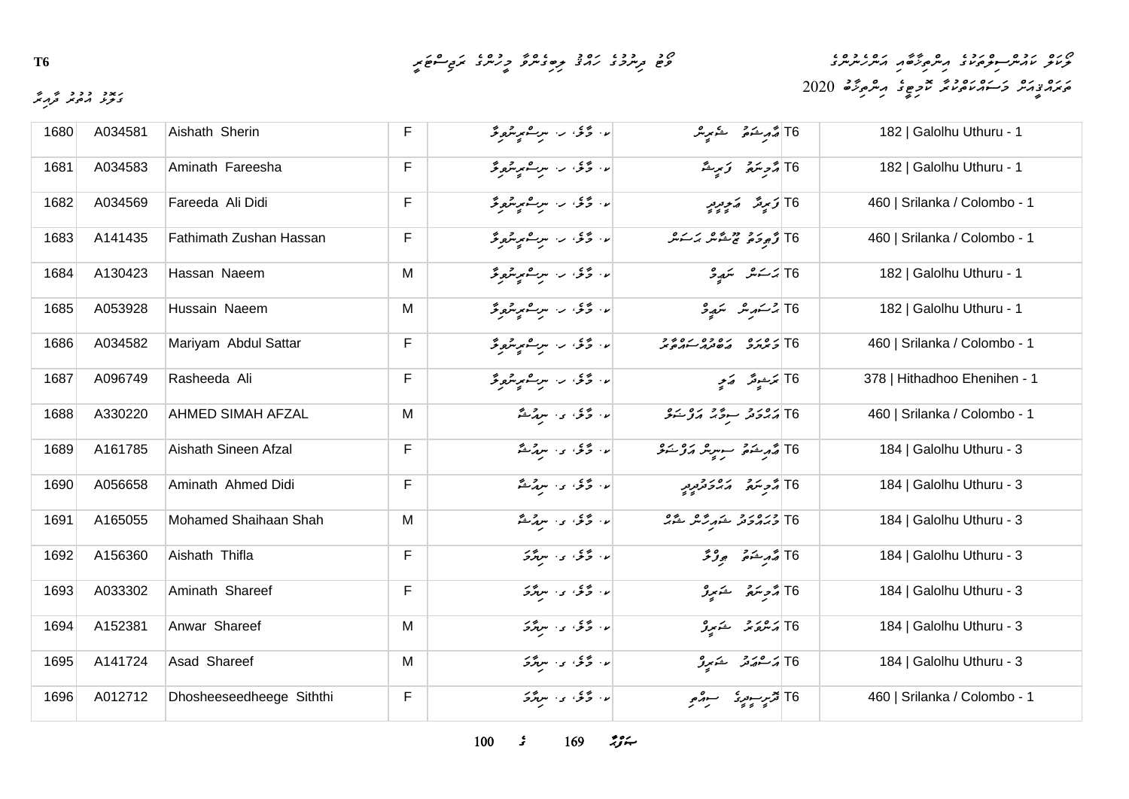*sCw7q7s5w7m< o<n9nOoAw7o< sCq;mAwBoEw7q<m; wBm;vB 2020<sup>, م</sup>وسر در مدد مدرج به مدرم مقرم قرار 2020*<br>موسر المستقرم المستقرم المستقرم المستقرم المستقرم المستقرم المستقرم المستقرم المستقرم المستقرم المستقرم المستقر

| 1680 | A034581 | Aishath Sherin           | F | الا المحكى الله البرنام بالمعرفة   | T6 <i>مُ</i> مِسْتَمْ شَمِرِسْ                   | 182   Galolhu Uthuru - 1     |
|------|---------|--------------------------|---|------------------------------------|--------------------------------------------------|------------------------------|
| 1681 | A034583 | Aminath Fareesha         | F | الا وكوي لا الركولي للهواكل        | T6 مَّرْسَعَةٌ وَمِيشَّ                          | 182   Galolhu Uthuru - 1     |
| 1682 | A034569 | Fareeda Ali Didi         | F | الا وكوكار، الرسكيرللروكل          | T6 کو پینٹر کے موسید                             | 460   Srilanka / Colombo - 1 |
| 1683 | A141435 | Fathimath Zushan Hassan  | F | الا ، ئۇنى بەر سرىشىرسىمبونۇ       | T6 <i>وَّجِودَهُ</i> ڇُشَهُرُ بَرَسَ <i>مْرُ</i> | 460   Srilanka / Colombo - 1 |
| 1684 | A130423 | Hassan Naeem             | M | لاء گەنگە ب سرىشمېرسىمبوگ          | T6  تەسىر ش <sub>ە</sub> ۋ                       | 182   Galolhu Uthuru - 1     |
| 1685 | A053928 | Hussain Naeem            | M | الا ، ئۇنى بەر سرىشىرسىمبونۇ       | T6 يُرْسَمب <sup>و</sup> سَمِي <sup>و</sup>      | 182   Galolhu Uthuru - 1     |
| 1686 | A034582 | Mariyam Abdul Sattar     | F | الا المحكى الله البرن مولد مريح كل | T6   د ه بره و بره و بره و د و د                 | 460   Srilanka / Colombo - 1 |
| 1687 | A096749 | Rasheeda Ali             | F | الا ، ئۇنى بەر سرىشىرسىمبونۇ       | T6 <i>مَرْش<sub>و</sub>مَّز مَ</i> حٍ            | 378   Hithadhoo Ehenihen - 1 |
| 1688 | A330220 | AHMED SIMAH AFZAL        | M | الله الحجوم الإلى المستركية        | T6 <i>גُرُوَة بِ</i> وَرَّ <i>ډُوْ</i> ٽُو       | 460   Srilanka / Colombo - 1 |
| 1689 | A161785 | Aishath Sineen Afzal     | F | الله المحكى المالي المستركية       | T6 مەم ئىكتىمى سومېرىكى كوڭ ئىكتى                | 184   Galolhu Uthuru - 3     |
| 1690 | A056658 | Aminath Ahmed Didi       | F | الله المحتى المالي المستركية       | T6 <i>مُّحِسَمُ مُدْدَوْمِ</i> مِيرِ             | 184   Galolhu Uthuru - 3     |
| 1691 | A165055 | Mohamed Shaihaan Shah    | M | الله الحجوم الإلى المستركية        | T6 <i>وبروبروتر حكم برگنگر حدَّبُ</i>            | 184   Galolhu Uthuru - 3     |
| 1692 | A156360 | Aishath Thifla           | F | الا د کای دا سرگرد                 | T6 م <i>ۇم شەق بو</i> رگ                         | 184   Galolhu Uthuru - 3     |
| 1693 | A033302 | Aminath Shareef          | F | ، د د د سرگر                       | T6 مَرْحِبَهُمْ ۖ سَمَبِرُرْ                     | 184   Galolhu Uthuru - 3     |
| 1694 | A152381 | Anwar Shareef            | M | لا د گلی دا سرگرد                  | T6 <i>مَسْعَدَ جَمَعِينَ</i>                     | 184   Galolhu Uthuru - 3     |
| 1695 | A141724 | Asad Shareef             | M | الا د کای ای استرک                 | T6 كەشقەتقىر شە <i>يدى</i> ۋ                     | 184   Galolhu Uthuru - 3     |
| 1696 | A012712 | Dhosheeseedheege Siththi | F | الا و و د سرگرد                    | 76 آمرسی سوچری مسوچھ <sub>پر</sub>               | 460   Srilanka / Colombo - 1 |

# *n8o<n@ q8qAq< q:uBmC*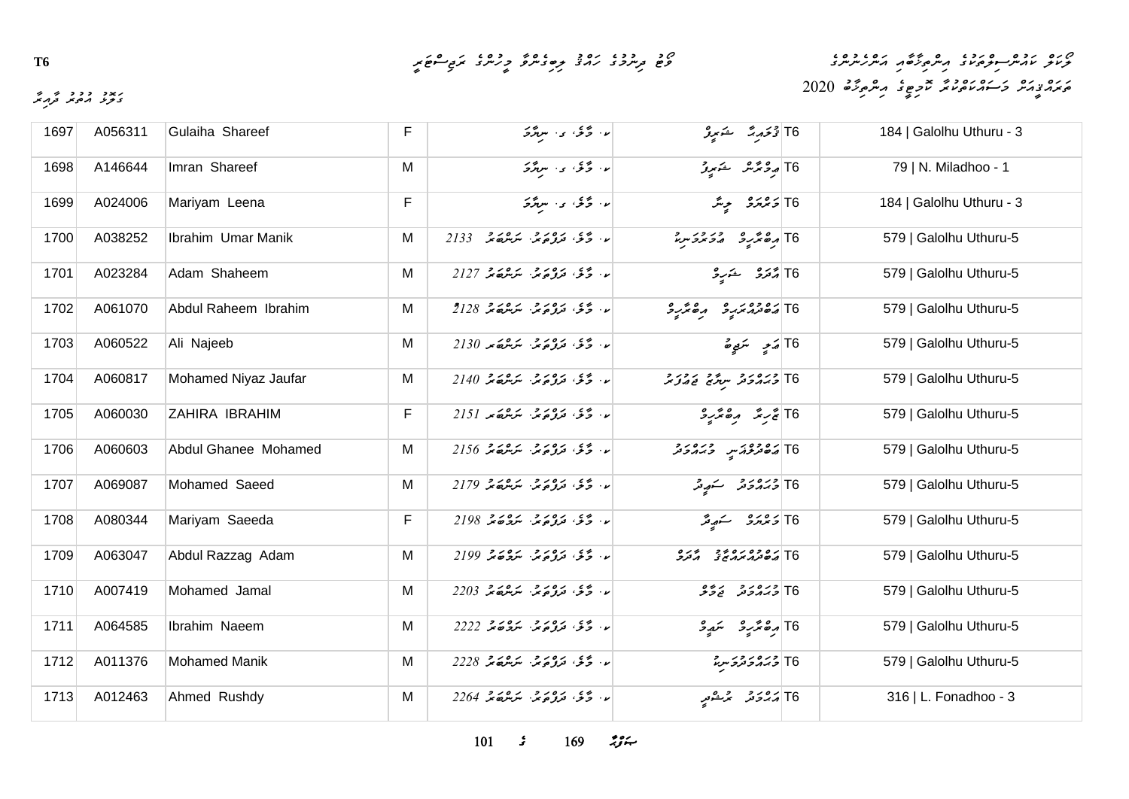*sCw7q7s5w7m< o<n9nOoAw7o< sCq;mAwBoEw7q<m; wBm;vB* م من المسجد المسجد المسجد المسجد المسجد العام 2020<br>مجم*د المسجد المسجد المستجد المسجد المسجد المسجد المسجد المسجد المسجد المسجد المسجد المسجد المسجد المسجد المسجد* 

# *n8o<n@ q8qAq< q:uBmC*

| 1697 | A056311 | Gulaiha Shareef       | F | ۱ <i>۷ د څ</i> و، <sub>۲۶</sub> سرمر <i>د</i> | T6 <i>ڏُخَمِيرُ شَمِرِوْ</i>                          | 184   Galolhu Uthuru - 3 |
|------|---------|-----------------------|---|-----------------------------------------------|-------------------------------------------------------|--------------------------|
| 1698 | A146644 | Imran Shareef         | M | الا ومحق والمستركز                            | T6 م <i>وٹرنگر</i> خ <i>مبرق</i>                      | 79   N. Miladhoo - 1     |
| 1699 | A024006 | Mariyam Leena         | F | الا و و دا المعدد و المحمد                    | T6تر پر موبٹر                                         | 184   Galolhu Uthuru - 3 |
| 1700 | A038252 | Ibrahim Umar Manik    | M | الاستحكى متوفوس المتلافة والمحلق 2133         | T6 مەھەرىرى ھە <i>مەكەرى</i> ر                        | 579   Galolhu Uthuru-5   |
| 1701 | A023284 | Adam Shaheem          | M | ، دَّى مَرْوْمَة. سَهْرَهُ 2127               | T6 مُم <i>َرَّة حَدِي</i> َّة                         | 579   Galolhu Uthuru-5   |
| 1702 | A061070 | Abdul Raheem Ibrahim  | M | لا - 35، تروم تر. للرسكة تر 2128              | T6 בטינג בנגר הפיציב                                  | 579   Galolhu Uthuru-5   |
| 1703 | A060522 | Ali Najeeb            | M | ىر ئۇنى ترۇتمى تىرشقىر 2130                   | T6 <i>ڇُجِ سَمِع</i> ِ صَ                             | 579   Galolhu Uthuru-5   |
| 1704 | A060817 | Mohamed Niyaz Jaufar  | M | ىر ئەق ئوقەتمە. ئىر ئىھەتمە 2140              | T6 درورو سرور در در د                                 | 579   Galolhu Uthuru-5   |
| 1705 | A060030 | <b>ZAHIRA IBRAHIM</b> | F | ىر ئۇق ترۇمۇر. ئىر شەھ بىر 2151               | T6 ئ <i>ج بەنگە مەھەتگەي</i> 3                        | 579   Galolhu Uthuru-5   |
| 1706 | A060603 | Abdul Ghanee Mohamed  | M | ، جَوْ، مَرْوَمَ بْمْ. سَرْسْھَ بْلْ 2156     | T6 בڭلوردىر دىردىر                                    | 579   Galolhu Uthuru-5   |
| 1707 | A069087 | Mohamed Saeed         | M | ىر ئۇق ئوق ئار ئىشقا بول 2179                 | T6 <i>\$222 كوم</i> تر                                | 579   Galolhu Uthuru-5   |
| 1708 | A080344 | Mariyam Saeeda        | F | ، دَّى مَرْوَمِهْ. سَرْهُ مَدْ 2198           | T6 كى <i>ئىرنى سىمبەن</i> گە                          | 579   Galolhu Uthuru-5   |
| 1709 | A063047 | Abdul Razzag Adam     | M | ، دَّى مَرْوَمِهْ. سَرْهُ مَدْ 2199           | 76 בסתמית בי מתפ                                      | 579   Galolhu Uthuru-5   |
| 1710 | A007419 | Mohamed Jamal         | M | ىر ئۇق ترۇنمى. ئىر شەن 2203                   | T6 <i>3223 في قو</i> مح                               | 579   Galolhu Uthuru-5   |
| 1711 | A064585 | Ibrahim Naeem         | M | ىر ئەق ئىرومى سەھىر 2222                      | T6 <sub>م</sub> ەنزى <sub>د</sub> ۇ س <sub>ەر</sub> ۇ | 579   Galolhu Uthuru-5   |
| 1712 | A011376 | <b>Mohamed Manik</b>  | M | ىر. ئۇق ئوق ئەرەپ سەھەتتى 2228                | T6 <i>32,325 مريز</i>                                 | 579   Galolhu Uthuru-5   |
| 1713 | A012463 | Ahmed Rushdy          | M | u - ئۇق مەدەبەي - شەھەم 2264                  | T6 <i>كەنگەنگە</i> مۇش <sup>ى</sup> ر                 | 316   L. Fonadhoo - 3    |

 $101$  *s*  $169$  *if s*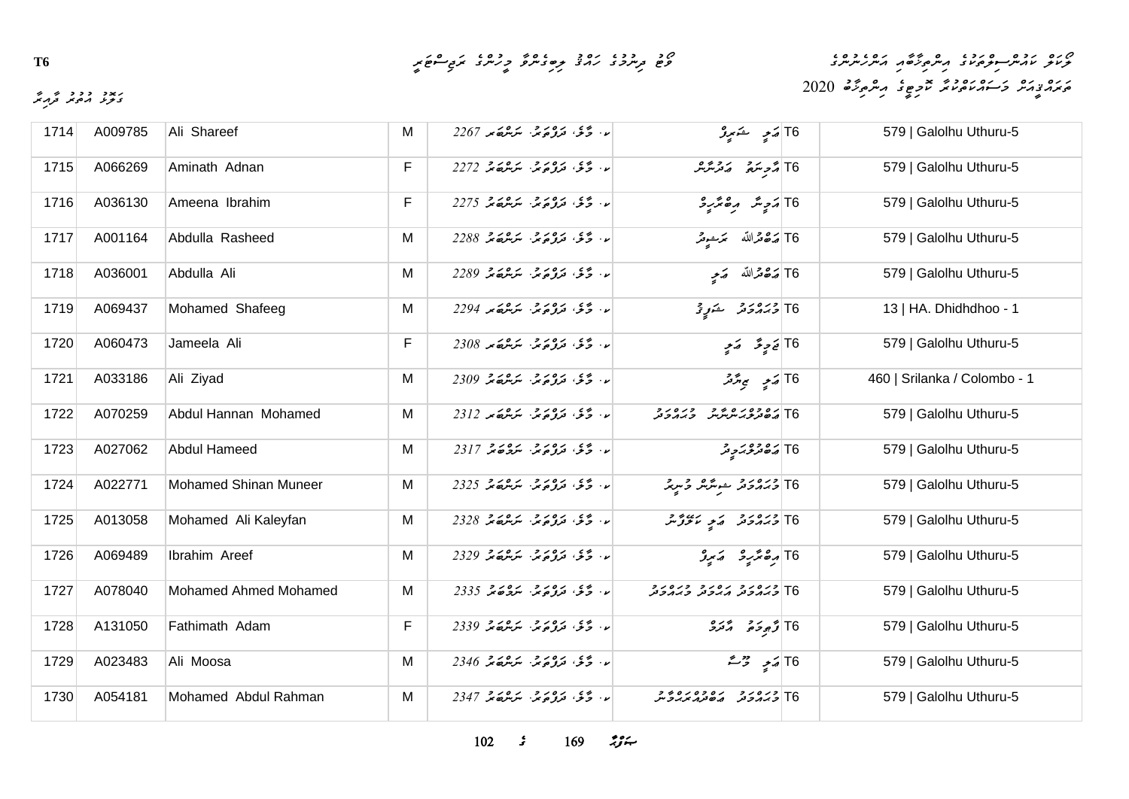*sCw7q7s5w7m< o<n9nOoAw7o< sCq;mAwBoEw7q<m; wBm;vB 2020<sup>, م</sup>وسر در مدد مدرج به مدرم مقرم قرار 2020*<br>موسر المستقرم المستقرم المستقرم المستقرم المستقرم المستقرم المستقرم المستقرم المستقرم المستقرم المستقرم المستقر

| 1714 | A009785 | Ali Shareef                  | M | ىر گەنى بىرە بەر سىر سىن 2267            | T6 <i>ڇُجِ حُمَيِنٌ</i>                  | 579   Galolhu Uthuru-5       |
|------|---------|------------------------------|---|------------------------------------------|------------------------------------------|------------------------------|
| 1715 | A066269 | Aminath Adnan                | F | ، جَيْ مُعْرُومَ مُنْ سُمْسِهِ 2272      | T6 م <i>ُّحِ مَنْهُ مَقْرَمُّرْمَّرُ</i> | 579   Galolhu Uthuru-5       |
| 1716 | A036130 | Ameena Ibrahim               | F | ىر ئۇق برورى سەھەتى 2275                 | T6 <i>הَجِسٌ م</i> ِ <i>مَحْدِدُ</i>     | 579   Galolhu Uthuru-5       |
| 1717 | A001164 | Abdulla Rasheed              | M | ىر ئۇق ترۇمۇس ئىر ھەتر 2288              | T6 كَدَهْ قَرْاللَّهُ     مَرْشِوْتَر    | 579   Galolhu Uthuru-5       |
| 1718 | A036001 | Abdulla Ali                  | M | ىر ئۇق ئوق ئارلىق ئىس 2289               | T6 كەنقەتلەتقە كەمچە                     | 579   Galolhu Uthuru-5       |
| 1719 | A069437 | Mohamed Shafeeg              | M | ، دَّى مَرْوْمَ مَنْ سَرْسْھَ مِرْ 2294  | T6  <i>32,325 شوپ</i> ۇ                  | 13   HA. Dhidhdhoo - 1       |
| 1720 | A060473 | Jameela Ali                  | F | ىر ئەق ئورلىمىڭ ئىر ھەم 2308             | T6 <i>في جو 5 م</i> َم <i>ي</i>          | 579   Galolhu Uthuru-5       |
| 1721 | A033186 | Ali Ziyad                    | M | ىر ئەق ئورمۇر. ئىر ئىھەتمە 2309          | T6 <i>ھَ۔ پی مُڑھ</i> ُ                  | 460   Srilanka / Colombo - 1 |
| 1722 | A070259 | Abdul Hannan Mohamed         | M | ىر ئۇق تر <i>ۇمۇ. بىر شەكىر</i> 2312     | T6 كەھە <i>ر ۋە بەرگەر ۋە دەر</i> د      | 579   Galolhu Uthuru-5       |
| 1723 | A027062 | Abdul Hameed                 | M | ، دَّى مَرْوَة شَرْجَة بِمَدْهَة 2317    | T6 <i>ړُهڅوگړو</i> گر                    | 579   Galolhu Uthuru-5       |
| 1724 | A022771 | <b>Mohamed Shinan Muneer</b> | M | ىر ئۇق بىرومۇ. بىر مەنبەر 2325           | T6 <i>وُټروگو جو سُرسگر وُسِربر</i> ُ    | 579   Galolhu Uthuru-5       |
| 1725 | A013058 | Mohamed Ali Kaleyfan         | M | ر، جې موروپه سرچينې 2328                 | T6 <i>دېمگ</i> ونه کمه کورنگر            | 579   Galolhu Uthuru-5       |
| 1726 | A069489 | Ibrahim Areef                | M | ، جَءَ، مَرْوَيْرُ. سَهْرَهُ عَبْرُ 2329 | T6 م <i>ِ هُنَّرِ دُ</i> مَبِرُدُ        | 579   Galolhu Uthuru-5       |
| 1727 | A078040 | Mohamed Ahmed Mohamed        | M | لا - 35، ترون بر سرەن 2335               | T6  32025 גם גو 32025 د                  | 579   Galolhu Uthuru-5       |
| 1728 | A131050 | Fathimath Adam               | F | ىر ئۇق تروپرىي ئىر ھەتر 2339             | T6 <i>وَّجِ حَمْ</i> مُحَمَّد <i>ُ</i>   | 579   Galolhu Uthuru-5       |
| 1729 | A023483 | Ali Moosa                    | M | u - جۇ ئىرومۇ. ئىر ھەم 2346              | $23$ کیمو سنگر $ 76$                     | 579   Galolhu Uthuru-5       |
| 1730 | A054181 | Mohamed Abdul Rahman         | M | ىر ئەق مەمەرەپ ئىر مەمەر 2347            | T6/ديروبرو دي ووه بروو بر                | 579   Galolhu Uthuru-5       |

*n8o<n@ q8qAq< q:uBmC*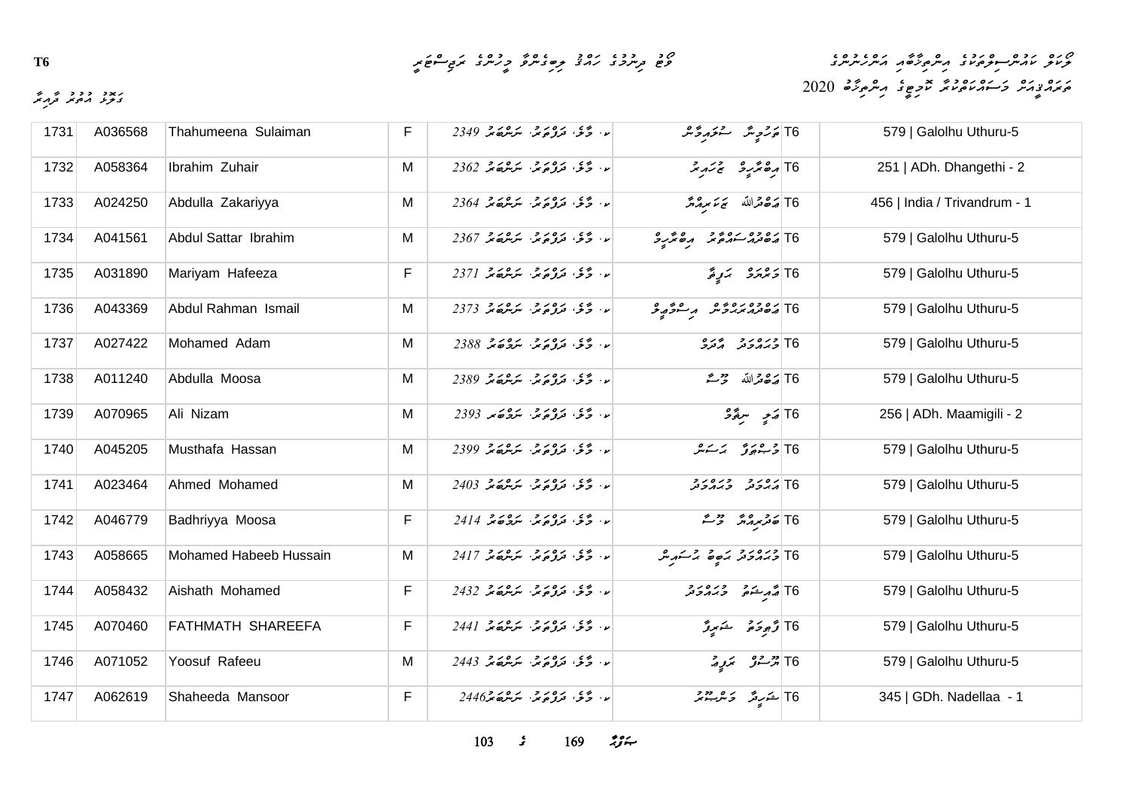*sCw7q7s5w7m< o<n9nOoAw7o< sCq;mAwBoEw7q<m; wBm;vB* م من المرة المرة المرة المرجع المرجع في المركبة 2020<br>مجم*د المريض المربوط المربع المرجع في المراجع المركبة* 

| 1731 | A036568 | Thahumeena Sulaiman      | F | ، دَّى مَرْوَة مَرْسَى 2349                         | T6 <i>ەزدە</i> ئىر ئىمەر ئ                      | 579   Galolhu Uthuru-5       |
|------|---------|--------------------------|---|-----------------------------------------------------|-------------------------------------------------|------------------------------|
| 1732 | A058364 | Ibrahim Zuhair           | M | ىر ئەق ئور <i>ەيمە. ئىرىش ئە</i> 2362               | T6 مەھەرىپە ئەسىمىسى بىر                        | 251   ADh. Dhangethi - 2     |
| 1733 | A024250 | Abdulla Zakariyya        | M | ، دَمَى مَرْوَى مِرْ سَرْسْھَ مِرْ 2364             | T6 مَرْحْمَّدْاللَّهُ بِمَ <i>مَدْ مَرَّمَّ</i> | 456   India / Trivandrum - 1 |
| 1734 | A041561 | Abdul Sattar Ibrahim     | M | $2367$ مَرْدَى مَرْوْكَة مِنْ سَرْسْمَة مِنْ $\sim$ | 76 - 2010 - 2020 - 2020 E                       | 579   Galolhu Uthuru-5       |
| 1735 | A031890 | Mariyam Hafeeza          | F | ر، ئۇق مەدەبەي. ئىر مەدەبە 2371                     | T6 <i>وَجُهْدَوْ بَرَوِيْ</i>                   | 579   Galolhu Uthuru-5       |
| 1736 | A043369 | Abdul Rahman Ismail      | M | لا - 35، تروم تر. سرائع تر 2373                     | T6 رەمەرەبەر مەمەر                              | 579   Galolhu Uthuru-5       |
| 1737 | A027422 | Mohamed Adam             | M | ر، 33، تروپري شرح مع 2388                           | T6 <i>ڈیزوڈنڈ پڑوڑ</i>                          | 579   Galolhu Uthuru-5       |
| 1738 | A011240 | Abdulla Moosa            | M | ، دَّى مَرْوَمِهْ. سَهْرَ 2389 2389                 | T6 كەنھەتراللە مىچە مىشكە                       | 579   Galolhu Uthuru-5       |
| 1739 | A070965 | Ali Nizam                | M | لا - 35، تروم تر. سَرْهُ مَد 2393.                  | T6 <i>ڇَ مِنهُوَ "</i>                          | 256   ADh. Maamigili - 2     |
| 1740 | A045205 | Musthafa Hassan          | M | ىر ئەق ئور <i>ەيمە. ئىرىش ئە</i> ر 2399             | T6 ۇيۇمۇس ئەسەھ                                 | 579   Galolhu Uthuru-5       |
| 1741 | A023464 | Ahmed Mohamed            | M | لا - 35، قرۇم تى. سەشھەتى 2403                      | T6 كەبەبەر <i>دەرەرە</i>                        | 579   Galolhu Uthuru-5       |
| 1742 | A046779 | Badhriyya Moosa          | F | ، دَّى مَرْوْءَ بِهِ مَرْهُ 2414                    | T6 <i>گەنگىرىدىڭ جى</i> گ                       | 579   Galolhu Uthuru-5       |
| 1743 | A058665 | Mohamed Habeeb Hussain   | M | لا - 35، تروم بن سره معرض 2417                      | T6 درورو ره د محمد محمد شهر ش                   | 579   Galolhu Uthuru-5       |
| 1744 | A058432 | Aishath Mohamed          | F | u - 33) مَرْوَى مَرْ 132 2432                       | T6 مُصِنَّمَ وَبَرُودَرَ                        | 579   Galolhu Uthuru-5       |
| 1745 | A070460 | <b>FATHMATH SHAREEFA</b> | F | u - 33 مۇجى: سەھەم 2441                             | T6 <i>وَّج</i> وحَةُ شَمَيِرَّ                  | 579   Galolhu Uthuru-5       |
| 1746 | A071052 | Yoosuf Rafeeu            | M | ، دَمَى مَرْوَة مَرْسَى 2443                        | T6 <mark>بڑے و سرب</mark> ر پر                  | 579   Galolhu Uthuru-5       |
| 1747 | A062619 | Shaheeda Mansoor         | F | u ئۇق ترۇپچە سەبىرى 24462                           | T6 خريگر كەش <i>رىقى</i> ر                      | 345   GDh. Nadellaa - 1      |

*n8o<n@ q8qAq< q:uBmC*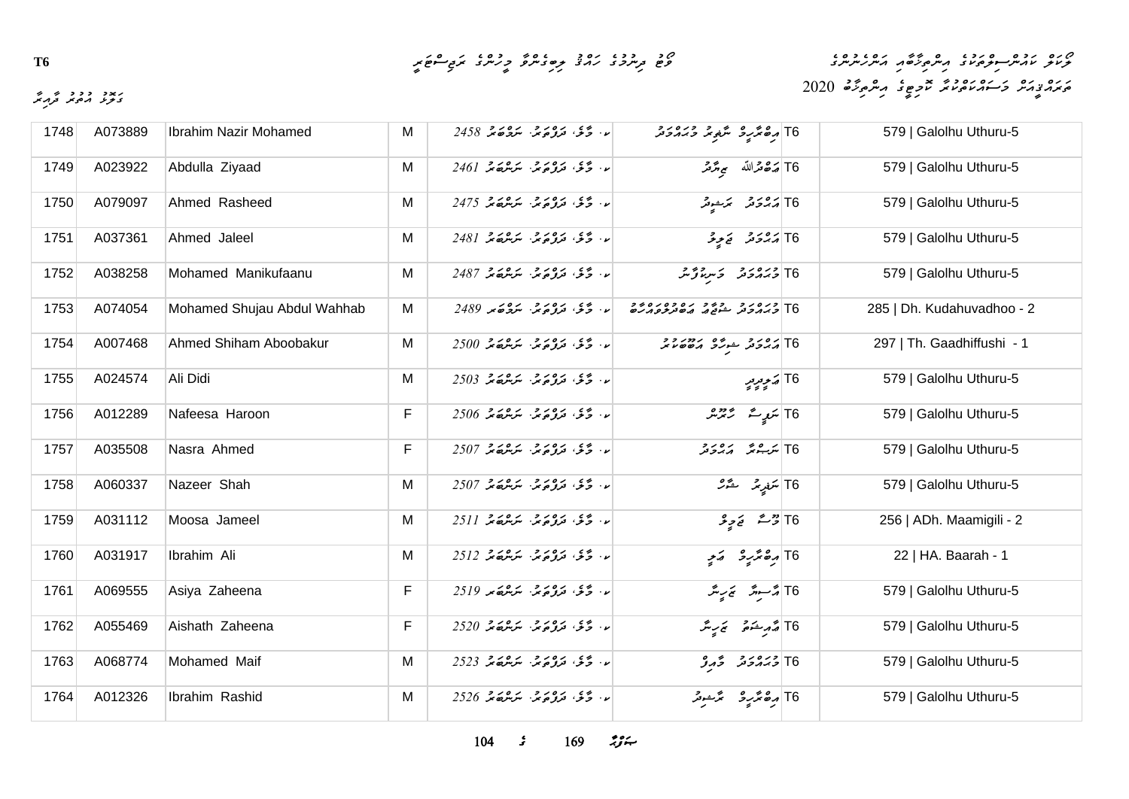*sCw7q7s5w7m< o<n9nOoAw7o< sCq;mAwBoEw7q<m; wBm;vB* م من المرة المرة المرة المرجع المرجع في المركبة 2020<br>مجم*د المريض المربوط المربع المرجع في المراجع المركبة* 

| ريدد دود و در |  |
|---------------|--|
|               |  |

| 1748 | A073889 | Ibrahim Nazir Mohamed       | M | $2458$ - جَوْ، مَرْوَى جَمْ. مَرْحَدَ هُمْ.                                                                                                                                                                                  | T6 مەھەر بەھ بۇ ئەيھەدە ئەردىد                                                                                                                                                                                        | 579   Galolhu Uthuru-5     |
|------|---------|-----------------------------|---|------------------------------------------------------------------------------------------------------------------------------------------------------------------------------------------------------------------------------|-----------------------------------------------------------------------------------------------------------------------------------------------------------------------------------------------------------------------|----------------------------|
| 1749 | A023922 | Abdulla Ziyaad              | M | $2461$ مَا تَرَبَّى مَرْتَوْجَةٍ. مَرْسُرْجَةٍ مِنْ $\frac{2461}{4}$                                                                                                                                                         | T6 كەھەراللە  ج <i>ەڭ</i> قر                                                                                                                                                                                          | 579   Galolhu Uthuru-5     |
| 1750 | A079097 | Ahmed Rasheed               | M | لا : 35، قروم من سرەھىر 2475                                                                                                                                                                                                 | T6   <i>دَ ب</i> ُرْحَ مَرْسُومْرُ                                                                                                                                                                                    | 579   Galolhu Uthuru-5     |
| 1751 | A037361 | Ahmed Jaleel                | M | لا - 55، مروم من سرچري 2481                                                                                                                                                                                                  | T6   <i>دُبُرْدَ تَرْ فِي فَرِ</i> نْزُ                                                                                                                                                                               | 579   Galolhu Uthuru-5     |
| 1752 | A038258 | Mohamed Manikufaanu         | M | $2487$ - ئۇق مۇق ئاس ئىق ئىس ئىس ئىس ئىستى ئىستان ئىستان ئىستان ئىستان ئىستان ئىستان ئىستان ئىستان ئىستان ئىستان ئىستان ئىستان ئىستان ئىستان ئىستان ئىستان ئىستان ئىستان ئىستان ئىستان ئىستان ئىستان ئىستان ئىستان ئىستان ئى | T6 <i>32,020 كېږىدۇ.</i><br>76 <i>كىلم</i> ونىڭ                                                                                                                                                                       | 579   Galolhu Uthuru-5     |
| 1753 | A074054 | Mohamed Shujau Abdul Wahhab | M | T6 ورورو اوجو روووروجو الدائري برورو الروحي 2489                                                                                                                                                                             |                                                                                                                                                                                                                       | 285   Dh. Kudahuvadhoo - 2 |
| 1754 | A007468 | Ahmed Shiham Aboobakur      | M | $2500$ - دَكَرَ الْمَرْكَوْمَ مِنْ الْمَرْسُوْمَ مِنْ                                                                                                                                                                        | T6 גُرُوتُرٌ جُورُو <b>גُ</b> ھُ <i>مُدُ</i>                                                                                                                                                                          | 297   Th. Gaadhiffushi - 1 |
| 1755 | A024574 | Ali Didi                    | M | ىر ئۇنى، ترۇپ ئىر ئىر ئىشقەتمە 2503                                                                                                                                                                                          | 76 کھیے پیرور                                                                                                                                                                                                         | 579   Galolhu Uthuru-5     |
| 1756 | A012289 | Nafeesa Haroon              | F | ، جَرْءَ مَرْوَى بِرْ. سَرْسْھَ بِرْ 2506                                                                                                                                                                                    | T6 يتربر منتقب بين المنتقب المنتقب المنتقب التي تنقب التي تنقب المنتقب التي تنقب التي تنقب التي تنقب<br>التي تنقب التي تنقب التي تنقب التي تنقب التي تنقب التي تنقب التي تنقب التي تنقب التي تنقب التي تنقب التي تنقب | 579   Galolhu Uthuru-5     |
| 1757 | A035508 | Nasra Ahmed                 | F | ، جَرَى مَرْوَمَ بْمَ. سَرْسْھَ بْمْ 2507                                                                                                                                                                                    | T6 ىترىبىش كەنزىقر                                                                                                                                                                                                    | 579   Galolhu Uthuru-5     |
| 1758 | A060337 | Nazeer Shah                 | М | ىر ئۇق ترۇمۇش بىر شەك 2507                                                                                                                                                                                                   | T6 سَمْدِيْر حَدَّرْ                                                                                                                                                                                                  | 579   Galolhu Uthuru-5     |
| 1759 | A031112 | Moosa Jameel                | M | ىر ئۇنى ئېزمۇنى بىر شەھىر 2511                                                                                                                                                                                               | T6 تخریحہ <sub>تح</sub> وی                                                                                                                                                                                            | 256   ADh. Maamigili - 2   |
| 1760 | A031917 | Ibrahim Ali                 | M | ىر ئۇق ئور ئەر ئىر ئەن 2512                                                                                                                                                                                                  | T6 <sub>مر</sub> ھ <i>مگرے م</i> کم ہے۔                                                                                                                                                                               | 22   HA. Baarah - 1        |
| 1761 | A069555 | Asiya Zaheena               | F | لا د محمد تروم من شركت مركز 2519                                                                                                                                                                                             | T6 م <i>مَّ</i> سِن <i>مَ</i> بِحَرِيمَهِ                                                                                                                                                                             | 579   Galolhu Uthuru-5     |
| 1762 | A055469 | Aishath Zaheena             | F | ، دَّى مَرْوْءَ يْرَ سَرْعَةَ 2520                                                                                                                                                                                           | T6 <i>ھُوڪو پارِ</i> مَٿَ                                                                                                                                                                                             | 579   Galolhu Uthuru-5     |
| 1763 | A068774 | Mohamed Maif                | M | ، دَّى مَرْوَيْرْ. سَرْسْھَىرْ 2523                                                                                                                                                                                          | T6 <i>جَدُوْجُودْ وَّووْ</i>                                                                                                                                                                                          | 579   Galolhu Uthuru-5     |
| 1764 | A012326 | Ibrahim Rashid              | M | ىر ئەق ئوقەتمە. ئىر ئىھەتمە 2526                                                                                                                                                                                             | T6 <i>پر&amp;نڈرِ \$ م</i> گھوٹر                                                                                                                                                                                      | 579   Galolhu Uthuru-5     |

*104 s 169 <i>n*<sub>3</sub> *s*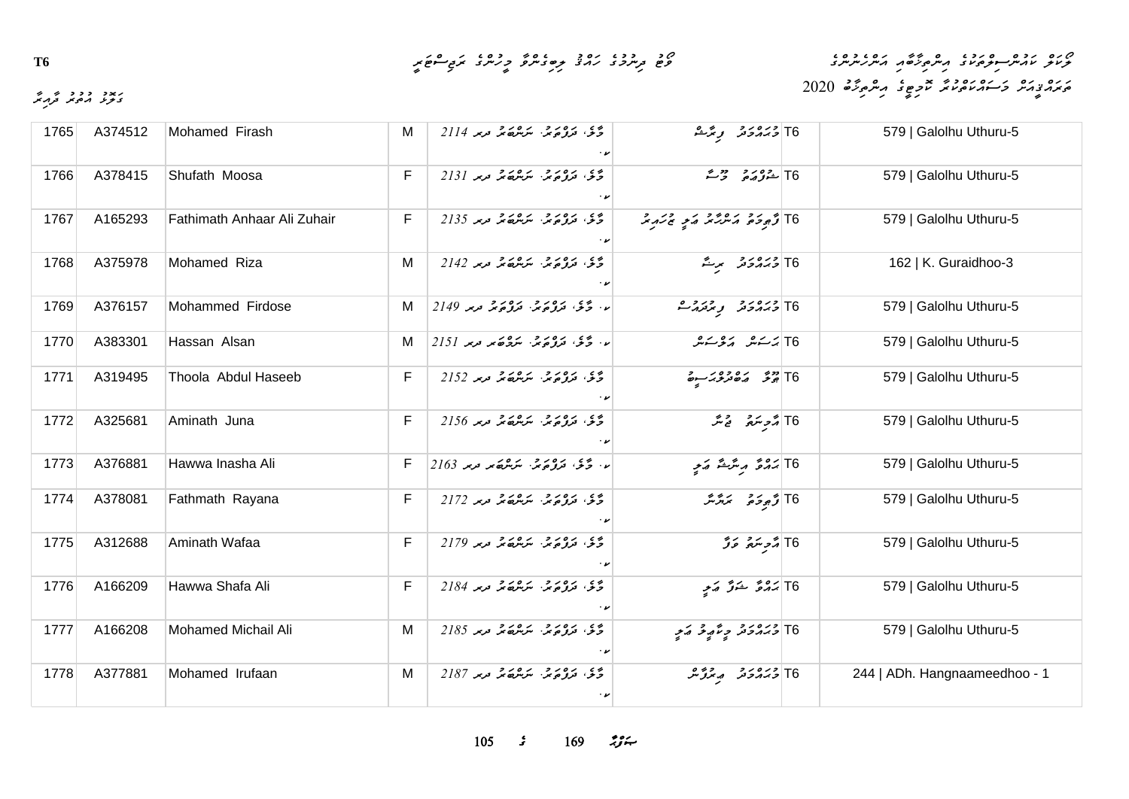*sCw7q7s5w7m< o<n9nOoAw7o< sCq;mAwBoEw7q<m; wBm;vB* م من المسجد المسجد المسجد المسجد المسجد العام 2020<br>مجم*د المسجد المسجد المستجد المسجد المسجد المسجد المسجد المسجد المسجد المسجد المسجد المسجد المسجد المسجد المسجد* 

# *n8o<n@ q8qAq< q:uBmC*

| 1765 | A374512 | Mohamed Firash              | M            | 33، تروپ شریف شریف مریز 2114               | T6تە <i>ر بۇ بەرگى</i> م                          | 579   Galolhu Uthuru-5        |
|------|---------|-----------------------------|--------------|--------------------------------------------|---------------------------------------------------|-------------------------------|
| 1766 | A378415 | Shufath Moosa               | F            | 33) مَرْوْحَةٍ سَرْسْقَةٍ مِّي مِيسِ 2131  | $23.332$ T6                                       | 579   Galolhu Uthuru-5        |
| 1767 | A165293 | Fathimath Anhaar Ali Zuhair | F            | 33، مَرْوَمَ مِنْ سَرْسَ مِنْ مِنْ 2135    | T6 ژ <sub>نج</sub> وڅو پره <i>ډېر ټرې چر</i> يدېز | 579   Galolhu Uthuru-5        |
| 1768 | A375978 | Mohamed Riza                | M            | 33، تروم تر. سرچھ تر سر 2142               | T6 <i>وُبَرُوُوَبِرْ</i> بِرِتَّہِ                | 162   K. Guraidhoo-3          |
| 1769 | A376157 | Mohammed Firdose            | M            | ، دَّى، مَرْوَى تَرَوْى مَرْ مَرْسَدِ 2149 | T6 <i>دېم ده ویموړ ک</i>                          | 579   Galolhu Uthuru-5        |
| 1770 | A383301 | Hassan Alsan                | M            | ىر ئەق ئەرەپىق ئىگەن ئىرىن 2151            | T6تەسىر <b>كەبۇسى</b> ر                           | 579   Galolhu Uthuru-5        |
| 1771 | A319495 | Thoola Abdul Haseeb         | F            | ۇي تر <i>ۇمۇ. تىرلىھى</i> ر تىرىر 2152     | T6 جۇ ئەھەر <i>وبە</i> بەر                        | 579   Galolhu Uthuru-5        |
| 1772 | A325681 | Aminath Juna                | $\mathsf F$  | 33، تروم تر. سَرْسْھَ تَرْ بِرِينَ 2156    | T6 مُ <i>جِسَعُہ</i> قے مُ <i>گ</i>               | 579   Galolhu Uthuru-5        |
| 1773 | A376881 | Hawwa Inasha Ali            | $\mathsf{F}$ | ىر - ئۇق قرۇم تەر بىر شەن بىر بىر 2163.    | T6 <i>بَهُرةَ مِ</i> سَّرَحَة <i>َ مَ</i> حٍ      | 579   Galolhu Uthuru-5        |
| 1774 | A378081 | Fathmath Rayana             | F            | وي مرور و مرش مرش و 2172                   | T6 <i>وَّجِوَدَة</i> بَرَمَّرَ مَرَ               | 579   Galolhu Uthuru-5        |
| 1775 | A312688 | Aminath Wafaa               | F            | 33، تروم تر. سرچھ تر سر 2179               | T6 م <i>ُّوِسَمَّةُ وَدُّ</i>                     | 579   Galolhu Uthuru-5        |
| 1776 | A166209 | Hawwa Shafa Ali             | $\mathsf F$  | 33، تروم 3. ترشق تمریر 2184                | T6 <i>بَدُوٌ حُوَّ مَ</i> حٍ                      | 579   Galolhu Uthuru-5        |
| 1777 | A166208 | <b>Mohamed Michail Ali</b>  | M            | 33، تروم تر. تركه تمر 2185                 | T6 <i>ڈيزون تي ويڈي</i> تي تي پي                  | 579   Galolhu Uthuru-5        |
| 1778 | A377881 | Mohamed Irufaan             | M            | 33، تروم تر. ترکھ تر 2187                  | T6 <i>ڈیزوجو پہنو</i> گر                          | 244   ADh. Hangnaameedhoo - 1 |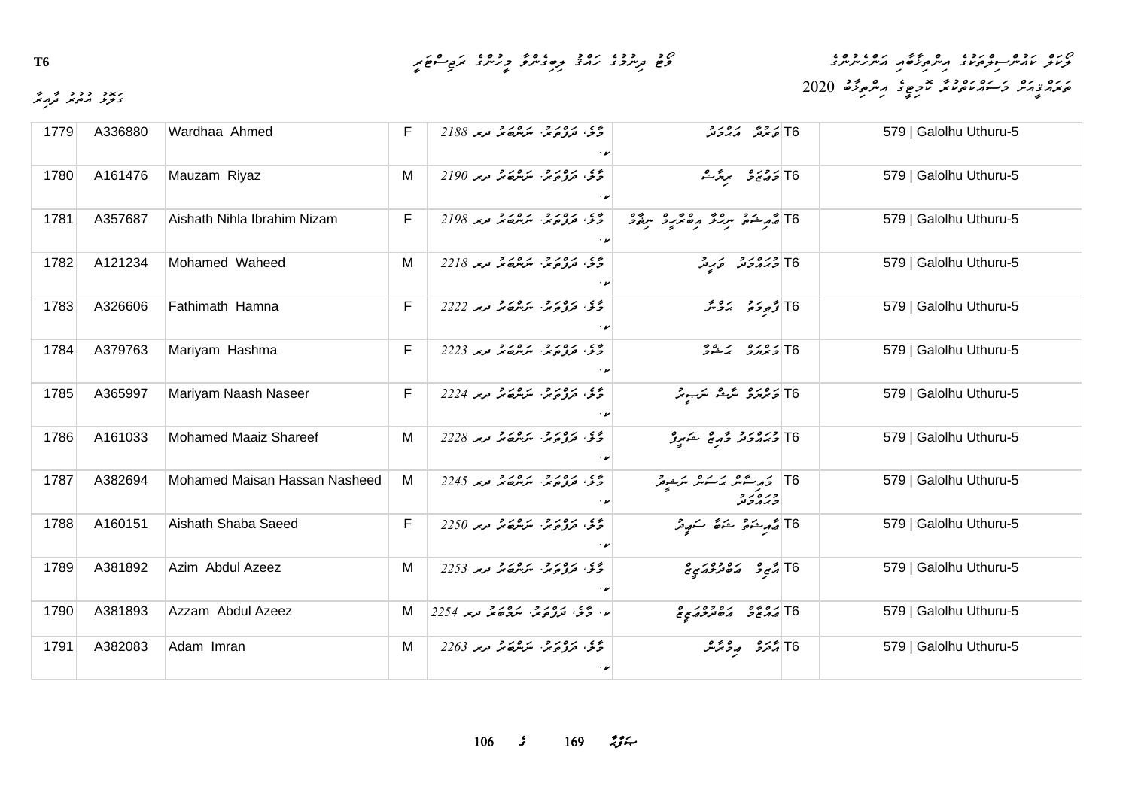*sCw7q7s5w7m< o<n9nOoAw7o< sCq;mAwBoEw7q<m; wBm;vB* م من المسجد المسجد المسجد المسجد المسجد العام 2020<br>مجم*د المسجد المسجد المستجد المسجد المسجد المسجد المسجد المسجد المسجد المسجد المسجد المسجد المسجد المسجد المسجد* 

| 1779 | A336880 | Wardhaa Ahmed                 | F | 33، تروڅ تر. سرچه تر پر 2188            | T6   <i>وَبُرْقَرْ بِرُدْدُورْ</i>                                    | 579   Galolhu Uthuru-5 |
|------|---------|-------------------------------|---|-----------------------------------------|-----------------------------------------------------------------------|------------------------|
| 1780 | A161476 | Mauzam Riyaz                  | M | 33، تروڤ تر سرشھ تر معد 2190            | T6 <i>كەنىنى بىر ئى</i> رگە                                           | 579   Galolhu Uthuru-5 |
| 1781 | A357687 | Aishath Nihla Ibrahim Nizam   | F | 33، مروم پر شهر مربر 2198               | T6 مُرْشَوْ مِرْدَدٌ رەھْرە مِرْجَ مِرْجَاتِ                          | 579   Galolhu Uthuru-5 |
| 1782 | A121234 | Mohamed Waheed                | M | 33، تروم تر. سكره تمر 2218              | T6 <i>\$نەۋى قى</i> رى <i>ز</i>                                       | 579   Galolhu Uthuru-5 |
| 1783 | A326606 | Fathimath Hamna               | F | وي دەرو. ئىر ھەتر ىرىر 2222             | T6 <i>وَّجِ حَقَّ بَ</i> حَقَّ                                        | 579   Galolhu Uthuru-5 |
| 1784 | A379763 | Mariyam Hashma                | F | وي دورو بره چې ديد 2223                 | T6 ك <i>رېږي پ</i> َ شوگر                                             | 579   Galolhu Uthuru-5 |
| 1785 | A365997 | Mariyam Naash Naseer          | F | وي مرور مرشيد مرشي مرسم 2224            | T6 <i>كَمْ مَرْمَرْ مُرْبِّهْ</i> مَرْسِبِيْر                         | 579   Galolhu Uthuru-5 |
| 1786 | A161033 | <b>Mohamed Maaiz Shareef</b>  | M | 33، تروم تر شهر 2228                    | T6 <i>وُبُهُ وَبُرْ وُبُ</i> مُحَسِّرٌ                                | 579   Galolhu Uthuru-5 |
| 1787 | A382694 | Mohamed Maisan Hassan Nasheed | M | وي مرور مرشيد مرش 2245                  | T6   كەرىسەش كەسكەش ئىزىغون <i>ى</i><br>و ره ر و<br><i>د ب</i> رگر تر | 579   Galolhu Uthuru-5 |
| 1788 | A160151 | Aishath Shaba Saeed           | F | 33، تروم تر. ترکھ تر 2250               | T6 <i>مُّ مِ</i> حُبَّةٌ سَمَّةٍ مُّ سَمَّةٍ مُّ                      | 579   Galolhu Uthuru-5 |
| 1789 | A381892 | Azim Abdul Azeez              | M | وي مرور مرشيد مرشي مرسر 2253            | T6 گمې <i>5 مەھىر قەرى</i> ج                                          | 579   Galolhu Uthuru-5 |
| 1790 | A381893 | Azzam Abdul Azeez             | M | ، دَی مَرْوَمَ». سَرْحَصَرْ مَهْر 2254. | $76$ $\frac{20000}{2500}$ $\frac{2000}{2500}$                         | 579   Galolhu Uthuru-5 |
| 1791 | A382083 | Adam Imran                    | M | 33، تروم تر. ترشق تر 2263               | T6  المحركة المركز من المحمد السير                                    | 579   Galolhu Uthuru-5 |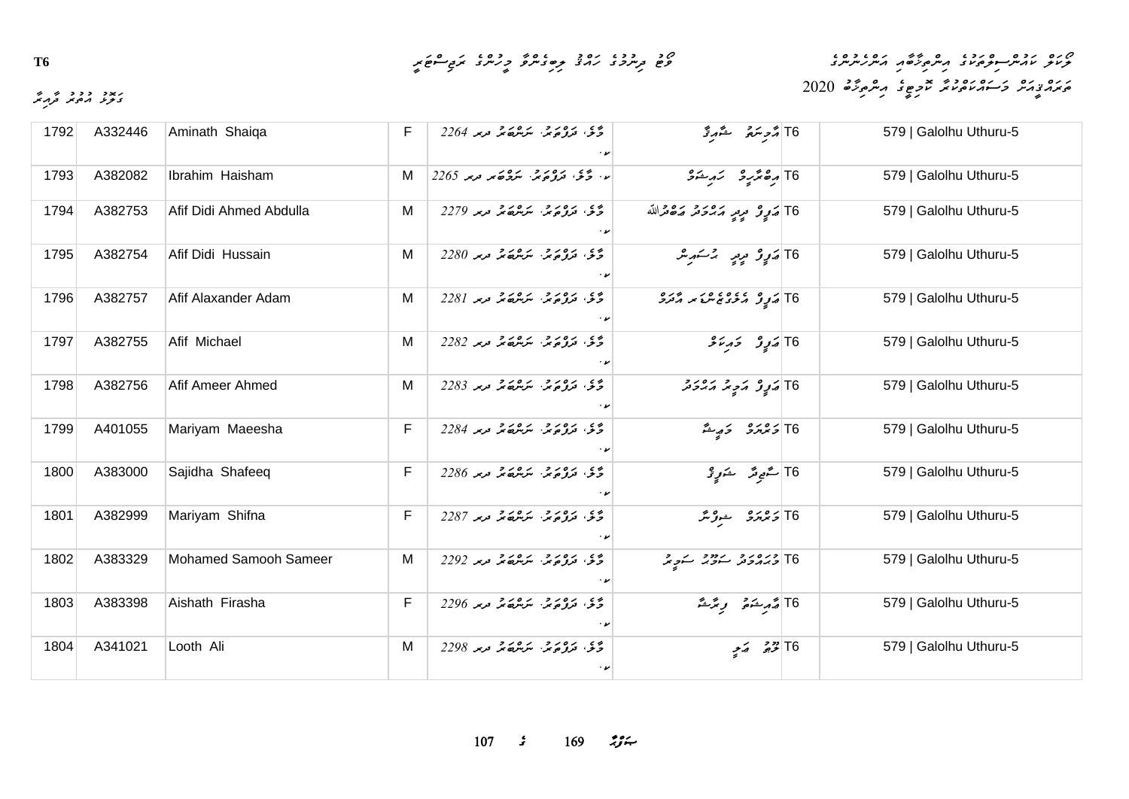*sCw7q7s5w7m< o<n9nOoAw7o< sCq;mAwBoEw7q<m; wBm;vB* م من المرة المرة المرة المرجع المرجع في المركبة 2020<br>مجم*د المريض المربوط المربع المرجع في المراجع المركبة* 

|          |  | $\theta$ $\theta$ $\theta$ $\theta$ $\theta$ $\theta$ |
|----------|--|-------------------------------------------------------|
|          |  | ى د د مەمر ترمىر                                      |
| <b>∽</b> |  |                                                       |

| 1792 | A332446 | Aminath Shaiqa               | F | 33، تروم تر. سرچھ تر محمد 2264   | T6 أَمُّ حِيمَةٌ مُحَمَّدَةٌ                      | 579   Galolhu Uthuru-5 |
|------|---------|------------------------------|---|----------------------------------|---------------------------------------------------|------------------------|
| 1793 | A382082 | Ibrahim Haisham              | M | ، دَّى مەدەبە شگەھىر مەد 2265    | T6 مەھم <i>گىر ئىم</i> ئىم                        | 579   Galolhu Uthuru-5 |
| 1794 | A382753 | Afif Didi Ahmed Abdulla      | M | وي مرور و سرچھ پر مدير 2279      | T6 <i>صَوِرْ وَيِعِيْ مَكْرَوْمْ مَ</i> صْرَاللّه | 579   Galolhu Uthuru-5 |
| 1795 | A382754 | Afif Didi Hussain            | M | 33، تروم تر. ترکھ تر 2280        | T6 <i>ڇَرِوْ مِرِمِي جُسَمِي</i> ش                | 579   Galolhu Uthuru-5 |
| 1796 | A382757 | Afif Alaxander Adam          | M | 33، تروم تر. ترته تمر الم228     | T6 <i>ړنو وی وی هی پر وګرو</i>                    | 579   Galolhu Uthuru-5 |
| 1797 | A382755 | Afif Michael                 | M | 33، تروم و. س هغه ترس 2282       | T6 <i>ڇَرِوْ - حَ</i> بِءَ مِنْ                   | 579   Galolhu Uthuru-5 |
| 1798 | A382756 | Afif Ameer Ahmed             | M | 33، تروم تر. ترتگی تر تر بر 2283 | T6 <i>בَوِوْ בَوِعْ בَ</i> يْدَوْرَ               | 579   Galolhu Uthuru-5 |
| 1799 | A401055 | Mariyam Maeesha              | F | 33، تروم تر. س هڪ ترين 2284      | T6 كا <i>برجرد ك</i> اريسة                        | 579   Galolhu Uthuru-5 |
| 1800 | A383000 | Sajidha Shafeeq              | F | 33، تروم 3. ترشق تمر 2286        | T6 گەمەقە ش <i>ەر</i> بۇ                          | 579   Galolhu Uthuru-5 |
| 1801 | A382999 | Mariyam Shifna               | F | 33، تروم و سرگھ تر 2287          | T6 ك <i>رىرى ھوش</i>                              | 579   Galolhu Uthuru-5 |
| 1802 | A383329 | <b>Mohamed Samooh Sameer</b> | M | 33، مرور و. سرچھ مرسر 2292       | T6 درورو رود <sub>شو</sub> ر                      | 579   Galolhu Uthuru-5 |
| 1803 | A383398 | Aishath Firasha              | F | 33، ترويري. تركي تحرير 2296      | T6 مُرِحَمٌ وِيَرْحُ                              | 579   Galolhu Uthuru-5 |
| 1804 | A341021 | Looth Ali                    | M | 33، تروم تر. تركه تر 2298        | T6توفير م <i>ح</i> مي                             | 579   Galolhu Uthuru-5 |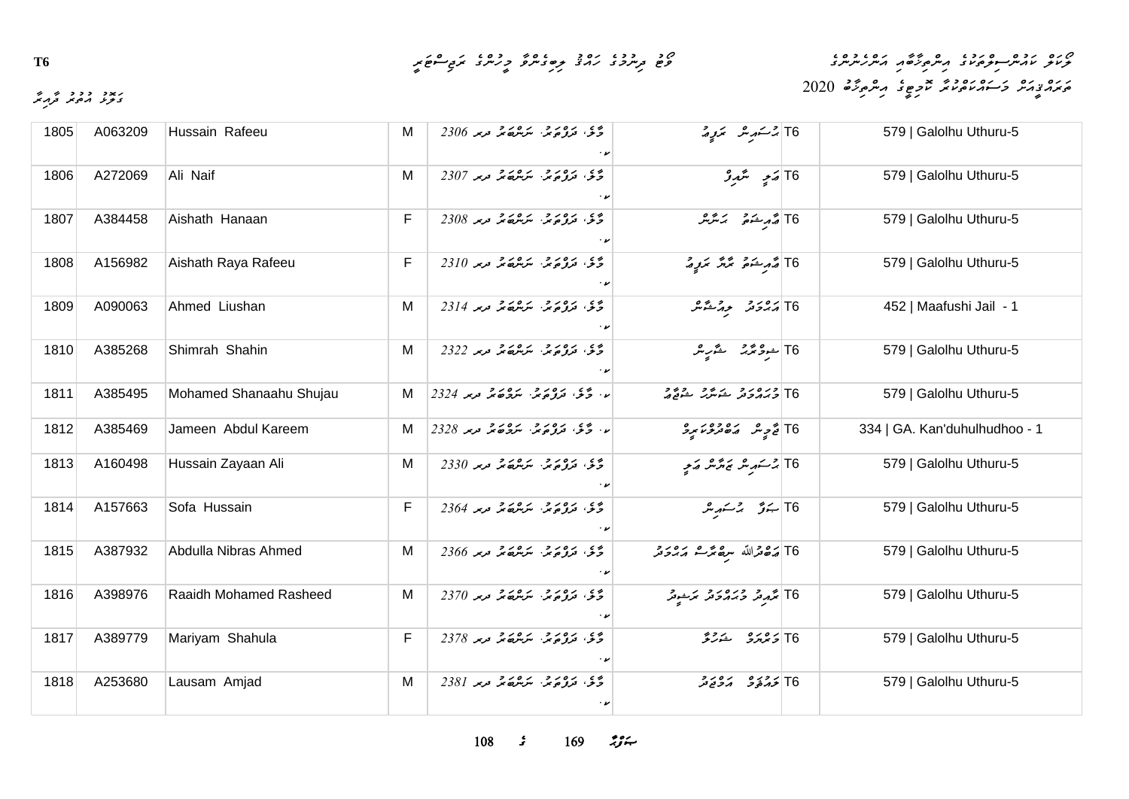*sCw7q7s5w7m< o<n9nOoAw7o< sCq;mAwBoEw7q<m; wBm;vB* م من المسجد المسجد المسجد المسجد المسجد العام 2020<br>مجم*د المسجد المسجد المستجد المسجد المسجد المسجد المسجد المسجد المسجد المسجد المسجد المسجد المسجد المسجد المسجد* 

# *n8o<n@ q8qAq< q:uBmC*

| 1805 | A063209 | Hussain Rafeeu          | M | 33 تروم تر. سرس من 2306                          | T6  پر شہر شہر ہو گھر تھا۔<br>مسلمان                                                                      | 579   Galolhu Uthuru-5        |
|------|---------|-------------------------|---|--------------------------------------------------|-----------------------------------------------------------------------------------------------------------|-------------------------------|
| 1806 | A272069 | Ali Naif                | M | 33 مَرْوَمَ بْنَ سَرْسْھَ بْرُ مِبْنِ 2307       | T6 <i>ڇُجِ سُمبر ٿُ</i>                                                                                   | 579   Galolhu Uthuru-5        |
| 1807 | A384458 | Aishath Hanaan          | F | 33 مَرْوْمَ مَرْ. سَرْسْھَ مِّرْ مِير 2308       | T6 م <i>ۇم شۇھ تى</i> ترى <i>تر</i>                                                                       | 579   Galolhu Uthuru-5        |
| 1808 | A156982 | Aishath Raya Rafeeu     | F | 33، مَرْوْحَةٍ. سَرْسْھَةٌ مِّرْ مِرْسَلِ 2310   | T6 م <i>ُّەرِحْمَۃُ مُ</i> ُہُّ <i>مَرْدٍ مُ</i>                                                          | 579   Galolhu Uthuru-5        |
| 1809 | A090063 | Ahmed Liushan           | M | وي دەرو ئىر ھەت بىر 2314                         | T6 <i>בَ بِدْوَ مَدْ جَمَّ</i> مِيْتَ مِيْتَ بِهِ مِيْتَ بِيْتِ بِيْتِ بِيْتِ بِيْتِ بِيْتِ بِيْتِ بِيْتِ | 452   Maafushi Jail - 1       |
| 1810 | A385268 | Shimrah Shahin          | M | 332 تروم تر شرکت تر 2322                         | T6 جو <i>وگر2 حگرب</i> گر                                                                                 | 579   Galolhu Uthuru-5        |
| 1811 | A385495 | Mohamed Shanaahu Shujau | M | ، دُبِّيَ مَرْوَجْهَ سَرْوَةَ مِّرْ مِرْسَ 2324. | T6  <i>وبرووق حكيرة</i> المقا <i>في</i>                                                                   | 579   Galolhu Uthuru-5        |
| 1812 | A385469 | Jameen Abdul Kareem     | M | ىر - ئۇقى قرۇم ئەر - شەھ ئىر سىر 2328            | T6 قَرِمِ مَعْ مَصْغِرْ مَنْ مِرْدَّ                                                                      | 334   GA. Kan'duhulhudhoo - 1 |
| 1813 | A160498 | Hussain Zayaan Ali      | M | 33 مَرْوْكُمْ بْنُ سَرْسْھَةْ مْرْسْ 2330 ْ      | T6 پرڪ <i>مب</i> ھر <i>پاءُهر م</i> َبحِر                                                                 | 579   Galolhu Uthuru-5        |
| 1814 | A157663 | Sofa Hussain            | F | 33، تروم تر. ترکھ تر 2364                        | T6 بەرسى ئەسىرىش                                                                                          | 579   Galolhu Uthuru-5        |
| 1815 | A387932 | Abdulla Nibras Ahmed    | M | 33، تروم تر. ترکھ تر تربر 2366                   | T6 مُەفراللە سەھ ئەرەبەد                                                                                  | 579   Galolhu Uthuru-5        |
| 1816 | A398976 | Raaidh Mohamed Rasheed  | M | 33 مَرْوْمَ مَرْ. سَرْسْھَ مْرْ مِير 2370        | T6 بَرْرِتْرْ دْبَرْدْدَتْرْ بَرْشِيْرْ                                                                   | 579   Galolhu Uthuru-5        |
| 1817 | A389779 | Mariyam Shahula         | F | 33، تروم تر، شرکت تر 2378                        | T6 ك <i>رىرى خەرقى</i>                                                                                    | 579   Galolhu Uthuru-5        |
| 1818 | A253680 | Lausam Amjad            | M | 33، تروم تر. سرچھ تر ترین 2381                   | T6 <i>خەنمۇ مۇق</i> قر                                                                                    | 579   Galolhu Uthuru-5        |

*108 s 169 <i>n*<sub>3</sub> *i*</sup>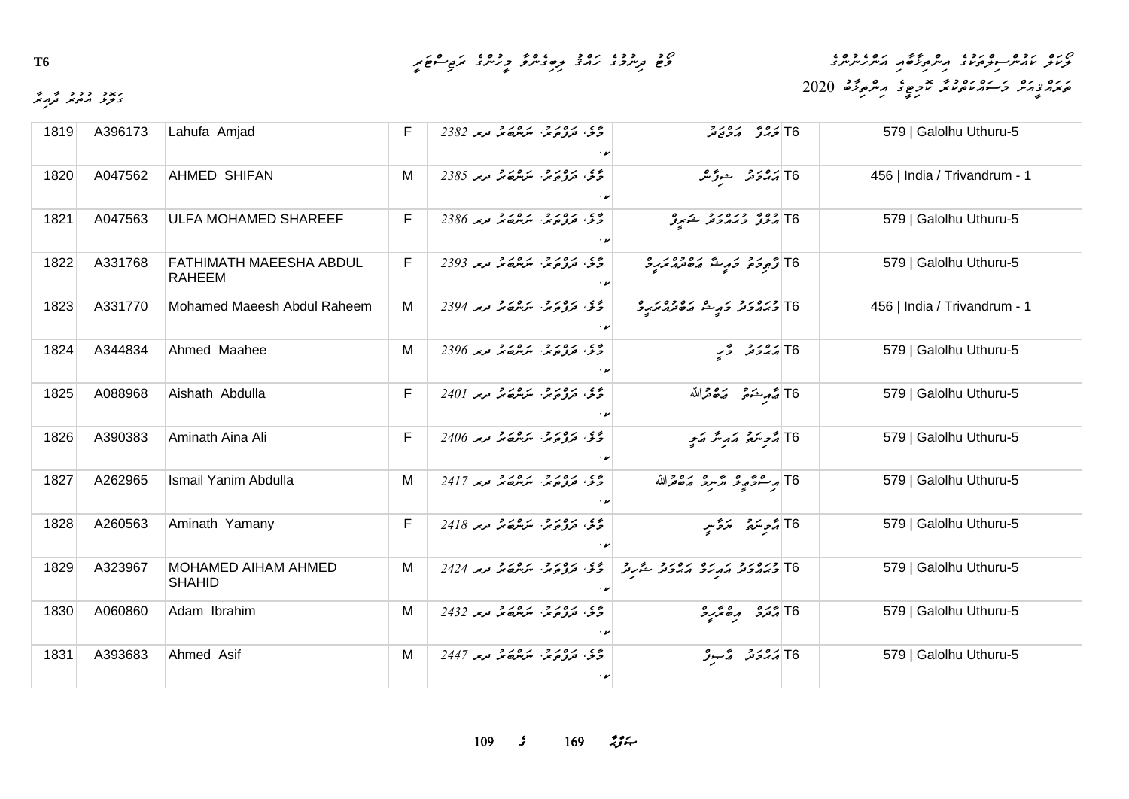*sCw7q7s5w7m< o<n9nOoAw7o< sCq;mAwBoEw7q<m; wBm;vB* م من المسجد المسجد المسجد المسجد المسجد العام 2020<br>مسجد المسجد المسجد المسجد المسجد المسجد المسجد المسجد المسجد ال

| 1819 | A396173 | Lahufa Amjad                                | $\mathsf{F}$ | 33، تروپ پر سرچی تربر 2382                     | T6 <i>تزبرگ پرون</i> وتر                     | 579   Galolhu Uthuru-5       |
|------|---------|---------------------------------------------|--------------|------------------------------------------------|----------------------------------------------|------------------------------|
| 1820 | A047562 | <b>AHMED SHIFAN</b>                         | M            | 33، تروم تر. ترتگه تر کا 2385                  | T6 <i>ټرې تر شوگنگ</i> ر                     | 456   India / Trivandrum - 1 |
| 1821 | A047563 | <b>ULFA MOHAMED SHAREEF</b>                 | $\mathsf{F}$ | 336 مَرْوْحَ مِّرْ. سَرْسْھَ مِرْ مَرْسَر 2386 | T6   پروژ د <i>چرک و پر شمېر</i> و           | 579   Galolhu Uthuru-5       |
| 1822 | A331768 | <b>FATHIMATH MAEESHA ABDUL</b><br>RAHEEM    | F            | 33، تروم تر. ترشق تر و2393                     | T6 زُب <i>ودَه</i> دَرٍ شُر رُودِهِ بَرَ دِ  | 579   Galolhu Uthuru-5       |
| 1823 | A331770 | Mohamed Maeesh Abdul Raheem                 | M            | 33) رەرر شەھەت مەر 2394                        | T6 دره د د بر مه ده ده د ده د                | 456   India / Trivandrum - 1 |
| 1824 | A344834 | Ahmed Maahee                                | M            | 33 مَرْوْجَ پَرْ سَرْسْھَ پِرْ مِهْدِ 2396     | T6 <i>ټرون</i> و و <i>پ</i>                  | 579   Galolhu Uthuru-5       |
| 1825 | A088968 | Aishath Abdulla                             | $\mathsf{F}$ | 33، تروم تر. تركه تمر 2401                     | T6 مُصِيحَة مَصْعَدالله                      | 579   Galolhu Uthuru-5       |
| 1826 | A390383 | Aminath Aina Ali                            | F            | 33، تروم تر. ترشق تر 2406                      | T6 أَمُّ حِسَوْهُ أَمَدِ مَثَّرٍ أَمَرَ مِنْ | 579   Galolhu Uthuru-5       |
| 1827 | A262965 | Ismail Yanim Abdulla                        | M            | 33، تروم تر مرش تهر 2417                       | T6 م <i>رت دؤم و \$ مرد مَ</i> صَدَاللّه     | 579   Galolhu Uthuru-5       |
| 1828 | A260563 | Aminath Yamany                              | $\mathsf{F}$ | 33، تروم تر. ترشق تر 2418                      | T6 مُ <i>جِسَعُو مَ</i> حَسِ                 | 579   Galolhu Uthuru-5       |
| 1829 | A323967 | <b>MOHAMED AIHAM AHMED</b><br><b>SHAHID</b> | M            | مَحَقٍّ مَرْوَجٍ مِنْ سَرْسُ مَمَدٍ 2424.      | T6 ويروبرو بربرى بروبرو كم بر                | 579   Galolhu Uthuru-5       |
| 1830 | A060860 | Adam Ibrahim                                | M            | وي مرور مركز مركز قرير 2432                    | T6 <i>مُعَرَّد م</i> ِ <i>مُحَمَّدٍ وَ</i>   | 579   Galolhu Uthuru-5       |
| 1831 | A393683 | Ahmed Asif                                  | M            | 3ء، بروء تہ. سرس پھر مرید 2447                 | T6 <i>ټرې پر په پ</i>                        | 579   Galolhu Uthuru-5       |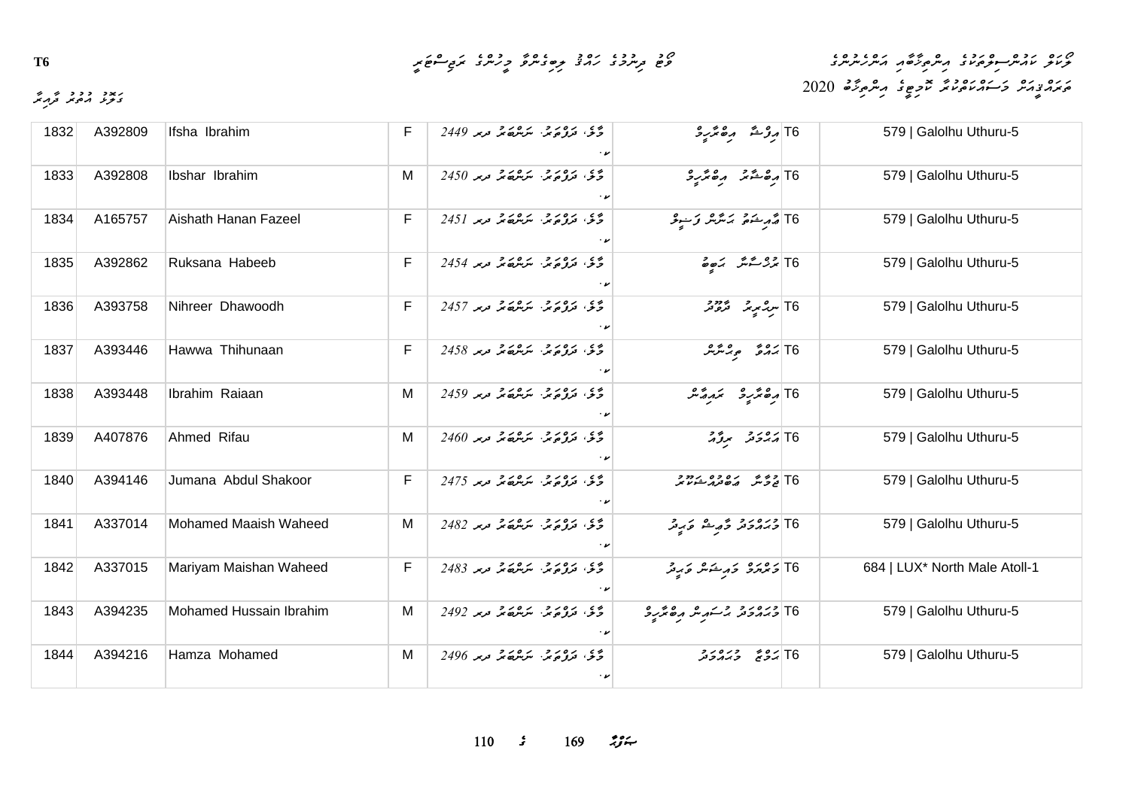*sCw7q7s5w7m< o<n9nOoAw7o< sCq;mAwBoEw7q<m; wBm;vB* م من المرة المرة المرة المرجع المرجع في المركبة 2020<br>مجم*د المريض المربوط المربع المرجع في المراجع المركبة* 

|  | $\rightarrow$ $\rightarrow$ $\rightarrow$ $\rightarrow$ $\rightarrow$ $\rightarrow$ $\rightarrow$ $\rightarrow$ |
|--|-----------------------------------------------------------------------------------------------------------------|
|  | ى يحرى - مەھەر - مرمە بر                                                                                        |

| 1832 | A392809 | Ifsha Ibrahim                | F           | 33، تروپرتر، سرسم سربر 2449               | T6  مِرْزَحْتُمْ مِنْ مُرْكَبِرْدُ            | 579   Galolhu Uthuru-5        |
|------|---------|------------------------------|-------------|-------------------------------------------|-----------------------------------------------|-------------------------------|
| 1833 | A392808 | Ibshar Ibrahim               | M           | 33، تروم تر. ترکھ تر 2450                 | T6 مەھشىر م <i>ەشرى</i> ۋ                     | 579   Galolhu Uthuru-5        |
| 1834 | A165757 | Aishath Hanan Fazeel         | F           | 33، تروم تر. سرچھ تر ترین 2451            | T6 م <i>ۇم شەھ تەنگەنگە ق-ب</i> وگ            | 579   Galolhu Uthuru-5        |
| 1835 | A392862 | Ruksana Habeeb               | $\mathsf F$ | 33، تروم تر. ترکھ تر 2454                 | T6 بزر مشتر برَص <sup>2</sup>                 | 579   Galolhu Uthuru-5        |
| 1836 | A393758 | Nihreer Dhawoodh             | $\mathsf F$ | وي مرور مرد مردم کرد 2457                 | T6 سرچرینز گروهر                              | 579   Galolhu Uthuru-5        |
| 1837 | A393446 | Hawwa Thihunaan              | F           | 33، تروم چې سرش چې ترمر 2458              | T6 <i>يَدْهُ وَ</i> مِرْ مَرْ مِنْ            | 579   Galolhu Uthuru-5        |
| 1838 | A393448 | Ibrahim Raiaan               | M           | 33، تروم تر. ترکھ تر 2459 2459            | T6 <i>مەھەرىي مەمەشى</i>                      | 579   Galolhu Uthuru-5        |
| 1839 | A407876 | Ahmed Rifau                  | M           | 33، تروڅ تر سرشھ تر سر 2460               | T6 <i>ټرې تو</i> پروگه                        | 579   Galolhu Uthuru-5        |
| 1840 | A394146 | Jumana Abdul Shakoor         | $\mathsf F$ | 33، مروم و. سكر محمد مرمد 2475            | T6 <i>فوڤش مۇھەرمى</i> دە د                   | 579   Galolhu Uthuru-5        |
| 1841 | A337014 | <b>Mohamed Maaish Waheed</b> | M           | وي مرور و.<br>وكل مروري سرس مدين وبر 2482 | T6 <i>وُبَهُ وَوَمَدٍ وَمِ</i> حْهِ وَرِمِّرَ | 579   Galolhu Uthuru-5        |
| 1842 | A337015 | Mariyam Maishan Waheed       | $\mathsf F$ | 33، تروم 3، سَرْسُ مَدْ تَرْسَ 2483       | T6 <i>وَجُهْدًى وَمِ</i> عْدَمَّر وَرِيْرَ    | 684   LUX* North Male Atoll-1 |
| 1843 | A394235 | Mohamed Hussain Ibrahim      | M           | 33، تروم تر. تركي تر تربر 2492            | T6   دېرو د د کريه شه شو موځ ده.              | 579   Galolhu Uthuru-5        |
| 1844 | A394216 | Hamza Mohamed                | M           | 33، تروڅ تر سرسه تر دبر 2496              | T6 كەبىر <i>دىمەدى</i> ر                      | 579   Galolhu Uthuru-5        |

 $110$  *s*  $169$  *if*<sub>i</sub>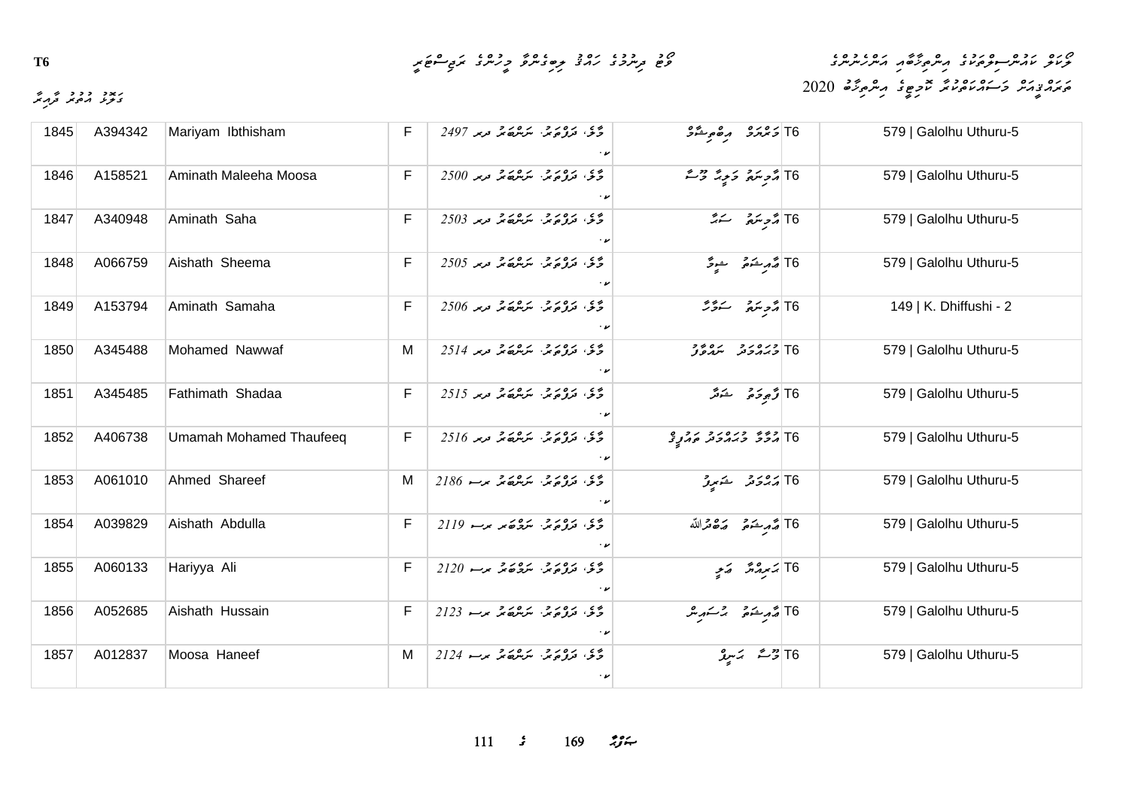*sCw7q7s5w7m< o<n9nOoAw7o< sCq;mAwBoEw7q<m; wBm;vB* م من المرة المرة المرة المرجع المرجع في المركبة 2020<br>مجم*د المريض المربوط المربع المرجع في المراجع المركبة* 

|  | * * <b>&gt;&gt;&gt; &gt; &gt;</b> |
|--|-----------------------------------|
|  | ى يو د مەمد ترمىر                 |

| 1845 | A394342 | Mariyam Ibthisham              | F            | 35، تروپر شریف پر 2497          | T6 <i>كېرىزى مەھم</i> ىشۇ                 | 579   Galolhu Uthuru-5 |
|------|---------|--------------------------------|--------------|---------------------------------|-------------------------------------------|------------------------|
| 1846 | A158521 | Aminath Maleeha Moosa          | F            | 33، تروڅ تر سرشھ تر معد 2500    | T6 أَمُّ وِسَمَّةَ ۖ وَمِيَّدٌ ۖ وَّسُدُّ | 579   Galolhu Uthuru-5 |
| 1847 | A340948 | Aminath Saha                   | F            | 33، تروم تر. ترکھ تر 2503       | T6 م <i>جْ جِسَعَة جَسَدَّ</i>            | 579   Galolhu Uthuru-5 |
| 1848 | A066759 | Aishath Sheema                 | F            | 33، ترويز سرش تر 2505           | T6 مُرِيشَمُ شِرَّ                        | 579   Galolhu Uthuru-5 |
| 1849 | A153794 | Aminath Samaha                 | $\mathsf F$  | 33، تروڅ تر سرش ته 2506         | T6 مُج <i>مَّد حَدَّدٌ</i>                | 149   K. Dhiffushi - 2 |
| 1850 | A345488 | Mohamed Nawwaf                 | M            | 33، تروم تر. سرچھ تر 2514       | $7202$ $7227$ The                         | 579   Galolhu Uthuru-5 |
| 1851 | A345485 | Fathimath Shadaa               | F            | 33، تروم تر سرچھ تر 2515        | T6 <i>وُّجِوحَة</i> شَعَّةً               | 579   Galolhu Uthuru-5 |
| 1852 | A406738 | <b>Umamah Mohamed Thaufeeq</b> | F            | 33، تروڅ تر سرسه تر 2516        | T6 رُرُسُ دِرور د د و و                   | 579   Galolhu Uthuru-5 |
| 1853 | A061010 | Ahmed Shareef                  | M            | ۇي مۇمۇر. سەھەم بىر 2186        | T6  <i>ډېر څخه پین</i> و                  | 579   Galolhu Uthuru-5 |
| 1854 | A039829 | Aishath Abdulla                | $\mathsf F$  | 33، ئۇۋىر ئىرگە ئىر ئەس 2119    | T6 مُرْمِّسْمَعْ مَرْصُوْرَاللَّهُ        | 579   Galolhu Uthuru-5 |
| 1855 | A060133 | Hariyya Ali                    | $\mathsf{F}$ | 33، تروڅ تر. تروڅ تر بر ب       | T6 ب <i>زیره بر م</i> َر <sub>م</sub> ِ   | 579   Galolhu Uthuru-5 |
| 1856 | A052685 | Aishath Hussain                | $\mathsf F$  | 33، تروم تر. ترم محمد برسو 2123 | T6 م <i>حمد مشترقہ</i> گرسکر میں          | 579   Galolhu Uthuru-5 |
| 1857 | A012837 | Moosa Haneef                   | M            | 33، تروم تر. ترترچ تر بر 2124   | T6 چرمجہ برس <i>ب</i> وتر                 | 579   Galolhu Uthuru-5 |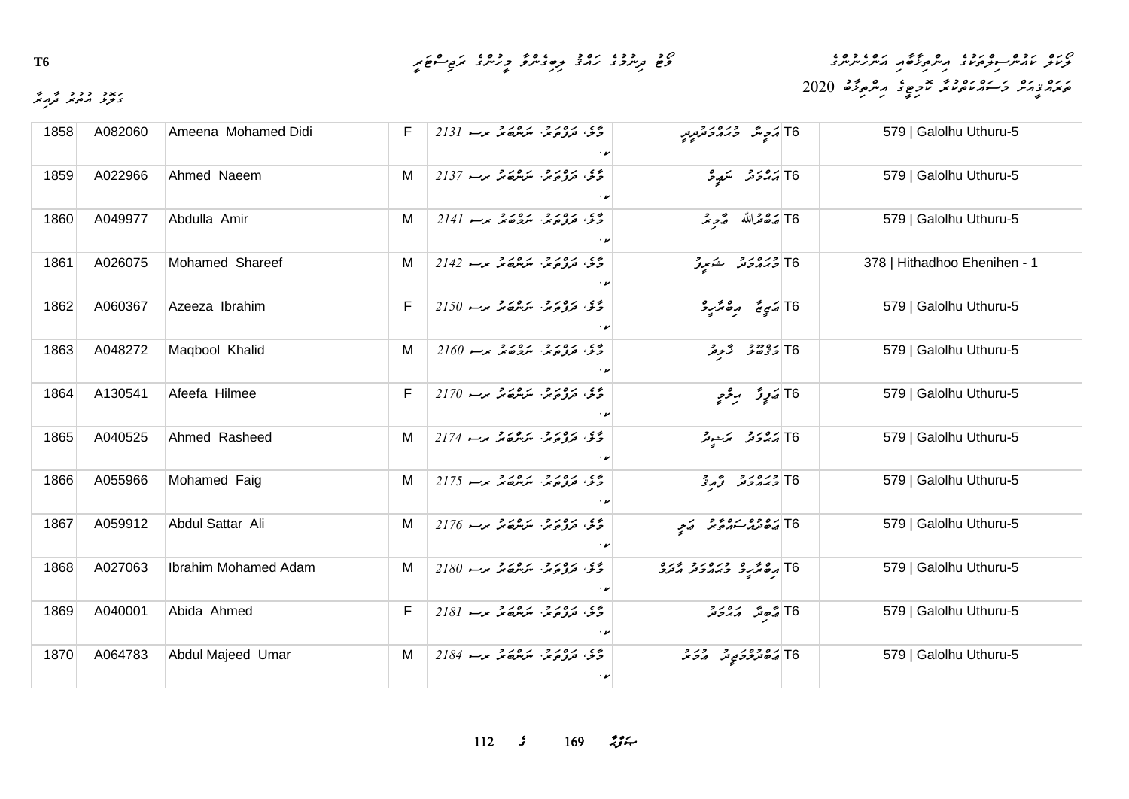*sCw7q7s5w7m< o<n9nOoAw7o< sCq;mAwBoEw7q<m; wBm;vB* م من المسجد المسجد المسجد المسجد المسجد العام 2020<br>مسجد المسجد المسجد المسجد المسجد المسجد المسجد المسجد المسجد ال

| 1858 | A082060 | Ameena Mohamed Didi         | F            | 33، تروم تر. ترتیب تر ہے 2131                  | T6  كەچ ئىگ تەم <i>كەنگەتت</i> وپىر       | 579   Galolhu Uthuru-5       |
|------|---------|-----------------------------|--------------|------------------------------------------------|-------------------------------------------|------------------------------|
| 1859 | A022966 | Ahmed Naeem                 | M            | 33) مُرُومٌ مُنْ سَرْسُهُمْ مِنْ 2137          | T6 <i>בُرْدُوَ مَّهُ</i> وُ               | 579   Galolhu Uthuru-5       |
| 1860 | A049977 | Abdulla Amir                | M            | 33، تروم چې سرچ څخه سر د 2141                  | T6 كَرْحْدْرَاللّه مُرْحَدٌ               | 579   Galolhu Uthuru-5       |
| 1861 | A026075 | Mohamed Shareef             | M            | وي مرور مرور مرور و 2142                       | T6  <i>3223\$ شكيرة</i>                   | 378   Hithadhoo Ehenihen - 1 |
| 1862 | A060367 | Azeeza Ibrahim              | $\mathsf{F}$ | ۇي مۇمۇر. سەھەتمە بىر سە 2150                  | T6 <i>ھَيِّ جُهُ م</i> ِھُتَّ <i>رِدُ</i> | 579   Galolhu Uthuru-5       |
| 1863 | A048272 | Maqbool Khalid              | M            | 35، ئۇۋغۇش ئىرقەھ ئەسە 2160                    | T6 ك <sup>72</sup> 5 گونر                 | 579   Galolhu Uthuru-5       |
| 1864 | A130541 | Afeefa Hilmee               | $\mathsf{F}$ | 33، مَرْوْمَ يْرْ، سَرْسْرْھَ يْرْ سِيْسْ 2170 | T6 <i>ړُوٍوَ" بر</i> و <sub>ح</sub>       | 579   Galolhu Uthuru-5       |
| 1865 | A040525 | Ahmed Rasheed               | M            | وی ده دو مرورد برای 174                        | T6 <i>ב</i> 22 كەنبەتر                    | 579   Galolhu Uthuru-5       |
| 1866 | A055966 | Mohamed Faig                | M            | 33، مَرْوَمَ مِنْ سَرْسُ مِنْ 2175             | T6 <i>جُدُمُ جُدُو گُردُ</i>              | 579   Galolhu Uthuru-5       |
| 1867 | A059912 | Abdul Sattar Ali            | M            | 33، مَرْوَمِهْ. سَرْسْھَةَ مِرْ - 2176         |                                           | 579   Galolhu Uthuru-5       |
| 1868 | A027063 | <b>Ibrahim Mohamed Adam</b> | M            | 33، تروكۇپر، ترىرگەنز برسە 2180                | T6 مەھرىپ ئەمەمەد مەمەد                   | 579   Galolhu Uthuru-5       |
| 1869 | A040001 | Abida Ahmed                 | $\mathsf F$  | 33، تروم تر. تركھ تر تر 2181                   | T6 مُصعَّر مَ <sup>ر</sup> ْدَدَ          | 579   Galolhu Uthuru-5       |
| 1870 | A064783 | Abdul Majeed Umar           | M            | وی مرور مردمین میگردیم و 2184                  | T6 كەھەر <i>35 كە</i> ر كەرگە             | 579   Galolhu Uthuru-5       |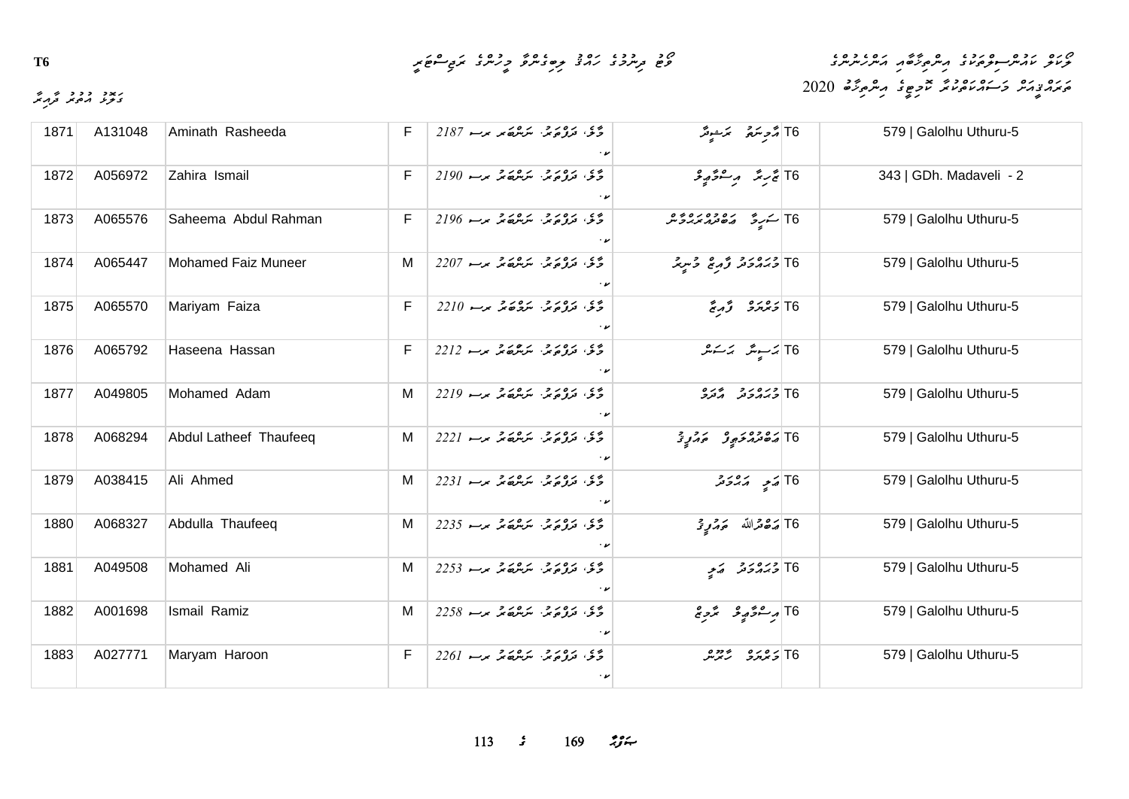*sCw7q7s5w7m< o<n9nOoAw7o< sCq;mAwBoEw7q<m; wBm;vB* م من المسجد المسجد المسجد المسجد المسجد العام 2020<br>مسجد المسجد المسجد المسجد المسجد المسجد المسجد المسجد المسجد ال

### *n8o<n@ q8qAq< q:uBmC*

| 1871 | A131048 | Aminath Rasheeda           | F            | 33، تروم تر. س س س سه 2187                     | T6  <i>مُّحِ مَرَّةُ مَرَ</i> حْبِيَّ <i>رُ</i> | 579   Galolhu Uthuru-5  |
|------|---------|----------------------------|--------------|------------------------------------------------|-------------------------------------------------|-------------------------|
| 1872 | A056972 | Zahira Ismail              | F            | دَّىْ، مَرْدْھَ يْرْ. سَرْيْرْھَ يْرْ يرب 2190 | T6 <i>تجربڈ م</i> ر ش <i>وڈم</i> یو             | 343   GDh. Madaveli - 2 |
| 1873 | A065576 | Saheema Abdul Rahman       | $\mathsf F$  | 33، ئۇۋە تەشقۇق بىر يەر 2196                   | T6 س <i>زرهٔ مقدم بردو</i> مر                   | 579   Galolhu Uthuru-5  |
| 1874 | A065447 | <b>Mohamed Faiz Muneer</b> | M            | 33، مَرْوَمِهْ. سَهْرَهُ مِنْ سِمْ 2207        | T6 <i>ڈیزودونر وُہ</i> ی تحسیلا                 | 579   Galolhu Uthuru-5  |
| 1875 | A065570 | Mariyam Faiza              | $\mathsf F$  | 33، تروم تر. سرة 2210 مرسو 2210                | T6 <i>وَجُهْدَةَ</i> وَ <i>مِ</i> يَّ           | 579   Galolhu Uthuru-5  |
| 1876 | A065792 | Haseena Hassan             | $\mathsf{F}$ | وی دورو برورو بر 2212                          |                                                 | 579   Galolhu Uthuru-5  |
| 1877 | A049805 | Mohamed Adam               | M            | وی بروبرو. برگونه بر ب                         | T6 <i>ڈیزوڈنز پڑوڑ</i>                          | 579   Galolhu Uthuru-5  |
| 1878 | A068294 | Abdul Latheef Thaufeeq     | M            | وی برورو برورو برسو 2221                       | T6 <i>مەھەرمۇمۇق مۇمۇ</i> بۇ                    | 579   Galolhu Uthuru-5  |
| 1879 | A038415 | Ali Ahmed                  | M            | 33) مَرْوَمْ مَنْ سَرْجَمْ مِنْ 2231           | T6 <i>جَرِي جَهْ</i> دَتْرُ                     | 579   Galolhu Uthuru-5  |
| 1880 | A068327 | Abdulla Thaufeeq           | M            | 33) مرەم دەكتىش مەسە 2235                      | T6 كەھەراللە <i>كەم بو</i> تر                   | 579   Galolhu Uthuru-5  |
| 1881 | A049508 | Mohamed Ali                | M            | وي مرور مروري مروري مرسو 2253                  | T6 <i>جَهُ جُودَ – م</i> َعِ                    | 579   Galolhu Uthuru-5  |
| 1882 | A001698 | Ismail Ramiz               | M            | 33، مروم و سرگھ مرسو 2258                      | T6 <sub>م</sub> رےد <i>ؤر</i> بھی مگرم تھ       | 579   Galolhu Uthuru-5  |
| 1883 | A027771 | Maryam Haroon              | $\mathsf F$  | ۇي مۇمۇر سەھەم بىر 2261                        | T6تج <i>رمرڈ گیرنگ</i> ر                        | 579   Galolhu Uthuru-5  |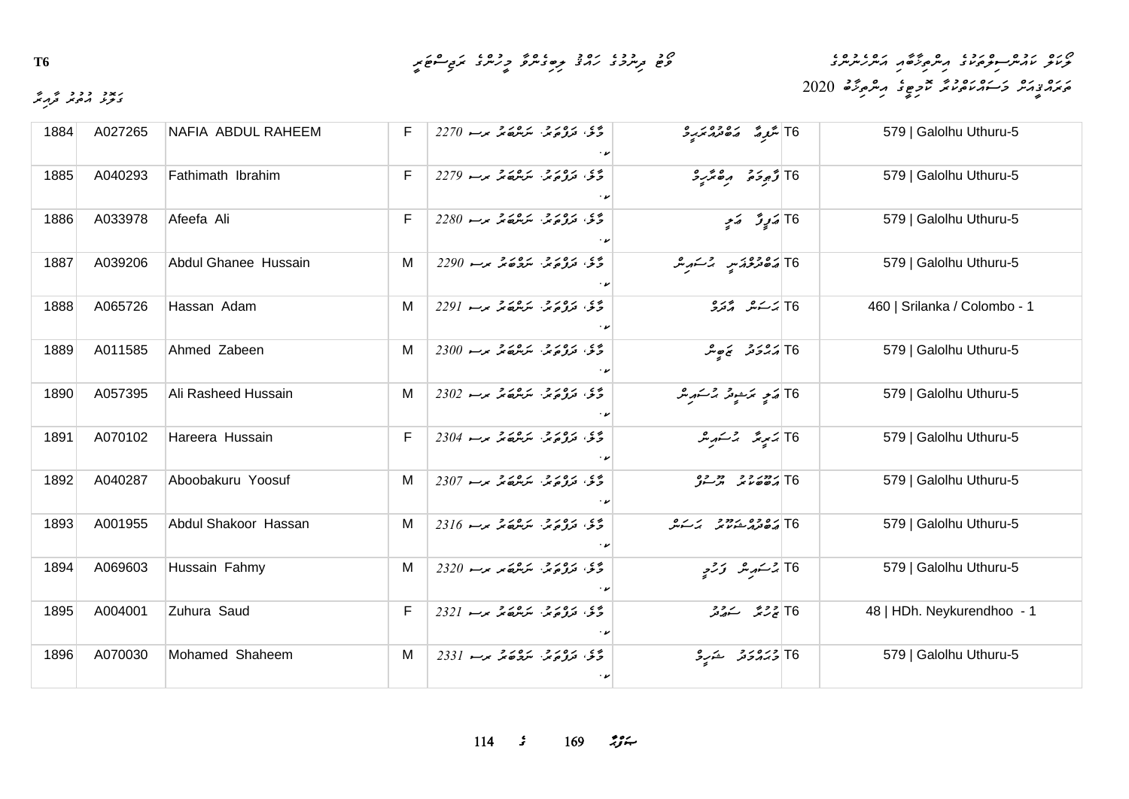*sCw7q7s5w7m< o<n9nOoAw7o< sCq;mAwBoEw7q<m; wBm;vB* م من المسجد المسجد المسجد المسجد المسجد العام 2020<br>مسجد المسجد المسجد المسجد المسجد المسجد المسجد المسجد المسجد ال

| 1884 | A027265 | NAFIA ABDUL RAHEEM   | $\mathsf{F}$ | 33، ترونجيز، ترم تھي پرسہ 2270                    | T6 ي <i>نگوند من قور ترب</i> و          | 579   Galolhu Uthuru-5       |
|------|---------|----------------------|--------------|---------------------------------------------------|-----------------------------------------|------------------------------|
| 1885 | A040293 | Fathimath Ibrahim    | $\mathsf F$  | وي مرور و سرور و در 2279                          | T6 <i>ڙوِدَهُ وهُن</i> َرِدُ            | 579   Galolhu Uthuru-5       |
| 1886 | A033978 | Afeefa Ali           | $\mathsf{F}$ | 33، مَرْوْمَ يْمْ. سَرْسْرْھَ يْمْ. سِيْسْمْ 2280 | T6 <i>ڇُوِڙَ ڇَڇِ</i>                   | 579   Galolhu Uthuru-5       |
| 1887 | A039206 | Abdul Ghanee Hussain | M            | ۇي تروپرى شەھەر بىر يە2290                        | T6 <i>בُھُوَدُوْدَسِ بِرُسَوِيدُ</i>    | 579   Galolhu Uthuru-5       |
| 1888 | A065726 | Hassan Adam          | M            | 33، مَرْوَمِهْ. سَرْجَعْهُ مِرْ - 2291            | T6 پرس <i>ٹر گ<sup>ی</sup>وڈ</i>        | 460   Srilanka / Colombo - 1 |
| 1889 | A011585 | Ahmed Zabeen         | M            | 33 مَرْوْمَ بْمْ. سَرْسْرْھَ بْمْ سِــو 2300      | T6 <i>גُرُدَنْ بَيْ صِ</i> رْ           | 579   Galolhu Uthuru-5       |
| 1890 | A057395 | Ali Rasheed Hussain  | M            | 33 مَرْوْحَ يْمْ. سَرْيْرْجَة يْمْ يْمْسَى 2302.  | T6 کی پی تر شوش بر مشر بر شر            | 579   Galolhu Uthuru-5       |
| 1891 | A070102 | Hareera Hussain      | $\mathsf{F}$ | 33 مَرْوْمَ مِنْ سَرْسْرْھَ مِنْ 2304 كَ          | T6  تەمەيمى   تەسەمباشر                 | 579   Galolhu Uthuru-5       |
| 1892 | A040287 | Aboobakuru Yoosuf    | M            | 33، تروم تر. ترتگر ما تر 2307                     | $3 - 3 - 22 - 16$                       | 579   Galolhu Uthuru-5       |
| 1893 | A001955 | Abdul Shakoor Hassan | M            | 33، ئۇۋەتمە شرىكرى بىر سە 2316                    | T6 <i>ړے پروے پر پیم پر پر پر</i>       | 579   Galolhu Uthuru-5       |
| 1894 | A069603 | Hussain Fahmy        | M            | 33 قرۇم تەر سەھەت برسە 2320                       | T6 پڑے پر بھ ت <i>و</i> ڑ <sub>جی</sub> | 579   Galolhu Uthuru-5       |
| 1895 | A004001 | Zuhura Saud          | F            | 33) مَرْوَمْ مَنْ سَرْسُرْ مِنْ عَرَبْ 2321       | T6 يحر <sup>م</sup> د سكھ بر            | 48   HDh. Neykurendhoo - 1   |
| 1896 | A070030 | Mohamed Shaheem      | M            | دي. تروم تر سره تر تر 2331                        | T6  <i>وُټرونو خری</i>                  | 579   Galolhu Uthuru-5       |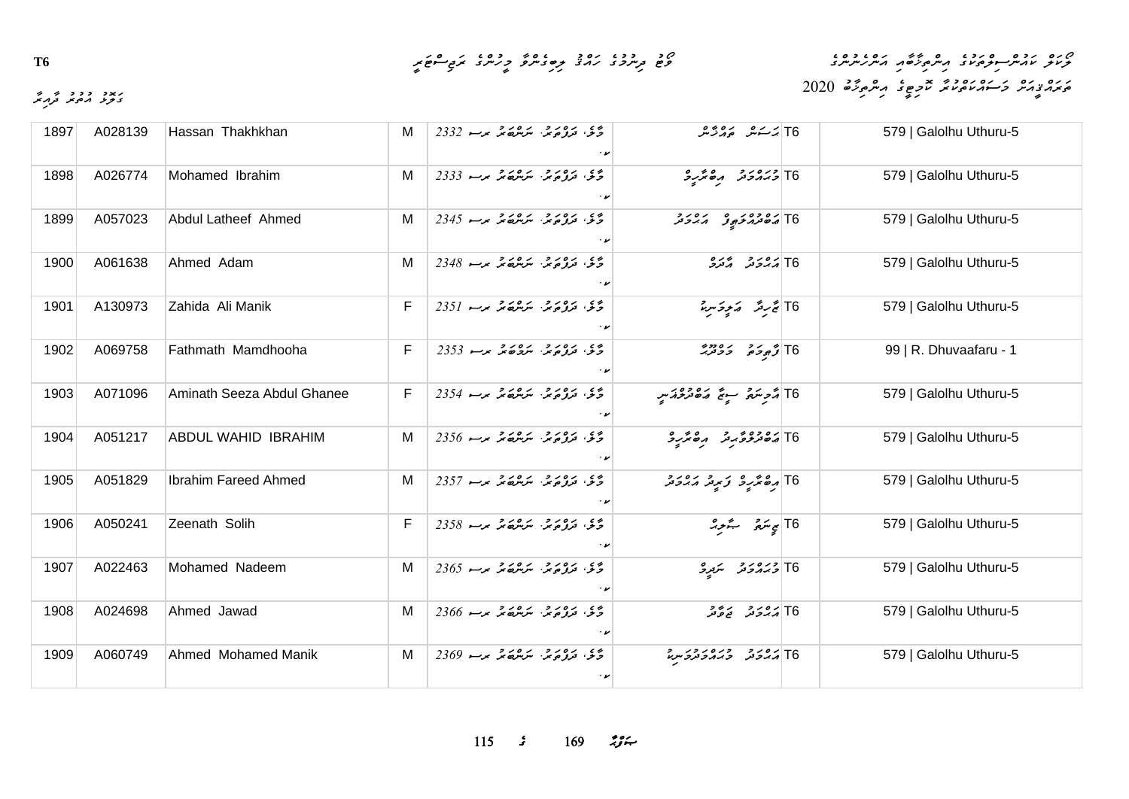*sCw7q7s5w7m< o<n9nOoAw7o< sCq;mAwBoEw7q<m; wBm;vB* م من المرة المرة المرة المرجع المرجع في المركبة 2020<br>مجم*د المريض المربوط المربع المرجع في المراجع المركبة* 

|  | * * <b>&gt;&gt;&gt; &gt; &gt;</b> |
|--|-----------------------------------|
|  | ى يو د مەمد ترمىر                 |

| 1897 | A028139 | Hassan Thakhkhan           | M           | 33 - يوم چې سرچونکه سر سه 2332             | T6 ئەسەم <i>ىر مەرشى</i> ر                         | 579   Galolhu Uthuru-5 |
|------|---------|----------------------------|-------------|--------------------------------------------|----------------------------------------------------|------------------------|
| 1898 | A026774 | Mohamed Ibrahim            | M           | 33 مرور مرشد به 2333                       | T6تر <i>ه دو م</i> وغربو                           | 579   Galolhu Uthuru-5 |
| 1899 | A057023 | Abdul Latheef Ahmed        | M           | 33، تروم تر سره تدريجه مرسو 2345           | T6 בטינג <del>ע</del> קי באגבע                     | 579   Galolhu Uthuru-5 |
| 1900 | A061638 | Ahmed Adam                 | M           | 33، تروم ته. سرچری برسه 2348               | T6 <i>בُرُوَنَّرُ مُ</i> مَرَّدُ                   | 579   Galolhu Uthuru-5 |
| 1901 | A130973 | Zahida Ali Manik           | $\mathsf F$ |                                            | T6 ئ <sub>ى</sub> رى <i>گە مۇج</i> ۇسر <i>ى</i> گە | 579   Galolhu Uthuru-5 |
| 1902 | A069758 | Fathmath Mamdhooha         | $\mathsf F$ | 33، تروم تر سره تر برسه 2353               | T6 <i>وُّجِ دَءُ دَوَمَرُ بُ</i>                   | 99   R. Dhuvaafaru - 1 |
| 1903 | A071096 | Aminath Seeza Abdul Ghanee | $\mathsf F$ | 33، مَرْوَمَ مَنْ سَرْسُرْہَ مِنْ 2354 کے  |                                                    | 579   Galolhu Uthuru-5 |
| 1904 | A051217 | ABDUL WAHID IBRAHIM        | M           |                                            | T6 مەھىر <i>ۋۇبىر مەمگى</i> ر 16                   | 579   Galolhu Uthuru-5 |
| 1905 | A051829 | Ibrahim Fareed Ahmed       | M           | وي مرور مرور مرور و 2357                   | T6 مەھمەر <i>5 دېرىد مەدوند</i>                    | 579   Galolhu Uthuru-5 |
| 1906 | A050241 | Zeenath Solih              | $\mathsf F$ | 33 مرور مرسمة مرسو 2358                    | T6 <sub>مح</sub> يترنم شمار مش <i>ار ب</i> ه       | 579   Galolhu Uthuru-5 |
| 1907 | A022463 | Mohamed Nadeem             | M           | 33، مَرْوْمَ يْرْ. سَرْسْرْھَ يْرْ بْ 2365 | T6 <i>3523 سَمَعِي</i> دَ                          | 579   Galolhu Uthuru-5 |
| 1908 | A024698 | Ahmed Jawad                | M           | 33، ئۇۋەتمە. ئىرتىھەتمە بىر سە 2366        | T6 <i>גُرُوَتْرٌ فَعُوَّتْرُ</i>                   | 579   Galolhu Uthuru-5 |
| 1909 | A060749 | Ahmed Mohamed Manik        | M           | 33، تروم تر. تركز تمريح برسه 2369          | T6 בכבע כבהכבעבית                                  | 579   Galolhu Uthuru-5 |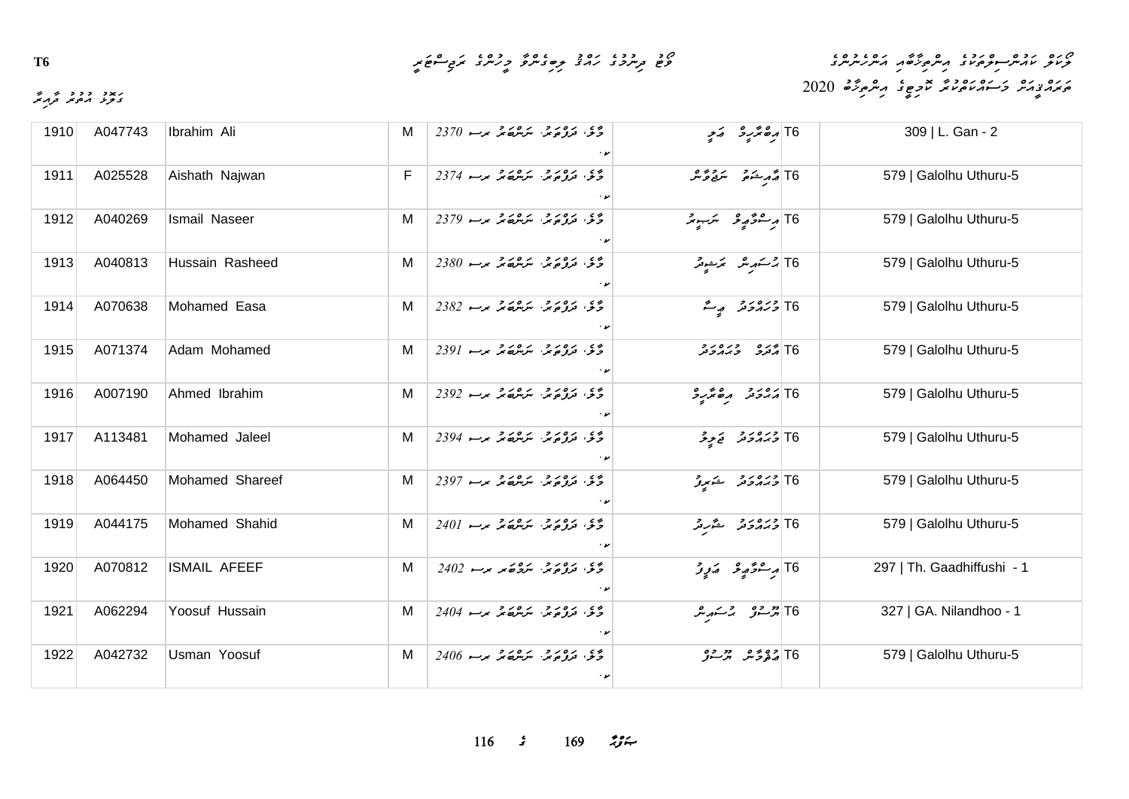*sCw7q7s5w7m< o<n9nOoAw7o< sCq;mAwBoEw7q<m; wBm;vB* م من المرة المرة المرة المرجع المرجع في المركبة 2020<br>مجم*د المريض المربوط المربع المرجع في المراجع المركبة* 

| $\phi$ $\phi$ $\phi$ $\phi$ $\phi$ $\phi$ |  |
|-------------------------------------------|--|
| ى ترىز برەپر تربرىر<br>╰                  |  |

| 1910 | A047743 | Ibrahim Ali         | M           | تَرَكَّى، مَرْتَوْجَرْ بْرَ سَرْسَرْجَة مِرْسِدِ 2370 | T6 <sub>م</sub> ەتزى <sub>ر</sub> و كەمچ       | 309   L. Gan - 2           |
|------|---------|---------------------|-------------|-------------------------------------------------------|------------------------------------------------|----------------------------|
| 1911 | A025528 | Aishath Najwan      | $\mathsf F$ | وی مرورد مرورد برسه 2374                              | T6 مەم ئىق ئىق ئىق ئىس                         | 579   Galolhu Uthuru-5     |
| 1912 | A040269 | Ismail Naseer       | M           | وی مرور مرورد برورو 2379                              | T6 <sub>م</sub> رےد <i>و پ</i> و س <i>رج</i> و | 579   Galolhu Uthuru-5     |
| 1913 | A040813 | Hussain Rasheed     | M           | 33 مَرْوْمَ بْمْ. سَرْسْرْھَ بْمْ. سِــو 2380         | T6 پُرڪيريش ڪرشي <i>و</i> گر                   | 579   Galolhu Uthuru-5     |
| 1914 | A070638 | Mohamed Easa        | M           | 33، تروم تر شهر تر 2382                               | T6 يُرَ <i>دُّدُونَ بِ</i> بُ                  | 579   Galolhu Uthuru-5     |
| 1915 | A071374 | Adam Mohamed        | M           | 33) مَرْوَمَ مَنْ سَرْسُرْھَ مِنْ 2391                | T6 <i>جُمْرَى حَمَدُومْر</i>                   | 579   Galolhu Uthuru-5     |
| 1916 | A007190 | Ahmed Ibrahim       | M           | وی ترویز تروپزی پر 2392                               | T6 <i>בֿ.22 ھ</i> ُ مِصْرَىٰ 2                 | 579   Galolhu Uthuru-5     |
| 1917 | A113481 | Mohamed Jaleel      | M           | وی دورو. تروه پر سر 2394                              | T6  <i>3223\$ ف</i> َء <i>ِ وَ</i>             | 579   Galolhu Uthuru-5     |
| 1918 | A064450 | Mohamed Shareef     | M           | وی بروبرو بروه پر سر 2397                             | T6 <i>ۇنەۋەتى خەيرۇ</i>                        | 579   Galolhu Uthuru-5     |
| 1919 | A044175 | Mohamed Shahid      | M           | ۇي ترۇمۇ. تىر ھەتكە بىر 2401                          | T6  <i>وُبَہُ وَمَرْ</i> مُقَرِّرٌ             | 579   Galolhu Uthuru-5     |
| 1920 | A070812 | <b>ISMAIL AFEEF</b> | M           | دى. تر <i>ومى. ئىرۋە بىر بىر يى</i> م 2402            | T6  م سىمى تەرىخە    ئەرىخ                     | 297   Th. Gaadhiffushi - 1 |
| 1921 | A062294 | Yoosuf Hussain      | M           | 33، تروم تر. سَرْسْرَ تَمَرْ سِرْ 2404                | T6 برستر برسته بر                              | 327   GA. Nilandhoo - 1    |
| 1922 | A042732 | Usman Yoosuf        | M           | 33، تروڅ تر. ترترکھ تر سه 2406                        | T6 ۾ پُرمَش جي صوبر                            | 579   Galolhu Uthuru-5     |

 $116$  *s*  $169$  *n***<sub>3</sub>** *n*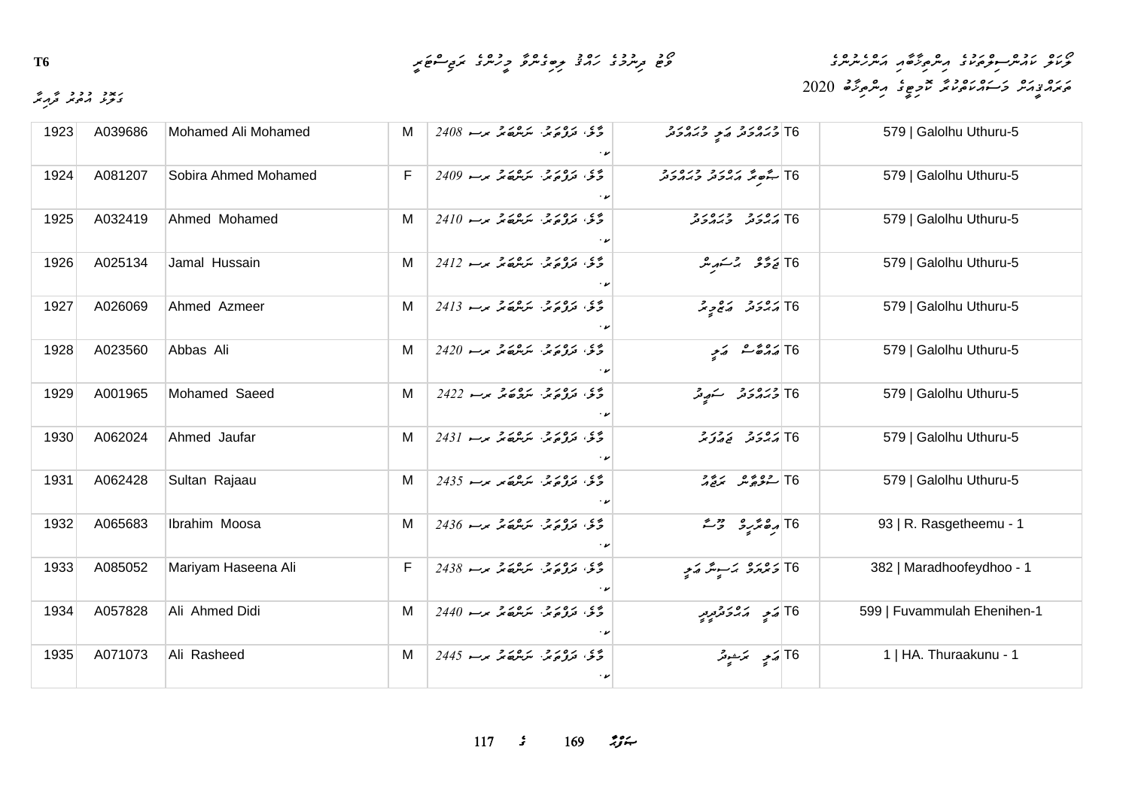*sCw7q7s5w7m< o<n9nOoAw7o< sCq;mAwBoEw7q<m; wBm;vB 2020*<br>*په پوهر وسوډيرونو لومو د موجو د مرمونه* 2020

| 1923 | A039686 | Mohamed Ali Mohamed  | M | 33، مَرْوْمَ يْرْ. سَرْسْرْھَ يْرْ سِيْلَ 2408 | T6 <i>בגר</i> כע דיכ בגרכע                            | 579   Galolhu Uthuru-5      |
|------|---------|----------------------|---|------------------------------------------------|-------------------------------------------------------|-----------------------------|
| 1924 | A081207 | Sobira Ahmed Mohamed | F | 33، ئۇۋەتمە، ئىرتىھەتمە ئەسە 2409              | T6 بەھ ئەر ئەر ئەر ئەر دىر                            | 579   Galolhu Uthuru-5      |
| 1925 | A032419 | Ahmed Mohamed        | M | 33، تروم تر. ترشھ تر سے 2410                   | T6 <i>ג׳.כ</i> تر <i>۔ درورہ</i>                      | 579   Galolhu Uthuru-5      |
| 1926 | A025134 | Jamal Hussain        | M | وی دوری شهره پر 2412                           | T6 يَحَرُّو كَرْسَ <sub>مَ</sub> رِسُّرَ              | 579   Galolhu Uthuru-5      |
| 1927 | A026069 | Ahmed Azmeer         | M | 33، تروم تر سرچ تر بر 2413                     | T6 <i>ב</i> כבי בלקיב                                 | 579   Galolhu Uthuru-5      |
| 1928 | A023560 | Abbas Ali            | M | 33، تروم تر. ترشھ تر سے 2420                   | T6 <i>مەشھىشە مەي</i>                                 | 579   Galolhu Uthuru-5      |
| 1929 | A001965 | Mohamed Saeed        | M | $2422$ مروم مروم مروم مرسوم 2422               | T6 <i>3223 كەم</i> ەتر                                | 579   Galolhu Uthuru-5      |
| 1930 | A062024 | Ahmed Jaufar         | M | 33) مَرْقْ جَرْ سَرْسْھَة بِرَ - 2431          | T6 <i>ביכב צבציב</i>                                  | 579   Galolhu Uthuru-5      |
| 1931 | A062428 | Sultan Rajaau        | M | 33، تروم 3. ترترچە برسە 2435                   | T6 جۇيۇش ئە <i>ق</i> ەر                               | 579   Galolhu Uthuru-5      |
| 1932 | A065683 | Ibrahim Moosa        | M | وي مرور مر سر 2436 مرسو 2436                   | T6 رەئزى <sub>ر</sub> و ۋىتە                          | 93   R. Rasgetheemu - 1     |
| 1933 | A085052 | Mariyam Haseena Ali  | F | وی بروبرو بره په 2438                          | T6  <i>دَ بْرْمَ</i> رْدَ بْرَ بِهِ مَّد <sub>ٍ</sub> | 382   Maradhoofeydhoo - 1   |
| 1934 | A057828 | Ali Ahmed Didi       | M | 33، مَرْقْ جَمْ. سَرْسْھَ جَمْ بِرِبْ 2440     | T6 كەي كەنگە <i>قرىرى</i> ر                           | 599   Fuvammulah Ehenihen-1 |
| 1935 | A071073 | Ali Rasheed          | M | 33، تروم 3. ترترچە تر بر 2445                  | T6 <i>۾ُجِ - مَ</i> ڻِيمُرُ                           | 1   HA. Thuraakunu - 1      |

*117 sC 169 nNw?mS*

ر **x و c c c c c c c c c c c c c c c**<br>*E <del>c c</del> c c c c c c c c c c c c c*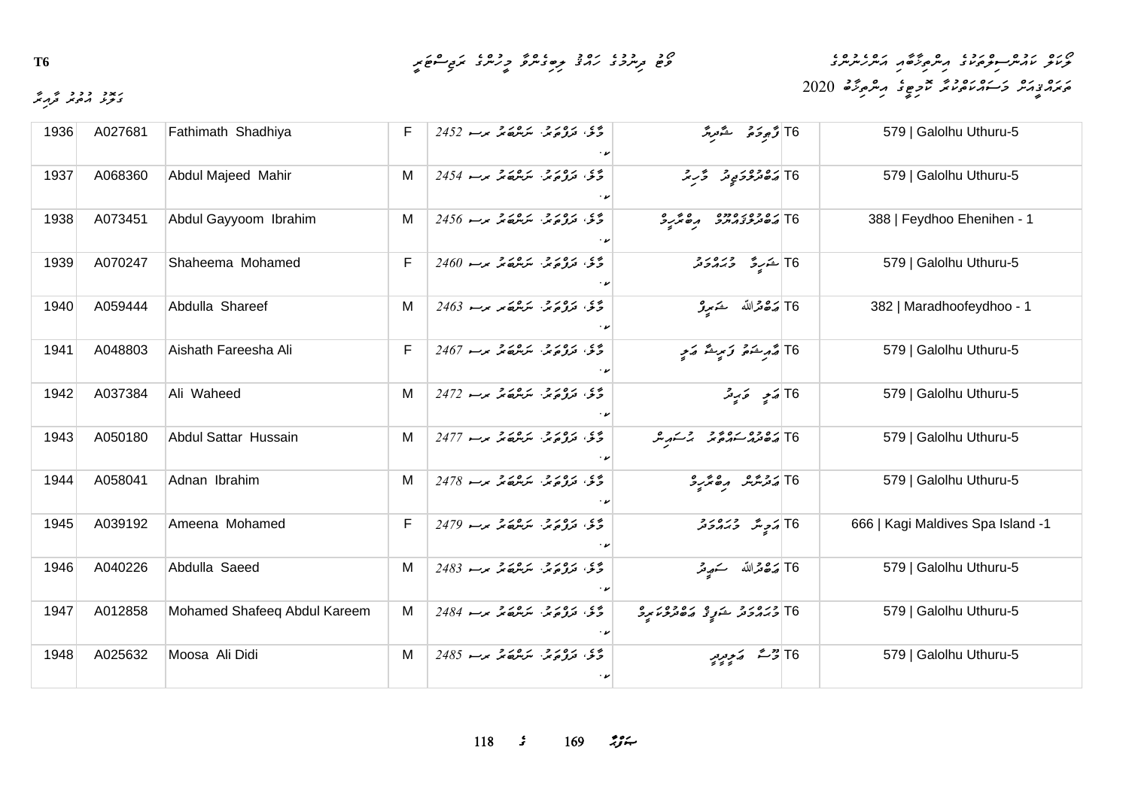*sCw7q7s5w7m< o<n9nOoAw7o< sCq;mAwBoEw7q<m; wBm;vB* م من المرة المرة المرة المرجع المرجع في المركبة 2020<br>مجم*د المريض المربوط المربع المرجع في المراجع المركبة* 

| 1936 | A027681 | Fathimath Shadhiya           | F | 33، ترورو. ترم چر ترب 2452                  | T6 <i>وَّجِ دَمَّةَ</i> شَم <i>َّدِيرَّةَ</i> | 579   Galolhu Uthuru-5            |
|------|---------|------------------------------|---|---------------------------------------------|-----------------------------------------------|-----------------------------------|
| 1937 | A068360 | Abdul Majeed Mahir           | M | وي مرور مروري مروري مرسو 2454               | T6 كەھەر <i>3-يەتر - دەرىر</i>                | 579   Galolhu Uthuru-5            |
| 1938 | A073451 | Abdul Gayyoom Ibrahim        | M | ۇي مەدەبىي سەھەم بىر 2456                   | T6 رەدىرە دوە مەھگرى                          | 388   Feydhoo Ehenihen - 1        |
| 1939 | A070247 | Shaheema Mohamed             | F | ۇي تروپرى ترىش تەرىپ 2460                   | T6 خرىرى مەمەمەرىيە                           | 579   Galolhu Uthuru-5            |
| 1940 | A059444 | Abdulla Shareef              | M | 33، تروڤ تر سرش بر سه 2463                  | T6 كەھەراللە خەمب <i>وت</i>                   | 382   Maradhoofeydhoo - 1         |
| 1941 | A048803 | Aishath Fareesha Ali         | F | 33، مَرْوَمَ مَنْ سَرْسُرْھَ مَنْ سَنَ 2467 | T6 صُرِحَمُو تَرَمِيحُ صَرِ                   | 579   Galolhu Uthuru-5            |
| 1942 | A037384 | Ali Waheed                   | M | وي مرور مرور ورود 1472                      | T6 <i>ڇُجِ وَب</i> ِعْرُ                      | 579   Galolhu Uthuru-5            |
| 1943 | A050180 | Abdul Sattar Hussain         | M | وی کے دورو کرورو پر 2477                    | T6 <sub>م</sub> ەھىر مەمۇرى جىسىمەش           | 579   Galolhu Uthuru-5            |
| 1944 | A058041 | Adnan Ibrahim                | M | 33، تروم ته. ترتگر تنجر برسد 2478           | T6 كەنگەنگرىش م <i>ەھەگەپ</i> ۇ               | 579   Galolhu Uthuru-5            |
| 1945 | A039192 | Ameena Mohamed               | F | 33، مروم و سر مرحد مرسو 2479                | T6 <i>مَوِسٌ وَيَهُوَفُرُ</i>                 | 666   Kagi Maldives Spa Island -1 |
| 1946 | A040226 | Abdulla Saeed                | M | دي. مرور مرسمي مرسم 1883                    | T6 كەھمىراللە كىمپىقر                         | 579   Galolhu Uthuru-5            |
| 1947 | A012858 | Mohamed Shafeeq Abdul Kareem | M | 33 <sup>,</sup> مرور مرور مرور پر ب         | T6 ديره در د عروف ماه دور مرد                 | 579   Galolhu Uthuru-5            |
| 1948 | A025632 | Moosa Ali Didi               | M | 35، ترون تر شریع تر بر 2485                 | T6   خ <sup>م</sup> ث - مَرْمِدِيرِ           | 579   Galolhu Uthuru-5            |

## ر **x و c c c c c c c c c c c c c c c**<br>*E <del>c c</del> c c c c c c c c c c c c c*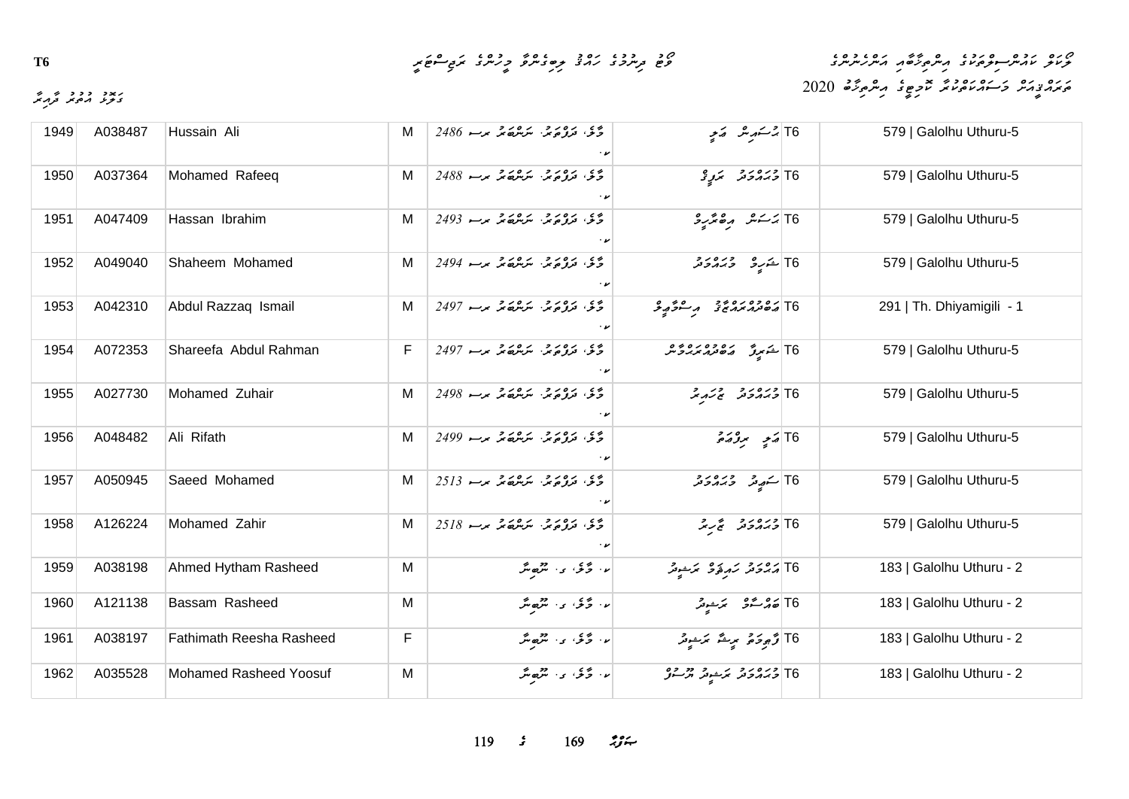*sCw7q7s5w7m< o<n9nOoAw7o< sCq;mAwBoEw7q<m; wBm;vB* م من المرة المرة المرة المرجع المرجع في المركبة 2020<br>مجم*د المريض المربوط المربع المرجع في المراجع المركبة* 

| 1949 | A038487 | Hussain Ali                     | M | 33، تروپرتی، سرچھ تر سے 2486           | T6 پر <i>سکوینگر م</i> یکو                        | 579   Galolhu Uthuru-5    |
|------|---------|---------------------------------|---|----------------------------------------|---------------------------------------------------|---------------------------|
| 1950 | A037364 | Mohamed Rafeeg                  | M | 33، تروم 3، ترترچ بر سه 2488           | T6 <i>3223 برو</i> ءِ                             | 579   Galolhu Uthuru-5    |
| 1951 | A047409 | Hassan Ibrahim                  | M | وي مرور مريدي مريد ته 2493             | T6ته په موس <i>و</i> کېږي.                        | 579   Galolhu Uthuru-5    |
| 1952 | A049040 | Shaheem Mohamed                 | M | 33، تروم 3. ترترچ تر برسه 2494         | T6 خرى ئىمگە ئىقدىم                               | 579   Galolhu Uthuru-5    |
| 1953 | A042310 | Abdul Razzaq Ismail             | M |                                        | T6 مەھىرمىدىنى مەش <i>ۇم</i> بۇ                   | 291   Th. Dhiyamigili - 1 |
| 1954 | A072353 | Shareefa Abdul Rahman           | F | 33، تروم تر. ترشق تر بيب 2497          | T6 خ <i>ويرۇ مەھەرمەدۋىل</i>                      | 579   Galolhu Uthuru-5    |
| 1955 | A027730 | Mohamed Zuhair                  | м | وی بروبرو. برگونه تر برجا 2498         | T6 <i>جنہ جو جنہ ب</i>                            | 579   Galolhu Uthuru-5    |
| 1956 | A048482 | Ali Rifath                      | M | 33، مَرْوْحَةٍ. سَرْسْھَةٌ مِرْ - 2499 | T6 <i>مَجِ بِروْمَةُ</i>                          | 579   Galolhu Uthuru-5    |
| 1957 | A050945 | Saeed Mohamed                   | M | 33، تروم تر. بىر شىمكى بىر - 2513      | T6 كى <i>مپىتى قەتمەدى</i> ر                      | 579   Galolhu Uthuru-5    |
| 1958 | A126224 | Mohamed Zahir                   | M | وي مرور مر سر 2518 مرسو 2518           | T6 <i>وُبَرُوْدَوْ</i> گُرِيْرُ                   | 579   Galolhu Uthuru-5    |
| 1959 | A038198 | Ahmed Hytham Rasheed            | M | لا گرگان میں گھ                        | T6 <i>בُ.2 בُ.5 مَدِجْ</i> 5 مَرْسُومُرُ          | 183   Galolhu Uthuru - 2  |
| 1960 | A121138 | Bassam Rasheed                  | M | لا د څخه د سره ش                       | T6 <i>ھار گ</i> ئو - مَرَسُومَرُ                  | 183   Galolhu Uthuru - 2  |
| 1961 | A038197 | <b>Fathimath Reesha Rasheed</b> | F | لا د څخه د سره ش                       | T6 <i>وَّەودَة برِ</i> حَّۃ بَرَح <sub>و</sub> ثر | 183   Galolhu Uthuru - 2  |
| 1962 | A035528 | <b>Mohamed Rasheed Yoosuf</b>   | M | لا د څخه د سره ش                       | T6 <i>دېمم</i> ونه بر <sub>شونه</sub> برخو        | 183   Galolhu Uthuru - 2  |

ر **x و c c c c c c c c c c c c c c c**<br>*E <del>c c</del> c c c c c c c c c c c c c*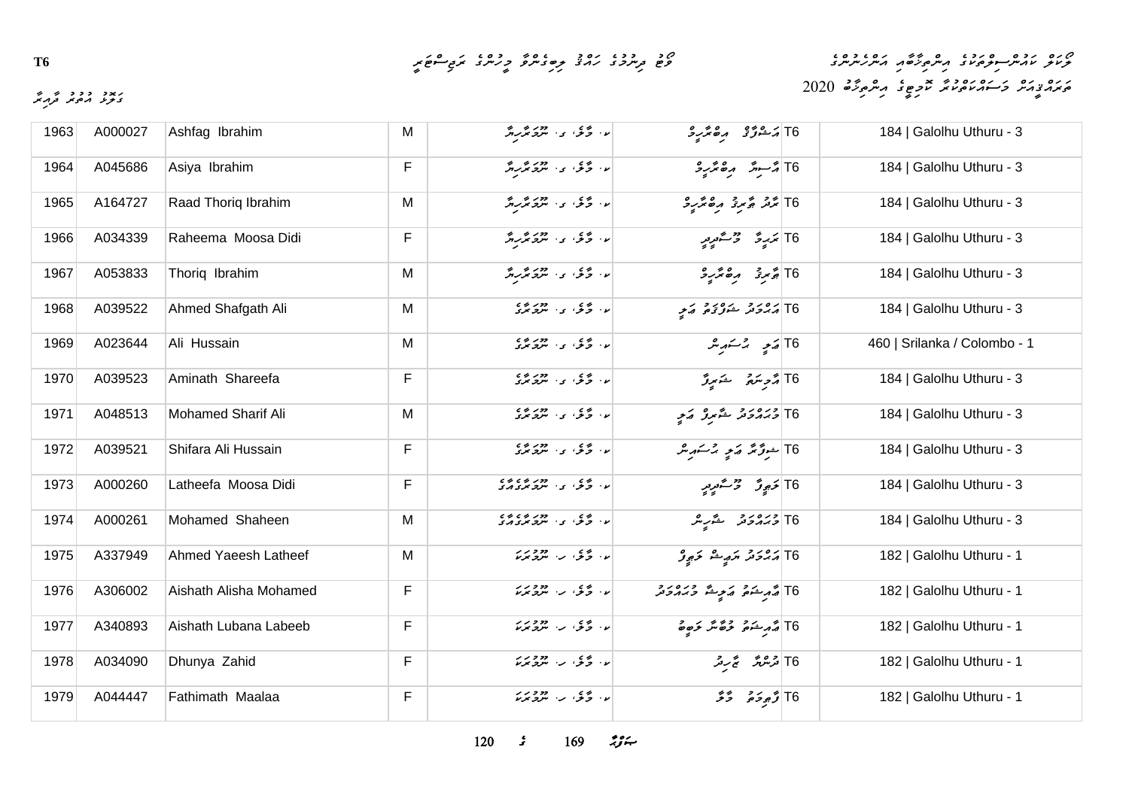*sCw7q7s5w7m< o<n9nOoAw7o< sCq;mAwBoEw7q<m; wBm;vB* م من المسجد المسجد المسجد المسجد المسجد العام 2020<br>مسجد المسجد المسجد المسجد المسجد المسجد المسجد المسجد المسجد ال

| 1963 | A000027 | Ashfag Ibrahim            | M           | لا د محمود المال در مرکز مرکز                                                                                                                                                                                                                        | T6 كەشۇر مە <i>مگې</i> ۋ                           | 184   Galolhu Uthuru - 3     |
|------|---------|---------------------------|-------------|------------------------------------------------------------------------------------------------------------------------------------------------------------------------------------------------------------------------------------------------------|----------------------------------------------------|------------------------------|
| 1964 | A045686 | Asiya Ibrahim             | F           | الا المحمود المالي المحمد المحمد المحمد المحمد المحمد المحمد المحمد المحمد المحمد المحمد المحمد الم                                                                                                                                                  | T6 م <i>ەسىر مەھترى</i> رى                         | 184   Galolhu Uthuru - 3     |
| 1965 | A164727 | Raad Thoriq Ibrahim       | M           | لا د څخه د انترنگرېگر                                                                                                                                                                                                                                | T6 تُرَمَّدُ <i>مُجْعِدَةٌ مِ</i> قْمَدِيْرَ       | 184   Galolhu Uthuru - 3     |
| 1966 | A034339 | Raheema Moosa Didi        | F           | لا د څکې د اسرچم کرمر                                                                                                                                                                                                                                | T6 ترىرى ق <sup>ىر م</sup> ەربر                    | 184   Galolhu Uthuru - 3     |
| 1967 | A053833 | Thoriq Ibrahim            | M           | لا د محمود المال در مرکز مرکز                                                                                                                                                                                                                        | T6 جۇمر <sup>چ</sup> ە مەھم <i>رى</i> ي            | 184   Galolhu Uthuru - 3     |
| 1968 | A039522 | Ahmed Shafgath Ali        | M           | لا د څخه د اسرچينې                                                                                                                                                                                                                                   | T6   كەشكەت ئىسىر <i>قەرە كەي</i> چ                | 184   Galolhu Uthuru - 3     |
| 1969 | A023644 | Ali Hussain               | M           | لا د څخه د اسروبره                                                                                                                                                                                                                                   | T6 <i>ھَجِ پُرْڪَمِينَرُ</i>                       | 460   Srilanka / Colombo - 1 |
| 1970 | A039523 | Aminath Shareefa          | F           | لا د څخه د اسرچينې                                                                                                                                                                                                                                   | T6 مُرْحِسَمُ شَمِيرٌ                              | 184   Galolhu Uthuru - 3     |
| 1971 | A048513 | <b>Mohamed Sharif Ali</b> | M           | ر، ده و، در دوره و.<br>را، درگان دار میروندی                                                                                                                                                                                                         | T6 <i>\$نەۋەتى جۇمبۇ مۇم</i>                       | 184   Galolhu Uthuru - 3     |
| 1972 | A039521 | Shifara Ali Hussain       | $\mathsf F$ | د کال دوره د                                                                                                                                                                                                                                         | T6 جوڙنگ <sub>ه</sub> ڪو بڻڪمياهن                  | 184   Galolhu Uthuru - 3     |
| 1973 | A000260 | Latheefa Moosa Didi       | F           | $\begin{array}{cc} \mathcal{C}\neq \mathcal{C}\neq \mathcal{S}\neq \mathcal{D} & \mathcal{C}\neq \mathcal{S}\neq \mathcal{D} \\ \mathcal{S}\neq \mathcal{S}\neq \mathcal{S}\neq \mathcal{D}^{\mathcal{D}} & \mathcal{C}\neq \mathcal{S} \end{array}$ | T6 ك <i>َهِوِدٌ وَ"َسُ</i> ّسِرِيرِ                | 184   Galolhu Uthuru - 3     |
| 1974 | A000261 | Mohamed Shaheen           | M           | د ده ده در ۲۶۵ ورو ده دارد.<br>دا د کال د اسرو برد در د                                                                                                                                                                                              | T6 <i>ڈیزوڈو مڈر</i> یر                            | 184   Galolhu Uthuru - 3     |
| 1975 | A337949 | Ahmed Yaeesh Latheef      | M           | لا د څخه له همدې                                                                                                                                                                                                                                     | T6 <i>גُرُدُدَ مَهِ</i> يْدُ حَب <sub>َ</sub> وِرْ | 182   Galolhu Uthuru - 1     |
| 1976 | A306002 | Aishath Alisha Mohamed    | F           | لا د څخه را مرد برر                                                                                                                                                                                                                                  | T6 مُرمِشَمُ مَرْمِشٌ وَبَرَمُرَمَّرَ              | 182   Galolhu Uthuru - 1     |
| 1977 | A340893 | Aishath Lubana Labeeb     | F           | لا د څخه را مرد برد                                                                                                                                                                                                                                  | T6 مُرمِشَمُ قَرَّةٌ قَرَّةٍ قَرَّةٍ مُ            | 182   Galolhu Uthuru - 1     |
| 1978 | A034090 | Dhunya Zahid              | F           | ر، دمجنې ر، پېړۍ <i>پر</i>                                                                                                                                                                                                                           | T6 مُرْسْرٌ مِحْ بِقْرِ                            | 182   Galolhu Uthuru - 1     |
| 1979 | A044447 | Fathimath Maalaa          | F           | ر، د د د برد برد بر                                                                                                                                                                                                                                  | T6 <i>وَّجِ حَمَّ</i> حَمَّ                        | 182   Galolhu Uthuru - 1     |

*120 sC 169 nNw?mS*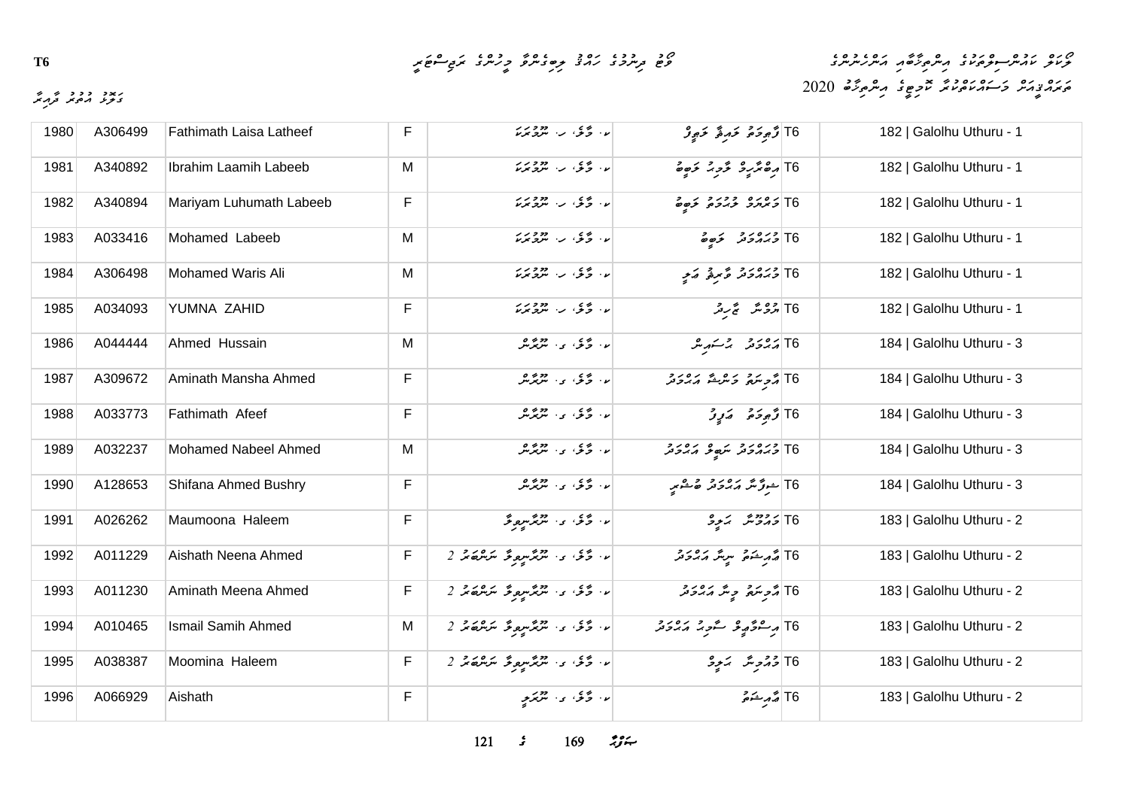*sCw7q7s5w7m< o<n9nOoAw7o< sCq;mAwBoEw7q<m; wBm;vB* م من المرة المرة المرة المرجع المرجع في المركبة 2020<br>مجم*د المريض المربوط المربع المرجع في المراجع المركبة* 

| 1980 | A306499 | <b>Fathimath Laisa Latheef</b> | F | لا د څخه له پېړۍ لرو                                                                                  | T6 تَ <i>وجود خَمِيةَ خَمِيوْ</i>                      | 182   Galolhu Uthuru - 1 |
|------|---------|--------------------------------|---|-------------------------------------------------------------------------------------------------------|--------------------------------------------------------|--------------------------|
| 1981 | A340892 | Ibrahim Laamih Labeeb          | M | لا د څخه له همدې                                                                                      | T6 مەھمگىرى گەمى <sup>2</sup> كەھ                      | 182   Galolhu Uthuru - 1 |
| 1982 | A340894 | Mariyam Luhumath Labeeb        | F | لا د محرکې له اندې ترکيبونو                                                                           | T6 <i>בُمُ</i> رَدَّ وُرَدَّةً وَهِ هُ                 | 182   Galolhu Uthuru - 1 |
| 1983 | A033416 | Mohamed Labeeb                 | M | لا د څخه له همدې                                                                                      | T6 <i>5222 كوم</i> رة                                  | 182   Galolhu Uthuru - 1 |
| 1984 | A306498 | <b>Mohamed Waris Ali</b>       | M | ر، دمجنۍ، ر. مرد <i>پر</i> و                                                                          | T6  <i>وُبَرُوُدَوْ</i> وُمِنْ <sub>ه</sub> َمِ        | 182   Galolhu Uthuru - 1 |
| 1985 | A034093 | YUMNA ZAHID                    | F | ر، دمجنې ر، ۱۱۶۶۵                                                                                     | T6 <i>مُرْدُ مَّدْ</i> مَحْ سِعْرَ                     | 182   Galolhu Uthuru - 1 |
| 1986 | A044444 | Ahmed Hussain                  | M | لار ۇي ئاللىرىگىر                                                                                     | T6 <i>ټرې پر پر شهر نګر</i>                            | 184   Galolhu Uthuru - 3 |
| 1987 | A309672 | Aminath Mansha Ahmed           | F | لار ۇي ئاللىرىگىر                                                                                     | T6 أ <i>مَّ مِ سَعْرِ حَسَّرَ مَدَ مَ</i>              | 184   Galolhu Uthuru - 3 |
| 1988 | A033773 | Fathimath Afeef                | F | ىر، ئۇق، ئەسىرتىش                                                                                     | T6 <i>وَّجِ حَمْ    مَرٍوْ</i>                         | 184   Galolhu Uthuru - 3 |
| 1989 | A032237 | <b>Mohamed Nabeel Ahmed</b>    | M | ىر، ئۇنى، ئەسىر بىرىگەنلەر                                                                            | T6 <i>دېرو دو پره د م</i> رد تر                        | 184   Galolhu Uthuru - 3 |
| 1990 | A128653 | Shifana Ahmed Bushry           | F | ىر، ئۇنى، ئەس بىر <i>ە ئەي</i>                                                                        | T6 خىر <i>ۇش مەدەرە ھى</i> شىر                         | 184   Galolhu Uthuru - 3 |
| 1991 | A026262 | Maumoona Haleem                | F | لار دمچې د انگرېزلونکو                                                                                | T6 <i>خەدق ئې</i> چى                                   | 183   Galolhu Uthuru - 2 |
| 1992 | A011229 | Aishath Neena Ahmed            | F |                                                                                                       | T6 مُرمِ شَمَّ سِرْسُ مَ <sup>ر</sup> ْدَدَ            | 183   Galolhu Uthuru - 2 |
| 1993 | A011230 | Aminath Meena Ahmed            | F | u - 33 ك - مرتكز مرتقب مرتقبة 2 - 2                                                                   | T6 <i>مُوسَعْد وِسُّ مَدْدُونْد</i>                    | 183   Galolhu Uthuru - 2 |
| 1994 | A010465 | <b>Ismail Samih Ahmed</b>      | M |                                                                                                       | T6 <sub>م</sub> رےد <i>ۇ<sub>م</sub>وڭ ھۇرى مەدەند</i> | 183   Galolhu Uthuru - 2 |
| 1995 | A038387 | Moomina Haleem                 | F | لا د د د محمد د مشتر موقع محمد المستن محمد المستند المستند المستند المستند المستند المستند المستند ال | T6 دُبُر <sub>َ ج</sub> يئر برَمْزِدْ                  | 183   Galolhu Uthuru - 2 |
| 1996 | A066929 | Aishath                        | F | لاستخفى الماستيمو                                                                                     | T6 مُگرِيشَ <i>مُ</i>                                  | 183   Galolhu Uthuru - 2 |

 $121$  *s*  $169$  *i*<sub>s</sub>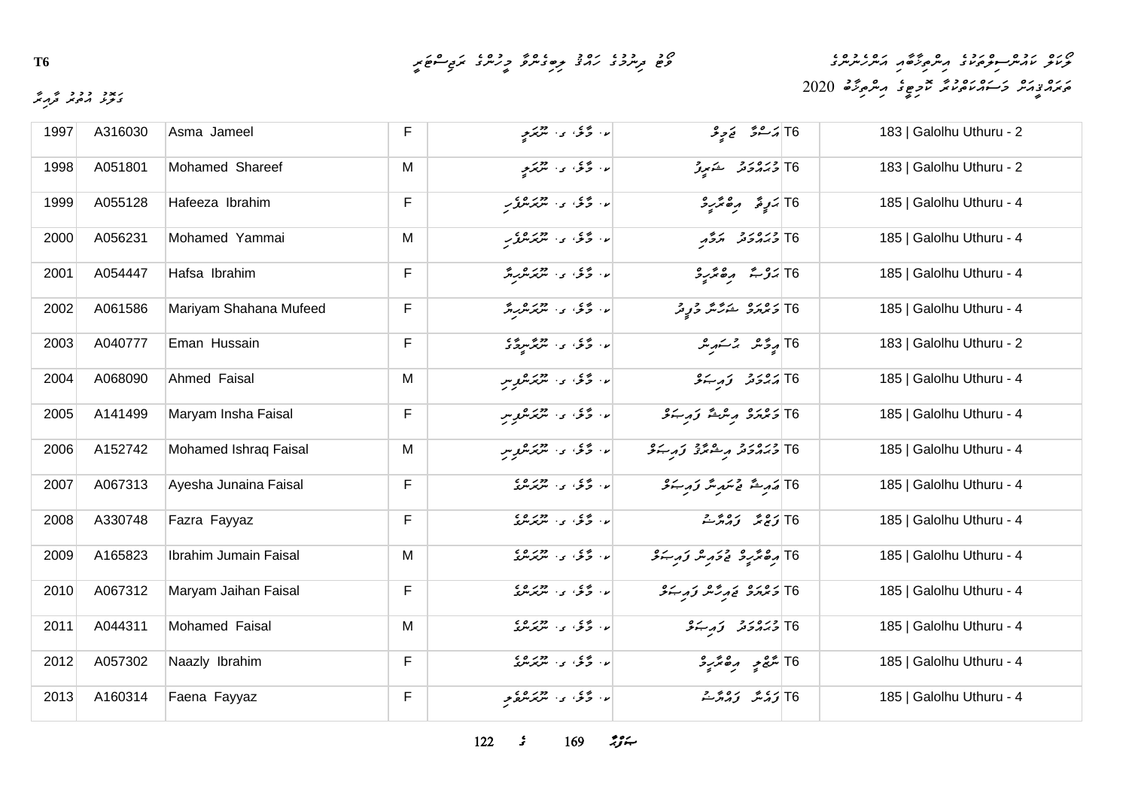*sCw7q7s5w7m< o<n9nOoAw7o< sCq;mAwBoEw7q<m; wBm;vB* م من المرة المرة المرة المرجع المرجع في المركبة 2020<br>مجم*د المريض المربوط المربع المرجع في المراجع المركبة* 

|  |  | $\theta$ $\theta$ $\theta$ $\theta$ $\theta$ $\theta$ $\theta$ |
|--|--|----------------------------------------------------------------|
|  |  | ى يحري - مەمىر - مرمىر                                         |

| 1997 | A316030 | Asma Jameel            | F           | الأرا بحثى الاراد فينجرمج                 | T6   پرسٹری کے <i>ج</i> و                        | 183   Galolhu Uthuru - 2 |
|------|---------|------------------------|-------------|-------------------------------------------|--------------------------------------------------|--------------------------|
| 1998 | A051801 | Mohamed Shareef        | M           | الأرمح في الماستمري                       | T6  <i>32,325 شەير</i> ۇ                         | 183   Galolhu Uthuru - 2 |
| 1999 | A055128 | Hafeeza Ibrahim        | F           | لا د څخه د انگريزيوب                      | T6 بَرَرٍ <i>مَّ م</i> ِ <i>مَّ بِ</i> دُ        | 185   Galolhu Uthuru - 4 |
| 2000 | A056231 | Mohamed Yammai         | M           | لار گەنگە بەر ئەتكەنلەر بە                | T6 <i>\$222 مَدَّمَ</i>                          | 185   Galolhu Uthuru - 4 |
| 2001 | A054447 | Hafsa Ibrahim          | F           | لا د څخه د امريزمرمر                      | T6 <i>ټرنگ م</i> ېڅر <i>ن</i> و                  | 185   Galolhu Uthuru - 4 |
| 2002 | A061586 | Mariyam Shahana Mufeed | F           | لا د محمود او د مرکز مرکز مرکز            | T6 <i>ۈنگەگ خەڭ</i> ىگ <i>دۆ</i> رگە             | 185   Galolhu Uthuru - 4 |
| 2003 | A040777 | Eman Hussain           | F           | لا د څخه د امترکمېږدنه                    | T6 مرِدَّنْدُ کے سَمَدِیْر                       | 183   Galolhu Uthuru - 2 |
| 2004 | A068090 | Ahmed Faisal           | M           | لا : د د د المرکز الله کرد کرد کرد الله ا | T6 <i>ټرې وَربَ</i> ک                            | 185   Galolhu Uthuru - 4 |
| 2005 | A141499 | Maryam Insha Faisal    | F           | ئاسىمى كەرەپ ئەسىر بىر ئاس                | T6 <i>ويمبرق م</i> رشرشة ك <i>م</i> رسك          | 185   Galolhu Uthuru - 4 |
| 2006 | A152742 | Mohamed Ishraq Faisal  | M           | ئار ئۇنى كى ئەسىر ئىلگەنلىرىس             | T6  درەرەر مەشقىق قەم يىگى                       | 185   Galolhu Uthuru - 4 |
| 2007 | A067313 | Ayesha Junaina Faisal  | F           | لا ژوان پرېزىدى                           | T6 <i>مَهِ</i> ثَّہُ ف <i>َسَمِیٹَ وَہ</i> ِسَوْ | 185   Galolhu Uthuru - 4 |
| 2008 | A330748 | Fazra Fayyaz           | F           | ىر، ئۇنى بىر ئەچرىرە ئ                    | T6 زېږگر نو <i>ډې</i> ر شه                       | 185   Galolhu Uthuru - 4 |
| 2009 | A165823 | Ibrahim Jumain Faisal  | M           | لا د څخه د سرچروه                         | T6 رەڭرىرى ق <i>ۇرى</i> ر <i>ۋەبىك</i> ۇ         | 185   Galolhu Uthuru - 4 |
| 2010 | A067312 | Maryam Jaihan Faisal   | $\mathsf F$ | لا د څخه د اميزمنده                       | T6 كەيمەرچ ئەرگە ئەربىگى                         | 185   Galolhu Uthuru - 4 |
| 2011 | A044311 | Mohamed Faisal         | M           | لا ژوان پرېزىدى                           | T6 <i>32222 ق</i> ديكو                           | 185   Galolhu Uthuru - 4 |
| 2012 | A057302 | Naazly Ibrahim         | F           | لاستخوا كالمستر متركز ملزى                | T6 ب <i>ترچ ج م</i> ھتر ہو                       | 185   Galolhu Uthuru - 4 |
| 2013 | A160314 | Faena Fayyaz           | F           | لا د دی. د شمر شود                        | T6 <i>وَدْ بَدْ وَدْ بَرْ -</i>                  | 185   Galolhu Uthuru - 4 |

 $122$  *s*  $169$  *i***<sub>s</sub>** $\frac{2}{5}$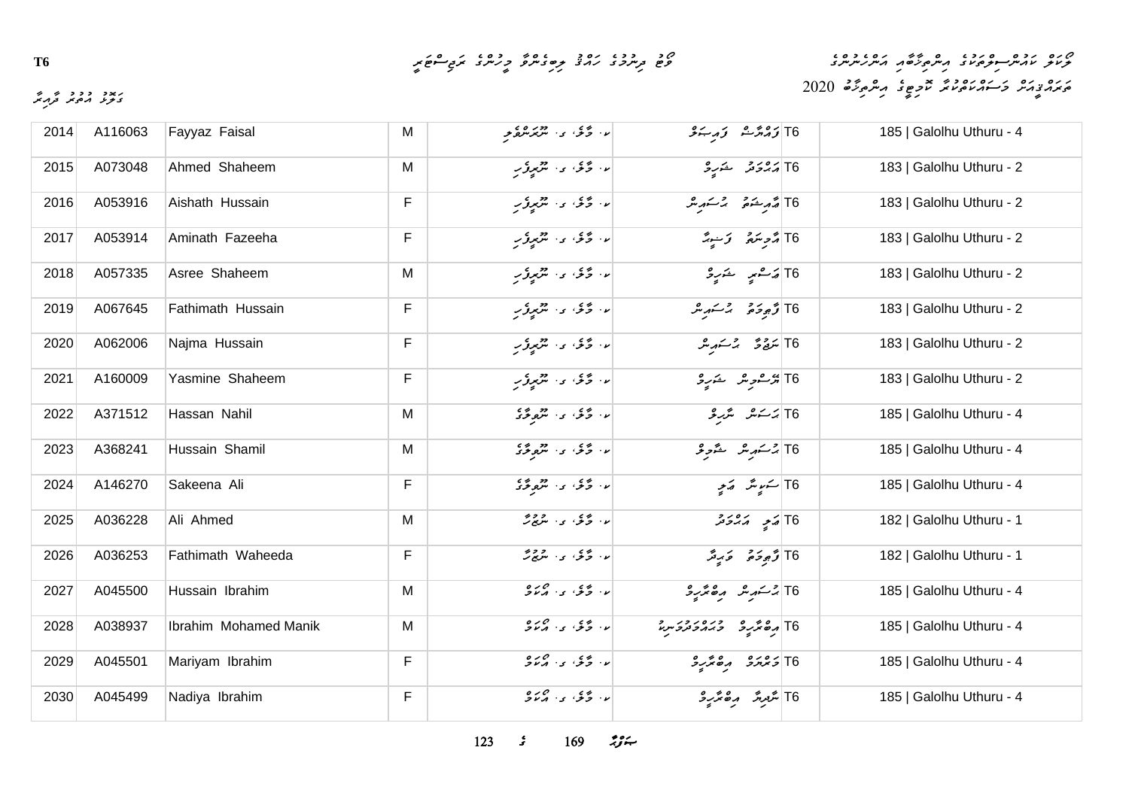*sCw7q7s5w7m< o<n9nOoAw7o< sCq;mAwBoEw7q<m; wBm;vB 2020<sup>, م</sup>وسر در مدد مدرج به مدرم مقرم قرار 2020*<br>موسر المستقرم المستقرم المستقرم المستقرم المستقرم المستقرم المستقرم المستقرم المستقرم المستقرم المستقرم المستقر

| 2014 | A116063 | Fayyaz Faisal         | M | لا د څخه د انگرېزملامو       | T6تى <i>مىڭ قەبىكى</i>                       | 185   Galolhu Uthuru - 4 |
|------|---------|-----------------------|---|------------------------------|----------------------------------------------|--------------------------|
| 2015 | A073048 | Ahmed Shaheem         | M | لا د څخه د لمريونوب          | T6  <i>222 حَرِوْ</i>                        | 183   Galolhu Uthuru - 2 |
| 2016 | A053916 | Aishath Hussain       | F | لا د څخه د چمپورې            | T6 م <i>جمعشی میں شر</i> ید                  | 183   Galolhu Uthuru - 2 |
| 2017 | A053914 | Aminath Fazeeha       | F | لار د کلی در همبروگر         | T6 مَّ <i>جِسَعَۃَ</i> وَسِيَّۃَ             | 183   Galolhu Uthuru - 2 |
| 2018 | A057335 | Asree Shaheem         | M | لار د کلی در همبرد کر        | T6 كەشقىي ھە <i>ر</i> ى                      | 183   Galolhu Uthuru - 2 |
| 2019 | A067645 | Fathimath Hussain     | F | الاستخرى كالمستميزة          | T6 <i>وَّجِوَة جُسَمب</i> ش                  | 183   Galolhu Uthuru - 2 |
| 2020 | A062006 | Najma Hussain         | F | مار گرمی کار انگرېزوگړنې     | T6 يتر <i>يج في جنسمبرينل</i>                | 183   Galolhu Uthuru - 2 |
| 2021 | A160009 | Yasmine Shaheem       | F | مار محمد الار المجموع به الم | T6 #رسفوبنز مقدرٍ في                         | 183   Galolhu Uthuru - 2 |
| 2022 | A371512 | Hassan Nahil          | M | الأرمح في الماسم المعرفي     | T6   يَرْسَدُّ مُدَّرِدْتُ ا                 | 185   Galolhu Uthuru - 4 |
| 2023 | A368241 | Hussain Shamil        | M | لا د څوا د سمهونود           | T6 يُرسَم <i>رِ بْنُ حَدَّوِ</i> وَ          | 185   Galolhu Uthuru - 4 |
| 2024 | A146270 | Sakeena Ali           | F | لا د څوا د سمهونود           | T6 س <i>ن</i> ي تګر ته چ                     | 185   Galolhu Uthuru - 4 |
| 2025 | A036228 | Ali Ahmed             | M | ر، دې په سرچ د               | T6 <i>ڇَجِ پَنجُ</i> جَھُ                    | 182   Galolhu Uthuru - 1 |
| 2026 | A036253 | Fathimath Waheeda     | F | لا د څکې ی شرچ د             | T6 <i>وَّجِ حَمَّى ۖ وَب</i> ِعَّ <i>ر</i> َ | 182   Galolhu Uthuru - 1 |
| 2027 | A045500 | Hussain Ibrahim       | M | لا د څخه د کاره              | T6 يُرسَمبر مَر مِنْ مِرْسِرَةِ              | 185   Galolhu Uthuru - 4 |
| 2028 | A038937 | Ibrahim Mohamed Manik | M | 310.35.5                     | T6 رەئزىر ئەرەردىرىدە                        | 185   Galolhu Uthuru - 4 |
| 2029 | A045501 | Mariyam Ibrahim       | F | ىدۇ. ئۇن ئەرە                | T6 <i>كې</i> ر پر موغرب                      | 185   Galolhu Uthuru - 4 |
| 2030 | A045499 | Nadiya Ibrahim        | F | لا د څخه د کاره              | T6 بى <i>زىرىگە مەھەتگە</i> ر 16             | 185   Galolhu Uthuru - 4 |

*123 sC 169 nNw?mS*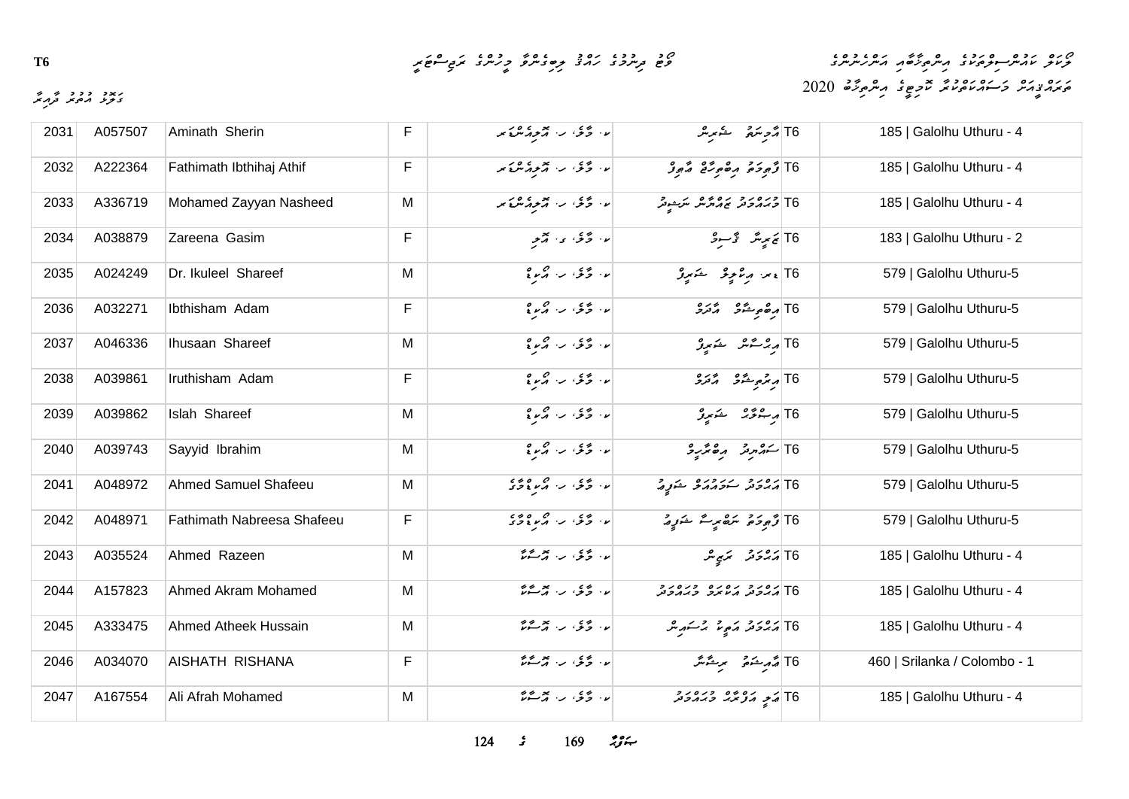*sCw7q7s5w7m< o<n9nOoAw7o< sCq;mAwBoEw7q<m; wBm;vB* م من المسجد المسجد المسجد المسجد المسجد العام 2020<br>مسجد المسجد المسجد المسجد المسجد المسجد المسجد المسجد المسجد ال

| A057507 | Aminath Sherin              | F           |                                                                                                          |                                    | 185   Galolhu Uthuru - 4                                                                                                                                                                                                                                                                                                                                                                                                                                                                                                                                                                                                                                                |
|---------|-----------------------------|-------------|----------------------------------------------------------------------------------------------------------|------------------------------------|-------------------------------------------------------------------------------------------------------------------------------------------------------------------------------------------------------------------------------------------------------------------------------------------------------------------------------------------------------------------------------------------------------------------------------------------------------------------------------------------------------------------------------------------------------------------------------------------------------------------------------------------------------------------------|
| A222364 | Fathimath Ibthihaj Athif    | F           | لا د محمد المسلم المسلم المسلم المسلم المسلم المسلم المسلم المسلم المسلم المسلم المسلم المسلم المسلم الأ |                                    | 185   Galolhu Uthuru - 4                                                                                                                                                                                                                                                                                                                                                                                                                                                                                                                                                                                                                                                |
| A336719 | Mohamed Zayyan Nasheed      | M           | لا د محمد المسلم المسلم المسلم المسلم المسلم المسلم المسلم المسلم المسلم المسلم المسلم المسلم المسلم الأ |                                    | 185   Galolhu Uthuru - 4                                                                                                                                                                                                                                                                                                                                                                                                                                                                                                                                                                                                                                                |
| A038879 | Zareena Gasim               | F           | لاستخرى الاستعمال                                                                                        |                                    | 183   Galolhu Uthuru - 2                                                                                                                                                                                                                                                                                                                                                                                                                                                                                                                                                                                                                                                |
| A024249 | Dr. Ikuleel Shareef         | M           | لا، دېڅو، په مړيو و                                                                                      |                                    | 579   Galolhu Uthuru-5                                                                                                                                                                                                                                                                                                                                                                                                                                                                                                                                                                                                                                                  |
| A032271 | Ibthisham Adam              | F           | لا، دَنْرَ، ر. رُبوءِ                                                                                    |                                    | 579   Galolhu Uthuru-5                                                                                                                                                                                                                                                                                                                                                                                                                                                                                                                                                                                                                                                  |
| A046336 | Ihusaan Shareef             | M           | لار محرمي ساهم و                                                                                         |                                    | 579   Galolhu Uthuru-5                                                                                                                                                                                                                                                                                                                                                                                                                                                                                                                                                                                                                                                  |
| A039861 | Iruthisham Adam             | F           | لا، دَنْرَ، ر. رُبوءِ                                                                                    |                                    | 579   Galolhu Uthuru-5                                                                                                                                                                                                                                                                                                                                                                                                                                                                                                                                                                                                                                                  |
| A039862 | <b>Islah Shareef</b>        | M           | لار محرمي ساهم ولايا                                                                                     |                                    | 579   Galolhu Uthuru-5                                                                                                                                                                                                                                                                                                                                                                                                                                                                                                                                                                                                                                                  |
| A039743 | Sayyid Ibrahim              | M           | $3.9 \times 3.5 \times$                                                                                  |                                    | 579   Galolhu Uthuru-5                                                                                                                                                                                                                                                                                                                                                                                                                                                                                                                                                                                                                                                  |
| A048972 | <b>Ahmed Samuel Shafeeu</b> | M           | لار د محمد المستخدم و د د                                                                                |                                    | 579   Galolhu Uthuru-5                                                                                                                                                                                                                                                                                                                                                                                                                                                                                                                                                                                                                                                  |
| A048971 | Fathimath Nabreesa Shafeeu  | F           |                                                                                                          |                                    | 579   Galolhu Uthuru-5                                                                                                                                                                                                                                                                                                                                                                                                                                                                                                                                                                                                                                                  |
| A035524 | Ahmed Razeen                | М           | لا، بحري، به برخشتما                                                                                     |                                    | 185   Galolhu Uthuru - 4                                                                                                                                                                                                                                                                                                                                                                                                                                                                                                                                                                                                                                                |
| A157823 | Ahmed Akram Mohamed         | M           | لا، بحثى، لا برخشتر                                                                                      |                                    | 185   Galolhu Uthuru - 4                                                                                                                                                                                                                                                                                                                                                                                                                                                                                                                                                                                                                                                |
| A333475 | <b>Ahmed Atheek Hussain</b> | M           | لا، قَرَّقُ بِ مَرْشَرَةً                                                                                |                                    | 185   Galolhu Uthuru - 4                                                                                                                                                                                                                                                                                                                                                                                                                                                                                                                                                                                                                                                |
| A034070 | <b>AISHATH RISHANA</b>      | $\mathsf F$ | لارتج في الرابع مقبرة                                                                                    |                                    | 460   Srilanka / Colombo - 1                                                                                                                                                                                                                                                                                                                                                                                                                                                                                                                                                                                                                                            |
| A167554 | Ali Afrah Mohamed           | M           | لا، وَبِي، رِبِ مِيْرِ مِيْرَ                                                                            |                                    | 185   Galolhu Uthuru - 4                                                                                                                                                                                                                                                                                                                                                                                                                                                                                                                                                                                                                                                |
|         |                             |             |                                                                                                          | لا د محمد المسلم المعدد المسلمة مد | T6 مَرْحِ سَمَعَ مَسْسِرِ سَمَّر مِسْرِ<br>T6 أَرْج <i>ُوحَةُ م</i> ِقْعَةٍ مُدَّجَّةٍ مُدَّجَّةٍ<br>T6 <i>وبرور و پرورگر</i> س <i>رخون</i> ر<br>T6 ئىم پىگە گ <sup>ې</sup> سىر ك<br>T6 ۽ <i>مر، مرناموِي ڪمبرو</i><br>T6 م <i>ەھمىشۇ مەترە</i><br>T6  مربر شکس شکمپرتر<br>T6 م <i>ېرې هېڅ</i> و گ <i>ې تر</i> و<br>T6 م <i>ېنگ<sup>و</sup>نگ ختمپو</i> گ<br>T6 س <i>ەھەرىتە مەھەتگەي</i> ى<br>T6 <i>ג</i> ەرد بەردىدى خىر <i>د</i><br>T6 <i>ڙُڄِدَمُ</i> سَھسِيَّ سُو <i>رِةُ</i><br>T6 <i>ټرې ترې ترې</i><br>T6   <i>גُיִי בَצُ בְּיָה בְּיָה בְּבֹל</i><br>T6 <i>גُ.چرنگ مَهِ بِهِ بِرُسَوِيدٌ</i><br>T6 <i>مُّ مِ</i> شَمَّ مِیشَمَّد<br>T6 <i>ړې دوند د در</i> ورو |

### *n8o<n@ q8qAq< q:uBmC*

*124 s* **169** *n***<sub>s</sub>**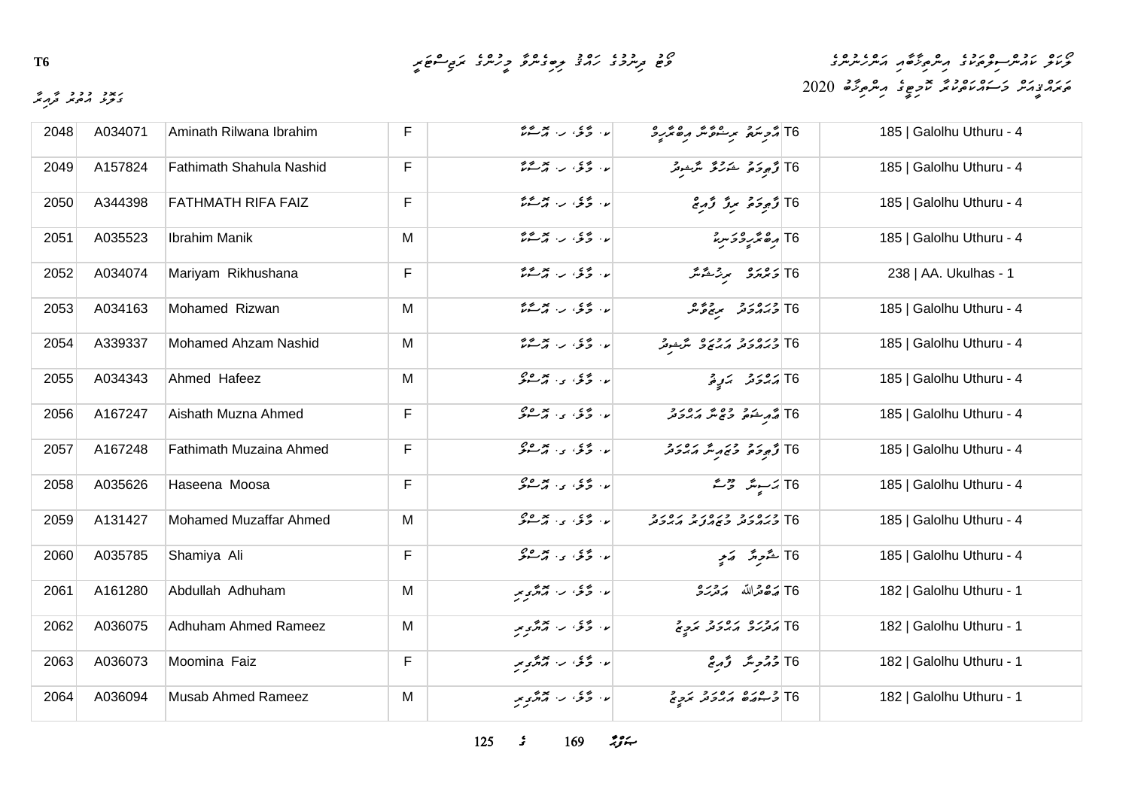*sCw7q7s5w7m< o<n9nOoAw7o< sCq;mAwBoEw7q<m; wBm;vB* م من المرة المرة المرة المرجع المرجع في المركبة 2020<br>مجم*د المريض المربوط المربع المرجع في المراجع المركبة* 

| 2048 | A034071 | Aminath Rilwana Ibrahim        | $\mathsf{F}$ | لاستحق لاستمر میتواند             | T6 مُرجِسَمُ بِرِتْمُوَسَّرَ مِعْتَزِيْرِ       | 185   Galolhu Uthuru - 4 |
|------|---------|--------------------------------|--------------|-----------------------------------|-------------------------------------------------|--------------------------|
| 2049 | A157824 | Fathimath Shahula Nashid       | F            | لا، بحثى به برخمه                 | T6 <i>وَّجِ دَمَ \$ سَمَرْتُى مَّرْجِ</i> مِتْر | 185   Galolhu Uthuru - 4 |
| 2050 | A344398 | <b>FATHMATH RIFA FAIZ</b>      | $\mathsf F$  | لا، ۇى كەر ئەستىر                 | T6 <i>وَّجِوَدَةُ</i> بِرَوَّ وَ <i>ّم</i> ِ جَ | 185   Galolhu Uthuru - 4 |
| 2051 | A035523 | Ibrahim Manik                  | M            | لا : حُرْقُ بِ الْمَرْشَرُةُ مَ   | T6 رە ئۇرپۇ ئەبرى <sup>1</sup>                  | 185   Galolhu Uthuru - 4 |
| 2052 | A034074 | Mariyam Rikhushana             | F            | لا، بحثى به برخمه                 | T6  <i>ۇنۇپۇق ب</i> رقىقەت <i>گ</i>             | 238   AA. Ukulhas - 1    |
| 2053 | A034163 | Mohamed Rizwan                 | M            | للأرقوش لرسيم متشقة               | T6 <i>32,020 برج و</i> شر                       | 185   Galolhu Uthuru - 4 |
| 2054 | A339337 | <b>Mohamed Ahzam Nashid</b>    | M            | لا، وَبِي، رِبِ مِيْرِ مِيْرَ     | T6 <i>وبروبر مردب</i> و شهر                     | 185   Galolhu Uthuru - 4 |
| 2055 | A034343 | Ahmed Hafeez                   | M            | ر، ۇي بەسىمىدە <i>بى</i>          | T6  <i>ړېږي پرو</i> ن <sub>ځ</sub>              | 185   Galolhu Uthuru - 4 |
| 2056 | A167247 | Aishath Muzna Ahmed            | $\mathsf F$  | ىر، بۇي بىر بېر مېرى <i>مى</i>    | T6 مۇم ھەم بىرى ئەرەر د                         | 185   Galolhu Uthuru - 4 |
| 2057 | A167248 | <b>Fathimath Muzaina Ahmed</b> | F            | ر، ۇي بەسىمىد <i>ە بۇ</i>         | T6 ژُ <i>ّوِدَه دَی</i> م شُر <i>مُ</i> ردند    | 185   Galolhu Uthuru - 4 |
| 2058 | A035626 | Haseena Moosa                  | F            | ىر، بۇي بەر ئېزىشق                | T6 پرسپر وقت                                    | 185   Galolhu Uthuru - 4 |
| 2059 | A131427 | Mohamed Muzaffar Ahmed         | M            | لا، دېڅو، د برخشو                 | T6 ديرورو ويرورو رورو                           | 185   Galolhu Uthuru - 4 |
| 2060 | A035785 | Shamiya Ali                    | F            | ر، ۇي بەسىمىدە <i>بى</i>          | T6 ڪُ <i>وبڙ مَ</i> ھِ                          | 185   Galolhu Uthuru - 4 |
| 2061 | A161280 | Abdullah Adhuham               | M            | ر، وی را بیرو بر                  | T6 مَرْهُ مَرْاللّه مَرْمَرْدَدْ                | 182   Galolhu Uthuru - 1 |
| 2062 | A036075 | Adhuham Ahmed Rameez           | M            | لاستخرى سأتبهم تجريحه بد          | T6 <i>בکردی حدود ترو</i> یم                     | 182   Galolhu Uthuru - 1 |
| 2063 | A036073 | Moomina Faiz                   | F            | ر، وی را بیرو بر                  | T6 <i>دېمبر</i> ژبر ع                           | 182   Galolhu Uthuru - 1 |
| 2064 | A036094 | <b>Musab Ahmed Rameez</b>      | M            | لا، وَكُوْا را بِهِ بِمَعْرُوجِرِ | T6 ترجمه مصرف مردح                              | 182   Galolhu Uthuru - 1 |

 $125$  *s*  $169$  *n***<sub>3</sub>** *n*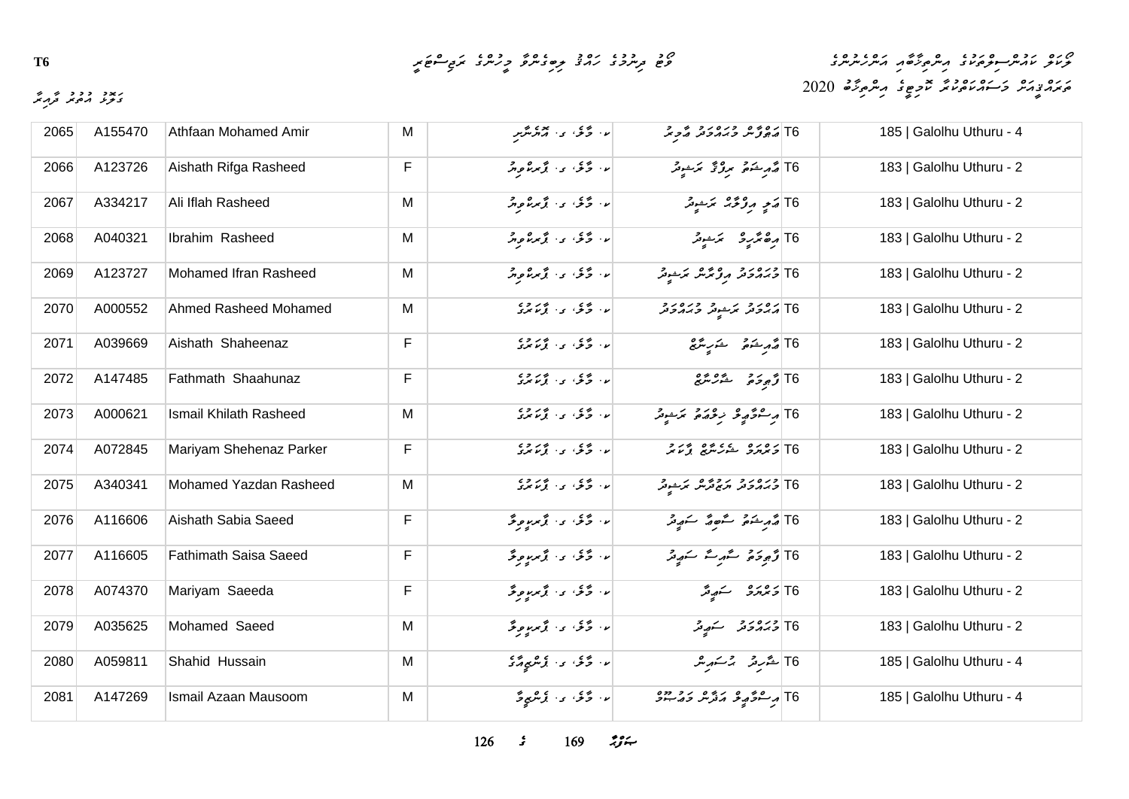*sCw7q7s5w7m< o<n9nOoAw7o< sCq;mAwBoEw7q<m; wBm;vB* م من المسجد المسجد المسجد المسجد المسجد العام 2020<br>مسجد المسجد المسجد المسجد المسجد المسجد المسجد المسجد المسجد ال

| 2065 | A155470 | Athfaan Mohamed Amir          | M | ۱۰ ۋى ئەرەپرىترىپر                                                                                             | T6   <i>ماجوؤ مر جد و در ماج</i> بر                             | 185   Galolhu Uthuru - 4 |
|------|---------|-------------------------------|---|----------------------------------------------------------------------------------------------------------------|-----------------------------------------------------------------|--------------------------|
| 2066 | A123726 | Aishath Rifga Rasheed         | F | لا د څخه د اوگرمانوار                                                                                          | T6 <i>۾ُ مِ</i> ڪَمَ مِروَءٌ مَرَسُومُر                         | 183   Galolhu Uthuru - 2 |
| 2067 | A334217 | Ali Iflah Rasheed             | M | لا د څکې د اوگرمانوار                                                                                          | T6 كەي ب <i>روگ<sup>و</sup> كەيدۇ</i> ر                         | 183   Galolhu Uthuru - 2 |
| 2068 | A040321 | Ibrahim Rasheed               | M | لا د څخه د او ترمرانوار                                                                                        | T6 <i>مِرڠترَّرٍ وَ</i> - مَرْشِر <i>ِيرُ</i>                   | 183   Galolhu Uthuru - 2 |
| 2069 | A123727 | Mohamed Ifran Rasheed         | M | لا د څخه د اوگرمانوار                                                                                          | T6 <i>وبروبرو <sub>م</sub>وبڑ مر برخ</i> وٹر                    | 183   Galolhu Uthuru - 2 |
| 2070 | A000552 | Ahmed Rasheed Mohamed         | M | لا د څکې د او ده ده                                                                                            | T6 <i>גُיכڤر بَرَحوفر وَبَرَمُ</i> وَفَرَ                       | 183   Galolhu Uthuru - 2 |
| 2071 | A039669 | Aishath Shaheenaz             | F | ر، دې ي. ژرين                                                                                                  | T6 <i>مُّ مِ</i> حَوَمِ مَحَمَّدِ مُ <i>ُنَّبَعُ</i>            | 183   Galolhu Uthuru - 2 |
| 2072 | A147485 | Fathmath Shaahunaz            | F | ر، دې ي. ژرين                                                                                                  | T6 <i>وُ<sub>ج</sub>ودَ ۾ شُرُسُ</i> ج                          | 183   Galolhu Uthuru - 2 |
| 2073 | A000621 | <b>Ismail Khilath Rasheed</b> | M | ر، دې ي. ژريږي                                                                                                 | T6 <sub>م</sub> رےد <i>ۇ<sub>م</sub>ى</i> رى <i>جەڭ مەجەن</i> ر | 183   Galolhu Uthuru - 2 |
| 2074 | A072845 | Mariyam Shehenaz Parker       | F | ر، دې ي. ژرين                                                                                                  | T6 <i>دېږي ځینگه</i> تر <i>ډن</i> د                             | 183   Galolhu Uthuru - 2 |
| 2075 | A340341 | Mohamed Yazdan Rasheed        | M | لا د څکې د او ده ده                                                                                            | T6 <i>وبروبرو بروفرش برَ</i> خوتر                               | 183   Galolhu Uthuru - 2 |
| 2076 | A116606 | Aishath Sabia Saeed           | F | الا د د د کار د کار د د کار د د کار د کار د کار د کار د کار د کار د کار د کار د کار د کار د کار د کار د کار د  | T6 مُرمِشَمُ گُرُومُ کُمْ پُر                                   | 183   Galolhu Uthuru - 2 |
| 2077 | A116605 | <b>Fathimath Saisa Saeed</b>  | F | لا د د د کار د برا د د کار کرد و د ک                                                                           | T6 <i>وُّجِودَة</i> سُنَّهُ سُنَّةٍ سَنَّهُمْ مُ                | 183   Galolhu Uthuru - 2 |
| 2078 | A074370 | Mariyam Saeeda                | F | لا د د د کار د برگاران د د                                                                                     | T6 كىمىڭ سى <i>مپى</i> گ                                        | 183   Galolhu Uthuru - 2 |
| 2079 | A035625 | Mohamed Saeed                 | M |                                                                                                                | T6 <i>\$222 كوم</i> تر                                          | 183   Galolhu Uthuru - 2 |
| 2080 | A059811 | Shahid Hussain                | M | لار د د کار او د بار کار د کار د کار د کار د کار د کار د کار د کار د کار د کار د کار د کار د کار د کار د کار د | T6 ڪري <i>ر برڪوينر</i>                                         | 185   Galolhu Uthuru - 4 |
| 2081 | A147269 | Ismail Azaan Mausoom          | M | الا المحكوم الارا والمعلى م                                                                                    | T6 <sub>م</sub> ېشۇم <sub>ب</sub> ۇ مۇسرىمەتتى 76               | 185   Galolhu Uthuru - 4 |

### *n8o<n@ q8qAq< q:uBmC*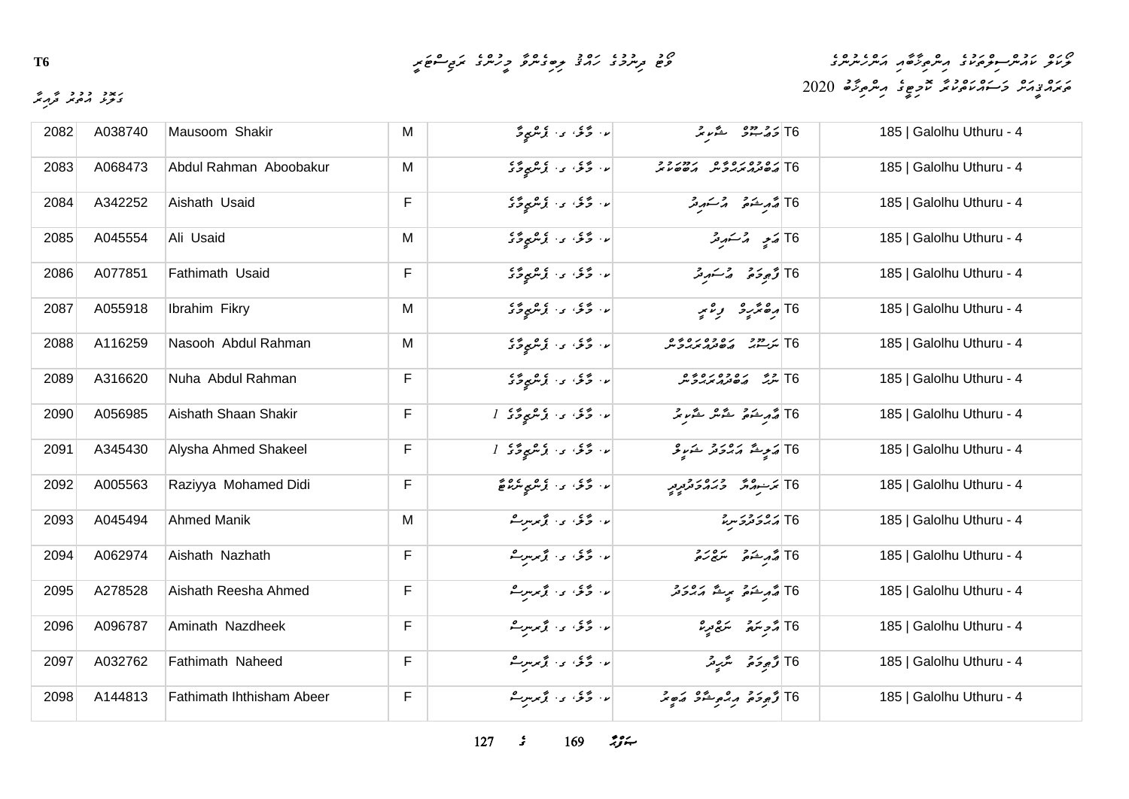*sCw7q7s5w7m< o<n9nOoAw7o< sCq;mAwBoEw7q<m; wBm;vB* م من المرة المرة المرة المرجع المرجع في المركبة 2020<br>مجم*د المريض المربوط المربع المرجع في المراجع المركبة* 

185 | Galolhu Uthuru - 4

|      | ريدو ووو عرم گر<br>تح <i>وي منه ترم گر</i> |                        |   |                                                                                                                                                                                                                                                                                                                                                                                                                           |                             |
|------|--------------------------------------------|------------------------|---|---------------------------------------------------------------------------------------------------------------------------------------------------------------------------------------------------------------------------------------------------------------------------------------------------------------------------------------------------------------------------------------------------------------------------|-----------------------------|
| 2082 | A038740                                    | Mausoom Shakir         | М | ئەس قۇق بىلى بۇرىم تەرىپ ق                                                                                                                                                                                                                                                                                                                                                                                                | T6 <i>كەن يىلى ئىگەن</i> گە |
| 2083 | A068473                                    | Abdul Rahman Aboobakur | М | $\left  \begin{array}{cc} \sqrt{2} & \sqrt{2} & \sqrt{2} & \sqrt{2} & \sqrt{2} & \sqrt{2} & \sqrt{2} & \sqrt{2} & \sqrt{2} & \sqrt{2} & \sqrt{2} & \sqrt{2} & \sqrt{2} & \sqrt{2} & \sqrt{2} & \sqrt{2} & \sqrt{2} & \sqrt{2} & \sqrt{2} & \sqrt{2} & \sqrt{2} & \sqrt{2} & \sqrt{2} & \sqrt{2} & \sqrt{2} & \sqrt{2} & \sqrt{2} & \sqrt{2} & \sqrt{2} & \sqrt{2} & \sqrt{2} & \sqrt{2} & \sqrt{2} & \sqrt{2} & \sqrt{2}$ | T6 גפינג גלים נפט פי        |

| 2083 | A068473 | Abdul Rahman Aboobakur    | M | $\left  \begin{array}{cc} \mathbf{c}^{\prime\prime} & \mathbf{c}^{\prime\prime} \end{array} \right.$ ر . وَتَعْرَى وَ | 72222222222                                                                                          | 185   Galolhu Uthuru - 4 |
|------|---------|---------------------------|---|-----------------------------------------------------------------------------------------------------------------------|------------------------------------------------------------------------------------------------------|--------------------------|
| 2084 | A342252 | Aishath Usaid             | F |                                                                                                                       | T6 م <i>جمع شکر میں مق</i> ریقر                                                                      | 185   Galolhu Uthuru - 4 |
| 2085 | A045554 | Ali Usaid                 | M | لا د څو د برگرې څو                                                                                                    | T6 <i>ڇَجِ پرڪويرُ</i>                                                                               | 185   Galolhu Uthuru - 4 |
| 2086 | A077851 | Fathimath Usaid           | F | لار د دې کې لومړي د د                                                                                                 | T6 <i>وُّجوحَمْ مُ</i> سَن <i>م</i> ِ مِّر                                                           | 185   Galolhu Uthuru - 4 |
| 2087 | A055918 | Ibrahim Fikry             | M | لار د دې کې لومړي د د                                                                                                 | T6 م <i>وڭ ئۇرۇ بوي</i> گىيە                                                                         | 185   Galolhu Uthuru - 4 |
| 2088 | A116259 | Nasooh Abdul Rahman       | M | لار د دې لار لومړي د د                                                                                                | T6 بر دوم ده وه بره وه                                                                               | 185   Galolhu Uthuru - 4 |
| 2089 | A316620 | Nuha Abdul Rahman         | F | لار د دې لار لومړي د د                                                                                                | T6 تر <i>و مصور مورو و</i>                                                                           | 185   Galolhu Uthuru - 4 |
| 2090 | A056985 | Aishath Shaan Shakir      | F | لا . ۇ ئۇ ، ئۇ ئىرى ۋ ئا 1                                                                                            | T6 م <i>ەم شەھ</i> مۇمەم ئۇم بر                                                                      | 185   Galolhu Uthuru - 4 |
| 2091 | A345430 | Alysha Ahmed Shakeel      | F | 15222: 2732                                                                                                           | T6 كەرچە كەردى ئەركى<br>16                                                                           | 185   Galolhu Uthuru - 4 |
| 2092 | A005563 | Raziyya Mohamed Didi      | F | پارستخوا کې او شمېر شريع څو                                                                                           | T6 <i>بَرَىنِيهُمُّ وَبَرُهُ وَبَرْبِ</i> رِيرِ                                                      | 185   Galolhu Uthuru - 4 |
| 2093 | A045494 | <b>Ahmed Manik</b>        | M | لاستخفى بالتجميل                                                                                                      | T6   ئەبەئە <i>قرى سرىت</i> ا                                                                        | 185   Galolhu Uthuru - 4 |
| 2094 | A062974 | Aishath Nazhath           | F | لاستخفى الماستجملين                                                                                                   | T6 م <i>ەمبەشقى مەمبرىقى</i>                                                                         | 185   Galolhu Uthuru - 4 |
| 2095 | A278528 | Aishath Reesha Ahmed      | F | ئارا ئۇنى، ئارا ئۇيمايلارىشى                                                                                          | T6 مُفَقِيدٍ مَنْ مَدَّدَ مَنْ اللهِ عَلَيْ مِنْ اللهِ مَنْ اللهِ مَنْ اللهِ مِنْ اللهِ مِنْ اللَّهِ | 185   Galolhu Uthuru - 4 |
| 2096 | A096787 | Aminath Nazdheek          | F | الله المحتى الالا المجملة وسوسكم                                                                                      | T6   مُتَّحِسَمُ مَسَّمَّةٍ مِرْمٌ                                                                   | 185   Galolhu Uthuru - 4 |
| 2097 | A032762 | Fathimath Naheed          | F | ئاس گەنگە ، ئەرەبىر ئەسرىك                                                                                            | T6 <i>وَّجِ دَءُ</i> گَر <sub>َبِ</sub> يْر                                                          | 185   Galolhu Uthuru - 4 |
| 2098 | A144813 | Fathimath Ihthisham Abeer | F | ئارا ئۇنى، ئارا ئۇيرىيوت                                                                                              | T6 ژُب <i>ودَهُ م</i> ېگو شُو مَصِمُ                                                                 | 185   Galolhu Uthuru - 4 |

*127 s 169 <i>n*<sub>3</sub> *i*<sub>3</sub> *i*<sub>3</sub> *i*<sub>3</sub> *i*<sub>3</sub> *i*<sub>3</sub> *i*<sub>3</sub> *i*<sub>3</sub> *i*<sub>3</sub> *i*<sub>3</sub> *i*<sub>3</sub> *i*<sub>3</sub> *i*<sub>3</sub> *i*<sub>3</sub> *i*<sub>3</sub> *i*<sub>3</sub> *i*<sub>3</sub> *i*<sub>3</sub> *i*<sub>3</sub> *i*<sub>3</sub> *i*<sub>3</sub> *i*<sub>3</sub> *i*<sub>3</sub> *i*<sub>3</sub> *i*<sub>3</sub> *i*<sub>3</sub> *i*<sub>3</sub> *i*<sub>3</sub> *i*<sub>3</sub> *i*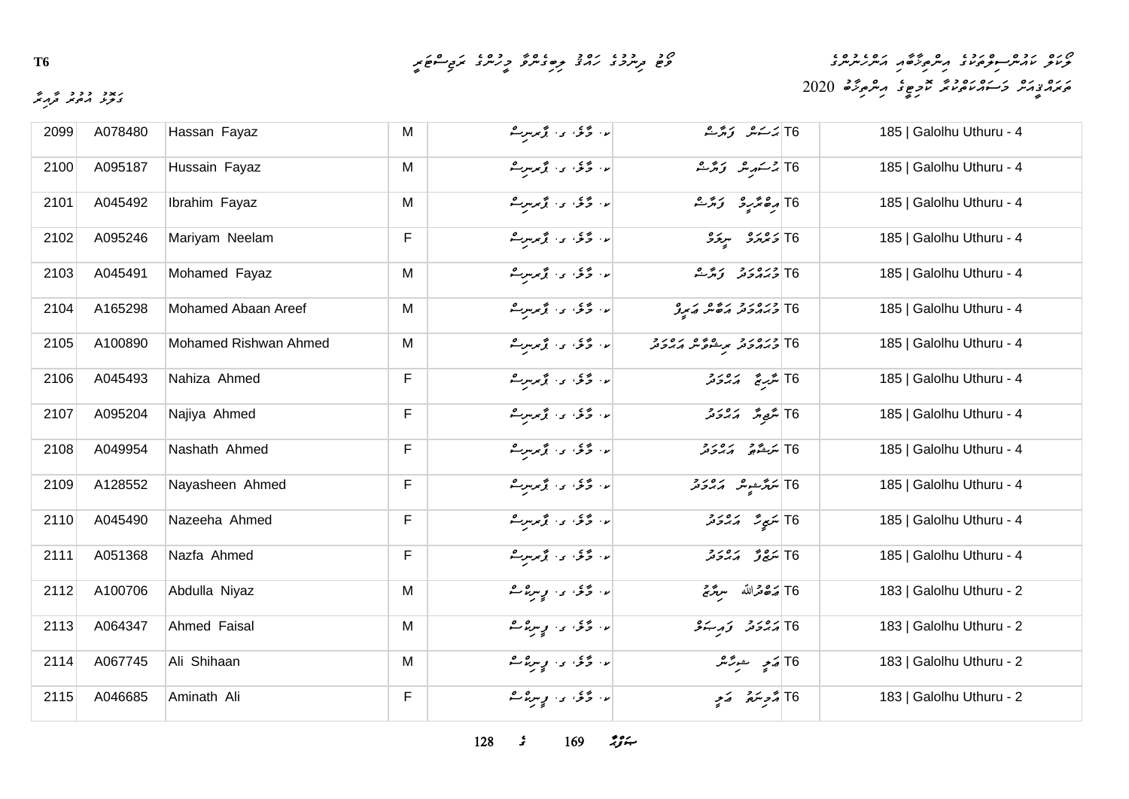*sCw7q7s5w7m< o<n9nOoAw7o< sCq;mAwBoEw7q<m; wBm;vB* م من المسجد المسجد المسجد المسجد المسجد العام 2020<br>مسجد المسجد المسجد المسجد المسجد المسجد المسجد المسجد المسجد ال

| 2099 | A078480 | Hassan Fayaz          | M | ئاس ئۇنقى بىرى بۇ ئۆسىرىك       | T6 يُرتدش كوميشيو                            | 185   Galolhu Uthuru - 4 |
|------|---------|-----------------------|---|---------------------------------|----------------------------------------------|--------------------------|
| 2100 | A095187 | Hussain Fayaz         | M | الله المحكى الماء المجموعين مثل | T6 پرستمبر بھر ت <del>م</del> ر شد           | 185   Galolhu Uthuru - 4 |
| 2101 | A045492 | Ibrahim Fayaz         | M | الله المحمى الماء المجملين والم | T6 مەھەرىرى ئەمەت                            | 185   Galolhu Uthuru - 4 |
| 2102 | A095246 | Mariyam Neelam        | F | الله المحكى الماء المجموعين مثل | T6  <i>5نگەدى س<sub>ې</sub>تى</i> ۋ          | 185   Galolhu Uthuru - 4 |
| 2103 | A045491 | Mohamed Fayaz         | M | الاستمحى الماس ومجموعين         | T6  <i>وُبَہُ وَمَرْ وَمُرَّتْ</i>           | 185   Galolhu Uthuru - 4 |
| 2104 | A165298 | Mohamed Abaan Areef   | M | ئار گەنگە كەن ئەھرىس كى         | T6 ديره د د برخ ه مربور                      | 185   Galolhu Uthuru - 4 |
| 2105 | A100890 | Mohamed Rishwan Ahmed | M | ئار ئۇنى، ئارا ئۇيرىلوپ         | T6 <i>دره در</i> مرشومه روبرد                | 185   Galolhu Uthuru - 4 |
| 2106 | A045493 | Nahiza Ahmed          | F | ئارا ئۇنى، ئارا ئۇيمايلارىشى    | T6 سَّر <i>َبةَ مَدْدَود</i> َ               | 185   Galolhu Uthuru - 4 |
| 2107 | A095204 | Najiya Ahmed          | F | الله المحمى الماء المجملين والم | T6 سَّمِهِ مَدَّ مَدَّ مَدَّ مَدَّ           | 185   Galolhu Uthuru - 4 |
| 2108 | A049954 | Nashath Ahmed         | F | الله المحكى الماء المجموعين مثل | T6 <i>سَرْخَةً جَمْدُوَ مَدْ</i>             | 185   Galolhu Uthuru - 4 |
| 2109 | A128552 | Nayasheen Ahmed       | F | لاستخفى الماستجملين             | T6 <i>سَرَدَّحِيدُ <sub>م</sub>َدْدَوْرَ</i> | 185   Galolhu Uthuru - 4 |
| 2110 | A045490 | Nazeeha Ahmed         | F | الله المحمى الماء المجملين والم | T6 ى <i>نبې<sup>ۇ</sup> مەدۇن</i> ر          | 185   Galolhu Uthuru - 4 |
| 2111 | A051368 | Nazfa Ahmed           | F | الله المحمى الماء المجملين والم | T6 ىتر <i>ى قەرىقى</i>                       | 185   Galolhu Uthuru - 4 |
| 2112 | A100706 | Abdulla Niyaz         | M | الا المحتى الإس والريم والمحمد  | T6 كەھەراللە س <i>ىتزىتى</i>                 | 183   Galolhu Uthuru - 2 |
| 2113 | A064347 | Ahmed Faisal          | M | الا المحكى المالي والرواحي      | T6   كەركە قىلى ئىرىكىلىكى ئىس               | 183   Galolhu Uthuru - 2 |
| 2114 | A067745 | Ali Shihaan           | M | لا المحتى الأرام والمريم من     | T6 <i>ڇُجِ خوش</i> گر                        | 183   Galolhu Uthuru - 2 |
| 2115 | A046685 | Aminath Ali           | F | الا الحجي، به الإسرائيل         | T6 م <i>ُّوسَعْہ</i> مَی                     | 183   Galolhu Uthuru - 2 |

### *n8o<n@ q8qAq< q:uBmC*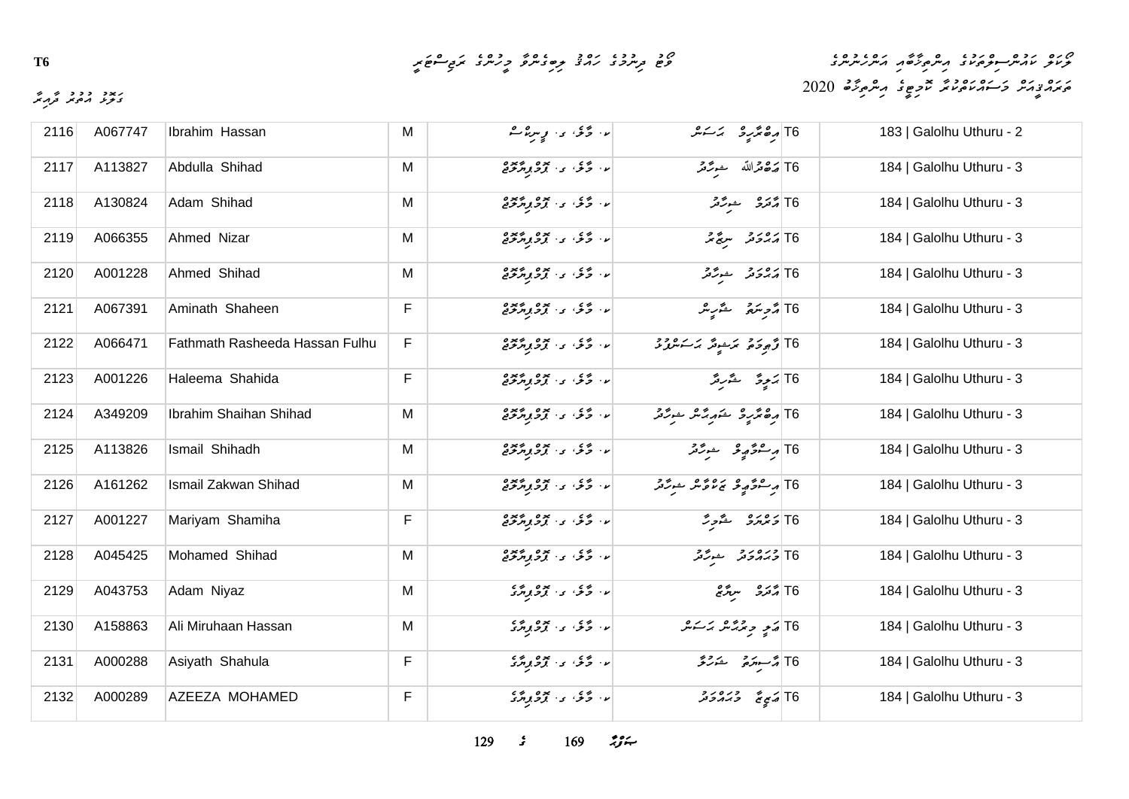*sCw7q7s5w7m< o<n9nOoAw7o< sCq;mAwBoEw7q<m; wBm;vB* م من المسجد المسجد المسجد المسجد المسجد العام 2020<br>مسجد المسجد المسجد المسجد المسجد المسجد المسجد المسجد المسجد ال

### *n8o<n@ q8qAq< q:uBmC*

| 2116 | A067747 | Ibrahim Hassan                 | M           | یں گئی تی ویبرنا ہے                                                                                          | T6  رەڭرىرى ئەسەش                                          | 183   Galolhu Uthuru - 2 |
|------|---------|--------------------------------|-------------|--------------------------------------------------------------------------------------------------------------|------------------------------------------------------------|--------------------------|
| 2117 | A113827 | Abdulla Shihad                 | M           | ر د محکي <sub>ک</sub> بره وروده                                                                              | T6 كَدَّةْ قَدْاللَّهُ شَوَرَّتْدَ                         | 184   Galolhu Uthuru - 3 |
| 2118 | A130824 | Adam Shihad                    | M           | ر، وی ی بروبرموم                                                                                             | T6 مُ <i>مْدَدْ</i> ہے ِ مُدَّمْر                          | 184   Galolhu Uthuru - 3 |
| 2119 | A066355 | Ahmed Nizar                    | M           | ر، دی. د. برو پروه                                                                                           | T6 <i>مَدْدَوَنْدَ</i> سِيَّ <i>ةَ م</i> ُ                 | 184   Galolhu Uthuru - 3 |
| 2120 | A001228 | Ahmed Shihad                   | M           | ر د محکي <sub>ک</sub> بره وروده                                                                              | T6  <i>ړی</i> ونه جو <i>ره</i>                             | 184   Galolhu Uthuru - 3 |
| 2121 | A067391 | Aminath Shaheen                | $\mathsf F$ | پارسی کا محمد محمدہ                                                                                          | T6 م <i>ُّ جِسَعَة</i> مُحَمَّدٍ مُّثَّرِ مُشَ             | 184   Galolhu Uthuru - 3 |
| 2122 | A066471 | Fathmath Rasheeda Hassan Fulhu | $\mathsf F$ |                                                                                                              | T6 <i>وُجوحَمْ بَرَحْبِيرٌ بَرَحْمَرُوْ</i> دُ             | 184   Galolhu Uthuru - 3 |
| 2123 | A001226 | Haleema Shahida                | F           | پارستخوا در میروم محمده                                                                                      | T6 كەرچۇ ھەر <i>بۇ</i>                                     | 184   Galolhu Uthuru - 3 |
| 2124 | A349209 | Ibrahim Shaihan Shihad         | M           | در مجموعه المرضوع المرضوع المرضوع المرضوع المرضوع المرضوع المرضع المرضع المرضع المرضع المرضع المرضع المرضع ا | T6 <sub>م</sub> ەنگرىرى خىمەنگىر خو <i>نگى</i> ر           | 184   Galolhu Uthuru - 3 |
| 2125 | A113826 | Ismail Shihadh                 | M           | په د مخې کې د کارونو د کارونو لرغونو له د ځلونو لرغونو له د کارونو لرغونو لرغونو لرغونو لرغونو کارونو کارونو | T6 <sub>م</sub> رىئۇ پەغ سى <i>ر</i> گە                    | 184   Galolhu Uthuru - 3 |
| 2126 | A161262 | Ismail Zakwan Shihad           | M           | پارسی کی دیگر محمده                                                                                          | T6 <sub>م</sub> رسۇ <i>ئىچ يىڭ ئىرىگى</i> ر سى <i>رگەر</i> | 184   Galolhu Uthuru - 3 |
| 2127 | A001227 | Mariyam Shamiha                | $\mathsf F$ | ر، وی ی بروبرموم                                                                                             | T6 <i>وَبُرْبُرُوْ</i> َ شُمَ <i>ّحِرُّ</i>                | 184   Galolhu Uthuru - 3 |
| 2128 | A045425 | Mohamed Shihad                 | M           | ر، وی ی بروبرموم                                                                                             | T6 <i>ۇنەممۇمۇ</i> ئىب <i>رگەگ</i>                         | 184   Galolhu Uthuru - 3 |
| 2129 | A043753 | Adam Niyaz                     | M           | ر، د کې د برو پرو                                                                                            | T6 <i>مُحَرَّدُ</i> سِمَّتَّ                               | 184   Galolhu Uthuru - 3 |
| 2130 | A158863 | Ali Miruhaan Hassan            | M           | پارستخوا دی اور بوده و به دی                                                                                 | T6 كەبى <i>بەيدى</i> گە ئەسەنگە                            | 184   Galolhu Uthuru - 3 |
| 2131 | A000288 | Asiyath Shahula                | F           | ر، وی ی بوه بود                                                                                              | T6 مُرْسِ <i>مَرْمُ</i> شَرْكَزُ                           | 184   Galolhu Uthuru - 3 |
| 2132 | A000289 | AZEEZA MOHAMED                 | $\mathsf F$ | ر، وی ی بوه بود                                                                                              | T6 كەيپىتى <i>مەندە</i> مە                                 | 184   Galolhu Uthuru - 3 |

*129 s 169 <i>n*<sub>3</sub> *i*</sup>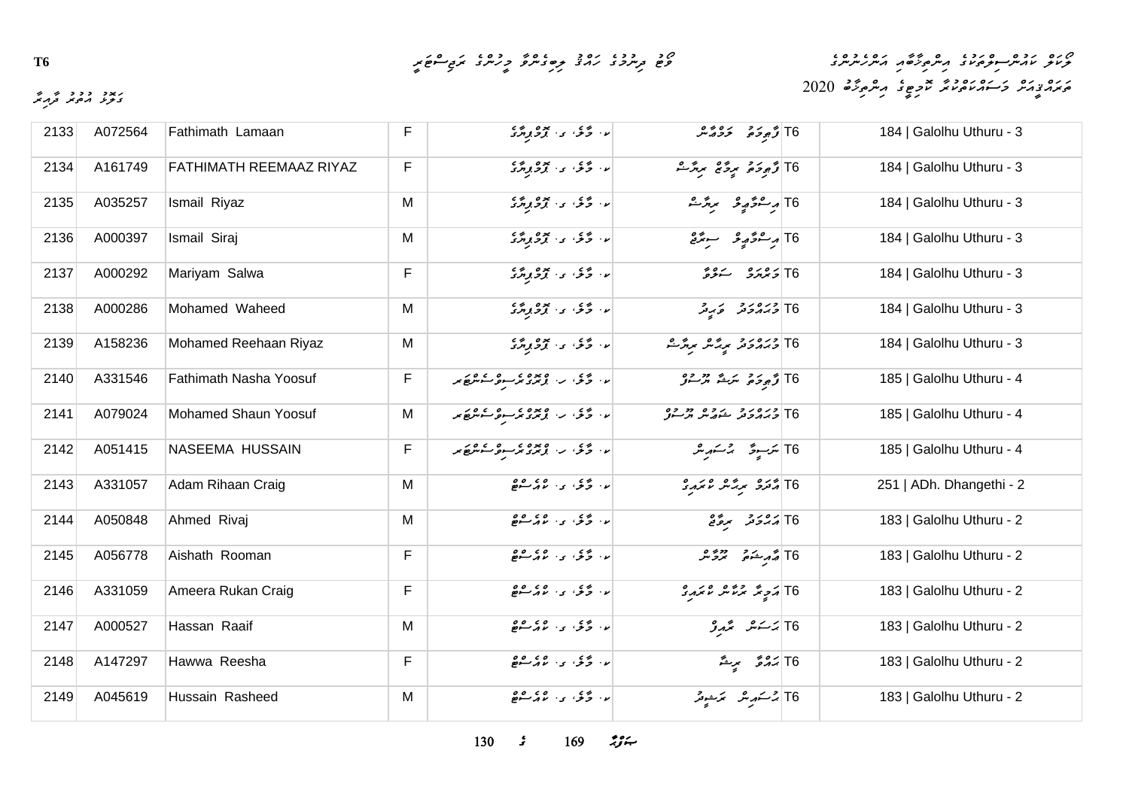*sCw7q7s5w7m< o<n9nOoAw7o< sCq;mAwBoEw7q<m; wBm;vB* م من المسجد المسجد المسجد المسجد المسجد العام 2020<br>مسجد المسجد المسجد المسجد المسجد المسجد المسجد المسجد المسجد ال

### *n8o<n@ q8qAq< q:uBmC*

| 2133 | A072564 | Fathimath Lamaan               | F           | پار د محمد کار د بود و د محمد د ک                                                                                                                                                                   | T6 <i>وَّ. وَدَهُ</i> كَرَدْهُ مَّرْ               | 184   Galolhu Uthuru - 3 |
|------|---------|--------------------------------|-------------|-----------------------------------------------------------------------------------------------------------------------------------------------------------------------------------------------------|----------------------------------------------------|--------------------------|
| 2134 | A161749 | <b>FATHIMATH REEMAAZ RIYAZ</b> | $\mathsf F$ | ر، د کې د بروبرون                                                                                                                                                                                   | T6 <i>وَّجودَهُ</i> مِرِدَّ مِرْدَتْ <b>[</b>      | 184   Galolhu Uthuru - 3 |
| 2135 | A035257 | Ismail Riyaz                   | M           | ر، وی ی بوه وی                                                                                                                                                                                      | T6 <sub>م</sub> رےدو پر ہوگئے                      | 184   Galolhu Uthuru - 3 |
| 2136 | A000397 | Ismail Siraj                   | M           | ر، د کې د برو وول                                                                                                                                                                                   | T6 م <i>ې</i> شۇمۇ سېرى                            | 184   Galolhu Uthuru - 3 |
| 2137 | A000292 | Mariyam Salwa                  | F           | ر، د د و، د برو و د ،                                                                                                                                                                               | T6  <i>ى يۇ<sub>م</sub>ۇ ئىنى</i> مۇ               | 184   Galolhu Uthuru - 3 |
| 2138 | A000286 | Mohamed Waheed                 | M           | ر، د کې د بروبرون                                                                                                                                                                                   | T6 <i>35222 قب</i> ر                               | 184   Galolhu Uthuru - 3 |
| 2139 | A158236 | Mohamed Reehaan Riyaz          | M           | ر، د کې د بروبرون                                                                                                                                                                                   | T6 <i>\$ندمى تور بېرىگىر بىر</i> ىگىشە             | 184   Galolhu Uthuru - 3 |
| 2140 | A331546 | Fathimath Nasha Yoosuf         | $\mathsf F$ | لا د محمد المراجع د محمد المراجع من المحمد المحمد المحمد المحمد المحمد المحمد المحمد المحمد المحمد المحمد المحمد                                                                                    | T6 رُج <i>ودَه</i> مَرَسَّهُ م <i>ُرْسُوْ</i>      | 185   Galolhu Uthuru - 4 |
| 2141 | A079024 | Mohamed Shaun Yoosuf           | M           | لا محمد المتحدة على المحمد المحمد المحمد المحمد المحمد المحمد المحمد المحمد المحمد المحمد المحمد الم                                                                                                | T6 <i>وبروبر و شهر مل بین و و و و</i>              | 185   Galolhu Uthuru - 4 |
| 2142 | A051415 | <b>NASEEMA HUSSAIN</b>         | F           | لا محمد المتحدة على المحمد المحمد المحمد المحمد المحمد المحمد المحمد المحمد المحمد المحمد المحمد الم                                                                                                | T6 <i>نترب وقت باستهر مثل</i>                      | 185   Galolhu Uthuru - 4 |
| 2143 | A331057 | Adam Rihaan Craig              | M           | $\overset{\circ}{\mathcal{E}}$ , $\overset{\circ}{\mathcal{E}}$ , $\overset{\circ}{\mathcal{E}}$ , $\overset{\circ}{\mathcal{E}}$ , $\overset{\circ}{\mathcal{E}}$ , $\overset{\circ}{\mathcal{E}}$ |                                                    | 251   ADh. Dhangethi - 2 |
| 2144 | A050848 | Ahmed Rivaj                    | M           | ر، ۇي بى مەرق                                                                                                                                                                                       | T6 <i>مُدْدَوْرٌ بِروُّ</i> ق                      | 183   Galolhu Uthuru - 2 |
| 2145 | A056778 | Aishath Rooman                 | $\mathsf F$ | ر، ۇي بى مەرە <u>م</u>                                                                                                                                                                              | T6م <i>جم شرق محرم محمد ال</i> له                  | 183   Galolhu Uthuru - 2 |
| 2146 | A331059 | Ameera Rukan Craig             | $\mathsf F$ | $60.60$ $3.6$ $4.6$                                                                                                                                                                                 | T6 <i>مَحِبَّدٌ بَرْنَ</i> ّتَر <i>نْتَمَدِ</i> ءُ | 183   Galolhu Uthuru - 2 |
| 2147 | A000527 | Hassan Raaif                   | M           | لا د محرکې له د مړي هغ                                                                                                                                                                              | T6   يَرْسَدُ مُحَم <i>دِ</i> وَ                   | 183   Galolhu Uthuru - 2 |
| 2148 | A147297 | Hawwa Reesha                   | F           | $\overset{\circ}{\mathcal{E}}$ , $\overset{\circ}{\mathcal{E}}$ , $\overset{\circ}{\mathcal{E}}$ , $\overset{\circ}{\mathcal{E}}$ , $\overset{\circ}{\mathcal{E}}$ , $\overset{\circ}{\mathcal{E}}$ | T6 <i>بَدْهُ</i> بِهِشَّ                           | 183   Galolhu Uthuru - 2 |
| 2149 | A045619 | Hussain Rasheed                | M           | $\begin{bmatrix} 0 & 0 & 0 & 0 \\ 0 & -1 & 0 & 0 \\ 0 & 0 & 0 & 0 \end{bmatrix}$                                                                                                                    | T6 پرسکوپٹر کر <sub>شو</sub> پڑ                    | 183   Galolhu Uthuru - 2 |

*130 s 169 <i>n*<sub>3</sub> *i*</sup>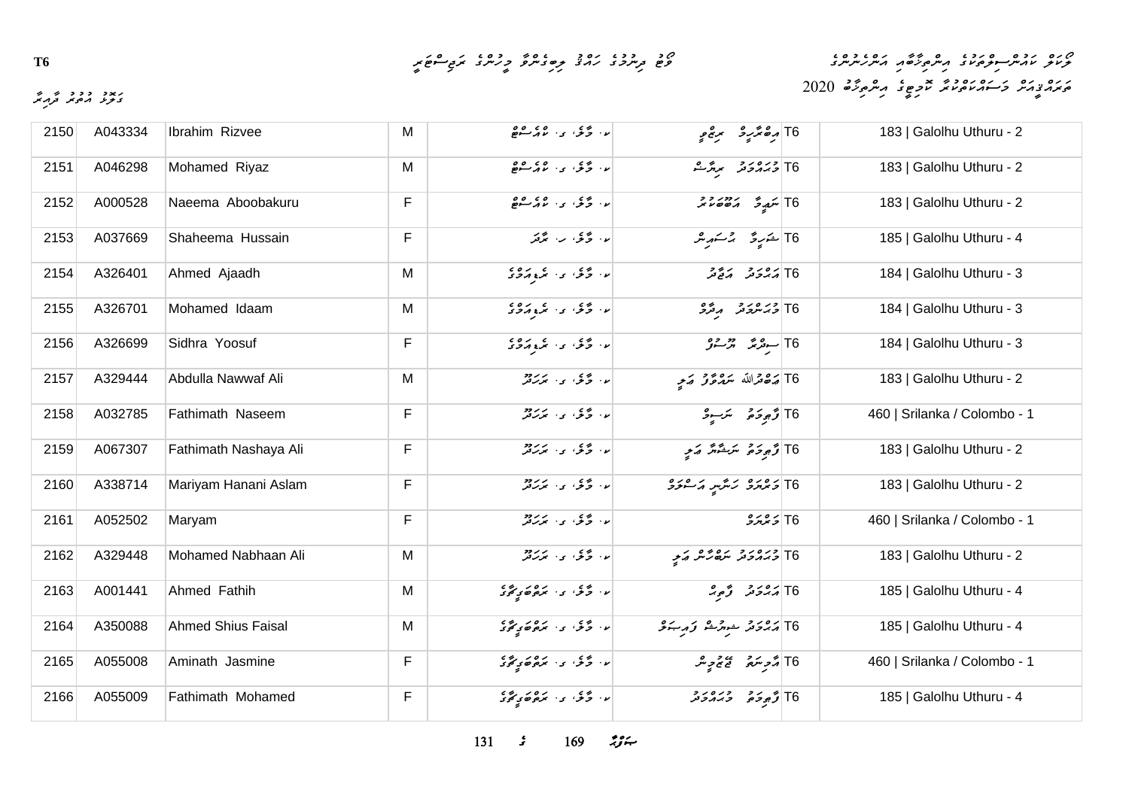*sCw7q7s5w7m< o<n9nOoAw7o< sCq;mAwBoEw7q<m; wBm;vB* م من المرة المرة المرة المرجع المرجع في المركبة 2020<br>مجم*د المريض المربوط المربع المرجع في المراجع المركبة* 

| 2150 | A043334 | Ibrahim Rizvee            | M | لا د څخه ی لار شو                                                                                              | T6 م <i>ِ&amp;مُدُرٍ\$ مِربِّي مِ</i>        | 183   Galolhu Uthuru - 2     |
|------|---------|---------------------------|---|----------------------------------------------------------------------------------------------------------------|----------------------------------------------|------------------------------|
| 2151 | A046298 | Mohamed Riyaz             | M | $\begin{bmatrix} 0 & 0 & 0 & 0 \\ 0 & -1 & 0 & 0 \\ 0 & 0 & 0 & 0 \end{bmatrix}$                               | T6 <i>جُهُدُو بَهْرُ بِ</i> رِيْرُ بِهِ بِ   | 183   Galolhu Uthuru - 2     |
| 2152 | A000528 | Naeema Aboobakuru         | F | $20.50 + 32.0$                                                                                                 | $2222$ $+200$                                | 183   Galolhu Uthuru - 2     |
| 2153 | A037669 | Shaheema Hussain          | F | الا انجاقی اللہ میٹمک                                                                                          | T6 ڪر <i>پ</i> وگ جي <i>ڪمي نگ</i> ر         | 185   Galolhu Uthuru - 4     |
| 2154 | A326401 | Ahmed Ajaadh              | M | $\begin{bmatrix} 0 & 0 & 0 & 0 \\ 0 & 0 & 0 & 0 \\ 0 & 0 & 0 & 0 \end{bmatrix}$                                | T6 <i>ټرې پېر</i> ته کړې ته                  | 184   Galolhu Uthuru - 3     |
| 2155 | A326701 | Mohamed Idaam             | M | لا د څخه د لمنده پروه                                                                                          | T6  <i>32مركز م</i> ى <i>رى</i>              | 184   Galolhu Uthuru - 3     |
| 2156 | A326699 | Sidhra Yoosuf             | F | لا د څخه د نمه ده ده                                                                                           | T6 سو <i>نزی پژ</i> شتر                      | 184   Galolhu Uthuru - 3     |
| 2157 | A329444 | Abdulla Nawwaf Ali        | M | لاستخرى كالمتحرك بمركز                                                                                         | T6 كەھەراللە ئىر <i>ەۋۇ كەي</i>              | 183   Galolhu Uthuru - 2     |
| 2158 | A032785 | Fathimath Naseem          | F | لاستخرى كالممتركين                                                                                             | T6 <i>وَّجِوَدَة</i> مَرَسٍو <i>دُ</i>       | 460   Srilanka / Colombo - 1 |
| 2159 | A067307 | Fathimath Nashaya Ali     | F | لا د گري دا برگرفش                                                                                             | T6 رُّجِ <i>دَة</i> كَرَحْتَمَّ كَمَ مِنْ 16 | 183   Galolhu Uthuru - 2     |
| 2160 | A338714 | Mariyam Hanani Aslam      | F | لاستخرى كالممركز فر                                                                                            | T6 كەبۇرى ئەنگەير كەشل <i>ۇ</i> ۋ            | 183   Galolhu Uthuru - 2     |
| 2161 | A052502 | Maryam                    | F | الأرمح في الأرادة                                                                                              | $5525$ T6                                    | 460   Srilanka / Colombo - 1 |
| 2162 | A329448 | Mohamed Nabhaan Ali       | M | الأستحق الماسم لمركزهم                                                                                         | T6 <i>25,25 مرة مرة مربو</i>                 | 183   Galolhu Uthuru - 2     |
| 2163 | A001441 | Ahmed Fathih              | M | ر د وي د ره د ده د د                                                                                           | T6 <i>ټرې پې</i> وگړي                        | 185   Galolhu Uthuru - 4     |
| 2164 | A350088 | <b>Ahmed Shius Faisal</b> | M | لا د محکو د مرکز د د د کار د د کار د د کار د کار د کار د کار د کار د کار د کار د کار د کار د کار د کار د کار د | T6 <i>גُرُدُنْدُ</i> سُبِيْرُسُمْ وَبِرْجُوْ | 185   Galolhu Uthuru - 4     |
| 2165 | A055008 | Aminath Jasmine           | F | ١٠ د څو، د مروه د کارو                                                                                         | T6 گەچ سىم ئىق ئىچ چە بىر                    | 460   Srilanka / Colombo - 1 |
| 2166 | A055009 | Fathimath Mohamed         | F | په د کلي کال کلي کال کلي کال کلي کال کلي کال کلي کال کلي کال کلي کال کلي کال کلي کال کلي کال کلي کال کلي کال   | T6 <i>وُّڄِوَ حُمَّ وَجُدُو</i> َ مَرَّ      | 185   Galolhu Uthuru - 4     |

 $131$  *s*  $169$  *n***<sub>3</sub>** *n* 

ر **x و c c c c c c c c c c c c c c c**<br>*E <del>c c</del> c c c c c c c c c c c c c*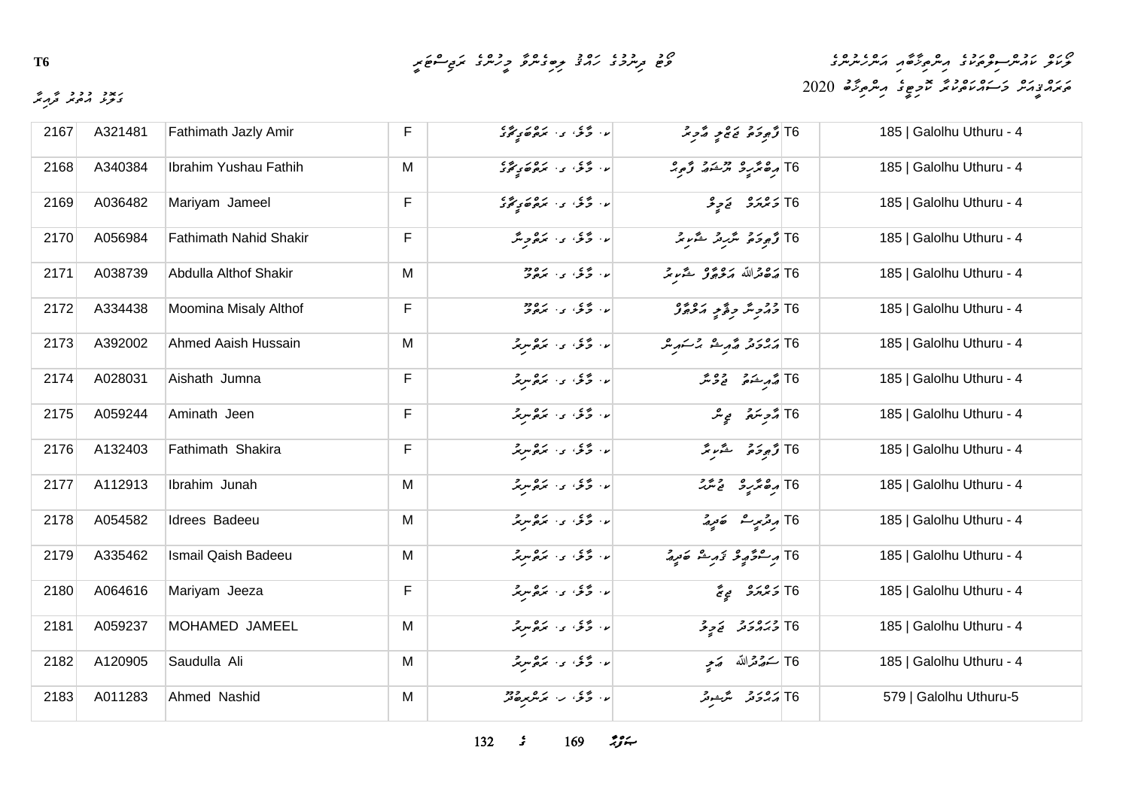*sCw7q7s5w7m< o<n9nOoAw7o< sCq;mAwBoEw7q<m; wBm;vB* م من المسجد المسجد المسجد المسجد المسجد العام 2020<br>مجم*د المسجد المسجد المستجد المسجد المسجد المسجد المسجد المسجد المسجد المسجد المسجد المسجد المسجد المسجد المسجد* 

| 2167 | A321481 | Fathimath Jazly Amir          | F           | ر د وي د ره د ده د د                                                                                           | T6 <i>وُّجِودَة في عُوبِ مُدَّوِيرُ</i>            | 185   Galolhu Uthuru - 4 |
|------|---------|-------------------------------|-------------|----------------------------------------------------------------------------------------------------------------|----------------------------------------------------|--------------------------|
| 2168 | A340384 | Ibrahim Yushau Fathih         | M           | په د کلي کال کلي کال کلي کال کلي کال کلي کال کلي کال کلي کال کلي کال کلي کال کلي کال کلي کال کلي کال کلي کال   | T6 مەھەر بولى ئۆزگە ئەمەيد                         | 185   Galolhu Uthuru - 4 |
| 2169 | A036482 | Mariyam Jameel                | F           | ر د محمود د ده د ده د د د د                                                                                    | T6 <i>5 پر<sub>م</sub>رڈ</i> <sub>52</sub> پ       | 185   Galolhu Uthuru - 4 |
| 2170 | A056984 | <b>Fathimath Nahid Shakir</b> | $\mathsf F$ | لا د څکې د انده د مگر                                                                                          | T6 <i>وَّجِودَة</i> مُ <i>رْبِهْ حُدَّمٍ بُ</i> رُ | 185   Galolhu Uthuru - 4 |
| 2171 | A038739 | Abdulla Althof Shakir         | M           | لا د څکې ی. بره دد                                                                                             | T6 رَصْرَاللّه رَءْ وَمُحْ شَمَّ رَ                | 185   Galolhu Uthuru - 4 |
| 2172 | A334438 | Moomina Misaly Althof         | F           | لا د څکې ی بره ده                                                                                              | T6 دُمُّ دِرُو پِر مَوْرُو (                       | 185   Galolhu Uthuru - 4 |
| 2173 | A392002 | <b>Ahmed Aaish Hussain</b>    | M           | لا د څخه د نمومبر                                                                                              | T6 <i>גُرُوَنَّزْ مُ</i> مِثْ بُرْسَمَ مِنْ        | 185   Galolhu Uthuru - 4 |
| 2174 | A028031 | Aishath Jumna                 | F           | لا د څکې د انگروهېږي                                                                                           | T6 مُصِنْعَةِ فِي مُحَمَّد                         | 185   Galolhu Uthuru - 4 |
| 2175 | A059244 | Aminath Jeen                  | F           | لا د څکې د انگرونېږ                                                                                            | T6 <i>مُّجِسَعُ</i> مِیْر                          | 185   Galolhu Uthuru - 4 |
| 2176 | A132403 | Fathimath Shakira             | F           | لار گرگی ای ایره مرکز                                                                                          | T6 ۇ <sub>جو</sub> رَة شَ <sub>رْم</sub> مَّ       | 185   Galolhu Uthuru - 4 |
| 2177 | A112913 | Ibrahim Junah                 | M           | لار گرگی ای ایره مرکز                                                                                          | T6 <sub>م</sub> ەنزىر قىرىز                        | 185   Galolhu Uthuru - 4 |
| 2178 | A054582 | Idrees Badeeu                 | M           | لا د څخه د انگرولونک                                                                                           | T6 <sub>م</sub> وترموے ک <i>ے تو</i> رثہ           | 185   Galolhu Uthuru - 4 |
| 2179 | A335462 | <b>Ismail Qaish Badeeu</b>    | M           | لا د څکې د انگروهېږي                                                                                           | T6 مرےوٌمہو ت <sub>ک</sub> رے صَ <i>دِم</i> ہ      | 185   Galolhu Uthuru - 4 |
| 2180 | A064616 | Mariyam Jeeza                 | F           | لا د څکې د انگرونېږ                                                                                            | T6 <i>كَرْمَرْدْ وِيُّ</i>                         | 185   Galolhu Uthuru - 4 |
| 2181 | A059237 | MOHAMED JAMEEL                | M           | لا د څخه د انگرولونک                                                                                           | T6 <i>\$نەۋەتى ق</i> وق                            | 185   Galolhu Uthuru - 4 |
| 2182 | A120905 | Saudulla Ali                  | M           | لا د څکې د انگرونکړ                                                                                            | T6 كەنتىراللە ك <i>ە</i> م                         | 185   Galolhu Uthuru - 4 |
| 2183 | A011283 | Ahmed Nashid                  | M           | لا د محمد المستخدم المستخدم المستخدم المستخدم المستخدم المستخدم المستخدم المستخدم المستخدم المستخدم المستخدم ا | T6 <i>ב برو 5 مگرېنو پ</i> ر                       | 579   Galolhu Uthuru-5   |

*n8o<n@ q8qAq< q:uBmC*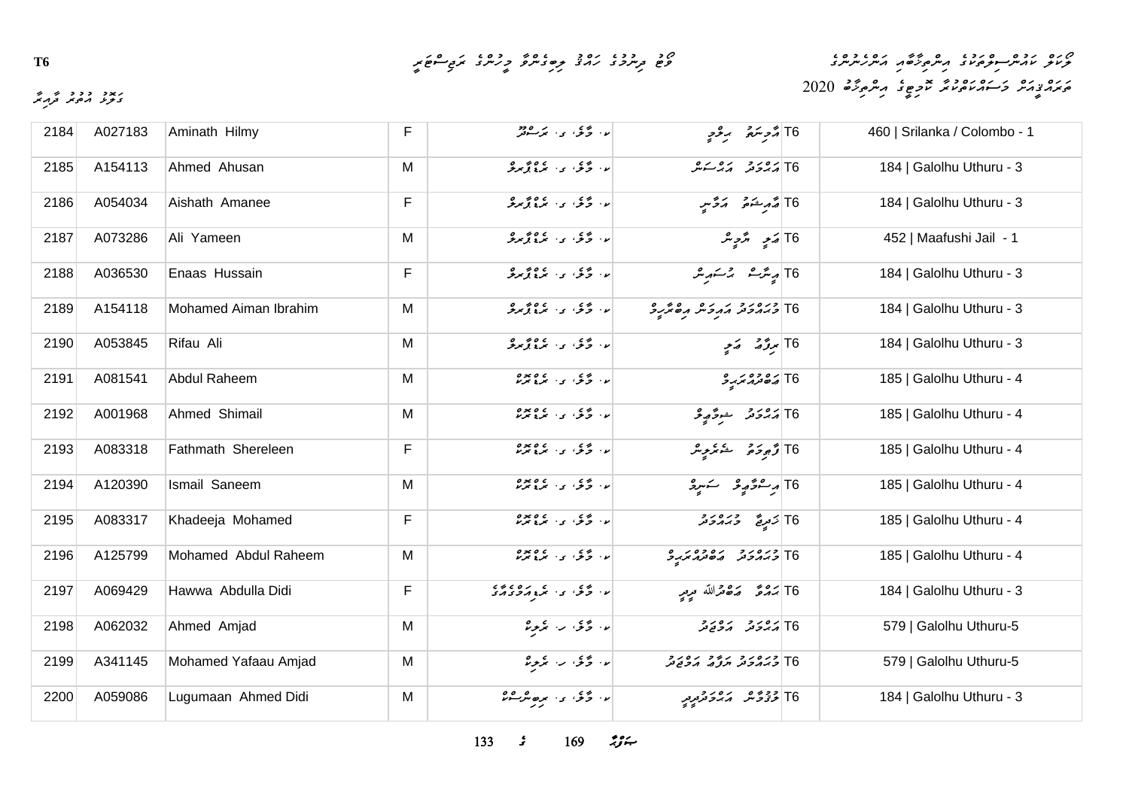*sCw7q7s5w7m< o<n9nOoAw7o< sCq;mAwBoEw7q<m; wBm;vB*  $2020$  مَمَرْكَزِيَّةَ وَسَعْدَ *مَا يَوْمِيَّةُ وَسَعْدِهِ مِسْتَخْ*فَةِ وَفَسَنَ وَيَسْتَخْفَضَ وَفَسَنَ وَيَسْتَخْ

184 | Galolhu Uthuru - 3

| 2184 | A027183 | Aminath Hilmy                | F | لاستخرى كالمتحصص                 | T6 مَّحِسَمَۃُ بِگُرْحِ                              | 460   Srilanka / Colombo - 1 |
|------|---------|------------------------------|---|----------------------------------|------------------------------------------------------|------------------------------|
| 2185 | A154113 | Ahmed Ahusan                 | M | لا د گري دا مره گرمرگر           | T6 <i>בَ.پُروَتَر دَ.پُرسَ</i> سُ                    | 184   Galolhu Uthuru - 3     |
| 2186 | A054034 | Aishath Amanee               | F | لا د څخه د اندونونونو            | T6 <i>مُفرِيشة مَوَّسِ</i>                           | 184   Galolhu Uthuru - 3     |
| 2187 | A073286 | Ali Yameen                   | M | لا د څخه د اندونونونو            | T6 <i>ڇُجِ گُجِينگ</i>                               | 452   Maafushi Jail - 1      |
| 2188 | A036530 | Enaas Hussain                | F | لا د څکې د اندوگريزنو            | T6 <sub>می</sub> نژے ترتے <i>پر</i>                  | 184   Galolhu Uthuru - 3     |
| 2189 | A154118 | <b>Mohamed Aiman Ibrahim</b> | M | لا د څخه د اندونونونو            | T6 ديره دير ټرېر شه په پرې                           | 184   Galolhu Uthuru - 3     |
| 2190 | A053845 | Rifau Ali                    | M | ر، گ <sup>ې</sup> کې د مروکونونو | T6 بر <i>ُدَّة مَ</i> رِ                             | 184   Galolhu Uthuru - 3     |
| 2191 | A081541 | Abdul Raheem                 | M | لا د څخه د عمده په مر            | T6 كەھ <i>ىر گەنجى</i> ر 3                           | 185   Galolhu Uthuru - 4     |
| 2192 | A001968 | Ahmed Shimail                | M | ر، دې ي. مېږه ده کل              | T6 <i>גُ.2 دَوْ</i> سِوَّمِيوْ                       | 185   Galolhu Uthuru - 4     |
| 2193 | A083318 | Fathmath Shereleen           | F | لا د څخه ی بره بره پره           | T6 <i>وَّجِ دَةَ</i> شَعَر <i>ُوِيْد</i>             | 185   Galolhu Uthuru - 4     |
| 2194 | A120390 | <b>Ismail Saneem</b>         | M | لا، دېڅو، د، بروبره              | T6 م <i>ې</i> شۇمۇ سەير <i>ۇ</i>                     | 185   Galolhu Uthuru - 4     |
| 2195 | A083317 | Khadeeja Mohamed             | F | ، دې ي. مېږه<br>۱۷ د کلي         | T6 كتريعً ك <i>مكم</i> كركر                          | 185   Galolhu Uthuru - 4     |
| 2196 | A125799 | Mohamed Abdul Raheem         | M | لا د څخه ی تره پره               | 76 כנפנים נפינים בס                                  | 185   Galolhu Uthuru - 4     |
| 2197 | A069429 | Hawwa Abdulla Didi           | F |                                  | T6 <i>بَدَهُ قُسَّ مَدَّهُ قُرْ</i> اللَّهُ مَرِمَرِ | 184   Galolhu Uthuru - 3     |
| 2198 | A062032 | Ahmed Amjad                  | M | الاستخرى الراسي بتولي            | T6 كەبر <i>ى كەن كەن قى</i> ر                        | 579   Galolhu Uthuru-5       |
| 2199 | A341145 | Mohamed Yafaau Amjad         | M | مار گەنگە راز مۇلوما             | T6   1978 و 1977 و 1977   10                         | 579   Galolhu Uthuru-5       |

*133 <i>s 169 <i>n*<sub>3</sub> *i*</sup>

76 كۇنى كەنتەتقىرىسى بىلىن ئىنتى بىلەن كىلەر مەمىر مەمىر مىلىكىنىڭ . A059086 Lugumaan Ahmed Didi Mmuqumaan Mmed

ر پود د د د و مر محرم تر<br>پر *مون*د ترمنگر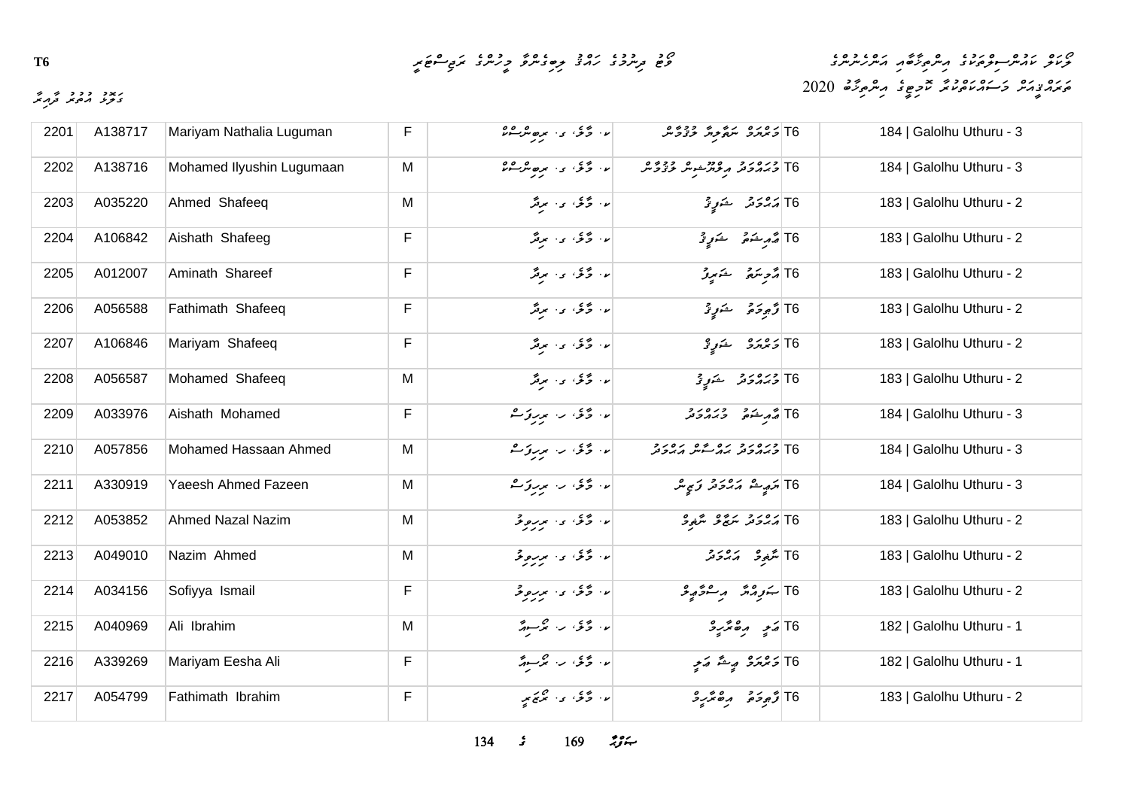*sCw7q7s5w7m< o<n9nOoAw7o< sCq;mAwBoEw7q<m; wBm;vB* م من المسجد المسجد المسجد المسجد المسجد العام 2020<br>مجم*د المسجد المسجد المستجد المسجد المسجد المسجد المسجد المسجد المسجد المسجد المسجد المسجد المسجد المسجد المسجد* 

| 2201 | A138717 | Mariyam Nathalia Luguman  | F | پارسی کی ایر جا بر میں شریع | T6 <i>ويروزه برؤوش ودو</i> مر                              | 184   Galolhu Uthuru - 3 |
|------|---------|---------------------------|---|-----------------------------|------------------------------------------------------------|--------------------------|
| 2202 | A138716 | Mohamed Ilyushin Lugumaan | M | لا د څخه د مره مرسوم        | T6 <i>בرەر د م</i> ور <sub>ىشوش</sub> وچچىر                | 184   Galolhu Uthuru - 3 |
| 2203 | A035220 | Ahmed Shafeeq             | M | لاستخرق الاستمريكل          | T6 <i>كەنگەنىڭ سىمبى</i> تى                                | 183   Galolhu Uthuru - 2 |
| 2204 | A106842 | Aishath Shafeeg           | F | الا گرگی او ا ایرنگ         | T6 م <i>گهرڪو شکو</i> ِتو                                  | 183   Galolhu Uthuru - 2 |
| 2205 | A012007 | Aminath Shareef           | F | الا گرگی او ا ایرنگ         | T6 مُرْحِسَمُ شَمِيرُ                                      | 183   Galolhu Uthuru - 2 |
| 2206 | A056588 | Fathimath Shafeeq         | F | الا گرگی ای الموفر          | T6 <i>وَّجِ حَمَّى حَبَوٍ وَ</i>                           | 183   Galolhu Uthuru - 2 |
| 2207 | A106846 | Mariyam Shafeeq           | F | الا گرگی ای ایرنگر          | T6تر <i>مرد شروٍ و</i>                                     | 183   Galolhu Uthuru - 2 |
| 2208 | A056587 | Mohamed Shafeeq           | M | لاستخلاص موفرٌ              | T6 <i>ۇنەۋەتى خوپۇ</i>                                     | 183   Galolhu Uthuru - 2 |
| 2209 | A033976 | Aishath Mohamed           | F | ئەسىخ ئەس ئەرىرى مىش        | T6 مُصِنْعَة وَيَدْوَيْرَ                                  | 184   Galolhu Uthuru - 3 |
| 2210 | A057856 | Mohamed Hassaan Ahmed     | M | لا : 33، را بررۇپ           | T6   دره در دره شهر مدرور                                  | 184   Galolhu Uthuru - 3 |
| 2211 | A330919 | Yaeesh Ahmed Fazeen       | M | ، دمی را برروگ              | T6 <i>مزم<sub>ی</sub>دے م</i> کرد تر تر پر شر              | 184   Galolhu Uthuru - 3 |
| 2212 | A053852 | <b>Ahmed Nazal Nazim</b>  | M | الا دمجني الأربولي          | T6 <i>كەندى كىرىگى ئىلم</i> وگ                             | 183   Galolhu Uthuru - 2 |
| 2213 | A049010 | Nazim Ahmed               | M | لا د څکې د امدرونو          | T6 سَّمَعِ 12 مَدْ تَرَسَّ                                 | 183   Galolhu Uthuru - 2 |
| 2214 | A034156 | Sofiyya Ismail            | F | لا د څکې د امريزونو         | T6 ب <i>ەرەش مەشۇرى</i> 3                                  | 183   Galolhu Uthuru - 2 |
| 2215 | A040969 | Ali Ibrahim               | M | لاء وَيَحْرُ، ب يُوسِيرُ    | T6 <i>ڇَڄِ رُهڻَ پ</i> ُءُ                                 | 182   Galolhu Uthuru - 1 |
| 2216 | A339269 | Mariyam Eesha Ali         | F | لاء وَيَحْرُ، ب يُوسِيرُ    | T6 <i>وَبُرْمَرْدْ <sub>م</sub>ِ</i> حَدِّ م <i>َ</i> حِرِ | 182   Galolhu Uthuru - 1 |
| 2217 | A054799 | Fathimath Ibrahim         | F | لا د څکې د انگرېنې          | T6 <i>وُجوحَمْ م</i> ِ صَمَّرِ مِنْ                        | 183   Galolhu Uthuru - 2 |

*134 s 169 <i>n*<sub>2</sub> *n*<sub>2</sub> *n*<sub>2</sub> *n*<sub>2</sub> *n*<sub>2</sub> *n*<sub>2</sub> *n*<sub>2</sub> *n*<sub>2</sub> *n*<sub>2</sub> *n*<sub>2</sub> *n*<sub>2</sub> *n*<sub>2</sub> *n*<sub>2</sub> *n*<sub>2</sub> *n*<sub>2</sub> *n*<sub>2</sub> *n*<sub>2</sub> *n*<sub>2</sub> *n*<sub>2</sub> *n*<sub>2</sub> *n*<sub>2</sub> *n*<sub>2</sub> *n*<sub>2</sub> *n*<sub>2</sub> *n*<sub>2</sub> *n*<sub>2</sub> *n*<sub>2</sub> *n*<sub>2</sub> *n*<sub>2</sub>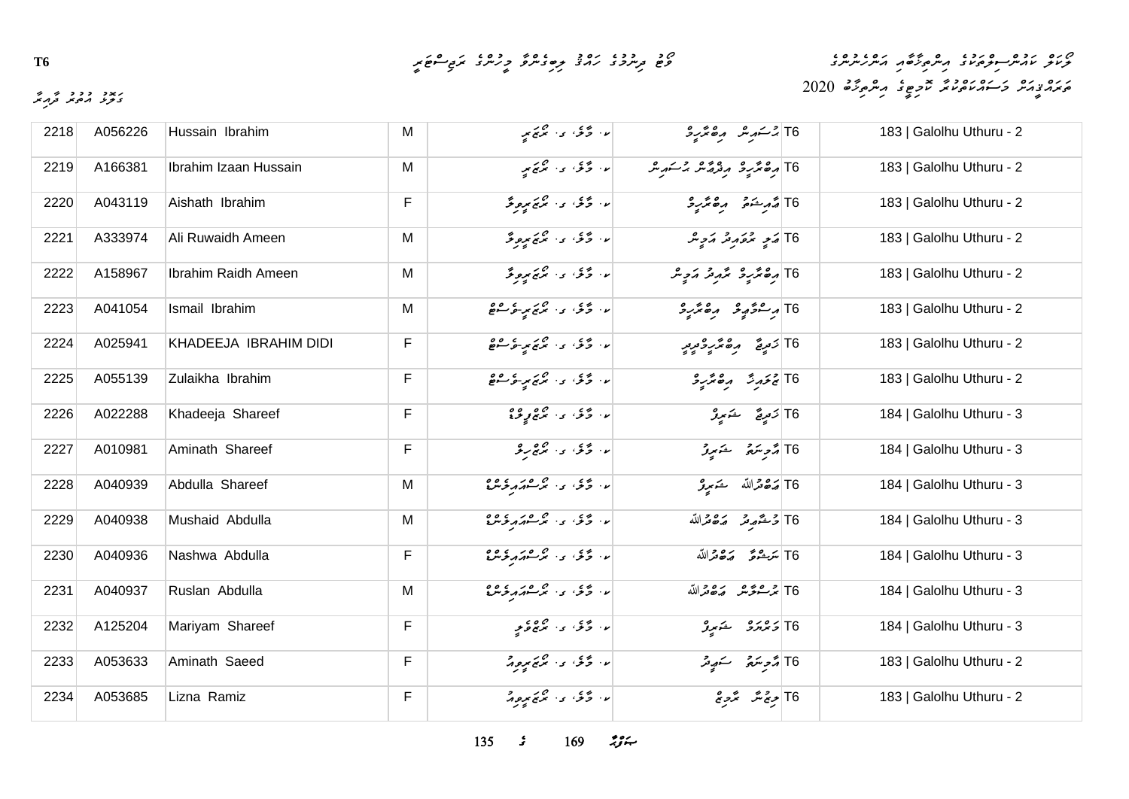*sCw7q7s5w7m< o<n9nOoAw7o< sCq;mAwBoEw7q<m; wBm;vB* م من المرة المرة المرة المرجع المرجع في المركبة 2020<br>مجم*د المريض المربوط المربع المرجع في المراجع المركبة* 

| 2218 | A056226 | Hussain Ibrahim       | M           | الأراقيمي المارج والممتضمين                                                                                                                                                                                                                                                                                                    |                                                         | 183   Galolhu Uthuru - 2 |
|------|---------|-----------------------|-------------|--------------------------------------------------------------------------------------------------------------------------------------------------------------------------------------------------------------------------------------------------------------------------------------------------------------------------------|---------------------------------------------------------|--------------------------|
| 2219 | A166381 | Ibrahim Izaan Hussain | M           |                                                                                                                                                                                                                                                                                                                                | T6 رەڭرىرى روگە ئەسەر شەھەر ئەس ئىسى ئاسىم ئىس          | 183   Galolhu Uthuru - 2 |
| 2220 | A043119 | Aishath Ibrahim       | F           | لا د څکې د انگلامونگ                                                                                                                                                                                                                                                                                                           | T6 م <i>ۇم شۇمۇ مەھەرد</i> ۇ                            | 183   Galolhu Uthuru - 2 |
| 2221 | A333974 | Ali Ruwaidh Ameen     | M           | لا د څخه د انگرېمبولوگ                                                                                                                                                                                                                                                                                                         | T6 <i>ڇَجِ بُرُوَ<sub>م</sub>ِيرُ پُرَجِيرُ</i>         | 183   Galolhu Uthuru - 2 |
| 2222 | A158967 | Ibrahim Raidh Ameen   | M           | ئار گەنگە كەن ئىرىم ئىرىم گە                                                                                                                                                                                                                                                                                                   | T6 <sub>م</sub> ەنگەپى ئ <sub>ىم</sub> ىر مەچ           | 183   Galolhu Uthuru - 2 |
| 2223 | A041054 | Ismail Ibrahim        | M           | $\begin{bmatrix} 0 & 0 & 0 & 0 \\ 0 & 0 & 0 & 0 \\ 0 & 0 & 0 & 0 \\ 0 & 0 & 0 & 0 \\ 0 & 0 & 0 & 0 \\ 0 & 0 & 0 & 0 \\ 0 & 0 & 0 & 0 \\ 0 & 0 & 0 & 0 \\ 0 & 0 & 0 & 0 \\ 0 & 0 & 0 & 0 \\ 0 & 0 & 0 & 0 & 0 \\ 0 & 0 & 0 & 0 & 0 \\ 0 & 0 & 0 & 0 & 0 \\ 0 & 0 & 0 & 0 & 0 \\ 0 & 0 & 0 & 0 & 0 \\ 0 & 0 & 0 & 0 & 0 \\ 0 & $ | T6 <sub>م</sub> ِ جۇ <sub>م</sub> ۇ بە مەم <i>گرى</i> 3 | 183   Galolhu Uthuru - 2 |
| 2224 | A025941 | KHADEEJA IBRAHIM DIDI | F           | $\begin{bmatrix} 0 & 0 & 0 & 0 \\ 0 & 0 & 0 & 0 \\ 0 & 0 & 0 & 0 \\ 0 & 0 & 0 & 0 \\ 0 & 0 & 0 & 0 \\ 0 & 0 & 0 & 0 \\ 0 & 0 & 0 & 0 \\ 0 & 0 & 0 & 0 \\ 0 & 0 & 0 & 0 \\ 0 & 0 & 0 & 0 \\ 0 & 0 & 0 & 0 \\ 0 & 0 & 0 & 0 & 0 \\ 0 & 0 & 0 & 0 & 0 \\ 0 & 0 & 0 & 0 & 0 \\ 0 & 0 & 0 & 0 & 0 \\ 0 & 0 & 0 & 0 & 0 \\ 0 & 0 &$  | T6 كَتَرِيعٌ مِنْ مُرْكِرُونِ مِرْمَرِ                  | 183   Galolhu Uthuru - 2 |
| 2225 | A055139 | Zulaikha Ibrahim      | F           | $\begin{bmatrix} 0 & 0 & 0 & 0 & 0 \\ 0 & 0 & 0 & 0 & 0 \\ 0 & 0 & 0 & 0 & 0 \\ 0 & 0 & 0 & 0 & 0 \\ 0 & 0 & 0 & 0 & 0 \\ 0 & 0 & 0 & 0 & 0 \\ 0 & 0 & 0 & 0 & 0 \\ 0 & 0 & 0 & 0 & 0 \\ 0 & 0 & 0 & 0 & 0 \\ 0 & 0 & 0 & 0 & 0 \\ 0 & 0 & 0 & 0 & 0 \\ 0 & 0 & 0 & 0 & 0 \\ 0 & 0 & 0 & 0 & 0 \\ 0 & 0 & 0 & 0 & 0 \\ 0 &$    | T6 ىخ <i>قرى</i> ر ئىس مەھ <i>گرى</i> رى                | 183   Galolhu Uthuru - 2 |
| 2226 | A022288 | Khadeeja Shareef      | F           | لا د څخه د امرچ پولونا                                                                                                                                                                                                                                                                                                         | T6 كَتْمِيعٌ صُمَّمِيوٌ                                 | 184   Galolhu Uthuru - 3 |
| 2227 | A010981 | Aminath Shareef       | F           | لا . د څو ، د . موځ رو                                                                                                                                                                                                                                                                                                         | T6 مُرْحِسَمُ شَمَعِينُ                                 | 184   Galolhu Uthuru - 3 |
| 2228 | A040939 | Abdulla Shareef       | M           | $\frac{22}{3}$ , $\frac{2}{3}$ , $\frac{2}{3}$ , $\frac{2}{3}$ , $\frac{2}{3}$                                                                                                                                                                                                                                                 | T6 كەش ئىرى <i>گە</i> ئىقتى <i>رىۋ</i>                  | 184   Galolhu Uthuru - 3 |
| 2229 | A040938 | Mushaid Abdulla       | M           |                                                                                                                                                                                                                                                                                                                                | T6 كَرْشَمْ مِرْكَ مَدَّكَ مَدَّاللَّهُ                 | 184   Galolhu Uthuru - 3 |
| 2230 | A040936 | Nashwa Abdulla        | F           | 282, 292, 302, 302, 302                                                                                                                                                                                                                                                                                                        | T6 سَرْشُوَّة مَرْكَ قَدَّاللَّه                        | 184   Galolhu Uthuru - 3 |
| 2231 | A040937 | Ruslan Abdulla        | M           | ، ۇي ، ئۇسۇمۇمۇ                                                                                                                                                                                                                                                                                                                | T6 ترْ- تَرَسَّر بَرَ صَرَاللَّه                        | 184   Galolhu Uthuru - 3 |
| 2232 | A125204 | Mariyam Shareef       | F           | لا د څکې د اندې وکړ                                                                                                                                                                                                                                                                                                            | T6 كەيمەنى ھەمبەتى                                      | 184   Galolhu Uthuru - 3 |
| 2233 | A053633 | Aminath Saeed         | F           | لا د محمځان د اسمهم مرحوم                                                                                                                                                                                                                                                                                                      | T6 م <i>ُّوسَع</i> ْ سَم <i>ِينْر</i>                   | 183   Galolhu Uthuru - 2 |
| 2234 | A053685 | Lizna Ramiz           | $\mathsf F$ | لا د څکې د انگرې بروه                                                                                                                                                                                                                                                                                                          | T6 مِيءَ مَّتَّر جُمَّ مِيَّة الْمَسْتَخْرِ بِيَّ       | 183   Galolhu Uthuru - 2 |

*135 s 169 <i>n*<sub>3</sub> *i*<sub>3</sub> *i*<sub>3</sub> *i*<sub>3</sub> *i*<sub>3</sub> *i*<sub>3</sub> *i*<sub>3</sub> *i*<sub>3</sub> *i*<sub>3</sub> *i*<sub>3</sub> *i*<sub>3</sub> *i*<sub>3</sub> *i*<sub>3</sub> *i*<sub>3</sub> *i*<sub>3</sub> *i*<sub>3</sub> *i*<sub>3</sub> *i*<sub>3</sub> *i*<sub>3</sub> *i*<sub>3</sub> *i*<sub>3</sub> *i*<sub>3</sub> *i*<sub>3</sub> *i*<sub>3</sub> *i*<sub>3</sub> *i*<sub>3</sub> *i*<sub>3</sub> *i*<sub>3</sub> *i*<sub>3</sub> *i* 

ر **x و c c c c c c c c c c c c c c c**<br>*E <del>c c</del> c c c c c c c c c c c c c*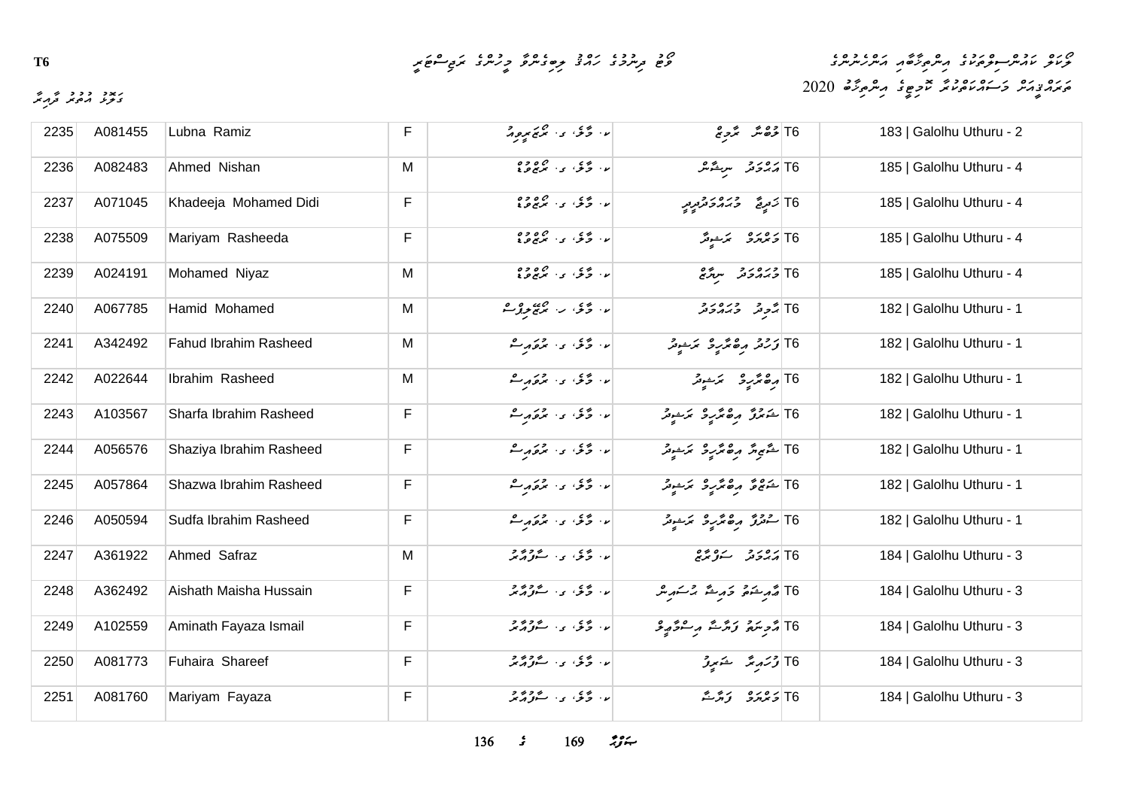*sCw7q7s5w7m< o<n9nOoAw7o< sCq;mAwBoEw7q<m; wBm;vB 2020<sup>, م</sup>وسر در مدد مدرج به مدرم مقرم قرار 2020*<br>موسر المستقرم المستقرم المستقرم المستقرم المستقرم المستقرم المستقرم المستقرم المستقرم المستقرم المستقرم المستقر

| 2235 | A081455 | Lubna Ramiz             | F | لا د څخه د چې بروه                                             | T6 <i>تُرْهَ مَدَّ بَرُّدِ</i> مَحَ               | 183   Galolhu Uthuru - 2 |
|------|---------|-------------------------|---|----------------------------------------------------------------|---------------------------------------------------|--------------------------|
| 2236 | A082483 | Ahmed Nishan            | M | لا د څخه د موړه وه                                             | T6 كەبرى ئىر س <sub>ى</sub> شەھر                  | 185   Galolhu Uthuru - 4 |
| 2237 | A071045 | Khadeeja Mohamed Didi   | F | ر، گرمی کی ده وه                                               | T6 كَتْمِيعٌ      وْتَرْمُوقَوْمِيْمِرِ           | 185   Galolhu Uthuru - 4 |
| 2238 | A075509 | Mariyam Rasheeda        | F | $\begin{bmatrix} 0 & 2 & 0 & 0 \\ 2 & 2 & 3 & 5 \end{bmatrix}$ | T6 ك <i>رىمى كى مى</i> سىمىگە                     | 185   Galolhu Uthuru - 4 |
| 2239 | A024191 | Mohamed Niyaz           | M | $0200$ $390$                                                   | T6 <i>5225 سرگرمی</i>                             | 185   Galolhu Uthuru - 4 |
| 2240 | A067785 | Hamid Mohamed           | M | ر، دی ر، موج دوت                                               | T6  يُر <i>وِيْن وْبَرْدُوْيْ</i> رْ              | 182   Galolhu Uthuru - 1 |
| 2241 | A342492 | Fahud Ibrahim Rasheed   | M | لا د څخه د مره مره                                             | T6 كَرْكَتْرْ مِرْكَة بْكُرْبِرْكْ بْكَرْشْيِيْرْ | 182   Galolhu Uthuru - 1 |
| 2242 | A022644 | Ibrahim Rasheed         | M | لا د څخه د بره ده.                                             | T6 <i>مِرْهُ مُرَّرِدُ مَرَ</i> حْمِد <i>ُ</i> رُ | 182   Galolhu Uthuru - 1 |
| 2243 | A103567 | Sharfa Ibrahim Rasheed  | F | لا د څخه د بره ده                                              | T6 ڪمبرڙ ر <i>ھڻرد</i> و بر <sub>شو</sub> ر       | 182   Galolhu Uthuru - 1 |
| 2244 | A056576 | Shaziya Ibrahim Rasheed | F | $\sim$ د څو، د مره د ک                                         | T6 ڪُئي, مُر مِرھ مُرَبِرِ مُرَسِيْر              | 182   Galolhu Uthuru - 1 |
| 2245 | A057864 | Shazwa Ibrahim Rasheed  | F | $\sim$ د څخه ی نموم ک                                          | T6 خۇچ م <i>ەھگرى م</i> ىشى <i>م</i>              | 182   Galolhu Uthuru - 1 |
| 2246 | A050594 | Sudfa Ibrahim Rasheed   | F | لا د څخه د مره مره                                             | T6 سە <i>ندۇ م</i> ەھمگرىي مەھمەتە                | 182   Galolhu Uthuru - 1 |
| 2247 | A361922 | Ahmed Safraz            | M | لار گەنگە ئەرگە ئەرگە ئىر                                      | T6 كەبرۇ ئەرەپ يونى <i>دى</i>                     | 184   Galolhu Uthuru - 3 |
| 2248 | A362492 | Aishath Maisha Hussain  | F | ر، ۇي بەستۇم <i>بى</i> ر                                       | T6 م <i>مّه شَمّه دَه شَه جُــَــَه م</i> ُر      | 184   Galolhu Uthuru - 3 |
| 2249 | A102559 | Aminath Fayaza Ismail   | F | لا د څخه د استوه پر                                            | T6 أَمَّرِسَمْ وَمَرَّتَهُ مِــْحَرَّمٍ فِرْ      | 184   Galolhu Uthuru - 3 |
| 2250 | A081773 | Fuhaira Shareef         | F | لار گەنگە ئەرەپىتى ئەرەپىتى بىر                                | T6 <i>وُرَم ِمَّ</i> شَمِيوُ                      | 184   Galolhu Uthuru - 3 |
| 2251 | A081760 | Mariyam Fayaza          | F | لار محتى كارا مشتروندى                                         | T6توپریو ت <i>ی</i> گرشگ                          | 184   Galolhu Uthuru - 3 |

*136 sC 169 nNw?mS*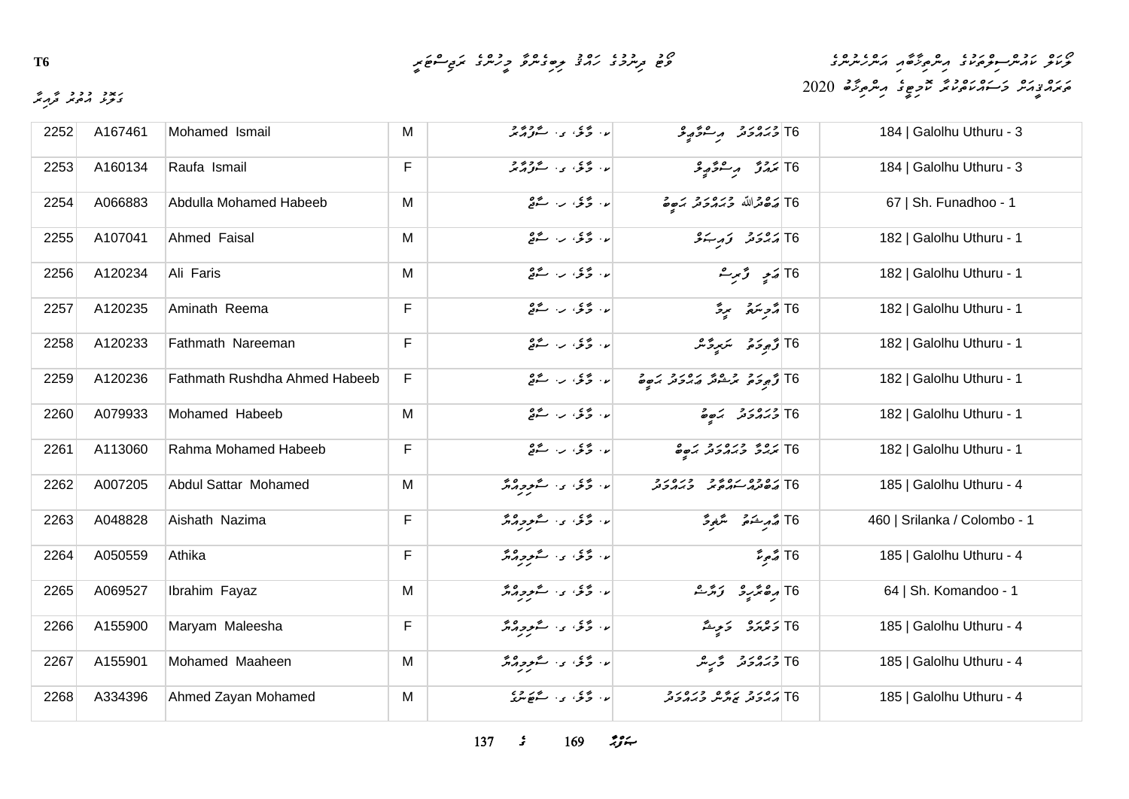*sCw7q7s5w7m< o<n9nOoAw7o< sCq;mAwBoEw7q<m; wBm;vB* م من المرة المرة المرة المرجع المرجع في المركبة 2020<br>مجم*د المريض المربوط المربع المرجع في المراجع المركبة* 

| ريدو ووو عربر عم |         |                               |   |                             |                                                  | EUZU ENRAL KORAN UGAZ ENRAL ETA |
|------------------|---------|-------------------------------|---|-----------------------------|--------------------------------------------------|---------------------------------|
| 2252             | A167461 | Mohamed Ismail                | M | لا د څو، د استوه پر         | T6 <i>32,025 برنىۋېرى</i> –                      | 184   Galolhu Uthuru - 3        |
| 2253             | A160134 | Raufa Ismail                  | F | لا د څو، د استوه پر         | T6 <i>بَدْيَرٌ وِ سُؤُوِدٌ</i>                   | 184   Galolhu Uthuru - 3        |
| 2254             | A066883 | Abdulla Mohamed Habeeb        | M | لا : دَكْرُ، ر. سَمَّيْ     | T6 مُصْعَرِ اللَّهُ كَيَدَمُ كَمَدٍ يَرْصِصْ     | 67   Sh. Funadhoo - 1           |
| 2255             | A107041 | Ahmed Faisal                  | M | لاستخرى للدائقي             | T6 <i>ټرې تومب</i> کو                            | 182   Galolhu Uthuru - 1        |
| 2256             | A120234 | Ali Faris                     | M | لاستخرى للاستحق             | T6 <i>ڇَجِ وُمِرَ شُ</i>                         | 182   Galolhu Uthuru - 1        |
| 2257             | A120235 | Aminath Reema                 | F | لاستخرى ب سگھ               | T6 <i>مُّجِسَّعُ</i> مِرَدَّ                     | 182   Galolhu Uthuru - 1        |
| 2258             | A120233 | Fathmath Nareeman             | F | لا، وَكَرْ، ر. سَمْقَ       | T6 <i>وَّجِوحَةُ</i> سَمِرِدَّسْ                 | 182   Galolhu Uthuru - 1        |
| 2259             | A120236 | Fathmath Rushdha Ahmed Habeeb | F | $22 - 32$ ک                 | T6 ژ <sub>گ</sub> ورد و پرشونز برورد بره ه       | 182   Galolhu Uthuru - 1        |
| 2260             | A079933 | Mohamed Habeeb                | M | لا : گَرُّوْا بْ السُّلُّكَ | T6 <i>5585 بن</i> صرة                            | 182   Galolhu Uthuru - 1        |
| 2261             | A113060 | Rahma Mohamed Habeeb          | F | لاستخرق لاستقفى             | T6 <i>بَرْدُدُ</i> د <i>ُرَمُ دَوْمَ بَرُوهُ</i> | 182   Galolhu Uthuru - 1        |
| 2262             | A007205 | Abdul Sattar Mohamed          | M | لا د محکي د اسگوچه کار      | T6 رەمور سەرە بولى دىرە دىر                      | 185   Galolhu Uthuru - 4        |
| 2263             | A048828 | Aishath Nazima                | F | لا د څو د شوه ده.           | T6 <i>مُگرِسْدَة مُگَرِّدً</i>                   | 460   Srilanka / Colombo - 1    |
| 2264             | A050559 | Athika                        | F | لا د محمود د اسکوچه په      | T6 مُحم <i>دة</i> ً                              | 185   Galolhu Uthuru - 4        |
| 2265             | A069527 | Ibrahim Fayaz                 | M | لا د څو د شوه ده.           | T6  رەڭرىرى ز <sup>ى</sup> رى                    | 64   Sh. Komandoo - 1           |
| 2266             | A155900 | Maryam Maleesha               | F | لا د محمود د اسکوچه په      | T6 <i>وَبُرْبُرُوْ وَمِ</i> يشً                  | 185   Galolhu Uthuru - 4        |
| 2267             | A155901 | Mohamed Maaheen               | M | لا د مجموعي المستموج ورهم   | T6 <i>52828 وَرِ</i> سْ                          | 185   Galolhu Uthuru - 4        |
| 2268             | A334396 | Ahmed Zayan Mohamed           | M | لا د څو د څوشو              | T6 <i>גיפית הוצית בגף כ</i> ת                    | 185   Galolhu Uthuru - 4        |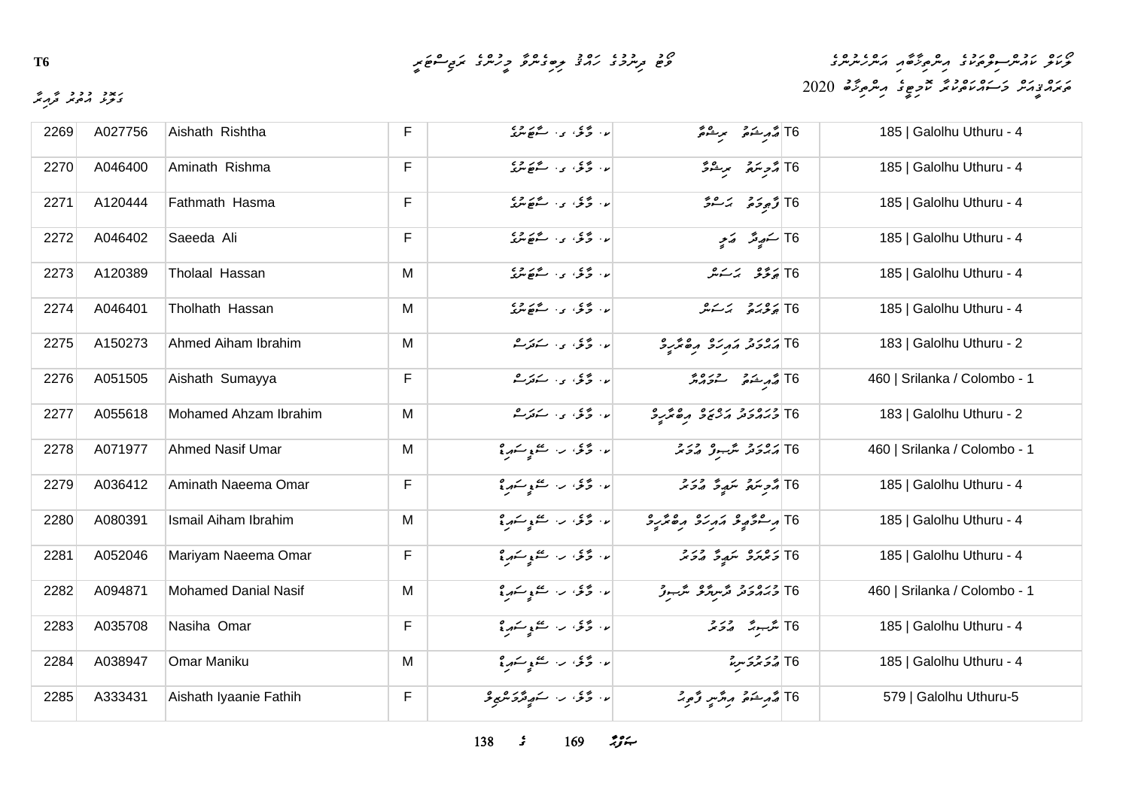*sCw7q7s5w7m< o<n9nOoAw7o< sCq;mAwBoEw7q<m; wBm;vB* م من المرة المرة المرة المرجع المرجع في المركبة 2020<br>مجم*د المريض المربوط المربع المرجع في المراجع المركبة* 

| ر پور د د د عرم عر |  |  |  |
|--------------------|--|--|--|
|--------------------|--|--|--|

| 2269 | A027756 | Aishath Rishtha             | F | ر، ۇىق <sub>ئ</sub> ې شۇھىرى | T6 <i>مُفْہِ شَہْرِ مُ</i> مِشْہُمُ           | 185   Galolhu Uthuru - 4     |
|------|---------|-----------------------------|---|------------------------------|-----------------------------------------------|------------------------------|
| 2270 | A046400 | Aminath Rishma              | F | لا گرگان گروه                | T6 مَّحِسَمَ مِشْرَّ                          | 185   Galolhu Uthuru - 4     |
| 2271 | A120444 | Fathmath Hasma              | F | لا د څو د شوه شو             | T6 تَ <i>وجوجه بَ</i> سْتَرَ                  | 185   Galolhu Uthuru - 4     |
| 2272 | A046402 | Saeeda Ali                  | F | لا د څو، د شومتروه           | T6 <i>سکھی ق</i> وی                           | 185   Galolhu Uthuru - 4     |
| 2273 | A120389 | Tholaal Hassan              | M | لا د څو، د شومتروه           | T6 يَرْتَوْ بَرْسَسْ                          | 185   Galolhu Uthuru - 4     |
| 2274 | A046401 | Tholhath Hassan             | M | لا د څو د څوندې              | T6 ي <i>وفرد بن سک</i> شر                     | 185   Galolhu Uthuru - 4     |
| 2275 | A150273 | Ahmed Aiham Ibrahim         | M | لاستخرى كالمستغرث            | T6 <i>גُיכَوْ גُגְ</i> رَدُ مُصَرَّرِدُ       | 183   Galolhu Uthuru - 2     |
| 2276 | A051505 | Aishath Sumayya             | F | لار ۇي كى سۇنۇپ              | T6م شركة مشر <i>د و</i> ر                     | 460   Srilanka / Colombo - 1 |
| 2277 | A055618 | Mohamed Ahzam Ibrahim       | M | لاستخرى كالمستغرث            | $76$ $79.91$ $79.91$ $79.91$                  | 183   Galolhu Uthuru - 2     |
| 2278 | A071977 | <b>Ahmed Nasif Umar</b>     | M | لارتج في الراسيح والكرونج    | T6 <i>גُرُدُدَ رُسُبِيْ رُدُدَ</i>            | 460   Srilanka / Colombo - 1 |
| 2279 | A036412 | Aminath Naeema Omar         | F | لاستحق ساستكو كمره           | T6 <i>مُّحِسَمُ سَمِيعُ مُحَ</i> سَ           | 185   Galolhu Uthuru - 4     |
| 2280 | A080391 | Ismail Aiham Ibrahim        | M | ما بحري را سڪوچيدوي          | T6 <sub>م</sub> ر مؤرد <i>مهدر و م</i> فتر د  | 185   Galolhu Uthuru - 4     |
| 2281 | A052046 | Mariyam Naeema Omar         | F | لاستحق ساستكو كمره           | T6 <i>وَ بُرْمَرْ بِمَهِرَّ مِ</i> حَمَّد     | 185   Galolhu Uthuru - 4     |
| 2282 | A094871 | <b>Mohamed Danial Nasif</b> | M | لاستحق ساستكو كمره           | T6 <i>دېرو دو مرسرگی مرسو</i> ر               | 460   Srilanka / Colombo - 1 |
| 2283 | A035708 | Nasiha Omar                 | F | لاستخرى ساك كالموسكرة في     | T6 بترجية م <i>ح</i> قة                       | 185   Galolhu Uthuru - 4     |
| 2284 | A038947 | Omar Maniku                 | M | لار ومحور سن منظمة مسكرة في  | T6   ئەنە ئەرىخە س <sub>ى</sub> رىد           | 185   Galolhu Uthuru - 4     |
| 2285 | A333431 | Aishath Iyaanie Fathih      | F | لا د د د . سوړترو شوی        | T6 مُرِسْدَمْ رِتَّرْسٍ رَّمَو <sup>ر</sup> ُ | 579   Galolhu Uthuru-5       |

**138** *s* **169** *if*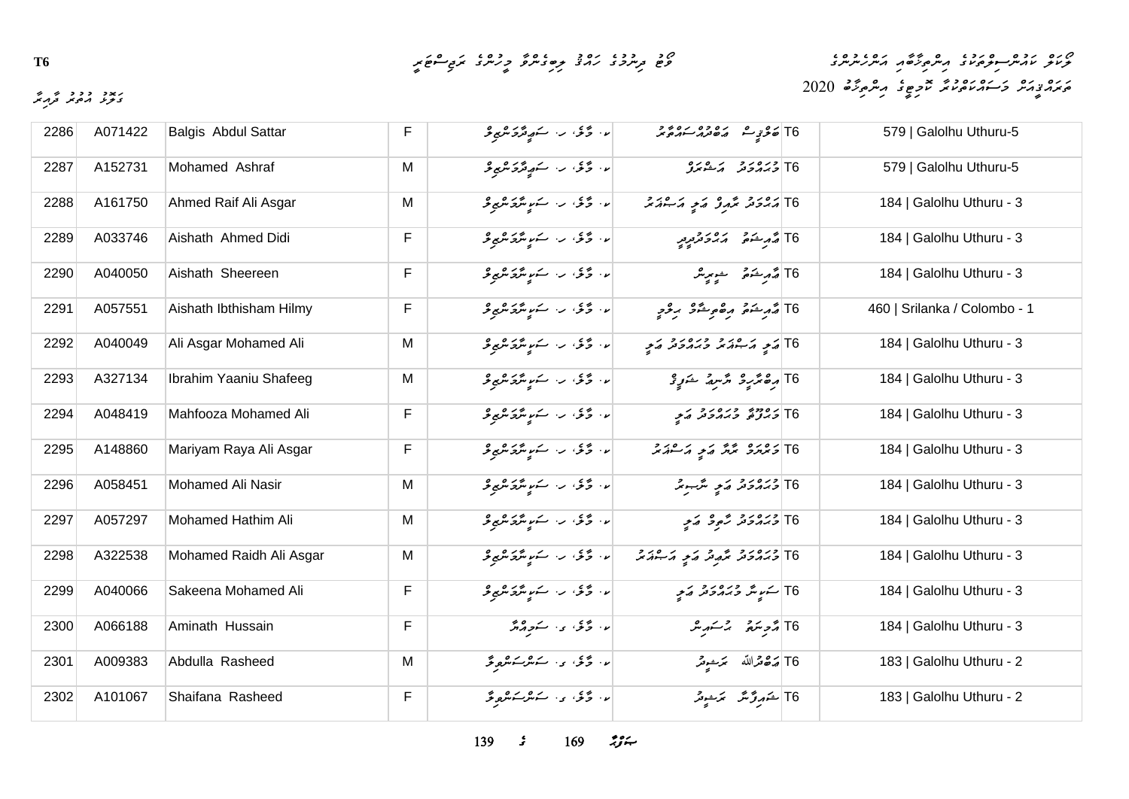*sCw7q7s5w7m< o<n9nOoAw7o< sCq;mAwBoEw7q<m; wBm;vB 2020<sup>, م</sup>وسر در مدد مدرج به مدرم مقرم قرار 2020*<br>موسر المستقرم المستقرم المستقرم المستقرم المستقرم المستقرم المستقرم المستقرم المستقرم المستقرم المستقرم المستقر

| A071422 | <b>Balgis Abdul Sattar</b> | F | الا : ۇكى لا سەمەتگەنگەنچ                                                                                      | T6 ڪوت <sub>و</sub> ھو پره ده بره پور                               | 579   Galolhu Uthuru-5       |
|---------|----------------------------|---|----------------------------------------------------------------------------------------------------------------|---------------------------------------------------------------------|------------------------------|
| A152731 | Mohamed Ashraf             | M | الا . ۇقۇال سۇمەتكەر ھىي ئى                                                                                    | T6 در در دیگرو                                                      | 579   Galolhu Uthuru-5       |
| A161750 | Ahmed Raif Ali Asgar       | M | س ۇق را سىرىگەنگەنى ئ                                                                                          | T6 <i>ג ج</i> وج م <i>حمدو مک</i> ر مک انگر                         | 184   Galolhu Uthuru - 3     |
| A033746 | Aishath Ahmed Didi         | F | لا ئۇق بە سۇلاشگەنگىنى ئى                                                                                      | T6 م <i>ەم شەھ مەمەقەترى</i> رىر                                    | 184   Galolhu Uthuru - 3     |
| A040050 | Aishath Sheereen           | F | لا ئۇق بە سۇلاشگەنلىقى ئى                                                                                      | T6 <i>مگهرڪوفي</i> شومري <i>گر</i>                                  | 184   Galolhu Uthuru - 3     |
| A057551 | Aishath Ibthisham Hilmy    | F | $\downarrow$ ، دَوَ، ر. سَرِ سَرَ سَرَ دِ سَرِ دِ د                                                            |                                                                     | 460   Srilanka / Colombo - 1 |
| A040049 | Ali Asgar Mohamed Ali      | M | $\downarrow$ ، دۇ، ر. سىر ئىردىرى ئى                                                                           | T6 <i>ړې د شونه ورورو د</i> ې                                       | 184   Galolhu Uthuru - 3     |
| A327134 | Ibrahim Yaaniu Shafeeg     | M | لا ئۇق بە سۇلاشگەنلىقى ئى                                                                                      | T6 <sub>م</sub> ەھ <i>گرى</i> گە م <i>گرىرى</i> شەر <sub>ۇ</sub> ئى | 184   Galolhu Uthuru - 3     |
| A048419 | Mahfooza Mohamed Ali       | F | لا د د د . سولار مرد کرد کار د کار د کار د کار د کار د کار د کار د کار د کار د کار د کار د کار د کار د کار د ک | T6 <i>ډېرو ورورو ډې</i>                                             | 184   Galolhu Uthuru - 3     |
| A148860 | Mariyam Raya Ali Asgar     | F | $\downarrow$ ، دَگرَ، ر. سَرَ سَرَ سَرَدَ سَرْمِ دَ                                                            | T6 <i>دەمەدە بۇيۇ مۇ ماسىمگ</i>                                     | 184   Galolhu Uthuru - 3     |
| A058451 | Mohamed Ali Nasir          | M | لا د ئۇق بەر سۇمەتترىكى ئى                                                                                     | T6 <i>وَبَرُودُوَ مَ</i> عٍ مَرْسِمَ                                | 184   Galolhu Uthuru - 3     |
| A057297 | Mohamed Hathim Ali         | M | لا د ئۇق بەر سۇمەتترىكى ئى                                                                                     | T6 دُبَرُ دُورٌ رُّمِ وَ <sub>م</sub> َر <sub>ْحِ</sub>             | 184   Galolhu Uthuru - 3     |
| A322538 | Mohamed Raidh Ali Asgar    | M | $ $ لا، دَكَرْ، ر. سَرِيرْدَسْ وَلِي                                                                           | T6 <i>בימכית ית היה הבינה בית ה</i>                                 | 184   Galolhu Uthuru - 3     |
| A040066 | Sakeena Mohamed Ali        | F | لا د د د . سولار مرد کرد کار د کار د کار د کار د کار د کار د کار د کار د کار د کار د کار د کار د کار د کار د ک | T6  سَرَرٍ مَرَّ بِرَوْ بِرَوْ مَرْمٍ مِ                            | 184   Galolhu Uthuru - 3     |
| A066188 | Aminath Hussain            | F | لا د څخه د سکوه پر                                                                                             | T6 گەج ئىكى ئەسكە <i>ر بىر</i>                                      | 184   Galolhu Uthuru - 3     |
| A009383 | Abdulla Rasheed            | M | لار ئۇق كەرىكەش بولۇ                                                                                           | T6 كەڭداللە كەخب <i>ىرى</i> گ                                       | 183   Galolhu Uthuru - 2     |
| A101067 | Shaifana Rasheed           | F | لا ئۇق كە سەھرىسى ھەممى                                                                                        | T6 ڪ <i>مروگنگ م</i> َڪوم <i>گ</i>                                  | 183   Galolhu Uthuru - 2     |
|         |                            |   |                                                                                                                |                                                                     |                              |

# *n8o<n@ q8qAq< q:uBmC*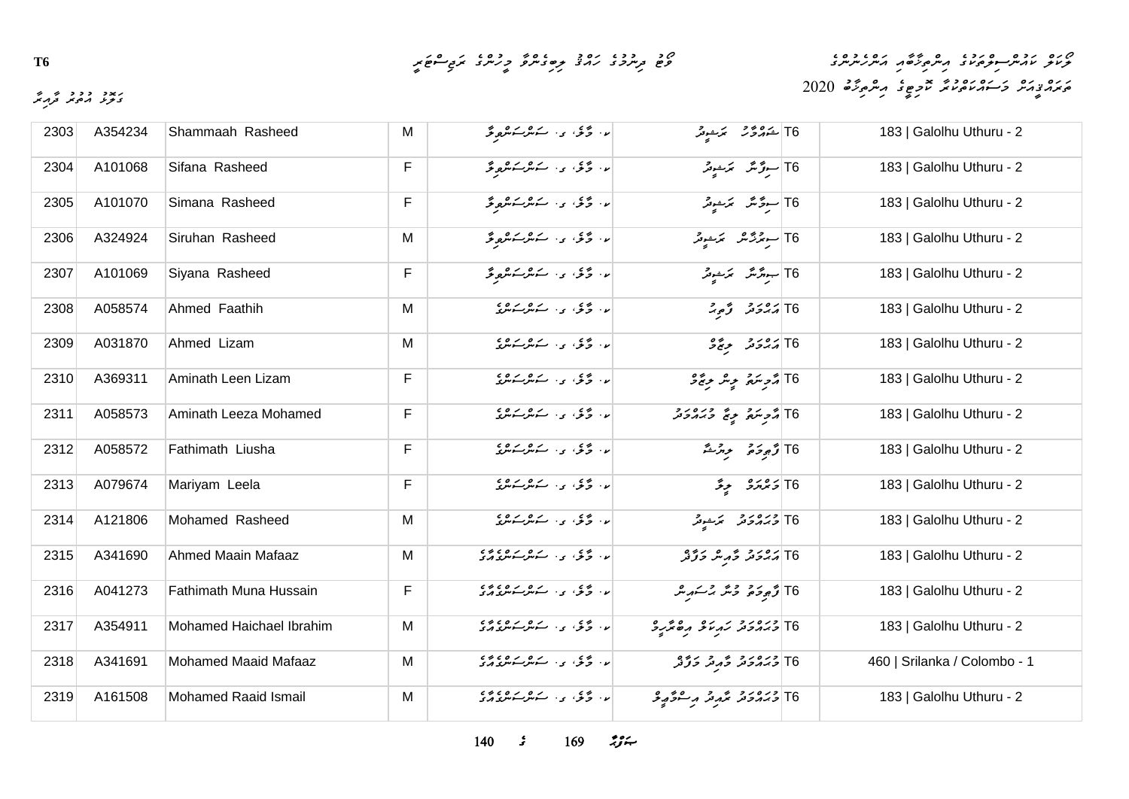*sCw7q7s5w7m< o<n9nOoAw7o< sCq;mAwBoEw7q<m; wBm;vB* م من المسجد المسجد المسجد المسجد المسجد العام 2020<br>مجم*د المسجد المسجد المستجد المسجد المسجد المسجد المسجد المسجد المسجد المسجد المسجد المسجد المسجد المسجد المسجد* 

| 2303 | A354234 | Shammaah Rasheed            | M           | لا : ۇقۇرا يەر سەنكەسكەنلىرى ئى           | T6 شەر <i>ۇرقى</i> مەنبەتر              | 183   Galolhu Uthuru - 2     |
|------|---------|-----------------------------|-------------|-------------------------------------------|-----------------------------------------|------------------------------|
| 2304 | A101068 | Sifana Rasheed              | F           | لا ئۇق ئەسكىرىكىرىمۇ                      | T6 سو <i>ؤنڈ</i> تر <sub>شو</sub> یز    | 183   Galolhu Uthuru - 2     |
| 2305 | A101070 | Simana Rasheed              | F           | ئەس ئۇق كەر ئىشرىكىشى ئى                  | T6 سىرگىنگە كەش <u>ب</u> وتر            | 183   Galolhu Uthuru - 2     |
| 2306 | A324924 | Siruhan Rasheed             | M           | لا ئۇق ئەسكىرىكىرىمۇ                      | T6 س <i>بەردە مەسىرەت</i> ر             | 183   Galolhu Uthuru - 2     |
| 2307 | A101069 | Siyana Rasheed              | F           | لا ئۇق ئەسكەرىكەللىرى ئى                  | T6 سومرٌسٌ مَرَسُومٌرُ                  | 183   Galolhu Uthuru - 2     |
| 2308 | A058574 | Ahmed Faathih               | M           | لار ۇق، يەر سەھەسكەن ئ                    | T6 <i>ټرې توگ</i> ونه                   | 183   Galolhu Uthuru - 2     |
| 2309 | A031870 | Ahmed Lizam                 | M           | لار ۇق بى سەھەسكەنى                       | T6   <i>مَدْدَوْرِ مِیْ</i> وْ          | 183   Galolhu Uthuru - 2     |
| 2310 | A369311 | Aminath Leen Lizam          | F           | لار گەنقى بىر سەنكەت ئىلگەنگەنگە          | T6 مُرْحِسَمُ مِعْ مِيْحَ               | 183   Galolhu Uthuru - 2     |
| 2311 | A058573 | Aminath Leeza Mohamed       | F           | لا ئۇق بى سەھەسىمى                        | T6 مُرْسِسَمْ مِيَّ دَيَمْ دَمَّ        | 183   Galolhu Uthuru - 2     |
| 2312 | A058572 | Fathimath Liusha            | F           | لار گەنگى كەن ئەسىر ئىش كەن ئاسى          | T6 رَّج <i>وحَة</i> م <i>ِ</i> جَرْحَةَ | 183   Galolhu Uthuru - 2     |
| 2313 | A079674 | Mariyam Leela               | $\mathsf F$ | لار ۇي كى سەھەسىرە ئ                      | T6 ك <i>رىمىۋ</i> م <sub>و</sub> تۇ     | 183   Galolhu Uthuru - 2     |
| 2314 | A121806 | Mohamed Rasheed             | M           | لار گەنگى كەن ئەسىر ئىش كەن ئاسى          | T6  <i>وُبَہُ دُوَ مَدْ بِنِ</i> مِیْرِ | 183   Galolhu Uthuru - 2     |
| 2315 | A341690 | <b>Ahmed Maain Mafaaz</b>   | M           | لا د څو د استرل شروره ده د                | T6 كەبر <i>و بۇ بەش خۇن</i> ر           | 183   Galolhu Uthuru - 2     |
| 2316 | A041273 | Fathimath Muna Hussain      | F           | لار گەنى كى ئەسكەت ئەلگەنى ئەلگەن         | T6 <i>وَّجِعَة وَعَرَّ بِرُسَهِير</i>   | 183   Galolhu Uthuru - 2     |
| 2317 | A354911 | Mohamed Haichael Ibrahim    | M           | لار محتی کی ستمبرستمبری دی                | T6  دبروروته ترمریم و مرگ مرکز و        | 183   Galolhu Uthuru - 2     |
| 2318 | A341691 | <b>Mohamed Maaid Mafaaz</b> | M           | ىن ئۇنى بىر سەھەسىمەدى <i>دى</i>          | T6 <i>دېرو دو وگړو وگ</i> نر            | 460   Srilanka / Colombo - 1 |
| 2319 | A161508 | <b>Mohamed Raaid Ismail</b> | M           | ر، ئ <sup>ې</sup> يې شەركەتلىرى <i>كە</i> |                                         | 183   Galolhu Uthuru - 2     |

### *n8o<n@ q8qAq< q:uBmC*

*140 s 169 <i>n*<sub>2</sub> *n*<sub>2</sub>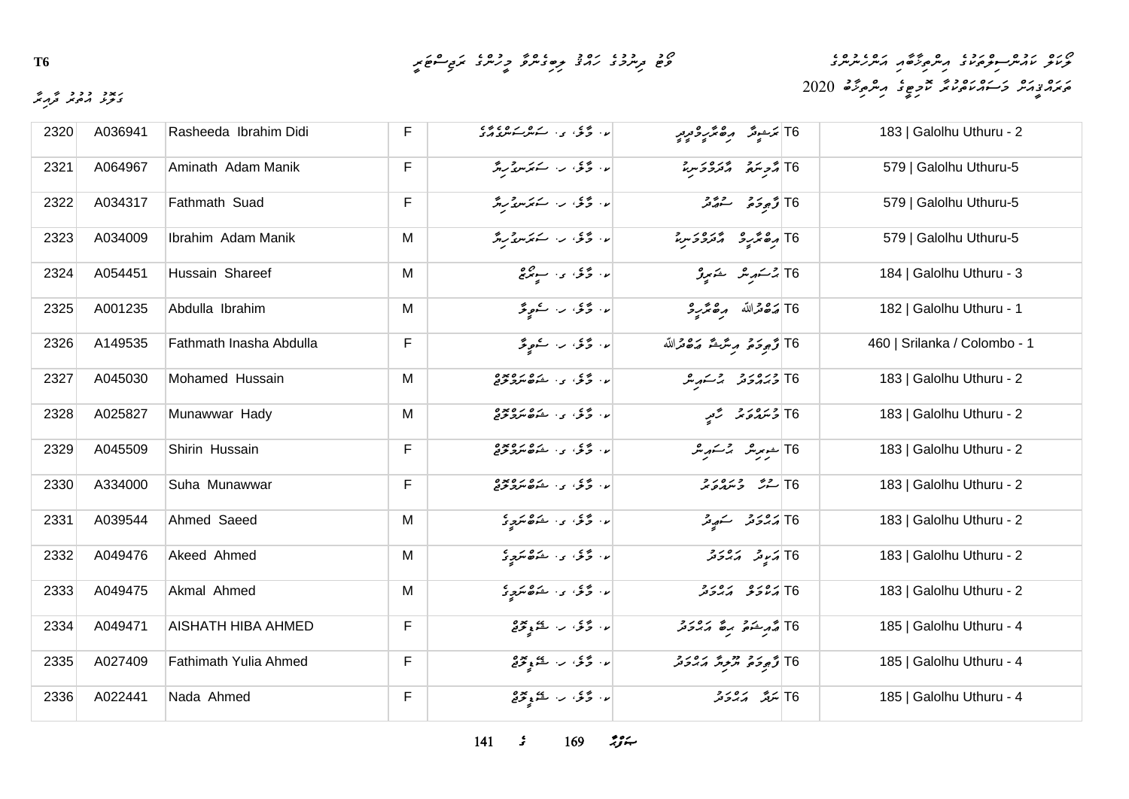*sCw7q7s5w7m< o<n9nOoAw7o< sCq;mAwBoEw7q<m; wBm;vB 2020<sup>, م</sup>وسر در مدد مدرج به مدرم مقرم قرار 2020*<br>موسر المستقرم المستقرم المستقرم المستقرم المستقرم المستقرم المستقرم المستقرم المستقرم المستقرم المستقرم المستقر

| 2320 | A036941 | Rasheeda Ibrahim Didi     | F           | لا د څو، له د شوېک په ده د د                    | T6   يَرْسُوِيَّزُ    بِرِرِهُ بَرْرِ وُبِرِيْرِ                                                    | 183   Galolhu Uthuru - 2     |
|------|---------|---------------------------|-------------|-------------------------------------------------|-----------------------------------------------------------------------------------------------------|------------------------------|
| 2321 | A064967 | Aminath Adam Manik        | F           | لا د د دی را سکرسرو برگ                         | T6 مُح <i>مِّسَة مُعَرَّدُ مَّسِ</i> ءُ                                                             | 579   Galolhu Uthuru-5       |
| 2322 | A034317 | Fathmath Suad             | F           | لا د گال را سکرسی بال                           | T6 زٌجوحَمُ صَفَرَ مَرَ                                                                             | 579   Galolhu Uthuru-5       |
| 2323 | A034009 | Ibrahim Adam Manik        | M           | لا د گانگار اسکانگرسی گرانگر                    | T6 مەھمەر ئەھمەدە ئىرە ئەس                                                                          | 579   Galolhu Uthuru-5       |
| 2324 | A054451 | Hussain Shareef           | M           | لار گەنگە كەر سونتىرىنى                         | T6 يُرْسَمَ مِيْتَ مِيْتَ مِيْتَ عَلَيْهِ مِنْ مِيْتَ مِيْتَ مِيْتَ مِيْتَ مِيْتَ مِيْتَ مِيْتَ مِي | 184   Galolhu Uthuru - 3     |
| 2325 | A001235 | Abdulla Ibrahim           | M           | الا، نۇتۇ، ب، سەھ بۇ                            | T6 كەھمىراللە م <i>ەھمىچ</i> ى                                                                      | 182   Galolhu Uthuru - 1     |
| 2326 | A149535 | Fathmath Inasha Abdulla   | F           | الا، نۇتۇ، ب، سەھ بۇ                            | T6 <i>وَّجِوَدَة مِسَّرْشَة مَ</i> صَّرَاللَّه                                                      | 460   Srilanka / Colombo - 1 |
| 2327 | A045030 | Mohamed Hussain           | M           | ر دی.<br>در گرگ در شوه مروم وقع                 | T6 <i>وُيَدُودُو بِيَ سُنْهِ مَدْ</i>                                                               | 183   Galolhu Uthuru - 2     |
| 2328 | A025827 | Munawwar Hady             | M           | ر د مې د موروبون<br>د گون د خو <i>ه مرو</i> لون | T6 ت <i>ح شرق مرتد ب</i> ر محسن محسن بن                                                             | 183   Galolhu Uthuru - 2     |
| 2329 | A045509 | Shirin Hussain            | F           | ر، گرمی، روزه ده بره بره ده.<br>مستورک          | T6 حومری <i>گ جر کمبریگ</i> ر                                                                       | 183   Galolhu Uthuru - 2     |
| 2330 | A334000 | Suha Munawwar             | F           | ر وي پي شوه بر ورو.<br>د گون پي شوه مرچ موج     | $2222$ $227$ T6                                                                                     | 183   Galolhu Uthuru - 2     |
| 2331 | A039544 | Ahmed Saeed               | M           | لا المحتى الماء المتما في المردج كا             | T6 كەنزى ئىر ئىش <i>مە</i> ق                                                                        | 183   Galolhu Uthuru - 2     |
| 2332 | A049476 | Akeed Ahmed               | M           | لا المحمى المستحا المعرفي                       | T6 كەرىپ <i>قىرىم ئە</i> ركىتىلىكى كىل                                                              | 183   Galolhu Uthuru - 2     |
| 2333 | A049475 | Akmal Ahmed               | M           | لا المحكى الماء المتكافيري                      | T6 <i>בטביב הבכת</i>                                                                                | 183   Galolhu Uthuru - 2     |
| 2334 | A049471 | <b>AISHATH HIBA AHMED</b> | $\mathsf F$ | لا د گلی از انگلاتی                             | T6 مەم شەھ بىر <i>ە مەدە</i> تر                                                                     | 185   Galolhu Uthuru - 4     |
| 2335 | A027409 | Fathimath Yulia Ahmed     | F           | الاستحق الرابيعي بيوه                           | T6 رُج <i>وحو مرَّجمَّ مَدُوم</i> َر                                                                | 185   Galolhu Uthuru - 4     |
| 2336 | A022441 | Nada Ahmed                | F           | لا . ۇ ئى لا . ئىش بوق                          | T6 يترن <i>گر پروژن</i> گر                                                                          | 185   Galolhu Uthuru - 4     |

*141 sC 169 nNw?mS*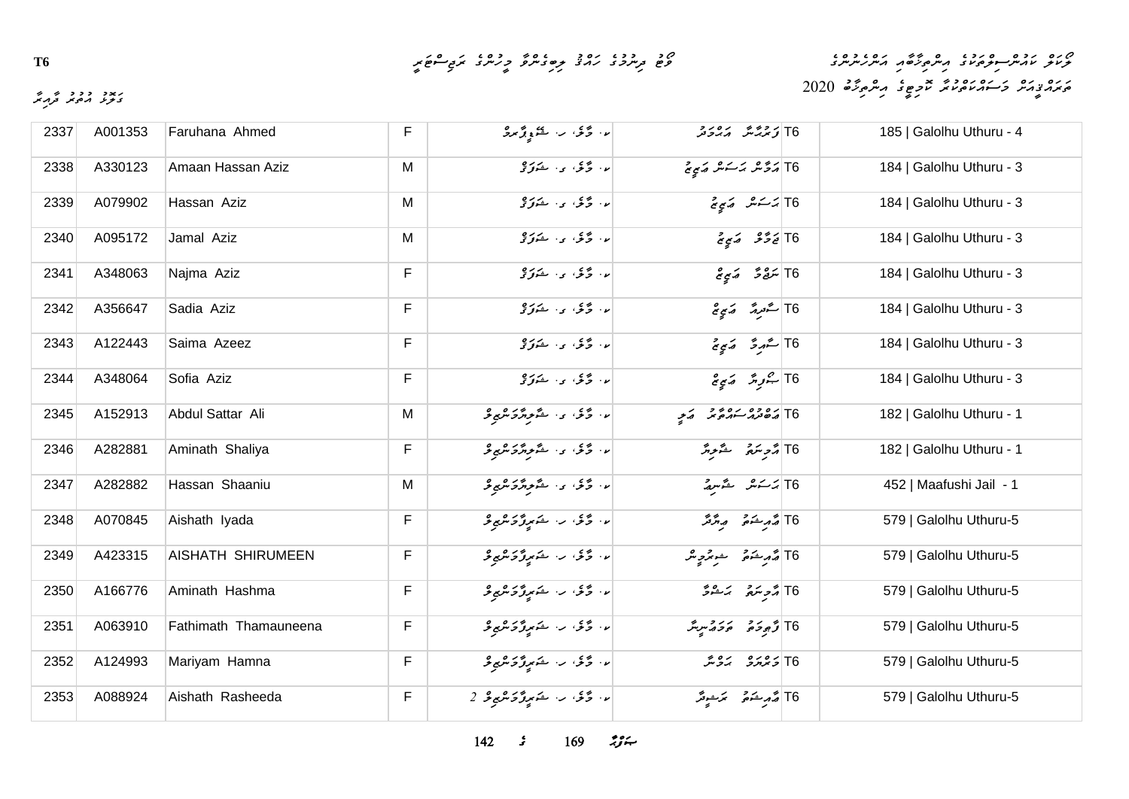*sCw7q7s5w7m< o<n9nOoAw7o< sCq;mAwBoEw7q<m; wBm;vB* م من المرة المرة المرة المرجع المرجع في المركبة 2020<br>مجم*د المريض المربوط المربع المرجع في المراجع المركبة* 

| ر پور دور عرم تر |  |
|------------------|--|

| 2337 | A001353 | Faruhana Ahmed           | F           | س ۇغۇر ساھىيى ئۇيرۇ                                                                                                           | T6 كۆپرىگە كەير <i>ۇ</i> ر                     | 185   Galolhu Uthuru - 4 |
|------|---------|--------------------------|-------------|-------------------------------------------------------------------------------------------------------------------------------|------------------------------------------------|--------------------------|
| 2338 | A330123 | Amaan Hassan Aziz        | M           | $\frac{1}{2}$ $\frac{1}{2}$ $\frac{1}{2}$ $\frac{1}{2}$ $\frac{1}{2}$ $\frac{1}{2}$ $\frac{1}{2}$ $\frac{1}{2}$ $\frac{1}{2}$ | T6 كەۋىر كەس <i>تىر كەي ق</i>                  | 184   Galolhu Uthuru - 3 |
| 2339 | A079902 | Hassan Aziz              | M           | الا الحرمي الاستكرامي                                                                                                         | T6تے ہے کہ تحقیق کے <i>این</i>                 | 184   Galolhu Uthuru - 3 |
| 2340 | A095172 | Jamal Aziz               | M           | لا . د څکې ای . استوګرنۍ                                                                                                      | T6 <i>ف</i> َرَكَّرْ <i>مَيِّ</i> يْ           | 184   Galolhu Uthuru - 3 |
| 2341 | A348063 | Najma Aziz               | F           | الا گرگی کی کھوگی                                                                                                             | T6 <i>سَنَةَ \$ مَيِ</i> ءُ                    | 184   Galolhu Uthuru - 3 |
| 2342 | A356647 | Sadia Aziz               | $\mathsf F$ | لا د گري کې شکوکی                                                                                                             | T6 گەمبە <i>گە مەي</i>                         | 184   Galolhu Uthuru - 3 |
| 2343 | A122443 | Saima Azeez              | $\mathsf F$ | لا . وَگُوَا ای استَعْوَاتِی                                                                                                  | T6 شەرى <i>خ مۇيى</i>                          | 184   Galolhu Uthuru - 3 |
| 2344 | A348064 | Sofia Aziz               | $\mathsf F$ | الا انجنى الاستركة                                                                                                            | T6 بثورمًا صَبِيعًا                            | 184   Galolhu Uthuru - 3 |
| 2345 | A152913 | Abdul Sattar Ali         | M           | $ v ^2$ لا د څکې د استمولگرو کليږ                                                                                             | T6 مەھىرمەم مەر                                | 182   Galolhu Uthuru - 1 |
| 2346 | A282881 | Aminath Shaliya          | F           | ئەس ئۇ ئەس ئۇ ئۇ ئۇ ئۇ ئىل ئىلى ئىلى                                                                                          | T6 مَّرْمِتَهُمْ شَّعْرِ مَّرْ                 | 182   Galolhu Uthuru - 1 |
| 2347 | A282882 | Hassan Shaaniu           | M           | الله د کار د استمویژکاندی ک                                                                                                   | T6 كەسكە شەھرىيەتىيەتكە <mark>T</mark> 6       | 452   Maafushi Jail - 1  |
| 2348 | A070845 | Aishath Iyada            | $\mathsf F$ | الا د د د . خپروگرمهو                                                                                                         | T6 م <i>ەمبەھ مەم</i> گىر                      | 579   Galolhu Uthuru-5   |
| 2349 | A423315 | <b>AISHATH SHIRUMEEN</b> | F           | $\downarrow$ ، د د سورگورگور د د سروگور کرد و د استان کرد .                                                                   | T6 <i>۾ُ مِ</i> ڪُمُ ش <i>ومُرُو پُر</i> ُ     | 579   Galolhu Uthuru-5   |
| 2350 | A166776 | Aminath Hashma           | $\mathsf F$ | $ v - \xi \xi  < \Delta z$ ى باشكى بى                                                                                         | T6 مَّحِسَمَۃُ بَـُـَّدَّدُّ                   | 579   Galolhu Uthuru-5   |
| 2351 | A063910 | Fathimath Thamauneena    | F           | $\downarrow$ ر ئۇ $\downarrow$ ى با ئۇمرۇكلىرى                                                                                | T6 <i>وُ<sub>ّج</sub>ودَ ۾ وَهُ</i> سِتَر      | 579   Galolhu Uthuru-5   |
| 2352 | A124993 | Mariyam Hamna            | $\mathsf F$ | $\downarrow$ ، د د . خوړوگرمنځو ک                                                                                             | T6 كەب <i>تەرگە بەبى</i> گە                    | 579   Galolhu Uthuru-5   |
| 2353 | A088924 | Aishath Rasheeda         | F           | لا - 33، لا - شَمَيِرَةٌ وَسْمَعِ 2-2                                                                                         | T6 <i>مُ<sub>م</sub>ُرِحَمَّة مَرْحِ</i> مَّةً | 579   Galolhu Uthuru-5   |

*142 s 169 <i>n*<sub>2</sub> *n*<sub>2</sub> *n*<sub>2</sub> *n*<sub>2</sub> *n*<sub>2</sub> *n*<sub>2</sub> *n*<sub>2</sub> *n*<sub>2</sub> *n*<sub>2</sub> *n*<sub>2</sub> *n*<sub>2</sub> *n*<sub>2</sub> *n*<sub>2</sub> *n*<sub>2</sub> *n*<sub>2</sub> *n*<sub>2</sub> *n*<sub>2</sub> *n*<sub>2</sub> *n*<sub>2</sub> *n*<sub>2</sub> *n*<sub>2</sub> *n*<sub>2</sub> *n*<sub>2</sub> *n*<sub>2</sub> *n*<sub>2</sub> *n*<sub>2</sub> *n*<sub>2</sub> *n*<sub>2</sub> *n*<sub>2</sub>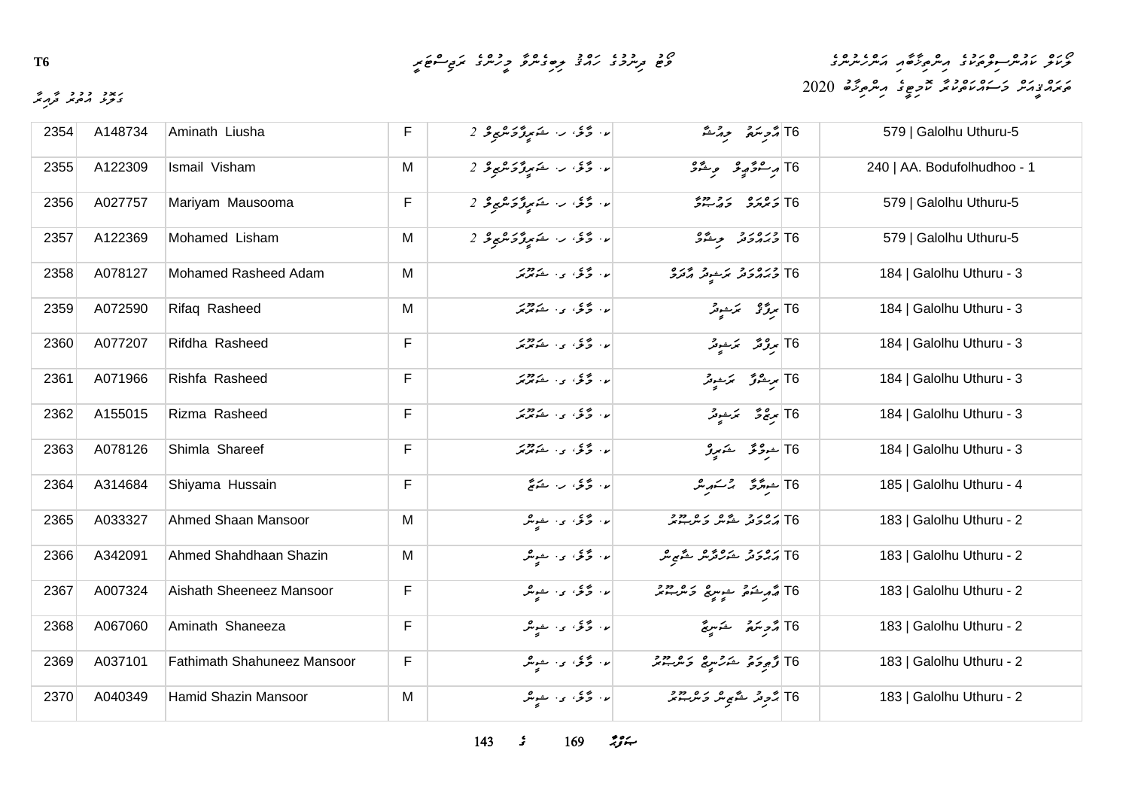*sCw7q7s5w7m< o<n9nOoAw7o< sCq;mAwBoEw7q<m; wBm;vB 2020<sup>, م</sup>وسر در مدد مدرج به مدرم مقرم قرار 2020*<br>موسر المستقرم المستقرم المستقرم المستقرم المستقرم المستقرم المستقرم المستقرم المستقرم المستقرم المستقرم المستقر

| 2354 | A148734 | Aminath Liusha              | F           | لا - 33، لا - خەمبەرگەشمەتى 2-2                                                                                                                                                                                                                                                                  | T6 أ <i>مَّ حِبرَ هُمْ جَهْ</i>                      | 579   Galolhu Uthuru-5      |
|------|---------|-----------------------------|-------------|--------------------------------------------------------------------------------------------------------------------------------------------------------------------------------------------------------------------------------------------------------------------------------------------------|------------------------------------------------------|-----------------------------|
| 2355 | A122309 | Ismail Visham               | M           | لا د گلی را خلیوگرگلهای 2-2                                                                                                                                                                                                                                                                      | T6 م <i>رےدو چینے و</i> ینے تھ                       | 240   AA. Bodufolhudhoo - 1 |
| 2356 | A027757 | Mariyam Mausooma            | F           | لا د گلی لا خلیوگرگلهای 2                                                                                                                                                                                                                                                                        | $5 - 22$ $2 - 5$                                     | 579   Galolhu Uthuru-5      |
| 2357 | A122369 | Mohamed Lisham              | M           | لا د گانگان سکانوگارگان و 2                                                                                                                                                                                                                                                                      | T6  <i>32,25 وحدَّة</i>                              | 579   Galolhu Uthuru-5      |
| 2358 | A078127 | Mohamed Rasheed Adam        | M           | لاستحق كالمقترح                                                                                                                                                                                                                                                                                  | T6 <i>وَيُرُودُو بَرَ</i> حُوثَرُ م <i>ُ</i> تَرَدُّ | 184   Galolhu Uthuru - 3    |
| 2359 | A072590 | Rifaq Rasheed               | M           | لاستحق كالمتفور                                                                                                                                                                                                                                                                                  | T6 مروَّ تحم مَرْسُومَرُ                             | 184   Galolhu Uthuru - 3    |
| 2360 | A077207 | Rifdha Rasheed              | F           | لاستخرى كالمتفرجين                                                                                                                                                                                                                                                                               | T6 مروٌتَر   مَرْشِيشٌ                               | 184   Galolhu Uthuru - 3    |
| 2361 | A071966 | Rishfa Rasheed              | $\mathsf F$ | لاستخرى كالمتفرجين                                                                                                                                                                                                                                                                               | T6 مرڪو <i>گر</i> مگرجونگر                           | 184   Galolhu Uthuru - 3    |
| 2362 | A155015 | Rizma Rasheed               | F           | لاستحق كالمشتركة                                                                                                                                                                                                                                                                                 | T6 ىرىج <i>5 ىن</i> ىش <sub>ى</sub> تر               | 184   Galolhu Uthuru - 3    |
| 2363 | A078126 | Shimla Shareef              | $\mathsf F$ | لاستخوار المشترين                                                                                                                                                                                                                                                                                | T6 خو <i>گۇ خەمپ</i> ۇ                               | 184   Galolhu Uthuru - 3    |
| 2364 | A314684 | Shiyama Hussain             | F           | الله الحجي الله الشكافح                                                                                                                                                                                                                                                                          | T6 شەھ <sup>ىرى</sup> مەكسىر ش                       | 185   Galolhu Uthuru - 4    |
| 2365 | A033327 | Ahmed Shaan Mansoor         | M           | الار گرمی ای استعادها                                                                                                                                                                                                                                                                            | T6 <i>أورد و مش</i> هر ك <i>اهيج</i> ر               | 183   Galolhu Uthuru - 2    |
| 2366 | A342091 | Ahmed Shahdhaan Shazin      | M           | الار گرمی ای استعادها                                                                                                                                                                                                                                                                            | T6 <i>كەندۇقر خەرقرىر خ<sup>ى</sup>م بىر</i>         | 183   Galolhu Uthuru - 2    |
| 2367 | A007324 | Aishath Sheeneez Mansoor    | $\mathsf F$ | الا، گرمی، ای سویلل                                                                                                                                                                                                                                                                              | T6 <i>مەرخۇم خومېرى كىرىيىتى</i> ر                   | 183   Galolhu Uthuru - 2    |
| 2368 | A067060 | Aminath Shaneeza            | $\mathsf F$ | الار گەنگى، الى دا سىيەنلىك                                                                                                                                                                                                                                                                      | T6 گھ جو سکھ جو سکھ تھو ت                            | 183   Galolhu Uthuru - 2    |
| 2369 | A037101 | Fathimath Shahuneez Mansoor | F           | $\left\vert \begin{array}{cc} \mathbf{L} & \mathbf{L} & \mathbf{L} \\ \mathbf{L} & \mathbf{L} & \mathbf{L} \end{array} \right\vert$ الدو المحروم المعروم المعروم المعروم المعروم المعروم المعروم المعروم المعروم المعروم المعروم المعروم المعروم المعروم المعروم المعروم المعروم المعروم المعروم | T6 ز <sub>ۇ</sub> چە ئەرسى ئەربىيە                   | 183   Galolhu Uthuru - 2    |
| 2370 | A040349 | <b>Hamid Shazin Mansoor</b> | M           | الاء گري کي، استعالي ک                                                                                                                                                                                                                                                                           | T6 گەجەنز ھەم بىر كەش <i>رىيەت</i> ر                 | 183   Galolhu Uthuru - 2    |

*143 sC 169 nNw?mS*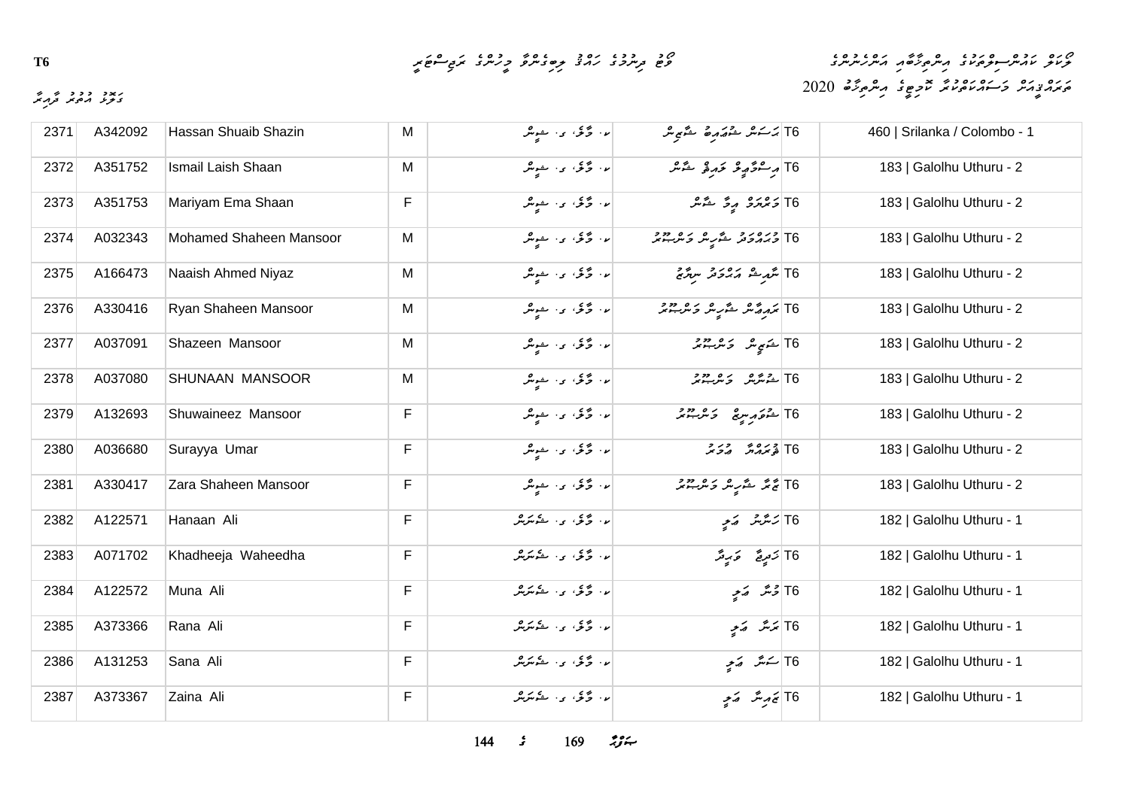*sCw7q7s5w7m< o<n9nOoAw7o< sCq;mAwBoEw7q<m; wBm;vB 2020<sup>, م</sup>وسر در مدد مدرج به مدرم مقرم قرار 2020*<br>موسر المستقرم المستقرم المستقرم المستقرم المستقرم المستقرم المستقرم المستقرم المستقرم المستقرم المستقرم المستقر

| A342092 | Hassan Shuaib Shazin           | M           | الا گرمی ای خوش             |                                                                                                            | 460   Srilanka / Colombo - 1                                                                                                                                                                                                                                                                                                                                                                                                                                                                                                                                                                                                     |
|---------|--------------------------------|-------------|-----------------------------|------------------------------------------------------------------------------------------------------------|----------------------------------------------------------------------------------------------------------------------------------------------------------------------------------------------------------------------------------------------------------------------------------------------------------------------------------------------------------------------------------------------------------------------------------------------------------------------------------------------------------------------------------------------------------------------------------------------------------------------------------|
| A351752 | Ismail Laish Shaan             | M           |                             |                                                                                                            | 183   Galolhu Uthuru - 2                                                                                                                                                                                                                                                                                                                                                                                                                                                                                                                                                                                                         |
| A351753 | Mariyam Ema Shaan              | $\mathsf F$ |                             |                                                                                                            | 183   Galolhu Uthuru - 2                                                                                                                                                                                                                                                                                                                                                                                                                                                                                                                                                                                                         |
| A032343 | <b>Mohamed Shaheen Mansoor</b> | M           |                             |                                                                                                            | 183   Galolhu Uthuru - 2                                                                                                                                                                                                                                                                                                                                                                                                                                                                                                                                                                                                         |
| A166473 | Naaish Ahmed Niyaz             | M           | الا گرگی ای خوش             |                                                                                                            | 183   Galolhu Uthuru - 2                                                                                                                                                                                                                                                                                                                                                                                                                                                                                                                                                                                                         |
| A330416 | Ryan Shaheen Mansoor           | M           |                             |                                                                                                            | 183   Galolhu Uthuru - 2                                                                                                                                                                                                                                                                                                                                                                                                                                                                                                                                                                                                         |
| A037091 | Shazeen Mansoor                | M           | الار گرمی ای استعادها       |                                                                                                            | 183   Galolhu Uthuru - 2                                                                                                                                                                                                                                                                                                                                                                                                                                                                                                                                                                                                         |
| A037080 | SHUNAAN MANSOOR                | M           | الار گەنگەرى سىيەنگە        |                                                                                                            | 183   Galolhu Uthuru - 2                                                                                                                                                                                                                                                                                                                                                                                                                                                                                                                                                                                                         |
| A132693 | Shuwaineez Mansoor             | F           | الاء گري کي، استعالي ک      |                                                                                                            | 183   Galolhu Uthuru - 2                                                                                                                                                                                                                                                                                                                                                                                                                                                                                                                                                                                                         |
| A036680 | Surayya Umar                   | F           | الار گەنگەرى، ئىشونىگە      |                                                                                                            | 183   Galolhu Uthuru - 2                                                                                                                                                                                                                                                                                                                                                                                                                                                                                                                                                                                                         |
| A330417 | Zara Shaheen Mansoor           | F           | الار گەنگى، الى دا سىيەنلىك |                                                                                                            | 183   Galolhu Uthuru - 2                                                                                                                                                                                                                                                                                                                                                                                                                                                                                                                                                                                                         |
| A122571 | Hanaan Ali                     | $\mathsf F$ | الا : ۇقى كى ئەسكەن ئى      |                                                                                                            | 182   Galolhu Uthuru - 1                                                                                                                                                                                                                                                                                                                                                                                                                                                                                                                                                                                                         |
| A071702 | Khadheeja Waheedha             | $\mathsf F$ | لا گرگوا کی اسکانگریش       |                                                                                                            | 182   Galolhu Uthuru - 1                                                                                                                                                                                                                                                                                                                                                                                                                                                                                                                                                                                                         |
| A122572 | Muna Ali                       | F           | لا : گرمی کی اسکانگریش      |                                                                                                            | 182   Galolhu Uthuru - 1                                                                                                                                                                                                                                                                                                                                                                                                                                                                                                                                                                                                         |
| A373366 | Rana Ali                       | F           | لا : ۇقى ئى شەكەنگە         |                                                                                                            | 182   Galolhu Uthuru - 1                                                                                                                                                                                                                                                                                                                                                                                                                                                                                                                                                                                                         |
| A131253 | Sana Ali                       | F           | لار گرمی که سکامکریش        |                                                                                                            | 182   Galolhu Uthuru - 1                                                                                                                                                                                                                                                                                                                                                                                                                                                                                                                                                                                                         |
| A373367 | Zaina Ali                      | F           | لار گرگی ای انگریش          |                                                                                                            | 182   Galolhu Uthuru - 1                                                                                                                                                                                                                                                                                                                                                                                                                                                                                                                                                                                                         |
|         |                                |             |                             | الله گرگو، ای، انتقابلل<br>الله گرگی ای استعیال<br>الله گرمی ای استعمال<br>$\downarrow$ ، دَگر، او، اسولگر | T6 كەسەنگر ش <i>ەھ</i> ەر <i>ھ</i> ىشىنگر<br>T6 <sub>م</sub> رے دورہ تحمید میں شہر<br>T6تر پر پر پر مقبر ا<br>T6 <i>ورورو مؤرپر و م</i> رجعر<br>T6 سَمَدِ ۖ مَدَوَنَهُ سِنَّهُ جَ<br>T6 <i>بَرْمِهُ بَنْ</i> رِ شُرِيْرِ وَبَرْجَعَةِ<br>T6 ڪ <sub>ت</sub> م شرق ڪائر جو جو جو جي س<br>T6 ڪيگري <i>گر ڪي پيرچ</i> و<br>T6 شۇم بىرى خىرجىمىز<br>$7.2$ $2.2$ $7.2$ $76$<br>T6 ع مَّ حَدَّرٍ مَّر دَمَرْ جَمَّرٍ مِنْ مَعْ<br>T6   ئەنگەنىڭ كەنچە<br>T6 كَترِيعٌ - <i>وَبِ</i> يمٌ<br>T6 تحتر <del>م</del> حی <sub>ج</sub><br>T6 بَرَسَّر <sub>م</sub> َر <sub>َ</sub> حٍ<br>T6 سنگر <i>چ</i> وپہ<br>T6 نج م <i>رینگ مرکب</i><br>مع |

### *n8o<n@ q8qAq< q:uBmC*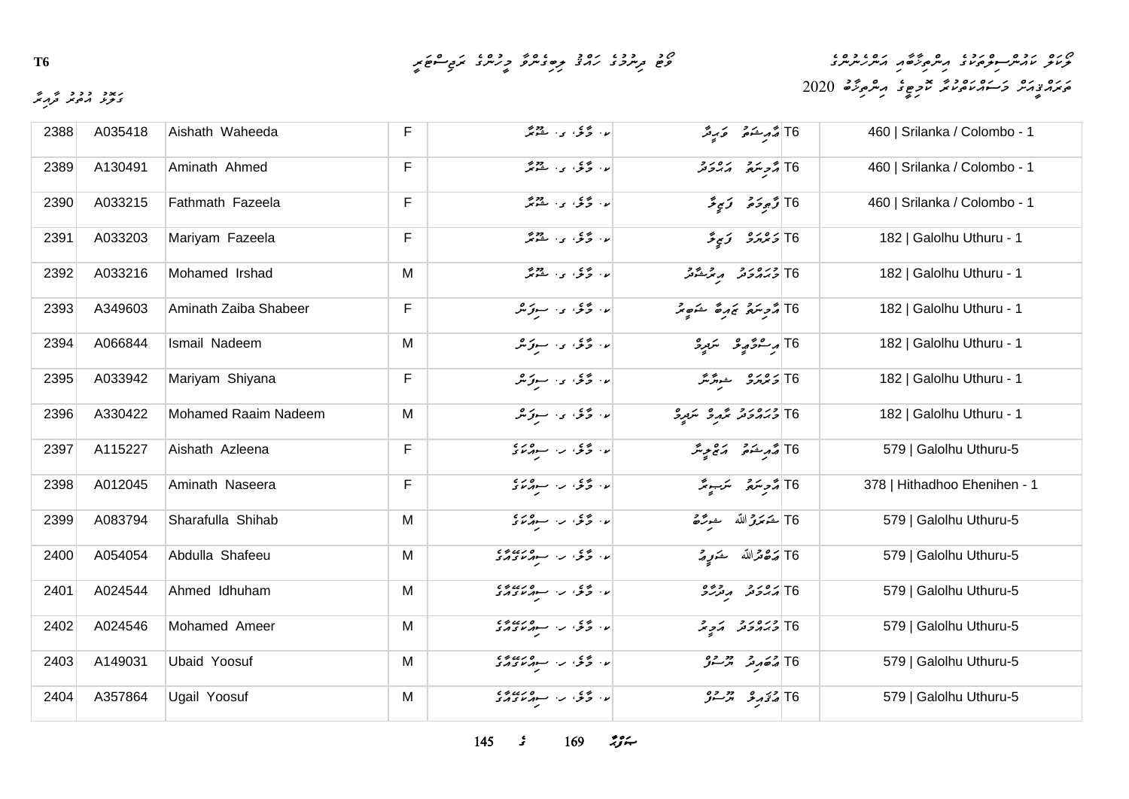*sCw7q7s5w7m< o<n9nOoAw7o< sCq;mAwBoEw7q<m; wBm;vB* م من المسجد المسجد المسجد المسجد المسجد العام 2020<br>مسجد المسجد المسجد المسجد المسجد المسجد المسجد المسجد المسجد ال

### *n8o<n@ q8qAq< q:uBmC*

| 2388 | A035418 | Aishath Waheeda             | F            | لاستخرى بالمقترض                                                    | T6 <i>مُّہِ حَوَّةً وَب</i> ِعُ <i>ّةً</i> | 460   Srilanka / Colombo - 1 |
|------|---------|-----------------------------|--------------|---------------------------------------------------------------------|--------------------------------------------|------------------------------|
| 2389 | A130491 | Aminath Ahmed               | $\mathsf{F}$ | لار گەنگە كەن ئىشتىرگە                                              | T6 مُتَّحِسَمُ مَدَّدَمُ                   | 460   Srilanka / Colombo - 1 |
| 2390 | A033215 | Fathmath Fazeela            | F            | لاستخرى بالمقتر                                                     | 76 <i>وُّهِ وَءُ وَي</i> ِعٌ               | 460   Srilanka / Colombo - 1 |
| 2391 | A033203 | Mariyam Fazeela             | $\mathsf{F}$ | لاستحق کا کھیل                                                      | T6 كەبىر <i>كى ئى ئى</i>                   | 182   Galolhu Uthuru - 1     |
| 2392 | A033216 | Mohamed Irshad              | M            | لاستخرى بالمقتر                                                     | T6 <i>32028 به بر</i> ش <sup>و</sup> تر    | 182   Galolhu Uthuru - 1     |
| 2393 | A349603 | Aminath Zaiba Shabeer       | $\mathsf F$  | الا د گای کا سوژنگر                                                 | T6 مُرْسَعُ يَهْرُهُ شَهْدٍ                | 182   Galolhu Uthuru - 1     |
| 2394 | A066844 | Ismail Nadeem               | M            | الا د گای کا استوکس                                                 | T6 <sub>م</sub> رےد <i>و پی جم</i> یرو     | 182   Galolhu Uthuru - 1     |
| 2395 | A033942 | Mariyam Shiyana             | F            | الا د گای دا سوژنگر                                                 | T6 <i>كَرْمَرْدْ شِيرَّسَّ</i>             | 182   Galolhu Uthuru - 1     |
| 2396 | A330422 | <b>Mohamed Raaim Nadeem</b> | M            | لا د گلی دا سوژنتر                                                  | T6 <i>352.5 مُدَود م</i> َديرِ مَرَ بِرِدِ | 182   Galolhu Uthuru - 1     |
| 2397 | A115227 | Aishath Azleena             | $\mathsf{F}$ | $\begin{bmatrix} 0 & 0 & 0 \\ 0 & 0 & 0 \\ 0 & 0 & 0 \end{bmatrix}$ | T6 م <sub>ص</sub> ر شوتم مستصح پیشر        | 579   Galolhu Uthuru-5       |
| 2398 | A012045 | Aminath Naseera             | F            | $\begin{bmatrix} 0 & 0 & 0 \\ 0 & 0 & 0 \\ 0 & 0 & 0 \end{bmatrix}$ | T6 مُتَّحِسَمُ مَسَبِّعٌ                   | 378   Hithadhoo Ehenihen - 1 |
| 2399 | A083794 | Sharafulla Shihab           | M            | لا د محکي را سوړندي                                                 | T6 شَمَعَرَ اللّه شَمِرَّةُ                | 579   Galolhu Uthuru-5       |
| 2400 | A054054 | Abdulla Shafeeu             | M            | لا محتی را سود ۱۳۵۷                                                 | T6 كەھەراللە ش <i>ەرپە</i>                 | 579   Galolhu Uthuru-5       |
| 2401 | A024544 | Ahmed Idhuham               | M            | $\frac{1}{2}$                                                       | T6 <i>ړېږي په پرچ</i> و                    | 579   Galolhu Uthuru-5       |
| 2402 | A024546 | Mohamed Ameer               | M            | $\frac{1}{2}$                                                       | T6 <i>5223 كوچر</i>                        | 579   Galolhu Uthuru-5       |
| 2403 | A149031 | <b>Ubaid Yoosuf</b>         | M            | لا محق را سورتامور                                                  | T6ھ مقدم میں مقرر دو                       | 579   Galolhu Uthuru-5       |
| 2404 | A357864 | Ugail Yoosuf                | M            | $\frac{1}{2}$                                                       | T6تو موسى تەرىپى<br>16تومبر مى             | 579   Galolhu Uthuru-5       |

**145** *s* **169** *n***<sub>3</sub>** *n*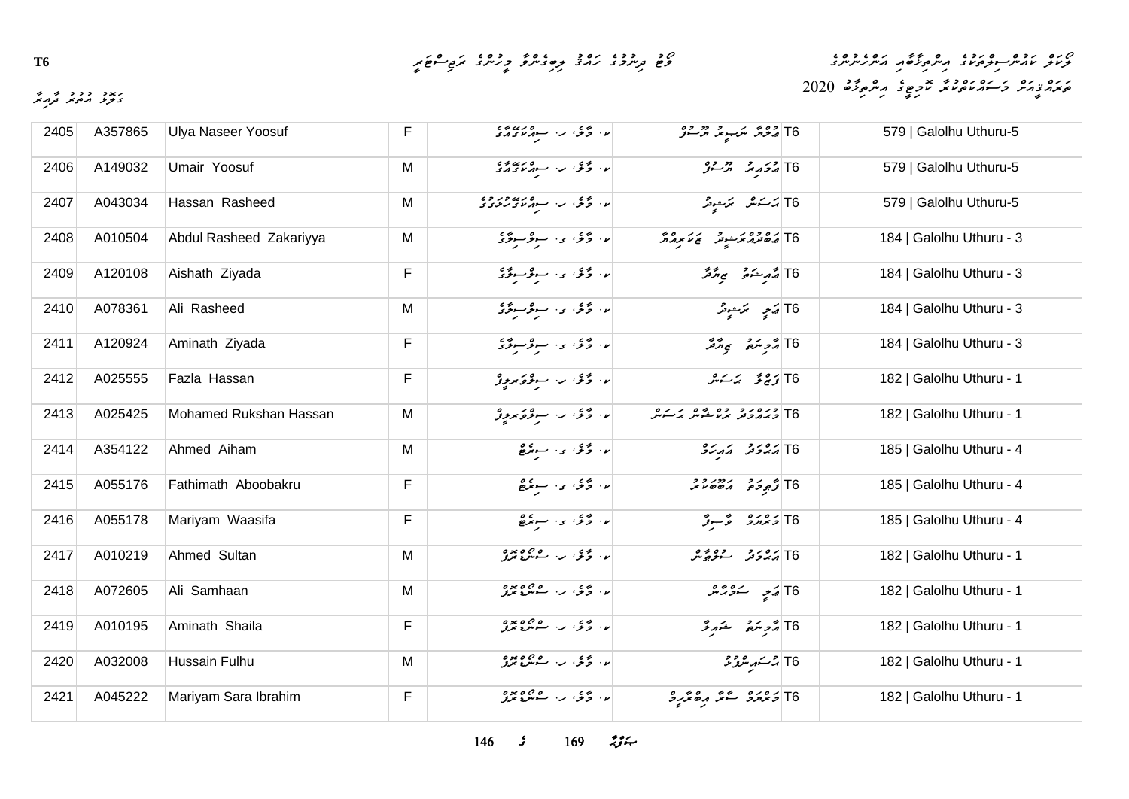*sCw7q7s5w7m< o<n9nOoAw7o< sCq;mAwBoEw7q<m; wBm;vB* م من المسجد المسجد المسجد المسجد المسجد العام 2020<br>مسجد المسجد المسجد المسجد المسجد المسجد المسجد المسجد المسجد ال

| 2405 | A357865 | <b>Ulya Naseer Yoosuf</b> | F           | لا محتی را سود ۱۳۵۷                                  | T6 كەنزىگە ئىزىبو <i>غە قرىسى</i> رى           | 579   Galolhu Uthuru-5   |
|------|---------|---------------------------|-------------|------------------------------------------------------|------------------------------------------------|--------------------------|
| 2406 | A149032 | Umair Yoosuf              | M           | لا محتی را سود ۱۳۵۷                                  | T6 <i>مۇنىرىڭ مۇستۇ</i>                        | 579   Galolhu Uthuru-5   |
| 2407 | A043034 | Hassan Rasheed            | M           | ر ده و در سه در ده در ده<br>را د گوار اسلام در در در | T6   يَرْسَمْرُ - يَرْسُوِيْرُ                 | 579   Galolhu Uthuru-5   |
| 2408 | A010504 | Abdul Rasheed Zakariyya   | M           | ئار گەنگە كەر سوڭرىسوگەنگە                           | T6 مەھەم مەسىر ئىس مەمدە مە                    | 184   Galolhu Uthuru - 3 |
| 2409 | A120108 | Aishath Ziyada            | $\mathsf F$ | لار د د کار د او سولاسوند د کار                      | T6 م <i>ەمبەھ بې</i> ر <i>ۇنگ</i> ر            | 184   Galolhu Uthuru - 3 |
| 2410 | A078361 | Ali Rasheed               | M           | لا د د د . سودسود د                                  | T6 <i>ھَ۔ جَنَوْمُ</i>                         | 184   Galolhu Uthuru - 3 |
| 2411 | A120924 | Aminath Ziyada            | F           | لا د د کې د سول د د د                                | T6 م <i>ُّ جِ مَنْ مِنْ مُرْمَّدُ</i>          | 184   Galolhu Uthuru - 3 |
| 2412 | A025555 | Fazla Hassan              | $\mathsf F$ | الا د د د . سوه مروژ                                 | T6 <i>ق3ع ترترنگ</i> ر                         | 182   Galolhu Uthuru - 1 |
| 2413 | A025425 | Mohamed Rukshan Hassan    | M           | ، دُکَّ، را سوگەمبول                                 | T6  <i>ڈبزودو بڑہ گے،گ بزخ</i> ش               | 182   Galolhu Uthuru - 1 |
| 2414 | A354122 | Ahmed Aiham               | M           | لا د گري کې سوچرچ                                    | $55.25$ $\sim$ 76                              | 185   Galolhu Uthuru - 4 |
| 2415 | A055176 | Fathimath Aboobakru       | F           | لا د گڼې د استعما                                    | T6 ژُ <sub>ج</sub> ودَ پر مصنعه                | 185   Galolhu Uthuru - 4 |
| 2416 | A055178 | Mariyam Waasifa           | F           | لا د څخه د استعراضي                                  | T6 <i>وَيُرْدَّدُ</i> قُرْبَةً                 | 185   Galolhu Uthuru - 4 |
| 2417 | A010219 | Ahmed Sultan              | M           | ر، محق ر. مەھەمدە                                    | T6 كەبرو مەمۇمى                                | 182   Galolhu Uthuru - 1 |
| 2418 | A072605 | Ali Samhaan               | M           | ر، محق ر. مەھمەدە                                    | T6  <i>ړې خو</i> بر و                          | 182   Galolhu Uthuru - 1 |
| 2419 | A010195 | Aminath Shaila            | F           | ر، محق ر، مەھ بوە                                    | T6 مَّحِسَمَةٌ حَ <i>مَّدٍ فَتَ</i>            | 182   Galolhu Uthuru - 1 |
| 2420 | A032008 | Hussain Fulhu             | M           | ر، محق ر. مەھ بوھ                                    | T6 ير <i>شور ب</i> حد محمد محمد محمد محمد ا    | 182   Galolhu Uthuru - 1 |
| 2421 | A045222 | Mariyam Sara Ibrahim      | F           | ر، محق ر. ھ <sup>0</sup> 20 بوھ                      | T6 <i>وَجُهْدُوْ ــدُّمَّةُ وِهْمَّدِي</i> ْدُ | 182   Galolhu Uthuru - 1 |

### *n8o<n@ q8qAq< q:uBmC*

*146 s 169 <i>n***<sub>s</sub>** *n*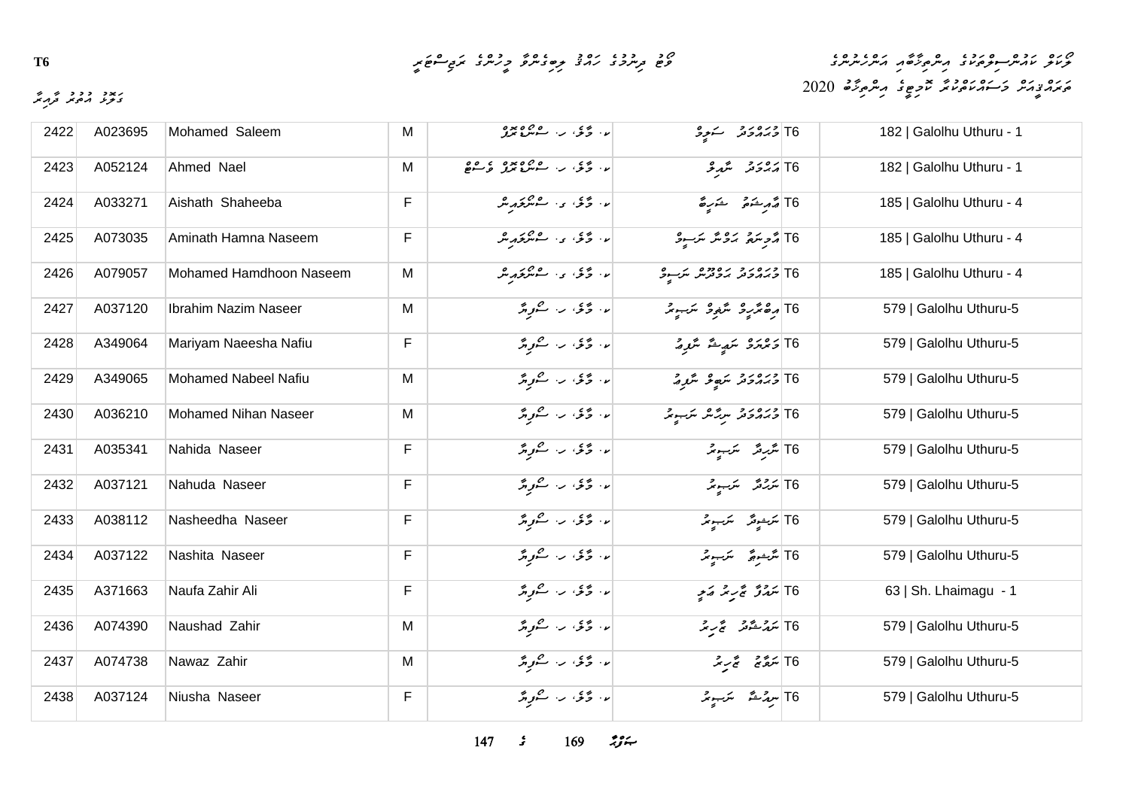*sCw7q7s5w7m< o<n9nOoAw7o< sCq;mAwBoEw7q<m; wBm;vB* م من المسجد المسجد المسجد المسجد المسجد العام 2020<br>مسجد المسجد المسجد المسجد المسجد المسجد المسجد المسجد المسجد ال

| 2422 | A023695 | Mohamed Saleem              | M           | ر، محق ر. مەھ بوھ                | T6 <i>5222 سکو</i> ی                                   | 182   Galolhu Uthuru - 1 |
|------|---------|-----------------------------|-------------|----------------------------------|--------------------------------------------------------|--------------------------|
| 2423 | A052124 | Ahmed Nael                  | M           | ر، ئۇنى بەر ھەم يوم ئەھ ھەم يوسى | T6 <i>ב ب</i> حقہ شہو                                  | 182   Galolhu Uthuru - 1 |
| 2424 | A033271 | Aishath Shaheeba            | $\mathsf F$ | لا ئۇق ئاسلىكرىدىگە              | T6م <i>م شمتم</i> شركتم                                | 185   Galolhu Uthuru - 4 |
| 2425 | A073035 | Aminath Hamna Naseem        | $\mathsf F$ | ئار ئۇقى بى سەھكەر بىر           | T6 مَّ <i>جِسَعْہ بَ</i> \$ مَّرْ مَرْسِوْ             | 185   Galolhu Uthuru - 4 |
| 2426 | A079057 | Mohamed Hamdhoon Naseem     | M           | لا ئۇق ئاسلىكرىدىگە              | T6 <i>وبروبرو برومز</i> ش ترسوی                        | 185   Galolhu Uthuru - 4 |
| 2427 | A037120 | <b>Ibrahim Nazim Naseer</b> | M           | مار محتی اب سکوپی                | T6 <i>مەھگرى</i> گ مگھ <sub>ر</sub> ى مگرىبولىر        | 579   Galolhu Uthuru-5   |
| 2428 | A349064 | Mariyam Naeesha Nafiu       | $\mathsf F$ | ئەس قىق سەر سىمبورىگ             | T6 <i>كَمْ يَرْدَى مَهِ</i> مِّهُ مَ <i>َّتْدِهُ</i>   | 579   Galolhu Uthuru-5   |
| 2429 | A349065 | <b>Mohamed Nabeel Nafiu</b> | M           | ئەس قىچە ئەس سىگوپىر             | T6 <i>وَبَهُ دَوَ</i> تَرَ سَه <i>وِ وَ سُّدِرَ</i>    | 579   Galolhu Uthuru-5   |
| 2430 | A036210 | <b>Mohamed Nihan Naseer</b> | M           | ئەس قىچە ئەس سىمبورىگە           | T6 <i>32,25 سربر مگر مگرسوم</i> گر                     | 579   Galolhu Uthuru-5   |
| 2431 | A035341 | Nahida Naseer               | $\mathsf F$ | ئەس قىچە ئەس سىكوپەتكە           | T6 مُدْرِمَّر - مَدَسِوْمَر                            | 579   Galolhu Uthuru-5   |
| 2432 | A037121 | Nahuda Naseer               | F           | ئەس قىچە ئەس سىمبورىگە           | T6 <i>مَرْدُهُ مَهِي</i> دُ                            | 579   Galolhu Uthuru-5   |
| 2433 | A038112 | Nasheedha Naseer            | F           | پار د مختلی از را همایی در ک     | T6 مَرْسُومٌ - مَرَسِومٌ-                              | 579   Galolhu Uthuru-5   |
| 2434 | A037122 | Nashita Naseer              | $\mathsf F$ | ئەس قىق سەر سىگە بولگە           | T6 سَّرْسُوجَّة - سَرَسِوجَرَ                          | 579   Galolhu Uthuru-5   |
| 2435 | A371663 | Naufa Zahir Ali             | F           | ئەس قىچە ئەس سىمبورىگە           | T6 <i>سَمَرُوَّ بِحَرِيمُ مَ</i> حٍ                    | 63   Sh. Lhaimagu - 1    |
| 2436 | A074390 | Naushad Zahir               | м           | مار محتى را سكرونگر              | T6 مَدَمَّتَ مِنْ مَحْرَمَّة مِنْ مِنْ                 | 579   Galolhu Uthuru-5   |
| 2437 | A074738 | Nawaz Zahir                 | M           | بار محکمهٔ بار اصحافی مگر        | T6 سَمَّدَّ مَحْسِسَ                                   | 579   Galolhu Uthuru-5   |
| 2438 | A037124 | Niusha Naseer               | $\mathsf F$ | لاء محتى لاء سكوير               | T6 سرم شه شرب مرکز میں مقرر اللہ میں تقریبات<br>مقدمات | 579   Galolhu Uthuru-5   |

*n*<sup>2</sup> *f*<sub>*s*</sub> *s*<sup>*n*</sup> *169 <i>n*<sub>3</sub> *i*<sub>s</sub>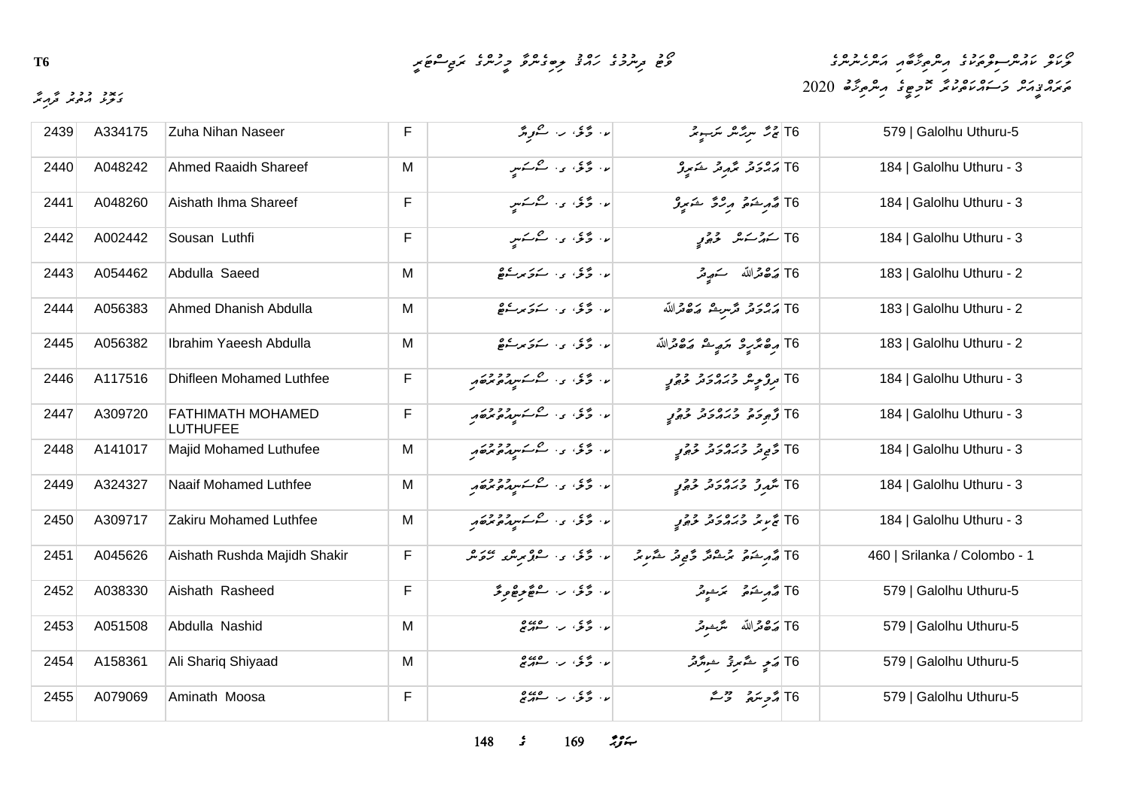*sCw7q7s5w7m< o<n9nOoAw7o< sCq;mAwBoEw7q<m; wBm;vB* م من المسجد المسجد المسجد المسجد المسجد العام 2020<br>مسجد المسجد المسجد المسجد المسجد المسجد المسجد المسجد المسجد ال

| 2439 | A334175 | <b>Zuha Nihan Naseer</b>                    | F           | لار گەنگە را سۈرگە                                                                                                                                                                                                             | T6 ىج ش سر محمد سر سر بىر بىر<br>16                         | 579   Galolhu Uthuru-5       |
|------|---------|---------------------------------------------|-------------|--------------------------------------------------------------------------------------------------------------------------------------------------------------------------------------------------------------------------------|-------------------------------------------------------------|------------------------------|
| 2440 | A048242 | <b>Ahmed Raaidh Shareef</b>                 | М           | لاستخوا بالمسكوس                                                                                                                                                                                                               | T6 <i>גُرْدُوَنْدْ تَزْمِ</i> نْدْ شَ <i>مِينْ</i>          | 184   Galolhu Uthuru - 3     |
| 2441 | A048260 | Aishath Ihma Shareef                        | F           | لاستخوا بالمسكوس                                                                                                                                                                                                               | T6 مەرىشىمى مەرگە ھەمبەر                                    | 184   Galolhu Uthuru - 3     |
| 2442 | A002442 | Sousan Luthfi                               | F           | لاستخرى بى سىگە سىر                                                                                                                                                                                                            | T6 ڪي <sup>و</sup> ڪشعر <del>- قري</del> و پر               | 184   Galolhu Uthuru - 3     |
| 2443 | A054462 | Abdulla Saeed                               | M           | لا : ۇقى كى سۇرىرسۇھ                                                                                                                                                                                                           | T6 كەنھەتراللە كىم <i>و</i> تىر                             | 183   Galolhu Uthuru - 2     |
| 2444 | A056383 | Ahmed Dhanish Abdulla                       | M           |                                                                                                                                                                                                                                | T6 <i>مَدْوَمَّد مُرَّسِيْءُ مَ</i> صَمَّرَاللَّه           | 183   Galolhu Uthuru - 2     |
| 2445 | A056382 | Ibrahim Yaeesh Abdulla                      | M           | لا : د څو ي . ستو پر شوه                                                                                                                                                                                                       | T6 م <i>ِ ھُمَّرٍ وَ مَهِ</i> ۖ مَ <i>َ هُ</i> مَدَّاللّٰهَ | 183   Galolhu Uthuru - 2     |
| 2446 | A117516 | Dhifleen Mohamed Luthfee                    | $\mathsf F$ |                                                                                                                                                                                                                                | T6 مِروٌ <i>جِيسْ دُبَرُ دُوَدْ</i> تَحِيجُ <i>بِي</i>      | 184   Galolhu Uthuru - 3     |
| 2447 | A309720 | <b>FATHIMATH MOHAMED</b><br><b>LUTHUFEE</b> | F           | الا و و د اس د د و د د ا                                                                                                                                                                                                       | T6 رُّجِ <i>دَهُ دَيَهُ دَوْرٍ</i>                          | 184   Galolhu Uthuru - 3     |
| 2448 | A141017 | Majid Mohamed Luthufee                      | M           | ، دی، د. گ ک سره دور                                                                                                                                                                                                           | T6 <i>وُّجِهْ دُبُرُودُ دُوْرٍ</i>                          | 184   Galolhu Uthuru - 3     |
| 2449 | A324327 | Naaif Mohamed Luthfee                       | M           | الا و و د اس دو دور                                                                                                                                                                                                            | T6 <i>سُهِ زُمْ دُودُو دُورِ</i>                            | 184   Galolhu Uthuru - 3     |
| 2450 | A309717 | Zakiru Mohamed Luthfee                      | M           | ١٠٤٤، ٢٠٤٠٠٠٠٠                                                                                                                                                                                                                 | T6 ئ <i>ج بابلا ئابرا دو دو د</i> ور                        | 184   Galolhu Uthuru - 3     |
| 2451 | A045626 | Aishath Rushda Majidh Shakir                | F           | ر ده د از کاره د مورد کاره به در د کاره کرد که کرد و کرد کرد کرد کرد که کرد و کرد که در این کار در این کار کرد<br>کار کار کار کرد که کار کرد کرد کرد کرد کرد کرد کرد کرد کرد که کرد که کرد که کرد که کار کرد که کار کرد که کار | T6 مُصِنْعَةٌ مُرْشَعَتُر وَّي مُرْ شَمَّعَ                 | 460   Srilanka / Colombo - 1 |
| 2452 | A038330 | Aishath Rasheed                             | F           | $\sim$ د د د . د موځ د څوړ د .                                                                                                                                                                                                 | T6 م <i>حْمِرِ حَدَّمَ</i> مَرَسُومُرُ                      | 579   Galolhu Uthuru-5       |
| 2453 | A051508 | Abdulla Nashid                              | M           | ىن ئۇي ر. ھەم ج                                                                                                                                                                                                                | T6 كَدَّةْ قَرْاللَّهُ مُّتَرَسُوتَرُ                       | 579   Galolhu Uthuru-5       |
| 2454 | A158361 | Ali Shariq Shiyaad                          | M           | لا د محري را معدمي                                                                                                                                                                                                             | T6 كوبو مگرموتۇ مىيوگرىگر                                   | 579   Galolhu Uthuru-5       |
| 2455 | A079069 | Aminath Moosa                               | F           | لا د محمد ره د معادی                                                                                                                                                                                                           | T6 أُمُّ حِسْعَةٌ حَمَّـةٌ                                  | 579   Galolhu Uthuru-5       |

*n8o<n@ q8qAq< q:uBmC*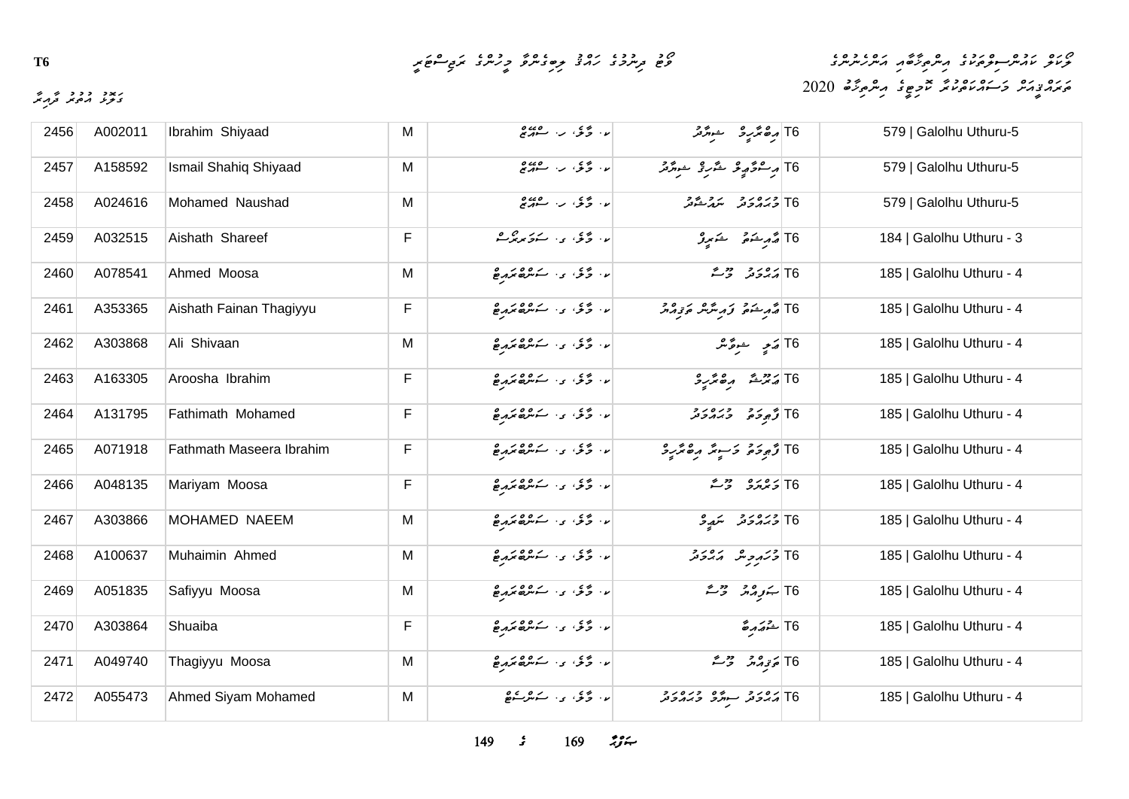*sCw7q7s5w7m< o<n9nOoAw7o< sCq;mAwBoEw7q<m; wBm;vB* م من المسجد المسجد المسجد المسجد المسجد العام 2020<br>مسجد المسجد المسجد المسجد المسجد المسجد المسجد المسجد المسجد ال

# *n8o<n@ q8qAq< q:uBmC*

| 2456 | A002011 | Ibrahim Shiyaad          | M           | ر، بحری، ر. ے میں م                                                                                                                                                                                                                                                                                                             | T6  مِنْھُمَّرِے مُتَقِيمَةِ                                        | 579   Galolhu Uthuru-5   |
|------|---------|--------------------------|-------------|---------------------------------------------------------------------------------------------------------------------------------------------------------------------------------------------------------------------------------------------------------------------------------------------------------------------------------|---------------------------------------------------------------------|--------------------------|
| 2457 | A158592 | Ismail Shahiq Shiyaad    | M           | $\begin{bmatrix} 0 & 0 & 0 & 0 \\ 0 & -1 & 0 & 0 \\ 0 & 0 & 0 & 0 \\ 0 & 0 & 0 & 0 \\ 0 & 0 & 0 & 0 \\ 0 & 0 & 0 & 0 \\ 0 & 0 & 0 & 0 \\ 0 & 0 & 0 & 0 \\ 0 & 0 & 0 & 0 \\ 0 & 0 & 0 & 0 \\ 0 & 0 & 0 & 0 & 0 \\ 0 & 0 & 0 & 0 & 0 \\ 0 & 0 & 0 & 0 & 0 \\ 0 & 0 & 0 & 0 & 0 \\ 0 & 0 & 0 & 0 & 0 \\ 0 & 0 & 0 & 0 & 0 \\ 0 & $ | T6 <sub>م</sub> رےد <i>ۇ يو</i> مۇ ئۇرق <sub>ۇ</sub> ئور <i>ۇرۇ</i> | 579   Galolhu Uthuru-5   |
| 2458 | A024616 | Mohamed Naushad          | M           | لا د محمد ره سوړي په                                                                                                                                                                                                                                                                                                            | T6 <i>دې ده ده</i> شم <sup>ر</sup> شو                               | 579   Galolhu Uthuru-5   |
| 2459 | A032515 | Aishath Shareef          | $\mathsf F$ | ىر، ئۇقى ئەسكۈنىرى <i>نى</i> ش                                                                                                                                                                                                                                                                                                  |                                                                     | 184   Galolhu Uthuru - 3 |
| 2460 | A078541 | Ahmed Moosa              | M           | $\overset{\circ}{\mathcal{E}}$                                                                                                                                                                                                                                                                                                  | $23.22$ T6                                                          | 185   Galolhu Uthuru - 4 |
| 2461 | A353365 | Aishath Fainan Thagiyyu  | $\mathsf F$ | $e^{2}$ , $e^{2}$ , $e^{2}$ , $-2$ , $-2$ , $-2$ , $-2$ , $-2$ , $-2$ , $-2$ , $-2$ , $-2$ , $-2$ , $-2$ , $-2$ , $-2$ , $-2$ , $-2$ , $-2$ , $-2$ , $-2$ , $-2$ , $-2$ , $-2$ , $-2$ , $-2$ , $-2$ , $-2$ , $-2$ , $-2$ , $-2$ , $-2$ , $-2$ , $-2$ , $-2$ , $-2$ ,                                                            | T6 مەم شەقر كەر ئىرىگىر مۇيەمە                                      | 185   Galolhu Uthuru - 4 |
| 2462 | A303868 | Ali Shivaan              | M           |                                                                                                                                                                                                                                                                                                                                 | T6 <i>ڇُجِ شومَ ٿُرُ</i>                                            | 185   Galolhu Uthuru - 4 |
| 2463 | A163305 | Aroosha Ibrahim          | F           | $e$ , $e$ , $e$ , $\frac{1}{2}$ , $\frac{1}{2}$ , $\frac{1}{2}$ , $\frac{1}{2}$ , $\frac{1}{2}$                                                                                                                                                                                                                                 | T6 <i>مَكَرَّحَة م</i> ِ <i>مَحْرِج</i>                             | 185   Galolhu Uthuru - 4 |
| 2464 | A131795 | Fathimath Mohamed        | $\mathsf F$ | $e^{2}$ , $e^{2}$ , $e^{2}$ , $-2$ , $-2$ , $-2$ , $-2$ , $-2$ , $-2$ , $-2$ , $-2$ , $-2$ , $-2$ , $-2$ , $-2$ , $-2$ , $-2$ , $-2$ , $-2$ , $-2$ , $-2$ , $-2$ , $-2$ , $-2$ , $-2$ , $-2$ , $-2$ , $-2$ , $-2$ , $-2$ , $-2$ , $-2$ , $-2$ , $-2$ , $-2$ , $-2$ ,                                                            | T6 ژ <sub>جوخ</sub> ی دی. در                                        | 185   Galolhu Uthuru - 4 |
| 2465 | A071918 | Fathmath Maseera Ibrahim | F           | $\overset{\circ}{\mathcal{E}}$                                                                                                                                                                                                                                                                                                  | T6 <i>وَّجِودَة دَ-بِيرَ وَهُ بَرْبِ</i> دُ                         | 185   Galolhu Uthuru - 4 |
| 2466 | A048135 | Mariyam Moosa            | F           | $e$ , $e$ , $e$ , $\frac{1}{2}$ , $\frac{1}{2}$ , $\frac{1}{2}$ , $\frac{1}{2}$ , $\frac{1}{2}$                                                                                                                                                                                                                                 | $23$ $22$ $76$                                                      | 185   Galolhu Uthuru - 4 |
| 2467 | A303866 | MOHAMED NAEEM            | M           | $e^{2}$ , $e^{2}$ , $e^{2}$ , $-2$ , $-2$ , $-2$ , $-2$ , $-2$ , $-2$ , $-2$ , $-2$ , $-2$ , $-2$ , $-2$ , $-2$ , $-2$ , $-2$ , $-2$ , $-2$ , $-2$ , $-2$ , $-2$ , $-2$ , $-2$ , $-2$ , $-2$ , $-2$ , $-2$ , $-2$ , $-2$ , $-2$ , $-2$ , $-2$ , $-2$ , $-2$ , $-2$ ,                                                            | T6 <i>3523 متمدِ</i> \$                                             | 185   Galolhu Uthuru - 4 |
| 2468 | A100637 | Muhaimin Ahmed           | M           |                                                                                                                                                                                                                                                                                                                                 | T6 <i>ڈیز<sub>مرح</sub> بڑ مذونہ</i>                                | 185   Galolhu Uthuru - 4 |
| 2469 | A051835 | Safiyyu Moosa            | M           | $e^{2}$ , $e^{2}$ , $e^{2}$ , $-2$ , $-2$ , $-2$ , $-2$ , $-2$ , $-2$ , $-2$ , $-2$ , $-2$ , $-2$ , $-2$ , $-2$ , $-2$ , $-2$ , $-2$ , $-2$ , $-2$ , $-2$ , $-2$ , $-2$ , $-2$ , $-2$ , $-2$ , $-2$ , $-2$ , $-2$ , $-2$ , $-2$ , $-2$ , $-2$ , $-2$ , $-2$ , $-2$ ,                                                            | $23.22$ $-76$                                                       | 185   Galolhu Uthuru - 4 |
| 2470 | A303864 | Shuaiba                  | F           | 9.7991.392.7                                                                                                                                                                                                                                                                                                                    | $5.52$ T6                                                           | 185   Galolhu Uthuru - 4 |
| 2471 | A049740 | Thagiyyu Moosa           | M           | $e$ , $e$ , $e$ , $\frac{1}{2}$ , $\frac{1}{2}$ , $\frac{1}{2}$ , $\frac{1}{2}$ , $\frac{1}{2}$                                                                                                                                                                                                                                 | $23$ $33.5$ T6                                                      | 185   Galolhu Uthuru - 4 |
| 2472 | A055473 | Ahmed Siyam Mohamed      | M           | لا ، ۇق، ي. سۇمىرسۇم                                                                                                                                                                                                                                                                                                            | T6 ג' <i>ב</i> צ' – ייצב צ' ג' בע                                   | 185   Galolhu Uthuru - 4 |

*149 s 169 <i>n*<sub>3</sub> *s*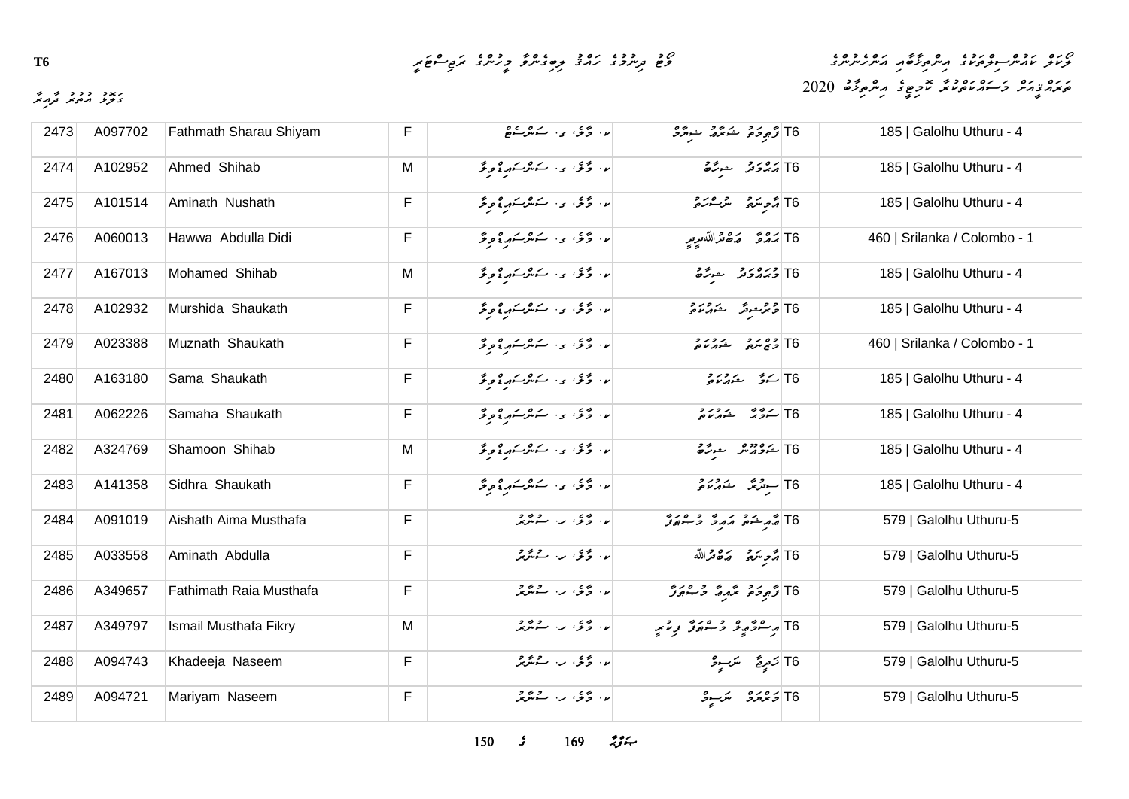*sCw7q7s5w7m< o<n9nOoAw7o< sCq;mAwBoEw7q<m; wBm;vB* م من المرة المرة المرة المرجع المرجع في المركبة 2020<br>مجم*د المريض المربوط المربع المرجع في المراجع المركبة* 

|  |  | $\rightarrow$ $\rightarrow$ $\rightarrow$ $\rightarrow$ $\rightarrow$ $\rightarrow$ $\rightarrow$ |
|--|--|---------------------------------------------------------------------------------------------------|
|  |  | ى ترىز "مەير "ترمير                                                                               |
|  |  |                                                                                                   |

| 2473 | A097702 | Fathmath Sharau Shiyam  | F            | لار ۇي بى سۇمرىيە ھ             | T6 <i>وَّجِودَة</i> سُمَ <i>عَهُ</i> سُب <i>عَّةُ</i> | 185   Galolhu Uthuru - 4     |
|------|---------|-------------------------|--------------|---------------------------------|-------------------------------------------------------|------------------------------|
| 2474 | A102952 | Ahmed Shihab            | M            | لا ئۇنى كە سەھرىسەردە بولۇ      | T6 <i>كەنگە كى ئىمەنگە</i>                            | 185   Galolhu Uthuru - 4     |
| 2475 | A101514 | Aminath Nushath         | F            | ئەس ئۇق كەر سەھرىسى ئەرقى       | T6 گھ جو سکھ سرگ میں محمد حر                          | 185   Galolhu Uthuru - 4     |
| 2476 | A060013 | Hawwa Abdulla Didi      | F            | لا لا دى. كەن سەنگەر قالۇم ئى   | T6 <i>جَهُرَّ • جَ</i> صَرَّاللَّهُ مِرِمِرِ          | 460   Srilanka / Colombo - 1 |
| 2477 | A167013 | Mohamed Shihab          | M            | لا د نۇنى ، سەھەسىمە دەمۇم      | $76$ $222$ $-222$                                     | 185   Galolhu Uthuru - 4     |
| 2478 | A102932 | Murshida Shaukath       | $\mathsf F$  | لا ئۇقى ئەسكەرلىرە ئوق          | T6 دُبَرْسْبِعَرٌ سُنَ <i>مْ دُمَّةً</i>              | 185   Galolhu Uthuru - 4     |
| 2479 | A023388 | Muznath Shaukath        | F            | لا د نۇنى كەن سەھرىسەر دەن ئونۇ | $7.22 \div 2.2$                                       | 460   Srilanka / Colombo - 1 |
| 2480 | A163180 | Sama Shaukath           | F            | لا ئۇقى كە سەھرىسكەر قانۇنتى    | $7.22 \div 76$                                        | 185   Galolhu Uthuru - 4     |
| 2481 | A062226 | Samaha Shaukath         | F            | لا د نۇنى ، سەھرىسىمە دەنۇ      | T6 جۇي <sup>ج</sup> خەممى                             | 185   Galolhu Uthuru - 4     |
| 2482 | A324769 | Shamoon Shihab          | M            | ئەس ئۇق كەرلىكىنىڭ مەس ئۇ ئوق   | $76$ $-222$                                           | 185   Galolhu Uthuru - 4     |
| 2483 | A141358 | Sidhra Shaukath         | $\mathsf{F}$ | لا ئۇق كە سەھرىسىم قائ          | T6_يوترنگر ڪ <i>ورندي</i>                             | 185   Galolhu Uthuru - 4     |
| 2484 | A091019 | Aishath Aima Musthafa   | F            | لا : ۇى را سەئىرىز              | T6 مەم شىم كەرگە كەسىم <i>ۇ تى</i>                    | 579   Galolhu Uthuru-5       |
| 2485 | A033558 | Aminath Abdulla         | F            | لار ۇي ب سەئىرىم                | T6 مُرْحِبَتِهِ مَصْغَرِاللَّه                        | 579   Galolhu Uthuru-5       |
| 2486 | A349657 | Fathimath Raia Musthafa | F            | لا : دَكَرُ رَ سُمْسَرَ لَمْ    | T6 زُّەِرَە مُحَمَّدٍ مُحَسَّورٌ                      | 579   Galolhu Uthuru-5       |
| 2487 | A349797 | Ismail Musthafa Fikry   | M            | الله د محرمي الله المستقرئيل    | T6 <sub>م</sub> ر <i>حۇرپى ئىشبۇق بەتىر</i>           | 579   Galolhu Uthuru-5       |
| 2488 | A094743 | Khadeeja Naseem         | $\mathsf F$  | لار ۇي بەر سەئىرىم              | T6 كَتَمِيعٌ مُتَرَسِيحٌ مِنْ السَّارِيخُ             | 579   Galolhu Uthuru-5       |
| 2489 | A094721 | Mariyam Naseem          | F            | لا : ۇ ئى لەر سىلەر             | T6  <i>ى پۇ<sub>م</sub>زۇ بىرس<sub>ى</sub> بى</i>     | 579   Galolhu Uthuru-5       |

*150 s 169 <i>n*<sub>3</sub> *i*</sup>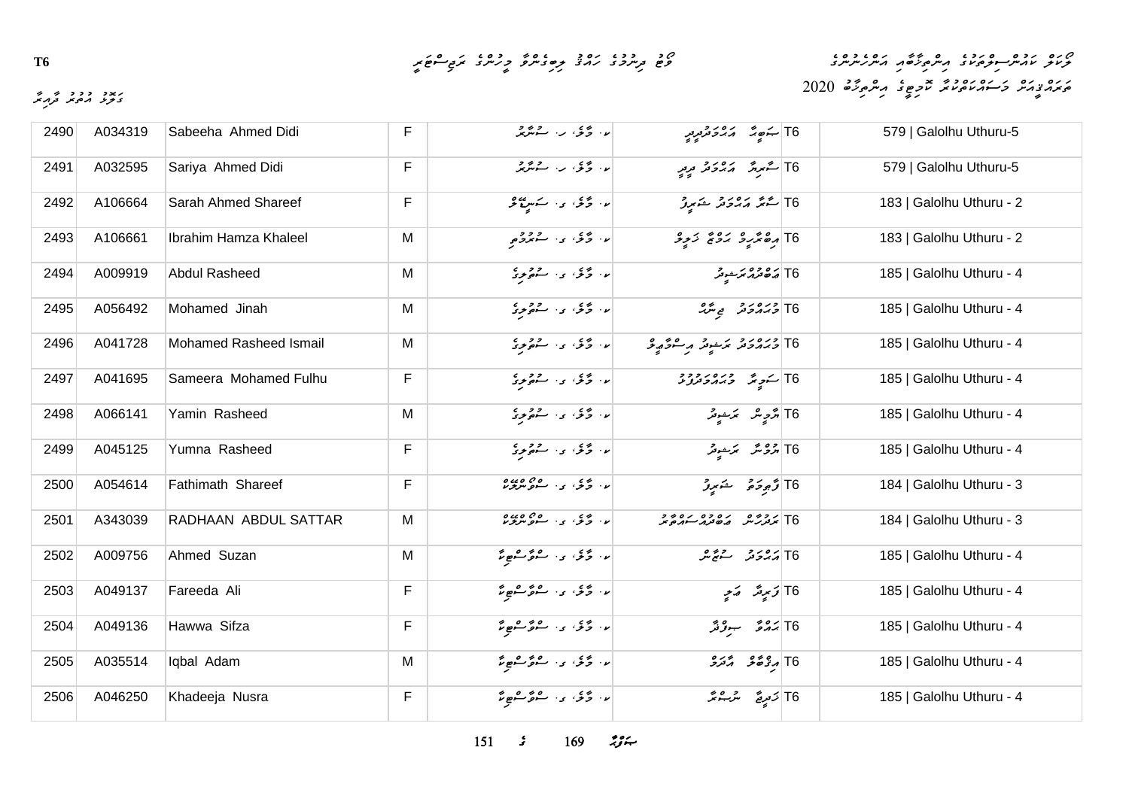*sCw7q7s5w7m< o<n9nOoAw7o< sCq;mAwBoEw7q<m; wBm;vB* م من المسجد المسجد المسجد المسجد المسجد العام 2020<br>مسجد المسجد المسجد المسجد المسجد المسجد المسجد المسجد المسجد ال

### *n8o<n@ q8qAq< q:uBmC*

| 2490 | A034319 | Sabeeha Ahmed Didi     | F            | ىر، بۇ ئۇ، بەر سەئىگەنگە                                                                                                                                                                                                  | T6 ج <i>نھ پر مذکوتر</i> مر                     | 579   Galolhu Uthuru-5   |
|------|---------|------------------------|--------------|---------------------------------------------------------------------------------------------------------------------------------------------------------------------------------------------------------------------------|-------------------------------------------------|--------------------------|
| 2491 | A032595 | Sariya Ahmed Didi      | $\mathsf F$  | لاستحق ب سقنگر                                                                                                                                                                                                            | T6   س <i>تمبرڈ مردوفر م</i> رمر                | 579   Galolhu Uthuru-5   |
| 2492 | A106664 | Sarah Ahmed Shareef    | $\mathsf{F}$ | $\mathcal{L} \subset \mathcal{L}$ ى كەن سىكەن ئەن                                                                                                                                                                         | T6   سُمَّرٌ <i>مَدْوَمْ</i> سَمَ <i>بِرِدْ</i> | 183   Galolhu Uthuru - 2 |
| 2493 | A106661 | Ibrahim Hamza Khaleel  | M            | لا د څکې د استعماده                                                                                                                                                                                                       | T6 <sub>م</sub> ەھ <i>ئۇرۇ بەۋق</i> ئوپۇ        | 183   Galolhu Uthuru - 2 |
| 2494 | A009919 | Abdul Rasheed          | M            | لا د څخه د استعمام د                                                                                                                                                                                                      | T6 <i>مُرْهُ مُرْ</i> مُرَ م <u>ُ</u> رِ مِرْ   | 185   Galolhu Uthuru - 4 |
| 2495 | A056492 | Mohamed Jinah          | M            | لا د څخه د استعمام د                                                                                                                                                                                                      | T6 <i>\$نە\$قۇ</i> ب <i>ې ئ<sup>ۇر</sup>؟</i>   | 185   Galolhu Uthuru - 4 |
| 2496 | A041728 | Mohamed Rasheed Ismail | M            | د کامی او د د د د کامونوی                                                                                                                                                                                                 | T6 <i>وبرودوگر برڪوگر م</i> رڪو <i>گرم</i> و    | 185   Galolhu Uthuru - 4 |
| 2497 | A041695 | Sameera Mohamed Fulhu  | F            | لا د څخه د استعمام د                                                                                                                                                                                                      | T6 سَرِيمٌ دَيْرُو دَورْ د                      | 185   Galolhu Uthuru - 4 |
| 2498 | A066141 | Yamin Rasheed          | M            | لا د څخه د استعمام د                                                                                                                                                                                                      | T6 <i>مُزْحٍ مُنْ مَدْشِينَرْ</i>               | 185   Galolhu Uthuru - 4 |
| 2499 | A045125 | Yumna Rasheed          | $\mathsf{F}$ | لا د څخه د استعمام د                                                                                                                                                                                                      | T6 <i>بُرُوْ بُنْ بَرَحْبِيْرُ</i>              | 185   Galolhu Uthuru - 4 |
| 2500 | A054614 | Fathimath Shareef      | F            | لا په نومي کې ده ۱۳۶۵ کل                                                                                                                                                                                                  | T6 تَ <i>وْجِوَةْ شَمْبِيْ</i> رْ               | 184   Galolhu Uthuru - 3 |
| 2501 | A343039 | RADHAAN ABDUL SATTAR   | M            | ر، محق، <sub>ک</sub> ه مصر <i>وم</i>                                                                                                                                                                                      | T6 بروژه په ۱۹۶۵ کرونو د                        | 184   Galolhu Uthuru - 3 |
| 2502 | A009756 | Ahmed Suzan            | M            | $\stackrel{\circ}{\mathscr{C}}$ , $\stackrel{\circ}{\mathscr{C}}$ , $\stackrel{\circ}{\mathscr{C}}$ , $\stackrel{\circ}{\mathscr{C}}$ , $\stackrel{\circ}{\mathscr{C}}$ , $\stackrel{\circ}{\mathscr{C}}$                 | T6 <i>ړې دو</i> شمځ شر                          | 185   Galolhu Uthuru - 4 |
| 2503 | A049137 | Fareeda Ali            | $\mathsf{F}$ | $\overset{\circ}{\mathscr{C}}_2 \overset{\circ}{\mathscr{C}}_2 \overset{\circ}{\mathscr{C}}_3 \overset{\circ}{\mathscr{C}}_2 \overset{\circ}{\mathscr{C}}_3 \overset{\circ}{\mathscr{C}}_4$                               | T6 تزمیٹر ک <i>ے ی</i>                          | 185   Galolhu Uthuru - 4 |
| 2504 | A049136 | Hawwa Sifza            | $\mathsf{F}$ | $\stackrel{\circ}{\mathcal{L}}\stackrel{\circ}{\mathcal{L}}\stackrel{\circ}{\mathcal{L}}\stackrel{\circ}{\mathcal{L}}\cdots\stackrel{\circ}{\mathcal{L}}\stackrel{\circ}{\mathcal{L}}\stackrel{\circ}{\mathcal{L}}\cdots$ | T6 <i>يَدُهُ</i> جونُرٌ                         | 185   Galolhu Uthuru - 4 |
| 2505 | A035514 | Iqbal Adam             | M            | لا به محمد المحمد المعالج مع المحمد المعالج مع المحمد المحمد المحمد المحمد المحمد المحمد المحمد المحمد المحمد                                                                                                             | T6 مِنْ <i>هُنْ مُ</i> مَرْد                    | 185   Galolhu Uthuru - 4 |
| 2506 | A046250 | Khadeeja Nusra         | F            | $\stackrel{\circ}{\mathscr{C}}$ , $\stackrel{\circ}{\mathscr{C}}$ , $\stackrel{\circ}{\mathscr{C}}$ , $\stackrel{\circ}{\mathscr{C}}$ , $\stackrel{\circ}{\mathscr{C}}$ , $\stackrel{\circ}{\mathscr{C}}$                 | T6 كَتَرِيعٌ مُتَرَسَّدَتَّرُ                   | 185   Galolhu Uthuru - 4 |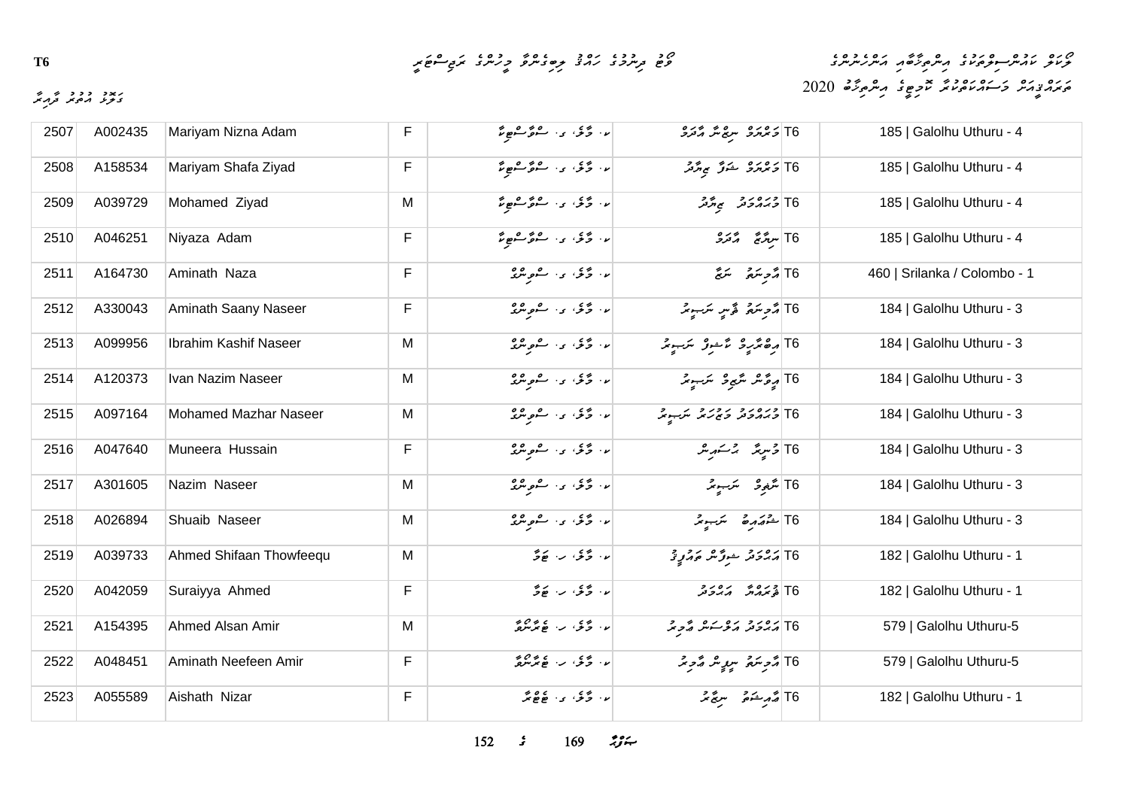*sCw7q7s5w7m< o<n9nOoAw7o< sCq;mAwBoEw7q<m; wBm;vB* م من المسجد المسجد المسجد المسجد المسجد العام 2020<br>مسجد المسجد المسجد المسجد المسجد المسجد المسجد المسجد المسجد ال

| 2507 | A002435 | Mariyam Nizna Adam           | F | $\stackrel{\circ}{\mathcal{L}}\stackrel{\circ}{\mathcal{L}}\stackrel{\circ}{\mathcal{L}}\stackrel{\circ}{\mathcal{L}}\cdots\stackrel{\circ}{\mathcal{L}}\stackrel{\circ}{\mathcal{L}}\stackrel{\circ}{\mathcal{L}}\cdots$  | T6 كەبەر ئەرەپ ئىگە ئەتەر <i>ە</i>                  | 185   Galolhu Uthuru - 4     |
|------|---------|------------------------------|---|----------------------------------------------------------------------------------------------------------------------------------------------------------------------------------------------------------------------------|-----------------------------------------------------|------------------------------|
| 2508 | A158534 | Mariyam Shafa Ziyad          | F | $\overset{\circ}{\mathscr{C}}_2 \overset{\circ}{\mathscr{C}}_3 \overset{\circ}{\mathscr{C}}_2 \overset{\circ}{\mathscr{C}}_3 \overset{\circ}{\mathscr{C}}_4 \overset{\circ}{\mathscr{C}}_5 \overset{\circ}{\mathscr{C}}_6$ | T6 كەيمەكرى شىر <i>ۇ ب</i> ېرگىر                    | 185   Galolhu Uthuru - 4     |
| 2509 | A039729 | Mohamed Ziyad                | M | $\overset{\circ}{\mathscr{C}}_2 \overset{\circ}{\mathscr{C}}_2 \overset{\circ}{\mathscr{C}}_3 \overset{\circ}{\mathscr{C}}_2 \overset{\circ}{\mathscr{C}}_3 \overset{\circ}{\mathscr{C}}_4$                                | T6  <i>ڈیزہ ڈوڈ</i> بے پڑ                           | 185   Galolhu Uthuru - 4     |
| 2510 | A046251 | Niyaza Adam                  | F | $\overset{\circ}{\mathscr{C}}_2 \overset{\circ}{\mathscr{C}}_2 \overset{\circ}{\mathscr{C}}_3 \overset{\circ}{\mathscr{C}}_2 \overset{\circ}{\mathscr{C}}_3 \overset{\circ}{\mathscr{C}}_4$                                | T6 سِرْمَجَ مُرْمَرْدُ                              | 185   Galolhu Uthuru - 4     |
| 2511 | A164730 | Aminath Naza                 | F | لا د څخه د له شوشته                                                                                                                                                                                                        | T6 م <i>ُّوِسَعْهِ مَنْ</i> حٌ                      | 460   Srilanka / Colombo - 1 |
| 2512 | A330043 | Aminath Saany Naseer         | F | لا د څخه د شوشه                                                                                                                                                                                                            | T6 أَمُّ حِسَمَةً ۖ مُّ سٍ سَرَ-بِهِ مُّ            | 184   Galolhu Uthuru - 3     |
| 2513 | A099956 | Ibrahim Kashif Naseer        | M | $\mathcal{L} \rightarrow \mathcal{L}$ لا، دې کلی دی اسکولوندی $\mathcal{L}$                                                                                                                                                | T6 <sub>م</sub> ەنگرىرى ئاھور ئىرلىرىم              | 184   Galolhu Uthuru - 3     |
| 2514 | A120373 | Ivan Nazim Naseer            | M | لا د څخه د لشومند                                                                                                                                                                                                          | T6 <sub>م</sub> ومَّدْ مَّهوْ مَن <sub>ْ</sub> بِرْ | 184   Galolhu Uthuru - 3     |
| 2515 | A097164 | <b>Mohamed Mazhar Naseer</b> | M | $\mathcal{L} \rightarrow \mathcal{L}$ لا، دې کلی دی اسکولوندی $\mathcal{L}$                                                                                                                                                |                                                     | 184   Galolhu Uthuru - 3     |
| 2516 | A047640 | Muneera Hussain              | F | لا د څخه د لشومند                                                                                                                                                                                                          | T6  3سرپر پر <i>شم</i> رپر                          | 184   Galolhu Uthuru - 3     |
| 2517 | A301605 | Nazim Naseer                 | M | لا د څخه د لشومند                                                                                                                                                                                                          | T6 مُتَّفِرة - مَرْسِوْمُر                          | 184   Galolhu Uthuru - 3     |
| 2518 | A026894 | Shuaib Naseer                | M | لا د څخه د لشومند                                                                                                                                                                                                          | T6 ش <i>ەمەھ سەبى</i> ر                             | 184   Galolhu Uthuru - 3     |
| 2519 | A039733 | Ahmed Shifaan Thowfeequ      | M | الاء الحكى الراد المحافر                                                                                                                                                                                                   | T6 <i>גُرُوَنْدَ</i> حَب <i>ِّرْ مَرْ دُرِيْرَ</i>  | 182   Galolhu Uthuru - 1     |
| 2520 | A042059 | Suraiyya Ahmed               | F | ىر، ئۇنى سەس ئىچ                                                                                                                                                                                                           | T6 فو <i>تره. بم. دو</i> ر                          | 182   Galolhu Uthuru - 1     |
| 2521 | A154395 | <b>Ahmed Alsan Amir</b>      | M | لا د څخه له څمکړه کل                                                                                                                                                                                                       | T6 <i>ړېږي روسکر مځ</i> وبر                         | 579   Galolhu Uthuru-5       |
| 2522 | A048451 | Aminath Neefeen Amir         | F | ، دَبَّى را غَيَرْسُمَّ                                                                                                                                                                                                    | T6 <i>مُوسَعُ سِدٍ مُّ</i> مُُوسُ                   | 579   Galolhu Uthuru-5       |
| 2523 | A055589 | Aishath Nizar                | F | $288 - 35$                                                                                                                                                                                                                 | T6 م <i>مَّدِ شَهُمَّة سِيَّةٌ مَ</i> رْ            | 182   Galolhu Uthuru - 1     |

*152 sC 169 nNw?mS*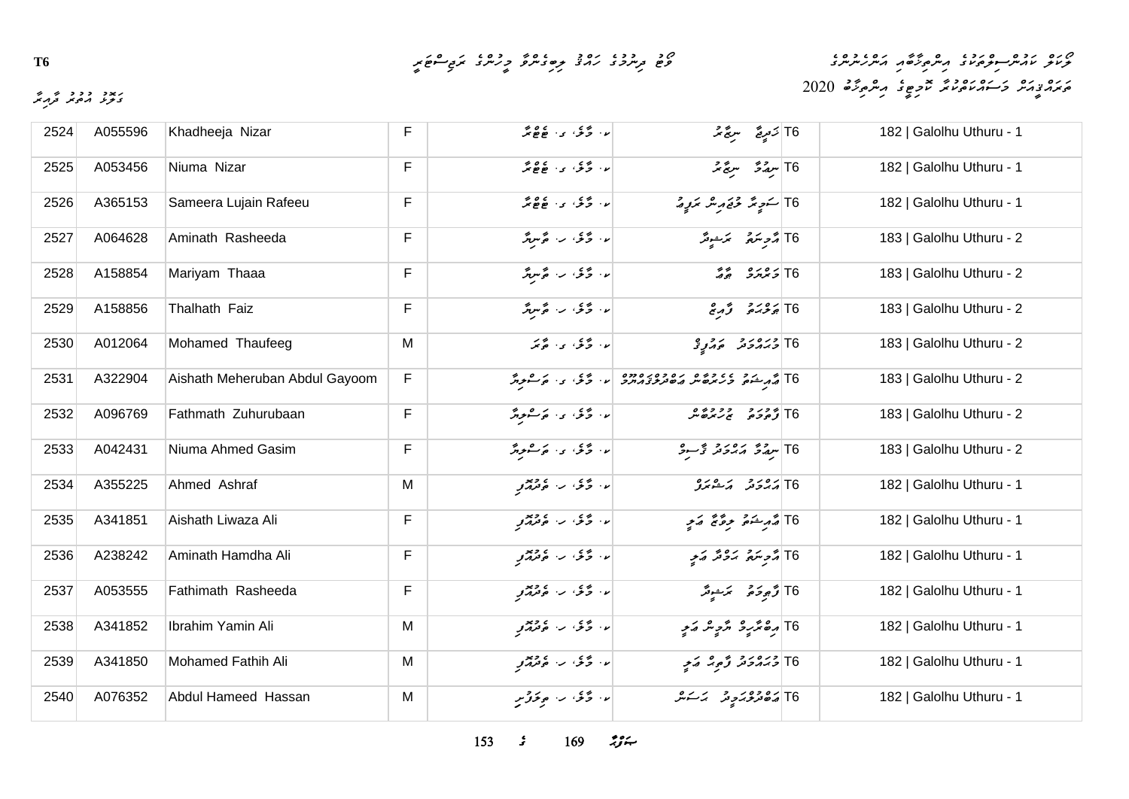*sCw7q7s5w7m< o<n9nOoAw7o< sCq;mAwBoEw7q<m; wBm;vB* م من المرة المرة المرة المرجع المرجع في المركبة 2020<br>مجم*د المريض المربوط المربع المرجع في المراجع المركبة* 

| ريده دوه و.<br>ديونز مهمد ترميز |  |
|---------------------------------|--|
|                                 |  |

| 2524 | A055596 | Khadheeja Nizar                | F           | ىر، ئۇنى، ئۇغۇنگە                                                                                            | T6 كَعْرِيعٌ مِنْ يُحْمَدُ                                                                                                                                                                                                                                                                                                                                                                                                                                                                         | 182   Galolhu Uthuru - 1 |
|------|---------|--------------------------------|-------------|--------------------------------------------------------------------------------------------------------------|----------------------------------------------------------------------------------------------------------------------------------------------------------------------------------------------------------------------------------------------------------------------------------------------------------------------------------------------------------------------------------------------------------------------------------------------------------------------------------------------------|--------------------------|
| 2525 | A053456 | Niuma Nizar                    | F           | $288 - 35$                                                                                                   | T6 س <i>مہُ ڈ</i> سرنج تمہ                                                                                                                                                                                                                                                                                                                                                                                                                                                                         | 182   Galolhu Uthuru - 1 |
| 2526 | A365153 | Sameera Lujain Rafeeu          | F           | $x = \frac{3}{2}$                                                                                            | T6 س <i>َوِيدٌ وُق<sub>ا</sub>مِيدٌ مَرْدٍ مُ</i>                                                                                                                                                                                                                                                                                                                                                                                                                                                  | 182   Galolhu Uthuru - 1 |
| 2527 | A064628 | Aminath Rasheeda               | $\mathsf F$ | سائد محمد میں محمد میں محمد میں محمد اللہ میں محمد میں محمد اللہ میں محمد میں محمد اللہ میں اللہ میں اللہ می | T6 مُجِسَعُ مَنْ مَنْ مِنْ                                                                                                                                                                                                                                                                                                                                                                                                                                                                         | 183   Galolhu Uthuru - 2 |
| 2528 | A158854 | Mariyam Thaaa                  | F           | لا د گانگان گالبرگ                                                                                           | T6 كەبەر <i>ە</i> بۇرگە                                                                                                                                                                                                                                                                                                                                                                                                                                                                            | 183   Galolhu Uthuru - 2 |
| 2529 | A158856 | Thalhath Faiz                  | F           | لا، ئۇقى بەر ئۇس ئى                                                                                          | T6 <i>پُوتِرَ ۾ وُ</i> مِيَ                                                                                                                                                                                                                                                                                                                                                                                                                                                                        | 183   Galolhu Uthuru - 2 |
| 2530 | A012064 | Mohamed Thaufeeg               | M           | ىد، بۇيى، بەر بۇيتر                                                                                          | T6 <i>ڊُبَہُ جو پاڻو ٿو ٿو</i>                                                                                                                                                                                                                                                                                                                                                                                                                                                                     | 183   Galolhu Uthuru - 2 |
| 2531 | A322904 | Aishath Meheruban Abdul Gayoom | $\mathsf F$ |                                                                                                              | $\mathcal{L}_{\mathcal{P}}\left[\begin{array}{cc} \mathcal{L}_{\mathcal{P}} & \mathcal{L}_{\mathcal{P}} & \mathcal{L}_{\mathcal{P}} & \mathcal{L}_{\mathcal{P}} & \mathcal{L}_{\mathcal{P}} & \mathcal{L}_{\mathcal{P}} \\ \mathcal{L}_{\mathcal{P}} & \mathcal{L}_{\mathcal{P}} & \mathcal{L}_{\mathcal{P}} & \mathcal{L}_{\mathcal{P}} & \mathcal{L}_{\mathcal{P}} & \mathcal{L}_{\mathcal{P}} & \mathcal{L}_{\mathcal{P}} & \mathcal{L}_{\mathcal{P}} & \mathcal{L}_{\mathcal{P}} \end{array}\$ | 183   Galolhu Uthuru - 2 |
| 2532 | A096769 | Fathmath Zuhurubaan            | $\mathsf F$ | لا د گرگان کار می کنده درگر                                                                                  | T6 ژُم <i>ود و دوم م</i>                                                                                                                                                                                                                                                                                                                                                                                                                                                                           | 183   Galolhu Uthuru - 2 |
| 2533 | A042431 | Niuma Ahmed Gasim              | F           | $\mathcal{L}(\mathcal{L}) = \mathcal{L}(\mathcal{L})$ لار د کارواژگر                                         | T6 سم <i>م</i> محمد المسلم المسلم المسلم المسلم المسلم المسلم المسلم المسلم المسلم المسلم المسلم المسلم المسلم المسلم                                                                                                                                                                                                                                                                                                                                                                              | 183   Galolhu Uthuru - 2 |
| 2534 | A355225 | Ahmed Ashraf                   | M           | ر، د دې ر، وورونې                                                                                            | T6 <i>גُ.ژدَنْ پَ</i> ـُّمُ <i>رُوْ</i>                                                                                                                                                                                                                                                                                                                                                                                                                                                            | 182   Galolhu Uthuru - 1 |
| 2535 | A341851 | Aishath Liwaza Ali             | F           | ر، د څخه ر، ه مرمز                                                                                           | T6 مُەمِسَىمْ مِرَةٌ مَىمِ                                                                                                                                                                                                                                                                                                                                                                                                                                                                         | 182   Galolhu Uthuru - 1 |
| 2536 | A238242 | Aminath Hamdha Ali             | F           | ر، دمجنۍ ر، څو <i>م</i> رمز                                                                                  | T6 مُ <i>وِ سَمَعُ بَرَ</i> وْمَّرَ م <i>َ وِ</i>                                                                                                                                                                                                                                                                                                                                                                                                                                                  | 182   Galolhu Uthuru - 1 |
| 2537 | A053555 | Fathimath Rasheeda             | F           | ر، دمجي ر، مي دمو                                                                                            | T6 <i>وَّج</i> وحَۃُ کَمَسْوِمَّرُ                                                                                                                                                                                                                                                                                                                                                                                                                                                                 | 182   Galolhu Uthuru - 1 |
| 2538 | A341852 | Ibrahim Yamin Ali              | M           | ر، د څو، ر، <sub>م</sub> ولاړنې                                                                              | T6 <sub>م</sub> ِر <i>ونُدُرٍ وَ مُ</i> َرِيْد <i>ُ مَ</i> رِ                                                                                                                                                                                                                                                                                                                                                                                                                                      | 182   Galolhu Uthuru - 1 |
| 2539 | A341850 | <b>Mohamed Fathih Ali</b>      | M           | پارستخوان المادور دي.<br>  پارستخوان الماد المادور دي.                                                       | T6 دُبَرُودَ وُمِرٌ مَرِ                                                                                                                                                                                                                                                                                                                                                                                                                                                                           | 182   Galolhu Uthuru - 1 |
| 2540 | A076352 | Abdul Hameed Hassan            | M           | الا د د د الله د مونوکولو                                                                                    | T6 <i>ړُیونژوِيزوِيز برَڪنر</i>                                                                                                                                                                                                                                                                                                                                                                                                                                                                    | 182   Galolhu Uthuru - 1 |

**153** *s* **169** *if*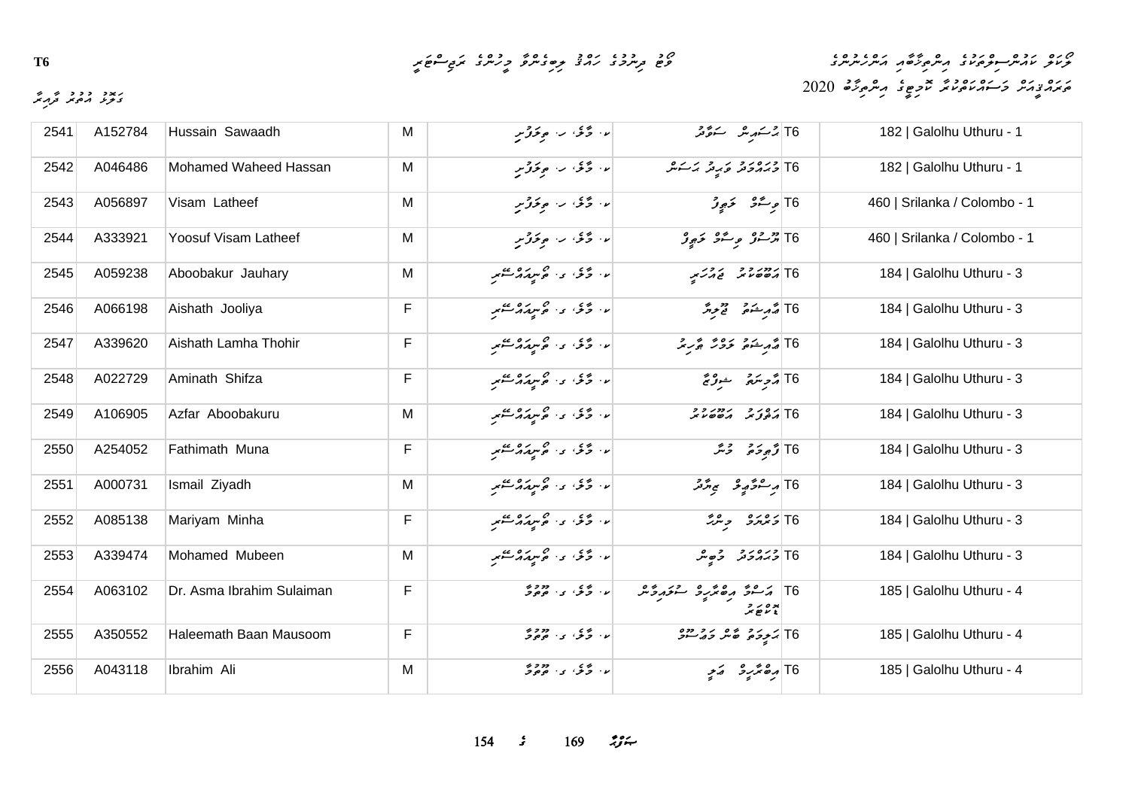*sCw7q7s5w7m< o<n9nOoAw7o< sCq;mAwBoEw7q<m; wBm;vB 2020*<br>*په پوهر وسوډيرونو لومو د موجو د مرمونه* 2020

| 2541 | A152784 | Hussain Sawaadh           | M           | الا د څخه له موتوکيو           | T6 يُرْسَمَ مِيْشْ مَسْتَوَفَّر                                       | 182   Galolhu Uthuru - 1     |
|------|---------|---------------------------|-------------|--------------------------------|-----------------------------------------------------------------------|------------------------------|
| 2542 | A046486 | Mohamed Waheed Hassan     | M           | الا . د څو لار المونوکولولو    | T6 <i>ويرورو بريتر برسكر</i>                                          | 182   Galolhu Uthuru - 1     |
| 2543 | A056897 | Visam Latheef             | M           | ما د څخه را موځوتونو           | 76 م <i>وسگر</i> گ قر <i>ېږو</i> گر                                   | 460   Srilanka / Colombo - 1 |
| 2544 | A333921 | Yoosuf Visam Latheef      | M           | ما د څخه را موځونور            | T6 پژىنز <sub>م</sub> ېشۇ خ <sub>ىجۇ</sub> ر                          | 460   Srilanka / Colombo - 1 |
| 2545 | A059238 | Aboobakur Jauhary         | M           | لا د څخه د هم په کام شمېر      | T6 مُصْحَدٍ مَدْ مَمْرَ مَرِ                                          | 184   Galolhu Uthuru - 3     |
| 2546 | A066198 | Aishath Jooliya           | F           | لا ئەقتى ئەرەپىتى ھەركىسى      | T6 مُصِنْعَة فَيُحِيَّزُ                                              | 184   Galolhu Uthuru - 3     |
| 2547 | A339620 | Aishath Lamha Thohir      | F           | لا د څخه د هم په ده سمبر       | T6 مەم شەم ئىقىدى ئەرىتىلىكى ئىقىدىن                                  | 184   Galolhu Uthuru - 3     |
| 2548 | A022729 | Aminath Shifza            | $\mathsf F$ | لا د د د کار د کار د کار د کند | T6 مُرْحِسَمُ مُ سُورٌ مُحَ                                           | 184   Galolhu Uthuru - 3     |
| 2549 | A106905 | Azfar Aboobakuru          | M           | ۱۰ دی. د ، هم مره مهم          | $72222$ $-225$                                                        | 184   Galolhu Uthuru - 3     |
| 2550 | A254052 | Fathimath Muna            | $\mathsf F$ | لا د څخه د هم پره شمېر         | T6 <i>وُجِ دَيْرَ</i> دَيْرَ                                          | 184   Galolhu Uthuru - 3     |
| 2551 | A000731 | Ismail Ziyadh             | M           | لا د د د کار د کار د کار د کند | T6 <sub>م</sub> رشۇ <sub>م</sub> و پەر <i>ۇ</i> ر                     | 184   Galolhu Uthuru - 3     |
| 2552 | A085138 | Mariyam Minha             | F           | لا ئەقتى ئەرەپىتى ھەركىسى      | T6 <i>وَ بُرْمَرْدْ وِ مُرْبُّ</i>                                    | 184   Galolhu Uthuru - 3     |
| 2553 | A339474 | Mohamed Mubeen            | M           | لا ئەقتى ئەرەپىتى ھەركىسى      | T6 <i>جُهُدُونَدُ</i> وَصِعْر                                         | 184   Galolhu Uthuru - 3     |
| 2554 | A063102 | Dr. Asma Ibrahim Sulaiman | F           | د څو د په دوه                  | T6 <i>مَ</i> ــْرَ مِعْمَرِ وَ تَنْزَرِدْ مَدَ<br>بره پر د<br>٤ نو عر | 185   Galolhu Uthuru - 4     |
| 2555 | A350552 | Haleemath Baan Mausoom    | $\mathsf F$ | لار څخه د اودونو               | T6 يَر <i>وِّدُو هُ</i> مَّر <i>دَوْ</i> سُرَدُ                       | 185   Galolhu Uthuru - 4     |
| 2556 | A043118 | Ibrahim Ali               | M           | ر وي.<br>د گرگ د هجوم          | T6 <sub>م</sub> ەتزى <sub>ر</sub> و كىمىي                             | 185   Galolhu Uthuru - 4     |

ر **x و c c c c c c c c c c c c c c c**<br>*E <del>c c</del> c c c c c c c c c c c c c* 

*154 s 169 <i>n*<sub>3</sub> *i*<sub>3</sub> *i*<sub>3</sub> *i*<sub>3</sub> *i*<sub>3</sub> *i*<sub>3</sub> *i*<sub>3</sub> *i*<sub>3</sub> *i*<sub>3</sub> *i*<sub>3</sub> *i*<sub>3</sub> *i*<sub>3</sub> *i*<sub>3</sub> *i*<sub>3</sub> *i*<sub>3</sub> *i*<sub>3</sub> *i*<sub>3</sub> *i*<sub>3</sub> *i*<sub>3</sub> *i*<sub>3</sub> *i*<sub>3</sub> *i*<sub>3</sub> *i*<sub>3</sub> *i*<sub>3</sub> *i*<sub>3</sub> *i*<sub>3</sub> *i*<sub>3</sub> *i*<sub>3</sub> *i*<sub>3</sub> *i*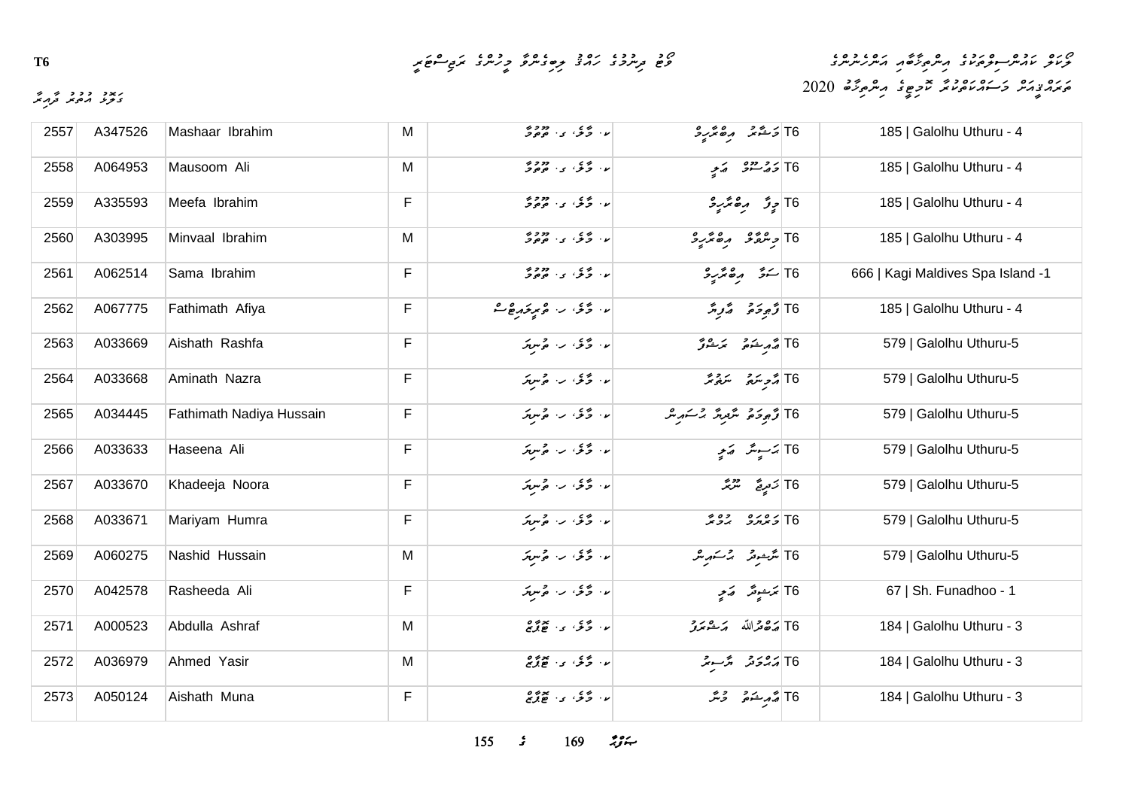*sCw7q7s5w7m< o<n9nOoAw7o< sCq;mAwBoEw7q<m; wBm;vB* م من المرة المرة المرة المرجع المرجع في المركبة 2020<br>مجم*د المريض المربوط المربع المرجع في المراجع المركبة* 

|  | ى يو د مەس ترمىر |
|--|------------------|

| 2557 | A347526 | Mashaar Ibrahim          | M           | لا د څو، د اوه ده          | T6  كَسْتَمْرَ مِنْ مُرْكَبِرْد           | 185   Galolhu Uthuru - 4          |
|------|---------|--------------------------|-------------|----------------------------|-------------------------------------------|-----------------------------------|
| 2558 | A064953 | Mausoom Ali              | M           | ر، وی ی. دوه<br>را، وی     | T6 كەن يەھىيە بىر ئەرىپە                  | 185   Galolhu Uthuru - 4          |
| 2559 | A335593 | Meefa Ibrahim            | F           | ر وي د ووه<br>رو گون د موک | T6 <i>جِرْدُ مِـھُنَّرِ وُ</i>            | 185   Galolhu Uthuru - 4          |
| 2560 | A303995 | Minvaal Ibrahim          | M           | ر، وی ی. دوه<br>را، وی     | T6  <i>جِسْعُوْ مِعْبُرِ و</i> ُ          | 185   Galolhu Uthuru - 4          |
| 2561 | A062514 | Sama Ibrahim             | F           | لا د څو، د په دوه          | T6 سَرَدَ م <i>ِ ه</i> ُ بَرِدْ           | 666   Kagi Maldives Spa Island -1 |
| 2562 | A067775 | Fathimath Afiya          | F           | لا د محكي را محمد خرم ه ه  | T6 <i>وَّجِ حَمَّ</i> م <i>ُّوبِّرٌ</i>   | 185   Galolhu Uthuru - 4          |
| 2563 | A033669 | Aishath Rashfa           | F           | الا ومحوات وللمر           | T6 م <i>ەمبىئىق مەشۇ</i> گە               | 579   Galolhu Uthuru-5            |
| 2564 | A033668 | Aminath Nazra            | F           | الا د محمد المال المحمد    | T6 مُرْحِبَهُ مَنْ يَحْمَدُ               | 579   Galolhu Uthuru-5            |
| 2565 | A034445 | Fathimath Nadiya Hussain | $\mathsf F$ | الا ومحوات وللمر           | T6 <i>وُمِودَة مُرْمَدِةً بِرُسَوِيدٌ</i> | 579   Galolhu Uthuru-5            |
| 2566 | A033633 | Haseena Ali              | F           | الا المحكى المالم مهرس     | T6   يزيب <i>قرمي</i>                     | 579   Galolhu Uthuru-5            |
| 2567 | A033670 | Khadeeja Noora           | F           | لا، دَ کَ را می مریز       | T6 كَتَعْرِيقٌ مِسْرَبٌدً                 | 579   Galolhu Uthuru-5            |
| 2568 | A033671 | Mariyam Humra            | F           | الا د محكم الله محمد       | T6 <i>خ</i> م پرو پروتر                   | 579   Galolhu Uthuru-5            |
| 2569 | A060275 | Nashid Hussain           | M           | الا ومحوات وللمر           | T6 بٹر شونڈ کے سک <i>ر ب</i> گر           | 579   Galolhu Uthuru-5            |
| 2570 | A042578 | Rasheeda Ali             | F           | الاء محكى الماد محمومة     | T6 <i>مَرْحومٌ مَ</i> حٍ                  | 67   Sh. Funadhoo - 1             |
| 2571 | A000523 | Abdulla Ashraf           | M           | لا د څو د ځ بوه            | T6 مَرْدُوْرَاللّه مَرْشَ <i>عَرُوْ</i>   | 184   Galolhu Uthuru - 3          |
| 2572 | A036979 | Ahmed Yasir              | M           | ر، ۇكى، يەسىم بولۇم        | T6 كەبرى قرىسىز                           | 184   Galolhu Uthuru - 3          |
| 2573 | A050124 | Aishath Muna             | F           | ر، ۇكى، يەن مەدەرە         | T6 <i>مُگرِيحَمْۃ دُنگ</i> ر              | 184   Galolhu Uthuru - 3          |

 $155$  *s*  $169$  *if*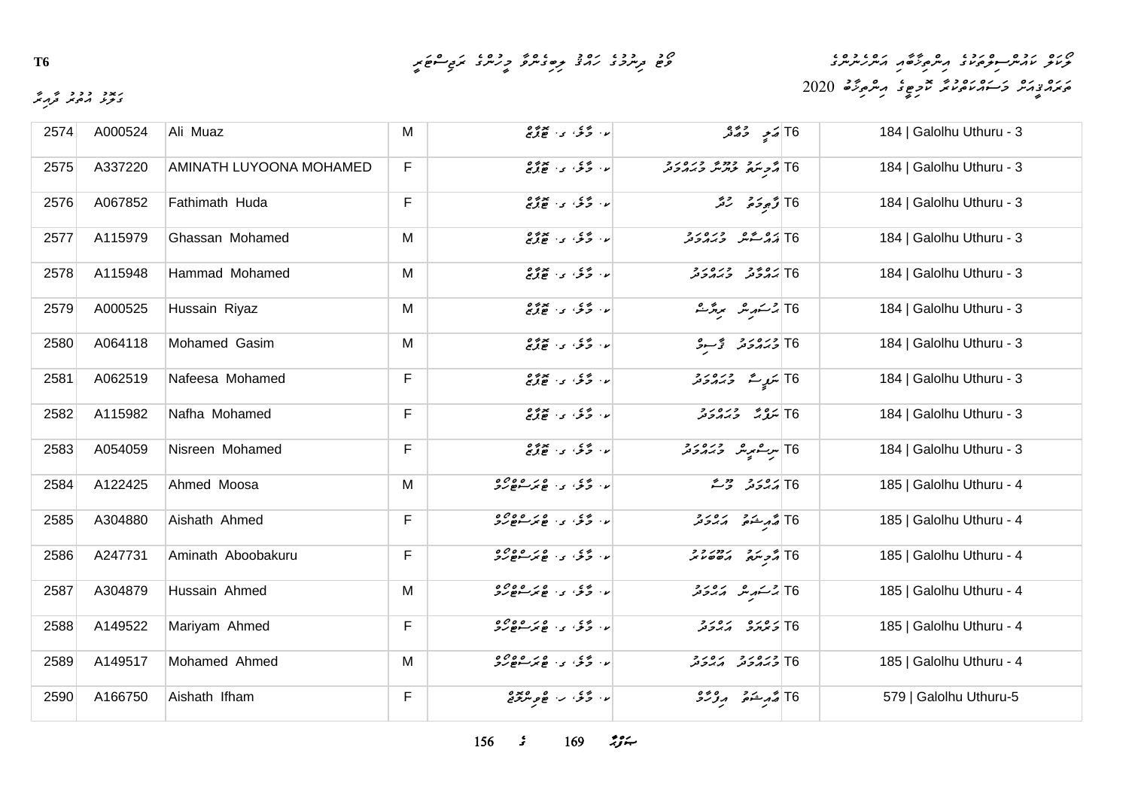*sCw7q7s5w7m< o<n9nOoAw7o< sCq;mAwBoEw7q<m; wBm;vB* م من المسجد المسجد المسجد المسجد المسجد العام 2020<br>مسجد المسجد المسجد المسجد المسجد المسجد المسجد المسجد المسجد ال

# *n8o<n@ q8qAq< q:uBmC*

| 2574 | A000524 | Ali Muaz                | M           | ىر، ئۇنۇ، يەر ئەيۇمى             | T6 <i>ڇُجِ - جُهُوْ</i>           | 184   Galolhu Uthuru - 3 |
|------|---------|-------------------------|-------------|----------------------------------|-----------------------------------|--------------------------|
| 2575 | A337220 | AMINATH LUYOONA MOHAMED | F           | پر گري که خوده                   | T6 مُجِسَع مِهرسُ ويرورو          | 184   Galolhu Uthuru - 3 |
| 2576 | A067852 | Fathimath Huda          | F           | ر، وی ی چوه<br>را، وی            | T6 <i>وَّجِ حَمَّى حَ</i> مَّ     | 184   Galolhu Uthuru - 3 |
| 2577 | A115979 | Ghassan Mohamed         | M           | ر، وی ی جوړه<br>راندن و ځ        | T6 زَرْرٌ شَرْرٌ وَبَرُودُو       | 184   Galolhu Uthuru - 3 |
| 2578 | A115948 | Hammad Mohamed          | M           | ر گري په موځ وه کا               | T6 يُهوَّتر ويهودو                | 184   Galolhu Uthuru - 3 |
| 2579 | A000525 | Hussain Riyaz           | M           | ر، وی ی جوړه<br>راندن و ځ        | T6  پرستمبر مریز میں میں میں م    | 184   Galolhu Uthuru - 3 |
| 2580 | A064118 | Mohamed Gasim           | M           | ر، ۇي پەنغۇچ                     | T6 <i>\$نەمى قىسىۋ</i>            | 184   Galolhu Uthuru - 3 |
| 2581 | A062519 | Nafeesa Mohamed         | F           | ر، ۇي پەنغۇچ                     | T6 <i>سَموِے حمد حمد ح</i> قر     | 184   Galolhu Uthuru - 3 |
| 2582 | A115982 | Nafha Mohamed           | F           | ر گري په موځ وه کا               | T6 يتر <i>و بي ويرودو</i>         | 184   Galolhu Uthuru - 3 |
| 2583 | A054059 | Nisreen Mohamed         | F           | پر گري که خوده                   | T6 سرگرمریٹر ا <i>و جہاد و</i> یر | 184   Galolhu Uthuru - 3 |
| 2584 | A122425 | Ahmed Moosa             | M           | لا په څو، د ه کار ۹۶۵۵           | $23.522$ T6                       | 185   Galolhu Uthuru - 4 |
| 2585 | A304880 | Aishath Ahmed           | F           | ۱۰ دی. د ۱۵۵۰ وره ده             | T6م م مشرقه م م مرکز مر           | 185   Galolhu Uthuru - 4 |
| 2586 | A247731 | Aminath Aboobakuru      | $\mathsf F$ | لا په نمې کې د ۹،۵۵۵ په          | $72222$ $2422$ $16$               | 185   Galolhu Uthuru - 4 |
| 2587 | A304879 | Hussain Ahmed           | M           | ۱۰ د کې یې هم کروه ده            | T6تر <i>سکوینگر میگردین</i> گر    | 185   Galolhu Uthuru - 4 |
| 2588 | A149522 | Mariyam Ahmed           | F           | لا په نمې د هم شوه ده و          | T6 كەبەرە كەرگەرد                 | 185   Galolhu Uthuru - 4 |
| 2589 | A149517 | Mohamed Ahmed           | M           | لا په نمې د هم شوه ده و          | T6 <i>وبروبرو بروبر</i> و         | 185   Galolhu Uthuru - 4 |
| 2590 | A166750 | Aishath Ifham           | F           | ر، دمجني، ر، ھ <sub>ا</sub> صغرو | T6 <i>مُّهِ شَيْءٍ وِدْرٌوْ</i>   | 579   Galolhu Uthuru-5   |

 $156$  *s*  $\qquad$  *f*  $\qquad$  *n*  $\qquad$  *s*  $\qquad$  *n*  $\qquad$  *n*  $\qquad$  *n*  $\qquad$  *n*  $\qquad$  *n*  $\qquad$  *n*  $\qquad$  *n*  $\qquad$  *n*  $\qquad$  *n*  $\qquad$  *n*  $\qquad$  *n*  $\qquad$  *n*  $\qquad$  *n*  $\qquad$  *n*  $\qquad$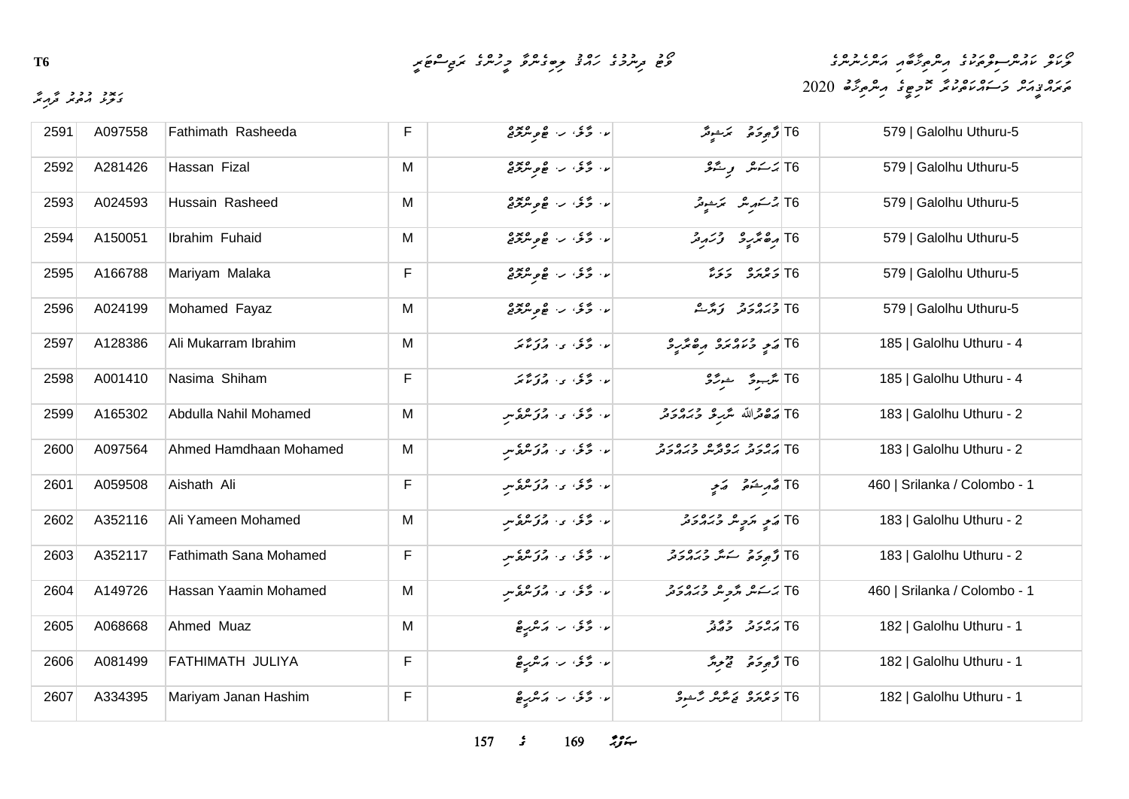*sCw7q7s5w7m< o<n9nOoAw7o< sCq;mAwBoEw7q<m; wBm;vB* م من المسجد المسجد المسجد المسجد المسجد العام 2020<br>مسجد المسجد المسجد المسجد المسجد المسجد المسجد المسجد المسجد ال

| 2591 | A097558 | Fathimath Rasheeda      | $\mathsf F$  | ر، دمجني، ر، ھ <sub>ا</sub> صغرو                                                                     | T6  <i>وُّہِ دَمُ</i> – مَرْسُومُرُ                | 579   Galolhu Uthuru-5       |
|------|---------|-------------------------|--------------|------------------------------------------------------------------------------------------------------|----------------------------------------------------|------------------------------|
| 2592 | A281426 | Hassan Fizal            | M            | ر، دمجني، ر، ھ <sub>ا</sub> صغرو                                                                     | T6 كەس <i>تەنگە</i> بوشى <i>گە</i>                 | 579   Galolhu Uthuru-5       |
| 2593 | A024593 | Hussain Rasheed         | M            | الا المحتى، لا المحافز من مركز من المحدد المحدد المحدد المحدد المحدد المحدد المحدد المحدد المحدد الم | T6 پرسکوپٹر کر <sub>شو</sub> پڑ                    | 579   Galolhu Uthuru-5       |
| 2594 | A150051 | Ibrahim Fuhaid          | M            | لا په نوموړي کې د کالو کله ده کالو                                                                   | T6  م <i>وڭ ئۇرۇ ئىگەن</i> تە                      | 579   Galolhu Uthuru-5       |
| 2595 | A166788 | Mariyam Malaka          | F            | ر، دمجري، ر، ھ <sub>ا</sub> و ميرون                                                                  | T6 كەيمەر ئەرىمىتىسى <i>كەنە</i>                   | 579   Galolhu Uthuru-5       |
| 2596 | A024199 | Mohamed Fayaz           | M            | ر، دمجري، ر، ھ <sub>ا</sub> و ميون                                                                   | T6 <i>ۋېزو دې زېژ</i> شه                           | 579   Galolhu Uthuru-5       |
| 2597 | A128386 | Ali Mukarram Ibrahim    | M            | لار ۇي بى مۇنلۇر                                                                                     | T6 <i>مَرِّدٍ دَنَهُ مَدَّةٍ مِ</i> هْتَرِيْدِ     | 185   Galolhu Uthuru - 4     |
| 2598 | A001410 | Nasima Shiham           | F            | لار ۇي بى مۇنلۇر                                                                                     | T6 مُرْسِوءٌ ش <i>ِردٌ</i> \$                      | 185   Galolhu Uthuru - 4     |
| 2599 | A165302 | Abdulla Nahil Mohamed   | M            | لا د څخه د امرونکره پس                                                                               | T6 كَرَّةْ مَرَّاللَّهُ مُدَّرَّةً وَبَرْدَوَمَرَ  | 183   Galolhu Uthuru - 2     |
| 2600 | A097564 | Ahmed Hamdhaan Mohamed  | M            | لا د څخه د امرونکوس                                                                                  | T6 <i>ב</i> . <i>ב</i> כנ <i>ר, בפנים בב</i> מכנים | 183   Galolhu Uthuru - 2     |
| 2601 | A059508 | Aishath Ali             | F            | لار دمچې کې مرکز مرغ مېر                                                                             | T6 مُرشَعْرِ مَعِ                                  | 460   Srilanka / Colombo - 1 |
| 2602 | A352116 | Ali Yameen Mohamed      | M            | لا د څخه د امرونکره کل                                                                               | T6 كمبر مركبه وبروبرد و <i>بر</i>                  | 183   Galolhu Uthuru - 2     |
| 2603 | A352117 | Fathimath Sana Mohamed  | F            | لا د څخه د امروسموس                                                                                  | T6 أَوَّجِوَدَ مَنْ سَنَّسَ وَبَرَوْدَ قَرْ        | 183   Galolhu Uthuru - 2     |
| 2604 | A149726 | Hassan Yaamin Mohamed   | M            | لا د څخه د امروسموس                                                                                  | T6   يَرْسَسْ مُرَّحِسْ وَبَرْمُ وَسَ              | 460   Srilanka / Colombo - 1 |
| 2605 | A068668 | Ahmed Muaz              | M            | لار محتى الرائد مركبترين في                                                                          | T6 <i>ټرې پېر د څو</i>                             | 182   Galolhu Uthuru - 1     |
| 2606 | A081499 | <b>FATHIMATH JULIYA</b> | F            | لا د څخه له م کرمري                                                                                  | T6 رَّج <i>وحَ</i> جَمَع مِعَرَّ                   | 182   Galolhu Uthuru - 1     |
| 2607 | A334395 | Mariyam Janan Hashim    | $\mathsf{F}$ | الاستخرى الرائد مكاندر كالحارث                                                                       | T6 كەبۇر <i>ۇ   يا ئۇنگە گەخ</i> و                 | 182   Galolhu Uthuru - 1     |

# ر **x و c c c c c c c c c c c c c c c**<br>*E <del>c c</del> c c c c c c c c c c c c c*

*157 s 169 <i>n*<sub>3</sub> *i*<sub>3</sub> *i*<sub>3</sub> *i*<sub>3</sub> *i*<sub>3</sub> *i*<sub>3</sub> *i*<sub>3</sub> *i*<sub>3</sub> *i*<sub>3</sub> *i*<sub>3</sub> *i*<sub>3</sub> *i*<sub>3</sub> *i*<sub>3</sub> *i*<sub>3</sub> *i*<sub>3</sub> *i*<sub>3</sub> *i*<sub>3</sub> *i*<sub>3</sub> *i*<sub>3</sub> *i*<sub>3</sub> *i*<sub>3</sub> *i*<sub>3</sub> *i*<sub>3</sub> *i*<sub>3</sub> *i*<sub>3</sub> *i*<sub>3</sub> *i*<sub>3</sub> *i*<sub>3</sub> *i*<sub>3</sub> *i*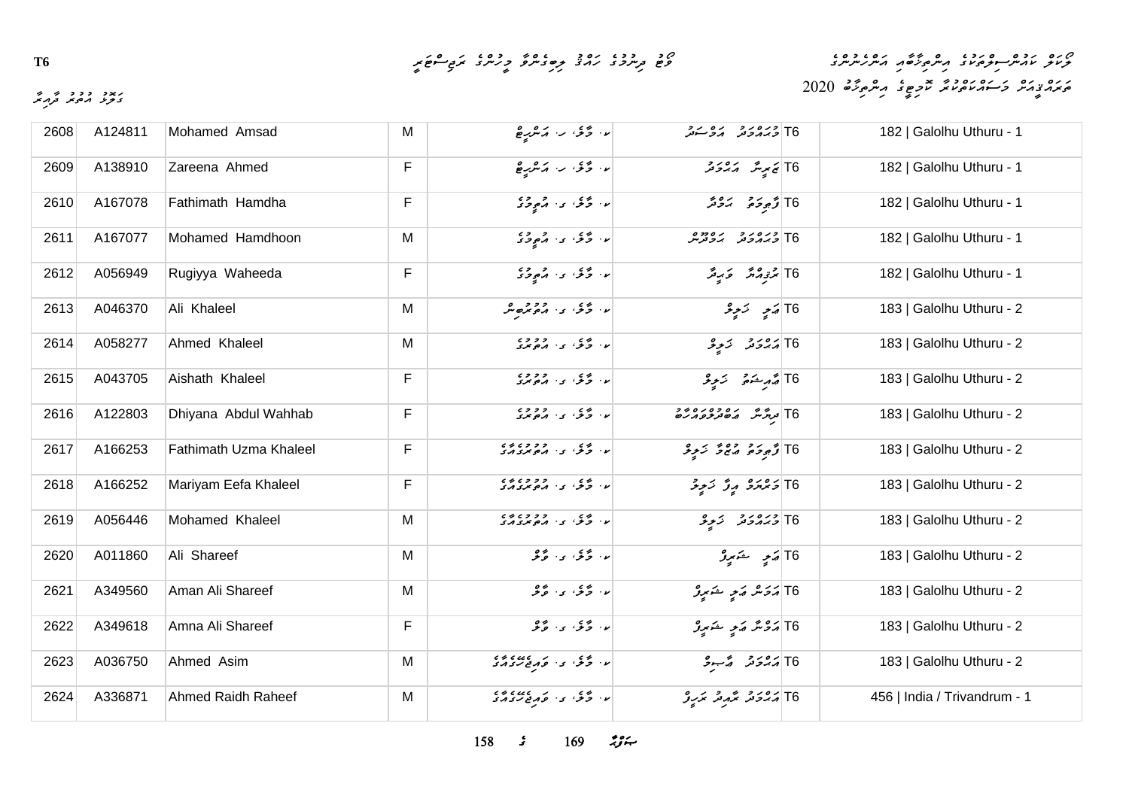*sCw7q7s5w7m< o<n9nOoAw7o< sCq;mAwBoEw7q<m; wBm;vB* م من المرة المرة المرة المرجع المرجع في المركبة 2020<br>مجم*د المريض المربوط المربع المرجع في المراجع المركبة* 

| 2608 | A124811 | Mohamed Amsad          | M | لار دمجني سه بر مرکز ک                                                                                                                                                                                                                                                                                                                                                                                                                                                                                                                                                                                 | T6 ديرە دە بەر ئەر                                       | 182   Galolhu Uthuru - 1     |
|------|---------|------------------------|---|--------------------------------------------------------------------------------------------------------------------------------------------------------------------------------------------------------------------------------------------------------------------------------------------------------------------------------------------------------------------------------------------------------------------------------------------------------------------------------------------------------------------------------------------------------------------------------------------------------|----------------------------------------------------------|------------------------------|
| 2609 | A138910 | Zareena Ahmed          | F | لا د څخه له م کرمرغ                                                                                                                                                                                                                                                                                                                                                                                                                                                                                                                                                                                    | T6 ى <sub>ج مې</sub> ىگە كەبرى قىر                       | 182   Galolhu Uthuru - 1     |
| 2610 | A167078 | Fathimath Hamdha       | F | ر، وګڼ ی مقومت                                                                                                                                                                                                                                                                                                                                                                                                                                                                                                                                                                                         | T6 <i>وُّجِوَدُوْ</i> بَرَوْتَرُ                         | 182   Galolhu Uthuru - 1     |
| 2611 | A167077 | Mohamed Hamdhoon       | M | لاستخري المستحرج والمحافية                                                                                                                                                                                                                                                                                                                                                                                                                                                                                                                                                                             | T6 <i>وبروبرو برووده</i>                                 | 182   Galolhu Uthuru - 1     |
| 2612 | A056949 | Rugiyya Waheeda        | F | ۱۰ وګې ی همچون                                                                                                                                                                                                                                                                                                                                                                                                                                                                                                                                                                                         | T6 <i>بڭ<sub>ۇ</sub>م</i> ىگە قەب <sub>ى</sub> قە        | 182   Galolhu Uthuru - 1     |
| 2613 | A046370 | Ali Khaleel            | M | ۱۰ د د د ده ده ده ش                                                                                                                                                                                                                                                                                                                                                                                                                                                                                                                                                                                    | T6  کی تی تی تی شرید<br>معالم <i>ت</i> ی تیم تیم تیم تیم | 183   Galolhu Uthuru - 2     |
| 2614 | A058277 | Ahmed Khaleel          | M | لا د څو، د اوه ده                                                                                                                                                                                                                                                                                                                                                                                                                                                                                                                                                                                      | T6  پَرْدُوَنْرَ کَمَعِ وَ                               | 183   Galolhu Uthuru - 2     |
| 2615 | A043705 | Aishath Khaleel        | F | ر وه ده ده ده ده ده در د                                                                                                                                                                                                                                                                                                                                                                                                                                                                                                                                                                               | T6 م <i>ۇم ھۇم ئۇچ</i> ۇ                                 | 183   Galolhu Uthuru - 2     |
| 2616 | A122803 | Dhiyana Abdul Wahhab   | F | ر، دې ي. دوه ده<br>پن د کې ي. ماموندي                                                                                                                                                                                                                                                                                                                                                                                                                                                                                                                                                                  | T6 درگرمگر بره وه بره بود                                | 183   Galolhu Uthuru - 2     |
| 2617 | A166253 | Fathimath Uzma Khaleel | F |                                                                                                                                                                                                                                                                                                                                                                                                                                                                                                                                                                                                        | T6 <i>وُجِودَة ح</i> جوءٌ رَ <sub>ّحِ</sub> وْ           | 183   Galolhu Uthuru - 2     |
| 2618 | A166252 | Mariyam Eefa Khaleel   | F |                                                                                                                                                                                                                                                                                                                                                                                                                                                                                                                                                                                                        | T6 كەيمەنى ب <sub>و</sub> رٌ ئەرٍىگ                      | 183   Galolhu Uthuru - 2     |
| 2619 | A056446 | Mohamed Khaleel        | M | $545799 - 559 - 4$                                                                                                                                                                                                                                                                                                                                                                                                                                                                                                                                                                                     | T6 <i>\$نە\$ى دَوِ\$</i>                                 | 183   Galolhu Uthuru - 2     |
| 2620 | A011860 | Ali Shareef            | M | ىر، ئۇنى يەر ئۇنجە                                                                                                                                                                                                                                                                                                                                                                                                                                                                                                                                                                                     | T6 <i>ڇَڄِ شَمِرِڙ</i> َ                                 | 183   Galolhu Uthuru - 2     |
| 2621 | A349560 | Aman Ali Shareef       | M | ىر، بۇي يەر بۇي                                                                                                                                                                                                                                                                                                                                                                                                                                                                                                                                                                                        | T6   كەڭرىگە مەھرىقى ئىكەنبەر گ                          | 183   Galolhu Uthuru - 2     |
| 2622 | A349618 | Amna Ali Shareef       | F | ىر، ئۇنى يەر ئۇنجە                                                                                                                                                                                                                                                                                                                                                                                                                                                                                                                                                                                     | T6 كەنگە كەبچە خەبرى <sup>9</sup>                        | 183   Galolhu Uthuru - 2     |
| 2623 | A036750 | Ahmed Asim             | M |                                                                                                                                                                                                                                                                                                                                                                                                                                                                                                                                                                                                        | T6 <i>ډېر دي.</i><br>د سر                                | 183   Galolhu Uthuru - 2     |
| 2624 | A336871 | Ahmed Raidh Raheef     | M | $\begin{array}{cc} c \mathrel{\circ} c \ c \mathrel{\circ} c \ c \ c \ \mathrel{\circ} \mathrel{\circ} \mathrel{\circ} \mathrel{\circ} \mathrel{\circ} \mathrel{\circ} \mathrel{\circ} \mathrel{\circ} \mathrel{\circ} \mathrel{\circ} \mathrel{\circ} \mathrel{\circ} \mathrel{\circ} \mathrel{\circ} \mathrel{\circ} \mathrel{\circ} \mathrel{\circ} \mathrel{\circ} \mathrel{\circ} \mathrel{\circ} \mathrel{\circ} \mathrel{\circ} \mathrel{\circ} \mathrel{\circ} \mathrel{\circ} \mathrel{\circ} \mathrel{\circ} \mathrel{\circ} \mathrel{\circ} \mathrel{\circ} \mathrel{\circ} \mathrel{\circ$ | T6   كەشكەت مەرىتى مەرىكى                                | 456   India / Trivandrum - 1 |

# ر **x و c c c c c c c c c c c c c c c**<br>*E <del>c c</del> c c c c c c c c c c c c c*

**158** *s* **169** *n***<sub>s</sub>***n*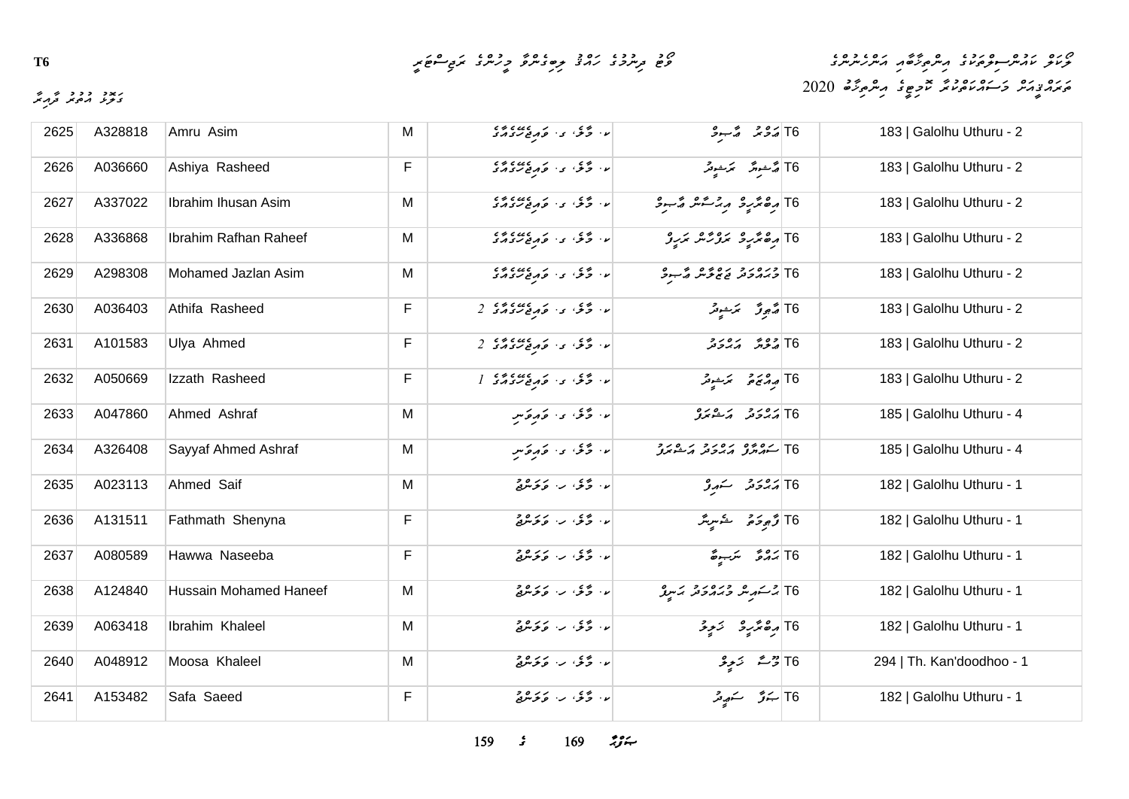*sCw7q7s5w7m< o<n9nOoAw7o< sCq;mAwBoEw7q<m; wBm;vB 2020<sup>, م</sup>وسر در مدد مدرج به مدرم مقرم قرار 2020*<br>موسر المستقرم المستقرم المستقرم المستقرم المستقرم المستقرم المستقرم المستقرم المستقرم المستقرم المستقرم المستقر

| 2625 | A328818 | Amru Asim                     | M           | $\begin{array}{cc} \mathcal{C}\neq \mathcal{C}\ \mathcal{C}\ \mathcal{C}\ \mathcal{C}\ \mathcal{C}\ \mathcal{C}\ \mathcal{C}\ \mathcal{C}\ \mathcal{C}\ \mathcal{C}\ \mathcal{C}\ \mathcal{C}\ \mathcal{C}\ \mathcal{C}\ \mathcal{C}\ \mathcal{C}\ \mathcal{C}\ \mathcal{C}\ \mathcal{C}\ \mathcal{C}\ \mathcal{C}\ \mathcal{C}\ \mathcal{C}\ \mathcal{C}\ \mathcal{C}\ \mathcal{C}\ \mathcal{C}\ \mathcal{C}\ \mathcal{C}\ \mathcal{C}\ \mathcal{C}\ \mathcal{C}\ \mathcal{C}\ \mathcal{C}\ \$                                                        | T6 <i>ټرې په پ</i> ه                                  | 183   Galolhu Uthuru - 2  |
|------|---------|-------------------------------|-------------|--------------------------------------------------------------------------------------------------------------------------------------------------------------------------------------------------------------------------------------------------------------------------------------------------------------------------------------------------------------------------------------------------------------------------------------------------------------------------------------------------------------------------------------------------------|-------------------------------------------------------|---------------------------|
| 2626 | A036660 | Ashiya Rasheed                | $\mathsf F$ | $\frac{c}{c}$ , $\frac{c}{c}$ , $\frac{c}{c}$ , $\frac{c}{c}$ , $\frac{c}{c}$ , $\frac{c}{c}$ , $\frac{c}{c}$ , $\frac{c}{c}$ , $\frac{c}{c}$ , $\frac{c}{c}$ , $\frac{c}{c}$ , $\frac{c}{c}$ , $\frac{c}{c}$ , $\frac{c}{c}$ , $\frac{c}{c}$ , $\frac{c}{c}$ , $\frac{c}{c}$ , $\frac{c}{c}$ , $\frac{c}{c}$ , $\frac{c}{c}$ ,                                                                                                                                                                                                                        | T6 صُحْبِهُ كَرَحْبِهِ مُ                             | 183   Galolhu Uthuru - 2  |
| 2627 | A337022 | Ibrahim Ihusan Asim           | M           | $\begin{array}{cc} c \mathrel{\phi} c \mathrel{\phi} c \mathrel{\phi} c \end{array} \begin{array}{c} c \mathrel{\phi} c \mathrel{\phi} c \end{array} \begin{array}{c} c \mathrel{\phi} c \mathrel{\phi} c \end{array} \begin{array}{c} c \mathrel{\phi} c \mathrel{\phi} c \end{array} \begin{array}{c} c \mathrel{\phi} c \end{array} \begin{array}{c} c \mathrel{\phi} c \end{array} \begin{array}{c} c \mathrel{\phi} c \end{array} \begin{array}{c} c \mathrel{\phi} c \end{array} \begin{array}{c} c \mathrel{\phi} c \end{array} \begin{array}{$ | T6 رەئزىر ئىگە ئىبدۇ                                  | 183   Galolhu Uthuru - 2  |
| 2628 | A336868 | Ibrahim Rafhan Raheef         | M           | $\frac{c}{c}$ , $\frac{c}{c}$ , $\frac{c}{c}$ , $\frac{c}{c}$ , $\frac{c}{c}$ , $\frac{c}{c}$ , $\frac{c}{c}$ , $\frac{c}{c}$                                                                                                                                                                                                                                                                                                                                                                                                                          | T6 مەھەمجەبەدى ئىروشى <i>گە ئەب</i> ور                | 183   Galolhu Uthuru - 2  |
| 2629 | A298308 | Mohamed Jazlan Asim           | M           | $\frac{c}{c}$ , $\frac{c}{c}$ , $\frac{c}{c}$ , $\frac{c}{c}$ , $\frac{c}{c}$ , $\frac{c}{c}$ , $\frac{c}{c}$ , $\frac{c}{c}$ , $\frac{c}{c}$ , $\frac{c}{c}$ , $\frac{c}{c}$ , $\frac{c}{c}$ , $\frac{c}{c}$ , $\frac{c}{c}$ , $\frac{c}{c}$ , $\frac{c}{c}$ , $\frac{c}{c}$ , $\frac{c}{c}$ , $\frac{c}{c}$ , $\frac{c}{c}$ ,                                                                                                                                                                                                                        | T6   <i>دېروبرو د وغو</i> شر گ <i>ړ</i> ېدو           | 183   Galolhu Uthuru - 2  |
| 2630 | A036403 | Athifa Rasheed                | $\mathsf F$ | 25956675.55.4                                                                                                                                                                                                                                                                                                                                                                                                                                                                                                                                          | T6 م <i>ُنْهُوڻَ مَنْ</i> سُومُرُ                     | 183   Galolhu Uthuru - 2  |
| 2631 | A101583 | Ulya Ahmed                    | $\mathsf F$ |                                                                                                                                                                                                                                                                                                                                                                                                                                                                                                                                                        | T6 ړوبر پرورو                                         | 183   Galolhu Uthuru - 2  |
| 2632 | A050669 | Izzath Rasheed                | F           | 1 3 1 1 1 1 1 1 1 1 1 1 1 1 1 1 1 1 1                                                                                                                                                                                                                                                                                                                                                                                                                                                                                                                  | T6 <i>محمدة محمد مؤمر</i><br>16 محمد محمد محمد المحمد | 183   Galolhu Uthuru - 2  |
| 2633 | A047860 | Ahmed Ashraf                  | M           | الأرمحى المار مكرموس                                                                                                                                                                                                                                                                                                                                                                                                                                                                                                                                   | T6 <i>גُرْدَنْ پَرْ وُيُوتُرُ</i>                     | 185   Galolhu Uthuru - 4  |
| 2634 | A326408 | Sayyaf Ahmed Ashraf           | M           | الأرتجني المراكب وأمرغ للمر                                                                                                                                                                                                                                                                                                                                                                                                                                                                                                                            | T6 رەپو دەرى دەرە                                     | 185   Galolhu Uthuru - 4  |
| 2635 | A023113 | Ahmed Saif                    | M           | ىر ئەقتى ب ئەنەھ                                                                                                                                                                                                                                                                                                                                                                                                                                                                                                                                       | T6  <i>پرونډ</i> شهري                                 | 182   Galolhu Uthuru - 1  |
| 2636 | A131511 | Fathmath Shenyna              | $\mathsf F$ | لا : دَّنَوْ، لا : دَكْرَسْ                                                                                                                                                                                                                                                                                                                                                                                                                                                                                                                            | T6 <i>وُمِودَة</i> شَمْرِسَّ                          | 182   Galolhu Uthuru - 1  |
| 2637 | A080589 | Hawwa Naseeba                 | $\mathsf F$ | لا : دَّنَوْ، لا : دَكْرَسْ                                                                                                                                                                                                                                                                                                                                                                                                                                                                                                                            | T6 <i>بَدْدُوَّ</i> سَرَجَةَ                          | 182   Galolhu Uthuru - 1  |
| 2638 | A124840 | <b>Hussain Mohamed Haneef</b> | M           | ىر ئەقتى ب ئەنزىتىنى                                                                                                                                                                                                                                                                                                                                                                                                                                                                                                                                   |                                                       | 182   Galolhu Uthuru - 1  |
| 2639 | A063418 | Ibrahim Khaleel               | M           | لا : 33، لا كەنزىترى                                                                                                                                                                                                                                                                                                                                                                                                                                                                                                                                   | T6 <sub>مر</sub> ھ <i>مُرْرِ</i> وْ کَ مِوْتَو        | 182   Galolhu Uthuru - 1  |
| 2640 | A048912 | Moosa Khaleel                 | M           | ىر ئەقتى ب ئەنەھ                                                                                                                                                                                                                                                                                                                                                                                                                                                                                                                                       | T6 تخریخ تر <i>وی</i> خ                               | 294   Th. Kan'doodhoo - 1 |
| 2641 | A153482 | Safa Saeed                    | F           | ىر گەنى ب كەنزىقى                                                                                                                                                                                                                                                                                                                                                                                                                                                                                                                                      | T6 جزء ک <i>مپ</i> وٹر                                | 182   Galolhu Uthuru - 1  |

# *n8o<n@ q8qAq< q:uBmC*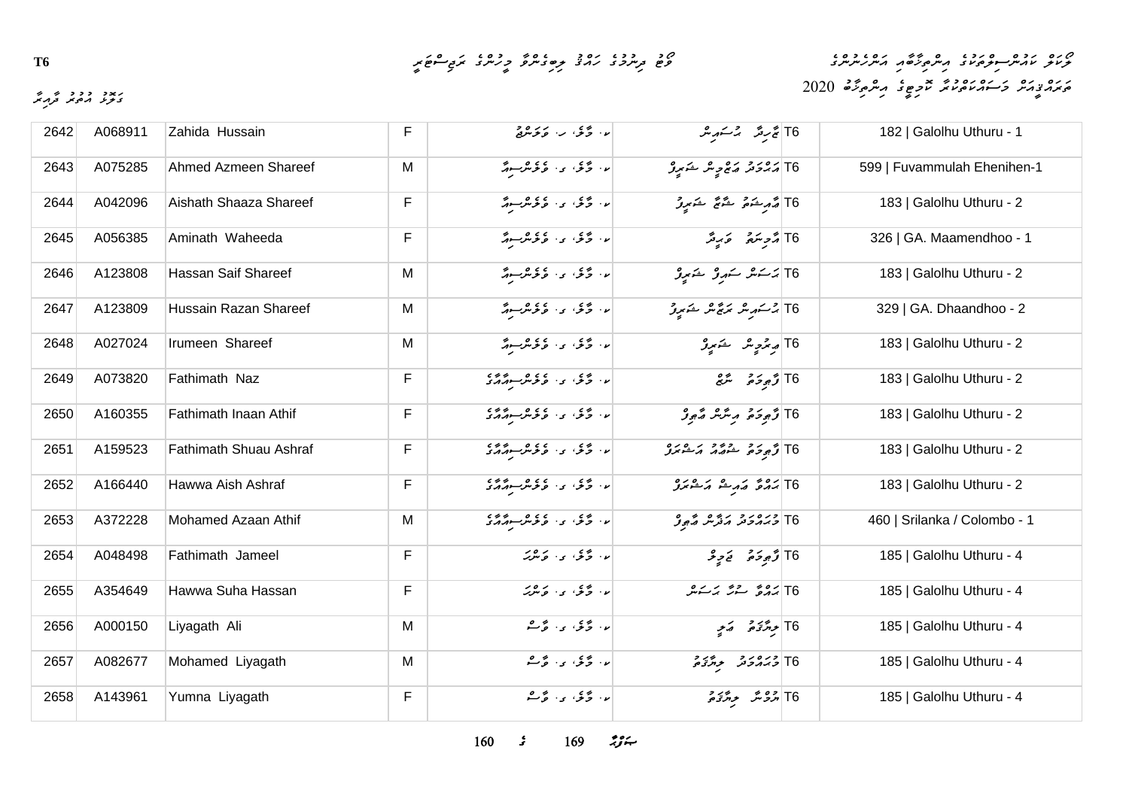*sCw7q7s5w7m< o<n9nOoAw7o< sCq;mAwBoEw7q<m; wBm;vB* م من المرة المرة المرة المرجع المرجع في المركبة 2020<br>مجم*د المريض المربوط المربع المرجع في المراجع المركبة* 

| 2642 | A068911 | Zahida Hussain                | F           | الاستخرى المسا كالمحامدة                 | T6 تج ب <i>ے بڑے ہ</i> یگر                    | 182   Galolhu Uthuru - 1     |
|------|---------|-------------------------------|-------------|------------------------------------------|-----------------------------------------------|------------------------------|
| 2643 | A075285 | Ahmed Azmeen Shareef          | M           | لا د محمود د المحموم و د مرکز            | T6 <i>גُرُدُو دُ</i> ءُ جِسْ حَ <i>بِي</i> رْ | 599   Fuvammulah Ehenihen-1  |
| 2644 | A042096 | Aishath Shaaza Shareef        | $\mathsf F$ | لا په مختې د کوچوبوړ کل                  | T6 صَّەمِ شَوَيَّةَ شَوَيْرَتَّ               | 183   Galolhu Uthuru - 2     |
| 2645 | A056385 | Aminath Waheeda               | F           | لا په مختې کې د کاموسر کله کله           | T6 مَّ <i>جِسَعَةَ عَ</i> بِيَّتَر            | 326   GA. Maamendhoo - 1     |
| 2646 | A123808 | <b>Hassan Saif Shareef</b>    | M           | $\mathcal{L} = \{x_1, x_2, \dots, x_n\}$ | T6   يَرْسَدُ سَهْرِ وَ حَمَدٍ وَ             | 183   Galolhu Uthuru - 2     |
| 2647 | A123809 | Hussain Razan Shareef         | M           | لا د محمود المال د د محمد شود کرد .      | T6 پرڪو <i>پ تر پڻ تگر ڪوپر</i> و             | 329   GA. Dhaandhoo - 2      |
| 2648 | A027024 | Irumeen Shareef               | M           | لا په مختې کې د کاموسر کله کله           | T6 <sub>مو</sub> یژویٹر خوبوژ                 | 183   Galolhu Uthuru - 2     |
| 2649 | A073820 | Fathimath Naz                 | $\mathsf F$ | ر، وی ی ویرسههای                         | T6 <i>وُّجِودَة</i> مَّدَّة                   | 183   Galolhu Uthuru - 2     |
| 2650 | A160355 | Fathimath Inaan Athif         | $\mathsf F$ | ، دې ، وگرېزمه                           | T6 <i>وَجوحَمْ مِسَّنَّدْ مُنَّج</i> و        | 183   Galolhu Uthuru - 2     |
| 2651 | A159523 | <b>Fathimath Shuau Ashraf</b> | F           | ، دې ، وگرېزمه                           | T6 ژ <sub>جو</sub> د ته مشهد کمشهر            | 183   Galolhu Uthuru - 2     |
| 2652 | A166440 | Hawwa Aish Ashraf             | F           | ر، دې د، وگوس ده.                        | T6 <i>بَدْهُ قَ</i> مَدِ شَرَ مَشْعَرُ        | 183   Galolhu Uthuru - 2     |
| 2653 | A372228 | <b>Mohamed Azaan Athif</b>    | M           |                                          | T6 <i>درور د بروه و و</i>                     | 460   Srilanka / Colombo - 1 |
| 2654 | A048498 | Fathimath Jameel              | F           | ىدا ئۇقتا يەس كەنلەرگە                   | T6 <i>وَّجِوَۃ فَی</i> ٰ جِوْ                 | 185   Galolhu Uthuru - 4     |
| 2655 | A354649 | Hawwa Suha Hassan             | F           | ىدا بۇي ئەس كەنلەر                       | T6 <i>يَدُوُّوْ سَنْ يَرْسَ</i> سُ            | 185   Galolhu Uthuru - 4     |
| 2656 | A000150 | Liyagath Ali                  | M           | ىر، بۇي بى بە بۇ شە                      | T6 <i>جِئُزَةً وَ مَ</i> حٍ                   | 185   Galolhu Uthuru - 4     |
| 2657 | A082677 | Mohamed Liyagath              | M           | لا، دېڅو، دا د همک                       | T6 <i>ڈیزو دی ج<sup>و</sup>دو</i>             | 185   Galolhu Uthuru - 4     |
| 2658 | A143961 | Yumna Liyagath                | F           | لا، دېڅو، دا د همک                       | T6 <i>مرد شور بو مرتزم</i> و                  | 185   Galolhu Uthuru - 4     |

ر **x و c c c c c c c c c c c c c c c**<br>*E <del>c c</del> c c c c c c c c c c c c c* 

 $160$  *s*  $169$  *n***<sub>3</sub>** *n*<sub>3</sub>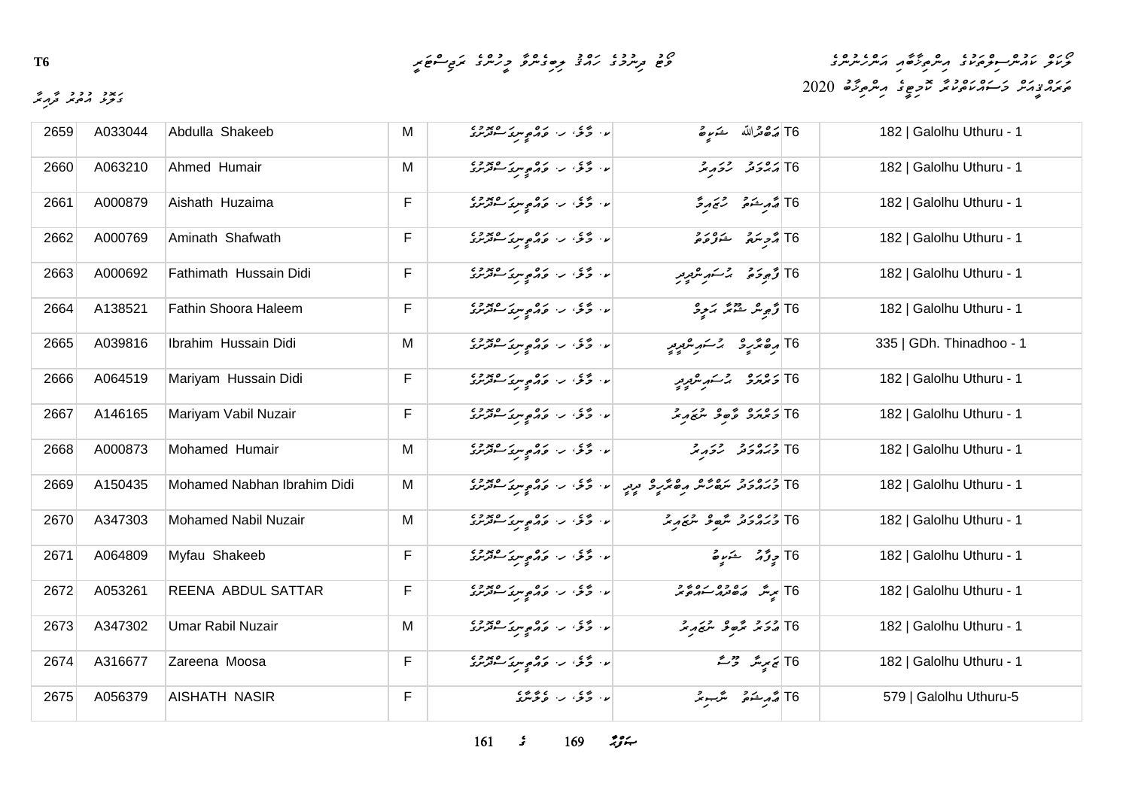*sCw7q7s5w7m< o<n9nOoAw7o< sCq;mAwBoEw7q<m; wBm;vB* م من المسجد المسجد المسجد المسجد المسجد العام 2020<br>مسجد المسجد المسجد المسجد المسجد المسجد المسجد المسجد المسجد ال

| 2659 | A033044 | Abdulla Shakeeb             | M | ر، د څو، ر، وگړې سره سردره | T6 كەڭداللە خ <i>وم ق</i>                                       | 182   Galolhu Uthuru - 1 |
|------|---------|-----------------------------|---|----------------------------|-----------------------------------------------------------------|--------------------------|
| 2660 | A063210 | Ahmed Humair                | M | ر د وي ر وه و مرکب دره د   | T6  <i>مَدْوَدٌ دُوَم</i> ِ مَ                                  | 182   Galolhu Uthuru - 1 |
| 2661 | A000879 | Aishath Huzaima             | F | ر د وي ر ده پروه بروه      | T6 مُصِيَّعَة حَيَّصَرَةً                                       | 182   Galolhu Uthuru - 1 |
| 2662 | A000769 | Aminath Shafwath            | F | ر د وي ر وه و مرکب دره د   | T6 مُرْحِبَهُمْ شَوَ <i>وْءُ</i>                                | 182   Galolhu Uthuru - 1 |
| 2663 | A000692 | Fathimath Hussain Didi      | F | ر، دمی، ر، دکھ پرسک معدد د | T6 <i>وَّجِودَة حَمَّد مَرْسَمَ بِمُرْسِرِيرِ</i>               | 182   Galolhu Uthuru - 1 |
| 2664 | A138521 | Fathin Shoora Haleem        | F | ر د وي ر ده پروه بروه      | T6 أَوَّهِ مَرْ مِنْتَمَرَّ مَرْجِرَ                            | 182   Galolhu Uthuru - 1 |
| 2665 | A039816 | Ibrahim Hussain Didi        | M | ر د وي ر وه و مرکب دره د   |                                                                 | 335   GDh. Thinadhoo - 1 |
| 2666 | A064519 | Mariyam Hussain Didi        | F | ر د وي ر وه و مرکب دره د   | T6 كەبەر قارىم ئارسى ئارىسى ئارىسى T6                           | 182   Galolhu Uthuru - 1 |
| 2667 | A146165 | Mariyam Vabil Nuzair        | F | ر د وي ر ده پروه بروه      | T6 <i>كَمُرْمَرْكَ قُرْحَةً مِرْبَعُ مِ</i> بِرَ                | 182   Galolhu Uthuru - 1 |
| 2668 | A000873 | Mohamed Humair              | M | ر د وي ر ده پروه بروه      | T6 <i>وبروبر دوم</i> تر                                         | 182   Galolhu Uthuru - 1 |
| 2669 | A150435 | Mohamed Nabhan Ibrahim Didi | M |                            | T6 در دورو رومه مه مهرد و مرمد با از دور از از مهرم مورد در دور | 182   Galolhu Uthuru - 1 |
| 2670 | A347303 | <b>Mohamed Nabil Nuzair</b> | M | ر د وي ر وه و مرکب دره د   | T6 <i>دېروند شوې شخ</i> م <i>ب</i> ر                            | 182   Galolhu Uthuru - 1 |
| 2671 | A064809 | Myfau Shakeeb               | F | ر د وي ر وه و مرکب دره د   | T6 <i>جِ وَدَّة</i> شَمَعٍ صَحْبِ                               | 182   Galolhu Uthuru - 1 |
| 2672 | A053261 | REENA ABDUL SATTAR          | F | ر د وي ر ده پروه بروه      | T6 برنگر بره ده بره و د                                         | 182   Galolhu Uthuru - 1 |
| 2673 | A347302 | Umar Rabil Nuzair           | M | ر ده و در وه وسر کرده و د  | T6 <i>مۇنىڭ بۇي قىرىتقىدى</i> ر                                 | 182   Galolhu Uthuru - 1 |
| 2674 | A316677 | Zareena Moosa               | F | ر د وي ر وه و مرکب دره د   | T6 تج پر نثر ہ <sup>ی ج</sup>                                   | 182   Galolhu Uthuru - 1 |
| 2675 | A056379 | <b>AISHATH NASIR</b>        | F | ، دۇئى را ئۇنىڭ            | T6 <i>مُّهرِ شَهُمُ</i> مُ <i>ُّرْسِومُرُ</i>                   | 579   Galolhu Uthuru-5   |

*161 sC 169 nNw?mS*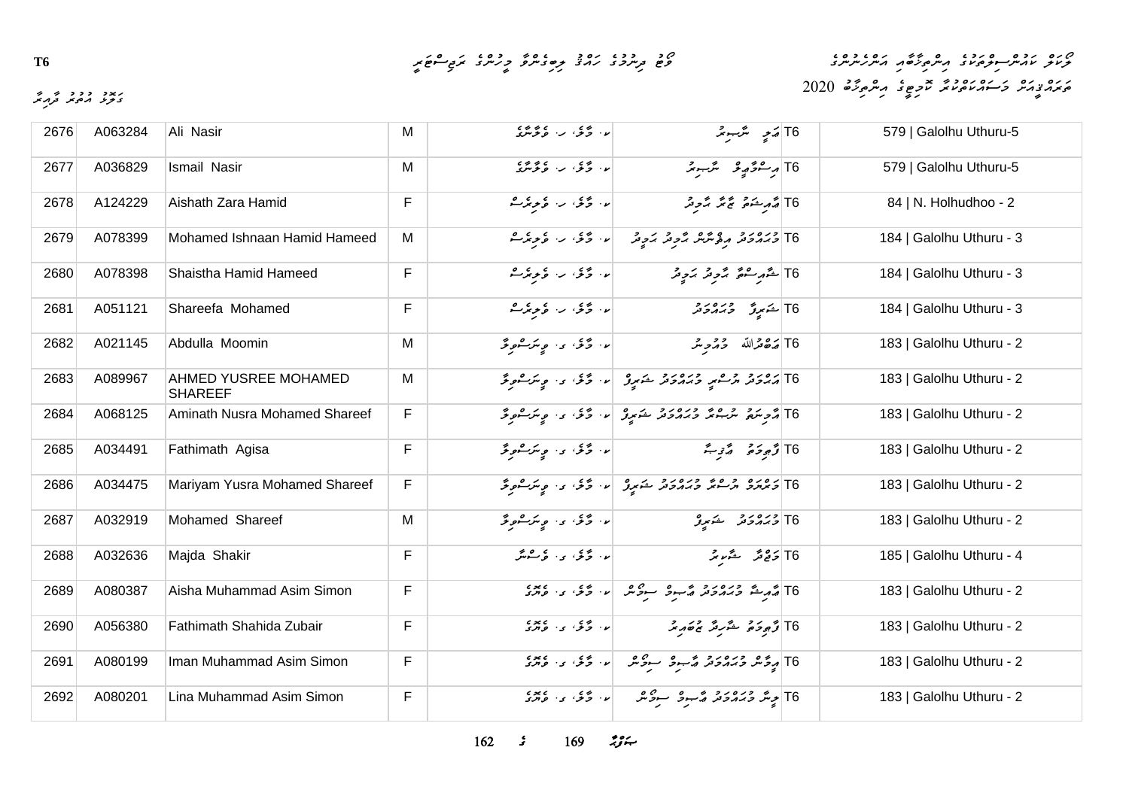*sCw7q7s5w7m< o<n9nOoAw7o< sCq;mAwBoEw7q<m; wBm;vB* م من المسجد المسجد المسجد المسجد المسجد العام 2020<br>مسجد المسجد المسجد المسجد المسجد المسجد المسجد المسجد المسجد ال

| 2676 | A063284 | Ali Nasir                                     | м | لىن ئۇنق، سە ئۇقىدى            | T6  کی موسیقی میں مقدم ا                                                                              | 579   Galolhu Uthuru-5   |
|------|---------|-----------------------------------------------|---|--------------------------------|-------------------------------------------------------------------------------------------------------|--------------------------|
| 2677 | A036829 | Ismail Nasir                                  | M | ، دَبَي رَ وَوَّسَمَدُ         | T6 <sub>م</sub> رےد <i>ۇ پى</i> ر مگرىبونمى                                                           | 579   Galolhu Uthuru-5   |
| 2678 | A124229 | Aishath Zara Hamid                            | F | لا : دَّى را ەُمْمَىرْ ش       | T6 م <i>ۇم شۇمۇ</i> ئۇنجە ئ <i>ۈر ق</i> ر                                                             | 84   N. Holhudhoo - 2    |
| 2679 | A078399 | Mohamed Ishnaan Hamid Hameed                  | M |                                | T6 درەرد مۇش، ئەدە ئەدەر - ئاس ئى ئاس ئادىن                                                           | 184   Galolhu Uthuru - 3 |
| 2680 | A078398 | Shaistha Hamid Hameed                         | F | ئار گەنگە را ئە كەنگەشكە       | T6 ڪمر سگھ گرونگر کر <sub>و</sub> نگر                                                                 | 184   Galolhu Uthuru - 3 |
| 2681 | A051121 | Shareefa Mohamed                              | F | $\sim$ وَدَى ر $\sim$ وَمِرْكَ | T6 خ <i>تىرۇ ئىمگەن</i> مىز                                                                           | 184   Galolhu Uthuru - 3 |
| 2682 | A021145 | Abdulla Moomin                                | M | الا دمجني الماسي ولكره ولمحدث  | T6 كەھەراللە ج <sup>ە</sup> جەمە                                                                      | 183   Galolhu Uthuru - 2 |
| 2683 | A089967 | <b>AHMED YUSREE MOHAMED</b><br><b>SHAREEF</b> | M |                                | T6 كەرەر كەرمىي دىرەرد خەردۇ (سەنجى) مەستەم ئى                                                        | 183   Galolhu Uthuru - 2 |
| 2684 | A068125 | Aminath Nusra Mohamed Shareef                 | F |                                | T6 مُرْسِرَة - و- و- و- ورور - شهرِ في الله الحري الله - المحلوم المحمد المحمد المحمد المحمد المحمد ا | 183   Galolhu Uthuru - 2 |
| 2685 | A034491 | Fathimath Agisa                               | F |                                | .<br>T6 توجر مۇنىڭ كەسى بەرگەن بەيدىش بۇ                                                              | 183   Galolhu Uthuru - 2 |
| 2686 | A034475 | Mariyam Yusra Mohamed Shareef                 | F |                                | T6 د ه ده و ه د مدرود و د برو الا او د الا و مرکز الموثر المحمد و مرکز الله دیگر                      | 183   Galolhu Uthuru - 2 |
| 2687 | A032919 | Mohamed Shareef                               | М | ئەس ئىچ كەن ئەر بەر شەھرىچى ك  | T6 <i>32828</i> شەمر <i>ۇ</i>                                                                         | 183   Galolhu Uthuru - 2 |
| 2688 | A032636 | Majda Shakir                                  | F | لار ئۇق ي ئاھاشى               | T6ح <i>قى قىڭ مەنى</i> ر                                                                              | 185   Galolhu Uthuru - 4 |
| 2689 | A080387 | Aisha Muhammad Asim Simon                     | F |                                | T6 حُمدِ شَد ورور حَرَّمَ حُسِوط سوڤار الله الحرَّمُ المَالِمَ وَاللهُ                                | 183   Galolhu Uthuru - 2 |
| 2690 | A056380 | Fathimath Shahida Zubair                      | F | پارستخ کې او د دې              | T6 <i>وَّج</i> وحَة حَسَّرتَدَّ بمَعَه بِمُ                                                           | 183   Galolhu Uthuru - 2 |
| 2691 | A080199 | Iman Muhammad Asim Simon                      | F |                                | T6 رومه دره دو و مسوو سومه الاستراحات المعده                                                          | 183   Galolhu Uthuru - 2 |
| 2692 | A080201 | Lina Muhammad Asim Simon                      | F |                                |                                                                                                       | 183   Galolhu Uthuru - 2 |

*n8o<n@ q8qAq< q:uBmC*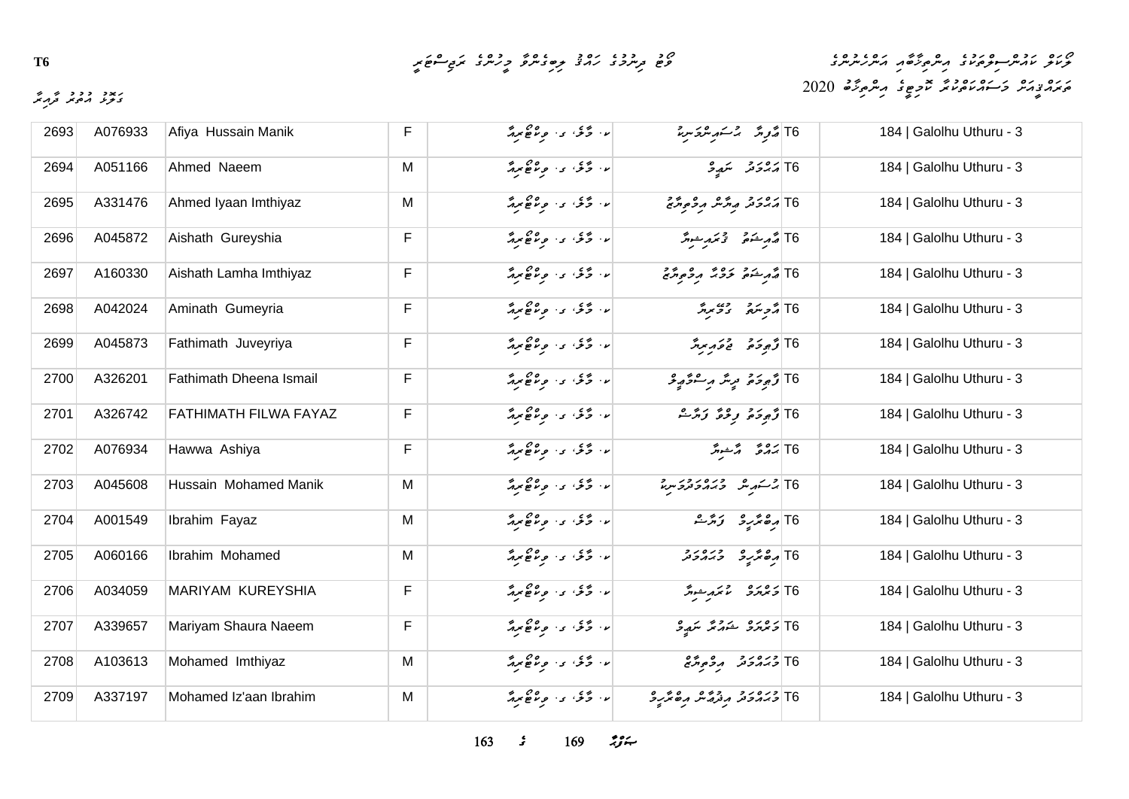*sCw7q7s5w7m< o<n9nOoAw7o< sCq;mAwBoEw7q<m; wBm;vB* م من المرة المرة المرة المرجع المرجع في المركبة 2020<br>مجم*د المريض المربوط المربع المرجع في المراجع المركبة* 

| ريدد دود عرم تر<br>تحريح ما مهر عرم تر |
|----------------------------------------|
|----------------------------------------|

| 2693 | A076933 | Afiya Hussain Manik      | F            | ۱۰ څخه ی وروغېزم <sup>ه</sup>                                                                       | T6 <i>مُزْوِيرٌ بِرُسَوْيِرِيرُوْيَبِرِيرْ</i>         | 184   Galolhu Uthuru - 3 |
|------|---------|--------------------------|--------------|-----------------------------------------------------------------------------------------------------|--------------------------------------------------------|--------------------------|
| 2694 | A051166 | Ahmed Naeem              | M            | لا د څخه د ولاځمد                                                                                   | T6 <i>בُرْدُوَ مَّهِ وُ</i>                            | 184   Galolhu Uthuru - 3 |
| 2695 | A331476 | Ahmed Iyaan Imthiyaz     | M            | لا د محمد د و مانج مردم                                                                             | T6 كەندىرى مەمگىر مەدمۇم <i>گى</i> ج                   | 184   Galolhu Uthuru - 3 |
| 2696 | A045872 | Aishath Gureyshia        | $\mathsf F$  | $\stackrel{0}{\lambda}$                                                                             | T6 م <i>ەم ھەم تى تىم مەمىرى</i> بىر                   | 184   Galolhu Uthuru - 3 |
| 2697 | A160330 | Aishath Lamha Imthiyaz   | F            | لا د محمد د و مانج مردم                                                                             | T6 مُصِنْعَمْ مَرْدَبُّهُ مِرْمِوْمَىْ                 | 184   Galolhu Uthuru - 3 |
| 2698 | A042024 | Aminath Gumeyria         | $\mathsf F$  | لا د څخه د ولاځمد                                                                                   | T6 مُر <i>ج مَدَّة وَمَحْبَّدة</i> ُ                   | 184   Galolhu Uthuru - 3 |
| 2699 | A045873 | Fathimath Juveyriya      | $\mathsf{F}$ | الا د څخه د ولاځمده.                                                                                | T6 <i>وُّجِوحَةْ</i> قَاحَدِ مِرْدَّ                   | 184   Galolhu Uthuru - 3 |
| 2700 | A326201 | Fathimath Dheena Ismail  | F            | الا د څخه د ولاځمده.                                                                                | T6 <i>وُجوحَمْ مِرِسُّرٌ <sub>مُر</sub>َحَدَّمٍ وُ</i> | 184   Galolhu Uthuru - 3 |
| 2701 | A326742 | FATHIMATH FILWA FAYAZ    | $\mathsf F$  | ۱۰ د څو، د ورځ برو                                                                                  | T6 <i>وَّجِوَدَهُ و</i> ِحْرَّ وَ <i>مَّ</i> رَّتْ     | 184   Galolhu Uthuru - 3 |
| 2702 | A076934 | Hawwa Ashiya             | F            | الا د محمد المعدد و مع محمد محمد الله المعدد محمد الله الله عليه الله عليه الله عليه الله عليه الله | T6 <i>بَدْدُوَّ</i> مُّسْتَمَّ                         | 184   Galolhu Uthuru - 3 |
| 2703 | A045608 | Hussain Mohamed Manik    | M            | الاستحق والمقابلة                                                                                   | T6 يُرْسَمْ مِنْ مُحْمَدَ مِنْ مِنْ مِنْ مِنْ مِنْ     | 184   Galolhu Uthuru - 3 |
| 2704 | A001549 | Ibrahim Fayaz            | M            | لا د محمد و موسيق مردم ک                                                                            | T6 مەھە <i>ترى</i> دۇ كەترىشە                          | 184   Galolhu Uthuru - 3 |
| 2705 | A060166 | Ibrahim Mohamed          | M            | ۱۰ د څخه د ورځ پرو                                                                                  | T6 مەھم <i>گى</i> رو ئەممىقىر                          | 184   Galolhu Uthuru - 3 |
| 2706 | A034059 | <b>MARIYAM KUREYSHIA</b> | $\mathsf F$  | الاستحق ي ولاهمه                                                                                    | T6 كەبەر ئەتمەر شەم <b>گ</b>                           | 184   Galolhu Uthuru - 3 |
| 2707 | A339657 | Mariyam Shaura Naeem     | F            | 2.899.2.3.2.4                                                                                       | T6 <i>وَجْهَدُوْ َ جُدْمَدُ سَمِي</i> وْ               | 184   Galolhu Uthuru - 3 |
| 2708 | A103613 | Mohamed Imthiyaz         | M            | لا د څخه د ورځ مرتم                                                                                 | T6 <i>בُגُרْכ</i> َى مِوْجِهِرَّج                      | 184   Galolhu Uthuru - 3 |
| 2709 | A337197 | Mohamed Iz'aan Ibrahim   | M            | لا د څخه د ومقومه                                                                                   | T6   دبرو د د بروژه رو برگرد                           | 184   Galolhu Uthuru - 3 |

 $163$  *s*  $169$  *i***<sub>s</sub>** $\frac{2}{5}$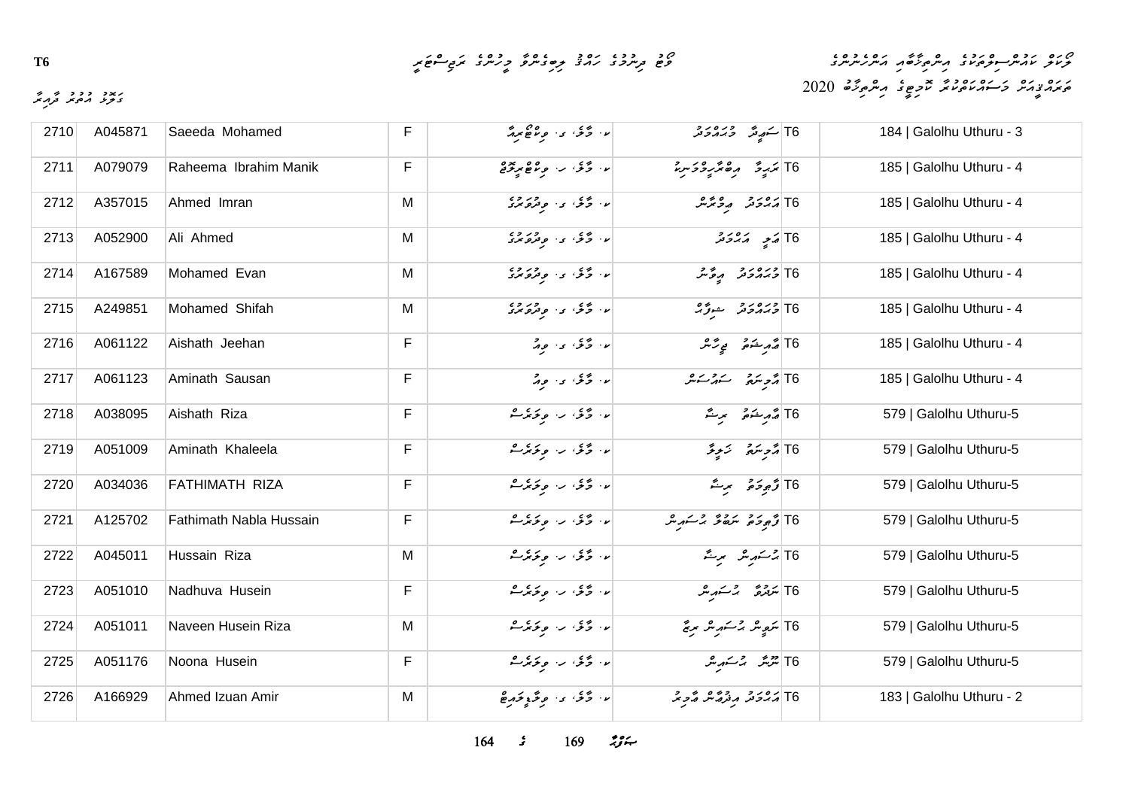*sCw7q7s5w7m< o<n9nOoAw7o< sCq;mAwBoEw7q<m; wBm;vB* م من المرة المرة المرة المرجع المرجع في المركبة 2020<br>مجم*د المريض المربوط المربع المرجع في المراجع المركبة* 

|  | ر پور د د د عرم عر |  |  |
|--|--------------------|--|--|
|--|--------------------|--|--|

| 2710 | A045871 | Saeeda Mohamed          | F            | الا د څخه د اولاغ بروگ        | T6  س <i>َموِمَّد حُبُدُومَّد</i>               | 184   Galolhu Uthuru - 3 |
|------|---------|-------------------------|--------------|-------------------------------|-------------------------------------------------|--------------------------|
| 2711 | A079079 | Raheema Ibrahim Manik   | $\mathsf F$  | ر، دې ر، وراغېږده             | T6 <i>بَدْيِرةُ وِهْ بَدُّرِ دْ دَ بِرِي</i> رْ | 185   Galolhu Uthuru - 4 |
| 2712 | A357015 | Ahmed Imran             | M            | الا د څخه د الموفرونه         | T6 <i>בکی قرانی مرگ</i> ینگر                    | 185   Galolhu Uthuru - 4 |
| 2713 | A052900 | Ali Ahmed               | M            | لا د څخه د الوفروه            | T6 <i>حَرِ حَدْدَوْ</i>                         | 185   Galolhu Uthuru - 4 |
| 2714 | A167589 | Mohamed Evan            | M            | ر د گري کې وتروپن             | T6 <i>\$22.2 قرقى</i> گر                        | 185   Galolhu Uthuru - 4 |
| 2715 | A249851 | Mohamed Shifah          | M            | ر د هې د وتروبره              | $75.222$ $-16$                                  | 185   Galolhu Uthuru - 4 |
| 2716 | A061122 | Aishath Jeehan          | F            | الأرمح يحوار والمحمد          | T6 <i>مُفرِيشَة وِگُنْر</i>                     | 185   Galolhu Uthuru - 4 |
| 2717 | A061123 | Aminath Sausan          | $\mathsf{F}$ | پار گچې ای او م               | T6 مُ <i>جِينَهُ جَيْرُ جَيْرُ</i>              | 185   Galolhu Uthuru - 4 |
| 2718 | A038095 | Aishath Riza            | $\mathsf F$  | ر، دَبَی را وِنَزَرْ و        | T6 م <i>ەرشىمى بې</i> ش                         | 579   Galolhu Uthuru-5   |
| 2719 | A051009 | Aminath Khaleela        | F            | الا د د د الله د برو د کرد.   | T6 مُ <i>وِسَعْ</i> دَمِعَ مُ                   | 579   Galolhu Uthuru-5   |
| 2720 | A034036 | <b>FATHIMATH RIZA</b>   | $\mathsf{F}$ | الا د د د الله د برو د ک      | 76 <i>وُّهِ وَهُ</i> مِنْ مِنْ                  | 579   Galolhu Uthuru-5   |
| 2721 | A125702 | Fathimath Nabla Hussain | F            | الا د د د الله د برو د ک      | T6 <i>وَّجِودَةُ</i> سَهْءٌ بِرَسَهِ سَ         | 579   Galolhu Uthuru-5   |
| 2722 | A045011 | Hussain Riza            | M            | ، دَی را وِترَ را ع           | T6 پُرکرپٹر برگ                                 | 579   Galolhu Uthuru-5   |
| 2723 | A051010 | Nadhuva Husein          | $\mathsf F$  | الا : دَکَنْ لا عِنْ عَرْمَتْ | T6 يتر <i>وڭ بى</i> شەر ش                       | 579   Galolhu Uthuru-5   |
| 2724 | A051011 | Naveen Husein Riza      | M            | ئەس ئۇنى سەر ئەي ئۇنىڭ ئا     | T6 سَمِوِيْتَرَ بِرْسَمَ بِرِيْحَ – مِرْيَجَ    | 579   Galolhu Uthuru-5   |
| 2725 | A051176 | Noona Husein            | $\mathsf F$  | ا ، د د کار ، د د برد ک       | T6 نتر <i>ينگ برڪورينگ</i>                      | 579   Galolhu Uthuru-5   |
| 2726 | A166929 | Ahmed Izuan Amir        | M            | لا د څخه د لوڅوکړه            | T6 <i>גُرْدُوَدْ مِغْرَمُ</i> مُ <i>دْمِ</i> رْ | 183   Galolhu Uthuru - 2 |

**164** *s* **169** *if*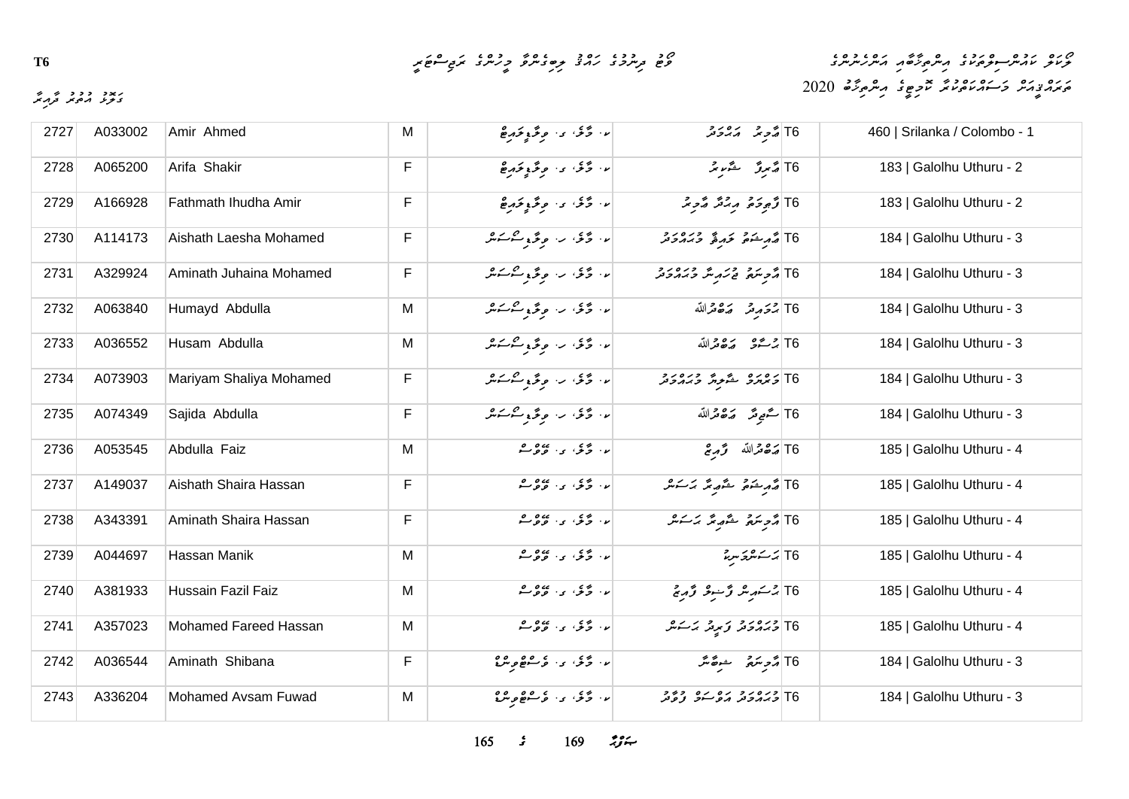*sCw7q7s5w7m< o<n9nOoAw7o< sCq;mAwBoEw7q<m; wBm;vB 2020<sup>, م</sup>وسر در مدد مدرج به مدرم مقرم قرار 2020*<br>موسر المستقرم المستقرم المستقرم المستقرم المستقرم المستقرم المستقرم المستقرم المستقرم المستقرم المستقرم المستقر

| 2727 | A033002 | Amir Ahmed              | M | لا د څکې د الوڅوکمهغ                   | T6 م <i>جُوبِرْ مَدْدَوْرْ</i>                                                                                 | 460   Srilanka / Colombo - 1 |
|------|---------|-------------------------|---|----------------------------------------|----------------------------------------------------------------------------------------------------------------|------------------------------|
| 2728 | A065200 | Arifa Shakir            | F | $ v $ د د د و د و د د و د د ه $ v $    | T6 ڪيبرڙ ڪ <sub>يب</sub> ر                                                                                     | 183   Galolhu Uthuru - 2     |
| 2729 | A166928 | Fathmath Ihudha Amir    | F | ، دُی د وِدٌ دَوِهِ                    | T6 <i>وُّجوحَمْ مِ</i> يْعَرُّ مُ <i>وْج</i> َرُ                                                               | 183   Galolhu Uthuru - 2     |
| 2730 | A114173 | Aishath Laesha Mohamed  | F | لار ۇقۇرىز، بوقۇ يەسكەنلەر             | T6 مُصِحَمَ وَصِعٌ وَيَهُووَ                                                                                   | 184   Galolhu Uthuru - 3     |
| 2731 | A329924 | Aminath Juhaina Mohamed | F | لا . ۇقۇرىز بوقۇ يەسكەنلەر             | T6 أَمُّ مِسَمَّعٍ فَيَرَ مِسَمَّ وَيَرَ مَرَّ وَ                                                              | 184   Galolhu Uthuru - 3     |
| 2732 | A063840 | Humayd Abdulla          | M | ر، ۇقۇر سا ب <sub>و</sub> گرى سىمسكىلە | T6  يُحَمِيعُ صَ <b>صْ</b> قَرْاللَّه                                                                          | 184   Galolhu Uthuru - 3     |
| 2733 | A036552 | Husam Abdulla           | M | لار ئۇقۇر سا بوقۇ يەسكەنلەر            | T6 يُرْسُوْ     پرهورالله                                                                                      | 184   Galolhu Uthuru - 3     |
| 2734 | A073903 | Mariyam Shaliya Mohamed | F | لار ۇقۇرىز، بوقۇ يەسكەنلەر             | T6 وبرمرو گرومز وبرماد و                                                                                       | 184   Galolhu Uthuru - 3     |
| 2735 | A074349 | Sajida Abdulla          | F | لار ئۇقۇر سا بوقۇ يەسكەنلەر            | T6 گوم <i>قر مگر ه</i> نگرالله                                                                                 | 184   Galolhu Uthuru - 3     |
| 2736 | A053545 | Abdulla Faiz            | M | ىر، بۇي بىر، مەھ ھ                     | T6 مَەھتراللە ق <sub>ە</sub> مى                                                                                | 185   Galolhu Uthuru - 4     |
| 2737 | A149037 | Aishath Shaira Hassan   | F | لار محتى بن عام ھاگ                    | T6 <i>۾ُوحَمَوَ حُومِيَّ بَ</i> ڪِسُ                                                                           | 185   Galolhu Uthuru - 4     |
| 2738 | A343391 | Aminath Shaira Hassan   | F | ىر، بۇي بىر، مەھ ب                     | T6 <i>مُزْجِ سَعْوَ شَهِ بِدُ</i> بَرَسَةَ سُرَ                                                                | 185   Galolhu Uthuru - 4     |
| 2739 | A044697 | Hassan Manik            | M | ر، گ <sup>و</sup> ی که ۱۵۵۵ ه          | T6 ئەسەئىدى بىرى <i>ڭ</i>                                                                                      | 185   Galolhu Uthuru - 4     |
| 2740 | A381933 | Hussain Fazil Faiz      | M | ىر بەقتى بىر مەھ ھە                    | T6 پرستمبر بھ توسیح توریج                                                                                      | 185   Galolhu Uthuru - 4     |
| 2741 | A357023 | Mohamed Fareed Hassan   | M | ىر، ئۇق، يەرەھ ھەر                     | T6  <i>32,35 وَبِرِيرْ بَرَسَ</i> سَ                                                                           | 185   Galolhu Uthuru - 4     |
| 2742 | A036544 | Aminath Shibana         | F |                                        | T6  <i>مُّحِسَمُ</i> مُعَمَّد                                                                                  | 184   Galolhu Uthuru - 3     |
| 2743 | A336204 | Mohamed Avsam Fuwad     | M | لا د څخه د او شوه وسی                  | T6 تربره بر تر بر بر بر استریبر استفاده بر استفاده بر استفاده بر استفاده بر استفاده بر استفاده بر استفاده بر ا | 184   Galolhu Uthuru - 3     |

*165 sC 169 nNw?mS*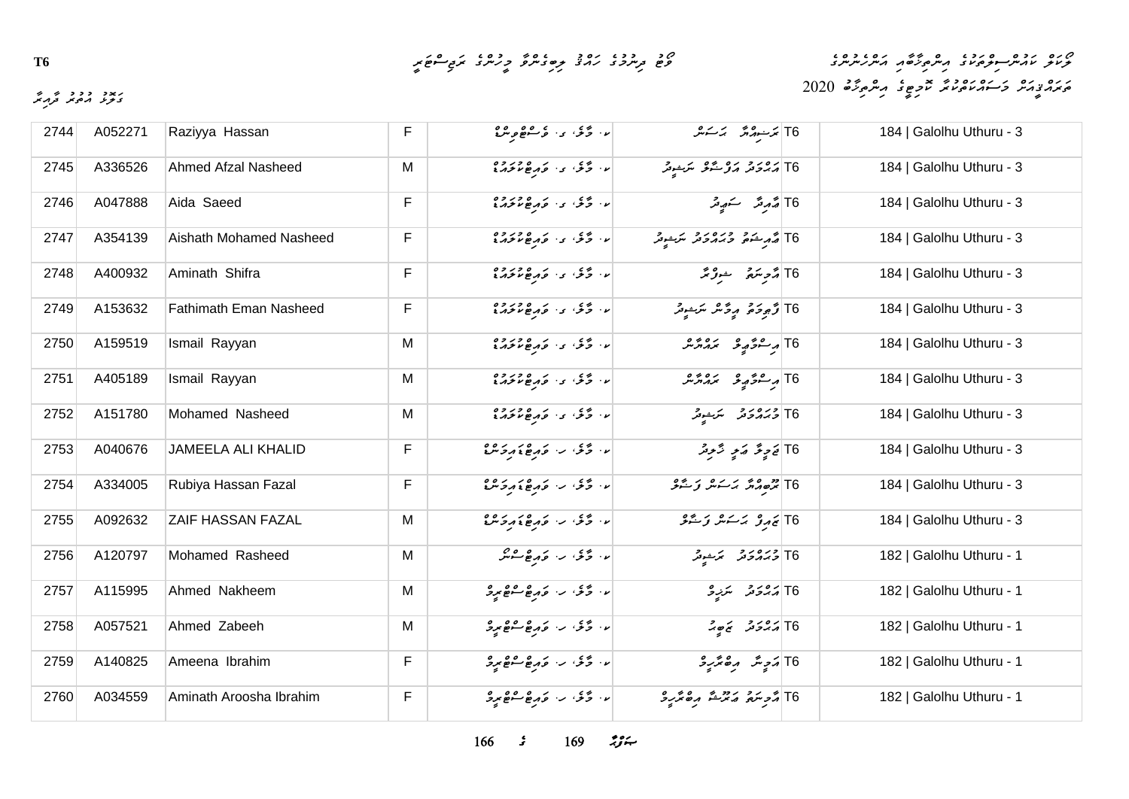*sCw7q7s5w7m< o<n9nOoAw7o< sCq;mAwBoEw7q<m; wBm;vB* م من المسجد المسجد المسجد المسجد المسجد العام 2020<br>مسجد المسجد المسجد المسجد المسجد المسجد المسجد المسجد المسجد ال

| 2744 | A052271 | Raziyya Hassan                | F |                                                                                                                                                                                                                                                                                                                              | T6 <i>تزىنىدۇ. تۇ</i> تەسەئىر                                      | 184   Galolhu Uthuru - 3 |
|------|---------|-------------------------------|---|------------------------------------------------------------------------------------------------------------------------------------------------------------------------------------------------------------------------------------------------------------------------------------------------------------------------------|--------------------------------------------------------------------|--------------------------|
| 2745 | A336526 | <b>Ahmed Afzal Nasheed</b>    | M | $\frac{1}{2}$                                                                                                                                                                                                                                                                                                                | T6 <i>גُرُوَنْډُ ډَوْ -تُ</i> نُو سَ <i>رْجُودُ</i>                | 184   Galolhu Uthuru - 3 |
| 2746 | A047888 | Aida Saeed                    | F | $\begin{array}{cc} 0 & 2 & 2 & 0 \\ 2 & 0 & 2 & 0 \\ 3 & 0 & 3 & 0 \end{array}$                                                                                                                                                                                                                                              | T6 م <i>حمد محمد شر</i>                                            | 184   Galolhu Uthuru - 3 |
| 2747 | A354139 | Aishath Mohamed Nasheed       | F | $\begin{bmatrix} 0 & 0 & 0 & 0 & 0 & 0 & 0 & 0 \\ 0 & 0 & 0 & 0 & 0 & 0 & 0 & 0 \\ 0 & 0 & 0 & 0 & 0 & 0 & 0 & 0 \\ 0 & 0 & 0 & 0 & 0 & 0 & 0 & 0 \\ 0 & 0 & 0 & 0 & 0 & 0 & 0 & 0 \\ 0 & 0 & 0 & 0 & 0 & 0 & 0 & 0 \\ 0 & 0 & 0 & 0 & 0 & 0 & 0 & 0 \\ 0 & 0 & 0 & 0 & 0 & 0 & 0 & 0 \\ 0 & 0 & 0 & 0 & 0 & 0 & 0 & $       | T6 مُهرِسَمَ وَيَرْمُونَهُ سَرَسِوتُر                              | 184   Galolhu Uthuru - 3 |
| 2748 | A400932 | Aminath Shifra                | F | $\begin{pmatrix} 0 & 0 & 0 & 0 & 0 \\ 0 & 0 & 0 & 0 & 0 \\ 0 & 0 & 0 & 0 & 0 \\ 0 & 0 & 0 & 0 & 0 \\ 0 & 0 & 0 & 0 & 0 \\ 0 & 0 & 0 & 0 & 0 \\ 0 & 0 & 0 & 0 & 0 \\ 0 & 0 & 0 & 0 & 0 \\ 0 & 0 & 0 & 0 & 0 \\ 0 & 0 & 0 & 0 & 0 \\ 0 & 0 & 0 & 0 & 0 \\ 0 & 0 & 0 & 0 & 0 \\ 0 & 0 & 0 & 0 & 0 \\ 0 & 0 & 0 & 0 & 0 \\ 0 & $ | T6 م <i>گرم مگرم شور مگر</i>                                       | 184   Galolhu Uthuru - 3 |
| 2749 | A153632 | <b>Fathimath Eman Nasheed</b> | F | $\begin{pmatrix} 0 & 0 & 0 & 0 \\ 0 & 0 & 0 & 0 \\ 0 & 0 & 0 & 0 \end{pmatrix}$                                                                                                                                                                                                                                              | T6 <i>وَّجِودَة <sub>بِر</sub>وَّنْد مَرْشِيْد</i> َ               | 184   Galolhu Uthuru - 3 |
| 2750 | A159519 | Ismail Rayyan                 | M | $\begin{pmatrix} 0 & 0 & 0 & 0 \\ 0 & 0 & 0 & 0 \\ 0 & 0 & 0 & 0 \end{pmatrix}$                                                                                                                                                                                                                                              | T6 <sub>م</sub> ِ سُوَّ <sub>مِ</sub> پَر <i>مُ</i> مُرَ مُرَّ مِ  | 184   Galolhu Uthuru - 3 |
| 2751 | A405189 | Ismail Rayyan                 | M | $\begin{pmatrix} 0 & 0 & 0 & 0 \\ 0 & 0 & 0 & 0 \\ 0 & 0 & 0 & 0 \end{pmatrix}$                                                                                                                                                                                                                                              | T6م م <i>حدَّم</i> ِ وَمحمد محمد الله عليه الله                    | 184   Galolhu Uthuru - 3 |
| 2752 | A151780 | Mohamed Nasheed               | M | $\begin{pmatrix} 0 & 0 & 0 & 0 \\ 0 & 0 & 0 & 0 \\ 0 & 0 & 0 & 0 \end{pmatrix}$                                                                                                                                                                                                                                              | T6 <i>وُبَرُوْدَوْ بَرَجِيْرِ</i>                                  | 184   Galolhu Uthuru - 3 |
| 2753 | A040676 | <b>JAMEELA ALI KHALID</b>     | F | لا د کلی را کاروونکی د کار                                                                                                                                                                                                                                                                                                   | T6  ق <i>وِ ڈ کو ڈون</i> ڈ                                         | 184   Galolhu Uthuru - 3 |
| 2754 | A334005 | Rubiya Hassan Fazal           | F | $\frac{1}{2}$                                                                                                                                                                                                                                                                                                                | T6 برەمەر ئەسەھ ئ <sup>ەيد</sup> و                                 | 184   Galolhu Uthuru - 3 |
| 2755 | A092632 | <b>ZAIF HASSAN FAZAL</b>      | M | $\frac{1}{2}$                                                                                                                                                                                                                                                                                                                | T6 يَهرِوْ بَرَسَيْنَ وَسَدَّوْ                                    | 184   Galolhu Uthuru - 3 |
| 2756 | A120797 | Mohamed Rasheed               | M | لا : دَ دَ الله عَ رَضَ عَ اللَّهُ عَلَيْهِ                                                                                                                                                                                                                                                                                  | T6 <i>وُبَرُوْدَوْ بَرَحْبِيْرُ</i>                                | 182   Galolhu Uthuru - 1 |
| 2757 | A115995 | Ahmed Nakheem                 | M | لا د کار د کاره شوم برد                                                                                                                                                                                                                                                                                                      | T6 <i>בُرْدُوَ تَرْدِ</i> وْ                                       | 182   Galolhu Uthuru - 1 |
| 2758 | A057521 | Ahmed Zabeeh                  | M |                                                                                                                                                                                                                                                                                                                              | T6 <i>גُرْدَنْدْ بَنْ و</i> َرْ                                    | 182   Galolhu Uthuru - 1 |
| 2759 | A140825 | Ameena Ibrahim                | F |                                                                                                                                                                                                                                                                                                                              | T6 كەچ ئىر مەھ ئ <i>ۇر</i> 3                                       | 182   Galolhu Uthuru - 1 |
| 2760 | A034559 | Aminath Aroosha Ibrahim       | F |                                                                                                                                                                                                                                                                                                                              | T6 أ <i>مُّ حِسَمَةً مِنْ مُحَمَّدٍ حَسَنَةً مِنْ مَحَمَّدٍ حَ</i> | 182   Galolhu Uthuru - 1 |

### *n8o<n@ q8qAq< q:uBmC*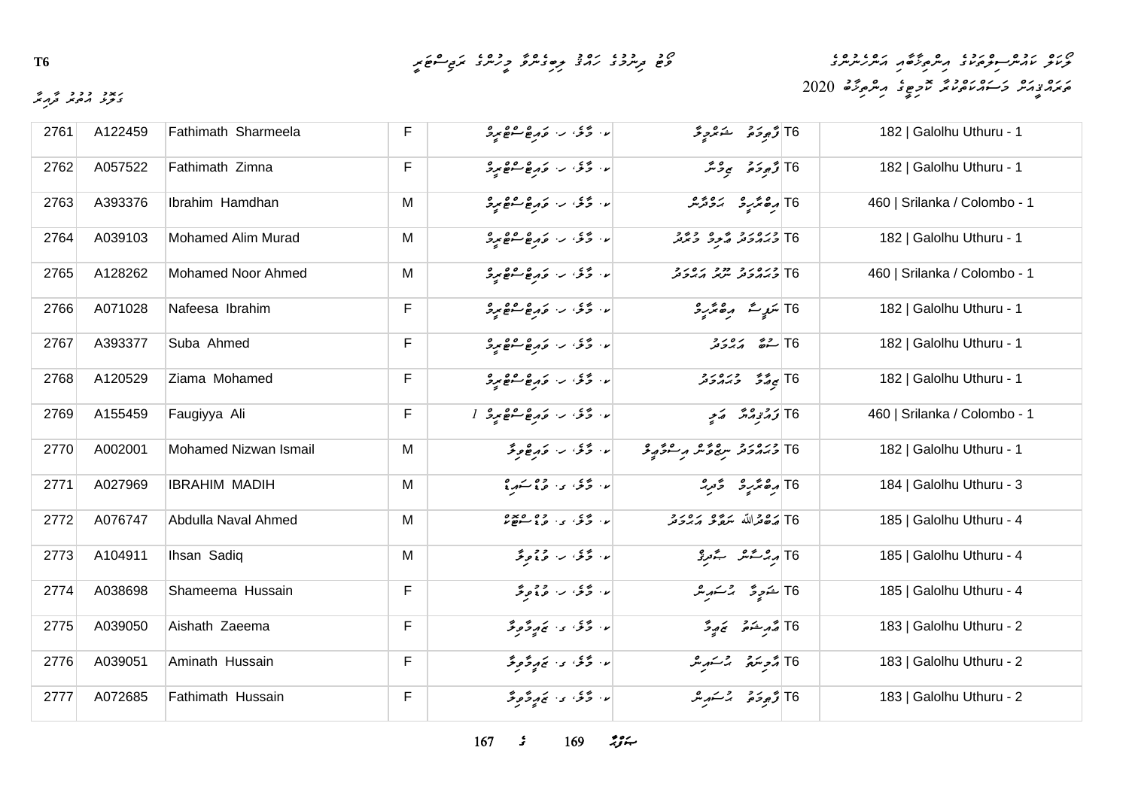*sCw7q7s5w7m< o<n9nOoAw7o< sCq;mAwBoEw7q<m; wBm;vB* م من المسجد المسجد المسجد المسجد المسجد العام 2020<br>مسجد المسجد المسجد المسجد المسجد المسجد المسجد المسجد المسجد ال

| 2761 | A122459 | Fathimath Sharmeela       | F           | لا المحكوم الاستراكية والمتفاعدة                    | T6 <i>وَّ. وِحَمْ شَهْرِ وَ</i> ّ         | 182   Galolhu Uthuru - 1     |
|------|---------|---------------------------|-------------|-----------------------------------------------------|-------------------------------------------|------------------------------|
| 2762 | A057522 | Fathimath Zimna           | F           | لا د د کاره کاره کارو د د                           | T6 ز <sub>نجو</sub> ځو پ <sub>و</sub> ځنگ | 182   Galolhu Uthuru - 1     |
| 2763 | A393376 | Ibrahim Hamdhan           | M           | لا د د کاره کاره کارو د د                           | T6 مەھ <i>مگىي</i> ئەرەم ئىرە             | 460   Srilanka / Colombo - 1 |
| 2764 | A039103 | <b>Mohamed Alim Murad</b> | М           | لا وي را ورغ مقرو                                   | T6 <i>درور و څو</i> ه ورو                 | 182   Galolhu Uthuru - 1     |
| 2765 | A128262 | <b>Mohamed Noor Ahmed</b> | M           | $9.809$ $-2.20$ $-3.20$                             | T6 כנסנפ מבני הסנפ                        | 460   Srilanka / Colombo - 1 |
| 2766 | A071028 | Nafeesa Ibrahim           | F           | $9.809$ $-2.20$ $-3.20$                             | T6 <i>سَرِے م</i> ِ صَحَّرِ وَ            | 182   Galolhu Uthuru - 1     |
| 2767 | A393377 | Suba Ahmed                | F           | لا د د کاره کاره کارو د د                           | T6 ينه پروترنز                            | 182   Galolhu Uthuru - 1     |
| 2768 | A120529 | Ziama Mohamed             | F           |                                                     | T6 يږ <i>مگرڅ د چرو چر</i>                | 182   Galolhu Uthuru - 1     |
| 2769 | A155459 | Faugiyya Ali              | F           |                                                     | T6 <i>وَجَهْدِهُ جَمْدٍ</i>               | 460   Srilanka / Colombo - 1 |
| 2770 | A002001 | Mohamed Nizwan Ismail     | M           | $\sim$ وَمَوْ $\sim$ وَمَعْ وَمَوْمَحْرِ            | T6 <i>درور ده مربوع</i> م <i>ربوع</i> و   | 182   Galolhu Uthuru - 1     |
| 2771 | A027969 | <b>IBRAHIM MADIH</b>      | M           | لا گري د وه شهره                                    | T6  م <i>ەھتىر ۋە دۇم</i> بر              | 184   Galolhu Uthuru - 3     |
| 2772 | A076747 | Abdulla Naval Ahmed       | M           | ر، وی که ده معرو                                    | T6 كەھەرللە ئىرگە ئەرەرد                  | 185   Galolhu Uthuru - 4     |
| 2773 | A104911 | Ihsan Sadiq               | M           | ر، وګڼ ر، وړه وګ                                    | T6 م <i>ەيشىنگە</i> سۇمبرقى               | 185   Galolhu Uthuru - 4     |
| 2774 | A038698 | Shameema Hussain          | F           | لا د څخه لرا ووکونځ                                 | T6 ڪوچ <i>گرڪوينگ</i> ر                   | 185   Galolhu Uthuru - 4     |
| 2775 | A039050 | Aishath Zaeema            | $\mathsf F$ | $\ddot{\mathcal{S}}$ لا، دَکْرَا دَا کَامِروَّہِ دَ | T6مقصر من المحصر في 16                    | 183   Galolhu Uthuru - 2     |
| 2776 | A039051 | Aminath Hussain           | F           | $\sim$ وَكَرْسٍ وَسَمَحِ وَمَحْرِ وَمُحْرِ          | T6 مٌ <i>وِ مَرَة بِهُ جُسَمَ مِ</i> مُرَ | 183   Galolhu Uthuru - 2     |
| 2777 | A072685 | Fathimath Hussain         | $\mathsf F$ | $\sim$ وَکَ $\sim$ وَاسِعَ وَکَوتَرَ                | T6 <i>وُّهِ دَهْ</i> جُسَمَ <i>رِ</i> سُ  | 183   Galolhu Uthuru - 2     |

### *n8o<n@ q8qAq< q:uBmC*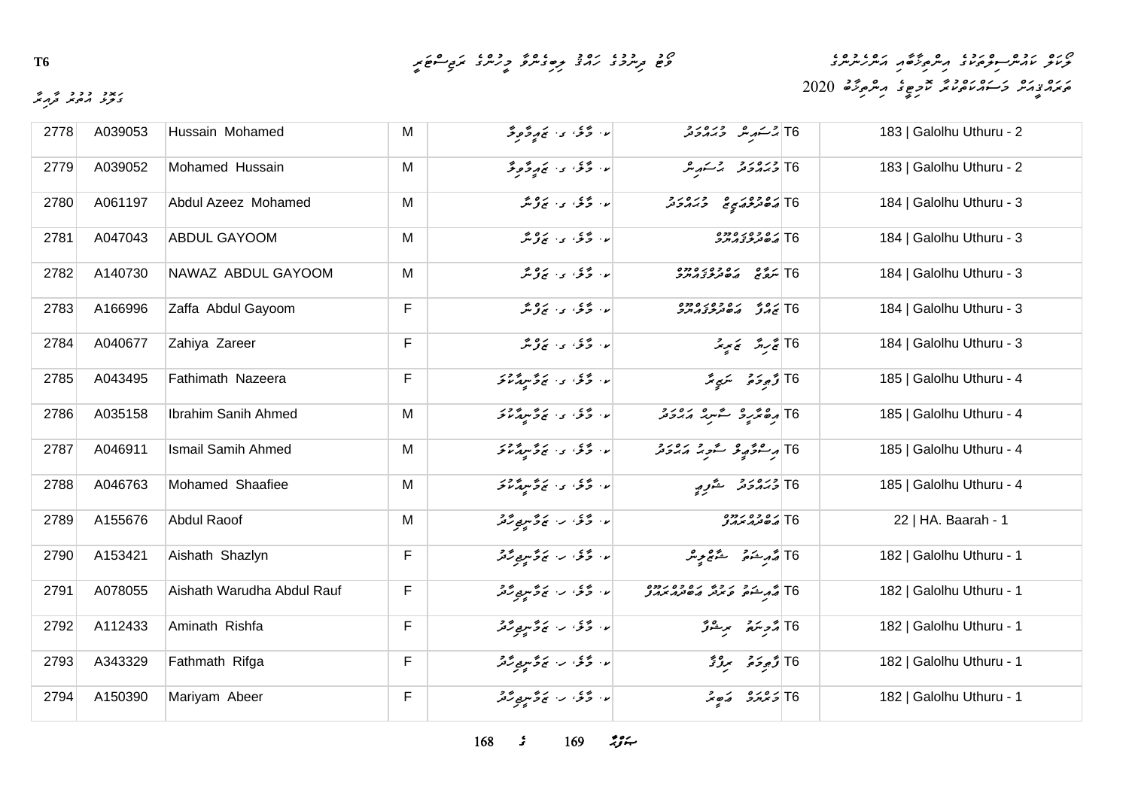*sCw7q7s5w7m< o<n9nOoAw7o< sCq;mAwBoEw7q<m; wBm;vB* م من المسجد المسجد المسجد المسجد المسجد العام 2020<br>مسجد المسجد المسجد المسجد المسجد المسجد المسجد المسجد المسجد ال

| 2778 | A039053 | Hussain Mohamed            | M           | الا د څخه د نموړوگونځه                                                                                       |                                                                                                       | 183   Galolhu Uthuru - 2 |
|------|---------|----------------------------|-------------|--------------------------------------------------------------------------------------------------------------|-------------------------------------------------------------------------------------------------------|--------------------------|
| 2779 | A039052 | Mohamed Hussain            | M           | لا الحجنى الاستجار جحافيا في                                                                                 | T6 <i>دې ده د</i> جمسکه ش                                                                             | 183   Galolhu Uthuru - 2 |
| 2780 | A061197 | Abdul Azeez Mohamed        | M           | لار ۇي ئەس ئۇش                                                                                               | T6 בַּפּּלִצְבְּבְאָ 25,000 E                                                                         | 184   Galolhu Uthuru - 3 |
| 2781 | A047043 | <b>ABDUL GAYOOM</b>        | M           | لار ۇي ئەس ئۇش                                                                                               | T6 كەھىر <i>و ۋە يو</i> رە                                                                            | 184   Galolhu Uthuru - 3 |
| 2782 | A140730 | NAWAZ ABDUL GAYOOM         | М           | لا . ۇقۇرى بىر ئۇرىگە                                                                                        | T6 נשם נספטנסמס                                                                                       | 184   Galolhu Uthuru - 3 |
| 2783 | A166996 | Zaffa Abdul Gayoom         | $\mathsf F$ | لا . دې د انجۇش                                                                                              | 76 במר הפיני הסיפי                                                                                    | 184   Galolhu Uthuru - 3 |
| 2784 | A040677 | Zahiya Zareer              | F           | ىر، بۇ ئۇ ، ئەرەپتى                                                                                          | T6 تج ببرڈ تج پریڈ                                                                                    | 184   Galolhu Uthuru - 3 |
| 2785 | A043495 | Fathimath Nazeera          | $\mathsf F$ | لا د څخه د ، ځڅ سره لانو                                                                                     | T6 <i>وَّجِوَدَة</i> مَعَ يَحَدَّ                                                                     | 185   Galolhu Uthuru - 4 |
| 2786 | A035158 | Ibrahim Sanih Ahmed        | M           | ئاس ئۇق كەس ئۇ ئاس ئۇ ئۇ ئو                                                                                  | T6 مەھمگېرى گەسىگە مەكەدىر                                                                            | 185   Galolhu Uthuru - 4 |
| 2787 | A046911 | Ismail Samih Ahmed         | M           | لا د محکمه د انجام محمد ملک                                                                                  | T6 <sub>م</sub> ر مؤثر پولو محمد المدوند                                                              | 185   Galolhu Uthuru - 4 |
| 2788 | A046763 | Mohamed Shaafiee           | M           | لا د څو د ځومله لاتو                                                                                         | T6  <i>وېروونو ځوم</i> ړ                                                                              | 185   Galolhu Uthuru - 4 |
| 2789 | A155676 | <b>Abdul Raoof</b>         | M           | لا : 33 ر. ئۇگىرىي ئەتر                                                                                      | 76 בפתח מבנים                                                                                         | 22   HA. Baarah - 1      |
| 2790 | A153421 | Aishath Shazlyn            | $\mathsf F$ | $\mathcal{L}$ ى. ئۇنى بەر ئۇگەنلىق ئەتمە                                                                     | T6 <i>۾ُ مِ</i> ڪَمُ شَگھُ <i>مِ</i> شُ                                                               | 182   Galolhu Uthuru - 1 |
| 2791 | A078055 | Aishath Warudha Abdul Rauf | $\mathsf F$ |                                                                                                              | T6 مەرشەم ئەمەم مەمەمەمەم ئەس ئەس ئەرەپ ئەرەپ ئالاردىكى ئالاردىكى ئالاردىكى ئالاردىكى ئالاردىكى ئالار | 182   Galolhu Uthuru - 1 |
| 2792 | A112433 | Aminath Rishfa             | F           | ئەس ئۆكى بىرى ئۆلگەن ئۆلگەن ئۆلگەن ئۆلگەن ئۆلگەن ئۆلگەن ئۆلگەن ئۆلگەن ئۆلگەن ئۆلگەن ئۆلگەن ئۆلگەن ئۆلگەن ئۆل | T6 مُرْسِرَةٌ مِشْرٌ                                                                                  | 182   Galolhu Uthuru - 1 |
| 2793 | A343329 | Fathmath Rifga             | F           | لا : ۇڭزا ما ئۇگىرىي رەۋ                                                                                     | T6 <i>وُّجِودَة</i> بروْتًا                                                                           | 182   Galolhu Uthuru - 1 |
| 2794 | A150390 | Mariyam Abeer              | F           | لا : ئەڭ ب ئەڭ ئىرى ئەڭ                                                                                      | T6 <i>خ</i> مبرد مقصم                                                                                 | 182   Galolhu Uthuru - 1 |

*168 sC 169 nNw?mS*